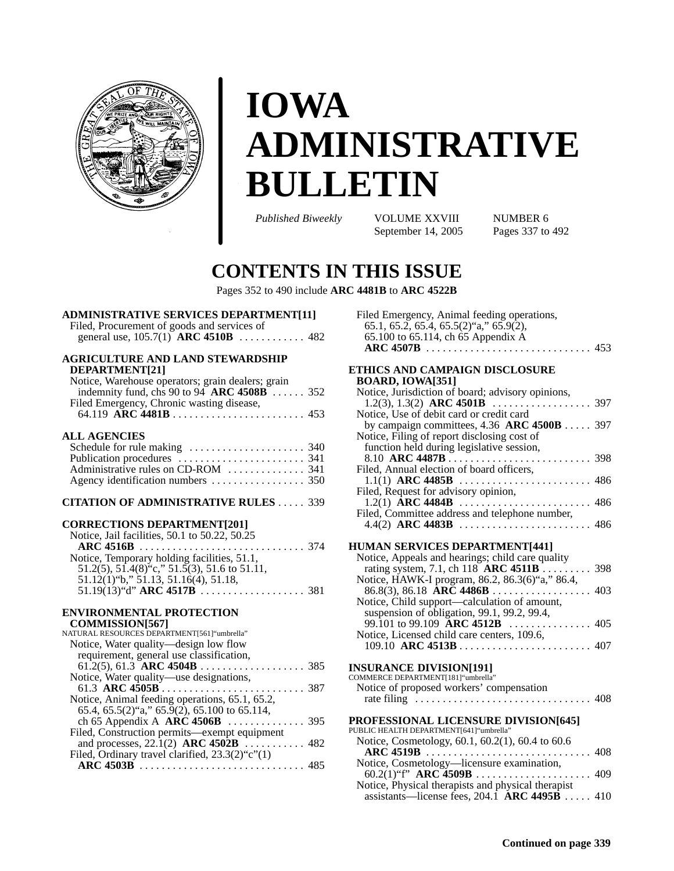

# **IOWA ADMINISTRATIVE BULLETIN**

*Published Biweekly* **VOLUME XXVIII** NUMBER 6<br>September 14, 2005 Pages 337 to 492 September 14, 2005

# **CONTENTS IN THIS ISSUE**

Pages 352 to 490 include **ARC 4481B** to **ARC 4522B**

| <b>ADMINISTRATIVE SERVICES DEPARTMENT[11]</b> |  |
|-----------------------------------------------|--|
| Filed, Procurement of goods and services of   |  |
|                                               |  |

| <b>AGRICULTURE AND LAND STEWARDSHIP</b><br>DEPARTMENT[21]<br>Notice, Warehouse operators; grain dealers; grain |  |
|----------------------------------------------------------------------------------------------------------------|--|
| indemnity fund, chs 90 to 94 ARC $4508B$ 352                                                                   |  |
| Filed Emergency, Chronic wasting disease,                                                                      |  |
|                                                                                                                |  |
| <b>ALL AGENCIES</b>                                                                                            |  |
|                                                                                                                |  |
|                                                                                                                |  |
| Administrative rules on CD-ROM  341                                                                            |  |
|                                                                                                                |  |
|                                                                                                                |  |
| <b>CITATION OF ADMINISTRATIVE RULES 339</b>                                                                    |  |
| <b>CORRECTIONS DEPARTMENT[201]</b>                                                                             |  |
| Notice, Jail facilities, 50.1 to 50.22, 50.25                                                                  |  |
|                                                                                                                |  |
| Notice, Temporary holding facilities, 51.1,                                                                    |  |
| 51.2(5), 51.4(8) <sup>*</sup> c," 51.5(3), 51.6 to 51.11,                                                      |  |
| 51.12(1) "b," 51.13, 51.16(4), 51.18,                                                                          |  |
|                                                                                                                |  |
|                                                                                                                |  |
| <b>ENVIRONMENTAL PROTECTION</b>                                                                                |  |
| <b>COMMISSION[567]</b>                                                                                         |  |
| NATURAL RESOURCES DEPARTMENT[561] "umbrella"                                                                   |  |
| Notice, Water quality-design low flow                                                                          |  |
| requirement, general use classification,                                                                       |  |
|                                                                                                                |  |
| Notice, Water quality—use designations,                                                                        |  |
|                                                                                                                |  |
| Notice, Animal feeding operations, 65.1, 65.2,                                                                 |  |
| 65.4, 65.5(2)"a," 65.9(2), 65.100 to 65.114,                                                                   |  |

| induce, Animal regulig operations, $0.1$ , $0.2$ ,    |  |
|-------------------------------------------------------|--|
| 65.4, 65.5(2) $a$ , 65.9(2), 65.100 to 65.114,        |  |
|                                                       |  |
| Filed, Construction permits—exempt equipment          |  |
|                                                       |  |
| Filed, Ordinary travel clarified, $23.3(2)$ "c" $(1)$ |  |
|                                                       |  |

| Filed Emergency, Animal feeding operations,  |  |
|----------------------------------------------|--|
| $65.1, 65.2, 65.4, 65.5(2)$ "a," $65.9(2)$ , |  |
| 65.100 to 65.114, ch 65 Appendix A           |  |
|                                              |  |

| ETHICS AND CAMPAIGN DISCLOSURE                    |  |
|---------------------------------------------------|--|
| <b>BOARD, IOWA[351]</b>                           |  |
| Notice, Jurisdiction of board; advisory opinions, |  |
| Notice, Use of debit card or credit card          |  |
| by campaign committees, 4.36 ARC 4500B 397        |  |
| Notice, Filing of report disclosing cost of       |  |
| function held during legislative session,         |  |
|                                                   |  |
| Filed, Annual election of board officers,         |  |
|                                                   |  |
| Filed, Request for advisory opinion,              |  |
|                                                   |  |
| Filed, Committee address and telephone number,    |  |
|                                                   |  |
|                                                   |  |
| HUMAN SERVICES DEPARTMENT[441]                    |  |
| Notice, Appeals and hearings; child care quality  |  |
| rating system, 7.1, ch 118 ARC 4511B 398          |  |
| Notice, HAWK-I program, 86.2, 86.3(6)"a," 86.4,   |  |
|                                                   |  |
| Notice, Child support—calculation of amount,      |  |
| suspension of obligation, 99.1, 99.2, 99.4,       |  |
|                                                   |  |
| Notice, Licensed child care centers, 109.6,       |  |
|                                                   |  |
| <b>INSURANCE DIVISION[191]</b>                    |  |
| COMMERCE DEPARTMENT[181]"umbrella"                |  |
| Notice of proposed workers' compensation          |  |
| 408                                               |  |
|                                                   |  |
| <b>PROFESSIONAL LICENSURE DIVISION[645]</b>       |  |
| DI ID I IC UE A I TU DEDA DTMENTI6411"nmbrollo"   |  |

| PUBLIC HEALTH DEPARTMENT[641]"umbrella"                          |  |
|------------------------------------------------------------------|--|
| Notice, Cosmetology, 60.1, 60.2(1), 60.4 to 60.6                 |  |
|                                                                  |  |
| Notice, Cosmetology—licensure examination,                       |  |
|                                                                  |  |
| Notice, Physical therapists and physical therapist               |  |
| assistants—license fees, $204.\overline{1}$ <b>ARC 4495B</b> 410 |  |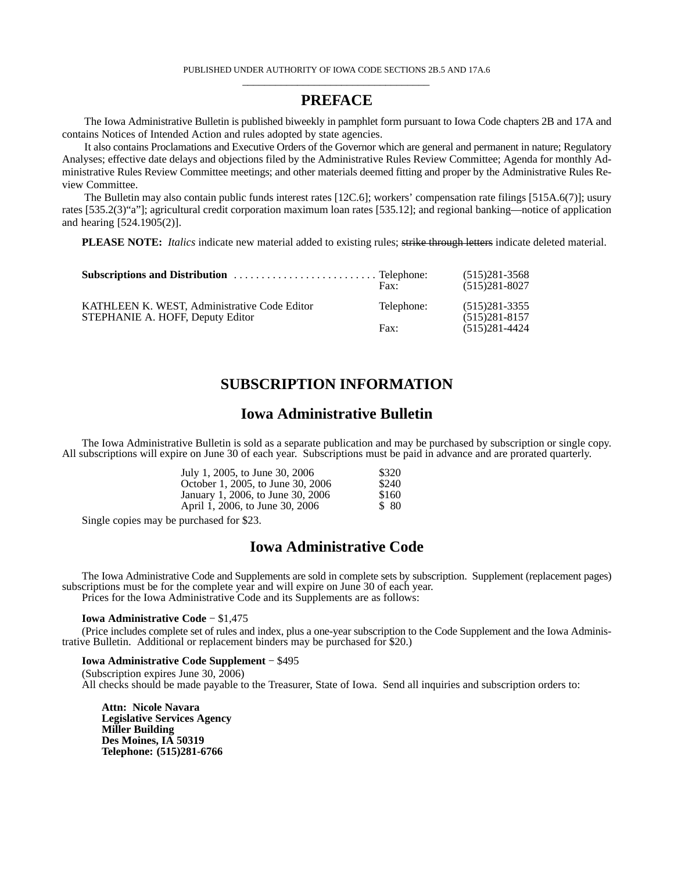# **PREFACE**

The Iowa Administrative Bulletin is published biweekly in pamphlet form pursuant to Iowa Code chapters 2B and 17A and contains Notices of Intended Action and rules adopted by state agencies.

It also contains Proclamations and Executive Orders of the Governor which are general and permanent in nature; Regulatory Analyses; effective date delays and objections filed by the Administrative Rules Review Committee; Agenda for monthly Administrative Rules Review Committee meetings; and other materials deemed fitting and proper by the Administrative Rules Review Committee.

The Bulletin may also contain public funds interest rates [12C.6]; workers' compensation rate filings [515A.6(7)]; usury rates [535.2(3)"a"]; agricultural credit corporation maximum loan rates [535.12]; and regional banking—notice of application and hearing [524.1905(2)].

**PLEASE NOTE:** *Italics* indicate new material added to existing rules; strike through letters indicate deleted material.

|                                                                                  | $\text{Fax}:$ | $(515)281 - 3568$<br>$(515)281-8027$ |
|----------------------------------------------------------------------------------|---------------|--------------------------------------|
| KATHLEEN K. WEST. Administrative Code Editor<br>STEPHANIE A. HOFF, Deputy Editor | Telephone:    | $(515)281-3355$<br>$(515)281 - 8157$ |
|                                                                                  | Fax:          | $(515)281 - 4424$                    |

# **SUBSCRIPTION INFORMATION**

# **Iowa Administrative Bulletin**

The Iowa Administrative Bulletin is sold as a separate publication and may be purchased by subscription or single copy. All subscriptions will expire on June 30 of each year. Subscriptions must be paid in advance and are prorated quarterly.

| July 1, 2005, to June 30, 2006    | \$320 |
|-----------------------------------|-------|
| October 1, 2005, to June 30, 2006 | \$240 |
| January 1, 2006, to June 30, 2006 | \$160 |
| April 1, 2006, to June 30, 2006   | \$ 80 |

Single copies may be purchased for \$23.

# **Iowa Administrative Code**

The Iowa Administrative Code and Supplements are sold in complete sets by subscription. Supplement (replacement pages) subscriptions must be for the complete year and will expire on June 30 of each year. Prices for the Iowa Administrative Code and its Supplements are as follows:

**Iowa Administrative Code** − \$1,475

(Price includes complete set of rules and index, plus a one-year subscription to the Code Supplement and the Iowa Administrative Bulletin. Additional or replacement binders may be purchased for \$20.)

**Iowa Administrative Code Supplement** − \$495

(Subscription expires June 30, 2006) All checks should be made payable to the Treasurer, State of Iowa. Send all inquiries and subscription orders to:

**Attn: Nicole Navara Legislative Services Agency Miller Building Des Moines, IA 50319 Telephone: (515)281-6766**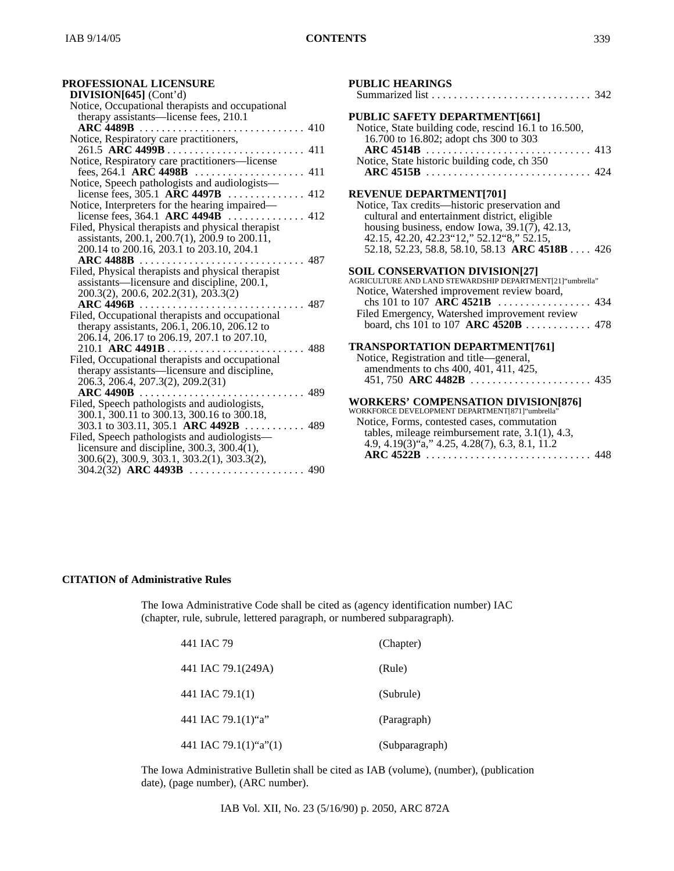# **PROFESSIONAL LICENSURE**

| DIVISION[645] (Cont'd)                            |
|---------------------------------------------------|
| Notice, Occupational therapists and occupational  |
| therapy assistants—license fees, 210.1            |
|                                                   |
| Notice, Respiratory care practitioners,           |
|                                                   |
| Notice, Respiratory care practitioners-license    |
|                                                   |
| Notice, Speech pathologists and audiologists-     |
|                                                   |
|                                                   |
| license fees, 364.1 ARC $4494\overline{B}$ 412    |
| Filed, Physical therapists and physical therapist |
| assistants, 200.1, 200.7(1), 200.9 to 200.11,     |
| 200.14 to 200.16, 203.1 to 203.10, 204.1          |
| ARC $4488B$<br>. 487                              |
| Filed, Physical therapists and physical therapist |
| assistants—licensure and discipline, 200.1,       |
| 200.3(2), 200.6, 202.2(31), 203.3(2)              |
|                                                   |
| Filed, Occupational therapists and occupational   |
| therapy assistants, 206.1, 206.10, 206.12 to      |
| 206.14, 206.17 to 206.19, 207.1 to 207.10,        |
| 210.1 ARC 4491B<br>488                            |
| Filed, Occupational therapists and occupational   |
| therapy assistants—licensure and discipline,      |
| 206.3, 206.4, 207.3(2), 209.2(31)                 |
| $\textbf{ARC}$ 4490B $\ldots$<br>. 489            |
| Filed, Speech pathologists and audiologists,      |
| 300.1, 300.11 to 300.13, 300.16 to 300.18,        |
| 303.1 to 303.11, 305.1 ARC 4492B  489             |
| Filed, Speech pathologists and audiologists-      |
| licensure and discipline, $300.3$ , $300.4(1)$ ,  |
| 300.6(2), 300.9, 303.1, 303.2(1), 303.3(2),       |
|                                                   |

| PUBLIC HEARINGS<br>Summarized list                                                                                                                                                                                                                                                                                             |
|--------------------------------------------------------------------------------------------------------------------------------------------------------------------------------------------------------------------------------------------------------------------------------------------------------------------------------|
| PUBLIC SAFETY DEPARTMENT[661]<br>Notice, State building code, rescind 16.1 to 16.500,<br>16.700 to 16.802; adopt chs 300 to 303                                                                                                                                                                                                |
| Notice, State historic building code, ch 350                                                                                                                                                                                                                                                                                   |
| <b>REVENUE DEPARTMENT[701]</b><br>Notice, Tax credits-historic preservation and<br>cultural and entertainment district, eligible<br>housing business, endow Iowa, $39.1(7)$ , 42.13,<br>42.15, 42.20, 42.23"12," 52.12"8," 52.15,<br>52.18, 52.23, 58.8, 58.10, 58.13 ARC 4518B 426                                            |
| SOIL CONSERVATION DIVISION[27]<br>AGRICULTURE AND LAND STEWARDSHIP DEPARTMENT[21] "umbrella"<br>Notice, Watershed improvement review board,<br>chs 101 to 107 ARC 4521B $\ldots$<br>$\ldots$ 434<br>Filed Emergency, Watershed improvement review<br>board, chs 101 to 107 ARC 4520B 478                                       |
| <b>TRANSPORTATION DEPARTMENT[761]</b><br>Notice, Registration and title—general,<br>amendments to chs 400, 401, 411, 425,                                                                                                                                                                                                      |
| <b>WORKERS' COMPENSATION DIVISION[876]</b><br>WORKFORCE DEVELOPMENT DEPARTMENT[871] "umbrella"<br>Notice, Forms, contested cases, commutation<br>tables, mileage reimbursement rate, $3.1(1)$ , $4.3$ ,<br>4.9, 4.19(3) $\tilde{a}$ ," 4.25, 4.28(7), 6.3, 8.1, 11.2<br>$\textbf{ARC } 4522\textbf{B}$<br>448<br>1.1.1.1.1.1.1 |

# **CITATION of Administrative Rules**

The Iowa Administrative Code shall be cited as (agency identification number) IAC (chapter, rule, subrule, lettered paragraph, or numbered subparagraph).

| 441 JAC 79                | (Chapter)      |
|---------------------------|----------------|
| 441 IAC 79.1(249A)        | (Rule)         |
| 441 IAC 79.1(1)           | (Subrule)      |
| 441 IAC 79.1 $(1)$ "a"    | (Paragraph)    |
| 441 IAC 79.1(1)" $a$ "(1) | (Subparagraph) |

The Iowa Administrative Bulletin shall be cited as IAB (volume), (number), (publication date), (page number), (ARC number).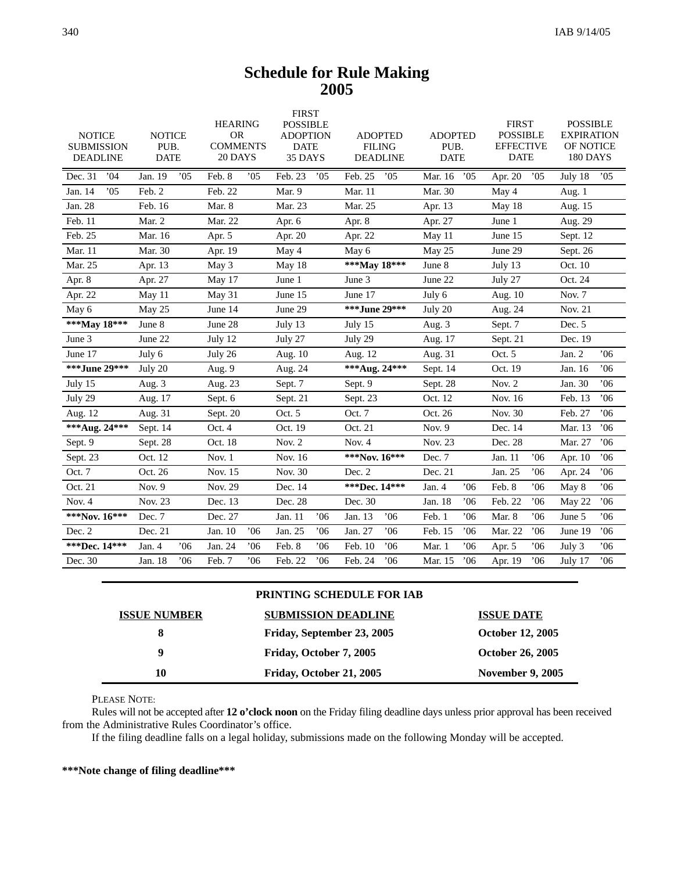# **Schedule for Rule Making 2005**

| Dec. 31<br>.04<br>Jan. 19<br>.05<br>Feb. 8<br>05<br>Feb. 23<br>05<br>Feb. 25<br>.05<br>05<br>05<br>05<br>Mar. 16<br>Apr. $20$<br>July 18<br>.05<br>Jan. 14<br>Feb. 2<br>Feb. 22<br>Mar. 9<br>Mar. 11<br>Mar. 30<br>May 4<br>Aug. 1<br>Jan. 28<br>Mar. 8<br>Mar. 25<br>Feb. 16<br>Mar. 23<br>May 18<br>Apr. 13<br>Aug. 15<br>Feb. 11<br>Mar. 2<br>Mar. 22<br>Apr. 8<br>Apr. 6<br>Apr. 27<br>June 1<br>Aug. 29<br>Feb. 25<br>Mar. 16<br>June 15<br>Apr. 5<br>Apr. 20<br>Apr. 22<br>May 11<br>Sept. 12<br>Mar. 11<br>Mar. 30<br>June 29<br>Apr. 19<br>May 4<br>May 6<br>May 25<br>Sept. 26<br>***May 18***<br>Mar. 25<br>June 8<br>Oct. 10<br>Apr. 13<br>May 3<br>May 18<br>July 13<br>Apr. 8<br>June 22<br>Oct. 24<br>Apr. 27<br>May 17<br>June 1<br>June 3<br>July 27<br>Apr. 22<br>June 15<br>June 17<br>Nov. 7<br>July 6<br>May 11<br>May 31<br>Aug. 10<br>***.June 29***<br>June 29<br>May 25<br>June 14<br>July 20<br>Nov. 21<br>May 6<br>Aug. 24<br>***May 18***<br>June 8<br>June 28<br>Dec. 5<br>July 15<br>Sept. 7<br>July 13<br>Aug. 3<br>June 3<br>Dec. 19<br>June 22<br>July 12<br>July 27<br>July 29<br>Aug. 17<br>Sept. 21<br>06'<br>June 17<br>Jan. 2<br>July 6<br>July 26<br>Aug. 10<br>Aug. 12<br>Aug. 31<br>Oct. 5<br>***June 29***<br>*** Aug. 24***<br>July 20<br>Oct. 19<br>Jan. 16<br>06'<br>Aug. 9<br>Aug. 24<br>Sept. 14<br>Jan. 30<br>06'<br>July 15<br>Sept. 7<br>Sept. 9<br>Sept. 28<br>Nov. 2<br>Aug. $3$<br>Aug. 23<br>06'<br>July 29<br>Oct. 12<br>Nov. 16<br>Feb. 13<br>Aug. 17<br>Sept. 6<br>Sept. 21<br>Sept. 23<br>Nov. 30<br>Feb. 27<br>06'<br>Oct. 5<br>Oct. 7<br>Oct. 26<br>Aug. 12<br>Aug. 31<br>Sept. 20<br>*** Aug. 24***<br>06'<br>Sept. 14<br>Oct. 19<br>Oct. 21<br>Nov. $9$<br>Dec. 14<br>Mar. 13<br>Oct. 4<br>Oct. 18<br>Nov. 23<br>Dec. 28<br>Mar. 27<br>06'<br>Sept. 9<br>Nov. $2$<br>Nov. 4<br>Sept. 28<br>Oct. 12<br>Nov. 1<br>Nov. 16<br>***Nov. 16***<br>Dec. 7<br>Jan. 11<br>06'<br>06'<br>Sept. 23<br>Apr. 10<br>Nov. 15<br>Nov. 30<br>Jan. 25<br>06'<br>06'<br>Oct. 7<br>Oct. 26<br>Dec. 2<br>Dec. 21<br>Apr. 24<br>Nov. 29<br>Dec. 14<br>***Dec. 14***<br>.06<br>Feb. 8<br>Oct. 21<br>Nov. 9<br>Jan. 4<br>06'<br>May 8<br>06'<br>Nov. 23<br>Dec. 28<br>Dec. 30<br>06'<br>Feb. 22<br>06'<br>06'<br>Nov. $4$<br>Dec. 13<br>Jan. 18<br>May 22<br>***Nov. 16***<br>Dec. 7<br>Dec. 27<br>Jan. 11<br>06'<br>Jan. 13<br>06'<br>06'<br>Feb. 1<br>Mar. 8<br>06'<br>June 5<br>06'<br>Dec. 2<br>Dec. 21<br>Jan. 10<br>06'<br>Jan. 25<br>06'<br>Jan. 27<br>.06<br>Feb. 15<br>.06<br>Mar. 22<br>06'<br>06'<br>June 19<br>***Dec. 14***<br>06'<br>06'<br>Jan. 4<br>Jan. 24<br>06'<br>Feb. 8<br>06'<br>Feb. 10<br>Mar. 1<br>06'<br>06'<br>06'<br>Apr. 5<br>July 3<br>Dec. 30<br>Jan. 18<br>06'<br>Feb. 7<br>06'<br>Feb. 22<br>06'<br>Feb. 24<br>06'<br>Mar. 15<br>06'<br>06'<br>06'<br>Apr. 19<br>July 17 | <b>NOTICE</b><br><b>SUBMISSION</b><br><b>DEADLINE</b> | <b>NOTICE</b><br>PUB.<br><b>DATE</b> | <b>HEARING</b><br><b>OR</b><br><b>COMMENTS</b><br>20 DAYS | <b>FIRST</b><br><b>POSSIBLE</b><br><b>ADOPTION</b><br><b>DATE</b><br>35 DAYS | <b>ADOPTED</b><br><b>FILING</b><br><b>DEADLINE</b> | <b>ADOPTED</b><br>PUB.<br><b>DATE</b> | <b>FIRST</b><br><b>POSSIBLE</b><br><b>EFFECTIVE</b><br><b>DATE</b> | <b>POSSIBLE</b><br><b>EXPIRATION</b><br>OF NOTICE<br>180 DAYS |
|------------------------------------------------------------------------------------------------------------------------------------------------------------------------------------------------------------------------------------------------------------------------------------------------------------------------------------------------------------------------------------------------------------------------------------------------------------------------------------------------------------------------------------------------------------------------------------------------------------------------------------------------------------------------------------------------------------------------------------------------------------------------------------------------------------------------------------------------------------------------------------------------------------------------------------------------------------------------------------------------------------------------------------------------------------------------------------------------------------------------------------------------------------------------------------------------------------------------------------------------------------------------------------------------------------------------------------------------------------------------------------------------------------------------------------------------------------------------------------------------------------------------------------------------------------------------------------------------------------------------------------------------------------------------------------------------------------------------------------------------------------------------------------------------------------------------------------------------------------------------------------------------------------------------------------------------------------------------------------------------------------------------------------------------------------------------------------------------------------------------------------------------------------------------------------------------------------------------------------------------------------------------------------------------------------------------------------------------------------------------------------------------------------------------------------------------------------------------------------------------------------------------------------------------------------------------------------------------------------------------------------------------------------------------------------------------------------------------------------------------------------------------------------------------------------------------------------------------|-------------------------------------------------------|--------------------------------------|-----------------------------------------------------------|------------------------------------------------------------------------------|----------------------------------------------------|---------------------------------------|--------------------------------------------------------------------|---------------------------------------------------------------|
|                                                                                                                                                                                                                                                                                                                                                                                                                                                                                                                                                                                                                                                                                                                                                                                                                                                                                                                                                                                                                                                                                                                                                                                                                                                                                                                                                                                                                                                                                                                                                                                                                                                                                                                                                                                                                                                                                                                                                                                                                                                                                                                                                                                                                                                                                                                                                                                                                                                                                                                                                                                                                                                                                                                                                                                                                                                |                                                       |                                      |                                                           |                                                                              |                                                    |                                       |                                                                    |                                                               |
|                                                                                                                                                                                                                                                                                                                                                                                                                                                                                                                                                                                                                                                                                                                                                                                                                                                                                                                                                                                                                                                                                                                                                                                                                                                                                                                                                                                                                                                                                                                                                                                                                                                                                                                                                                                                                                                                                                                                                                                                                                                                                                                                                                                                                                                                                                                                                                                                                                                                                                                                                                                                                                                                                                                                                                                                                                                |                                                       |                                      |                                                           |                                                                              |                                                    |                                       |                                                                    |                                                               |
|                                                                                                                                                                                                                                                                                                                                                                                                                                                                                                                                                                                                                                                                                                                                                                                                                                                                                                                                                                                                                                                                                                                                                                                                                                                                                                                                                                                                                                                                                                                                                                                                                                                                                                                                                                                                                                                                                                                                                                                                                                                                                                                                                                                                                                                                                                                                                                                                                                                                                                                                                                                                                                                                                                                                                                                                                                                |                                                       |                                      |                                                           |                                                                              |                                                    |                                       |                                                                    |                                                               |
|                                                                                                                                                                                                                                                                                                                                                                                                                                                                                                                                                                                                                                                                                                                                                                                                                                                                                                                                                                                                                                                                                                                                                                                                                                                                                                                                                                                                                                                                                                                                                                                                                                                                                                                                                                                                                                                                                                                                                                                                                                                                                                                                                                                                                                                                                                                                                                                                                                                                                                                                                                                                                                                                                                                                                                                                                                                |                                                       |                                      |                                                           |                                                                              |                                                    |                                       |                                                                    |                                                               |
|                                                                                                                                                                                                                                                                                                                                                                                                                                                                                                                                                                                                                                                                                                                                                                                                                                                                                                                                                                                                                                                                                                                                                                                                                                                                                                                                                                                                                                                                                                                                                                                                                                                                                                                                                                                                                                                                                                                                                                                                                                                                                                                                                                                                                                                                                                                                                                                                                                                                                                                                                                                                                                                                                                                                                                                                                                                |                                                       |                                      |                                                           |                                                                              |                                                    |                                       |                                                                    |                                                               |
|                                                                                                                                                                                                                                                                                                                                                                                                                                                                                                                                                                                                                                                                                                                                                                                                                                                                                                                                                                                                                                                                                                                                                                                                                                                                                                                                                                                                                                                                                                                                                                                                                                                                                                                                                                                                                                                                                                                                                                                                                                                                                                                                                                                                                                                                                                                                                                                                                                                                                                                                                                                                                                                                                                                                                                                                                                                |                                                       |                                      |                                                           |                                                                              |                                                    |                                       |                                                                    |                                                               |
|                                                                                                                                                                                                                                                                                                                                                                                                                                                                                                                                                                                                                                                                                                                                                                                                                                                                                                                                                                                                                                                                                                                                                                                                                                                                                                                                                                                                                                                                                                                                                                                                                                                                                                                                                                                                                                                                                                                                                                                                                                                                                                                                                                                                                                                                                                                                                                                                                                                                                                                                                                                                                                                                                                                                                                                                                                                |                                                       |                                      |                                                           |                                                                              |                                                    |                                       |                                                                    |                                                               |
|                                                                                                                                                                                                                                                                                                                                                                                                                                                                                                                                                                                                                                                                                                                                                                                                                                                                                                                                                                                                                                                                                                                                                                                                                                                                                                                                                                                                                                                                                                                                                                                                                                                                                                                                                                                                                                                                                                                                                                                                                                                                                                                                                                                                                                                                                                                                                                                                                                                                                                                                                                                                                                                                                                                                                                                                                                                |                                                       |                                      |                                                           |                                                                              |                                                    |                                       |                                                                    |                                                               |
|                                                                                                                                                                                                                                                                                                                                                                                                                                                                                                                                                                                                                                                                                                                                                                                                                                                                                                                                                                                                                                                                                                                                                                                                                                                                                                                                                                                                                                                                                                                                                                                                                                                                                                                                                                                                                                                                                                                                                                                                                                                                                                                                                                                                                                                                                                                                                                                                                                                                                                                                                                                                                                                                                                                                                                                                                                                |                                                       |                                      |                                                           |                                                                              |                                                    |                                       |                                                                    |                                                               |
|                                                                                                                                                                                                                                                                                                                                                                                                                                                                                                                                                                                                                                                                                                                                                                                                                                                                                                                                                                                                                                                                                                                                                                                                                                                                                                                                                                                                                                                                                                                                                                                                                                                                                                                                                                                                                                                                                                                                                                                                                                                                                                                                                                                                                                                                                                                                                                                                                                                                                                                                                                                                                                                                                                                                                                                                                                                |                                                       |                                      |                                                           |                                                                              |                                                    |                                       |                                                                    |                                                               |
|                                                                                                                                                                                                                                                                                                                                                                                                                                                                                                                                                                                                                                                                                                                                                                                                                                                                                                                                                                                                                                                                                                                                                                                                                                                                                                                                                                                                                                                                                                                                                                                                                                                                                                                                                                                                                                                                                                                                                                                                                                                                                                                                                                                                                                                                                                                                                                                                                                                                                                                                                                                                                                                                                                                                                                                                                                                |                                                       |                                      |                                                           |                                                                              |                                                    |                                       |                                                                    |                                                               |
|                                                                                                                                                                                                                                                                                                                                                                                                                                                                                                                                                                                                                                                                                                                                                                                                                                                                                                                                                                                                                                                                                                                                                                                                                                                                                                                                                                                                                                                                                                                                                                                                                                                                                                                                                                                                                                                                                                                                                                                                                                                                                                                                                                                                                                                                                                                                                                                                                                                                                                                                                                                                                                                                                                                                                                                                                                                |                                                       |                                      |                                                           |                                                                              |                                                    |                                       |                                                                    |                                                               |
|                                                                                                                                                                                                                                                                                                                                                                                                                                                                                                                                                                                                                                                                                                                                                                                                                                                                                                                                                                                                                                                                                                                                                                                                                                                                                                                                                                                                                                                                                                                                                                                                                                                                                                                                                                                                                                                                                                                                                                                                                                                                                                                                                                                                                                                                                                                                                                                                                                                                                                                                                                                                                                                                                                                                                                                                                                                |                                                       |                                      |                                                           |                                                                              |                                                    |                                       |                                                                    |                                                               |
|                                                                                                                                                                                                                                                                                                                                                                                                                                                                                                                                                                                                                                                                                                                                                                                                                                                                                                                                                                                                                                                                                                                                                                                                                                                                                                                                                                                                                                                                                                                                                                                                                                                                                                                                                                                                                                                                                                                                                                                                                                                                                                                                                                                                                                                                                                                                                                                                                                                                                                                                                                                                                                                                                                                                                                                                                                                |                                                       |                                      |                                                           |                                                                              |                                                    |                                       |                                                                    |                                                               |
|                                                                                                                                                                                                                                                                                                                                                                                                                                                                                                                                                                                                                                                                                                                                                                                                                                                                                                                                                                                                                                                                                                                                                                                                                                                                                                                                                                                                                                                                                                                                                                                                                                                                                                                                                                                                                                                                                                                                                                                                                                                                                                                                                                                                                                                                                                                                                                                                                                                                                                                                                                                                                                                                                                                                                                                                                                                |                                                       |                                      |                                                           |                                                                              |                                                    |                                       |                                                                    |                                                               |
|                                                                                                                                                                                                                                                                                                                                                                                                                                                                                                                                                                                                                                                                                                                                                                                                                                                                                                                                                                                                                                                                                                                                                                                                                                                                                                                                                                                                                                                                                                                                                                                                                                                                                                                                                                                                                                                                                                                                                                                                                                                                                                                                                                                                                                                                                                                                                                                                                                                                                                                                                                                                                                                                                                                                                                                                                                                |                                                       |                                      |                                                           |                                                                              |                                                    |                                       |                                                                    |                                                               |
|                                                                                                                                                                                                                                                                                                                                                                                                                                                                                                                                                                                                                                                                                                                                                                                                                                                                                                                                                                                                                                                                                                                                                                                                                                                                                                                                                                                                                                                                                                                                                                                                                                                                                                                                                                                                                                                                                                                                                                                                                                                                                                                                                                                                                                                                                                                                                                                                                                                                                                                                                                                                                                                                                                                                                                                                                                                |                                                       |                                      |                                                           |                                                                              |                                                    |                                       |                                                                    |                                                               |
|                                                                                                                                                                                                                                                                                                                                                                                                                                                                                                                                                                                                                                                                                                                                                                                                                                                                                                                                                                                                                                                                                                                                                                                                                                                                                                                                                                                                                                                                                                                                                                                                                                                                                                                                                                                                                                                                                                                                                                                                                                                                                                                                                                                                                                                                                                                                                                                                                                                                                                                                                                                                                                                                                                                                                                                                                                                |                                                       |                                      |                                                           |                                                                              |                                                    |                                       |                                                                    |                                                               |
|                                                                                                                                                                                                                                                                                                                                                                                                                                                                                                                                                                                                                                                                                                                                                                                                                                                                                                                                                                                                                                                                                                                                                                                                                                                                                                                                                                                                                                                                                                                                                                                                                                                                                                                                                                                                                                                                                                                                                                                                                                                                                                                                                                                                                                                                                                                                                                                                                                                                                                                                                                                                                                                                                                                                                                                                                                                |                                                       |                                      |                                                           |                                                                              |                                                    |                                       |                                                                    |                                                               |
|                                                                                                                                                                                                                                                                                                                                                                                                                                                                                                                                                                                                                                                                                                                                                                                                                                                                                                                                                                                                                                                                                                                                                                                                                                                                                                                                                                                                                                                                                                                                                                                                                                                                                                                                                                                                                                                                                                                                                                                                                                                                                                                                                                                                                                                                                                                                                                                                                                                                                                                                                                                                                                                                                                                                                                                                                                                |                                                       |                                      |                                                           |                                                                              |                                                    |                                       |                                                                    |                                                               |
|                                                                                                                                                                                                                                                                                                                                                                                                                                                                                                                                                                                                                                                                                                                                                                                                                                                                                                                                                                                                                                                                                                                                                                                                                                                                                                                                                                                                                                                                                                                                                                                                                                                                                                                                                                                                                                                                                                                                                                                                                                                                                                                                                                                                                                                                                                                                                                                                                                                                                                                                                                                                                                                                                                                                                                                                                                                |                                                       |                                      |                                                           |                                                                              |                                                    |                                       |                                                                    |                                                               |
|                                                                                                                                                                                                                                                                                                                                                                                                                                                                                                                                                                                                                                                                                                                                                                                                                                                                                                                                                                                                                                                                                                                                                                                                                                                                                                                                                                                                                                                                                                                                                                                                                                                                                                                                                                                                                                                                                                                                                                                                                                                                                                                                                                                                                                                                                                                                                                                                                                                                                                                                                                                                                                                                                                                                                                                                                                                |                                                       |                                      |                                                           |                                                                              |                                                    |                                       |                                                                    |                                                               |
|                                                                                                                                                                                                                                                                                                                                                                                                                                                                                                                                                                                                                                                                                                                                                                                                                                                                                                                                                                                                                                                                                                                                                                                                                                                                                                                                                                                                                                                                                                                                                                                                                                                                                                                                                                                                                                                                                                                                                                                                                                                                                                                                                                                                                                                                                                                                                                                                                                                                                                                                                                                                                                                                                                                                                                                                                                                |                                                       |                                      |                                                           |                                                                              |                                                    |                                       |                                                                    |                                                               |
|                                                                                                                                                                                                                                                                                                                                                                                                                                                                                                                                                                                                                                                                                                                                                                                                                                                                                                                                                                                                                                                                                                                                                                                                                                                                                                                                                                                                                                                                                                                                                                                                                                                                                                                                                                                                                                                                                                                                                                                                                                                                                                                                                                                                                                                                                                                                                                                                                                                                                                                                                                                                                                                                                                                                                                                                                                                |                                                       |                                      |                                                           |                                                                              |                                                    |                                       |                                                                    |                                                               |
|                                                                                                                                                                                                                                                                                                                                                                                                                                                                                                                                                                                                                                                                                                                                                                                                                                                                                                                                                                                                                                                                                                                                                                                                                                                                                                                                                                                                                                                                                                                                                                                                                                                                                                                                                                                                                                                                                                                                                                                                                                                                                                                                                                                                                                                                                                                                                                                                                                                                                                                                                                                                                                                                                                                                                                                                                                                |                                                       |                                      |                                                           |                                                                              |                                                    |                                       |                                                                    |                                                               |
|                                                                                                                                                                                                                                                                                                                                                                                                                                                                                                                                                                                                                                                                                                                                                                                                                                                                                                                                                                                                                                                                                                                                                                                                                                                                                                                                                                                                                                                                                                                                                                                                                                                                                                                                                                                                                                                                                                                                                                                                                                                                                                                                                                                                                                                                                                                                                                                                                                                                                                                                                                                                                                                                                                                                                                                                                                                |                                                       |                                      |                                                           |                                                                              |                                                    |                                       |                                                                    |                                                               |
|                                                                                                                                                                                                                                                                                                                                                                                                                                                                                                                                                                                                                                                                                                                                                                                                                                                                                                                                                                                                                                                                                                                                                                                                                                                                                                                                                                                                                                                                                                                                                                                                                                                                                                                                                                                                                                                                                                                                                                                                                                                                                                                                                                                                                                                                                                                                                                                                                                                                                                                                                                                                                                                                                                                                                                                                                                                |                                                       |                                      |                                                           |                                                                              |                                                    |                                       |                                                                    |                                                               |

# **PRINTING SCHEDULE FOR IAB**

| <b>ISSUE NUMBER</b> | <b>SUBMISSION DEADLINE</b> | <b>ISSUE DATE</b>       |
|---------------------|----------------------------|-------------------------|
|                     | Friday, September 23, 2005 | <b>October 12, 2005</b> |
| $\bf{o}$            | Friday, October 7, 2005    | <b>October 26, 2005</b> |
| 10                  | Friday, October 21, 2005   | <b>November 9, 2005</b> |

PLEASE NOTE:

Rules will not be accepted after **12 o'clock noon** on the Friday filing deadline days unless prior approval has been received from the Administrative Rules Coordinator's office.

If the filing deadline falls on a legal holiday, submissions made on the following Monday will be accepted.

# **\*\*\*Note change of filing deadline\*\*\***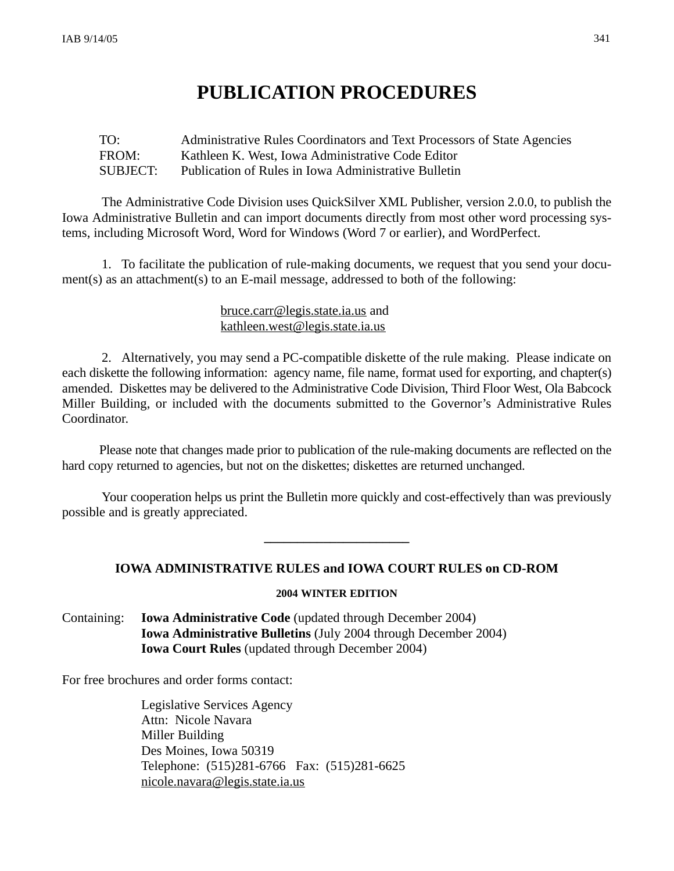# **PUBLICATION PROCEDURES**

# TO: Administrative Rules Coordinators and Text Processors of State Agencies FROM: Kathleen K. West, Iowa Administrative Code Editor SUBJECT: Publication of Rules in Iowa Administrative Bulletin

The Administrative Code Division uses QuickSilver XML Publisher, version 2.0.0, to publish the Iowa Administrative Bulletin and can import documents directly from most other word processing systems, including Microsoft Word, Word for Windows (Word 7 or earlier), and WordPerfect.

1. To facilitate the publication of rule-making documents, we request that you send your document(s) as an attachment(s) to an E-mail message, addressed to both of the following:

# bruce.carr@legis.state.ia.us and kathleen.west@legis.state.ia.us

2. Alternatively, you may send a PC-compatible diskette of the rule making. Please indicate on each diskette the following information: agency name, file name, format used for exporting, and chapter(s) amended. Diskettes may be delivered to the Administrative Code Division, Third Floor West, Ola Babcock Miller Building, or included with the documents submitted to the Governor's Administrative Rules Coordinator.

Please note that changes made prior to publication of the rule-making documents are reflected on the hard copy returned to agencies, but not on the diskettes; diskettes are returned unchanged.

Your cooperation helps us print the Bulletin more quickly and cost-effectively than was previously possible and is greatly appreciated.

# **IOWA ADMINISTRATIVE RULES and IOWA COURT RULES on CD-ROM**

**\_\_\_\_\_\_\_\_\_\_\_\_\_\_\_\_\_\_\_\_\_\_**

# **2004 WINTER EDITION**

Containing: **Iowa Administrative Code** (updated through December 2004) **Iowa Administrative Bulletins** (July 2004 through December 2004) **Iowa Court Rules** (updated through December 2004)

For free brochures and order forms contact:

Legislative Services Agency Attn: Nicole Navara Miller Building Des Moines, Iowa 50319 Telephone: (515)281-6766 Fax: (515)281-6625 nicole.navara@legis.state.ia.us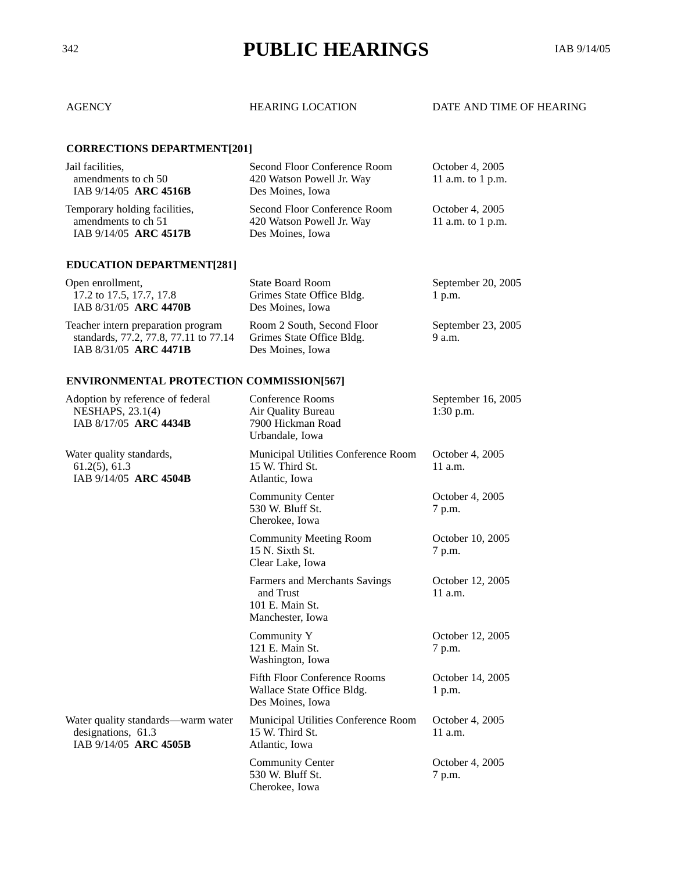# <sup>342</sup> **PUBLIC HEARINGS** IAB 9/14/05

# AGENCY HEARING LOCATION DATE AND TIME OF HEARING

# **CORRECTIONS DEPARTMENT[201]**

| Jail facilities.              | Second Floor Conference Room | October 4, 2005   |
|-------------------------------|------------------------------|-------------------|
| amendments to ch 50           | 420 Watson Powell Jr. Way    | 11 a.m. to 1 p.m. |
| IAB 9/14/05 ARC 4516B         | Des Moines, Iowa             |                   |
| Temporary holding facilities, | Second Floor Conference Room | October 4, 2005   |
| amendments to ch 51           | 420 Watson Powell Jr. Way    | 11 a.m. to 1 p.m. |
| IAB 9/14/05 ARC 4517B         | Des Moines, Iowa             |                   |
|                               |                              |                   |

# **EDUCATION DEPARTMENT[281]**

| Open enrollment,                      | <b>State Board Room</b>    | September 20, 2005 |
|---------------------------------------|----------------------------|--------------------|
| 17.2 to 17.5, 17.7, 17.8              | Grimes State Office Bldg.  | $1$ p.m.           |
| IAB 8/31/05 ARC 4470B                 | Des Moines, Iowa           |                    |
| Teacher intern preparation program    | Room 2 South, Second Floor | September 23, 2005 |
| standards, 77.2, 77.8, 77.11 to 77.14 | Grimes State Office Bldg.  | 9 a.m.             |
| IAB 8/31/05 ARC 4471B                 | Des Moines, Iowa           |                    |

# **ENVIRONMENTAL PROTECTION COMMISSION[567]**

| Adoption by reference of federal<br>NESHAPS, 23.1(4)<br>IAB 8/17/05 ARC 4434B     | <b>Conference Rooms</b><br>Air Quality Bureau<br>7900 Hickman Road<br>Urbandale, Iowa | September 16, 2005<br>$1:30$ p.m. |
|-----------------------------------------------------------------------------------|---------------------------------------------------------------------------------------|-----------------------------------|
| Water quality standards,<br>$61.2(5)$ , 61.3<br>IAB 9/14/05 ARC 4504B             | Municipal Utilities Conference Room<br>15 W. Third St.<br>Atlantic, Iowa              | October 4, 2005<br>11 a.m.        |
|                                                                                   | <b>Community Center</b><br>530 W. Bluff St.<br>Cherokee, Iowa                         | October 4, 2005<br>7 p.m.         |
|                                                                                   | <b>Community Meeting Room</b><br>15 N. Sixth St.<br>Clear Lake, Iowa                  | October 10, 2005<br>7 p.m.        |
|                                                                                   | Farmers and Merchants Savings<br>and Trust<br>101 E. Main St.<br>Manchester, Iowa     | October 12, 2005<br>$11$ a.m.     |
|                                                                                   | Community Y<br>121 E. Main St.<br>Washington, Iowa                                    | October 12, 2005<br>7 p.m.        |
|                                                                                   | <b>Fifth Floor Conference Rooms</b><br>Wallace State Office Bldg.<br>Des Moines, Iowa | October 14, 2005<br>1 p.m.        |
| Water quality standards—warm water<br>designations, 61.3<br>IAB 9/14/05 ARC 4505B | Municipal Utilities Conference Room<br>15 W. Third St.<br>Atlantic, Iowa              | October 4, 2005<br>11 a.m.        |
|                                                                                   | <b>Community Center</b><br>530 W. Bluff St.<br>Cherokee, Iowa                         | October 4, 2005<br>7 p.m.         |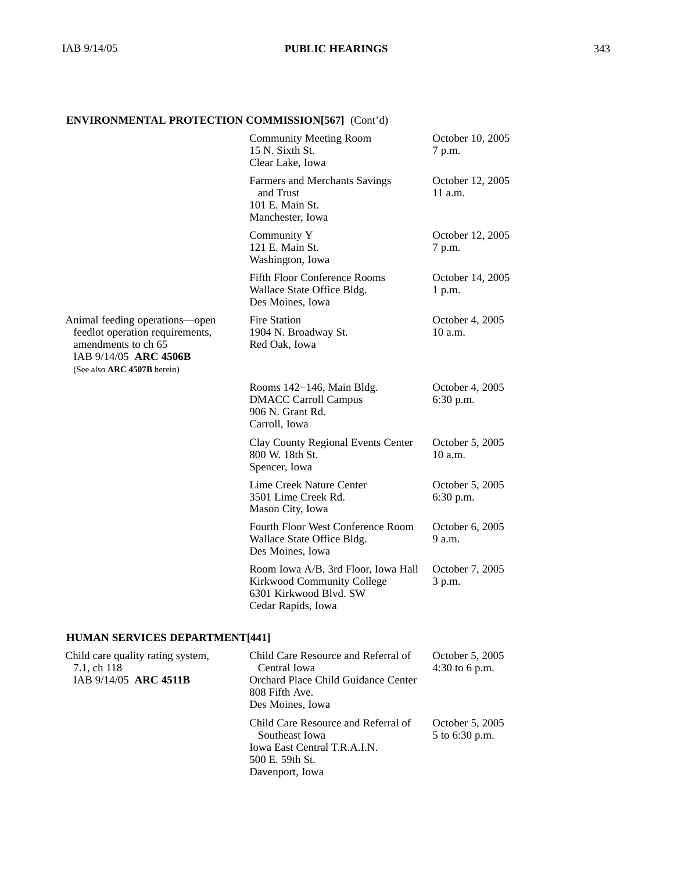# **ENVIRONMENTAL PROTECTION COMMISSION[567]** (Cont'd)

|                                                                                                                                                  | <b>Community Meeting Room</b><br>15 N. Sixth St.<br>Clear Lake, Iowa                                              | October 10, 2005<br>7 p.m.        |
|--------------------------------------------------------------------------------------------------------------------------------------------------|-------------------------------------------------------------------------------------------------------------------|-----------------------------------|
|                                                                                                                                                  | Farmers and Merchants Savings<br>and Trust<br>101 E. Main St.<br>Manchester, Iowa                                 | October 12, 2005<br>$11$ a.m.     |
|                                                                                                                                                  | Community Y<br>121 E. Main St.<br>Washington, Iowa                                                                | October 12, 2005<br>7 p.m.        |
|                                                                                                                                                  | <b>Fifth Floor Conference Rooms</b><br>Wallace State Office Bldg.<br>Des Moines, Iowa                             | October 14, 2005<br>1 p.m.        |
| Animal feeding operations-open<br>feedlot operation requirements,<br>amendments to ch 65<br>IAB 9/14/05 ARC 4506B<br>(See also ARC 4507B herein) | <b>Fire Station</b><br>1904 N. Broadway St.<br>Red Oak, Iowa                                                      | October 4, 2005<br>$10$ a.m.      |
|                                                                                                                                                  | Rooms 142-146, Main Bldg.<br><b>DMACC Carroll Campus</b><br>906 N. Grant Rd.<br>Carroll, Iowa                     | October 4, 2005<br>6:30 p.m.      |
|                                                                                                                                                  | <b>Clay County Regional Events Center</b><br>800 W. 18th St.<br>Spencer, Iowa                                     | October 5, 2005<br>$10$ a.m.      |
|                                                                                                                                                  | Lime Creek Nature Center<br>3501 Lime Creek Rd.<br>Mason City, Iowa                                               | October 5, 2005<br>6:30 p.m.      |
|                                                                                                                                                  | Fourth Floor West Conference Room<br>Wallace State Office Bldg.<br>Des Moines, Iowa                               | October 6, 2005<br>9 a.m.         |
|                                                                                                                                                  | Room Iowa A/B, 3rd Floor, Iowa Hall<br>Kirkwood Community College<br>6301 Kirkwood Blvd. SW<br>Cedar Rapids, Iowa | October 7, 2005<br>3 p.m.         |
| <b>HUMAN SERVICES DEPARTMENT[441]</b>                                                                                                            |                                                                                                                   |                                   |
| Child care quality rating system,<br>7.1, ch 118<br>IAB 9/14/05 ARC 4511B                                                                        | Child Care Resource and Referral of<br>Central Iowa<br>Orchard Place Child Guidance Center<br>808 Fifth Ave.      | October 5, 2005<br>4:30 to 6 p.m. |

Des Moines, Iowa

Davenport, Iowa

Child Care Resource and Referral of Southeast Iowa Iowa East Central T.R.A.I.N. 500 E. 59th St. October 5, 2005 5 to 6:30 p.m.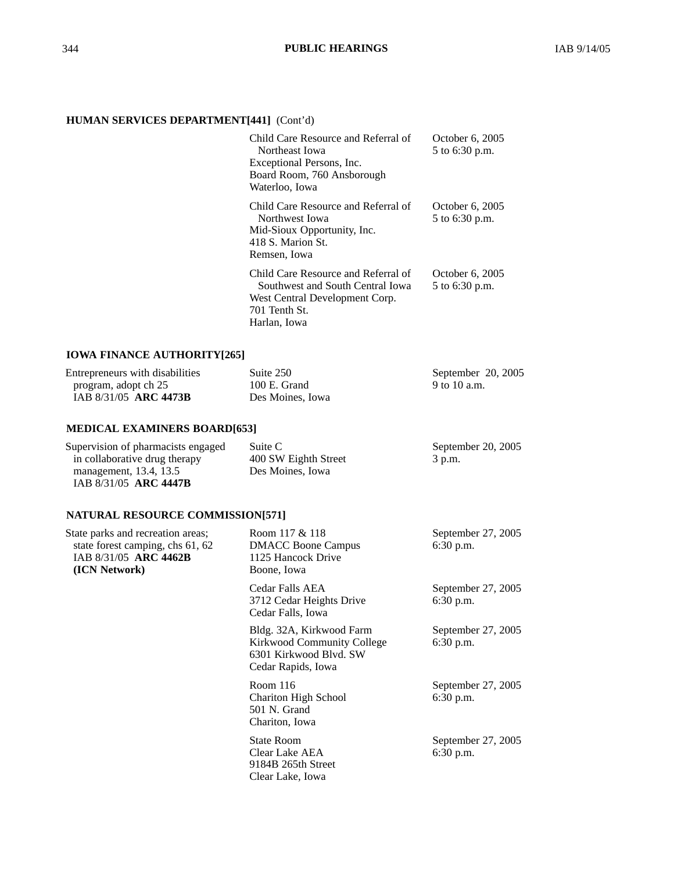# **HUMAN SERVICES DEPARTMENT[441]** (Cont'd)

| Child Care Resource and Referral of<br>Northeast Iowa<br>Exceptional Persons, Inc.<br>Board Room, 760 Ansborough<br>Waterloo, Iowa         | October 6, 2005<br>5 to 6:30 p.m. |
|--------------------------------------------------------------------------------------------------------------------------------------------|-----------------------------------|
| Child Care Resource and Referral of<br>Northwest Iowa<br>Mid-Sioux Opportunity, Inc.<br>418 S. Marion St.<br>Remsen, Iowa                  | October 6, 2005<br>5 to 6:30 p.m. |
| Child Care Resource and Referral of<br>Southwest and South Central Iowa<br>West Central Development Corp.<br>701 Tenth St.<br>Harlan, Iowa | October 6, 2005<br>5 to 6:30 p.m. |

# **IOWA FINANCE AUTHORITY[265]**

| Entrepreneurs with disabilities | Suite 250        | September 20, 2005 |
|---------------------------------|------------------|--------------------|
| program, adopt ch 25            | $100$ E. Grand   | 9 to 10 a.m.       |
| IAB 8/31/05 ARC 4473B           | Des Moines, Iowa |                    |

# **MEDICAL EXAMINERS BOARD[653]**

| Supervision of pharmacists engaged | Suite C              | September 20, 2005 |
|------------------------------------|----------------------|--------------------|
| in collaborative drug therapy      | 400 SW Eighth Street | $3$ p.m.           |
| management, 13.4, 13.5             | Des Moines, Iowa     |                    |
| IAB 8/31/05 ARC 4447B              |                      |                    |

# **NATURAL RESOURCE COMMISSION[571]**

| State parks and recreation areas;<br>state forest camping, chs 61, 62<br>IAB 8/31/05 ARC 4462B<br>(ICN Network) | Room 117 & 118<br><b>DMACC Boone Campus</b><br>1125 Hancock Drive<br>Boone, Iowa                       | September 27, 2005<br>$6:30$ p.m. |
|-----------------------------------------------------------------------------------------------------------------|--------------------------------------------------------------------------------------------------------|-----------------------------------|
|                                                                                                                 | Cedar Falls AEA<br>3712 Cedar Heights Drive<br>Cedar Falls, Iowa                                       | September 27, 2005<br>$6:30$ p.m. |
|                                                                                                                 | Bldg. 32A, Kirkwood Farm<br>Kirkwood Community College<br>6301 Kirkwood Blyd. SW<br>Cedar Rapids, Iowa | September 27, 2005<br>$6:30$ p.m. |
|                                                                                                                 | Room $116$<br><b>Chariton High School</b><br>501 N. Grand<br>Chariton, Iowa                            | September 27, 2005<br>$6:30$ p.m. |
|                                                                                                                 | <b>State Room</b><br>Clear Lake AEA<br>9184B 265th Street<br>Clear Lake, Iowa                          | September 27, 2005<br>$6:30$ p.m. |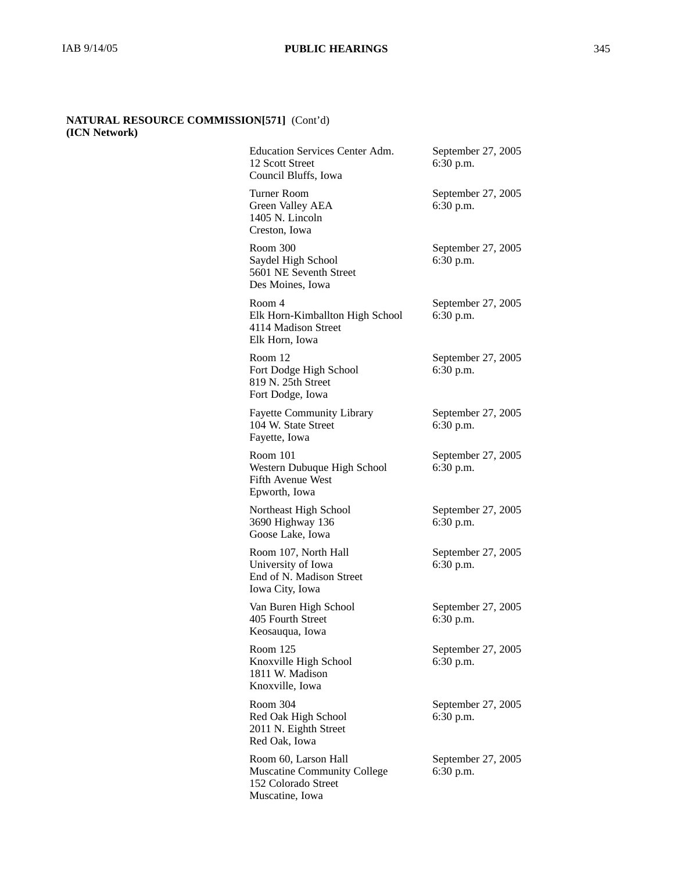# **NATURAL RESOURCE COMMISSION[571]** (Cont'd) **(ICN Network)**

| Education Services Center Adm.<br>12 Scott Street<br>Council Bluffs, Iowa                            | September 27, 2005<br>6:30 p.m. |
|------------------------------------------------------------------------------------------------------|---------------------------------|
| Turner Room<br><b>Green Valley AEA</b><br>1405 N. Lincoln<br>Creston, Iowa                           | September 27, 2005<br>6:30 p.m. |
| Room 300<br>Saydel High School<br>5601 NE Seventh Street<br>Des Moines, Iowa                         | September 27, 2005<br>6:30 p.m. |
| Room 4<br>Elk Horn-Kimballton High School<br>4114 Madison Street<br>Elk Horn, Iowa                   | September 27, 2005<br>6:30 p.m. |
| Room 12<br>Fort Dodge High School<br>819 N. 25th Street<br>Fort Dodge, Iowa                          | September 27, 2005<br>6:30 p.m. |
| <b>Fayette Community Library</b><br>104 W. State Street<br>Fayette, Iowa                             | September 27, 2005<br>6:30 p.m. |
| Room 101<br>Western Dubuque High School<br><b>Fifth Avenue West</b><br>Epworth, Iowa                 | September 27, 2005<br>6:30 p.m. |
| Northeast High School<br>3690 Highway 136<br>Goose Lake, Iowa                                        | September 27, 2005<br>6:30 p.m. |
| Room 107, North Hall<br>University of Iowa<br>End of N. Madison Street<br>Iowa City, Iowa            | September 27, 2005<br>6:30 p.m. |
| Van Buren High School<br>405 Fourth Street<br>Keosauqua, Iowa                                        | September 27, 2005<br>6:30 p.m. |
| Room 125<br>Knoxville High School<br>1811 W. Madison<br>Knoxville, Iowa                              | September 27, 2005<br>6:30 p.m. |
| Room 304<br>Red Oak High School<br>2011 N. Eighth Street<br>Red Oak, Iowa                            | September 27, 2005<br>6:30 p.m. |
| Room 60, Larson Hall<br><b>Muscatine Community College</b><br>152 Colorado Street<br>Muscatine, Iowa | September 27, 2005<br>6:30 p.m. |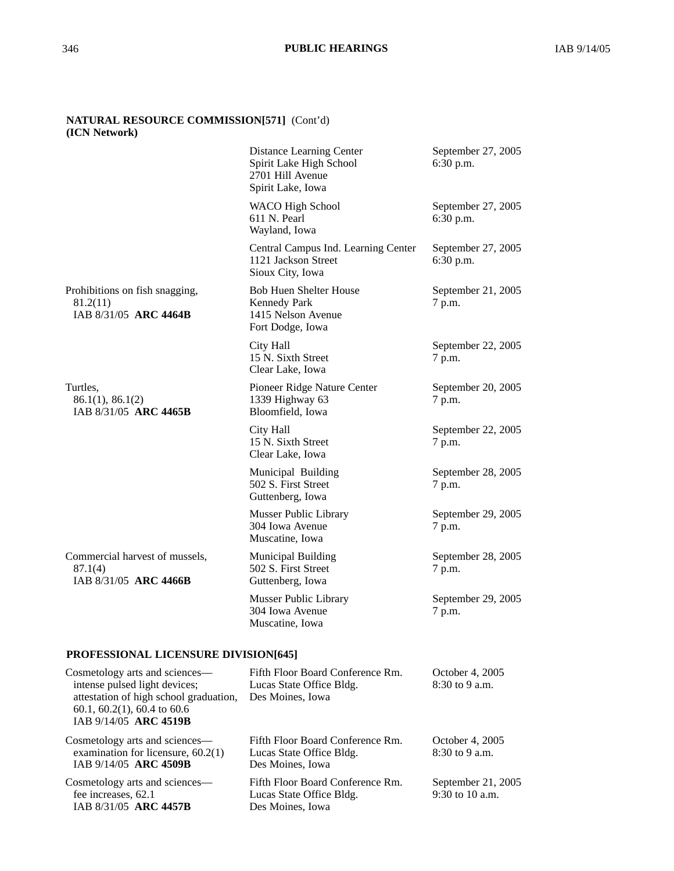# **NATURAL RESOURCE COMMISSION[571]** (Cont'd) **(ICN Network)**

IAB 8/31/05 **ARC 4457B**

|                                                                                                                                                                       | Distance Learning Center<br>Spirit Lake High School<br>2701 Hill Avenue<br>Spirit Lake, Iowa   | September 27, 2005<br>6:30 p.m.       |
|-----------------------------------------------------------------------------------------------------------------------------------------------------------------------|------------------------------------------------------------------------------------------------|---------------------------------------|
|                                                                                                                                                                       | <b>WACO High School</b><br>611 N. Pearl<br>Wayland, Iowa                                       | September 27, 2005<br>6:30 p.m.       |
|                                                                                                                                                                       | Central Campus Ind. Learning Center<br>1121 Jackson Street<br>Sioux City, Iowa                 | September 27, 2005<br>6:30 p.m.       |
| Prohibitions on fish snagging,<br>81.2(11)<br>IAB 8/31/05 ARC 4464B                                                                                                   | <b>Bob Huen Shelter House</b><br><b>Kennedy Park</b><br>1415 Nelson Avenue<br>Fort Dodge, Iowa | September 21, 2005<br>7 p.m.          |
|                                                                                                                                                                       | City Hall<br>15 N. Sixth Street<br>Clear Lake, Iowa                                            | September 22, 2005<br>7 p.m.          |
| Turtles,<br>86.1(1), 86.1(2)<br>IAB 8/31/05 ARC 4465B                                                                                                                 | Pioneer Ridge Nature Center<br>1339 Highway 63<br>Bloomfield, Iowa                             | September 20, 2005<br>7 p.m.          |
|                                                                                                                                                                       | City Hall<br>15 N. Sixth Street<br>Clear Lake, Iowa                                            | September 22, 2005<br>7 p.m.          |
|                                                                                                                                                                       | Municipal Building<br>502 S. First Street<br>Guttenberg, Iowa                                  | September 28, 2005<br>7 p.m.          |
|                                                                                                                                                                       | Musser Public Library<br>304 Iowa Avenue<br>Muscatine, Iowa                                    | September 29, 2005<br>7 p.m.          |
| Commercial harvest of mussels,<br>87.1(4)<br>IAB 8/31/05 ARC 4466B                                                                                                    | <b>Municipal Building</b><br>502 S. First Street<br>Guttenberg, Iowa                           | September 28, 2005<br>7 p.m.          |
|                                                                                                                                                                       | Musser Public Library<br>304 Iowa Avenue<br>Muscatine, Iowa                                    | September 29, 2005<br>7 p.m.          |
| PROFESSIONAL LICENSURE DIVISION[645]                                                                                                                                  |                                                                                                |                                       |
| Cosmetology arts and sciences—<br>intense pulsed light devices;<br>attestation of high school graduation,<br>$60.1, 60.2(1), 60.4$ to $60.6$<br>IAB 9/14/05 ARC 4519B | Fifth Floor Board Conference Rm.<br>Lucas State Office Bldg.<br>Des Moines, Iowa               | October 4, 2005<br>8:30 to 9 a.m.     |
| Cosmetology arts and sciences—<br>examination for licensure, $60.2(1)$<br>IAB 9/14/05 ARC 4509B                                                                       | Fifth Floor Board Conference Rm.<br>Lucas State Office Bldg.<br>Des Moines, Iowa               | October 4, 2005<br>8:30 to 9 a.m.     |
| Cosmetology arts and sciences—<br>fee increases, 62.1                                                                                                                 | Fifth Floor Board Conference Rm.<br>Lucas State Office Bldg.                                   | September 21, 2005<br>9:30 to 10 a.m. |

Des Moines, Iowa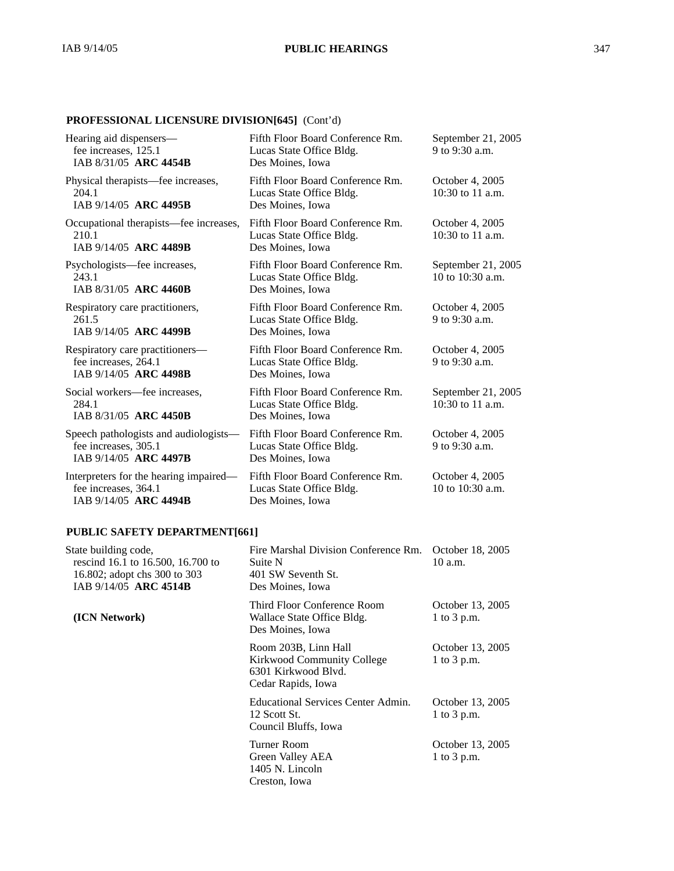# **PROFESSIONAL LICENSURE DIVISION[645]** (Cont'd)

| Hearing aid dispensers-<br>fee increases, 125.1<br>IAB 8/31/05 ARC 4454B                | Fifth Floor Board Conference Rm.<br>Lucas State Office Bldg.<br>Des Moines, Iowa | September 21, 2005<br>9 to 9:30 a.m.     |
|-----------------------------------------------------------------------------------------|----------------------------------------------------------------------------------|------------------------------------------|
| Physical therapists—fee increases,<br>204.1<br>IAB 9/14/05 ARC 4495B                    | Fifth Floor Board Conference Rm.<br>Lucas State Office Bldg.<br>Des Moines, Iowa | October 4, 2005<br>$10:30$ to 11 a.m.    |
| Occupational therapists—fee increases,<br>210.1<br>IAB 9/14/05 ARC 4489B                | Fifth Floor Board Conference Rm.<br>Lucas State Office Bldg.<br>Des Moines, Iowa | October 4, 2005<br>$10:30$ to 11 a.m.    |
| Psychologists—fee increases,<br>243.1<br>IAB 8/31/05 ARC 4460B                          | Fifth Floor Board Conference Rm.<br>Lucas State Office Bldg.<br>Des Moines, Iowa | September 21, 2005<br>10 to $10:30$ a.m. |
| Respiratory care practitioners,<br>261.5<br>IAB 9/14/05 ARC 4499B                       | Fifth Floor Board Conference Rm.<br>Lucas State Office Bldg.<br>Des Moines, Iowa | October 4, 2005<br>9 to 9:30 a.m.        |
| Respiratory care practitioners-<br>fee increases, 264.1<br>IAB 9/14/05 ARC 4498B        | Fifth Floor Board Conference Rm.<br>Lucas State Office Bldg.<br>Des Moines, Iowa | October 4, 2005<br>9 to $9:30$ a.m.      |
| Social workers-fee increases,<br>284.1<br>IAB 8/31/05 ARC 4450B                         | Fifth Floor Board Conference Rm.<br>Lucas State Office Bldg.<br>Des Moines, Iowa | September 21, 2005<br>$10:30$ to 11 a.m. |
| Speech pathologists and audiologists—<br>fee increases, 305.1<br>IAB 9/14/05 ARC 4497B  | Fifth Floor Board Conference Rm.<br>Lucas State Office Bldg.<br>Des Moines, Iowa | October 4, 2005<br>9 to 9:30 a.m.        |
| Interpreters for the hearing impaired—<br>fee increases, 364.1<br>IAB 9/14/05 ARC 4494B | Fifth Floor Board Conference Rm.<br>Lucas State Office Bldg.<br>Des Moines, Iowa | October 4, 2005<br>10 to $10:30$ a.m.    |

# **PUBLIC SAFETY DEPARTMENT[661]**

| State building code,<br>rescind 16.1 to 16.500, 16.700 to<br>16.802; adopt chs 300 to 303<br>IAB 9/14/05 ARC 4514B | Fire Marshal Division Conference Rm.<br>Suite N<br>401 SW Seventh St.<br>Des Moines, Iowa       | October 18, 2005<br>10 a.m.     |
|--------------------------------------------------------------------------------------------------------------------|-------------------------------------------------------------------------------------------------|---------------------------------|
| (ICN Network)                                                                                                      | Third Floor Conference Room<br>Wallace State Office Bldg.<br>Des Moines, Iowa                   | October 13, 2005<br>1 to 3 p.m. |
|                                                                                                                    | Room 203B, Linn Hall<br>Kirkwood Community College<br>6301 Kirkwood Blyd.<br>Cedar Rapids, Iowa | October 13, 2005<br>1 to 3 p.m. |
|                                                                                                                    | Educational Services Center Admin.<br>12 Scott St.<br>Council Bluffs, Iowa                      | October 13, 2005<br>1 to 3 p.m. |
|                                                                                                                    | Turner Room<br>Green Valley AEA<br>1405 N. Lincoln<br>Creston, Iowa                             | October 13, 2005<br>1 to 3 p.m. |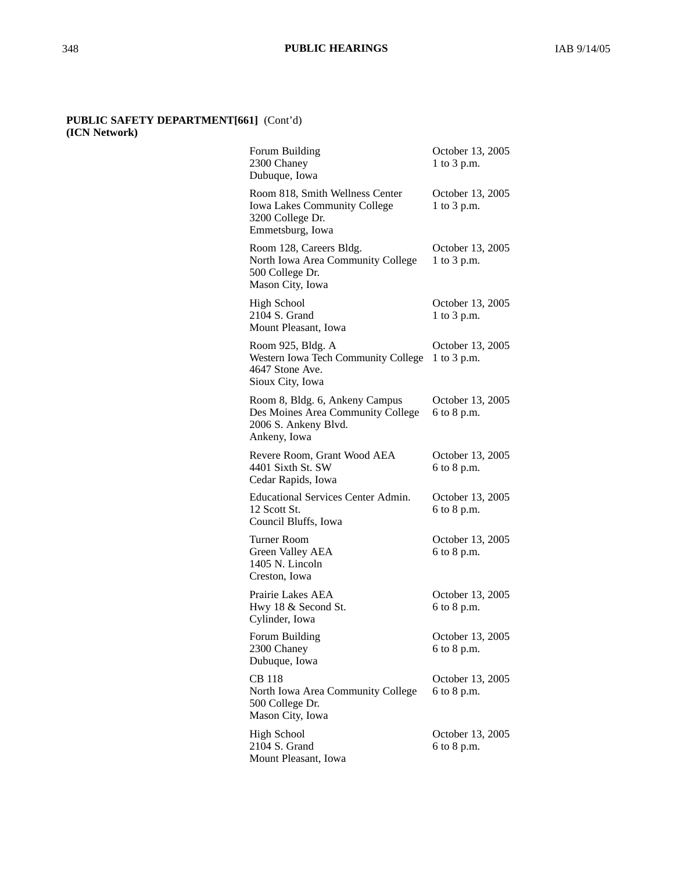## **PUBLIC SAFETY DEPARTMENT[661]** (Cont'd) **(ICN Network)**

| Forum Building<br>2300 Chaney<br>Dubuque, Iowa                                                                 | October 13, 2005<br>1 to 3 p.m. |
|----------------------------------------------------------------------------------------------------------------|---------------------------------|
| Room 818, Smith Wellness Center<br><b>Iowa Lakes Community College</b><br>3200 College Dr.<br>Emmetsburg, Iowa | October 13, 2005<br>1 to 3 p.m. |
| Room 128, Careers Bldg.<br>North Iowa Area Community College<br>500 College Dr.<br>Mason City, Iowa            | October 13, 2005<br>1 to 3 p.m. |
| <b>High School</b><br>2104 S. Grand<br>Mount Pleasant, Iowa                                                    | October 13, 2005<br>1 to 3 p.m. |
| Room 925, Bldg. A<br>Western Iowa Tech Community College<br>4647 Stone Ave.<br>Sioux City, Iowa                | October 13, 2005<br>1 to 3 p.m. |
| Room 8, Bldg. 6, Ankeny Campus<br>Des Moines Area Community College<br>2006 S. Ankeny Blvd.<br>Ankeny, Iowa    | October 13, 2005<br>6 to 8 p.m. |
| Revere Room, Grant Wood AEA<br>4401 Sixth St. SW<br>Cedar Rapids, Iowa                                         | October 13, 2005<br>6 to 8 p.m. |
| <b>Educational Services Center Admin.</b><br>12 Scott St.<br>Council Bluffs, Iowa                              | October 13, 2005<br>6 to 8 p.m. |
| <b>Turner Room</b><br><b>Green Valley AEA</b><br>1405 N. Lincoln<br>Creston, Iowa                              | October 13, 2005<br>6 to 8 p.m. |
| Prairie Lakes AEA<br>Hwy 18 & Second St.<br>Cylinder, Iowa                                                     | October 13, 2005<br>6 to 8 p.m. |
| Forum Building<br>2300 Chaney<br>Dubuque, Iowa                                                                 | October 13, 2005<br>6 to 8 p.m. |
| <b>CB</b> 118<br>North Iowa Area Community College<br>500 College Dr.<br>Mason City, Iowa                      | October 13, 2005<br>6 to 8 p.m. |
| <b>High School</b><br>2104 S. Grand<br>Mount Pleasant, Iowa                                                    | October 13, 2005<br>6 to 8 p.m. |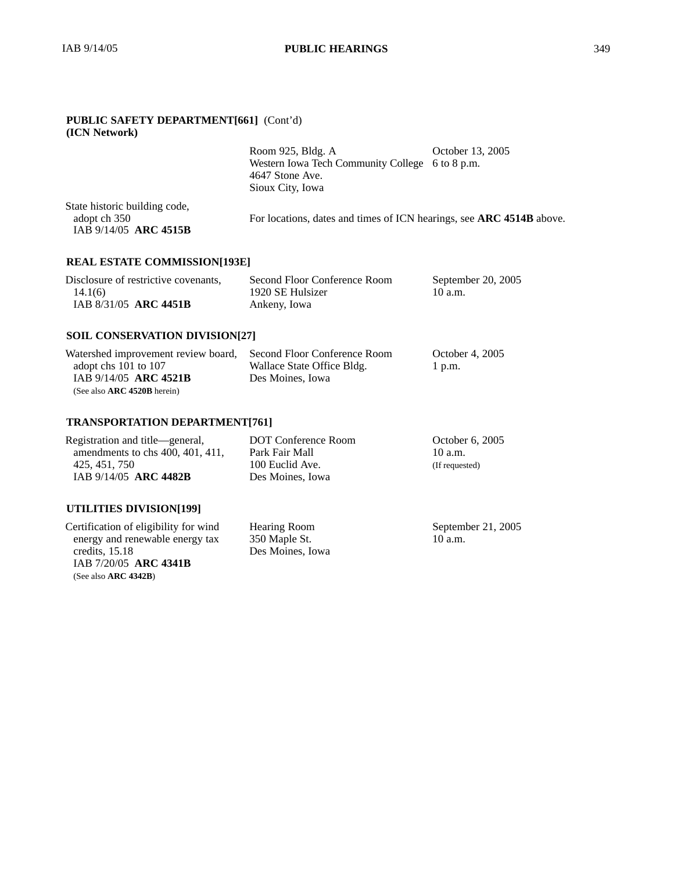## **PUBLIC SAFETY DEPARTMENT[661]** (Cont'd) **(ICN Network)**

|                                                                        | Room 925, Bldg. A                                                    | October 13, 2005 |
|------------------------------------------------------------------------|----------------------------------------------------------------------|------------------|
|                                                                        | Western Iowa Tech Community College 6 to 8 p.m.                      |                  |
|                                                                        | 4647 Stone Ave.                                                      |                  |
|                                                                        | Sioux City, Iowa                                                     |                  |
| State historic building code,<br>adopt ch 350<br>IAB 9/14/05 ARC 4515B | For locations, dates and times of ICN hearings, see ARC 4514B above. |                  |
|                                                                        |                                                                      |                  |

# **REAL ESTATE COMMISSION[193E]**

| Disclosure of restrictive covenants, | Second Floor Conference Room | September 20, 2005 |
|--------------------------------------|------------------------------|--------------------|
| 14.1(6)                              | 1920 SE Hulsizer             | 10a.m.             |
| IAB 8/31/05 ARC 4451B                | Ankeny, Iowa                 |                    |

# **SOIL CONSERVATION DIVISION[27]**

| Watershed improvement review board, Second Floor Conference Room |                            | October 4, 2005 |
|------------------------------------------------------------------|----------------------------|-----------------|
| adopt chs $101$ to $107$                                         | Wallace State Office Bldg. | $1$ p.m.        |
| IAB 9/14/05 ARC 4521B                                            | Des Moines, Iowa           |                 |
| (See also $\textbf{ARC}$ 4520B herein)                           |                            |                 |

# **TRANSPORTATION DEPARTMENT[761]**

| Registration and title—general,    | DOT Conference Room | October 6, 2005 |
|------------------------------------|---------------------|-----------------|
| amendments to chs $400, 401, 411,$ | Park Fair Mall      | 10a.m.          |
| 425, 451, 750                      | 100 Euclid Ave.     | (If requested)  |
| IAB 9/14/05 ARC 4482B              | Des Moines. Iowa    |                 |
|                                    |                     |                 |

# **UTILITIES DIVISION[199]**

Certification of eligibility for wind energy and renewable energy tax credits, 15.18 IAB 7/20/05 **ARC 4341B** (See also **ARC 4342B**)

Hearing Room 350 Maple St. Des Moines, Iowa September 21, 2005 10 a.m.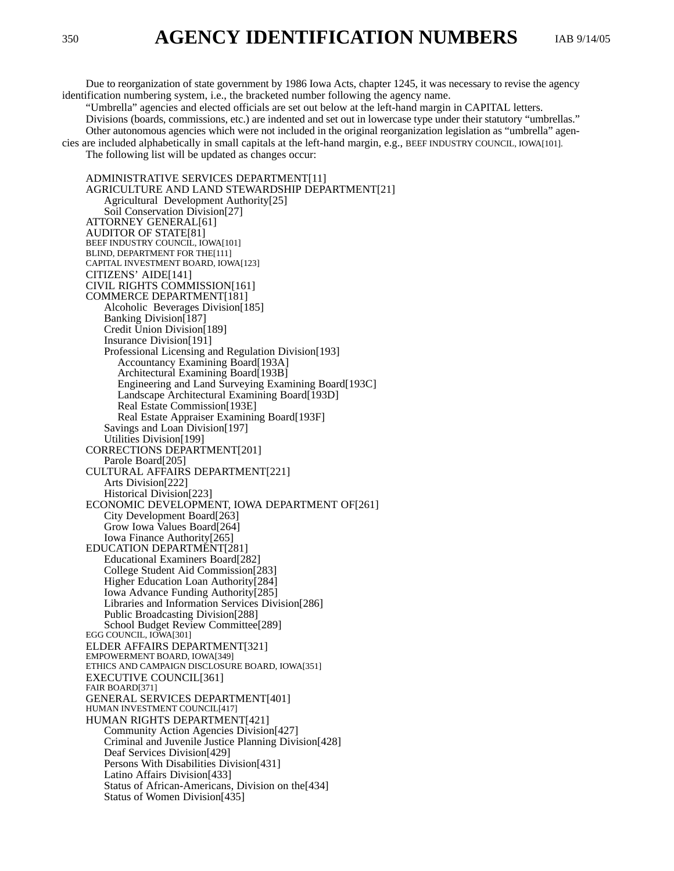Due to reorganization of state government by 1986 Iowa Acts, chapter 1245, it was necessary to revise the agency identification numbering system, i.e., the bracketed number following the agency name.

"Umbrella" agencies and elected officials are set out below at the left-hand margin in CAPITAL letters. Divisions (boards, commissions, etc.) are indented and set out in lowercase type under their statutory "umbrellas." Other autonomous agencies which were not included in the original reorganization legislation as "umbrella" agencies are included alphabetically in small capitals at the left-hand margin, e.g., BEEF INDUSTRY COUNCIL, IOWA[101].

The following list will be updated as changes occur:

ADMINISTRATIVE SERVICES DEPARTMENT[11] AGRICULTURE AND LAND STEWARDSHIP DEPARTMENT[21] Agricultural Development Authority[25] Soil Conservation Division[27] ATTORNEY GENERAL[61] AUDITOR OF STATE[81] BEEF INDUSTRY COUNCIL, IOWA[101] BLIND, DEPARTMENT FOR THE[111] CAPITAL INVESTMENT BOARD, IOWA[123] CITIZENS' AIDE[141] CIVIL RIGHTS COMMISSION[161] COMMERCE DEPARTMENT[181] Alcoholic Beverages Division[185] Banking Division[187] Credit Union Division[189] Insurance Division[191] Professional Licensing and Regulation Division[193] Accountancy Examining Board[193A] Architectural Examining Board[193B] Engineering and Land Surveying Examining Board[193C] Landscape Architectural Examining Board[193D] Real Estate Commission[193E] Real Estate Appraiser Examining Board[193F] Savings and Loan Division[197] Utilities Division[199] CORRECTIONS DEPARTMENT[201] Parole Board[205] CULTURAL AFFAIRS DEPARTMENT[221] Arts Division[222] Historical Division[223] ECONOMIC DEVELOPMENT, IOWA DEPARTMENT OF[261] City Development Board[263] Grow Iowa Values Board[264] Iowa Finance Authority[265] EDUCATION DEPARTMENT[281] Educational Examiners Board[282] College Student Aid Commission[283] Higher Education Loan Authority[284] Iowa Advance Funding Authority[285] Libraries and Information Services Division[286] Public Broadcasting Division[288] School Budget Review Committee[289] EGG COUNCIL, IOWA[301] ELDER AFFAIRS DEPARTMENT[321] EMPOWERMENT BOARD, IOWA[349] ETHICS AND CAMPAIGN DISCLOSURE BOARD, IOWA[351] EXECUTIVE COUNCIL[361] FAIR BOARD[371] GENERAL SERVICES DEPARTMENT[401] HUMAN INVESTMENT COUNCIL[417] HUMAN RIGHTS DEPARTMENT[421] Community Action Agencies Division[427] Criminal and Juvenile Justice Planning Division[428] Deaf Services Division[429] Persons With Disabilities Division[431] Latino Affairs Division[433] Status of African-Americans, Division on the[434] Status of Women Division[435]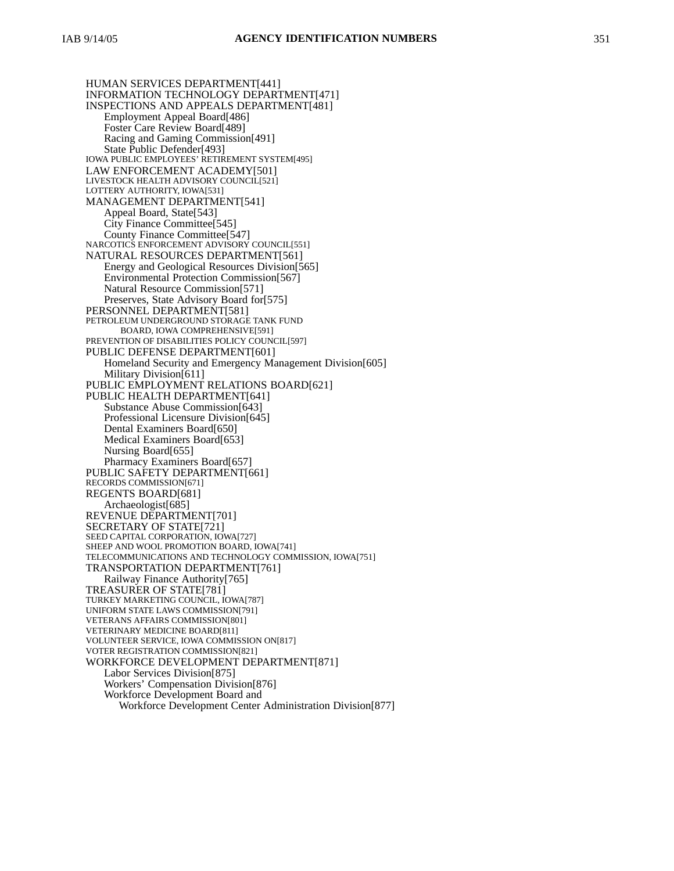HUMAN SERVICES DEPARTMENT[441] INFORMATION TECHNOLOGY DEPARTMENT[471] INSPECTIONS AND APPEALS DEPARTMENT[481] Employment Appeal Board[486] Foster Care Review Board[489] Racing and Gaming Commission[491] State Public Defender[493] IOWA PUBLIC EMPLOYEES' RETIREMENT SYSTEM[495] LAW ENFORCEMENT ACADEMY[501] LIVESTOCK HEALTH ADVISORY COUNCIL[521] LOTTERY AUTHORITY, IOWA[531] MANAGEMENT DEPARTMENT[541] Appeal Board, State[543] City Finance Committee[545] County Finance Committee[547] NARCOTICS ENFORCEMENT ADVISORY COUNCIL[551] NATURAL RESOURCES DEPARTMENT[561] Energy and Geological Resources Division[565] Environmental Protection Commission[567] Natural Resource Commission[571] Preserves, State Advisory Board for[575] PERSONNEL DEPARTMENT[581] PETROLEUM UNDERGROUND STORAGE TANK FUND BOARD, IOWA COMPREHENSIVE[591] PREVENTION OF DISABILITIES POLICY COUNCIL[597] PUBLIC DEFENSE DEPARTMENT[601] Homeland Security and Emergency Management Division[605] Military Division[611] PUBLIC EMPLOYMENT RELATIONS BOARD[621] PUBLIC HEALTH DEPARTMENT[641] Substance Abuse Commission[643] Professional Licensure Division[645] Dental Examiners Board[650] Medical Examiners Board[653] Nursing Board[655] Pharmacy Examiners Board[657] PUBLIC SAFETY DEPARTMENT[661] RECORDS COMMISSION[671] REGENTS BOARD[681] Archaeologist[685] REVENUE DEPARTMENT[701] SECRETARY OF STATE[721] SEED CAPITAL CORPORATION, IOWA[727] SHEEP AND WOOL PROMOTION BOARD, IOWA[741] TELECOMMUNICATIONS AND TECHNOLOGY COMMISSION, IOWA[751] TRANSPORTATION DEPARTMENT[761] Railway Finance Authority[765] TREASURER OF STATE[781] TURKEY MARKETING COUNCIL, IOWA[787] UNIFORM STATE LAWS COMMISSION[791] VETERANS AFFAIRS COMMISSION[801] VETERINARY MEDICINE BOARD[811] VOLUNTEER SERVICE, IOWA COMMISSION ON[817] VOTER REGISTRATION COMMISSION[821] WORKFORCE DEVELOPMENT DEPARTMENT[871] Labor Services Division[875] Workers' Compensation Division[876] Workforce Development Board and Workforce Development Center Administration Division[877]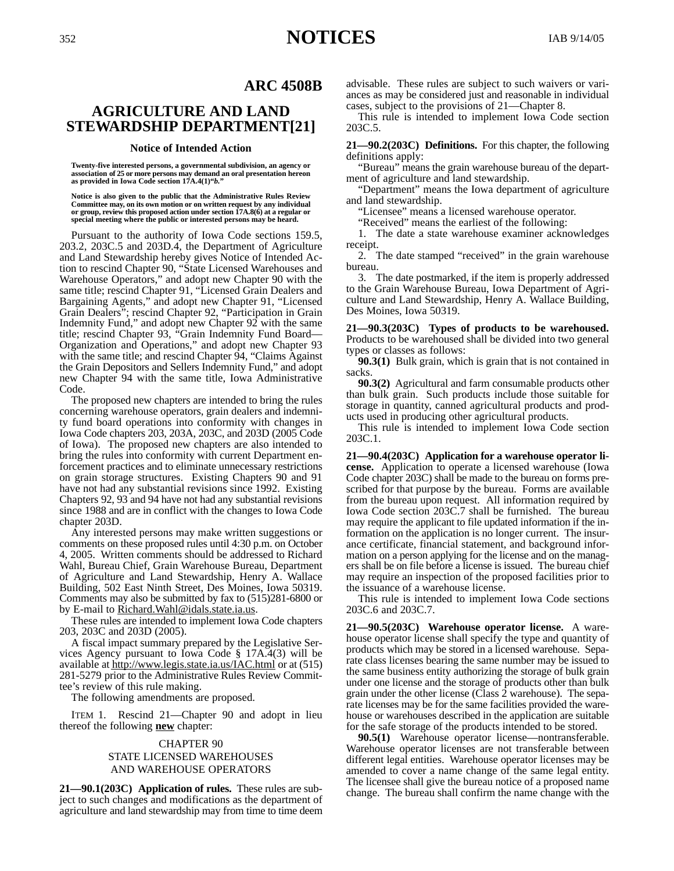# **ARC 4508B**

# **AGRICULTURE AND LAND STEWARDSHIP DEPARTMENT[21]**

#### **Notice of Intended Action**

**Twenty-five interested persons, a governmental subdivision, an agency or association of 25 or more persons may demand an oral presentation hereon as provided in Iowa Code section 17A.4(1)"***b.***"**

**Notice is also given to the public that the Administrative Rules Review Committee may, on its own motion or on written request by any individual or group, review this proposed action under section 17A.8(6) at a regular or special meeting where the public or interested persons may be heard.**

Pursuant to the authority of Iowa Code sections 159.5, 203.2, 203C.5 and 203D.4, the Department of Agriculture and Land Stewardship hereby gives Notice of Intended Action to rescind Chapter 90, "State Licensed Warehouses and Warehouse Operators," and adopt new Chapter 90 with the same title; rescind Chapter 91, "Licensed Grain Dealers and Bargaining Agents," and adopt new Chapter 91, "Licensed Grain Dealers"; rescind Chapter 92, "Participation in Grain Indemnity Fund," and adopt new Chapter 92 with the same title; rescind Chapter 93, "Grain Indemnity Fund Board— Organization and Operations," and adopt new Chapter 93 with the same title; and rescind Chapter 94, "Claims Against the Grain Depositors and Sellers Indemnity Fund," and adopt new Chapter 94 with the same title, Iowa Administrative Code.

The proposed new chapters are intended to bring the rules concerning warehouse operators, grain dealers and indemnity fund board operations into conformity with changes in Iowa Code chapters 203, 203A, 203C, and 203D (2005 Code of Iowa). The proposed new chapters are also intended to bring the rules into conformity with current Department enforcement practices and to eliminate unnecessary restrictions on grain storage structures. Existing Chapters 90 and 91 have not had any substantial revisions since 1992. Existing Chapters 92, 93 and 94 have not had any substantial revisions since 1988 and are in conflict with the changes to Iowa Code chapter 203D.

Any interested persons may make written suggestions or comments on these proposed rules until 4:30 p.m. on October 4, 2005. Written comments should be addressed to Richard Wahl, Bureau Chief, Grain Warehouse Bureau, Department of Agriculture and Land Stewardship, Henry A. Wallace Building, 502 East Ninth Street, Des Moines, Iowa 50319. Comments may also be submitted by fax to (515)281-6800 or by E-mail to Richard.Wahl@idals.state.ia.us.

These rules are intended to implement Iowa Code chapters 203, 203C and 203D (2005).

A fiscal impact summary prepared by the Legislative Services Agency pursuant to Iowa Code § 17A.4(3) will be available at http://www.legis.state.ia.us/IAC.html or at (515) 281-5279 prior to the Administrative Rules Review Committee's review of this rule making.

The following amendments are proposed.

ITEM 1. Rescind 21—Chapter 90 and adopt in lieu thereof the following **new** chapter:

# CHAPTER 90

#### STATE LICENSED WAREHOUSES AND WAREHOUSE OPERATORS

**21—90.1(203C) Application of rules.** These rules are subject to such changes and modifications as the department of agriculture and land stewardship may from time to time deem advisable. These rules are subject to such waivers or variances as may be considered just and reasonable in individual cases, subject to the provisions of 21—Chapter 8.

This rule is intended to implement Iowa Code section 203C.5.

**21—90.2(203C) Definitions.** For this chapter, the following definitions apply:

"Bureau" means the grain warehouse bureau of the department of agriculture and land stewardship.

"Department" means the Iowa department of agriculture and land stewardship.

"Licensee" means a licensed warehouse operator.

"Received" means the earliest of the following:

1. The date a state warehouse examiner acknowledges receipt.

2. The date stamped "received" in the grain warehouse bureau.

3. The date postmarked, if the item is properly addressed to the Grain Warehouse Bureau, Iowa Department of Agriculture and Land Stewardship, Henry A. Wallace Building, Des Moines, Iowa 50319.

**21—90.3(203C) Types of products to be warehoused.** Products to be warehoused shall be divided into two general types or classes as follows:

**90.3(1)** Bulk grain, which is grain that is not contained in sacks.

**90.3(2)** Agricultural and farm consumable products other than bulk grain. Such products include those suitable for storage in quantity, canned agricultural products and products used in producing other agricultural products.

This rule is intended to implement Iowa Code section 203C.1.

**21—90.4(203C) Application for a warehouse operator license.** Application to operate a licensed warehouse (Iowa Code chapter 203C) shall be made to the bureau on forms prescribed for that purpose by the bureau. Forms are available from the bureau upon request. All information required by Iowa Code section 203C.7 shall be furnished. The bureau may require the applicant to file updated information if the information on the application is no longer current. The insurance certificate, financial statement, and background information on a person applying for the license and on the managers shall be on file before a license is issued. The bureau chief may require an inspection of the proposed facilities prior to the issuance of a warehouse license.

This rule is intended to implement Iowa Code sections 203C.6 and 203C.7.

**21—90.5(203C) Warehouse operator license.** A warehouse operator license shall specify the type and quantity of products which may be stored in a licensed warehouse. Separate class licenses bearing the same number may be issued to the same business entity authorizing the storage of bulk grain under one license and the storage of products other than bulk grain under the other license (Class  $\overline{2}$  warehouse). The separate licenses may be for the same facilities provided the warehouse or warehouses described in the application are suitable for the safe storage of the products intended to be stored.

**90.5(1)** Warehouse operator license—nontransferable. Warehouse operator licenses are not transferable between different legal entities. Warehouse operator licenses may be amended to cover a name change of the same legal entity. The licensee shall give the bureau notice of a proposed name change. The bureau shall confirm the name change with the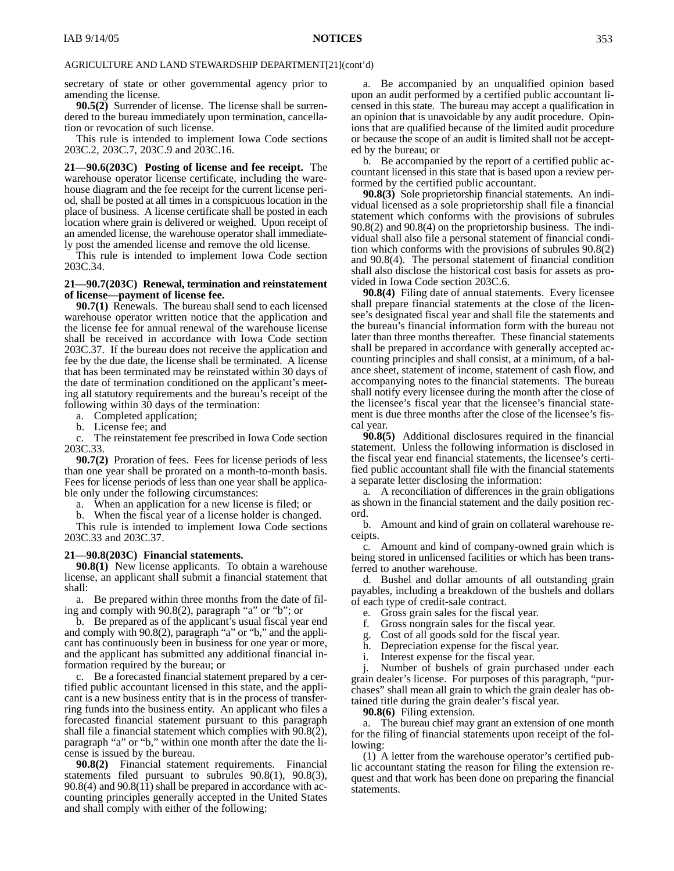secretary of state or other governmental agency prior to amending the license.

**90.5(2)** Surrender of license. The license shall be surrendered to the bureau immediately upon termination, cancellation or revocation of such license.

This rule is intended to implement Iowa Code sections 203C.2, 203C.7, 203C.9 and 203C.16.

**21—90.6(203C) Posting of license and fee receipt.** The warehouse operator license certificate, including the warehouse diagram and the fee receipt for the current license period, shall be posted at all times in a conspicuous location in the place of business. A license certificate shall be posted in each location where grain is delivered or weighed. Upon receipt of an amended license, the warehouse operator shall immediately post the amended license and remove the old license.

This rule is intended to implement Iowa Code section 203C.34.

#### **21—90.7(203C) Renewal, termination and reinstatement of license—payment of license fee.**

**90.7(1)** Renewals. The bureau shall send to each licensed warehouse operator written notice that the application and the license fee for annual renewal of the warehouse license shall be received in accordance with Iowa Code section 203C.37. If the bureau does not receive the application and fee by the due date, the license shall be terminated. A license that has been terminated may be reinstated within 30 days of the date of termination conditioned on the applicant's meeting all statutory requirements and the bureau's receipt of the following within 30 days of the termination:

a. Completed application;

b. License fee; and

c. The reinstatement fee prescribed in Iowa Code section 203C.33.

**90.7(2)** Proration of fees. Fees for license periods of less than one year shall be prorated on a month-to-month basis. Fees for license periods of less than one year shall be applicable only under the following circumstances:

a. When an application for a new license is filed; or

b. When the fiscal year of a license holder is changed.

This rule is intended to implement Iowa Code sections 203C.33 and 203C.37.

## **21—90.8(203C) Financial statements.**

**90.8(1)** New license applicants. To obtain a warehouse license, an applicant shall submit a financial statement that shall:

a. Be prepared within three months from the date of filing and comply with 90.8(2), paragraph "a" or "b"; or

b. Be prepared as of the applicant's usual fiscal year end and comply with 90.8(2), paragraph "a" or "b," and the applicant has continuously been in business for one year or more, and the applicant has submitted any additional financial information required by the bureau; or

c. Be a forecasted financial statement prepared by a certified public accountant licensed in this state, and the applicant is a new business entity that is in the process of transferring funds into the business entity. An applicant who files a forecasted financial statement pursuant to this paragraph shall file a financial statement which complies with 90.8(2), paragraph "a" or "b," within one month after the date the license is issued by the bureau.

**90.8(2)** Financial statement requirements. Financial statements filed pursuant to subrules 90.8(1), 90.8(3), 90.8(4) and 90.8(11) shall be prepared in accordance with accounting principles generally accepted in the United States and shall comply with either of the following:

a. Be accompanied by an unqualified opinion based upon an audit performed by a certified public accountant licensed in this state. The bureau may accept a qualification in an opinion that is unavoidable by any audit procedure. Opinions that are qualified because of the limited audit procedure or because the scope of an audit is limited shall not be accepted by the bureau; or

b. Be accompanied by the report of a certified public accountant licensed in this state that is based upon a review performed by the certified public accountant.

**90.8(3)** Sole proprietorship financial statements. An individual licensed as a sole proprietorship shall file a financial statement which conforms with the provisions of subrules 90.8(2) and 90.8(4) on the proprietorship business. The individual shall also file a personal statement of financial condition which conforms with the provisions of subrules 90.8(2) and 90.8(4). The personal statement of financial condition shall also disclose the historical cost basis for assets as provided in Iowa Code section 203C.6.

**90.8(4)** Filing date of annual statements. Every licensee shall prepare financial statements at the close of the licensee's designated fiscal year and shall file the statements and the bureau's financial information form with the bureau not later than three months thereafter. These financial statements shall be prepared in accordance with generally accepted accounting principles and shall consist, at a minimum, of a balance sheet, statement of income, statement of cash flow, and accompanying notes to the financial statements. The bureau shall notify every licensee during the month after the close of the licensee's fiscal year that the licensee's financial statement is due three months after the close of the licensee's fiscal year.

**90.8(5)** Additional disclosures required in the financial statement. Unless the following information is disclosed in the fiscal year end financial statements, the licensee's certified public accountant shall file with the financial statements a separate letter disclosing the information:

a. A reconciliation of differences in the grain obligations as shown in the financial statement and the daily position record.

b. Amount and kind of grain on collateral warehouse receipts.

c. Amount and kind of company-owned grain which is being stored in unlicensed facilities or which has been transferred to another warehouse.

d. Bushel and dollar amounts of all outstanding grain payables, including a breakdown of the bushels and dollars of each type of credit-sale contract.

e. Gross grain sales for the fiscal year.

- f. Gross nongrain sales for the fiscal year.
- 

g. Cost of all goods sold for the fiscal year. Depreciation expense for the fiscal year.

i. Interest expense for the fiscal year.

j. Number of bushels of grain purchased under each grain dealer's license. For purposes of this paragraph, "purchases" shall mean all grain to which the grain dealer has obtained title during the grain dealer's fiscal year.

**90.8(6)** Filing extension.

a. The bureau chief may grant an extension of one month for the filing of financial statements upon receipt of the following:

(1) A letter from the warehouse operator's certified public accountant stating the reason for filing the extension request and that work has been done on preparing the financial statements.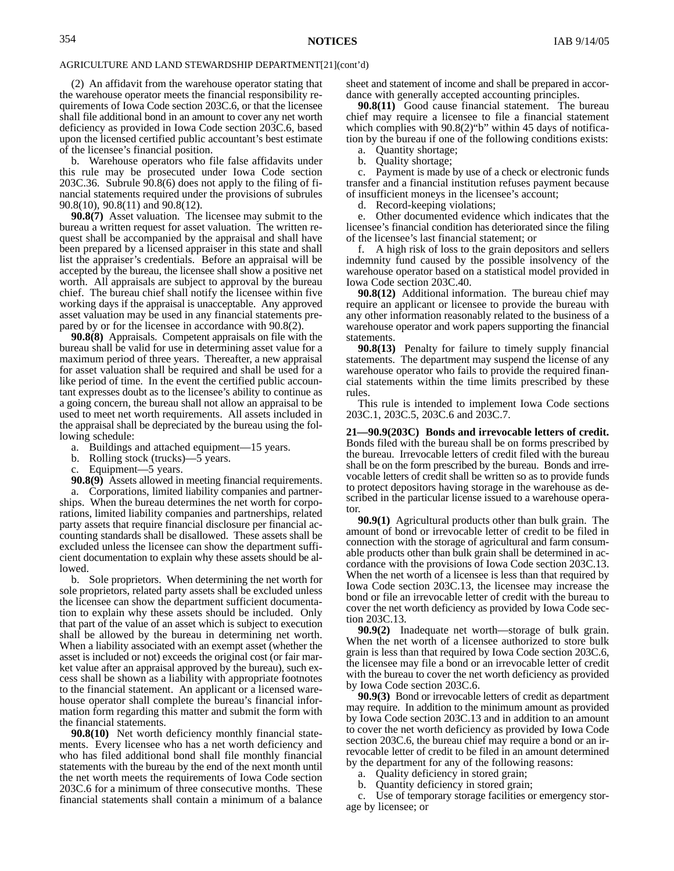(2) An affidavit from the warehouse operator stating that the warehouse operator meets the financial responsibility requirements of Iowa Code section 203C.6, or that the licensee shall file additional bond in an amount to cover any net worth deficiency as provided in Iowa Code section 203C.6, based upon the licensed certified public accountant's best estimate of the licensee's financial position.

b. Warehouse operators who file false affidavits under this rule may be prosecuted under Iowa Code section 203C.36. Subrule  $90.8(6)$  does not apply to the filing of financial statements required under the provisions of subrules 90.8(10), 90.8(11) and 90.8(12).

**90.8(7)** Asset valuation. The licensee may submit to the bureau a written request for asset valuation. The written request shall be accompanied by the appraisal and shall have been prepared by a licensed appraiser in this state and shall list the appraiser's credentials. Before an appraisal will be accepted by the bureau, the licensee shall show a positive net worth. All appraisals are subject to approval by the bureau chief. The bureau chief shall notify the licensee within five working days if the appraisal is unacceptable. Any approved asset valuation may be used in any financial statements prepared by or for the licensee in accordance with 90.8(2).

**90.8(8)** Appraisals. Competent appraisals on file with the bureau shall be valid for use in determining asset value for a maximum period of three years. Thereafter, a new appraisal for asset valuation shall be required and shall be used for a like period of time. In the event the certified public accountant expresses doubt as to the licensee's ability to continue as a going concern, the bureau shall not allow an appraisal to be used to meet net worth requirements. All assets included in the appraisal shall be depreciated by the bureau using the following schedule:

- a. Buildings and attached equipment—15 years.
- b. Rolling stock (trucks)—5 years.
- Equipment—5 years.

**90.8(9)** Assets allowed in meeting financial requirements.

a. Corporations, limited liability companies and partnerships. When the bureau determines the net worth for corporations, limited liability companies and partnerships, related party assets that require financial disclosure per financial accounting standards shall be disallowed. These assets shall be excluded unless the licensee can show the department sufficient documentation to explain why these assets should be allowed.

b. Sole proprietors. When determining the net worth for sole proprietors, related party assets shall be excluded unless the licensee can show the department sufficient documentation to explain why these assets should be included. Only that part of the value of an asset which is subject to execution shall be allowed by the bureau in determining net worth. When a liability associated with an exempt asset (whether the asset is included or not) exceeds the original cost (or fair market value after an appraisal approved by the bureau), such excess shall be shown as a liability with appropriate footnotes to the financial statement. An applicant or a licensed warehouse operator shall complete the bureau's financial information form regarding this matter and submit the form with the financial statements.

**90.8(10)** Net worth deficiency monthly financial statements. Every licensee who has a net worth deficiency and who has filed additional bond shall file monthly financial statements with the bureau by the end of the next month until the net worth meets the requirements of Iowa Code section 203C.6 for a minimum of three consecutive months. These financial statements shall contain a minimum of a balance

sheet and statement of income and shall be prepared in accordance with generally accepted accounting principles.

**90.8(11)** Good cause financial statement. The bureau chief may require a licensee to file a financial statement which complies with  $90.8(2)$ "b" within 45 days of notification by the bureau if one of the following conditions exists:

a. Quantity shortage;

b. Quality shortage;

c. Payment is made by use of a check or electronic funds transfer and a financial institution refuses payment because of insufficient moneys in the licensee's account;

d. Record-keeping violations;

e. Other documented evidence which indicates that the licensee's financial condition has deteriorated since the filing of the licensee's last financial statement; or

f. A high risk of loss to the grain depositors and sellers indemnity fund caused by the possible insolvency of the warehouse operator based on a statistical model provided in Iowa Code section 203C.40.

**90.8(12)** Additional information. The bureau chief may require an applicant or licensee to provide the bureau with any other information reasonably related to the business of a warehouse operator and work papers supporting the financial statements.

**90.8(13)** Penalty for failure to timely supply financial statements. The department may suspend the license of any warehouse operator who fails to provide the required financial statements within the time limits prescribed by these rules.

This rule is intended to implement Iowa Code sections 203C.1, 203C.5, 203C.6 and 203C.7.

**21—90.9(203C) Bonds and irrevocable letters of credit.** Bonds filed with the bureau shall be on forms prescribed by the bureau. Irrevocable letters of credit filed with the bureau shall be on the form prescribed by the bureau. Bonds and irrevocable letters of credit shall be written so as to provide funds to protect depositors having storage in the warehouse as described in the particular license issued to a warehouse operator.

**90.9(1)** Agricultural products other than bulk grain. The amount of bond or irrevocable letter of credit to be filed in connection with the storage of agricultural and farm consumable products other than bulk grain shall be determined in accordance with the provisions of Iowa Code section 203C.13. When the net worth of a licensee is less than that required by Iowa Code section 203C.13, the licensee may increase the bond or file an irrevocable letter of credit with the bureau to cover the net worth deficiency as provided by Iowa Code section 203C.13.

**90.9(2)** Inadequate net worth—storage of bulk grain. When the net worth of a licensee authorized to store bulk grain is less than that required by Iowa Code section 203C.6, the licensee may file a bond or an irrevocable letter of credit with the bureau to cover the net worth deficiency as provided by Iowa Code section 203C.6.

**90.9(3)** Bond or irrevocable letters of credit as department may require. In addition to the minimum amount as provided by Iowa Code section 203C.13 and in addition to an amount to cover the net worth deficiency as provided by Iowa Code section 203C.6, the bureau chief may require a bond or an irrevocable letter of credit to be filed in an amount determined by the department for any of the following reasons:

a. Quality deficiency in stored grain;

b. Quantity deficiency in stored grain;

c. Use of temporary storage facilities or emergency storage by licensee; or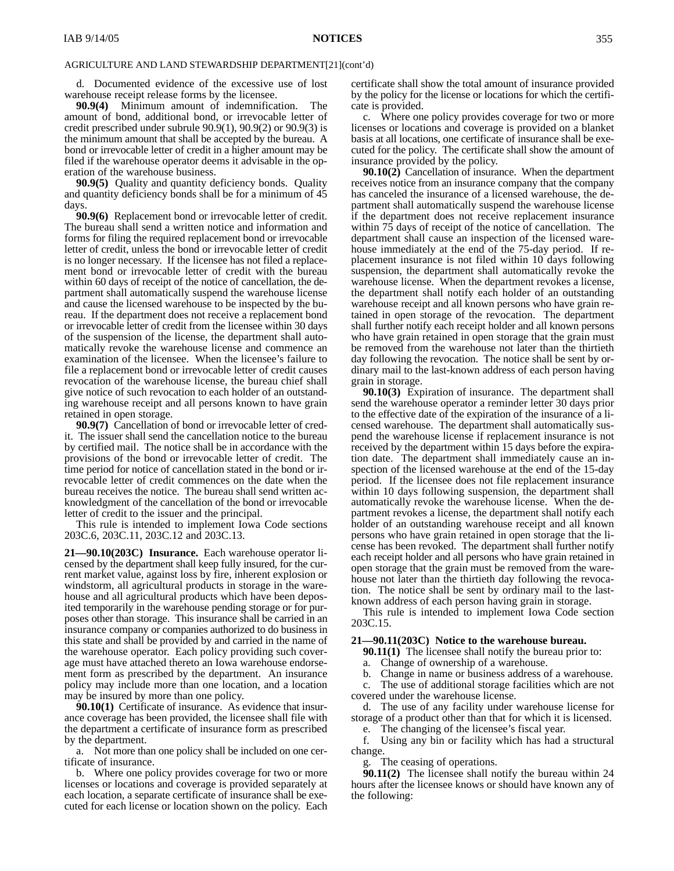d. Documented evidence of the excessive use of lost warehouse receipt release forms by the licensee.

**90.9(4)** Minimum amount of indemnification. The amount of bond, additional bond, or irrevocable letter of credit prescribed under subrule 90.9(1), 90.9(2) or 90.9(3) is the minimum amount that shall be accepted by the bureau. A bond or irrevocable letter of credit in a higher amount may be filed if the warehouse operator deems it advisable in the operation of the warehouse business.

**90.9(5)** Quality and quantity deficiency bonds. Quality and quantity deficiency bonds shall be for a minimum of 45 days.

**90.9(6)** Replacement bond or irrevocable letter of credit. The bureau shall send a written notice and information and forms for filing the required replacement bond or irrevocable letter of credit, unless the bond or irrevocable letter of credit is no longer necessary. If the licensee has not filed a replacement bond or irrevocable letter of credit with the bureau within 60 days of receipt of the notice of cancellation, the department shall automatically suspend the warehouse license and cause the licensed warehouse to be inspected by the bureau. If the department does not receive a replacement bond or irrevocable letter of credit from the licensee within 30 days of the suspension of the license, the department shall automatically revoke the warehouse license and commence an examination of the licensee. When the licensee's failure to file a replacement bond or irrevocable letter of credit causes revocation of the warehouse license, the bureau chief shall give notice of such revocation to each holder of an outstanding warehouse receipt and all persons known to have grain retained in open storage.

**90.9(7)** Cancellation of bond or irrevocable letter of credit. The issuer shall send the cancellation notice to the bureau by certified mail. The notice shall be in accordance with the provisions of the bond or irrevocable letter of credit. The time period for notice of cancellation stated in the bond or irrevocable letter of credit commences on the date when the bureau receives the notice. The bureau shall send written acknowledgment of the cancellation of the bond or irrevocable letter of credit to the issuer and the principal.

This rule is intended to implement Iowa Code sections 203C.6, 203C.11, 203C.12 and 203C.13.

**21—90.10(203C) Insurance.** Each warehouse operator licensed by the department shall keep fully insured, for the current market value, against loss by fire, inherent explosion or windstorm, all agricultural products in storage in the warehouse and all agricultural products which have been deposited temporarily in the warehouse pending storage or for purposes other than storage. This insurance shall be carried in an insurance company or companies authorized to do business in this state and shall be provided by and carried in the name of the warehouse operator. Each policy providing such coverage must have attached thereto an Iowa warehouse endorsement form as prescribed by the department. An insurance policy may include more than one location, and a location may be insured by more than one policy.

**90.10(1)** Certificate of insurance. As evidence that insurance coverage has been provided, the licensee shall file with the department a certificate of insurance form as prescribed by the department.

a. Not more than one policy shall be included on one certificate of insurance.

b. Where one policy provides coverage for two or more licenses or locations and coverage is provided separately at each location, a separate certificate of insurance shall be executed for each license or location shown on the policy. Each certificate shall show the total amount of insurance provided by the policy for the license or locations for which the certificate is provided.

c. Where one policy provides coverage for two or more licenses or locations and coverage is provided on a blanket basis at all locations, one certificate of insurance shall be executed for the policy. The certificate shall show the amount of insurance provided by the policy.

**90.10(2)** Cancellation of insurance. When the department receives notice from an insurance company that the company has canceled the insurance of a licensed warehouse, the department shall automatically suspend the warehouse license if the department does not receive replacement insurance within 75 days of receipt of the notice of cancellation. The department shall cause an inspection of the licensed warehouse immediately at the end of the 75-day period. If replacement insurance is not filed within 10 days following suspension, the department shall automatically revoke the warehouse license. When the department revokes a license, the department shall notify each holder of an outstanding warehouse receipt and all known persons who have grain retained in open storage of the revocation. The department shall further notify each receipt holder and all known persons who have grain retained in open storage that the grain must be removed from the warehouse not later than the thirtieth day following the revocation. The notice shall be sent by ordinary mail to the last-known address of each person having grain in storage.

**90.10(3)** Expiration of insurance. The department shall send the warehouse operator a reminder letter 30 days prior to the effective date of the expiration of the insurance of a licensed warehouse. The department shall automatically suspend the warehouse license if replacement insurance is not received by the department within 15 days before the expiration date. The department shall immediately cause an inspection of the licensed warehouse at the end of the 15-day period. If the licensee does not file replacement insurance within 10 days following suspension, the department shall automatically revoke the warehouse license. When the department revokes a license, the department shall notify each holder of an outstanding warehouse receipt and all known persons who have grain retained in open storage that the license has been revoked. The department shall further notify each receipt holder and all persons who have grain retained in open storage that the grain must be removed from the warehouse not later than the thirtieth day following the revocation. The notice shall be sent by ordinary mail to the lastknown address of each person having grain in storage.

This rule is intended to implement Iowa Code section 203C.15.

## **21—90.11(203C) Notice to the warehouse bureau.**

**90.11(1)** The licensee shall notify the bureau prior to:

a. Change of ownership of a warehouse.

b. Change in name or business address of a warehouse.

c. The use of additional storage facilities which are not covered under the warehouse license.

d. The use of any facility under warehouse license for storage of a product other than that for which it is licensed.

e. The changing of the licensee's fiscal year.

f. Using any bin or facility which has had a structural change.

The ceasing of operations.

**90.11(2)** The licensee shall notify the bureau within 24 hours after the licensee knows or should have known any of the following: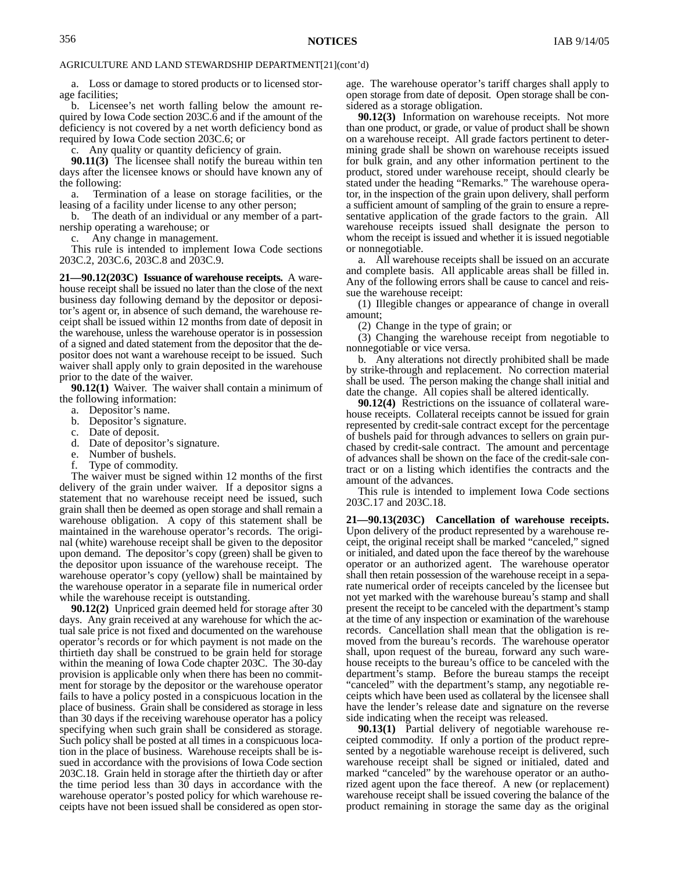a. Loss or damage to stored products or to licensed storage facilities;

b. Licensee's net worth falling below the amount required by Iowa Code section 203C.6 and if the amount of the deficiency is not covered by a net worth deficiency bond as required by Iowa Code section 203C.6; or

c. Any quality or quantity deficiency of grain.

**90.11(3)** The licensee shall notify the bureau within ten days after the licensee knows or should have known any of the following:

a. Termination of a lease on storage facilities, or the leasing of a facility under license to any other person;

b. The death of an individual or any member of a partnership operating a warehouse; or

c. Any change in management.

This rule is intended to implement Iowa Code sections 203C.2, 203C.6, 203C.8 and 203C.9.

**21—90.12(203C) Issuance of warehouse receipts.** A warehouse receipt shall be issued no later than the close of the next business day following demand by the depositor or depositor's agent or, in absence of such demand, the warehouse receipt shall be issued within 12 months from date of deposit in the warehouse, unless the warehouse operator is in possession of a signed and dated statement from the depositor that the depositor does not want a warehouse receipt to be issued. Such waiver shall apply only to grain deposited in the warehouse prior to the date of the waiver.

**90.12(1)** Waiver. The waiver shall contain a minimum of the following information:

- a. Depositor's name.
- b. Depositor's signature.
- c. Date of deposit.
- d. Date of depositor's signature.
- e. Number of bushels.
- f. Type of commodity.

The waiver must be signed within 12 months of the first delivery of the grain under waiver. If a depositor signs a statement that no warehouse receipt need be issued, such grain shall then be deemed as open storage and shall remain a warehouse obligation. A copy of this statement shall be maintained in the warehouse operator's records. The original (white) warehouse receipt shall be given to the depositor upon demand. The depositor's copy (green) shall be given to the depositor upon issuance of the warehouse receipt. The warehouse operator's copy (yellow) shall be maintained by the warehouse operator in a separate file in numerical order while the warehouse receipt is outstanding.

**90.12(2)** Unpriced grain deemed held for storage after 30 days. Any grain received at any warehouse for which the actual sale price is not fixed and documented on the warehouse operator's records or for which payment is not made on the thirtieth day shall be construed to be grain held for storage within the meaning of Iowa Code chapter 203C. The 30-day provision is applicable only when there has been no commitment for storage by the depositor or the warehouse operator fails to have a policy posted in a conspicuous location in the place of business. Grain shall be considered as storage in less than 30 days if the receiving warehouse operator has a policy specifying when such grain shall be considered as storage. Such policy shall be posted at all times in a conspicuous location in the place of business. Warehouse receipts shall be issued in accordance with the provisions of Iowa Code section 203C.18. Grain held in storage after the thirtieth day or after the time period less than 30 days in accordance with the warehouse operator's posted policy for which warehouse receipts have not been issued shall be considered as open storage. The warehouse operator's tariff charges shall apply to open storage from date of deposit. Open storage shall be considered as a storage obligation.

**90.12(3)** Information on warehouse receipts. Not more than one product, or grade, or value of product shall be shown on a warehouse receipt. All grade factors pertinent to determining grade shall be shown on warehouse receipts issued for bulk grain, and any other information pertinent to the product, stored under warehouse receipt, should clearly be stated under the heading "Remarks." The warehouse operator, in the inspection of the grain upon delivery, shall perform a sufficient amount of sampling of the grain to ensure a representative application of the grade factors to the grain. All warehouse receipts issued shall designate the person to whom the receipt is issued and whether it is issued negotiable or nonnegotiable.

a. All warehouse receipts shall be issued on an accurate and complete basis. All applicable areas shall be filled in. Any of the following errors shall be cause to cancel and reissue the warehouse receipt:

(1) Illegible changes or appearance of change in overall amount;

(2) Change in the type of grain; or

(3) Changing the warehouse receipt from negotiable to nonnegotiable or vice versa.

b. Any alterations not directly prohibited shall be made by strike-through and replacement. No correction material shall be used. The person making the change shall initial and date the change. All copies shall be altered identically.

**90.12(4)** Restrictions on the issuance of collateral warehouse receipts. Collateral receipts cannot be issued for grain represented by credit-sale contract except for the percentage of bushels paid for through advances to sellers on grain purchased by credit-sale contract. The amount and percentage of advances shall be shown on the face of the credit-sale contract or on a listing which identifies the contracts and the amount of the advances.

This rule is intended to implement Iowa Code sections 203C.17 and 203C.18.

**21—90.13(203C) Cancellation of warehouse receipts.** Upon delivery of the product represented by a warehouse receipt, the original receipt shall be marked "canceled," signed or initialed, and dated upon the face thereof by the warehouse operator or an authorized agent. The warehouse operator shall then retain possession of the warehouse receipt in a separate numerical order of receipts canceled by the licensee but not yet marked with the warehouse bureau's stamp and shall present the receipt to be canceled with the department's stamp at the time of any inspection or examination of the warehouse records. Cancellation shall mean that the obligation is removed from the bureau's records. The warehouse operator shall, upon request of the bureau, forward any such warehouse receipts to the bureau's office to be canceled with the department's stamp. Before the bureau stamps the receipt "canceled" with the department's stamp, any negotiable receipts which have been used as collateral by the licensee shall have the lender's release date and signature on the reverse side indicating when the receipt was released.

**90.13(1)** Partial delivery of negotiable warehouse receipted commodity. If only a portion of the product represented by a negotiable warehouse receipt is delivered, such warehouse receipt shall be signed or initialed, dated and marked "canceled" by the warehouse operator or an authorized agent upon the face thereof. A new (or replacement) warehouse receipt shall be issued covering the balance of the product remaining in storage the same day as the original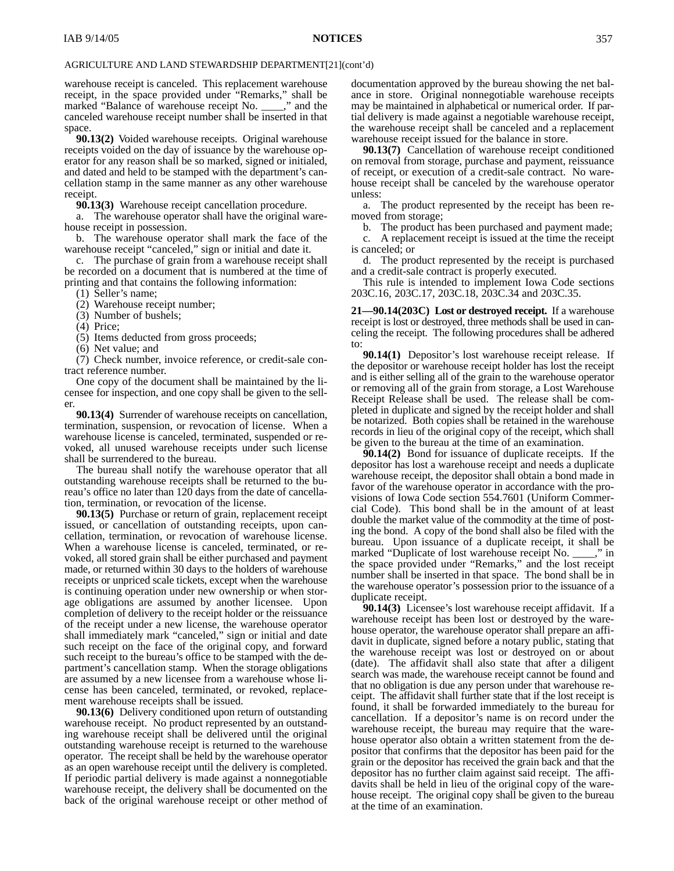warehouse receipt is canceled. This replacement warehouse receipt, in the space provided under "Remarks," shall be marked "Balance of warehouse receipt No. \_\_\_\_," and the canceled warehouse receipt number shall be inserted in that space.

**90.13(2)** Voided warehouse receipts. Original warehouse receipts voided on the day of issuance by the warehouse operator for any reason shall be so marked, signed or initialed, and dated and held to be stamped with the department's cancellation stamp in the same manner as any other warehouse receipt.

**90.13(3)** Warehouse receipt cancellation procedure.

a. The warehouse operator shall have the original warehouse receipt in possession.

b. The warehouse operator shall mark the face of the warehouse receipt "canceled," sign or initial and date it.

c. The purchase of grain from a warehouse receipt shall be recorded on a document that is numbered at the time of printing and that contains the following information:

(1) Seller's name;

(2) Warehouse receipt number;

(3) Number of bushels;

(4) Price;

(5) Items deducted from gross proceeds;

(6) Net value; and

(7) Check number, invoice reference, or credit-sale contract reference number.

One copy of the document shall be maintained by the licensee for inspection, and one copy shall be given to the seller.

**90.13(4)** Surrender of warehouse receipts on cancellation, termination, suspension, or revocation of license. When a warehouse license is canceled, terminated, suspended or revoked, all unused warehouse receipts under such license shall be surrendered to the bureau.

The bureau shall notify the warehouse operator that all outstanding warehouse receipts shall be returned to the bureau's office no later than 120 days from the date of cancellation, termination, or revocation of the license.

**90.13(5)** Purchase or return of grain, replacement receipt issued, or cancellation of outstanding receipts, upon cancellation, termination, or revocation of warehouse license. When a warehouse license is canceled, terminated, or revoked, all stored grain shall be either purchased and payment made, or returned within 30 days to the holders of warehouse receipts or unpriced scale tickets, except when the warehouse is continuing operation under new ownership or when storage obligations are assumed by another licensee. Upon completion of delivery to the receipt holder or the reissuance of the receipt under a new license, the warehouse operator shall immediately mark "canceled," sign or initial and date such receipt on the face of the original copy, and forward such receipt to the bureau's office to be stamped with the department's cancellation stamp. When the storage obligations are assumed by a new licensee from a warehouse whose license has been canceled, terminated, or revoked, replacement warehouse receipts shall be issued.

**90.13(6)** Delivery conditioned upon return of outstanding warehouse receipt. No product represented by an outstanding warehouse receipt shall be delivered until the original outstanding warehouse receipt is returned to the warehouse operator. The receipt shall be held by the warehouse operator as an open warehouse receipt until the delivery is completed. If periodic partial delivery is made against a nonnegotiable warehouse receipt, the delivery shall be documented on the back of the original warehouse receipt or other method of

documentation approved by the bureau showing the net balance in store. Original nonnegotiable warehouse receipts may be maintained in alphabetical or numerical order. If partial delivery is made against a negotiable warehouse receipt, the warehouse receipt shall be canceled and a replacement warehouse receipt issued for the balance in store.

**90.13(7)** Cancellation of warehouse receipt conditioned on removal from storage, purchase and payment, reissuance of receipt, or execution of a credit-sale contract. No warehouse receipt shall be canceled by the warehouse operator unless:

a. The product represented by the receipt has been removed from storage;

b. The product has been purchased and payment made; c. A replacement receipt is issued at the time the receipt is canceled; or

d. The product represented by the receipt is purchased and a credit-sale contract is properly executed.

This rule is intended to implement Iowa Code sections 203C.16, 203C.17, 203C.18, 203C.34 and 203C.35.

**21—90.14(203C) Lost or destroyed receipt.** If a warehouse receipt is lost or destroyed, three methods shall be used in canceling the receipt. The following procedures shall be adhered to:

**90.14(1)** Depositor's lost warehouse receipt release. If the depositor or warehouse receipt holder has lost the receipt and is either selling all of the grain to the warehouse operator or removing all of the grain from storage, a Lost Warehouse Receipt Release shall be used. The release shall be completed in duplicate and signed by the receipt holder and shall be notarized. Both copies shall be retained in the warehouse records in lieu of the original copy of the receipt, which shall be given to the bureau at the time of an examination.

**90.14(2)** Bond for issuance of duplicate receipts. If the depositor has lost a warehouse receipt and needs a duplicate warehouse receipt, the depositor shall obtain a bond made in favor of the warehouse operator in accordance with the provisions of Iowa Code section 554.7601 (Uniform Commercial Code). This bond shall be in the amount of at least double the market value of the commodity at the time of posting the bond. A copy of the bond shall also be filed with the bureau. Upon issuance of a duplicate receipt, it shall be marked "Duplicate of lost warehouse receipt No. \_\_\_\_," in the space provided under "Remarks," and the lost receipt number shall be inserted in that space. The bond shall be in the warehouse operator's possession prior to the issuance of a duplicate receipt.

**90.14(3)** Licensee's lost warehouse receipt affidavit. If a warehouse receipt has been lost or destroyed by the warehouse operator, the warehouse operator shall prepare an affidavit in duplicate, signed before a notary public, stating that the warehouse receipt was lost or destroyed on or about (date). The affidavit shall also state that after a diligent search was made, the warehouse receipt cannot be found and that no obligation is due any person under that warehouse receipt. The affidavit shall further state that if the lost receipt is found, it shall be forwarded immediately to the bureau for cancellation. If a depositor's name is on record under the warehouse receipt, the bureau may require that the warehouse operator also obtain a written statement from the depositor that confirms that the depositor has been paid for the grain or the depositor has received the grain back and that the depositor has no further claim against said receipt. The affidavits shall be held in lieu of the original copy of the warehouse receipt. The original copy shall be given to the bureau at the time of an examination.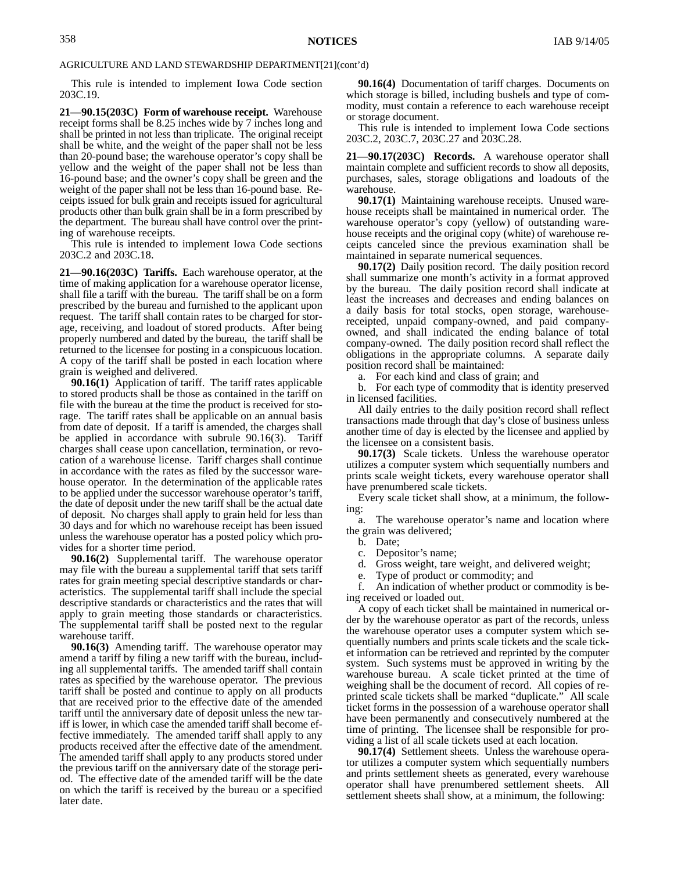This rule is intended to implement Iowa Code section 203C.19.

**21—90.15(203C) Form of warehouse receipt.** Warehouse receipt forms shall be 8.25 inches wide by 7 inches long and shall be printed in not less than triplicate. The original receipt shall be white, and the weight of the paper shall not be less than 20-pound base; the warehouse operator's copy shall be yellow and the weight of the paper shall not be less than 16-pound base; and the owner's copy shall be green and the weight of the paper shall not be less than 16-pound base. Receipts issued for bulk grain and receipts issued for agricultural products other than bulk grain shall be in a form prescribed by the department. The bureau shall have control over the printing of warehouse receipts.

This rule is intended to implement Iowa Code sections 203C.2 and 203C.18.

**21—90.16(203C) Tariffs.** Each warehouse operator, at the time of making application for a warehouse operator license, shall file a tariff with the bureau. The tariff shall be on a form prescribed by the bureau and furnished to the applicant upon request. The tariff shall contain rates to be charged for storage, receiving, and loadout of stored products. After being properly numbered and dated by the bureau, the tariff shall be returned to the licensee for posting in a conspicuous location. A copy of the tariff shall be posted in each location where grain is weighed and delivered.

**90.16(1)** Application of tariff. The tariff rates applicable to stored products shall be those as contained in the tariff on file with the bureau at the time the product is received for storage. The tariff rates shall be applicable on an annual basis from date of deposit. If a tariff is amended, the charges shall be applied in accordance with subrule 90.16(3). Tariff charges shall cease upon cancellation, termination, or revocation of a warehouse license. Tariff charges shall continue in accordance with the rates as filed by the successor warehouse operator. In the determination of the applicable rates to be applied under the successor warehouse operator's tariff, the date of deposit under the new tariff shall be the actual date of deposit. No charges shall apply to grain held for less than 30 days and for which no warehouse receipt has been issued unless the warehouse operator has a posted policy which provides for a shorter time period.

**90.16(2)** Supplemental tariff. The warehouse operator may file with the bureau a supplemental tariff that sets tariff rates for grain meeting special descriptive standards or characteristics. The supplemental tariff shall include the special descriptive standards or characteristics and the rates that will apply to grain meeting those standards or characteristics. The supplemental tariff shall be posted next to the regular warehouse tariff.

**90.16(3)** Amending tariff. The warehouse operator may amend a tariff by filing a new tariff with the bureau, including all supplemental tariffs. The amended tariff shall contain rates as specified by the warehouse operator. The previous tariff shall be posted and continue to apply on all products that are received prior to the effective date of the amended tariff until the anniversary date of deposit unless the new tariff is lower, in which case the amended tariff shall become effective immediately. The amended tariff shall apply to any products received after the effective date of the amendment. The amended tariff shall apply to any products stored under the previous tariff on the anniversary date of the storage period. The effective date of the amended tariff will be the date on which the tariff is received by the bureau or a specified later date.

**90.16(4)** Documentation of tariff charges. Documents on which storage is billed, including bushels and type of commodity, must contain a reference to each warehouse receipt or storage document.

This rule is intended to implement Iowa Code sections 203C.2, 203C.7, 203C.27 and 203C.28.

**21—90.17(203C) Records.** A warehouse operator shall maintain complete and sufficient records to show all deposits, purchases, sales, storage obligations and loadouts of the warehouse.

**90.17(1)** Maintaining warehouse receipts. Unused warehouse receipts shall be maintained in numerical order. The warehouse operator's copy (yellow) of outstanding warehouse receipts and the original copy (white) of warehouse receipts canceled since the previous examination shall be maintained in separate numerical sequences.

**90.17(2)** Daily position record. The daily position record shall summarize one month's activity in a format approved by the bureau. The daily position record shall indicate at least the increases and decreases and ending balances on a daily basis for total stocks, open storage, warehousereceipted, unpaid company-owned, and paid companyowned, and shall indicated the ending balance of total company-owned. The daily position record shall reflect the obligations in the appropriate columns. A separate daily position record shall be maintained:

a. For each kind and class of grain; and

b. For each type of commodity that is identity preserved in licensed facilities.

All daily entries to the daily position record shall reflect transactions made through that day's close of business unless another time of day is elected by the licensee and applied by the licensee on a consistent basis.

**90.17(3)** Scale tickets. Unless the warehouse operator utilizes a computer system which sequentially numbers and prints scale weight tickets, every warehouse operator shall have prenumbered scale tickets.

Every scale ticket shall show, at a minimum, the following:

a. The warehouse operator's name and location where the grain was delivered;

b. Date;

- c. Depositor's name;
- d. Gross weight, tare weight, and delivered weight;

e. Type of product or commodity; and<br>f An indication of whether product or

An indication of whether product or commodity is being received or loaded out.

A copy of each ticket shall be maintained in numerical order by the warehouse operator as part of the records, unless the warehouse operator uses a computer system which sequentially numbers and prints scale tickets and the scale ticket information can be retrieved and reprinted by the computer system. Such systems must be approved in writing by the warehouse bureau. A scale ticket printed at the time of weighing shall be the document of record. All copies of reprinted scale tickets shall be marked "duplicate." All scale ticket forms in the possession of a warehouse operator shall have been permanently and consecutively numbered at the time of printing. The licensee shall be responsible for providing a list of all scale tickets used at each location.

**90.17(4)** Settlement sheets. Unless the warehouse operator utilizes a computer system which sequentially numbers and prints settlement sheets as generated, every warehouse operator shall have prenumbered settlement sheets. All settlement sheets shall show, at a minimum, the following: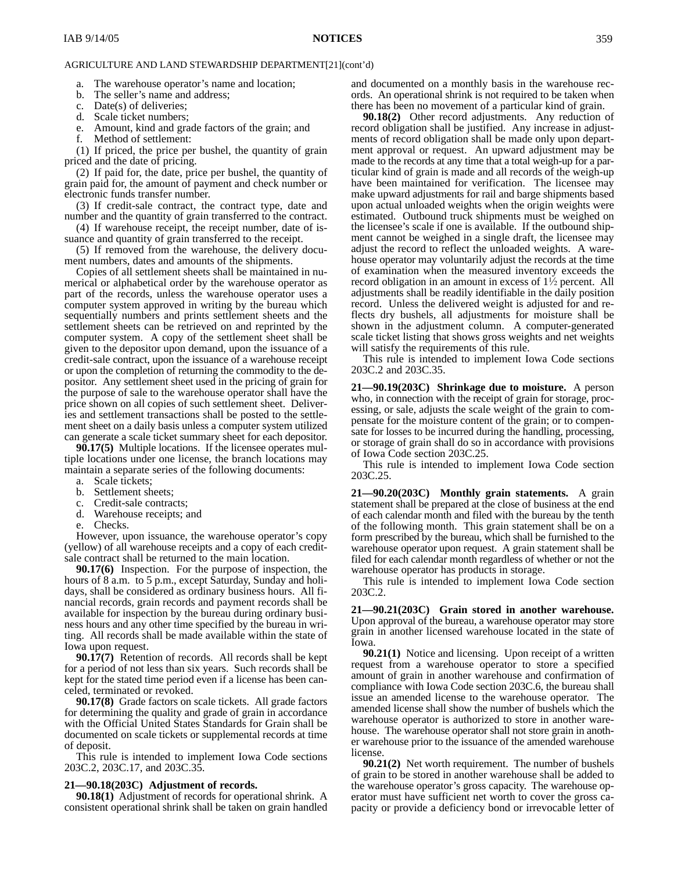a. The warehouse operator's name and location;

b. The seller's name and address;

- c. Date(s) of deliveries;
- d. Scale ticket numbers;
- e. Amount, kind and grade factors of the grain; and
- f. Method of settlement:

(1) If priced, the price per bushel, the quantity of grain priced and the date of pricing.

(2) If paid for, the date, price per bushel, the quantity of grain paid for, the amount of payment and check number or electronic funds transfer number.

(3) If credit-sale contract, the contract type, date and number and the quantity of grain transferred to the contract.

(4) If warehouse receipt, the receipt number, date of issuance and quantity of grain transferred to the receipt.

(5) If removed from the warehouse, the delivery document numbers, dates and amounts of the shipments.

Copies of all settlement sheets shall be maintained in numerical or alphabetical order by the warehouse operator as part of the records, unless the warehouse operator uses a computer system approved in writing by the bureau which sequentially numbers and prints settlement sheets and the settlement sheets can be retrieved on and reprinted by the computer system. A copy of the settlement sheet shall be given to the depositor upon demand, upon the issuance of a credit-sale contract, upon the issuance of a warehouse receipt or upon the completion of returning the commodity to the depositor. Any settlement sheet used in the pricing of grain for the purpose of sale to the warehouse operator shall have the price shown on all copies of such settlement sheet. Deliveries and settlement transactions shall be posted to the settlement sheet on a daily basis unless a computer system utilized can generate a scale ticket summary sheet for each depositor.

**90.17(5)** Multiple locations. If the licensee operates multiple locations under one license, the branch locations may maintain a separate series of the following documents:

- a. Scale tickets;
- b. Settlement sheets;
- c. Credit-sale contracts;
- d. Warehouse receipts; and
- e. Checks.

However, upon issuance, the warehouse operator's copy (yellow) of all warehouse receipts and a copy of each creditsale contract shall be returned to the main location.

**90.17(6)** Inspection. For the purpose of inspection, the hours of 8 a.m. to 5 p.m., except Saturday, Sunday and holidays, shall be considered as ordinary business hours. All financial records, grain records and payment records shall be available for inspection by the bureau during ordinary business hours and any other time specified by the bureau in writing. All records shall be made available within the state of Iowa upon request.

**90.17(7)** Retention of records. All records shall be kept for a period of not less than six years. Such records shall be kept for the stated time period even if a license has been canceled, terminated or revoked.

**90.17(8)** Grade factors on scale tickets. All grade factors for determining the quality and grade of grain in accordance with the Official United States Standards for Grain shall be documented on scale tickets or supplemental records at time of deposit.

This rule is intended to implement Iowa Code sections 203C.2, 203C.17, and 203C.35.

#### **21—90.18(203C) Adjustment of records.**

**90.18(1)** Adjustment of records for operational shrink. A consistent operational shrink shall be taken on grain handled and documented on a monthly basis in the warehouse records. An operational shrink is not required to be taken when there has been no movement of a particular kind of grain.

**90.18(2)** Other record adjustments. Any reduction of record obligation shall be justified. Any increase in adjustments of record obligation shall be made only upon department approval or request. An upward adjustment may be made to the records at any time that a total weigh-up for a particular kind of grain is made and all records of the weigh-up have been maintained for verification. The licensee may make upward adjustments for rail and barge shipments based upon actual unloaded weights when the origin weights were estimated. Outbound truck shipments must be weighed on the licensee's scale if one is available. If the outbound shipment cannot be weighed in a single draft, the licensee may adjust the record to reflect the unloaded weights. A warehouse operator may voluntarily adjust the records at the time of examination when the measured inventory exceeds the record obligation in an amount in excess of 1½ percent. All adjustments shall be readily identifiable in the daily position record. Unless the delivered weight is adjusted for and reflects dry bushels, all adjustments for moisture shall be shown in the adjustment column. A computer-generated scale ticket listing that shows gross weights and net weights will satisfy the requirements of this rule.

This rule is intended to implement Iowa Code sections 203C.2 and 203C.35.

**21—90.19(203C) Shrinkage due to moisture.** A person who, in connection with the receipt of grain for storage, processing, or sale, adjusts the scale weight of the grain to compensate for the moisture content of the grain; or to compensate for losses to be incurred during the handling, processing, or storage of grain shall do so in accordance with provisions of Iowa Code section 203C.25.

This rule is intended to implement Iowa Code section 203C.25.

**21—90.20(203C) Monthly grain statements.** A grain statement shall be prepared at the close of business at the end of each calendar month and filed with the bureau by the tenth of the following month. This grain statement shall be on a form prescribed by the bureau, which shall be furnished to the warehouse operator upon request. A grain statement shall be filed for each calendar month regardless of whether or not the warehouse operator has products in storage.

This rule is intended to implement Iowa Code section 203C.2.

**21—90.21(203C) Grain stored in another warehouse.** Upon approval of the bureau, a warehouse operator may store grain in another licensed warehouse located in the state of Iowa.

**90.21(1)** Notice and licensing. Upon receipt of a written request from a warehouse operator to store a specified amount of grain in another warehouse and confirmation of compliance with Iowa Code section 203C.6, the bureau shall issue an amended license to the warehouse operator. The amended license shall show the number of bushels which the warehouse operator is authorized to store in another warehouse. The warehouse operator shall not store grain in another warehouse prior to the issuance of the amended warehouse license.

**90.21(2)** Net worth requirement. The number of bushels of grain to be stored in another warehouse shall be added to the warehouse operator's gross capacity. The warehouse operator must have sufficient net worth to cover the gross capacity or provide a deficiency bond or irrevocable letter of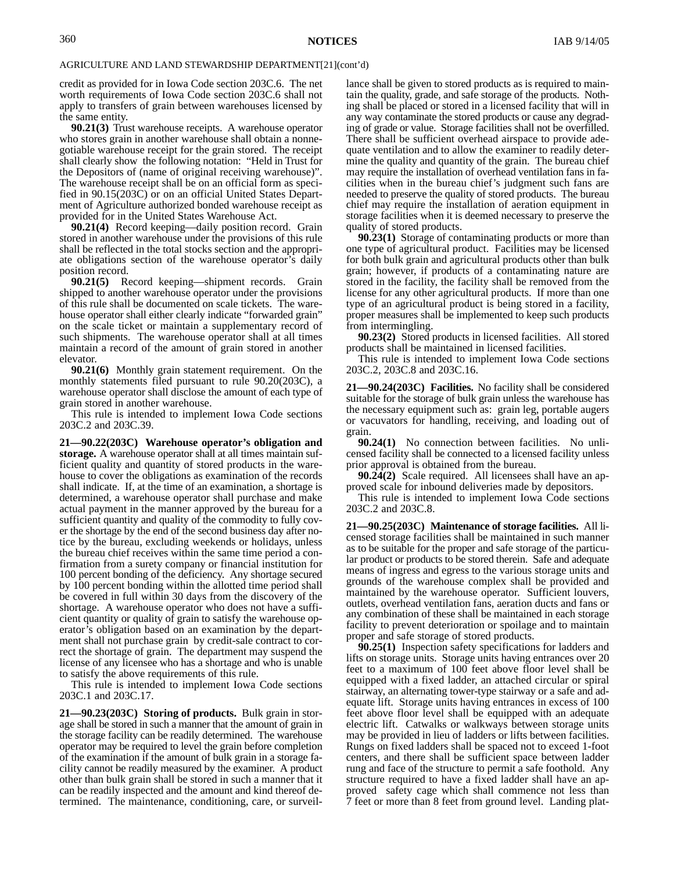credit as provided for in Iowa Code section 203C.6. The net worth requirements of Iowa Code section 203C.6 shall not apply to transfers of grain between warehouses licensed by the same entity.

**90.21(3)** Trust warehouse receipts. A warehouse operator who stores grain in another warehouse shall obtain a nonnegotiable warehouse receipt for the grain stored. The receipt shall clearly show the following notation: "Held in Trust for the Depositors of (name of original receiving warehouse)". The warehouse receipt shall be on an official form as specified in 90.15(203C) or on an official United States Department of Agriculture authorized bonded warehouse receipt as provided for in the United States Warehouse Act.

**90.21(4)** Record keeping—daily position record. Grain stored in another warehouse under the provisions of this rule shall be reflected in the total stocks section and the appropriate obligations section of the warehouse operator's daily position record.

**90.21(5)** Record keeping—shipment records. Grain shipped to another warehouse operator under the provisions of this rule shall be documented on scale tickets. The warehouse operator shall either clearly indicate "forwarded grain" on the scale ticket or maintain a supplementary record of such shipments. The warehouse operator shall at all times maintain a record of the amount of grain stored in another elevator.

**90.21(6)** Monthly grain statement requirement. On the monthly statements filed pursuant to rule 90.20(203C), a warehouse operator shall disclose the amount of each type of grain stored in another warehouse.

This rule is intended to implement Iowa Code sections 203C.2 and 203C.39.

**21—90.22(203C) Warehouse operator's obligation and storage.** A warehouse operator shall at all times maintain sufficient quality and quantity of stored products in the warehouse to cover the obligations as examination of the records shall indicate. If, at the time of an examination, a shortage is determined, a warehouse operator shall purchase and make actual payment in the manner approved by the bureau for a sufficient quantity and quality of the commodity to fully cover the shortage by the end of the second business day after notice by the bureau, excluding weekends or holidays, unless the bureau chief receives within the same time period a confirmation from a surety company or financial institution for 100 percent bonding of the deficiency. Any shortage secured by 100 percent bonding within the allotted time period shall be covered in full within 30 days from the discovery of the shortage. A warehouse operator who does not have a sufficient quantity or quality of grain to satisfy the warehouse operator's obligation based on an examination by the department shall not purchase grain by credit-sale contract to correct the shortage of grain. The department may suspend the license of any licensee who has a shortage and who is unable to satisfy the above requirements of this rule.

This rule is intended to implement Iowa Code sections 203C.1 and 203C.17.

**21—90.23(203C) Storing of products.** Bulk grain in storage shall be stored in such a manner that the amount of grain in the storage facility can be readily determined. The warehouse operator may be required to level the grain before completion of the examination if the amount of bulk grain in a storage facility cannot be readily measured by the examiner. A product other than bulk grain shall be stored in such a manner that it can be readily inspected and the amount and kind thereof determined. The maintenance, conditioning, care, or surveillance shall be given to stored products as is required to maintain the quality, grade, and safe storage of the products. Nothing shall be placed or stored in a licensed facility that will in any way contaminate the stored products or cause any degrading of grade or value. Storage facilities shall not be overfilled. There shall be sufficient overhead airspace to provide adequate ventilation and to allow the examiner to readily determine the quality and quantity of the grain. The bureau chief may require the installation of overhead ventilation fans in facilities when in the bureau chief's judgment such fans are needed to preserve the quality of stored products. The bureau chief may require the installation of aeration equipment in storage facilities when it is deemed necessary to preserve the quality of stored products.

**90.23(1)** Storage of contaminating products or more than one type of agricultural product. Facilities may be licensed for both bulk grain and agricultural products other than bulk grain; however, if products of a contaminating nature are stored in the facility, the facility shall be removed from the license for any other agricultural products. If more than one type of an agricultural product is being stored in a facility, proper measures shall be implemented to keep such products from intermingling.

**90.23(2)** Stored products in licensed facilities. All stored products shall be maintained in licensed facilities.

This rule is intended to implement Iowa Code sections 203C.2, 203C.8 and 203C.16.

**21—90.24(203C) Facilities.** No facility shall be considered suitable for the storage of bulk grain unless the warehouse has the necessary equipment such as: grain leg, portable augers or vacuvators for handling, receiving, and loading out of grain.

**90.24(1)** No connection between facilities. No unlicensed facility shall be connected to a licensed facility unless prior approval is obtained from the bureau.

**90.24(2)** Scale required. All licensees shall have an approved scale for inbound deliveries made by depositors.

This rule is intended to implement Iowa Code sections 203C.2 and 203C.8.

**21—90.25(203C) Maintenance of storage facilities.** All licensed storage facilities shall be maintained in such manner as to be suitable for the proper and safe storage of the particular product or products to be stored therein. Safe and adequate means of ingress and egress to the various storage units and grounds of the warehouse complex shall be provided and maintained by the warehouse operator. Sufficient louvers, outlets, overhead ventilation fans, aeration ducts and fans or any combination of these shall be maintained in each storage facility to prevent deterioration or spoilage and to maintain proper and safe storage of stored products.

**90.25(1)** Inspection safety specifications for ladders and lifts on storage units. Storage units having entrances over 20 feet to a maximum of 100 feet above floor level shall be equipped with a fixed ladder, an attached circular or spiral stairway, an alternating tower-type stairway or a safe and adequate lift. Storage units having entrances in excess of 100 feet above floor level shall be equipped with an adequate electric lift. Catwalks or walkways between storage units may be provided in lieu of ladders or lifts between facilities. Rungs on fixed ladders shall be spaced not to exceed 1-foot centers, and there shall be sufficient space between ladder rung and face of the structure to permit a safe foothold. Any structure required to have a fixed ladder shall have an approved safety cage which shall commence not less than 7 feet or more than 8 feet from ground level. Landing plat-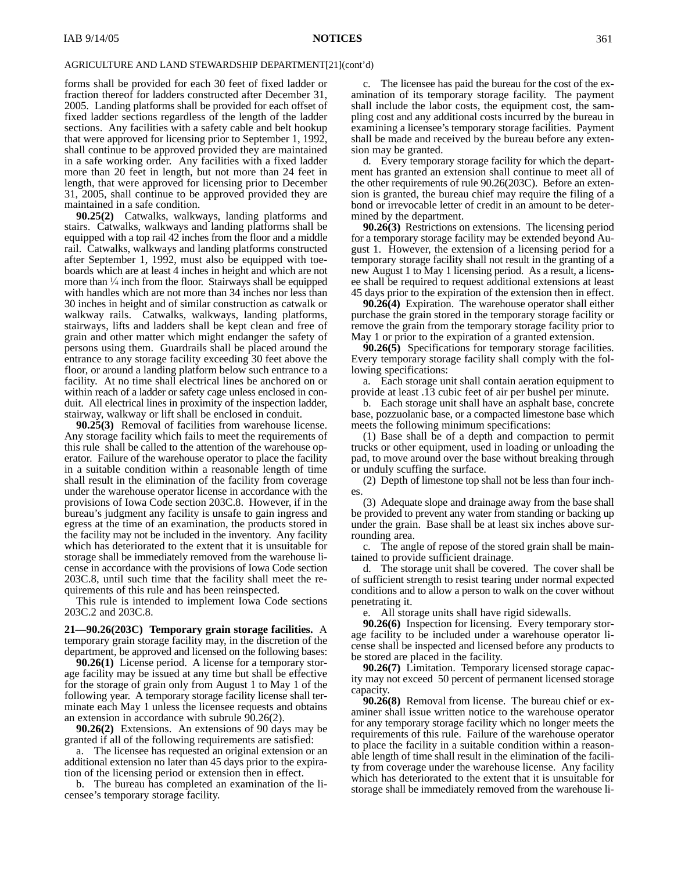forms shall be provided for each 30 feet of fixed ladder or fraction thereof for ladders constructed after December 31, 2005. Landing platforms shall be provided for each offset of fixed ladder sections regardless of the length of the ladder sections. Any facilities with a safety cable and belt hookup that were approved for licensing prior to September 1, 1992, shall continue to be approved provided they are maintained in a safe working order. Any facilities with a fixed ladder more than 20 feet in length, but not more than 24 feet in length, that were approved for licensing prior to December 31, 2005, shall continue to be approved provided they are maintained in a safe condition.

**90.25(2)** Catwalks, walkways, landing platforms and stairs. Catwalks, walkways and landing platforms shall be equipped with a top rail 42 inches from the floor and a middle rail. Catwalks, walkways and landing platforms constructed after September 1, 1992, must also be equipped with toeboards which are at least 4 inches in height and which are not more than  $\frac{1}{4}$  inch from the floor. Stairways shall be equipped with handles which are not more than 34 inches nor less than 30 inches in height and of similar construction as catwalk or walkway rails. Catwalks, walkways, landing platforms, stairways, lifts and ladders shall be kept clean and free of grain and other matter which might endanger the safety of persons using them. Guardrails shall be placed around the entrance to any storage facility exceeding 30 feet above the floor, or around a landing platform below such entrance to a facility. At no time shall electrical lines be anchored on or within reach of a ladder or safety cage unless enclosed in conduit. All electrical lines in proximity of the inspection ladder, stairway, walkway or lift shall be enclosed in conduit.

**90.25(3)** Removal of facilities from warehouse license. Any storage facility which fails to meet the requirements of this rule shall be called to the attention of the warehouse operator. Failure of the warehouse operator to place the facility in a suitable condition within a reasonable length of time shall result in the elimination of the facility from coverage under the warehouse operator license in accordance with the provisions of Iowa Code section 203C.8. However, if in the bureau's judgment any facility is unsafe to gain ingress and egress at the time of an examination, the products stored in the facility may not be included in the inventory. Any facility which has deteriorated to the extent that it is unsuitable for storage shall be immediately removed from the warehouse license in accordance with the provisions of Iowa Code section 203C.8, until such time that the facility shall meet the requirements of this rule and has been reinspected.

This rule is intended to implement Iowa Code sections 203C.2 and 203C.8.

**21—90.26(203C) Temporary grain storage facilities.** A temporary grain storage facility may, in the discretion of the department, be approved and licensed on the following bases:

**90.26(1)** License period. A license for a temporary storage facility may be issued at any time but shall be effective for the storage of grain only from August 1 to May 1 of the following year. A temporary storage facility license shall terminate each May 1 unless the licensee requests and obtains an extension in accordance with subrule 90.26(2).

**90.26(2)** Extensions. An extensions of 90 days may be granted if all of the following requirements are satisfied:

a. The licensee has requested an original extension or an additional extension no later than 45 days prior to the expiration of the licensing period or extension then in effect.

b. The bureau has completed an examination of the licensee's temporary storage facility.

c. The licensee has paid the bureau for the cost of the examination of its temporary storage facility. The payment shall include the labor costs, the equipment cost, the sampling cost and any additional costs incurred by the bureau in examining a licensee's temporary storage facilities. Payment shall be made and received by the bureau before any extension may be granted.

d. Every temporary storage facility for which the department has granted an extension shall continue to meet all of the other requirements of rule 90.26(203C). Before an extension is granted, the bureau chief may require the filing of a bond or irrevocable letter of credit in an amount to be determined by the department.

**90.26(3)** Restrictions on extensions. The licensing period for a temporary storage facility may be extended beyond August 1. However, the extension of a licensing period for a temporary storage facility shall not result in the granting of a new August 1 to May 1 licensing period. As a result, a licensee shall be required to request additional extensions at least 45 days prior to the expiration of the extension then in effect.

**90.26(4)** Expiration. The warehouse operator shall either purchase the grain stored in the temporary storage facility or remove the grain from the temporary storage facility prior to May 1 or prior to the expiration of a granted extension.

**90.26(5)** Specifications for temporary storage facilities. Every temporary storage facility shall comply with the following specifications:

a. Each storage unit shall contain aeration equipment to provide at least .13 cubic feet of air per bushel per minute.

b. Each storage unit shall have an asphalt base, concrete base, pozzuolanic base, or a compacted limestone base which meets the following minimum specifications:

(1) Base shall be of a depth and compaction to permit trucks or other equipment, used in loading or unloading the pad, to move around over the base without breaking through or unduly scuffing the surface.

(2) Depth of limestone top shall not be less than four inches.

(3) Adequate slope and drainage away from the base shall be provided to prevent any water from standing or backing up under the grain. Base shall be at least six inches above surrounding area.

c. The angle of repose of the stored grain shall be maintained to provide sufficient drainage.

d. The storage unit shall be covered. The cover shall be of sufficient strength to resist tearing under normal expected conditions and to allow a person to walk on the cover without penetrating it.

e. All storage units shall have rigid sidewalls.

**90.26(6)** Inspection for licensing. Every temporary storage facility to be included under a warehouse operator license shall be inspected and licensed before any products to be stored are placed in the facility.

**90.26(7)** Limitation. Temporary licensed storage capacity may not exceed 50 percent of permanent licensed storage capacity.

**90.26(8)** Removal from license. The bureau chief or examiner shall issue written notice to the warehouse operator for any temporary storage facility which no longer meets the requirements of this rule. Failure of the warehouse operator to place the facility in a suitable condition within a reasonable length of time shall result in the elimination of the facility from coverage under the warehouse license. Any facility which has deteriorated to the extent that it is unsuitable for storage shall be immediately removed from the warehouse li-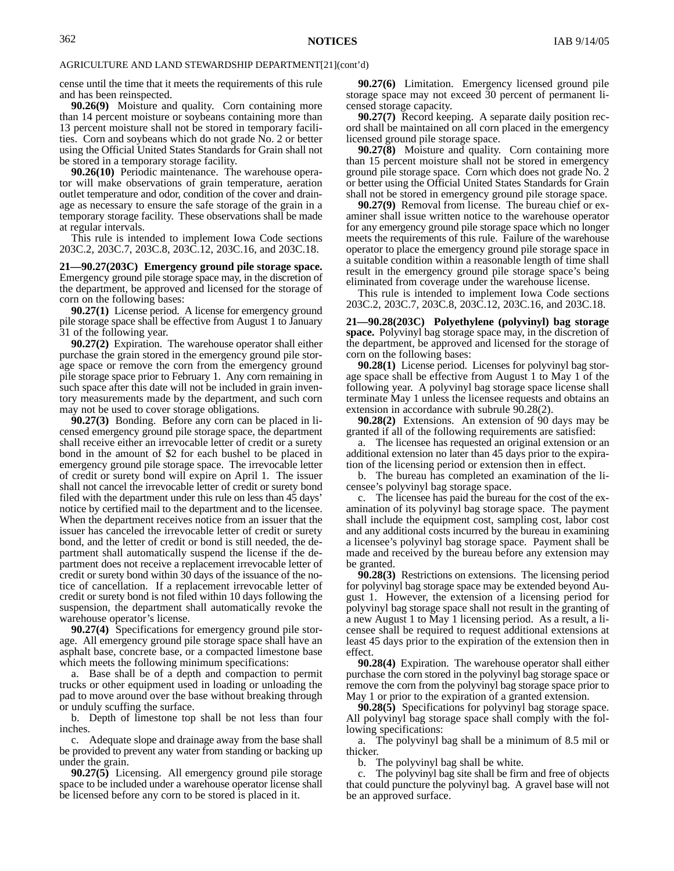cense until the time that it meets the requirements of this rule and has been reinspected.

**90.26(9)** Moisture and quality. Corn containing more than 14 percent moisture or soybeans containing more than 13 percent moisture shall not be stored in temporary facilities. Corn and soybeans which do not grade No. 2 or better using the Official United States Standards for Grain shall not be stored in a temporary storage facility.

**90.26(10)** Periodic maintenance. The warehouse operator will make observations of grain temperature, aeration outlet temperature and odor, condition of the cover and drainage as necessary to ensure the safe storage of the grain in a temporary storage facility. These observations shall be made at regular intervals.

This rule is intended to implement Iowa Code sections 203C.2, 203C.7, 203C.8, 203C.12, 203C.16, and 203C.18.

**21—90.27(203C) Emergency ground pile storage space.** Emergency ground pile storage space may, in the discretion of the department, be approved and licensed for the storage of corn on the following bases:

**90.27(1)** License period. A license for emergency ground pile storage space shall be effective from August 1 to January 31 of the following year.

**90.27(2)** Expiration. The warehouse operator shall either purchase the grain stored in the emergency ground pile storage space or remove the corn from the emergency ground pile storage space prior to February 1. Any corn remaining in such space after this date will not be included in grain inventory measurements made by the department, and such corn may not be used to cover storage obligations.

**90.27(3)** Bonding. Before any corn can be placed in licensed emergency ground pile storage space, the department shall receive either an irrevocable letter of credit or a surety bond in the amount of \$2 for each bushel to be placed in emergency ground pile storage space. The irrevocable letter of credit or surety bond will expire on April 1. The issuer shall not cancel the irrevocable letter of credit or surety bond filed with the department under this rule on less than 45 days' notice by certified mail to the department and to the licensee. When the department receives notice from an issuer that the issuer has canceled the irrevocable letter of credit or surety bond, and the letter of credit or bond is still needed, the department shall automatically suspend the license if the department does not receive a replacement irrevocable letter of credit or surety bond within 30 days of the issuance of the notice of cancellation. If a replacement irrevocable letter of credit or surety bond is not filed within 10 days following the suspension, the department shall automatically revoke the warehouse operator's license.

**90.27(4)** Specifications for emergency ground pile storage. All emergency ground pile storage space shall have an asphalt base, concrete base, or a compacted limestone base which meets the following minimum specifications:

a. Base shall be of a depth and compaction to permit trucks or other equipment used in loading or unloading the pad to move around over the base without breaking through or unduly scuffing the surface.

b. Depth of limestone top shall be not less than four inches.

c. Adequate slope and drainage away from the base shall be provided to prevent any water from standing or backing up under the grain.

**90.27(5)** Licensing. All emergency ground pile storage space to be included under a warehouse operator license shall be licensed before any corn to be stored is placed in it.

**90.27(6)** Limitation. Emergency licensed ground pile storage space may not exceed 30 percent of permanent licensed storage capacity.

**90.27(7)** Record keeping. A separate daily position record shall be maintained on all corn placed in the emergency licensed ground pile storage space.

**90.27(8)** Moisture and quality. Corn containing more than 15 percent moisture shall not be stored in emergency ground pile storage space. Corn which does not grade No. 2 or better using the Official United States Standards for Grain shall not be stored in emergency ground pile storage space.

**90.27(9)** Removal from license. The bureau chief or examiner shall issue written notice to the warehouse operator for any emergency ground pile storage space which no longer meets the requirements of this rule. Failure of the warehouse operator to place the emergency ground pile storage space in a suitable condition within a reasonable length of time shall result in the emergency ground pile storage space's being eliminated from coverage under the warehouse license.

This rule is intended to implement Iowa Code sections 203C.2, 203C.7, 203C.8, 203C.12, 203C.16, and 203C.18.

**21—90.28(203C) Polyethylene (polyvinyl) bag storage space.** Polyvinyl bag storage space may, in the discretion of the department, be approved and licensed for the storage of corn on the following bases:

**90.28(1)** License period. Licenses for polyvinyl bag storage space shall be effective from August 1 to May 1 of the following year. A polyvinyl bag storage space license shall terminate May 1 unless the licensee requests and obtains an extension in accordance with subrule 90.28(2).

**90.28(2)** Extensions. An extension of 90 days may be granted if all of the following requirements are satisfied:

a. The licensee has requested an original extension or an additional extension no later than 45 days prior to the expiration of the licensing period or extension then in effect.

b. The bureau has completed an examination of the licensee's polyvinyl bag storage space.

c. The licensee has paid the bureau for the cost of the examination of its polyvinyl bag storage space. The payment shall include the equipment cost, sampling cost, labor cost and any additional costs incurred by the bureau in examining a licensee's polyvinyl bag storage space. Payment shall be made and received by the bureau before any extension may be granted.

**90.28(3)** Restrictions on extensions. The licensing period for polyvinyl bag storage space may be extended beyond August 1. However, the extension of a licensing period for polyvinyl bag storage space shall not result in the granting of a new August 1 to May 1 licensing period. As a result, a licensee shall be required to request additional extensions at least 45 days prior to the expiration of the extension then in effect.

**90.28(4)** Expiration. The warehouse operator shall either purchase the corn stored in the polyvinyl bag storage space or remove the corn from the polyvinyl bag storage space prior to May 1 or prior to the expiration of a granted extension.

**90.28(5)** Specifications for polyvinyl bag storage space. All polyvinyl bag storage space shall comply with the following specifications:

a. The polyvinyl bag shall be a minimum of 8.5 mil or thicker.

b. The polyvinyl bag shall be white.

c. The polyvinyl bag site shall be firm and free of objects that could puncture the polyvinyl bag. A gravel base will not be an approved surface.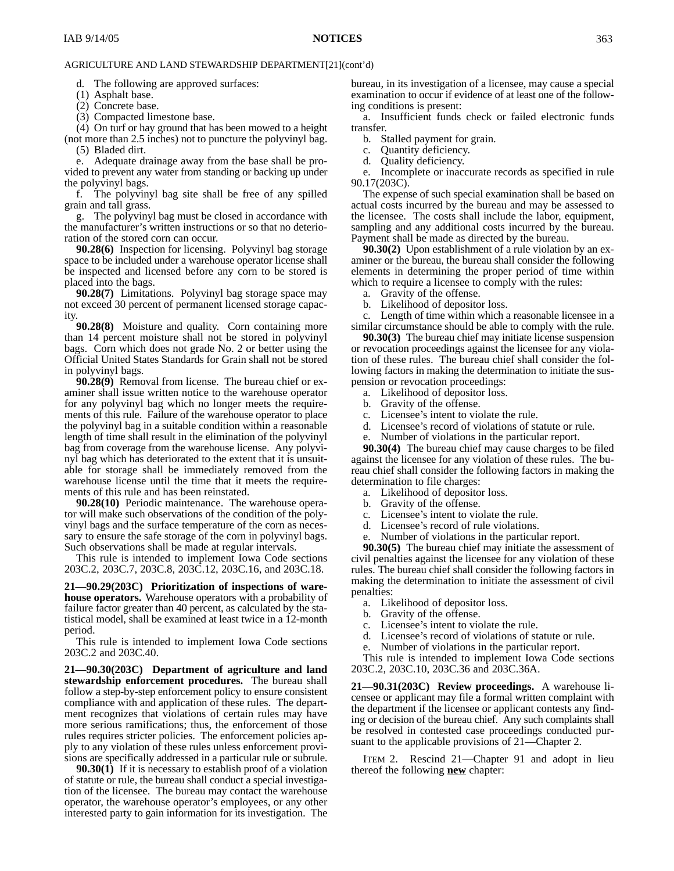d. The following are approved surfaces:

(1) Asphalt base.

(2) Concrete base.

(3) Compacted limestone base.

(4) On turf or hay ground that has been mowed to a height (not more than 2.5 inches) not to puncture the polyvinyl bag. (5) Bladed dirt.

Adequate drainage away from the base shall be provided to prevent any water from standing or backing up under the polyvinyl bags.

f. The polyvinyl bag site shall be free of any spilled grain and tall grass.

g. The polyvinyl bag must be closed in accordance with the manufacturer's written instructions or so that no deterioration of the stored corn can occur.

**90.28(6)** Inspection for licensing. Polyvinyl bag storage space to be included under a warehouse operator license shall be inspected and licensed before any corn to be stored is placed into the bags.

**90.28(7)** Limitations. Polyvinyl bag storage space may not exceed 30 percent of permanent licensed storage capacity.

**90.28(8)** Moisture and quality. Corn containing more than 14 percent moisture shall not be stored in polyvinyl bags. Corn which does not grade No. 2 or better using the Official United States Standards for Grain shall not be stored in polyvinyl bags.

**90.28(9)** Removal from license. The bureau chief or examiner shall issue written notice to the warehouse operator for any polyvinyl bag which no longer meets the requirements of this rule. Failure of the warehouse operator to place the polyvinyl bag in a suitable condition within a reasonable length of time shall result in the elimination of the polyvinyl bag from coverage from the warehouse license. Any polyvinyl bag which has deteriorated to the extent that it is unsuitable for storage shall be immediately removed from the warehouse license until the time that it meets the requirements of this rule and has been reinstated.

**90.28(10)** Periodic maintenance. The warehouse operator will make such observations of the condition of the polyvinyl bags and the surface temperature of the corn as necessary to ensure the safe storage of the corn in polyvinyl bags. Such observations shall be made at regular intervals.

This rule is intended to implement Iowa Code sections 203C.2, 203C.7, 203C.8, 203C.12, 203C.16, and 203C.18.

**21—90.29(203C) Prioritization of inspections of warehouse operators.** Warehouse operators with a probability of failure factor greater than 40 percent, as calculated by the statistical model, shall be examined at least twice in a 12-month period.

This rule is intended to implement Iowa Code sections 203C.2 and 203C.40.

**21—90.30(203C) Department of agriculture and land stewardship enforcement procedures.** The bureau shall follow a step-by-step enforcement policy to ensure consistent compliance with and application of these rules. The department recognizes that violations of certain rules may have more serious ramifications; thus, the enforcement of those rules requires stricter policies. The enforcement policies apply to any violation of these rules unless enforcement provisions are specifically addressed in a particular rule or subrule.

**90.30(1)** If it is necessary to establish proof of a violation of statute or rule, the bureau shall conduct a special investigation of the licensee. The bureau may contact the warehouse operator, the warehouse operator's employees, or any other interested party to gain information for its investigation. The

bureau, in its investigation of a licensee, may cause a special examination to occur if evidence of at least one of the following conditions is present:

a. Insufficient funds check or failed electronic funds transfer.

b. Stalled payment for grain.

c. Quantity deficiency.

d. Quality deficiency.

e. Incomplete or inaccurate records as specified in rule 90.17(203C).

The expense of such special examination shall be based on actual costs incurred by the bureau and may be assessed to the licensee. The costs shall include the labor, equipment, sampling and any additional costs incurred by the bureau. Payment shall be made as directed by the bureau.

**90.30(2)** Upon establishment of a rule violation by an examiner or the bureau, the bureau shall consider the following elements in determining the proper period of time within which to require a licensee to comply with the rules:

a. Gravity of the offense.

b. Likelihood of depositor loss.

c. Length of time within which a reasonable licensee in a similar circumstance should be able to comply with the rule.

**90.30(3)** The bureau chief may initiate license suspension or revocation proceedings against the licensee for any violation of these rules. The bureau chief shall consider the following factors in making the determination to initiate the suspension or revocation proceedings:

- a. Likelihood of depositor loss.
- b. Gravity of the offense.
- c. Licensee's intent to violate the rule.
- d. Licensee's record of violations of statute or rule.
- e. Number of violations in the particular report.

**90.30(4)** The bureau chief may cause charges to be filed against the licensee for any violation of these rules. The bureau chief shall consider the following factors in making the determination to file charges:

- a. Likelihood of depositor loss.
- b. Gravity of the offense.
- c. Licensee's intent to violate the rule.
- d. Licensee's record of rule violations.
- e. Number of violations in the particular report.

**90.30(5)** The bureau chief may initiate the assessment of civil penalties against the licensee for any violation of these rules. The bureau chief shall consider the following factors in making the determination to initiate the assessment of civil penalties:

- a. Likelihood of depositor loss.
- b. Gravity of the offense.
- c. Licensee's intent to violate the rule.
- d. Licensee's record of violations of statute or rule.
- e. Number of violations in the particular report.

This rule is intended to implement Iowa Code sections 203C.2, 203C.10, 203C.36 and 203C.36A.

**21—90.31(203C) Review proceedings.** A warehouse licensee or applicant may file a formal written complaint with the department if the licensee or applicant contests any finding or decision of the bureau chief. Any such complaints shall be resolved in contested case proceedings conducted pursuant to the applicable provisions of 21—Chapter 2.

ITEM 2. Rescind 21—Chapter 91 and adopt in lieu thereof the following **new** chapter: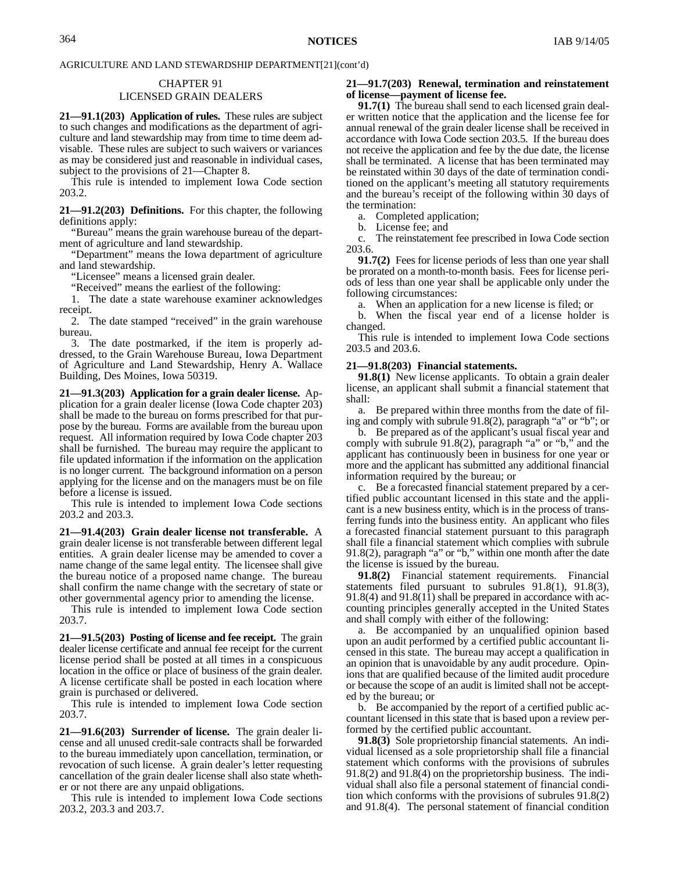# CHAPTER 91

### LICENSED GRAIN DEALERS

**21—91.1(203) Application of rules.** These rules are subject to such changes and modifications as the department of agriculture and land stewardship may from time to time deem advisable. These rules are subject to such waivers or variances as may be considered just and reasonable in individual cases, subject to the provisions of 21—Chapter 8.

This rule is intended to implement Iowa Code section 203.2.

**21—91.2(203) Definitions.** For this chapter, the following definitions apply:

"Bureau" means the grain warehouse bureau of the department of agriculture and land stewardship.

"Department" means the Iowa department of agriculture and land stewardship.

"Licensee" means a licensed grain dealer.

"Received" means the earliest of the following:

1. The date a state warehouse examiner acknowledges receipt.

2. The date stamped "received" in the grain warehouse bureau.

3. The date postmarked, if the item is properly addressed, to the Grain Warehouse Bureau, Iowa Department of Agriculture and Land Stewardship, Henry A. Wallace Building, Des Moines, Iowa 50319.

**21—91.3(203) Application for a grain dealer license.** Application for a grain dealer license (Iowa Code chapter 203) shall be made to the bureau on forms prescribed for that purpose by the bureau. Forms are available from the bureau upon request. All information required by Iowa Code chapter 203 shall be furnished. The bureau may require the applicant to file updated information if the information on the application is no longer current. The background information on a person applying for the license and on the managers must be on file before a license is issued.

This rule is intended to implement Iowa Code sections 203.2 and 203.3.

**21—91.4(203) Grain dealer license not transferable.** A grain dealer license is not transferable between different legal entities. A grain dealer license may be amended to cover a name change of the same legal entity. The licensee shall give the bureau notice of a proposed name change. The bureau shall confirm the name change with the secretary of state or other governmental agency prior to amending the license.

This rule is intended to implement Iowa Code section 203.7.

**21—91.5(203) Posting of license and fee receipt.** The grain dealer license certificate and annual fee receipt for the current license period shall be posted at all times in a conspicuous location in the office or place of business of the grain dealer. A license certificate shall be posted in each location where grain is purchased or delivered.

This rule is intended to implement Iowa Code section 203.7.

**21—91.6(203) Surrender of license.** The grain dealer license and all unused credit-sale contracts shall be forwarded to the bureau immediately upon cancellation, termination, or revocation of such license. A grain dealer's letter requesting cancellation of the grain dealer license shall also state whether or not there are any unpaid obligations.

This rule is intended to implement Iowa Code sections 203.2, 203.3 and 203.7.

#### **21—91.7(203) Renewal, termination and reinstatement of license—payment of license fee.**

**91.7(1)** The bureau shall send to each licensed grain dealer written notice that the application and the license fee for annual renewal of the grain dealer license shall be received in accordance with Iowa Code section 203.5. If the bureau does not receive the application and fee by the due date, the license shall be terminated. A license that has been terminated may be reinstated within 30 days of the date of termination conditioned on the applicant's meeting all statutory requirements and the bureau's receipt of the following within 30 days of the termination:

a. Completed application;

b. License fee; and

c. The reinstatement fee prescribed in Iowa Code section 203.6.

**91.7(2)** Fees for license periods of less than one year shall be prorated on a month-to-month basis. Fees for license periods of less than one year shall be applicable only under the following circumstances:

a. When an application for a new license is filed; or

b. When the fiscal year end of a license holder is changed.

This rule is intended to implement Iowa Code sections 203.5 and 203.6.

#### **21—91.8(203) Financial statements.**

**91.8(1)** New license applicants. To obtain a grain dealer license, an applicant shall submit a financial statement that shall:

a. Be prepared within three months from the date of filing and comply with subrule 91.8(2), paragraph "a" or "b"; or

b. Be prepared as of the applicant's usual fiscal year and comply with subrule 91.8(2), paragraph "a" or "b," and the applicant has continuously been in business for one year or more and the applicant has submitted any additional financial information required by the bureau; or

c. Be a forecasted financial statement prepared by a certified public accountant licensed in this state and the applicant is a new business entity, which is in the process of transferring funds into the business entity. An applicant who files a forecasted financial statement pursuant to this paragraph shall file a financial statement which complies with subrule 91.8(2), paragraph "a" or "b," within one month after the date the license is issued by the bureau.

**91.8(2)** Financial statement requirements. Financial statements filed pursuant to subrules 91.8(1), 91.8(3),  $91.8(4)$  and  $91.8(1\bar{1})$  shall be prepared in accordance with accounting principles generally accepted in the United States and shall comply with either of the following:

a. Be accompanied by an unqualified opinion based upon an audit performed by a certified public accountant licensed in this state. The bureau may accept a qualification in an opinion that is unavoidable by any audit procedure. Opinions that are qualified because of the limited audit procedure or because the scope of an audit is limited shall not be accepted by the bureau; or

b. Be accompanied by the report of a certified public accountant licensed in this state that is based upon a review performed by the certified public accountant.

**91.8(3)** Sole proprietorship financial statements. An individual licensed as a sole proprietorship shall file a financial statement which conforms with the provisions of subrules 91.8(2) and 91.8(4) on the proprietorship business. The individual shall also file a personal statement of financial condition which conforms with the provisions of subrules 91.8(2) and 91.8(4). The personal statement of financial condition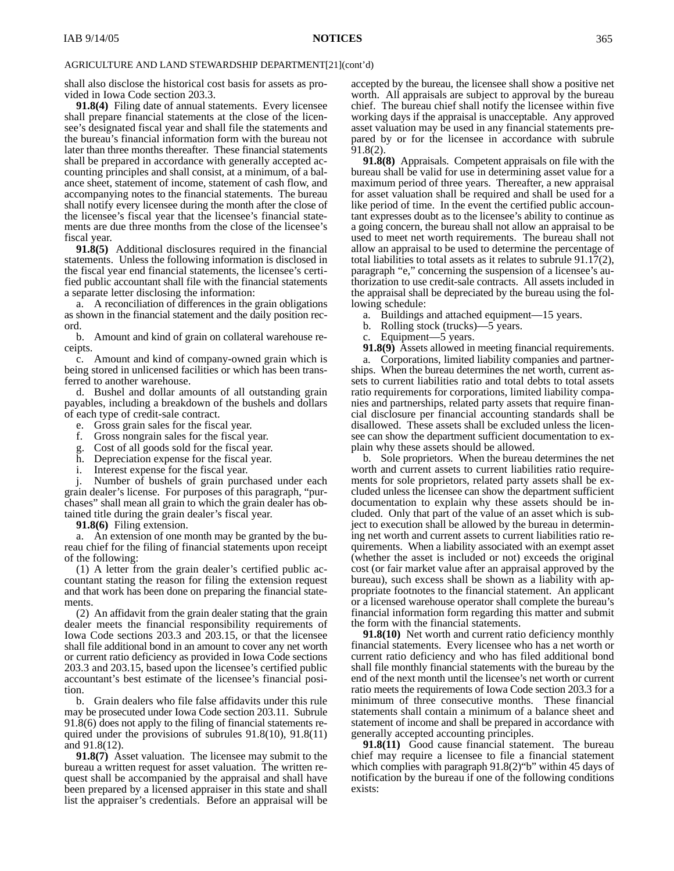shall also disclose the historical cost basis for assets as provided in Iowa Code section 203.3.

**91.8(4)** Filing date of annual statements. Every licensee shall prepare financial statements at the close of the licensee's designated fiscal year and shall file the statements and the bureau's financial information form with the bureau not later than three months thereafter. These financial statements shall be prepared in accordance with generally accepted accounting principles and shall consist, at a minimum, of a balance sheet, statement of income, statement of cash flow, and accompanying notes to the financial statements. The bureau shall notify every licensee during the month after the close of the licensee's fiscal year that the licensee's financial statements are due three months from the close of the licensee's fiscal year.

**91.8(5)** Additional disclosures required in the financial statements. Unless the following information is disclosed in the fiscal year end financial statements, the licensee's certified public accountant shall file with the financial statements a separate letter disclosing the information:

a. A reconciliation of differences in the grain obligations as shown in the financial statement and the daily position record.

b. Amount and kind of grain on collateral warehouse receipts.

c. Amount and kind of company-owned grain which is being stored in unlicensed facilities or which has been transferred to another warehouse.

d. Bushel and dollar amounts of all outstanding grain payables, including a breakdown of the bushels and dollars of each type of credit-sale contract.

- e. Gross grain sales for the fiscal year.
- f. Gross nongrain sales for the fiscal year.
- g. Cost of all goods sold for the fiscal year.
- Depreciation expense for the fiscal year.
- i. Interest expense for the fiscal year.

j. Number of bushels of grain purchased under each grain dealer's license. For purposes of this paragraph, "purchases" shall mean all grain to which the grain dealer has obtained title during the grain dealer's fiscal year.

**91.8(6)** Filing extension.

a. An extension of one month may be granted by the bureau chief for the filing of financial statements upon receipt of the following:

(1) A letter from the grain dealer's certified public accountant stating the reason for filing the extension request and that work has been done on preparing the financial statements.

(2) An affidavit from the grain dealer stating that the grain dealer meets the financial responsibility requirements of Iowa Code sections 203.3 and 203.15, or that the licensee shall file additional bond in an amount to cover any net worth or current ratio deficiency as provided in Iowa Code sections 203.3 and 203.15, based upon the licensee's certified public accountant's best estimate of the licensee's financial position.

b. Grain dealers who file false affidavits under this rule may be prosecuted under Iowa Code section 203.11. Subrule 91.8(6) does not apply to the filing of financial statements required under the provisions of subrules 91.8(10), 91.8(11) and 91.8(12).

**91.8(7)** Asset valuation. The licensee may submit to the bureau a written request for asset valuation. The written request shall be accompanied by the appraisal and shall have been prepared by a licensed appraiser in this state and shall list the appraiser's credentials. Before an appraisal will be

accepted by the bureau, the licensee shall show a positive net worth. All appraisals are subject to approval by the bureau chief. The bureau chief shall notify the licensee within five working days if the appraisal is unacceptable. Any approved asset valuation may be used in any financial statements prepared by or for the licensee in accordance with subrule 91.8(2).

**91.8(8)** Appraisals. Competent appraisals on file with the bureau shall be valid for use in determining asset value for a maximum period of three years. Thereafter, a new appraisal for asset valuation shall be required and shall be used for a like period of time. In the event the certified public accountant expresses doubt as to the licensee's ability to continue as a going concern, the bureau shall not allow an appraisal to be used to meet net worth requirements. The bureau shall not allow an appraisal to be used to determine the percentage of total liabilities to total assets as it relates to subrule 91.17(2), paragraph "e," concerning the suspension of a licensee's authorization to use credit-sale contracts. All assets included in the appraisal shall be depreciated by the bureau using the following schedule:

- a. Buildings and attached equipment—15 years.
- b. Rolling stock (trucks)—5 years.
- c. Equipment—5 years.

**91.8(9)** Assets allowed in meeting financial requirements.

a. Corporations, limited liability companies and partnerships. When the bureau determines the net worth, current assets to current liabilities ratio and total debts to total assets ratio requirements for corporations, limited liability companies and partnerships, related party assets that require financial disclosure per financial accounting standards shall be disallowed. These assets shall be excluded unless the licensee can show the department sufficient documentation to explain why these assets should be allowed.

b. Sole proprietors. When the bureau determines the net worth and current assets to current liabilities ratio requirements for sole proprietors, related party assets shall be excluded unless the licensee can show the department sufficient documentation to explain why these assets should be included. Only that part of the value of an asset which is subject to execution shall be allowed by the bureau in determining net worth and current assets to current liabilities ratio requirements. When a liability associated with an exempt asset (whether the asset is included or not) exceeds the original cost (or fair market value after an appraisal approved by the bureau), such excess shall be shown as a liability with appropriate footnotes to the financial statement. An applicant or a licensed warehouse operator shall complete the bureau's financial information form regarding this matter and submit the form with the financial statements.

**91.8(10)** Net worth and current ratio deficiency monthly financial statements. Every licensee who has a net worth or current ratio deficiency and who has filed additional bond shall file monthly financial statements with the bureau by the end of the next month until the licensee's net worth or current ratio meets the requirements of Iowa Code section 203.3 for a minimum of three consecutive months. These financial statements shall contain a minimum of a balance sheet and statement of income and shall be prepared in accordance with generally accepted accounting principles.

**91.8(11)** Good cause financial statement. The bureau chief may require a licensee to file a financial statement which complies with paragraph 91.8(2)"b" within 45 days of notification by the bureau if one of the following conditions exists: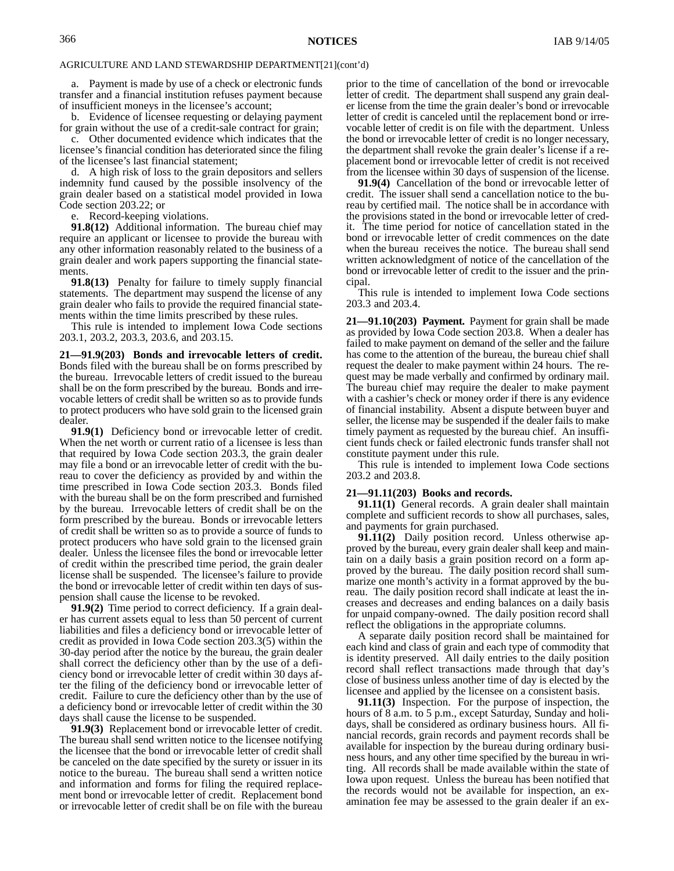a. Payment is made by use of a check or electronic funds transfer and a financial institution refuses payment because of insufficient moneys in the licensee's account;

b. Evidence of licensee requesting or delaying payment for grain without the use of a credit-sale contract for grain;

c. Other documented evidence which indicates that the licensee's financial condition has deteriorated since the filing of the licensee's last financial statement;

d. A high risk of loss to the grain depositors and sellers indemnity fund caused by the possible insolvency of the grain dealer based on a statistical model provided in Iowa Code section 203.22; or

e. Record-keeping violations.

**91.8(12)** Additional information. The bureau chief may require an applicant or licensee to provide the bureau with any other information reasonably related to the business of a grain dealer and work papers supporting the financial statements

**91.8(13)** Penalty for failure to timely supply financial statements. The department may suspend the license of any grain dealer who fails to provide the required financial statements within the time limits prescribed by these rules.

This rule is intended to implement Iowa Code sections 203.1, 203.2, 203.3, 203.6, and 203.15.

**21—91.9(203) Bonds and irrevocable letters of credit.** Bonds filed with the bureau shall be on forms prescribed by the bureau. Irrevocable letters of credit issued to the bureau shall be on the form prescribed by the bureau. Bonds and irrevocable letters of credit shall be written so as to provide funds to protect producers who have sold grain to the licensed grain dealer

**91.9(1)** Deficiency bond or irrevocable letter of credit. When the net worth or current ratio of a licensee is less than that required by Iowa Code section 203.3, the grain dealer may file a bond or an irrevocable letter of credit with the bureau to cover the deficiency as provided by and within the time prescribed in Iowa Code section 203.3. Bonds filed with the bureau shall be on the form prescribed and furnished by the bureau. Irrevocable letters of credit shall be on the form prescribed by the bureau. Bonds or irrevocable letters of credit shall be written so as to provide a source of funds to protect producers who have sold grain to the licensed grain dealer. Unless the licensee files the bond or irrevocable letter of credit within the prescribed time period, the grain dealer license shall be suspended. The licensee's failure to provide the bond or irrevocable letter of credit within ten days of suspension shall cause the license to be revoked.

**91.9(2)** Time period to correct deficiency. If a grain dealer has current assets equal to less than 50 percent of current liabilities and files a deficiency bond or irrevocable letter of credit as provided in Iowa Code section 203.3(5) within the 30-day period after the notice by the bureau, the grain dealer shall correct the deficiency other than by the use of a deficiency bond or irrevocable letter of credit within 30 days after the filing of the deficiency bond or irrevocable letter of credit. Failure to cure the deficiency other than by the use of a deficiency bond or irrevocable letter of credit within the 30 days shall cause the license to be suspended.

**91.9(3)** Replacement bond or irrevocable letter of credit. The bureau shall send written notice to the licensee notifying the licensee that the bond or irrevocable letter of credit shall be canceled on the date specified by the surety or issuer in its notice to the bureau. The bureau shall send a written notice and information and forms for filing the required replacement bond or irrevocable letter of credit. Replacement bond or irrevocable letter of credit shall be on file with the bureau

prior to the time of cancellation of the bond or irrevocable letter of credit. The department shall suspend any grain dealer license from the time the grain dealer's bond or irrevocable letter of credit is canceled until the replacement bond or irrevocable letter of credit is on file with the department. Unless the bond or irrevocable letter of credit is no longer necessary, the department shall revoke the grain dealer's license if a replacement bond or irrevocable letter of credit is not received from the licensee within 30 days of suspension of the license.

**91.9(4)** Cancellation of the bond or irrevocable letter of credit. The issuer shall send a cancellation notice to the bureau by certified mail. The notice shall be in accordance with the provisions stated in the bond or irrevocable letter of credit. The time period for notice of cancellation stated in the bond or irrevocable letter of credit commences on the date when the bureau receives the notice. The bureau shall send written acknowledgment of notice of the cancellation of the bond or irrevocable letter of credit to the issuer and the principal.

This rule is intended to implement Iowa Code sections 203.3 and 203.4.

**21—91.10(203) Payment.** Payment for grain shall be made as provided by Iowa Code section 203.8. When a dealer has failed to make payment on demand of the seller and the failure has come to the attention of the bureau, the bureau chief shall request the dealer to make payment within 24 hours. The request may be made verbally and confirmed by ordinary mail. The bureau chief may require the dealer to make payment with a cashier's check or money order if there is any evidence of financial instability. Absent a dispute between buyer and seller, the license may be suspended if the dealer fails to make timely payment as requested by the bureau chief. An insufficient funds check or failed electronic funds transfer shall not constitute payment under this rule.

This rule is intended to implement Iowa Code sections 203.2 and 203.8.

#### **21—91.11(203) Books and records.**

**91.11(1)** General records. A grain dealer shall maintain complete and sufficient records to show all purchases, sales, and payments for grain purchased.

**91.11(2)** Daily position record. Unless otherwise approved by the bureau, every grain dealer shall keep and maintain on a daily basis a grain position record on a form approved by the bureau. The daily position record shall summarize one month's activity in a format approved by the bureau. The daily position record shall indicate at least the increases and decreases and ending balances on a daily basis for unpaid company-owned. The daily position record shall reflect the obligations in the appropriate columns.

A separate daily position record shall be maintained for each kind and class of grain and each type of commodity that is identity preserved. All daily entries to the daily position record shall reflect transactions made through that day's close of business unless another time of day is elected by the licensee and applied by the licensee on a consistent basis.

**91.11(3)** Inspection. For the purpose of inspection, the hours of 8 a.m. to 5 p.m., except Saturday, Sunday and holidays, shall be considered as ordinary business hours. All financial records, grain records and payment records shall be available for inspection by the bureau during ordinary business hours, and any other time specified by the bureau in writing. All records shall be made available within the state of Iowa upon request. Unless the bureau has been notified that the records would not be available for inspection, an examination fee may be assessed to the grain dealer if an ex-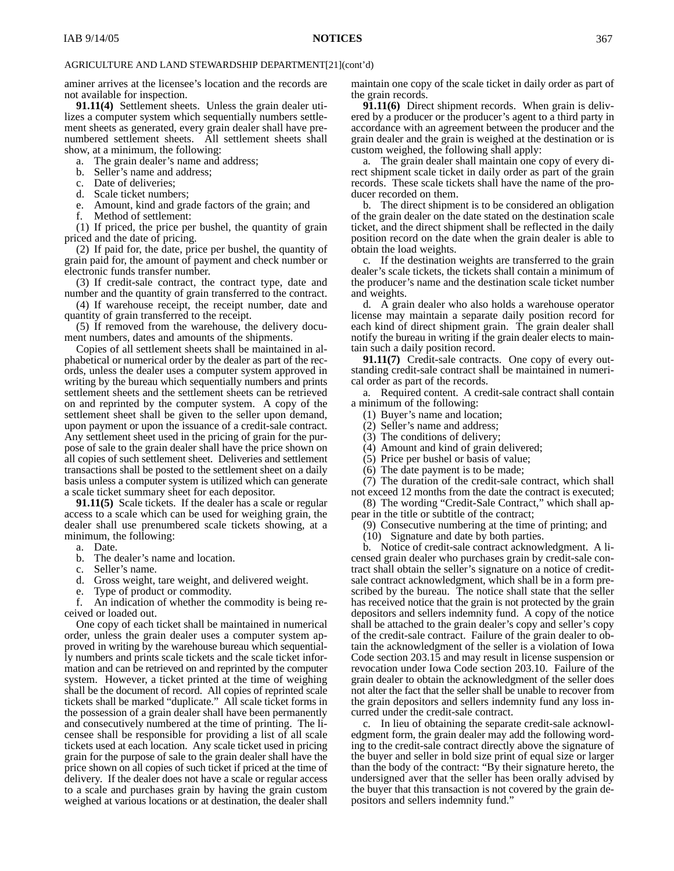aminer arrives at the licensee's location and the records are not available for inspection.

**91.11(4)** Settlement sheets. Unless the grain dealer utilizes a computer system which sequentially numbers settlement sheets as generated, every grain dealer shall have prenumbered settlement sheets. All settlement sheets shall show, at a minimum, the following:

- a. The grain dealer's name and address;
- b. Seller's name and address;
- c. Date of deliveries;
- d. Scale ticket numbers;
- e. Amount, kind and grade factors of the grain; and
- f. Method of settlement:

(1) If priced, the price per bushel, the quantity of grain priced and the date of pricing.

(2) If paid for, the date, price per bushel, the quantity of grain paid for, the amount of payment and check number or electronic funds transfer number.

(3) If credit-sale contract, the contract type, date and number and the quantity of grain transferred to the contract.

(4) If warehouse receipt, the receipt number, date and quantity of grain transferred to the receipt.

(5) If removed from the warehouse, the delivery document numbers, dates and amounts of the shipments.

Copies of all settlement sheets shall be maintained in alphabetical or numerical order by the dealer as part of the records, unless the dealer uses a computer system approved in writing by the bureau which sequentially numbers and prints settlement sheets and the settlement sheets can be retrieved on and reprinted by the computer system. A copy of the settlement sheet shall be given to the seller upon demand, upon payment or upon the issuance of a credit-sale contract. Any settlement sheet used in the pricing of grain for the purpose of sale to the grain dealer shall have the price shown on all copies of such settlement sheet. Deliveries and settlement transactions shall be posted to the settlement sheet on a daily basis unless a computer system is utilized which can generate a scale ticket summary sheet for each depositor.

**91.11(5)** Scale tickets. If the dealer has a scale or regular access to a scale which can be used for weighing grain, the dealer shall use prenumbered scale tickets showing, at a minimum, the following:

a. Date.

- b. The dealer's name and location.
- c. Seller's name.
- d. Gross weight, tare weight, and delivered weight.
- e. Type of product or commodity.

f. An indication of whether the commodity is being received or loaded out.

One copy of each ticket shall be maintained in numerical order, unless the grain dealer uses a computer system approved in writing by the warehouse bureau which sequentially numbers and prints scale tickets and the scale ticket information and can be retrieved on and reprinted by the computer system. However, a ticket printed at the time of weighing shall be the document of record. All copies of reprinted scale tickets shall be marked "duplicate." All scale ticket forms in the possession of a grain dealer shall have been permanently and consecutively numbered at the time of printing. The licensee shall be responsible for providing a list of all scale tickets used at each location. Any scale ticket used in pricing grain for the purpose of sale to the grain dealer shall have the price shown on all copies of such ticket if priced at the time of delivery. If the dealer does not have a scale or regular access to a scale and purchases grain by having the grain custom weighed at various locations or at destination, the dealer shall

maintain one copy of the scale ticket in daily order as part of the grain records.

**91.11(6)** Direct shipment records. When grain is delivered by a producer or the producer's agent to a third party in accordance with an agreement between the producer and the grain dealer and the grain is weighed at the destination or is custom weighed, the following shall apply:

a. The grain dealer shall maintain one copy of every direct shipment scale ticket in daily order as part of the grain records. These scale tickets shall have the name of the producer recorded on them.

b. The direct shipment is to be considered an obligation of the grain dealer on the date stated on the destination scale ticket, and the direct shipment shall be reflected in the daily position record on the date when the grain dealer is able to obtain the load weights.

c. If the destination weights are transferred to the grain dealer's scale tickets, the tickets shall contain a minimum of the producer's name and the destination scale ticket number and weights.

d. A grain dealer who also holds a warehouse operator license may maintain a separate daily position record for each kind of direct shipment grain. The grain dealer shall notify the bureau in writing if the grain dealer elects to maintain such a daily position record.

**91.11(7)** Credit-sale contracts. One copy of every outstanding credit-sale contract shall be maintained in numerical order as part of the records.

a. Required content. A credit-sale contract shall contain a minimum of the following:

- (1) Buyer's name and location;
- (2) Seller's name and address;
- (3) The conditions of delivery;
- (4) Amount and kind of grain delivered;
- (5) Price per bushel or basis of value;
- (6) The date payment is to be made;

(7) The duration of the credit-sale contract, which shall not exceed 12 months from the date the contract is executed;

(8) The wording "Credit-Sale Contract," which shall ap-

pear in the title or subtitle of the contract; (9) Consecutive numbering at the time of printing; and

(10) Signature and date by both parties.

b. Notice of credit-sale contract acknowledgment. A licensed grain dealer who purchases grain by credit-sale contract shall obtain the seller's signature on a notice of creditsale contract acknowledgment, which shall be in a form prescribed by the bureau. The notice shall state that the seller has received notice that the grain is not protected by the grain depositors and sellers indemnity fund. A copy of the notice shall be attached to the grain dealer's copy and seller's copy of the credit-sale contract. Failure of the grain dealer to obtain the acknowledgment of the seller is a violation of Iowa Code section 203.15 and may result in license suspension or revocation under Iowa Code section 203.10. Failure of the grain dealer to obtain the acknowledgment of the seller does not alter the fact that the seller shall be unable to recover from the grain depositors and sellers indemnity fund any loss incurred under the credit-sale contract.

c. In lieu of obtaining the separate credit-sale acknowledgment form, the grain dealer may add the following wording to the credit-sale contract directly above the signature of the buyer and seller in bold size print of equal size or larger than the body of the contract: "By their signature hereto, the undersigned aver that the seller has been orally advised by the buyer that this transaction is not covered by the grain depositors and sellers indemnity fund."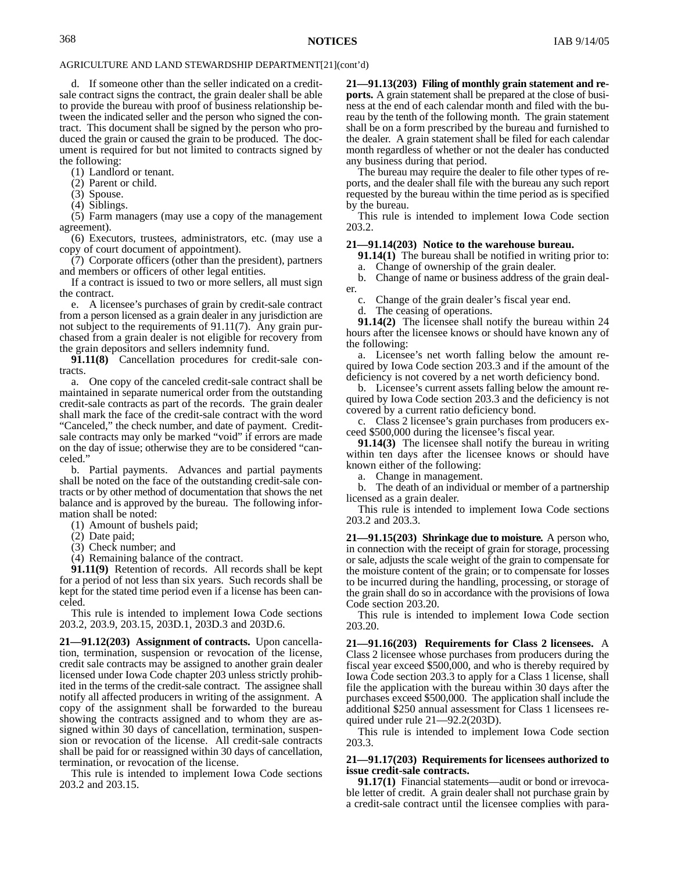d. If someone other than the seller indicated on a creditsale contract signs the contract, the grain dealer shall be able to provide the bureau with proof of business relationship between the indicated seller and the person who signed the contract. This document shall be signed by the person who produced the grain or caused the grain to be produced. The document is required for but not limited to contracts signed by the following:

(1) Landlord or tenant.

(2) Parent or child.

(3) Spouse.

(4) Siblings.

(5) Farm managers (may use a copy of the management agreement).

(6) Executors, trustees, administrators, etc. (may use a copy of court document of appointment).

(7) Corporate officers (other than the president), partners and members or officers of other legal entities.

If a contract is issued to two or more sellers, all must sign the contract.

e. A licensee's purchases of grain by credit-sale contract from a person licensed as a grain dealer in any jurisdiction are not subject to the requirements of 91.11(7). Any grain purchased from a grain dealer is not eligible for recovery from the grain depositors and sellers indemnity fund.

**91.11(8)** Cancellation procedures for credit-sale contracts.

a. One copy of the canceled credit-sale contract shall be maintained in separate numerical order from the outstanding credit-sale contracts as part of the records. The grain dealer shall mark the face of the credit-sale contract with the word "Canceled," the check number, and date of payment. Creditsale contracts may only be marked "void" if errors are made on the day of issue; otherwise they are to be considered "canceled."

b. Partial payments. Advances and partial payments shall be noted on the face of the outstanding credit-sale contracts or by other method of documentation that shows the net balance and is approved by the bureau. The following information shall be noted:

(1) Amount of bushels paid;

(2) Date paid;

(3) Check number; and

(4) Remaining balance of the contract.

**91.11(9)** Retention of records. All records shall be kept for a period of not less than six years. Such records shall be kept for the stated time period even if a license has been canceled.

This rule is intended to implement Iowa Code sections 203.2, 203.9, 203.15, 203D.1, 203D.3 and 203D.6.

**21—91.12(203) Assignment of contracts.** Upon cancellation, termination, suspension or revocation of the license, credit sale contracts may be assigned to another grain dealer licensed under Iowa Code chapter 203 unless strictly prohibited in the terms of the credit-sale contract. The assignee shall notify all affected producers in writing of the assignment. A copy of the assignment shall be forwarded to the bureau showing the contracts assigned and to whom they are assigned within 30 days of cancellation, termination, suspension or revocation of the license. All credit-sale contracts shall be paid for or reassigned within 30 days of cancellation, termination, or revocation of the license.

This rule is intended to implement Iowa Code sections 203.2 and 203.15.

**21—91.13(203) Filing of monthly grain statement and reports.** A grain statement shall be prepared at the close of business at the end of each calendar month and filed with the bureau by the tenth of the following month. The grain statement shall be on a form prescribed by the bureau and furnished to the dealer. A grain statement shall be filed for each calendar month regardless of whether or not the dealer has conducted any business during that period.

The bureau may require the dealer to file other types of reports, and the dealer shall file with the bureau any such report requested by the bureau within the time period as is specified by the bureau.

This rule is intended to implement Iowa Code section 203.2.

#### **21—91.14(203) Notice to the warehouse bureau.**

**91.14(1)** The bureau shall be notified in writing prior to: a. Change of ownership of the grain dealer.

b. Change of name or business address of the grain dealer.

c. Change of the grain dealer's fiscal year end.

d. The ceasing of operations.

**91.14(2)** The licensee shall notify the bureau within 24 hours after the licensee knows or should have known any of the following:

a. Licensee's net worth falling below the amount required by Iowa Code section 203.3 and if the amount of the deficiency is not covered by a net worth deficiency bond.

b. Licensee's current assets falling below the amount required by Iowa Code section 203.3 and the deficiency is not covered by a current ratio deficiency bond.

c. Class 2 licensee's grain purchases from producers exceed \$500,000 during the licensee's fiscal year.

**91.14(3)** The licensee shall notify the bureau in writing within ten days after the licensee knows or should have known either of the following:

a. Change in management.

b. The death of an individual or member of a partnership licensed as a grain dealer.

This rule is intended to implement Iowa Code sections 203.2 and 203.3.

**21—91.15(203) Shrinkage due to moisture.** A person who, in connection with the receipt of grain for storage, processing or sale, adjusts the scale weight of the grain to compensate for the moisture content of the grain; or to compensate for losses to be incurred during the handling, processing, or storage of the grain shall do so in accordance with the provisions of Iowa Code section 203.20.

This rule is intended to implement Iowa Code section 203.20.

**21—91.16(203) Requirements for Class 2 licensees.** A Class 2 licensee whose purchases from producers during the fiscal year exceed \$500,000, and who is thereby required by Iowa Code section 203.3 to apply for a Class 1 license, shall file the application with the bureau within 30 days after the purchases exceed \$500,000. The application shall include the additional \$250 annual assessment for Class 1 licensees required under rule 21—92.2(203D).

This rule is intended to implement Iowa Code section 203.3.

#### **21—91.17(203) Requirements for licensees authorized to issue credit-sale contracts.**

**91.17(1)** Financial statements—audit or bond or irrevocable letter of credit. A grain dealer shall not purchase grain by a credit-sale contract until the licensee complies with para-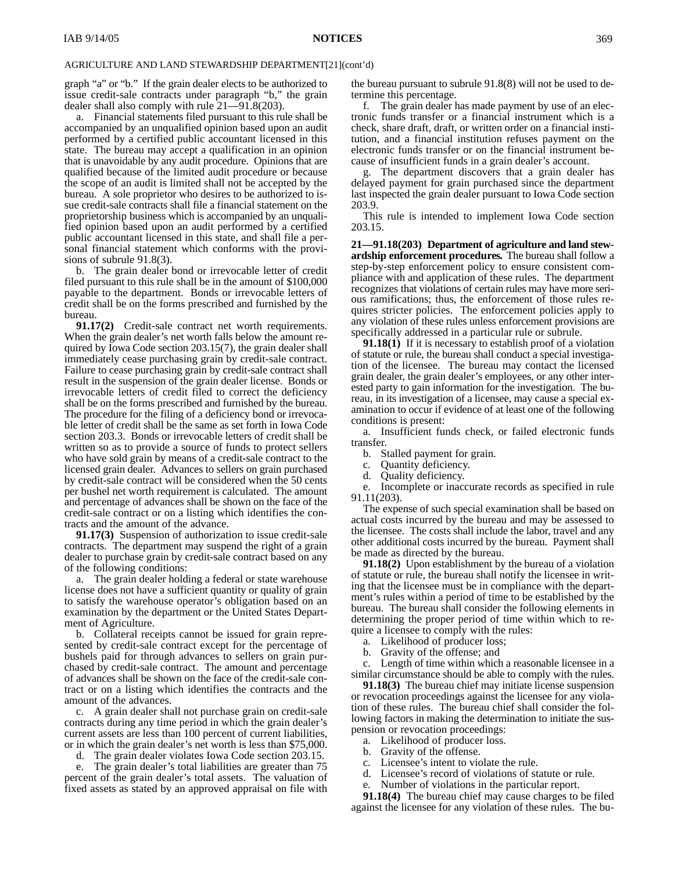graph "a" or "b." If the grain dealer elects to be authorized to issue credit-sale contracts under paragraph "b," the grain dealer shall also comply with rule 21—91.8(203).

a. Financial statements filed pursuant to this rule shall be accompanied by an unqualified opinion based upon an audit performed by a certified public accountant licensed in this state. The bureau may accept a qualification in an opinion that is unavoidable by any audit procedure. Opinions that are qualified because of the limited audit procedure or because the scope of an audit is limited shall not be accepted by the bureau. A sole proprietor who desires to be authorized to issue credit-sale contracts shall file a financial statement on the proprietorship business which is accompanied by an unqualified opinion based upon an audit performed by a certified public accountant licensed in this state, and shall file a personal financial statement which conforms with the provisions of subrule 91.8(3).

b. The grain dealer bond or irrevocable letter of credit filed pursuant to this rule shall be in the amount of \$100,000 payable to the department. Bonds or irrevocable letters of credit shall be on the forms prescribed and furnished by the bureau.

**91.17(2)** Credit-sale contract net worth requirements. When the grain dealer's net worth falls below the amount required by Iowa Code section 203.15(7), the grain dealer shall immediately cease purchasing grain by credit-sale contract. Failure to cease purchasing grain by credit-sale contract shall result in the suspension of the grain dealer license. Bonds or irrevocable letters of credit filed to correct the deficiency shall be on the forms prescribed and furnished by the bureau. The procedure for the filing of a deficiency bond or irrevocable letter of credit shall be the same as set forth in Iowa Code section 203.3. Bonds or irrevocable letters of credit shall be written so as to provide a source of funds to protect sellers who have sold grain by means of a credit-sale contract to the licensed grain dealer. Advances to sellers on grain purchased by credit-sale contract will be considered when the 50 cents per bushel net worth requirement is calculated. The amount and percentage of advances shall be shown on the face of the credit-sale contract or on a listing which identifies the contracts and the amount of the advance.

**91.17(3)** Suspension of authorization to issue credit-sale contracts. The department may suspend the right of a grain dealer to purchase grain by credit-sale contract based on any of the following conditions:

a. The grain dealer holding a federal or state warehouse license does not have a sufficient quantity or quality of grain to satisfy the warehouse operator's obligation based on an examination by the department or the United States Department of Agriculture.

b. Collateral receipts cannot be issued for grain represented by credit-sale contract except for the percentage of bushels paid for through advances to sellers on grain purchased by credit-sale contract. The amount and percentage of advances shall be shown on the face of the credit-sale contract or on a listing which identifies the contracts and the amount of the advances.

c. A grain dealer shall not purchase grain on credit-sale contracts during any time period in which the grain dealer's current assets are less than 100 percent of current liabilities, or in which the grain dealer's net worth is less than \$75,000.

d. The grain dealer violates Iowa Code section 203.15.

e. The grain dealer's total liabilities are greater than 75 percent of the grain dealer's total assets. The valuation of fixed assets as stated by an approved appraisal on file with

the bureau pursuant to subrule 91.8(8) will not be used to determine this percentage.

f. The grain dealer has made payment by use of an electronic funds transfer or a financial instrument which is a check, share draft, draft, or written order on a financial institution, and a financial institution refuses payment on the electronic funds transfer or on the financial instrument because of insufficient funds in a grain dealer's account.

g. The department discovers that a grain dealer has delayed payment for grain purchased since the department last inspected the grain dealer pursuant to Iowa Code section 203.9.

This rule is intended to implement Iowa Code section 203.15.

**21—91.18(203) Department of agriculture and land stewardship enforcement procedures.** The bureau shall follow a step-by-step enforcement policy to ensure consistent compliance with and application of these rules. The department recognizes that violations of certain rules may have more serious ramifications; thus, the enforcement of those rules requires stricter policies. The enforcement policies apply to any violation of these rules unless enforcement provisions are specifically addressed in a particular rule or subrule.

**91.18(1)** If it is necessary to establish proof of a violation of statute or rule, the bureau shall conduct a special investigation of the licensee. The bureau may contact the licensed grain dealer, the grain dealer's employees, or any other interested party to gain information for the investigation. The bureau, in its investigation of a licensee, may cause a special examination to occur if evidence of at least one of the following conditions is present:

a. Insufficient funds check, or failed electronic funds transfer.

- b. Stalled payment for grain.
- c. Quantity deficiency.<br>d. Quality deficiency.
- Quality deficiency.

e. Incomplete or inaccurate records as specified in rule 91.11(203).

The expense of such special examination shall be based on actual costs incurred by the bureau and may be assessed to the licensee. The costs shall include the labor, travel and any other additional costs incurred by the bureau. Payment shall be made as directed by the bureau.

**91.18(2)** Upon establishment by the bureau of a violation of statute or rule, the bureau shall notify the licensee in writing that the licensee must be in compliance with the department's rules within a period of time to be established by the bureau. The bureau shall consider the following elements in determining the proper period of time within which to require a licensee to comply with the rules:

- a. Likelihood of producer loss;
- b. Gravity of the offense; and

c. Length of time within which a reasonable licensee in a similar circumstance should be able to comply with the rules.

**91.18(3)** The bureau chief may initiate license suspension or revocation proceedings against the licensee for any violation of these rules. The bureau chief shall consider the following factors in making the determination to initiate the suspension or revocation proceedings:

- a. Likelihood of producer loss.
- b. Gravity of the offense.
- c. Licensee's intent to violate the rule.
- d. Licensee's record of violations of statute or rule.
	- Number of violations in the particular report.

**91.18(4)** The bureau chief may cause charges to be filed against the licensee for any violation of these rules. The bu-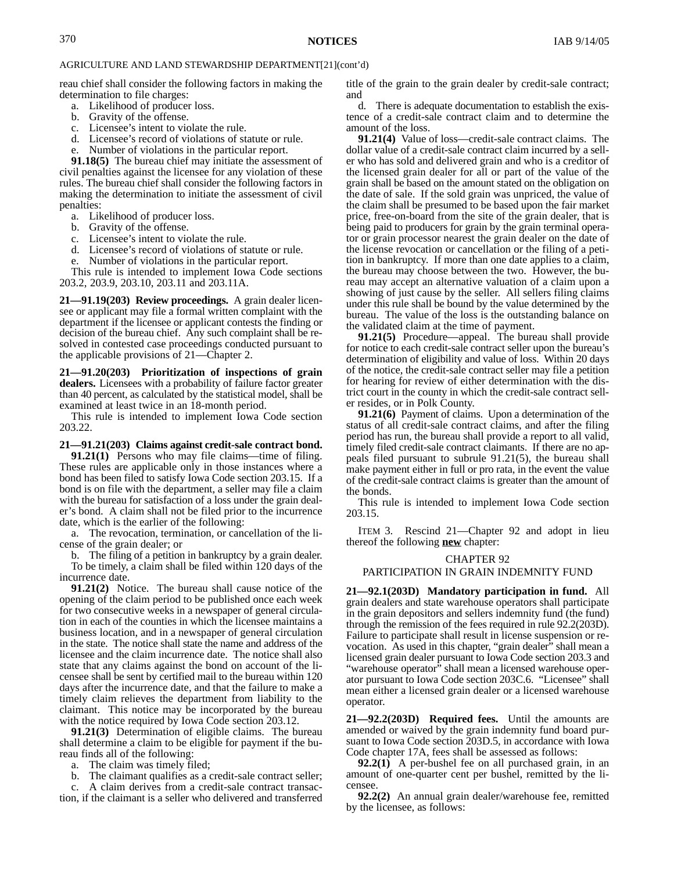reau chief shall consider the following factors in making the determination to file charges:

- a. Likelihood of producer loss.
- b. Gravity of the offense.
- c. Licensee's intent to violate the rule.
- d. Licensee's record of violations of statute or rule.
- Number of violations in the particular report.

**91.18(5)** The bureau chief may initiate the assessment of civil penalties against the licensee for any violation of these rules. The bureau chief shall consider the following factors in making the determination to initiate the assessment of civil penalties:

- a. Likelihood of producer loss.
- b. Gravity of the offense.
- c. Licensee's intent to violate the rule.

d. Licensee's record of violations of statute or rule.

e. Number of violations in the particular report.

This rule is intended to implement Iowa Code sections 203.2, 203.9, 203.10, 203.11 and 203.11A.

**21—91.19(203) Review proceedings.** A grain dealer licensee or applicant may file a formal written complaint with the department if the licensee or applicant contests the finding or decision of the bureau chief. Any such complaint shall be resolved in contested case proceedings conducted pursuant to the applicable provisions of 21—Chapter 2.

**21—91.20(203) Prioritization of inspections of grain dealers.** Licensees with a probability of failure factor greater than 40 percent, as calculated by the statistical model, shall be examined at least twice in an 18-month period.

This rule is intended to implement Iowa Code section 203.22.

#### **21—91.21(203) Claims against credit-sale contract bond.**

**91.21(1)** Persons who may file claims—time of filing. These rules are applicable only in those instances where a bond has been filed to satisfy Iowa Code section 203.15. If a bond is on file with the department, a seller may file a claim with the bureau for satisfaction of a loss under the grain dealer's bond. A claim shall not be filed prior to the incurrence date, which is the earlier of the following:

a. The revocation, termination, or cancellation of the license of the grain dealer; or

b. The filing of a petition in bankruptcy by a grain dealer. To be timely, a claim shall be filed within 120 days of the incurrence date.

**91.21(2)** Notice. The bureau shall cause notice of the opening of the claim period to be published once each week for two consecutive weeks in a newspaper of general circulation in each of the counties in which the licensee maintains a business location, and in a newspaper of general circulation in the state. The notice shall state the name and address of the licensee and the claim incurrence date. The notice shall also state that any claims against the bond on account of the licensee shall be sent by certified mail to the bureau within 120 days after the incurrence date, and that the failure to make a timely claim relieves the department from liability to the claimant. This notice may be incorporated by the bureau with the notice required by Iowa Code section 203.12.

**91.21(3)** Determination of eligible claims. The bureau shall determine a claim to be eligible for payment if the bureau finds all of the following:

a. The claim was timely filed;

b. The claimant qualifies as a credit-sale contract seller;

A claim derives from a credit-sale contract transaction, if the claimant is a seller who delivered and transferred title of the grain to the grain dealer by credit-sale contract; and

d. There is adequate documentation to establish the existence of a credit-sale contract claim and to determine the amount of the loss.

**91.21(4)** Value of loss—credit-sale contract claims. The dollar value of a credit-sale contract claim incurred by a seller who has sold and delivered grain and who is a creditor of the licensed grain dealer for all or part of the value of the grain shall be based on the amount stated on the obligation on the date of sale. If the sold grain was unpriced, the value of the claim shall be presumed to be based upon the fair market price, free-on-board from the site of the grain dealer, that is being paid to producers for grain by the grain terminal operator or grain processor nearest the grain dealer on the date of the license revocation or cancellation or the filing of a petition in bankruptcy. If more than one date applies to a claim, the bureau may choose between the two. However, the bureau may accept an alternative valuation of a claim upon a showing of just cause by the seller. All sellers filing claims under this rule shall be bound by the value determined by the bureau. The value of the loss is the outstanding balance on the validated claim at the time of payment.

**91.21(5)** Procedure—appeal. The bureau shall provide for notice to each credit-sale contract seller upon the bureau's determination of eligibility and value of loss. Within 20 days of the notice, the credit-sale contract seller may file a petition for hearing for review of either determination with the district court in the county in which the credit-sale contract seller resides, or in Polk County.

**91.21(6)** Payment of claims. Upon a determination of the status of all credit-sale contract claims, and after the filing period has run, the bureau shall provide a report to all valid, timely filed credit-sale contract claimants. If there are no appeals filed pursuant to subrule 91.21(5), the bureau shall make payment either in full or pro rata, in the event the value of the credit-sale contract claims is greater than the amount of the bonds.

This rule is intended to implement Iowa Code section 203.15.

ITEM 3. Rescind 21—Chapter 92 and adopt in lieu thereof the following **new** chapter:

#### CHAPTER 92

#### PARTICIPATION IN GRAIN INDEMNITY FUND

**21—92.1(203D) Mandatory participation in fund.** All grain dealers and state warehouse operators shall participate in the grain depositors and sellers indemnity fund (the fund) through the remission of the fees required in rule 92.2(203D). Failure to participate shall result in license suspension or revocation. As used in this chapter, "grain dealer" shall mean a licensed grain dealer pursuant to Iowa Code section 203.3 and "warehouse operator" shall mean a licensed warehouse operator pursuant to Iowa Code section 203C.6. "Licensee" shall mean either a licensed grain dealer or a licensed warehouse operator.

**21—92.2(203D) Required fees.** Until the amounts are amended or waived by the grain indemnity fund board pursuant to Iowa Code section 203D.5, in accordance with Iowa Code chapter 17A, fees shall be assessed as follows:

**92.2(1)** A per-bushel fee on all purchased grain, in an amount of one-quarter cent per bushel, remitted by the licensee.

**92.2(2)** An annual grain dealer/warehouse fee, remitted by the licensee, as follows: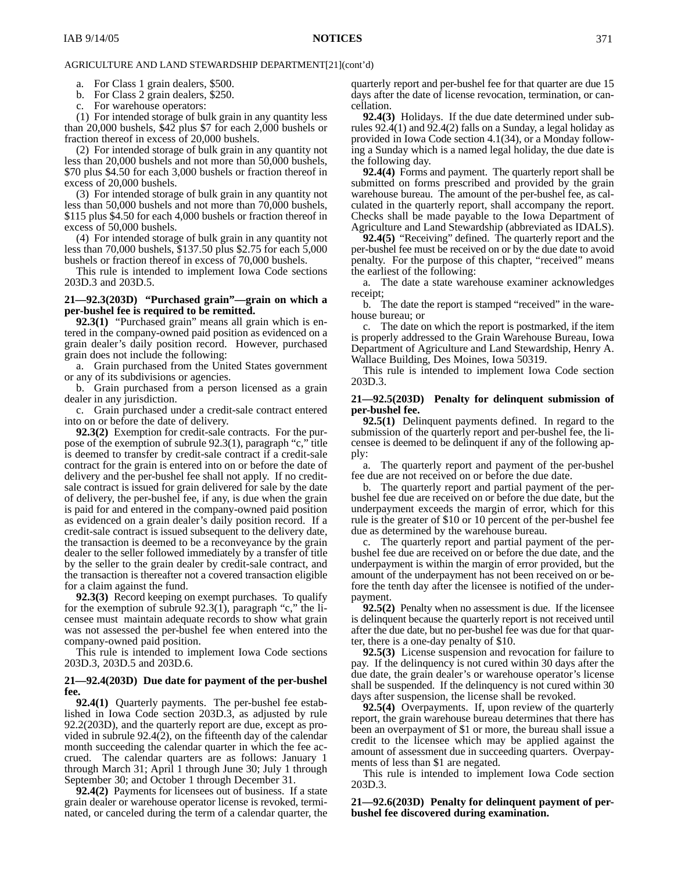a. For Class 1 grain dealers, \$500.

b. For Class 2 grain dealers, \$250.

c. For warehouse operators:

(1) For intended storage of bulk grain in any quantity less than 20,000 bushels, \$42 plus \$7 for each 2,000 bushels or fraction thereof in excess of 20,000 bushels.

(2) For intended storage of bulk grain in any quantity not less than 20,000 bushels and not more than 50,000 bushels, \$70 plus \$4.50 for each 3,000 bushels or fraction thereof in excess of 20,000 bushels.

(3) For intended storage of bulk grain in any quantity not less than 50,000 bushels and not more than 70,000 bushels, \$115 plus \$4.50 for each 4,000 bushels or fraction thereof in excess of 50,000 bushels.

(4) For intended storage of bulk grain in any quantity not less than 70,000 bushels, \$137.50 plus \$2.75 for each 5,000 bushels or fraction thereof in excess of 70,000 bushels.

This rule is intended to implement Iowa Code sections 203D.3 and 203D.5.

#### **21—92.3(203D) "Purchased grain"—grain on which a per-bushel fee is required to be remitted.**

**92.3(1)** "Purchased grain" means all grain which is entered in the company-owned paid position as evidenced on a grain dealer's daily position record. However, purchased grain does not include the following:

a. Grain purchased from the United States government or any of its subdivisions or agencies.

b. Grain purchased from a person licensed as a grain dealer in any jurisdiction.

c. Grain purchased under a credit-sale contract entered into on or before the date of delivery.

**92.3(2)** Exemption for credit-sale contracts. For the purpose of the exemption of subrule 92.3(1), paragraph "c," title is deemed to transfer by credit-sale contract if a credit-sale contract for the grain is entered into on or before the date of delivery and the per-bushel fee shall not apply. If no creditsale contract is issued for grain delivered for sale by the date of delivery, the per-bushel fee, if any, is due when the grain is paid for and entered in the company-owned paid position as evidenced on a grain dealer's daily position record. If a credit-sale contract is issued subsequent to the delivery date, the transaction is deemed to be a reconveyance by the grain dealer to the seller followed immediately by a transfer of title by the seller to the grain dealer by credit-sale contract, and the transaction is thereafter not a covered transaction eligible for a claim against the fund.

**92.3(3)** Record keeping on exempt purchases. To qualify for the exemption of subrule  $92.3(1)$ , paragraph "c," the licensee must maintain adequate records to show what grain was not assessed the per-bushel fee when entered into the company-owned paid position.

This rule is intended to implement Iowa Code sections 203D.3, 203D.5 and 203D.6.

#### **21—92.4(203D) Due date for payment of the per-bushel fee.**

**92.4(1)** Quarterly payments. The per-bushel fee established in Iowa Code section 203D.3, as adjusted by rule 92.2(203D), and the quarterly report are due, except as provided in subrule 92.4(2), on the fifteenth day of the calendar month succeeding the calendar quarter in which the fee accrued. The calendar quarters are as follows: January 1 through March 31; April 1 through June 30; July 1 through September 30; and October 1 through December 31.

**92.4(2)** Payments for licensees out of business. If a state grain dealer or warehouse operator license is revoked, terminated, or canceled during the term of a calendar quarter, the

quarterly report and per-bushel fee for that quarter are due 15 days after the date of license revocation, termination, or cancellation.

**92.4(3)** Holidays. If the due date determined under subrules 92.4(1) and 92.4(2) falls on a Sunday, a legal holiday as provided in Iowa Code section 4.1(34), or a Monday following a Sunday which is a named legal holiday, the due date is the following day.

**92.4(4)** Forms and payment. The quarterly report shall be submitted on forms prescribed and provided by the grain warehouse bureau. The amount of the per-bushel fee, as calculated in the quarterly report, shall accompany the report. Checks shall be made payable to the Iowa Department of Agriculture and Land Stewardship (abbreviated as IDALS).

**92.4(5)** "Receiving" defined. The quarterly report and the per-bushel fee must be received on or by the due date to avoid penalty. For the purpose of this chapter, "received" means the earliest of the following:

a. The date a state warehouse examiner acknowledges receipt;

b. The date the report is stamped "received" in the warehouse bureau; or

c. The date on which the report is postmarked, if the item is properly addressed to the Grain Warehouse Bureau, Iowa Department of Agriculture and Land Stewardship, Henry A. Wallace Building, Des Moines, Iowa 50319.

This rule is intended to implement Iowa Code section 203D.3.

#### **21—92.5(203D) Penalty for delinquent submission of per-bushel fee.**

**92.5(1)** Delinquent payments defined. In regard to the submission of the quarterly report and per-bushel fee, the licensee is deemed to be delinquent if any of the following apply:

a. The quarterly report and payment of the per-bushel fee due are not received on or before the due date.

b. The quarterly report and partial payment of the perbushel fee due are received on or before the due date, but the underpayment exceeds the margin of error, which for this rule is the greater of \$10 or 10 percent of the per-bushel fee due as determined by the warehouse bureau.

c. The quarterly report and partial payment of the perbushel fee due are received on or before the due date, and the underpayment is within the margin of error provided, but the amount of the underpayment has not been received on or before the tenth day after the licensee is notified of the underpayment.

**92.5(2)** Penalty when no assessment is due. If the licensee is delinquent because the quarterly report is not received until after the due date, but no per-bushel fee was due for that quarter, there is a one-day penalty of \$10.

**92.5(3)** License suspension and revocation for failure to pay. If the delinquency is not cured within 30 days after the due date, the grain dealer's or warehouse operator's license shall be suspended. If the delinquency is not cured within 30 days after suspension, the license shall be revoked.

**92.5(4)** Overpayments. If, upon review of the quarterly report, the grain warehouse bureau determines that there has been an overpayment of \$1 or more, the bureau shall issue a credit to the licensee which may be applied against the amount of assessment due in succeeding quarters. Overpayments of less than \$1 are negated.

This rule is intended to implement Iowa Code section 203D.3.

**21—92.6(203D) Penalty for delinquent payment of perbushel fee discovered during examination.**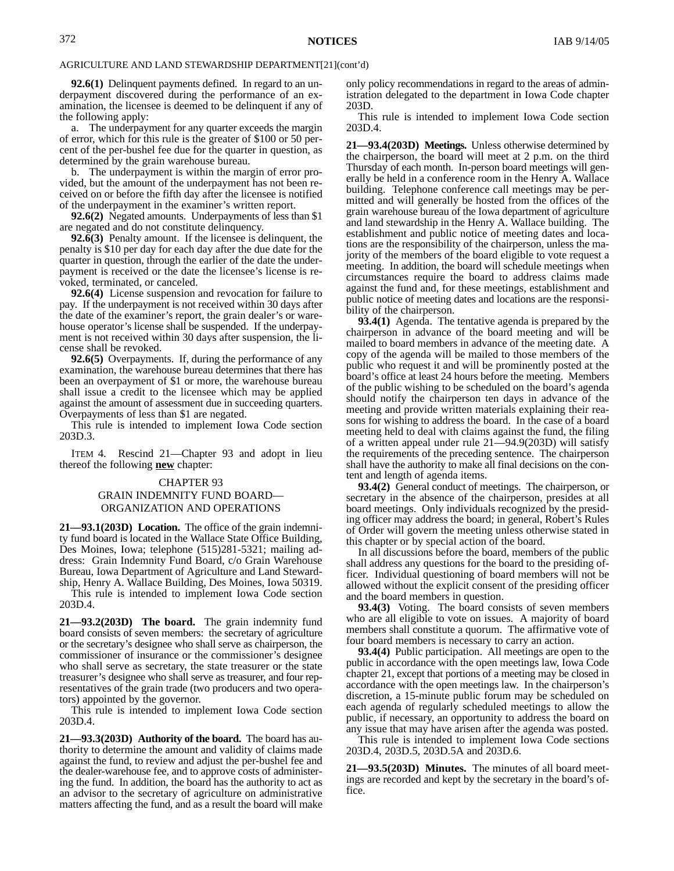**92.6(1)** Delinquent payments defined. In regard to an underpayment discovered during the performance of an examination, the licensee is deemed to be delinquent if any of the following apply:

a. The underpayment for any quarter exceeds the margin of error, which for this rule is the greater of \$100 or 50 percent of the per-bushel fee due for the quarter in question, as determined by the grain warehouse bureau.

b. The underpayment is within the margin of error provided, but the amount of the underpayment has not been received on or before the fifth day after the licensee is notified of the underpayment in the examiner's written report.

**92.6(2)** Negated amounts. Underpayments of less than \$1 are negated and do not constitute delinquency.

**92.6(3)** Penalty amount. If the licensee is delinquent, the penalty is \$10 per day for each day after the due date for the quarter in question, through the earlier of the date the underpayment is received or the date the licensee's license is revoked, terminated, or canceled.

**92.6(4)** License suspension and revocation for failure to pay. If the underpayment is not received within 30 days after the date of the examiner's report, the grain dealer's or warehouse operator's license shall be suspended. If the underpayment is not received within 30 days after suspension, the license shall be revoked.

**92.6(5)** Overpayments. If, during the performance of any examination, the warehouse bureau determines that there has been an overpayment of \$1 or more, the warehouse bureau shall issue a credit to the licensee which may be applied against the amount of assessment due in succeeding quarters. Overpayments of less than \$1 are negated.

This rule is intended to implement Iowa Code section 203D.3.

ITEM 4. Rescind 21—Chapter 93 and adopt in lieu thereof the following **new** chapter:

# CHAPTER 93 GRAIN INDEMNITY FUND BOARD— ORGANIZATION AND OPERATIONS

**21—93.1(203D) Location.** The office of the grain indemnity fund board is located in the Wallace State Office Building, Des Moines, Iowa; telephone (515)281-5321; mailing address: Grain Indemnity Fund Board, c/o Grain Warehouse Bureau, Iowa Department of Agriculture and Land Stewardship, Henry A. Wallace Building, Des Moines, Iowa 50319.

This rule is intended to implement Iowa Code section 203D.4.

**21—93.2(203D) The board.** The grain indemnity fund board consists of seven members: the secretary of agriculture or the secretary's designee who shall serve as chairperson, the commissioner of insurance or the commissioner's designee who shall serve as secretary, the state treasurer or the state treasurer's designee who shall serve as treasurer, and four representatives of the grain trade (two producers and two operators) appointed by the governor.

This rule is intended to implement Iowa Code section 203D.4.

**21—93.3(203D) Authority of the board.** The board has authority to determine the amount and validity of claims made against the fund, to review and adjust the per-bushel fee and the dealer-warehouse fee, and to approve costs of administering the fund. In addition, the board has the authority to act as an advisor to the secretary of agriculture on administrative matters affecting the fund, and as a result the board will make only policy recommendations in regard to the areas of administration delegated to the department in Iowa Code chapter 203D.

This rule is intended to implement Iowa Code section 203D.4.

**21—93.4(203D) Meetings.** Unless otherwise determined by the chairperson, the board will meet at 2 p.m. on the third Thursday of each month. In-person board meetings will generally be held in a conference room in the Henry A. Wallace building. Telephone conference call meetings may be permitted and will generally be hosted from the offices of the grain warehouse bureau of the Iowa department of agriculture and land stewardship in the Henry A. Wallace building. The establishment and public notice of meeting dates and locations are the responsibility of the chairperson, unless the majority of the members of the board eligible to vote request a meeting. In addition, the board will schedule meetings when circumstances require the board to address claims made against the fund and, for these meetings, establishment and public notice of meeting dates and locations are the responsibility of the chairperson.

**93.4(1)** Agenda. The tentative agenda is prepared by the chairperson in advance of the board meeting and will be mailed to board members in advance of the meeting date. A copy of the agenda will be mailed to those members of the public who request it and will be prominently posted at the board's office at least 24 hours before the meeting. Members of the public wishing to be scheduled on the board's agenda should notify the chairperson ten days in advance of the meeting and provide written materials explaining their reasons for wishing to address the board. In the case of a board meeting held to deal with claims against the fund, the filing of a written appeal under rule 21—94.9(203D) will satisfy the requirements of the preceding sentence. The chairperson shall have the authority to make all final decisions on the content and length of agenda items.

**93.4(2)** General conduct of meetings. The chairperson, or secretary in the absence of the chairperson, presides at all board meetings. Only individuals recognized by the presiding officer may address the board; in general, Robert's Rules of Order will govern the meeting unless otherwise stated in this chapter or by special action of the board.

In all discussions before the board, members of the public shall address any questions for the board to the presiding officer. Individual questioning of board members will not be allowed without the explicit consent of the presiding officer and the board members in question.

**93.4(3)** Voting. The board consists of seven members who are all eligible to vote on issues. A majority of board members shall constitute a quorum. The affirmative vote of four board members is necessary to carry an action.

**93.4(4)** Public participation. All meetings are open to the public in accordance with the open meetings law, Iowa Code chapter 21, except that portions of a meeting may be closed in accordance with the open meetings law. In the chairperson's discretion, a 15-minute public forum may be scheduled on each agenda of regularly scheduled meetings to allow the public, if necessary, an opportunity to address the board on any issue that may have arisen after the agenda was posted.

This rule is intended to implement Iowa Code sections 203D.4, 203D.5, 203D.5A and 203D.6.

**21—93.5(203D) Minutes.** The minutes of all board meetings are recorded and kept by the secretary in the board's office.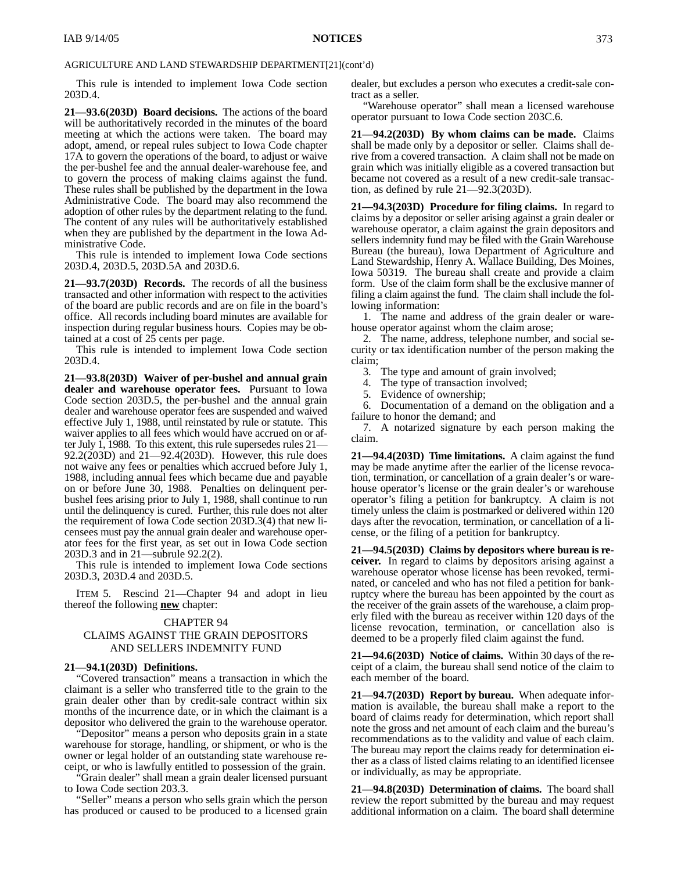#### AGRICULTURE AND LAND STEWARDSHIP DEPARTMENT[21](cont'd)

This rule is intended to implement Iowa Code section 203D.4.

**21—93.6(203D) Board decisions.** The actions of the board will be authoritatively recorded in the minutes of the board meeting at which the actions were taken. The board may adopt, amend, or repeal rules subject to Iowa Code chapter 17A to govern the operations of the board, to adjust or waive the per-bushel fee and the annual dealer-warehouse fee, and to govern the process of making claims against the fund. These rules shall be published by the department in the Iowa Administrative Code. The board may also recommend the adoption of other rules by the department relating to the fund. The content of any rules will be authoritatively established when they are published by the department in the Iowa Administrative Code.

This rule is intended to implement Iowa Code sections 203D.4, 203D.5, 203D.5A and 203D.6.

**21—93.7(203D) Records.** The records of all the business transacted and other information with respect to the activities of the board are public records and are on file in the board's office. All records including board minutes are available for inspection during regular business hours. Copies may be obtained at a cost of 25 cents per page.

This rule is intended to implement Iowa Code section 203D.4.

**21—93.8(203D) Waiver of per-bushel and annual grain dealer and warehouse operator fees.** Pursuant to Iowa Code section 203D.5, the per-bushel and the annual grain dealer and warehouse operator fees are suspended and waived effective July 1, 1988, until reinstated by rule or statute. This waiver applies to all fees which would have accrued on or after July 1, 1988. To this extent, this rule supersedes rules 21— 92.2(203D) and 21—92.4(203D). However, this rule does not waive any fees or penalties which accrued before July 1, 1988, including annual fees which became due and payable on or before June 30, 1988. Penalties on delinquent perbushel fees arising prior to July 1, 1988, shall continue to run until the delinquency is cured. Further, this rule does not alter the requirement of Iowa Code section 203D.3(4) that new licensees must pay the annual grain dealer and warehouse operator fees for the first year, as set out in Iowa Code section 203D.3 and in 21—subrule 92.2(2).

This rule is intended to implement Iowa Code sections 203D.3, 203D.4 and 203D.5.

ITEM 5. Rescind 21—Chapter 94 and adopt in lieu thereof the following **new** chapter:

#### CHAPTER 94

## CLAIMS AGAINST THE GRAIN DEPOSITORS AND SELLERS INDEMNITY FUND

#### **21—94.1(203D) Definitions.**

"Covered transaction" means a transaction in which the claimant is a seller who transferred title to the grain to the grain dealer other than by credit-sale contract within six months of the incurrence date, or in which the claimant is a depositor who delivered the grain to the warehouse operator.

"Depositor" means a person who deposits grain in a state warehouse for storage, handling, or shipment, or who is the owner or legal holder of an outstanding state warehouse receipt, or who is lawfully entitled to possession of the grain.

"Grain dealer" shall mean a grain dealer licensed pursuant to Iowa Code section 203.3.

"Seller" means a person who sells grain which the person has produced or caused to be produced to a licensed grain dealer, but excludes a person who executes a credit-sale contract as a seller.

"Warehouse operator" shall mean a licensed warehouse operator pursuant to Iowa Code section 203C.6.

**21—94.2(203D) By whom claims can be made.** Claims shall be made only by a depositor or seller. Claims shall derive from a covered transaction. A claim shall not be made on grain which was initially eligible as a covered transaction but became not covered as a result of a new credit-sale transaction, as defined by rule 21—92.3(203D).

**21—94.3(203D) Procedure for filing claims.** In regard to claims by a depositor or seller arising against a grain dealer or warehouse operator, a claim against the grain depositors and sellers indemnity fund may be filed with the Grain Warehouse Bureau (the bureau), Iowa Department of Agriculture and Land Stewardship, Henry A. Wallace Building, Des Moines, Iowa 50319. The bureau shall create and provide a claim form. Use of the claim form shall be the exclusive manner of filing a claim against the fund. The claim shall include the following information:

1. The name and address of the grain dealer or warehouse operator against whom the claim arose;

2. The name, address, telephone number, and social security or tax identification number of the person making the claim;

- 3. The type and amount of grain involved;<br>4. The type of transaction involved;<br>5. Evidence of ownership;
- The type of transaction involved;
- Evidence of ownership;

6. Documentation of a demand on the obligation and a failure to honor the demand; and

7. A notarized signature by each person making the claim.

**21—94.4(203D) Time limitations.** A claim against the fund may be made anytime after the earlier of the license revocation, termination, or cancellation of a grain dealer's or warehouse operator's license or the grain dealer's or warehouse operator's filing a petition for bankruptcy. A claim is not timely unless the claim is postmarked or delivered within 120 days after the revocation, termination, or cancellation of a license, or the filing of a petition for bankruptcy.

**21—94.5(203D) Claims by depositors where bureau is receiver.** In regard to claims by depositors arising against a warehouse operator whose license has been revoked, terminated, or canceled and who has not filed a petition for bankruptcy where the bureau has been appointed by the court as the receiver of the grain assets of the warehouse, a claim properly filed with the bureau as receiver within 120 days of the license revocation, termination, or cancellation also is deemed to be a properly filed claim against the fund.

**21—94.6(203D) Notice of claims.** Within 30 days of the receipt of a claim, the bureau shall send notice of the claim to each member of the board.

**21—94.7(203D) Report by bureau.** When adequate information is available, the bureau shall make a report to the board of claims ready for determination, which report shall note the gross and net amount of each claim and the bureau's recommendations as to the validity and value of each claim. The bureau may report the claims ready for determination either as a class of listed claims relating to an identified licensee or individually, as may be appropriate.

**21—94.8(203D) Determination of claims.** The board shall review the report submitted by the bureau and may request additional information on a claim. The board shall determine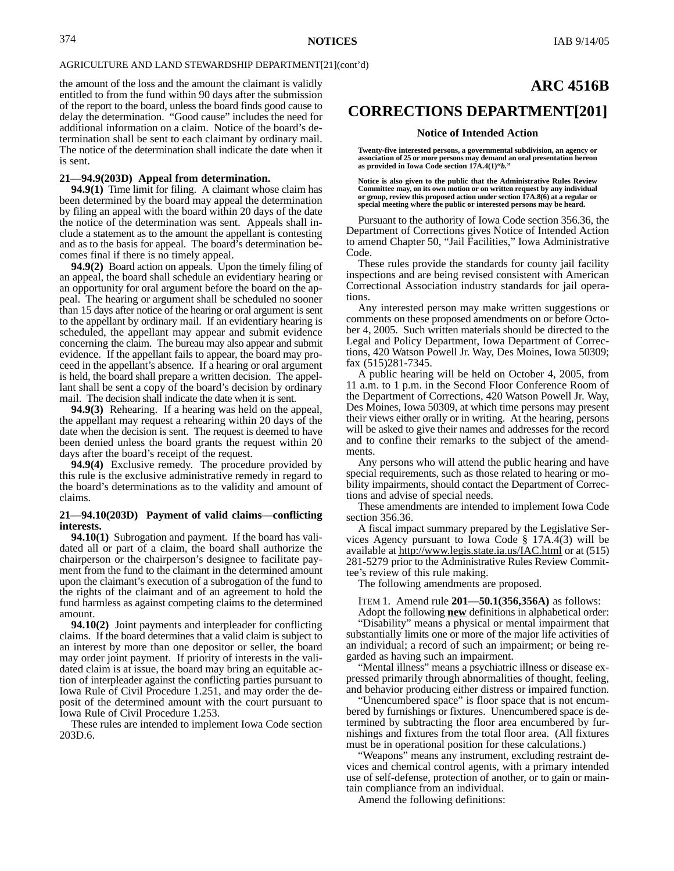#### AGRICULTURE AND LAND STEWARDSHIP DEPARTMENT[21](cont'd)

the amount of the loss and the amount the claimant is validly entitled to from the fund within 90 days after the submission of the report to the board, unless the board finds good cause to delay the determination. "Good cause" includes the need for additional information on a claim. Notice of the board's determination shall be sent to each claimant by ordinary mail. The notice of the determination shall indicate the date when it is sent.

#### **21—94.9(203D) Appeal from determination.**

**94.9(1)** Time limit for filing. A claimant whose claim has been determined by the board may appeal the determination by filing an appeal with the board within 20 days of the date the notice of the determination was sent. Appeals shall include a statement as to the amount the appellant is contesting and as to the basis for appeal. The board's determination becomes final if there is no timely appeal.

**94.9(2)** Board action on appeals. Upon the timely filing of an appeal, the board shall schedule an evidentiary hearing or an opportunity for oral argument before the board on the appeal. The hearing or argument shall be scheduled no sooner than 15 days after notice of the hearing or oral argument is sent to the appellant by ordinary mail. If an evidentiary hearing is scheduled, the appellant may appear and submit evidence concerning the claim. The bureau may also appear and submit evidence. If the appellant fails to appear, the board may proceed in the appellant's absence. If a hearing or oral argument is held, the board shall prepare a written decision. The appellant shall be sent a copy of the board's decision by ordinary mail. The decision shall indicate the date when it is sent.

**94.9(3)** Rehearing. If a hearing was held on the appeal, the appellant may request a rehearing within 20 days of the date when the decision is sent. The request is deemed to have been denied unless the board grants the request within 20 days after the board's receipt of the request.

**94.9(4)** Exclusive remedy. The procedure provided by this rule is the exclusive administrative remedy in regard to the board's determinations as to the validity and amount of claims.

#### **21—94.10(203D) Payment of valid claims—conflicting interests.**

**94.10(1)** Subrogation and payment. If the board has validated all or part of a claim, the board shall authorize the chairperson or the chairperson's designee to facilitate payment from the fund to the claimant in the determined amount upon the claimant's execution of a subrogation of the fund to the rights of the claimant and of an agreement to hold the fund harmless as against competing claims to the determined amount.

**94.10(2)** Joint payments and interpleader for conflicting claims. If the board determines that a valid claim is subject to an interest by more than one depositor or seller, the board may order joint payment. If priority of interests in the validated claim is at issue, the board may bring an equitable action of interpleader against the conflicting parties pursuant to Iowa Rule of Civil Procedure 1.251, and may order the deposit of the determined amount with the court pursuant to Iowa Rule of Civil Procedure 1.253.

These rules are intended to implement Iowa Code section 203D.6.

# **ARC 4516B**

## **CORRECTIONS DEPARTMENT[201]**

#### **Notice of Intended Action**

**Twenty-five interested persons, a governmental subdivision, an agency or association of 25 or more persons may demand an oral presentation hereon as provided in Iowa Code section 17A.4(1)"***b.***"**

**Notice is also given to the public that the Administrative Rules Review Committee may, on its own motion or on written request by any individual or group, review this proposed action under section 17A.8(6) at a regular or special meeting where the public or interested persons may be heard.**

Pursuant to the authority of Iowa Code section 356.36, the Department of Corrections gives Notice of Intended Action to amend Chapter 50, "Jail Facilities," Iowa Administrative Code.

These rules provide the standards for county jail facility inspections and are being revised consistent with American Correctional Association industry standards for jail operations.

Any interested person may make written suggestions or comments on these proposed amendments on or before October 4, 2005. Such written materials should be directed to the Legal and Policy Department, Iowa Department of Corrections, 420 Watson Powell Jr. Way, Des Moines, Iowa 50309; fax (515)281-7345.

A public hearing will be held on October 4, 2005, from 11 a.m. to 1 p.m. in the Second Floor Conference Room of the Department of Corrections, 420 Watson Powell Jr. Way, Des Moines, Iowa 50309, at which time persons may present their views either orally or in writing. At the hearing, persons will be asked to give their names and addresses for the record and to confine their remarks to the subject of the amendments.

Any persons who will attend the public hearing and have special requirements, such as those related to hearing or mobility impairments, should contact the Department of Corrections and advise of special needs.

These amendments are intended to implement Iowa Code section 356.36.

A fiscal impact summary prepared by the Legislative Services Agency pursuant to Iowa Code § 17A.4(3) will be available at http://www.legis.state.ia.us/IAC.html or at (515) 281-5279 prior to the Administrative Rules Review Committee's review of this rule making.

The following amendments are proposed.

ITEM 1. Amend rule **201—50.1(356,356A)** as follows:

Adopt the following **new** definitions in alphabetical order: "Disability" means a physical or mental impairment that substantially limits one or more of the major life activities of an individual; a record of such an impairment; or being regarded as having such an impairment.

"Mental illness" means a psychiatric illness or disease expressed primarily through abnormalities of thought, feeling, and behavior producing either distress or impaired function.

"Unencumbered space" is floor space that is not encumbered by furnishings or fixtures. Unencumbered space is determined by subtracting the floor area encumbered by furnishings and fixtures from the total floor area. (All fixtures must be in operational position for these calculations.)

"Weapons" means any instrument, excluding restraint devices and chemical control agents, with a primary intended use of self-defense, protection of another, or to gain or maintain compliance from an individual.

Amend the following definitions: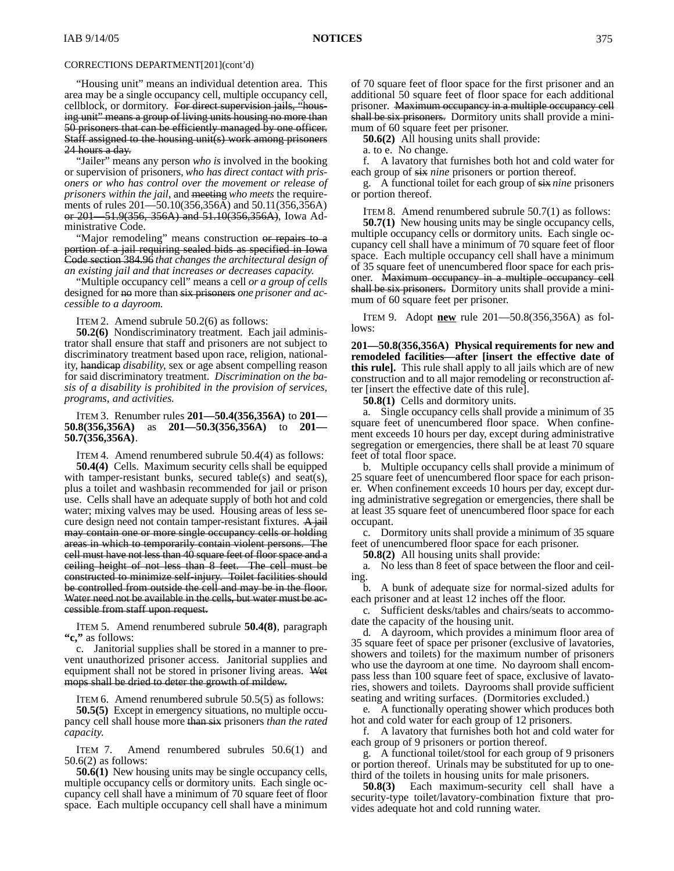"Housing unit" means an individual detention area. This area may be a single occupancy cell, multiple occupancy cell, cellblock, or dormitory. For direct supervision jails, "housing unit" means a group of living units housing no more than 50 prisoners that can be efficiently managed by one officer. Staff assigned to the housing unit(s) work among prisoners 24 hours a day.

"Jailer" means any person *who is* involved in the booking or supervision of prisoners*, who has direct contact with prisoners or who has control over the movement or release of prisoners within the jail,* and meeting *who meets* the requirements of rules 201—50.10(356,356A) and 50.11(356,356A) or 201—51.9(356, 356A) and 51.10(356,356A), Iowa Administrative Code.

"Major remodeling" means construction or repairs to a portion of a jail requiring sealed bids as specified in Iowa Code section 384.96 *that changes the architectural design of an existing jail and that increases or decreases capacity*.

"Multiple occupancy cell" means a cell *or a group of cells* designed for no more than six prisoners *one prisoner and accessible to a dayroom.*

ITEM 2. Amend subrule 50.2(6) as follows:

**50.2(6)** Nondiscriminatory treatment. Each jail administrator shall ensure that staff and prisoners are not subject to discriminatory treatment based upon race, religion, nationality, handicap *disability*, sex or age absent compelling reason for said discriminatory treatment. *Discrimination on the basis of a disability is prohibited in the provision of services, programs, and activities.*

ITEM 3. Renumber rules **201—50.4(356,356A)** to **201— 50.8(356,356A)** as **201—50.3(356,356A)** to **201— 50.7(356,356A)**.

ITEM 4. Amend renumbered subrule 50.4(4) as follows: **50.4(4)** Cells. Maximum security cells shall be equipped with tamper-resistant bunks, secured table(s) and seat(s), plus a toilet and washbasin recommended for jail or prison use. Cells shall have an adequate supply of both hot and cold water; mixing valves may be used. Housing areas of less secure design need not contain tamper-resistant fixtures. A jail may contain one or more single occupancy cells or holding areas in which to temporarily contain violent persons. The cell must have not less than 40 square feet of floor space and a ceiling height of not less than 8 feet. The cell must be constructed to minimize self-injury. Toilet facilities should be controlled from outside the cell and may be in the floor. Water need not be available in the cells, but water must be accessible from staff upon request.

ITEM 5. Amend renumbered subrule **50.4(8)**, paragraph **"c,"** as follows:

c. Janitorial supplies shall be stored in a manner to prevent unauthorized prisoner access. Janitorial supplies and equipment shall not be stored in prisoner living areas. Wet mops shall be dried to deter the growth of mildew.

ITEM 6. Amend renumbered subrule 50.5(5) as follows:

**50.5(5)** Except in emergency situations, no multiple occupancy cell shall house more than six prisoners *than the rated capacity*.

ITEM 7. Amend renumbered subrules 50.6(1) and 50.6(2) as follows:

**50.6(1)** New housing units may be single occupancy cells, multiple occupancy cells or dormitory units. Each single occupancy cell shall have a minimum of 70 square feet of floor space. Each multiple occupancy cell shall have a minimum of 70 square feet of floor space for the first prisoner and an additional 50 square feet of floor space for each additional prisoner. Maximum occupancy in a multiple occupancy cell shall be six prisoners. Dormitory units shall provide a minimum of 60 square feet per prisoner.

**50.6(2)** All housing units shall provide:

a. to e. No change.

f. A lavatory that furnishes both hot and cold water for each group of six *nine* prisoners or portion thereof.

g. A functional toilet for each group of six *nine* prisoners or portion thereof.

ITEM 8. Amend renumbered subrule 50.7(1) as follows:

**50.7(1)** New housing units may be single occupancy cells, multiple occupancy cells or dormitory units. Each single occupancy cell shall have a minimum of 70 square feet of floor space. Each multiple occupancy cell shall have a minimum of 35 square feet of unencumbered floor space for each prisoner. Maximum occupancy in a multiple occupancy cell shall be six prisoners. Dormitory units shall provide a minimum of 60 square feet per prisoner.

ITEM 9. Adopt **new** rule 201—50.8(356,356A) as follows:

**201—50.8(356,356A) Physical requirements for new and remodeled facilities—after [insert the effective date of this rule].** This rule shall apply to all jails which are of new construction and to all major remodeling or reconstruction after [insert the effective date of this rule].

**50.8(1)** Cells and dormitory units.

a. Single occupancy cells shall provide a minimum of 35 square feet of unencumbered floor space. When confinement exceeds 10 hours per day, except during administrative segregation or emergencies, there shall be at least 70 square feet of total floor space.

b. Multiple occupancy cells shall provide a minimum of 25 square feet of unencumbered floor space for each prisoner. When confinement exceeds 10 hours per day, except during administrative segregation or emergencies, there shall be at least 35 square feet of unencumbered floor space for each occupant.

c. Dormitory units shall provide a minimum of 35 square feet of unencumbered floor space for each prisoner.

**50.8(2)** All housing units shall provide:

a*.* No less than 8 feet of space between the floor and ceiling.

b*.* A bunk of adequate size for normal-sized adults for each prisoner and at least 12 inches off the floor.

c*.* Sufficient desks/tables and chairs/seats to accommodate the capacity of the housing unit.

d*.* A dayroom, which provides a minimum floor area of 35 square feet of space per prisoner (exclusive of lavatories, showers and toilets) for the maximum number of prisoners who use the dayroom at one time. No dayroom shall encompass less than 100 square feet of space, exclusive of lavatories, showers and toilets. Dayrooms shall provide sufficient seating and writing surfaces. (Dormitories excluded.)

e*.* A functionally operating shower which produces both hot and cold water for each group of 12 prisoners.

f. A lavatory that furnishes both hot and cold water for each group of 9 prisoners or portion thereof.

g. A functional toilet/stool for each group of 9 prisoners or portion thereof. Urinals may be substituted for up to onethird of the toilets in housing units for male prisoners.

**50.8(3)** Each maximum-security cell shall have a security-type toilet/lavatory-combination fixture that provides adequate hot and cold running water.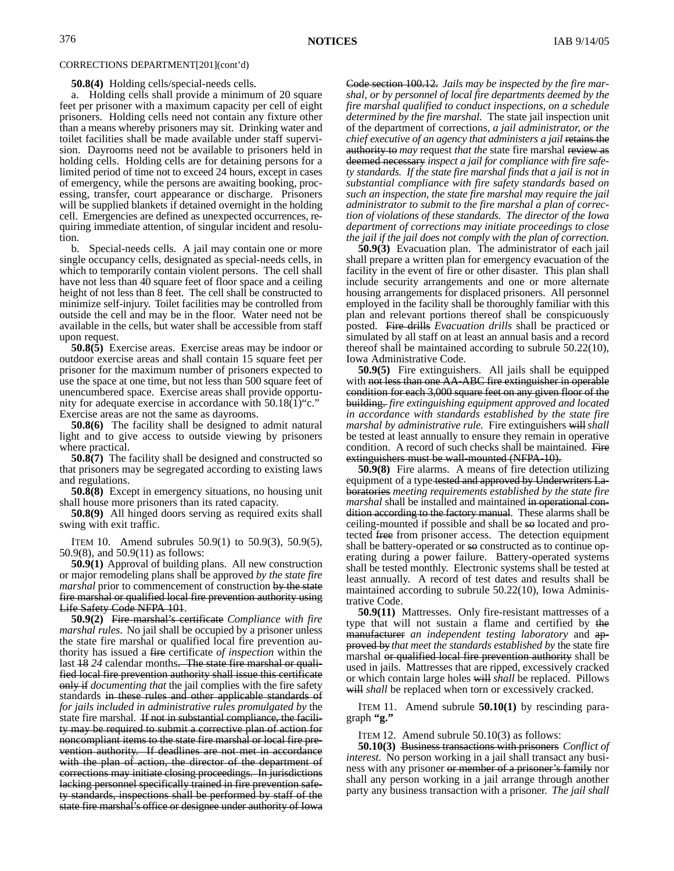**50.8(4)** Holding cells/special-needs cells.

a. Holding cells shall provide a minimum of 20 square feet per prisoner with a maximum capacity per cell of eight prisoners. Holding cells need not contain any fixture other than a means whereby prisoners may sit. Drinking water and toilet facilities shall be made available under staff supervision. Dayrooms need not be available to prisoners held in holding cells. Holding cells are for detaining persons for a limited period of time not to exceed 24 hours, except in cases of emergency, while the persons are awaiting booking, processing, transfer, court appearance or discharge. Prisoners will be supplied blankets if detained overnight in the holding cell. Emergencies are defined as unexpected occurrences, requiring immediate attention, of singular incident and resolution.

b. Special-needs cells. A jail may contain one or more single occupancy cells, designated as special-needs cells, in which to temporarily contain violent persons. The cell shall have not less than 40 square feet of floor space and a ceiling height of not less than 8 feet. The cell shall be constructed to minimize self-injury. Toilet facilities may be controlled from outside the cell and may be in the floor. Water need not be available in the cells, but water shall be accessible from staff upon request.

**50.8(5)** Exercise areas. Exercise areas may be indoor or outdoor exercise areas and shall contain 15 square feet per prisoner for the maximum number of prisoners expected to use the space at one time, but not less than 500 square feet of unencumbered space. Exercise areas shall provide opportunity for adequate exercise in accordance with 50.18(1)"c." Exercise areas are not the same as dayrooms.

**50.8(6)** The facility shall be designed to admit natural light and to give access to outside viewing by prisoners where practical.

**50.8(7)** The facility shall be designed and constructed so that prisoners may be segregated according to existing laws and regulations.

**50.8(8)** Except in emergency situations, no housing unit shall house more prisoners than its rated capacity.

**50.8(9)** All hinged doors serving as required exits shall swing with exit traffic.

ITEM 10. Amend subrules 50.9(1) to 50.9(3), 50.9(5), 50.9(8), and 50.9(11) as follows:

**50.9(1)** Approval of building plans. All new construction or major remodeling plans shall be approved *by the state fire marshal* prior to commencement of construction by the state fire marshal or qualified local fire prevention authority using Life Safety Code NFPA 101.

**50.9(2)** Fire marshal's certificate *Compliance with fire marshal rules*.No jail shall be occupied by a prisoner unless the state fire marshal or qualified local fire prevention authority has issued a fire certificate *of inspection* within the last 18 *24* calendar months. The state fire marshal or qualified local fire prevention authority shall issue this certificate only if *documenting that* the jail complies with the fire safety standards in these rules and other applicable standards of *for jails included in administrative rules promulgated by* the state fire marshal. If not in substantial compliance, the facility may be required to submit a corrective plan of action for noncompliant items to the state fire marshal or local fire prevention authority. If deadlines are not met in accordance with the plan of action, the director of the department of corrections may initiate closing proceedings. In jurisdictions lacking personnel specifically trained in fire prevention safety standards, inspections shall be performed by staff of the state fire marshal's office or designee under authority of Iowa

Code section 100.12. *Jails may be inspected by the fire marshal, or by personnel of local fire departments deemed by the fire marshal qualified to conduct inspections, on a schedule determined by the fire marshal.* The state jail inspection unit of the department of corrections, *a jail administrator, or the chief executive of an agency that administers a jail* retains the authority to *may* request *that the* state fire marshal review as deemed necessary *inspect a jail for compliance with fire safety standards. If the state fire marshal finds that a jail is not in substantial compliance with fire safety standards based on such an inspection, the state fire marshal may require the jail administrator to submit to the fire marshal a plan of correction of violations of these standards. The director of the Iowa department of corrections may initiate proceedings to close the jail if the jail does not comply with the plan of correction.*

**50.9(3)** Evacuation plan. The administrator of each jail shall prepare a written plan for emergency evacuation of the facility in the event of fire or other disaster. This plan shall include security arrangements and one or more alternate housing arrangements for displaced prisoners. All personnel employed in the facility shall be thoroughly familiar with this plan and relevant portions thereof shall be conspicuously posted. Fire drills *Evacuation drills* shall be practiced or simulated by all staff on at least an annual basis and a record thereof shall be maintained according to subrule 50.22(10), Iowa Administrative Code.

**50.9(5)** Fire extinguishers. All jails shall be equipped with not less than one AA-ABC fire extinguisher in operable condition for each 3,000 square feet on any given floor of the building. *fire extinguishing equipment approved and located in accordance with standards established by the state fire marshal by administrative rule.* Fire extinguishers will*shall* be tested at least annually to ensure they remain in operative condition. A record of such checks shall be maintained. Fire extinguishers must be wall-mounted (NFPA-10).

**50.9(8)** Fire alarms. A means of fire detection utilizing equipment of a type tested and approved by Underwriters Laboratories *meeting requirements established by the state fire marshal* shall be installed and maintained in operational condition according to the factory manual. These alarms shall be ceiling-mounted if possible and shall be so located and protected free from prisoner access. The detection equipment shall be battery-operated or so constructed as to continue operating during a power failure. Battery-operated systems shall be tested monthly. Electronic systems shall be tested at least annually. A record of test dates and results shall be maintained according to subrule 50.22(10), Iowa Administrative Code.

**50.9(11)** Mattresses. Only fire-resistant mattresses of a type that will not sustain a flame and certified by the manufacturer *an independent testing laboratory* and approved by *that meet the standards established by* the state fire marshal or qualified local fire prevention authority shall be used in jails. Mattresses that are ripped, excessively cracked or which contain large holes will *shall* be replaced. Pillows will *shall* be replaced when torn or excessively cracked.

ITEM 11. Amend subrule **50.10(1)** by rescinding paragraph **"g."**

ITEM 12. Amend subrule 50.10(3) as follows:

**50.10(3)** Business transactions with prisoners *Conflict of interest.* No person working in a jail shall transact any business with any prisoner or member of a prisoner's family nor shall any person working in a jail arrange through another party any business transaction with a prisoner. *The jail shall*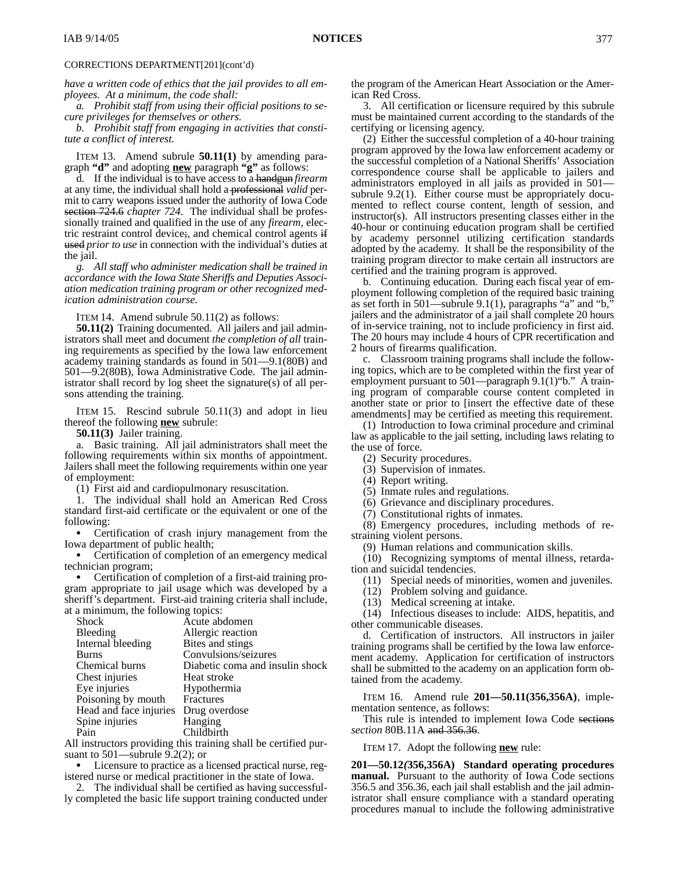*have a written code of ethics that the jail provides to all employees. At a minimum, the code shall:*

*a. Prohibit staff from using their official positions to secure privileges for themselves or others.*

*b. Prohibit staff from engaging in activities that constitute a conflict of interest.*

ITEM 13. Amend subrule **50.11(1)** by amending paragraph **"d"** and adopting **new** paragraph **"g"** as follows:

d. If the individual is to have access to a handgun *firearm* at any time, the individual shall hold a professional *valid* permit to carry weapons issued under the authority of Iowa Code section 724.6 *chapter 724*. The individual shall be professionally trained and qualified in the use of any *firearm,* electric restraint control device;*,* and chemical control agents if used *prior to use* in connection with the individual's duties at the jail.

*g. All staff who administer medication shall be trained in accordance with the Iowa State Sheriffs and Deputies Association medication training program or other recognized medication administration course.*

ITEM 14. Amend subrule 50.11(2) as follows:

**50.11(2)** Training documented. All jailers and jail administrators shall meet and document *the completion of all* training requirements as specified by the Iowa law enforcement academy training standards as found in 501—9.1(80B) and 501—9.2(80B), Iowa Administrative Code. The jail administrator shall record by log sheet the signature(s) of all persons attending the training.

ITEM 15. Rescind subrule 50.11(3) and adopt in lieu thereof the following **new** subrule:

**50.11(3)** Jailer training.

a. Basic training. All jail administrators shall meet the following requirements within six months of appointment. Jailers shall meet the following requirements within one year of employment:

(1) First aid and cardiopulmonary resuscitation.

1. The individual shall hold an American Red Cross standard first-aid certificate or the equivalent or one of the following:

 Certification of crash injury management from the Iowa department of public health;

 Certification of completion of an emergency medical technician program;

 Certification of completion of a first-aid training program appropriate to jail usage which was developed by a sheriff's department. First-aid training criteria shall include, at a minimum, the following topics:

| <b>Shock</b>           | Acute abdomen                   |
|------------------------|---------------------------------|
| Bleeding               | Allergic reaction               |
| Internal bleeding      | Bites and stings                |
| Burns                  | Convulsions/seizures            |
| Chemical burns         | Diabetic coma and insulin shock |
| Chest injuries         | Heat stroke                     |
| Eye injuries           | Hypothermia                     |
| Poisoning by mouth     | Fractures                       |
| Head and face injuries | Drug overdose                   |
| Spine injuries         | Hanging                         |
| Pain                   | Childbirth                      |
|                        |                                 |

All instructors providing this training shall be certified pursuant to 501—subrule 9.2(2); or

 Licensure to practice as a licensed practical nurse, registered nurse or medical practitioner in the state of Iowa.

2. The individual shall be certified as having successfully completed the basic life support training conducted under the program of the American Heart Association or the American Red Cross.

3. All certification or licensure required by this subrule must be maintained current according to the standards of the certifying or licensing agency.

(2) Either the successful completion of a 40-hour training program approved by the Iowa law enforcement academy or the successful completion of a National Sheriffs' Association correspondence course shall be applicable to jailers and administrators employed in all jails as provided in 501 subrule 9.2(1). Either course must be appropriately documented to reflect course content, length of session, and instructor(s). All instructors presenting classes either in the 40-hour or continuing education program shall be certified by academy personnel utilizing certification standards adopted by the academy. It shall be the responsibility of the training program director to make certain all instructors are certified and the training program is approved.

b. Continuing education. During each fiscal year of employment following completion of the required basic training as set forth in  $501$ —subrule  $9.1(1)$ , paragraphs "a" and "b," jailers and the administrator of a jail shall complete 20 hours of in-service training, not to include proficiency in first aid. The 20 hours may include 4 hours of CPR recertification and 2 hours of firearms qualification.

c. Classroom training programs shall include the following topics, which are to be completed within the first year of employment pursuant to 501—paragraph 9.1(1)"b." A training program of comparable course content completed in another state or prior to [insert the effective date of these amendments] may be certified as meeting this requirement.

(1) Introduction to Iowa criminal procedure and criminal law as applicable to the jail setting, including laws relating to the use of force.

- (2) Security procedures.
- (3) Supervision of inmates.
- (4) Report writing.
- (5) Inmate rules and regulations.
- (6) Grievance and disciplinary procedures.
- (7) Constitutional rights of inmates.

(8) Emergency procedures, including methods of restraining violent persons.

(9) Human relations and communication skills.

(10) Recognizing symptoms of mental illness, retardation and suicidal tendencies.

(11) Special needs of minorities, women and juveniles.

(12) Problem solving and guidance.

(13) Medical screening at intake.

(14) Infectious diseases to include: AIDS, hepatitis, and other communicable diseases.

d. Certification of instructors. All instructors in jailer training programs shall be certified by the Iowa law enforcement academy. Application for certification of instructors shall be submitted to the academy on an application form obtained from the academy.

ITEM 16. Amend rule **201—50.11(356,356A)**, implementation sentence, as follows:

This rule is intended to implement Iowa Code sections *section* 80B.11A and 356.36.

ITEM 17. Adopt the following **new** rule:

**201—50.12***(***356,356A) Standard operating procedures manual.** Pursuant to the authority of Iowa Code sections 356.5 and 356.36, each jail shall establish and the jail administrator shall ensure compliance with a standard operating procedures manual to include the following administrative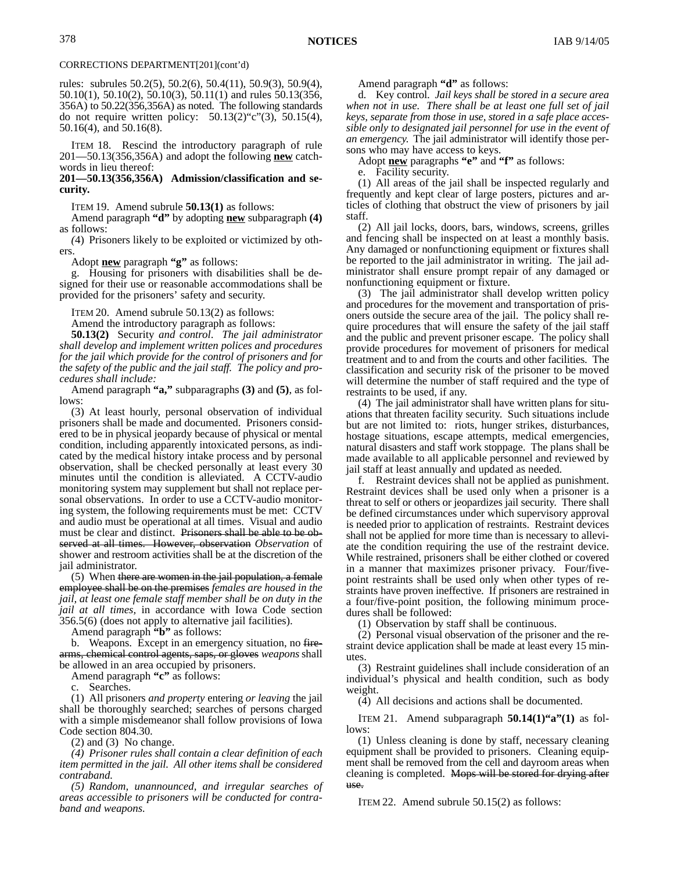rules: subrules 50.2(5), 50.2(6), 50.4(11), 50.9(3), 50.9(4), 50.10(1), 50.10(2), 50.10(3), 50.11(1) and rules 50.13(356, 356A) to 50.22(356,356A) as noted. The following standards do not require written policy:  $50.13(2)$ "c" $(3)$ ,  $50.15(4)$ , 50.16(4), and 50.16(8).

ITEM 18. Rescind the introductory paragraph of rule 201—50.13(356,356A) and adopt the following **new** catchwords in lieu thereof:

### **201—50.13(356,356A) Admission/classification and security.**

ITEM 19. Amend subrule **50.13(1)** as follows:

Amend paragraph **"d"** by adopting **new** subparagraph **(4)** as follows:

*(*4) Prisoners likely to be exploited or victimized by others.

Adopt **new** paragraph **"g"** as follows:

g. Housing for prisoners with disabilities shall be designed for their use or reasonable accommodations shall be provided for the prisoners' safety and security.

ITEM 20. Amend subrule 50.13(2) as follows:

Amend the introductory paragraph as follows:

**50.13(2)** Security *and control*. *The jail administrator shall develop and implement written polices and procedures for the jail which provide for the control of prisoners and for the safety of the public and the jail staff. The policy and procedures shall include:*

Amend paragraph **"a,"** subparagraphs **(3)** and **(5)**, as follows:

(3) At least hourly, personal observation of individual prisoners shall be made and documented. Prisoners considered to be in physical jeopardy because of physical or mental condition, including apparently intoxicated persons, as indicated by the medical history intake process and by personal observation, shall be checked personally at least every 30 minutes until the condition is alleviated. A CCTV-audio monitoring system may supplement but shall not replace personal observations. In order to use a CCTV-audio monitoring system, the following requirements must be met: CCTV and audio must be operational at all times. Visual and audio must be clear and distinct. Prisoners shall be able to be observed at all times. However, observation *Observation* of shower and restroom activities shall be at the discretion of the jail administrator.

(5) When there are women in the jail population, a female employee shall be on the premises *females are housed in the jail, at least one female staff member shall be on duty in the jail at all times,* in accordance with Iowa Code section 356.5(6) (does not apply to alternative jail facilities).

Amend paragraph **"b"** as follows:

b. Weapons. Except in an emergency situation, no firearms, chemical control agents, saps, or gloves *weapons* shall be allowed in an area occupied by prisoners.

Amend paragraph **"c"** as follows:

Searches.

(1) All prisoners *and property* entering *or leaving* the jail shall be thoroughly searched; searches of persons charged with a simple misdemeanor shall follow provisions of Iowa Code section 804.30.

(2) and (3) No change.

*(4) Prisoner rules shall contain a clear definition of each item permitted in the jail. All other items shall be considered contraband.*

*(5) Random, unannounced, and irregular searches of areas accessible to prisoners will be conducted for contraband and weapons.*

Amend paragraph **"d"** as follows:

d. Key control. *Jail keys shall be stored in a secure area when not in use. There shall be at least one full set of jail keys, separate from those in use, stored in a safe place accessible only to designated jail personnel for use in the event of an emergency.* The jail administrator will identify those persons who may have access to keys.

Adopt **new** paragraphs **"e"** and **"f"** as follows:

e. Facility security.

(1) All areas of the jail shall be inspected regularly and frequently and kept clear of large posters, pictures and articles of clothing that obstruct the view of prisoners by jail staff.

(2) All jail locks, doors, bars, windows, screens, grilles and fencing shall be inspected on at least a monthly basis. Any damaged or nonfunctioning equipment or fixtures shall be reported to the jail administrator in writing. The jail administrator shall ensure prompt repair of any damaged or nonfunctioning equipment or fixture.

(3) The jail administrator shall develop written policy and procedures for the movement and transportation of prisoners outside the secure area of the jail. The policy shall require procedures that will ensure the safety of the jail staff and the public and prevent prisoner escape. The policy shall provide procedures for movement of prisoners for medical treatment and to and from the courts and other facilities. The classification and security risk of the prisoner to be moved will determine the number of staff required and the type of restraints to be used, if any.

(4) The jail administrator shall have written plans for situations that threaten facility security. Such situations include but are not limited to: riots, hunger strikes, disturbances, hostage situations, escape attempts, medical emergencies, natural disasters and staff work stoppage. The plans shall be made available to all applicable personnel and reviewed by jail staff at least annually and updated as needed.

f. Restraint devices shall not be applied as punishment. Restraint devices shall be used only when a prisoner is a threat to self or others or jeopardizes jail security. There shall be defined circumstances under which supervisory approval is needed prior to application of restraints. Restraint devices shall not be applied for more time than is necessary to alleviate the condition requiring the use of the restraint device. While restrained, prisoners shall be either clothed or covered in a manner that maximizes prisoner privacy. Four/fivepoint restraints shall be used only when other types of restraints have proven ineffective. If prisoners are restrained in a four/five-point position, the following minimum procedures shall be followed:

(1) Observation by staff shall be continuous.

(2) Personal visual observation of the prisoner and the restraint device application shall be made at least every 15 minutes.

(3) Restraint guidelines shall include consideration of an individual's physical and health condition, such as body weight.

(4) All decisions and actions shall be documented.

ITEM 21. Amend subparagraph **50.14(1)"a"(1)** as follows:

(1) Unless cleaning is done by staff, necessary cleaning equipment shall be provided to prisoners. Cleaning equipment shall be removed from the cell and dayroom areas when cleaning is completed. Mops will be stored for drying after use.

ITEM 22. Amend subrule 50.15(2) as follows: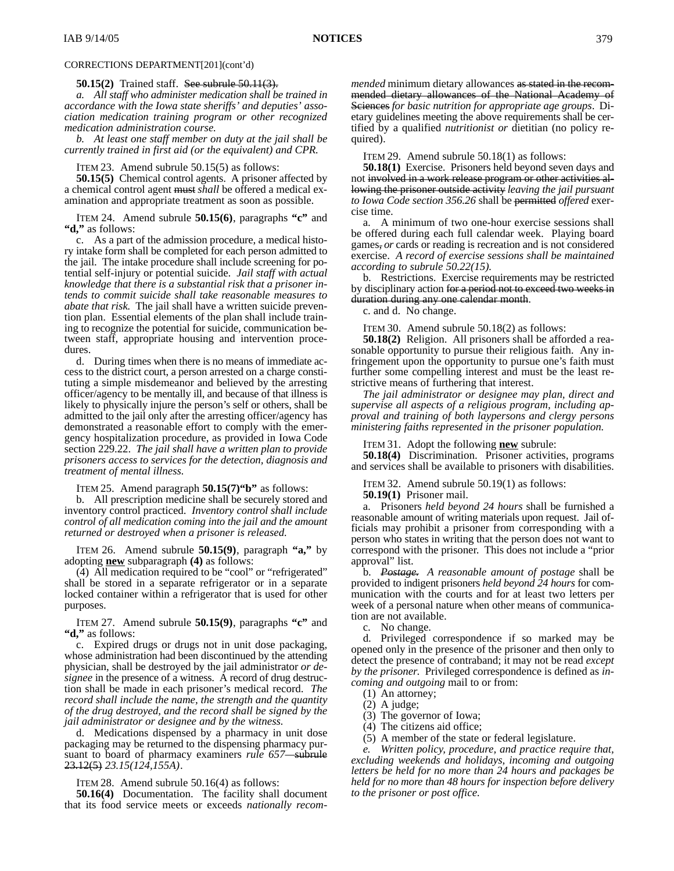#### **50.15(2)** Trained staff. See subrule 50.11(3).

*a. All staff who administer medication shall be trained in accordance with the Iowa state sheriffs' and deputies' association medication training program or other recognized medication administration course.*

*b. At least one staff member on duty at the jail shall be currently trained in first aid (or the equivalent) and CPR.*

ITEM 23. Amend subrule 50.15(5) as follows:

**50.15(5)** Chemical control agents. A prisoner affected by a chemical control agent must *shall* be offered a medical examination and appropriate treatment as soon as possible.

ITEM 24. Amend subrule **50.15(6)**, paragraphs **"c"** and **"d,"** as follows:

c. As a part of the admission procedure, a medical history intake form shall be completed for each person admitted to the jail. The intake procedure shall include screening for potential self-injury or potential suicide. *Jail staff with actual knowledge that there is a substantial risk that a prisoner intends to commit suicide shall take reasonable measures to abate that risk.* The jail shall have a written suicide prevention plan. Essential elements of the plan shall include training to recognize the potential for suicide, communication between staff, appropriate housing and intervention procedures.

d. During times when there is no means of immediate access to the district court, a person arrested on a charge constituting a simple misdemeanor and believed by the arresting officer/agency to be mentally ill, and because of that illness is likely to physically injure the person's self or others, shall be admitted to the jail only after the arresting officer/agency has demonstrated a reasonable effort to comply with the emergency hospitalization procedure, as provided in Iowa Code section 229.22. *The jail shall have a written plan to provide prisoners access to services for the detection, diagnosis and treatment of mental illness.*

ITEM 25. Amend paragraph **50.15(7)"b"** as follows:

b. All prescription medicine shall be securely stored and inventory control practiced. *Inventory control shall include control of all medication coming into the jail and the amount returned or destroyed when a prisoner is released.*

ITEM 26. Amend subrule **50.15(9)**, paragraph **"a,"** by adopting **new** subparagraph **(4)** as follows:

(4) All medication required to be "cool" or "refrigerated" shall be stored in a separate refrigerator or in a separate locked container within a refrigerator that is used for other purposes.

ITEM 27. Amend subrule **50.15(9)**, paragraphs **"c"** and **"d,"** as follows:

c. Expired drugs or drugs not in unit dose packaging, whose administration had been discontinued by the attending physician, shall be destroyed by the jail administrator *or designee* in the presence of a witness. A record of drug destruction shall be made in each prisoner's medical record. *The record shall include the name, the strength and the quantity of the drug destroyed, and the record shall be signed by the jail administrator or designee and by the witness.*

d. Medications dispensed by a pharmacy in unit dose packaging may be returned to the dispensing pharmacy pursuant to board of pharmacy examiners *rule 657—*subrule 23.12(5) *23.15(124,155A)*.

ITEM 28. Amend subrule 50.16(4) as follows:

**50.16(4)** Documentation. The facility shall document that its food service meets or exceeds *nationally recom-* *mended* minimum dietary allowances as stated in the recommended dietary allowances of the National Academy of Sciences *for basic nutrition for appropriate age groups*.Dietary guidelines meeting the above requirements shall be certified by a qualified *nutritionist or* dietitian (no policy required).

ITEM 29. Amend subrule 50.18(1) as follows:

**50.18(1)** Exercise. Prisoners held beyond seven days and not involved in a work release program or other activities allowing the prisoner outside activity *leaving the jail pursuant to Iowa Code section 356.26* shall be permitted *offered* exercise time.

a. A minimum of two one-hour exercise sessions shall be offered during each full calendar week. Playing board games, *or* cards or reading is recreation and is not considered exercise. *A record of exercise sessions shall be maintained according to subrule 50.22(15).*

b. Restrictions. Exercise requirements may be restricted by disciplinary action for a period not to exceed two weeks in duration during any one calendar month.

c. and d. No change.

ITEM 30. Amend subrule 50.18(2) as follows:

**50.18(2)** Religion. All prisoners shall be afforded a reasonable opportunity to pursue their religious faith. Any infringement upon the opportunity to pursue one's faith must further some compelling interest and must be the least restrictive means of furthering that interest.

*The jail administrator or designee may plan, direct and supervise all aspects of a religious program, including approval and training of both laypersons and clergy persons ministering faiths represented in the prisoner population.*

ITEM 31. Adopt the following **new** subrule:

**50.18(4)** Discrimination. Prisoner activities, programs and services shall be available to prisoners with disabilities.

ITEM 32. Amend subrule 50.19(1) as follows:

**50.19(1)** Prisoner mail.

a. Prisoners *held beyond 24 hours* shall be furnished a reasonable amount of writing materials upon request. Jail officials may prohibit a prisoner from corresponding with a person who states in writing that the person does not want to correspond with the prisoner. This does not include a "prior approval" list.

b. *Postage. A reasonable amount of postage* shall be provided to indigent prisoners *held beyond 24 hours* for communication with the courts and for at least two letters per week of a personal nature when other means of communication are not available.

c. No change.

d. Privileged correspondence if so marked may be opened only in the presence of the prisoner and then only to detect the presence of contraband; it may not be read *except by the prisoner*. Privileged correspondence is defined as *incoming and outgoing* mail to or from:

(1) An attorney;

- (2) A judge;
- (3) The governor of Iowa;
- (4) The citizens aid office;
- (5) A member of the state or federal legislature.

*e. Written policy, procedure, and practice require that, excluding weekends and holidays, incoming and outgoing letters be held for no more than 24 hours and packages be held for no more than 48 hours for inspection before delivery to the prisoner or post office.*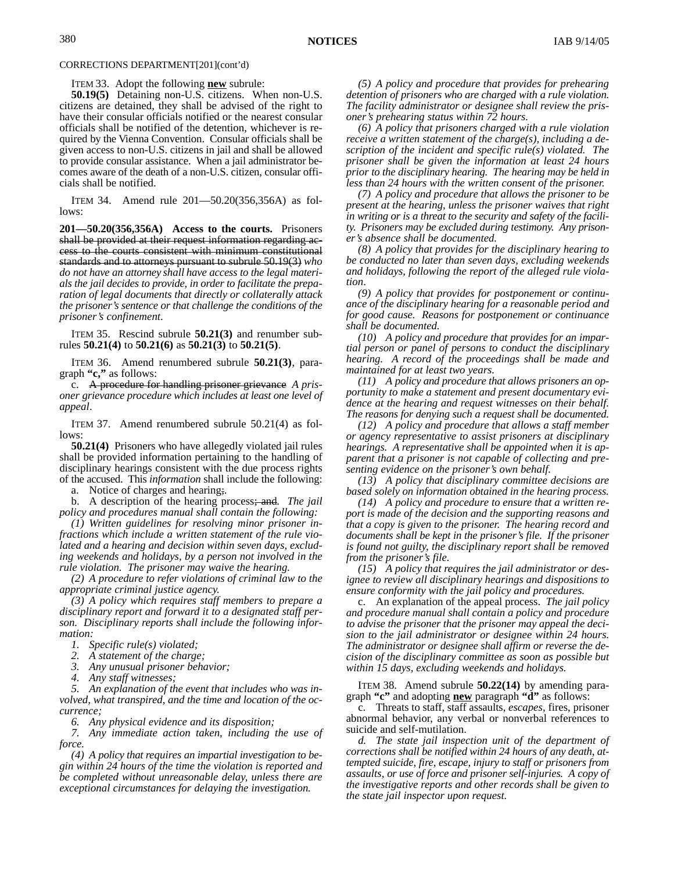ITEM 33. Adopt the following **new** subrule:

**50.19(5)** Detaining non-U.S. citizens. When non-U.S. citizens are detained, they shall be advised of the right to have their consular officials notified or the nearest consular officials shall be notified of the detention, whichever is required by the Vienna Convention. Consular officials shall be given access to non-U.S. citizens in jail and shall be allowed to provide consular assistance. When a jail administrator becomes aware of the death of a non-U.S. citizen, consular officials shall be notified.

ITEM 34. Amend rule 201—50.20(356,356A) as follows:

**201—50.20(356,356A) Access to the courts.** Prisoners shall be provided at their request information regarding access to the courts consistent with minimum constitutional standards and to attorneys pursuant to subrule 50.19(3) *who do not have an attorney shall have access to the legal materials the jail decides to provide, in order to facilitate the preparation of legal documents that directly or collaterally attack the prisoner's sentence or that challenge the conditions of the prisoner's confinement*.

ITEM 35. Rescind subrule **50.21(3)** and renumber subrules **50.21(4)** to **50.21(6)** as **50.21(3)** to **50.21(5)**.

ITEM 36. Amend renumbered subrule **50.21(3)**, paragraph **"c,"** as follows:

c. A procedure for handling prisoner grievance *A prisoner grievance procedure which includes at least one level of appeal*.

ITEM 37. Amend renumbered subrule 50.21(4) as follows:

**50.21(4)** Prisoners who have allegedly violated jail rules shall be provided information pertaining to the handling of disciplinary hearings consistent with the due process rights of the accused. This *information* shall include the following:

a. Notice of charges and hearing;*.*

b. A description of the hearing process; and*. The jail policy and procedures manual shall contain the following:*

*(1) Written guidelines for resolving minor prisoner infractions which include a written statement of the rule violated and a hearing and decision within seven days, excluding weekends and holidays, by a person not involved in the rule violation. The prisoner may waive the hearing.*

*(2) A procedure to refer violations of criminal law to the appropriate criminal justice agency.*

*(3) A policy which requires staff members to prepare a disciplinary report and forward it to a designated staff person. Disciplinary reports shall include the following information:*

*1. Specific rule(s) violated;*

*2. A statement of the charge;*

*3. Any unusual prisoner behavior;*

*4. Any staff witnesses;*

*5. An explanation of the event that includes who was involved, what transpired, and the time and location of the occurrence;*

*6. Any physical evidence and its disposition;*

*7. Any immediate action taken, including the use of force.*

*(4) A policy that requires an impartial investigation to begin within 24 hours of the time the violation is reported and be completed without unreasonable delay, unless there are exceptional circumstances for delaying the investigation.*

*(5) A policy and procedure that provides for prehearing detention of prisoners who are charged with a rule violation. The facility administrator or designee shall review the prisoner's prehearing status within 72 hours.*

*(6) A policy that prisoners charged with a rule violation receive a written statement of the charge(s), including a description of the incident and specific rule(s) violated. The prisoner shall be given the information at least 24 hours prior to the disciplinary hearing. The hearing may be held in less than 24 hours with the written consent of the prisoner.*

*(7) A policy and procedure that allows the prisoner to be present at the hearing, unless the prisoner waives that right in writing or is a threat to the security and safety of the facility. Prisoners may be excluded during testimony. Any prisoner's absence shall be documented.*

*(8) A policy that provides for the disciplinary hearing to be conducted no later than seven days, excluding weekends and holidays, following the report of the alleged rule violation*.

*(9) A policy that provides for postponement or continuance of the disciplinary hearing for a reasonable period and for good cause. Reasons for postponement or continuance shall be documented.*

*(10) A policy and procedure that provides for an impartial person or panel of persons to conduct the disciplinary hearing. A record of the proceedings shall be made and maintained for at least two years.*

*(11) A policy and procedure that allows prisoners an opportunity to make a statement and present documentary evidence at the hearing and request witnesses on their behalf. The reasons for denying such a request shall be documented.*

*(12) A policy and procedure that allows a staff member or agency representative to assist prisoners at disciplinary hearings. A representative shall be appointed when it is apparent that a prisoner is not capable of collecting and presenting evidence on the prisoner's own behalf.*

*(13) A policy that disciplinary committee decisions are based solely on information obtained in the hearing process.*

*(14) A policy and procedure to ensure that a written report is made of the decision and the supporting reasons and that a copy is given to the prisoner. The hearing record and documents shall be kept in the prisoner's file. If the prisoner is found not guilty, the disciplinary report shall be removed from the prisoner's file.*

*(15) A policy that requires the jail administrator or designee to review all disciplinary hearings and dispositions to ensure conformity with the jail policy and procedures.*

c. An explanation of the appeal process. *The jail policy and procedure manual shall contain a policy and procedure to advise the prisoner that the prisoner may appeal the decision to the jail administrator or designee within 24 hours. The administrator or designee shall affirm or reverse the decision of the disciplinary committee as soon as possible but within 15 days, excluding weekends and holidays.*

ITEM 38. Amend subrule **50.22(14)** by amending paragraph **"c"** and adopting **new** paragraph **"d"** as follows:

c. Threats to staff, staff assaults, *escapes,* fires, prisoner abnormal behavior, any verbal or nonverbal references to suicide and self-mutilation.

*d. The state jail inspection unit of the department of corrections shall be notified within 24 hours of any death, attempted suicide, fire, escape, injury to staff or prisoners from assaults, or use of force and prisoner self-injuries. A copy of the investigative reports and other records shall be given to the state jail inspector upon request.*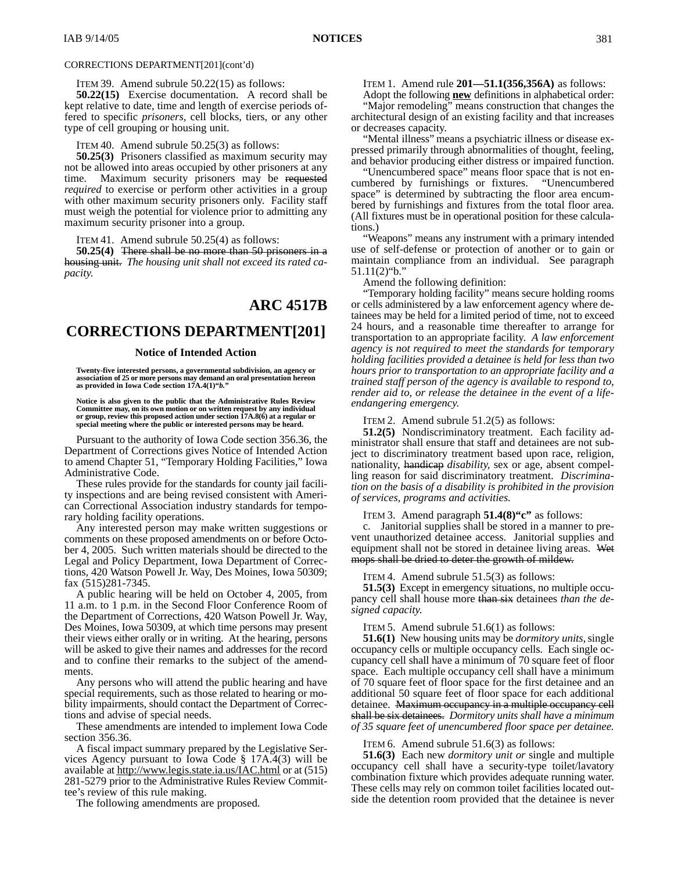#### ITEM 39. Amend subrule 50.22(15) as follows:

**50.22(15)** Exercise documentation. A record shall be kept relative to date, time and length of exercise periods offered to specific *prisoners,* cell blocks, tiers, or any other type of cell grouping or housing unit.

#### ITEM 40. Amend subrule 50.25(3) as follows:

**50.25(3)** Prisoners classified as maximum security may not be allowed into areas occupied by other prisoners at any time. Maximum security prisoners may be requested *required* to exercise or perform other activities in a group with other maximum security prisoners only. Facility staff must weigh the potential for violence prior to admitting any maximum security prisoner into a group.

ITEM 41. Amend subrule 50.25(4) as follows:

**50.25(4)** There shall be no more than 50 prisoners in a housing unit. *The housing unit shall not exceed its rated capacity.*

## **ARC 4517B**

# **CORRECTIONS DEPARTMENT[201]**

#### **Notice of Intended Action**

**Twenty-five interested persons, a governmental subdivision, an agency or association of 25 or more persons may demand an oral presentation hereon as provided in Iowa Code section 17A.4(1)"***b.***"**

**Notice is also given to the public that the Administrative Rules Review** Committee may, on its own motion or on written request by any individual<br>or group, review this proposed action under section 17A.8(6) at a regular or<br>special meeting where the public or interested persons may be heard.

Pursuant to the authority of Iowa Code section 356.36, the Department of Corrections gives Notice of Intended Action to amend Chapter 51, "Temporary Holding Facilities," Iowa Administrative Code.

These rules provide for the standards for county jail facility inspections and are being revised consistent with American Correctional Association industry standards for temporary holding facility operations.

Any interested person may make written suggestions or comments on these proposed amendments on or before October 4, 2005. Such written materials should be directed to the Legal and Policy Department, Iowa Department of Corrections, 420 Watson Powell Jr. Way, Des Moines, Iowa 50309; fax (515)281-7345.

A public hearing will be held on October 4, 2005, from 11 a.m. to 1 p.m. in the Second Floor Conference Room of the Department of Corrections, 420 Watson Powell Jr. Way, Des Moines, Iowa 50309, at which time persons may present their views either orally or in writing. At the hearing, persons will be asked to give their names and addresses for the record and to confine their remarks to the subject of the amendments.

Any persons who will attend the public hearing and have special requirements, such as those related to hearing or mobility impairments, should contact the Department of Corrections and advise of special needs.

These amendments are intended to implement Iowa Code section 356.36.

A fiscal impact summary prepared by the Legislative Services Agency pursuant to Iowa Code § 17A.4(3) will be available at http://www.legis.state.ia.us/IAC.html or at (515) 281-5279 prior to the Administrative Rules Review Committee's review of this rule making.

The following amendments are proposed.

ITEM 1. Amend rule **201—51.1(356,356A)** as follows:

Adopt the following **new** definitions in alphabetical order: "Major remodeling" means construction that changes the architectural design of an existing facility and that increases

or decreases capacity. "Mental illness" means a psychiatric illness or disease expressed primarily through abnormalities of thought, feeling, and behavior producing either distress or impaired function.

"Unencumbered space" means floor space that is not encumbered by furnishings or fixtures. space" is determined by subtracting the floor area encumbered by furnishings and fixtures from the total floor area. (All fixtures must be in operational position for these calculations.)

"Weapons" means any instrument with a primary intended use of self-defense or protection of another or to gain or maintain compliance from an individual. See paragraph 51.11(2)"b."

Amend the following definition:

"Temporary holding facility" means secure holding rooms or cells administered by a law enforcement agency where detainees may be held for a limited period of time, not to exceed 24 hours, and a reasonable time thereafter to arrange for transportation to an appropriate facility. *A law enforcement agency is not required to meet the standards for temporary holding facilities provided a detainee is held for less than two hours prior to transportation to an appropriate facility and a trained staff person of the agency is available to respond to, render aid to, or release the detainee in the event of a lifeendangering emergency.*

ITEM 2. Amend subrule 51.2(5) as follows:

**51.2(5)** Nondiscriminatory treatment. Each facility administrator shall ensure that staff and detainees are not subject to discriminatory treatment based upon race, religion, nationality, handicap *disability*, sex or age, absent compelling reason for said discriminatory treatment. *Discrimination on the basis of a disability is prohibited in the provision of services, programs and activities.*

ITEM 3. Amend paragraph **51.4(8)"c"** as follows:

c. Janitorial supplies shall be stored in a manner to prevent unauthorized detainee access. Janitorial supplies and equipment shall not be stored in detainee living areas. Wet mops shall be dried to deter the growth of mildew.

ITEM 4. Amend subrule 51.5(3) as follows:

**51.5(3)** Except in emergency situations, no multiple occupancy cell shall house more than six detainees *than the designed capacity*.

ITEM 5. Amend subrule 51.6(1) as follows:

**51.6(1)** New housing units may be *dormitory units,* single occupancy cells or multiple occupancy cells. Each single occupancy cell shall have a minimum of 70 square feet of floor space. Each multiple occupancy cell shall have a minimum of 70 square feet of floor space for the first detainee and an additional 50 square feet of floor space for each additional detainee. Maximum occupancy in a multiple occupancy cell shall be six detainees. *Dormitory units shall have a minimum of 35 square feet of unencumbered floor space per detainee.*

ITEM 6. Amend subrule 51.6(3) as follows:

**51.6(3)** Each new *dormitory unit or* single and multiple occupancy cell shall have a security-type toilet/lavatory combination fixture which provides adequate running water. These cells may rely on common toilet facilities located outside the detention room provided that the detainee is never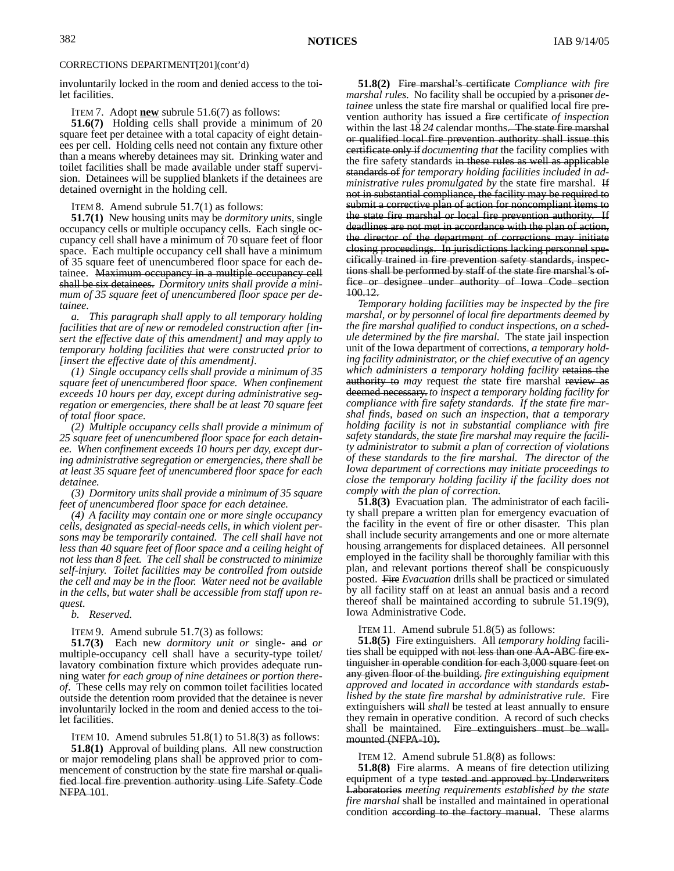involuntarily locked in the room and denied access to the toilet facilities.

ITEM 7. Adopt **new** subrule 51.6(7) as follows:

**51.6(7)** Holding cells shall provide a minimum of 20 square feet per detainee with a total capacity of eight detainees per cell. Holding cells need not contain any fixture other than a means whereby detainees may sit. Drinking water and toilet facilities shall be made available under staff supervision. Detainees will be supplied blankets if the detainees are detained overnight in the holding cell.

ITEM 8. Amend subrule 51.7(1) as follows:

**51.7(1)** New housing units may be *dormitory units,* single occupancy cells or multiple occupancy cells. Each single occupancy cell shall have a minimum of 70 square feet of floor space. Each multiple occupancy cell shall have a minimum of 35 square feet of unencumbered floor space for each detainee. Maximum occupancy in a multiple occupancy cell shall be six detainees. *Dormitory units shall provide a minimum of 35 square feet of unencumbered floor space per detainee.*

*a. This paragraph shall apply to all temporary holding facilities that are of new or remodeled construction after [insert the effective date of this amendment] and may apply to temporary holding facilities that were constructed prior to [insert the effective date of this amendment].*

*(1) Single occupancy cells shall provide a minimum of 35 square feet of unencumbered floor space. When confinement exceeds 10 hours per day, except during administrative segregation or emergencies, there shall be at least 70 square feet of total floor space.*

*(2) Multiple occupancy cells shall provide a minimum of 25 square feet of unencumbered floor space for each detainee. When confinement exceeds 10 hours per day, except during administrative segregation or emergencies, there shall be at least 35 square feet of unencumbered floor space for each detainee.*

*(3) Dormitory units shall provide a minimum of 35 square feet of unencumbered floor space for each detainee.*

*(4) A facility may contain one or more single occupancy cells, designated as special-needs cells, in which violent persons may be temporarily contained. The cell shall have not less than 40 square feet of floor space and a ceiling height of not less than 8 feet. The cell shall be constructed to minimize self-injury. Toilet facilities may be controlled from outside the cell and may be in the floor. Water need not be available in the cells, but water shall be accessible from staff upon request.*

*b. Reserved.*

NFPA 101.

ITEM 9. Amend subrule 51.7(3) as follows:

**51.7(3)** Each new *dormitory unit or* single- and *or* multiple-occupancy cell shall have a security-type toilet/ lavatory combination fixture which provides adequate running water *for each group of nine detainees or portion thereof*. These cells may rely on common toilet facilities located outside the detention room provided that the detainee is never involuntarily locked in the room and denied access to the toilet facilities.

ITEM 10. Amend subrules  $51.8(1)$  to  $51.8(3)$  as follows: **51.8(1)** Approval of building plans. All new construction or major remodeling plans shall be approved prior to commencement of construction by the state fire marshal or qualified local fire prevention authority using Life Safety Code

**51.8(2)** Fire marshal's certificate *Compliance with fire marshal rules*. No facility shall be occupied by a prisoner *detainee* unless the state fire marshal or qualified local fire prevention authority has issued a fire certificate *of inspection* within the last 18 *24* calendar months. The state fire marshal or qualified local fire prevention authority shall issue this certificate only if *documenting that* the facility complies with the fire safety standards in these rules as well as applicable standards of *for temporary holding facilities included in administrative rules promulgated by* the state fire marshal. If not in substantial compliance, the facility may be required to submit a corrective plan of action for noncompliant items to the state fire marshal or local fire prevention authority. If deadlines are not met in accordance with the plan of action, the director of the department of corrections may initiate closing proceedings. In jurisdictions lacking personnel specifically trained in fire prevention safety standards, inspections shall be performed by staff of the state fire marshal's office or designee under authority of Iowa Code section 100.12.

*Temporary holding facilities may be inspected by the fire marshal, or by personnel of local fire departments deemed by the fire marshal qualified to conduct inspections, on a schedule determined by the fire marshal.* The state jail inspection unit of the Iowa department of corrections*, a temporary holding facility administrator, or the chief executive of an agency which administers a temporary holding facility* retains the authority to *may* request *the* state fire marshal review as deemed necessary. *to inspect a temporary holding facility for compliance with fire safety standards. If the state fire marshal finds, based on such an inspection, that a temporary holding facility is not in substantial compliance with fire safety standards, the state fire marshal may require the facility administrator to submit a plan of correction of violations of these standards to the fire marshal. The director of the Iowa department of corrections may initiate proceedings to close the temporary holding facility if the facility does not comply with the plan of correction.*

**51.8(3)** Evacuation plan. The administrator of each facility shall prepare a written plan for emergency evacuation of the facility in the event of fire or other disaster. This plan shall include security arrangements and one or more alternate housing arrangements for displaced detainees. All personnel employed in the facility shall be thoroughly familiar with this plan*,* and relevant portions thereof shall be conspicuously posted. Fire *Evacuation* drills shall be practiced or simulated by all facility staff on at least an annual basis and a record thereof shall be maintained according to subrule 51.19(9), Iowa Administrative Code.

ITEM 11. Amend subrule 51.8(5) as follows:

**51.8(5)** Fire extinguishers. All *temporary holding* facilities shall be equipped with not less than one AA-ABC fire extinguisher in operable condition for each 3,000 square feet on any given floor of the building. *fire extinguishing equipment approved and located in accordance with standards established by the state fire marshal by administrative rule.* Fire extinguishers will *shall* be tested at least annually to ensure they remain in operative condition. A record of such checks shall be maintained. Fire extinguishers must be wallmounted (NFPA-10).

ITEM 12. Amend subrule 51.8(8) as follows:

**51.8(8)** Fire alarms. A means of fire detection utilizing equipment of a type tested and approved by Underwriters Laboratories *meeting requirements established by the state fire marshal* shall be installed and maintained in operational condition according to the factory manual. These alarms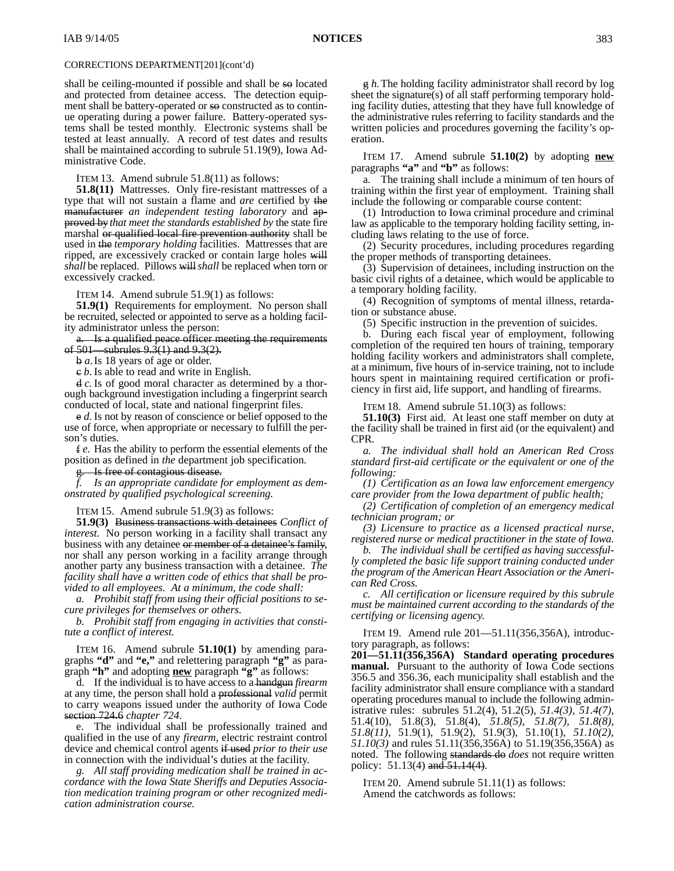shall be ceiling-mounted if possible and shall be so located and protected from detainee access. The detection equipment shall be battery-operated or so constructed as to continue operating during a power failure. Battery-operated systems shall be tested monthly. Electronic systems shall be tested at least annually. A record of test dates and results shall be maintained according to subrule 51.19(9), Iowa Administrative Code.

ITEM 13. Amend subrule 51.8(11) as follows:

**51.8(11)** Mattresses. Only fire-resistant mattresses of a type that will not sustain a flame and *are* certified by the manufacturer *an independent testing laboratory* and approved by *that meet the standards established by* the state fire marshal or qualified local fire prevention authority shall be used in the *temporary holding* facilities. Mattresses that are ripped, are excessively cracked or contain large holes will *shall* be replaced. Pillows will*shall* be replaced when torn or excessively cracked.

ITEM 14. Amend subrule 51.9(1) as follows:

**51.9(1)** Requirements for employment. No person shall be recruited, selected or appointed to serve as a holding facility administrator unless the person:

a. Is a qualified peace officer meeting the requirements of  $501$ —subrules  $9.\overline{3}(1)$  and  $9.\overline{3}(2)$ .

b *a*.Is 18 years of age or older.

c *b*. Is able to read and write in English.

d *c.* Is of good moral character as determined by a thorough background investigation including a fingerprint search conducted of local, state and national fingerprint files.

e *d.* Is not by reason of conscience or belief opposed to the use of force, when appropriate or necessary to fulfill the person's duties.

f *e.* Has the ability to perform the essential elements of the position as defined in *the* department job specification.

Is free of contagious disease.

*f. Is an appropriate candidate for employment as demonstrated by qualified psychological screening.*

ITEM 15. Amend subrule 51.9(3) as follows:

**51.9(3)** Business transactions with detainees *Conflict of interest.* No person working in a facility shall transact any business with any detainee or member of a detainee's family, nor shall any person working in a facility arrange through another party any business transaction with a detainee. *The facility shall have a written code of ethics that shall be provided to all employees. At a minimum, the code shall:*

*a. Prohibit staff from using their official positions to secure privileges for themselves or others.*

*b. Prohibit staff from engaging in activities that constitute a conflict of interest.*

ITEM 16. Amend subrule **51.10(1)** by amending paragraphs **"d"** and **"e,"** and relettering paragraph **"g"** as paragraph **"h"** and adopting **new** paragraph **"g"** as follows:

d. If the individual is to have access to a handgun *firearm* at any time, the person shall hold a professional *valid* permit to carry weapons issued under the authority of Iowa Code section 724.6 *chapter 724*.

e. The individual shall be professionally trained and qualified in the use of any *firearm,* electric restraint control device and chemical control agents if used *prior to their use* in connection with the individual's duties at the facility.

*g. All staff providing medication shall be trained in accordance with the Iowa State Sheriffs and Deputies Association medication training program or other recognized medication administration course.*

g *h.*The holding facility administrator shall record by log sheet the signature(s) of all staff performing temporary holding facility duties, attesting that they have full knowledge of the administrative rules referring to facility standards and the written policies and procedures governing the facility's operation.

ITEM 17. Amend subrule **51.10(2)** by adopting **new** paragraphs **"a"** and **"b"** as follows:

a. The training shall include a minimum of ten hours of training within the first year of employment. Training shall include the following or comparable course content:

(1) Introduction to Iowa criminal procedure and criminal law as applicable to the temporary holding facility setting, including laws relating to the use of force.

(2) Security procedures, including procedures regarding the proper methods of transporting detainees.

(3) Supervision of detainees, including instruction on the basic civil rights of a detainee, which would be applicable to a temporary holding facility.

(4) Recognition of symptoms of mental illness, retardation or substance abuse.

(5) Specific instruction in the prevention of suicides.

b. During each fiscal year of employment, following completion of the required ten hours of training, temporary holding facility workers and administrators shall complete, at a minimum, five hours of in-service training, not to include hours spent in maintaining required certification or proficiency in first aid, life support, and handling of firearms.

ITEM 18. Amend subrule 51.10(3) as follows:

**51.10(3)** First aid. At least one staff member on duty at the facility shall be trained in first aid (or the equivalent) and CPR*.*

*a. The individual shall hold an American Red Cross standard first-aid certificate or the equivalent or one of the following:*

*(1) Certification as an Iowa law enforcement emergency care provider from the Iowa department of public health;*

*(2) Certification of completion of an emergency medical technician program; or*

*(3) Licensure to practice as a licensed practical nurse, registered nurse or medical practitioner in the state of Iowa.*

*b. The individual shall be certified as having successfully completed the basic life support training conducted under the program of the American Heart Association or the American Red Cross.*

*c. All certification or licensure required by this subrule must be maintained current according to the standards of the certifying or licensing agency.*

ITEM 19. Amend rule 201—51.11(356,356A), introductory paragraph, as follows:

**201—51.11(356,356A) Standard operating procedures manual.** Pursuant to the authority of Iowa Code sections 356.5 and 356.36, each municipality shall establish and the facility administrator shall ensure compliance with a standard operating procedures manual to include the following administrative rules: subrules 51.2(4), 51.2(5), *51.4(3), 51.4(7),* 51.4(10), 51.8(3), 51.8(4), *51.8(5), 51.8(7), 51.8(8), 51.8(11),* 51.9(1), 51.9(2), 51.9(3), 51.10(1), *51.10(2), 51.10(3)* and rules 51.11(356,356A) to 51.19(356,356A) as noted. The following standards do *does* not require written policy: 51.13(4) and 51.14(4).

ITEM 20. Amend subrule 51.11(1) as follows: Amend the catchwords as follows: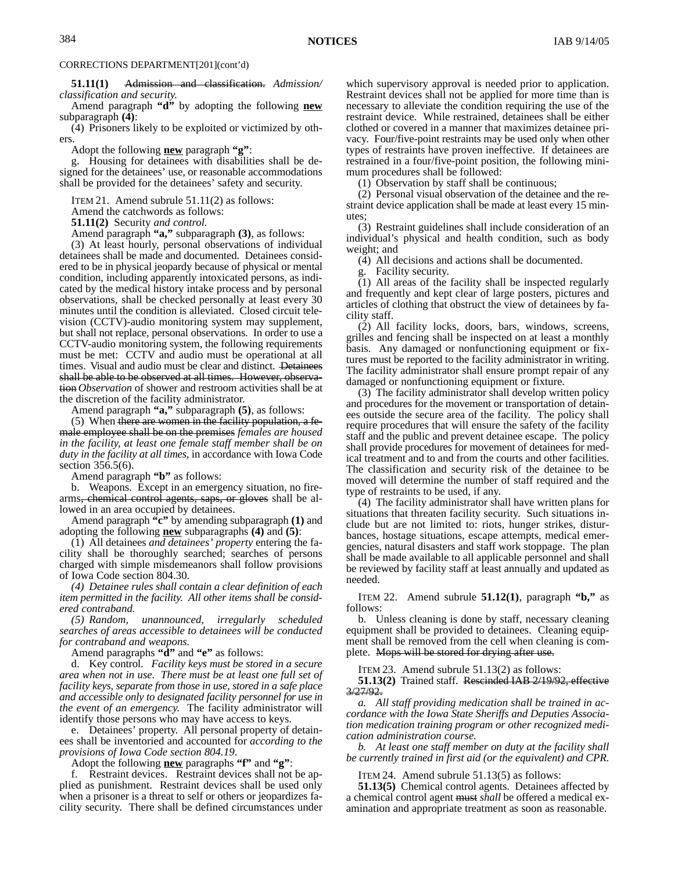**51.11(1)** Admission and classification. *Admission/ classification and security.*

Amend paragraph **"d"** by adopting the following **new** subparagraph **(4)**:

(4) Prisoners likely to be exploited or victimized by others.

Adopt the following **new** paragraph **"g"**:

g. Housing for detainees with disabilities shall be designed for the detainees' use, or reasonable accommodations shall be provided for the detainees' safety and security.

ITEM 21. Amend subrule 51.11(2) as follows:

Amend the catchwords as follows:

**51.11(2)** Security *and control.*

Amend paragraph **"a,"** subparagraph **(3)**, as follows:

(3) At least hourly, personal observations of individual detainees shall be made and documented. Detainees considered to be in physical jeopardy because of physical or mental condition, including apparently intoxicated persons, as indicated by the medical history intake process and by personal observations, shall be checked personally at least every 30 minutes until the condition is alleviated. Closed circuit television (CCTV)-audio monitoring system may supplement, but shall not replace, personal observations. In order to use a CCTV-audio monitoring system, the following requirements must be met: CCTV and audio must be operational at all times. Visual and audio must be clear and distinct. Detainees shall be able to be observed at all times. However, observation *Observation* of shower and restroom activities shall be at the discretion of the facility administrator.

Amend paragraph **"a,"** subparagraph **(5)**, as follows:

(5) When there are women in the facility population, a female employee shall be on the premises *females are housed in the facility, at least one female staff member shall be on duty in the facility at all times,* in accordance with Iowa Code section 356.5(6).

Amend paragraph **"b"** as follows:

b. Weapons. Except in an emergency situation, no firearms, chemical control agents, saps, or gloves shall be allowed in an area occupied by detainees.

Amend paragraph **"c"** by amending subparagraph **(1)** and adopting the following **new** subparagraphs **(4)** and **(5)**:

(1) All detainees *and detainees' property* entering the facility shall be thoroughly searched; searches of persons charged with simple misdemeanors shall follow provisions of Iowa Code section 804.30.

*(4) Detainee rules shall contain a clear definition of each item permitted in the facility. All other items shall be considered contraband.*

*(5) Random, unannounced, irregularly scheduled searches of areas accessible to detainees will be conducted for contraband and weapons.*

Amend paragraphs **"d"** and **"e"** as follows:

d. Key control. *Facility keys must be stored in a secure area when not in use. There must be at least one full set of facility keys, separate from those in use, stored in a safe place and accessible only to designated facility personnel for use in the event of an emergency.* The facility administrator will identify those persons who may have access to keys.

e. Detainees' property. All personal property of detainees shall be inventoried and accounted for *according to the provisions of Iowa Code section 804.19*.

Adopt the following **new** paragraphs **"f"** and **"g"**:

f. Restraint devices. Restraint devices shall not be applied as punishment. Restraint devices shall be used only when a prisoner is a threat to self or others or jeopardizes facility security. There shall be defined circumstances under which supervisory approval is needed prior to application. Restraint devices shall not be applied for more time than is necessary to alleviate the condition requiring the use of the restraint device. While restrained, detainees shall be either clothed or covered in a manner that maximizes detainee privacy. Four/five-point restraints may be used only when other types of restraints have proven ineffective. If detainees are restrained in a four/five-point position, the following minimum procedures shall be followed:

(1) Observation by staff shall be continuous;

(2) Personal visual observation of the detainee and the restraint device application shall be made at least every 15 minutes;

(3) Restraint guidelines shall include consideration of an individual's physical and health condition, such as body weight; and

(4) All decisions and actions shall be documented.

g. Facility security.

(1) All areas of the facility shall be inspected regularly and frequently and kept clear of large posters, pictures and articles of clothing that obstruct the view of detainees by facility staff.

(2) All facility locks, doors, bars, windows, screens, grilles and fencing shall be inspected on at least a monthly basis. Any damaged or nonfunctioning equipment or fixtures must be reported to the facility administrator in writing. The facility administrator shall ensure prompt repair of any damaged or nonfunctioning equipment or fixture.

(3) The facility administrator shall develop written policy and procedures for the movement or transportation of detainees outside the secure area of the facility. The policy shall require procedures that will ensure the safety of the facility staff and the public and prevent detainee escape. The policy shall provide procedures for movement of detainees for medical treatment and to and from the courts and other facilities. The classification and security risk of the detainee to be moved will determine the number of staff required and the type of restraints to be used, if any.

(4) The facility administrator shall have written plans for situations that threaten facility security. Such situations include but are not limited to: riots, hunger strikes, disturbances, hostage situations, escape attempts, medical emergencies, natural disasters and staff work stoppage. The plan shall be made available to all applicable personnel and shall be reviewed by facility staff at least annually and updated as needed.

ITEM 22. Amend subrule **51.12(1)**, paragraph **"b,"** as follows:

b. Unless cleaning is done by staff, necessary cleaning equipment shall be provided to detainees. Cleaning equipment shall be removed from the cell when cleaning is complete. Mops will be stored for drying after use.

ITEM 23. Amend subrule 51.13(2) as follows:

**51.13(2)** Trained staff. Rescinded IAB 2/19/92, effective 3/27/92.

*a. All staff providing medication shall be trained in accordance with the Iowa State Sheriffs and Deputies Association medication training program or other recognized medication administration course.*

*b. At least one staff member on duty at the facility shall be currently trained in first aid (or the equivalent) and CPR.*

ITEM 24. Amend subrule 51.13(5) as follows:

**51.13(5)** Chemical control agents. Detainees affected by a chemical control agent must *shall* be offered a medical examination and appropriate treatment as soon as reasonable.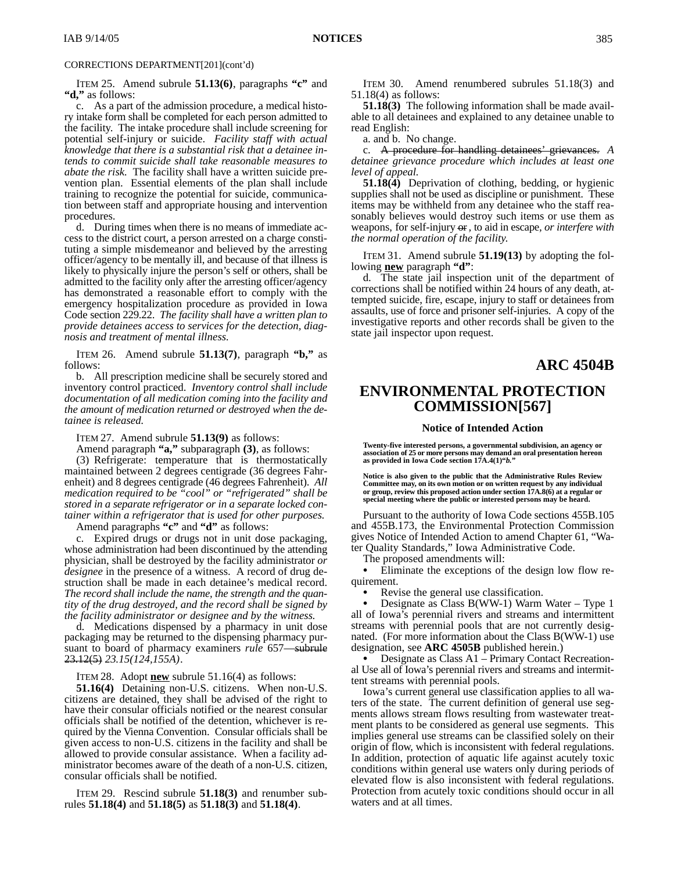ITEM 25. Amend subrule **51.13(6)**, paragraphs **"c"** and **"d,"** as follows:

c. As a part of the admission procedure, a medical history intake form shall be completed for each person admitted to the facility. The intake procedure shall include screening for potential self-injury or suicide. *Facility staff with actual knowledge that there is a substantial risk that a detainee intends to commit suicide shall take reasonable measures to abate the risk.* The facility shall have a written suicide prevention plan. Essential elements of the plan shall include training to recognize the potential for suicide, communication between staff and appropriate housing and intervention procedures.

d. During times when there is no means of immediate access to the district court, a person arrested on a charge constituting a simple misdemeanor and believed by the arresting officer/agency to be mentally ill, and because of that illness is likely to physically injure the person's self or others, shall be admitted to the facility only after the arresting officer/agency has demonstrated a reasonable effort to comply with the emergency hospitalization procedure as provided in Iowa Code section 229.22. *The facility shall have a written plan to provide detainees access to services for the detection, diagnosis and treatment of mental illness.*

ITEM 26. Amend subrule **51.13(7)**, paragraph **"b,"** as follows:

b. All prescription medicine shall be securely stored and inventory control practiced. *Inventory control shall include documentation of all medication coming into the facility and the amount of medication returned or destroyed when the detainee is released.*

ITEM 27. Amend subrule **51.13(9)** as follows:

Amend paragraph **"a,"** subparagraph **(3)**, as follows:

(3) Refrigerate: temperature that is thermostatically maintained between 2 degrees centigrade (36 degrees Fahrenheit) and 8 degrees centigrade (46 degrees Fahrenheit). *All medication required to be "cool" or "refrigerated" shall be stored in a separate refrigerator or in a separate locked container within a refrigerator that is used for other purposes.*

Amend paragraphs **"c"** and **"d"** as follows:

Expired drugs or drugs not in unit dose packaging, whose administration had been discontinued by the attending physician, shall be destroyed by the facility administrator *or designee* in the presence of a witness. A record of drug destruction shall be made in each detainee's medical record. *The record shall include the name, the strength and the quantity of the drug destroyed, and the record shall be signed by the facility administrator or designee and by the witness.*

d. Medications dispensed by a pharmacy in unit dose packaging may be returned to the dispensing pharmacy pursuant to board of pharmacy examiners *rule* 657—subrule 23.12(5) *23.15(124,155A)*.

ITEM 28. Adopt **new** subrule 51.16(4) as follows:

**51.16(4)** Detaining non-U.S. citizens. When non-U.S. citizens are detained, they shall be advised of the right to have their consular officials notified or the nearest consular officials shall be notified of the detention, whichever is required by the Vienna Convention. Consular officials shall be given access to non-U.S. citizens in the facility and shall be allowed to provide consular assistance. When a facility administrator becomes aware of the death of a non-U.S. citizen, consular officials shall be notified.

ITEM 29. Rescind subrule **51.18(3)** and renumber subrules **51.18(4)** and **51.18(5)** as **51.18(3)** and **51.18(4)**.

ITEM 30. Amend renumbered subrules 51.18(3) and 51.18(4) as follows:

**51.18(3)** The following information shall be made available to all detainees and explained to any detainee unable to read English:

a. and b. No change.

c. A procedure for handling detainees' grievances. *A detainee grievance procedure which includes at least one level of appeal.*

**51.18(4)** Deprivation of clothing, bedding, or hygienic supplies shall not be used as discipline or punishment. These items may be withheld from any detainee who the staff reasonably believes would destroy such items or use them as weapons, for self-injury or*,* to aid in escape*, or interfere with the normal operation of the facility*.

ITEM 31. Amend subrule **51.19(13)** by adopting the following **new** paragraph **"d"**:

d. The state jail inspection unit of the department of corrections shall be notified within 24 hours of any death, attempted suicide, fire, escape, injury to staff or detainees from assaults, use of force and prisoner self-injuries. A copy of the investigative reports and other records shall be given to the state jail inspector upon request.

## **ARC 4504B**

# **ENVIRONMENTAL PROTECTION COMMISSION[567]**

#### **Notice of Intended Action**

**Twenty-five interested persons, a governmental subdivision, an agency or association of 25 or more persons may demand an oral presentation hereon as provided in Iowa Code section 17A.4(1)"***b.***"**

**Notice is also given to the public that the Administrative Rules Review** Committee may, on its own motion or on written request by any individual<br>or group, review this proposed action under section 17A.8(6) at a regular or<br>special meeting where the public or interested persons may be heard.

Pursuant to the authority of Iowa Code sections 455B.105 and 455B.173, the Environmental Protection Commission gives Notice of Intended Action to amend Chapter 61, "Water Quality Standards," Iowa Administrative Code.

The proposed amendments will:

 Eliminate the exceptions of the design low flow requirement.

 Revise the general use classification.  $\bullet$ 

 Designate as Class B(WW-1) Warm Water – Type 1 all of Iowa's perennial rivers and streams and intermittent streams with perennial pools that are not currently designated. (For more information about the Class B(WW-1) use designation, see **ARC 4505B** published herein.)

 Designate as Class A1 – Primary Contact Recreational Use all of Iowa's perennial rivers and streams and intermittent streams with perennial pools.

Iowa's current general use classification applies to all waters of the state. The current definition of general use segments allows stream flows resulting from wastewater treatment plants to be considered as general use segments. This implies general use streams can be classified solely on their origin of flow, which is inconsistent with federal regulations. In addition, protection of aquatic life against acutely toxic conditions within general use waters only during periods of elevated flow is also inconsistent with federal regulations. Protection from acutely toxic conditions should occur in all waters and at all times.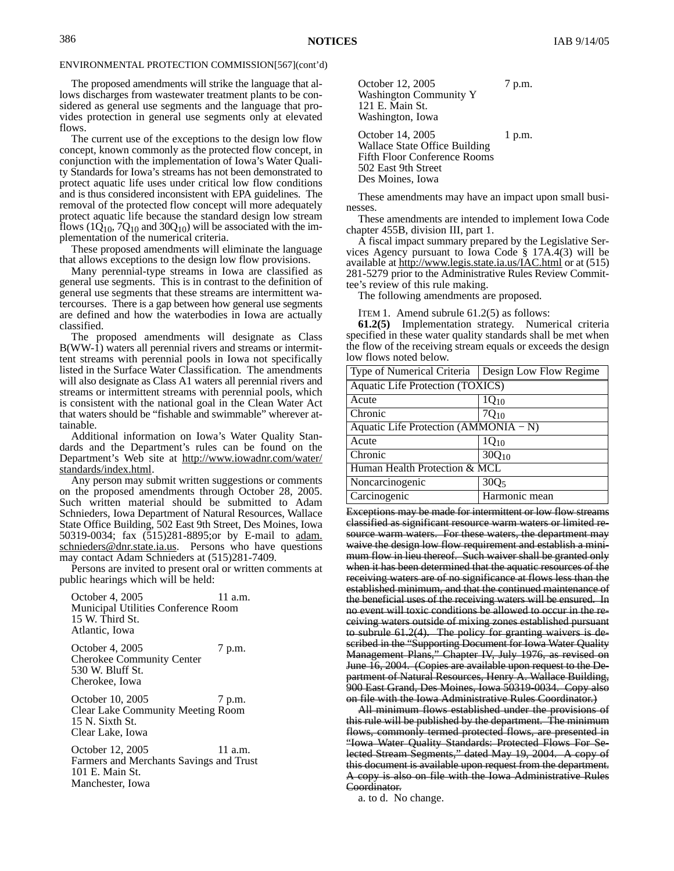The proposed amendments will strike the language that allows discharges from wastewater treatment plants to be considered as general use segments and the language that provides protection in general use segments only at elevated flows.

The current use of the exceptions to the design low flow concept, known commonly as the protected flow concept, in conjunction with the implementation of Iowa's Water Quality Standards for Iowa's streams has not been demonstrated to protect aquatic life uses under critical low flow conditions and is thus considered inconsistent with EPA guidelines. The removal of the protected flow concept will more adequately protect aquatic life because the standard design low stream flows  $(1Q_{10}, 7Q_{10})$  and  $30Q_{10}$ ) will be associated with the implementation of the numerical criteria.

These proposed amendments will eliminate the language that allows exceptions to the design low flow provisions.

Many perennial-type streams in Iowa are classified as general use segments. This is in contrast to the definition of general use segments that these streams are intermittent watercourses. There is a gap between how general use segments are defined and how the waterbodies in Iowa are actually classified.

The proposed amendments will designate as Class B(WW-1) waters all perennial rivers and streams or intermittent streams with perennial pools in Iowa not specifically listed in the Surface Water Classification. The amendments will also designate as Class A1 waters all perennial rivers and streams or intermittent streams with perennial pools, which is consistent with the national goal in the Clean Water Act that waters should be "fishable and swimmable" wherever attainable.

Additional information on Iowa's Water Quality Standards and the Department's rules can be found on the Department's Web site at http://www.iowadnr.com/water/ standards/index.html.

Any person may submit written suggestions or comments on the proposed amendments through October 28, 2005. Such written material should be submitted to Adam Schnieders, Iowa Department of Natural Resources, Wallace State Office Building, 502 East 9th Street, Des Moines, Iowa 50319-0034; fax (515)281-8895;or by E-mail to adam. schnieders@dnr.state.ia.us. Persons who have questions may contact Adam Schnieders at (515)281-7409.

Persons are invited to present oral or written comments at public hearings which will be held:

October 4, 2005 11 a.m. Municipal Utilities Conference Room 15 W. Third St. Atlantic, Iowa

October 4, 2005 7 p.m. Cherokee Community Center 530 W. Bluff St. Cherokee, Iowa

October 10, 2005 7 p.m. Clear Lake Community Meeting Room 15 N. Sixth St. Clear Lake, Iowa

October 12, 2005 11 a.m. Farmers and Merchants Savings and Trust 101 E. Main St. Manchester, Iowa

October 12, 2005 7 p.m. Washington Community Y 121 E. Main St. Washington, Iowa

October 14, 2005 1 p.m. Wallace State Office Building Fifth Floor Conference Rooms 502 East 9th Street Des Moines, Iowa

These amendments may have an impact upon small businesses.

These amendments are intended to implement Iowa Code chapter 455B, division III, part 1.

A fiscal impact summary prepared by the Legislative Services Agency pursuant to Iowa Code § 17A.4(3) will be available at <u>http://www.legis.state.ia.us/IAC.html</u> or at (515) 281-5279 prior to the Administrative Rules Review Committee's review of this rule making.

The following amendments are proposed.

ITEM 1. Amend subrule 61.2(5) as follows:

**61.2(5)** Implementation strategy. Numerical criteria specified in these water quality standards shall be met when the flow of the receiving stream equals or exceeds the design low flows noted below.

| Type of Numerical Criteria              | Design Low Flow Regime |  |  |  |  |  |  |
|-----------------------------------------|------------------------|--|--|--|--|--|--|
| <b>Aquatic Life Protection (TOXICS)</b> |                        |  |  |  |  |  |  |
| Acute                                   | $1Q_{10}$              |  |  |  |  |  |  |
| Chronic                                 | 7Q <sub>10</sub>       |  |  |  |  |  |  |
| Aquatic Life Protection (AMMONIA – N)   |                        |  |  |  |  |  |  |
| Acute                                   | $1Q_{10}$              |  |  |  |  |  |  |
| Chronic                                 | $30Q_{10}$             |  |  |  |  |  |  |
| Human Health Protection $\& MCL$        |                        |  |  |  |  |  |  |
| Noncarcinogenic                         | 300 <sub>5</sub>       |  |  |  |  |  |  |
| Carcinogenic                            | Harmonic mean          |  |  |  |  |  |  |

Exceptions may be made for intermittent or low flow streams classified as significant resource warm waters or limited resource warm waters. For these waters, the department may waive the design low flow requirement and establish a minimum flow in lieu thereof. Such waiver shall be granted only when it has been determined that the aquatic resources of the receiving waters are of no significance at flows less than the established minimum, and that the continued maintenance of the beneficial uses of the receiving waters will be ensured. In no event will toxic conditions be allowed to occur in the receiving waters outside of mixing zones established pursuant to subrule 61.2(4). The policy for granting waivers is described in the "Supporting Document for Iowa Water Quality Management Plans," Chapter IV, July 1976, as revised on June 16, 2004. (Copies are available upon request to the Department of Natural Resources, Henry A. Wallace Building, 900 East Grand, Des Moines, Iowa 50319-0034. Copy also on file with the Iowa Administrative Rules Coordinator.)

All minimum flows established under the provisions of this rule will be published by the department. The minimum flows, commonly termed protected flows, are presented in "Iowa Water Quality Standards: Protected Flows For Selected Stream Segments," dated May 19, 2004. A copy of this document is available upon request from the department. A copy is also on file with the Iowa Administrative Rules Coordinator.

a. to d. No change.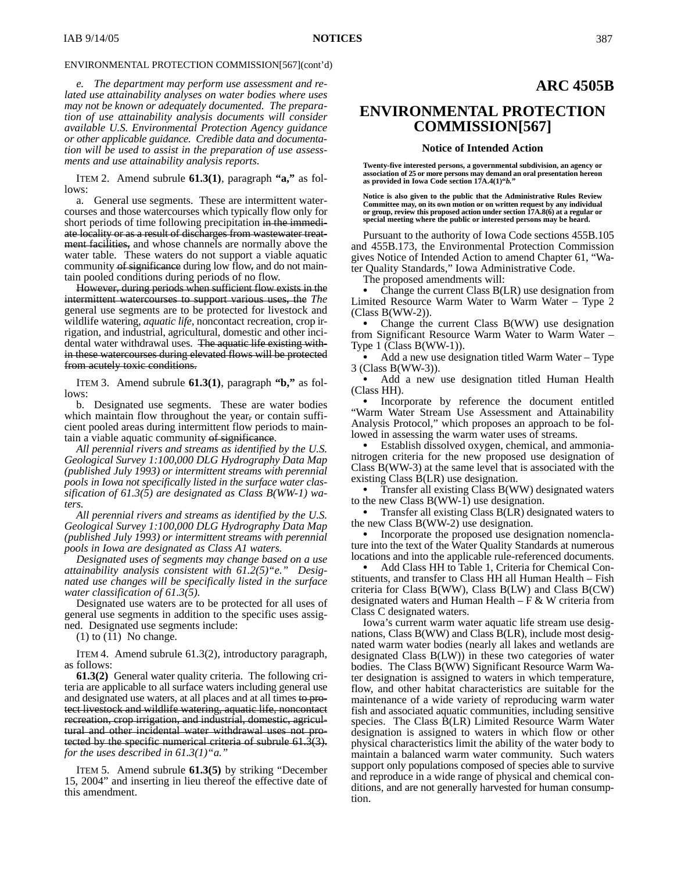*e. The department may perform use assessment and related use attainability analyses on water bodies where uses may not be known or adequately documented. The preparation of use attainability analysis documents will consider available U.S. Environmental Protection Agency guidance or other applicable guidance. Credible data and documentation will be used to assist in the preparation of use assessments and use attainability analysis reports.*

ITEM 2. Amend subrule **61.3(1)**, paragraph **"a,"** as follows:

a. General use segments. These are intermittent watercourses and those watercourses which typically flow only for short periods of time following precipitation in the immediate locality or as a result of discharges from wastewater treatment facilities, and whose channels are normally above the water table. These waters do not support a viable aquatic community of significance during low flow, and do not maintain pooled conditions during periods of no flow.

However, during periods when sufficient flow exists in the intermittent watercourses to support various uses, the *The* general use segments are to be protected for livestock and wildlife watering, *aquatic life,* noncontact recreation, crop irrigation, and industrial, agricultural, domestic and other incidental water withdrawal uses. The aquatic life existing within these watercourses during elevated flows will be protected from acutely toxic conditions.

ITEM 3. Amend subrule **61.3(1)**, paragraph **"b,"** as follows:

b. Designated use segments. These are water bodies which maintain flow throughout the year, or contain sufficient pooled areas during intermittent flow periods to maintain a viable aquatic community of significance.

*All perennial rivers and streams as identified by the U.S. Geological Survey 1:100,000 DLG Hydrography Data Map (published July 1993) or intermittent streams with perennial pools in Iowa not specifically listed in the surface water classification of 61.3(5) are designated as Class B(WW-1) waters.*

*All perennial rivers and streams as identified by the U.S. Geological Survey 1:100,000 DLG Hydrography Data Map (published July 1993) or intermittent streams with perennial pools in Iowa are designated as Class A1 waters.*

*Designated uses of segments may change based on a use attainability analysis consistent with 61.2(5)"e." Designated use changes will be specifically listed in the surface water classification of 61.3(5).*

Designated use waters are to be protected for all uses of general use segments in addition to the specific uses assigned. Designated use segments include:

 $(1)$  to  $(11)$  No change.

ITEM 4. Amend subrule 61.3(2), introductory paragraph, as follows:

**61.3(2)** General water quality criteria. The following criteria are applicable to all surface waters including general use and designated use waters, at all places and at all times to protect livestock and wildlife watering, aquatic life, noncontact recreation, crop irrigation, and industrial, domestic, agricultural and other incidental water withdrawal uses not protected by the specific numerical criteria of subrule 61.3(3). *for the uses described in 61.3(1)"a."*

ITEM 5. Amend subrule **61.3(5)** by striking "December 15, 2004" and inserting in lieu thereof the effective date of this amendment.

# **ENVIRONMENTAL PROTECTION COMMISSION[567]**

#### **Notice of Intended Action**

**Twenty-five interested persons, a governmental subdivision, an agency or association of 25 or more persons may demand an oral presentation hereon as provided in Iowa Code section 17A.4(1)"***b.***"**

**Notice is also given to the public that the Administrative Rules Review Committee may, on its own motion or on written request by any individual or group, review this proposed action under section 17A.8(6) at a regular or special meeting where the public or interested persons may be heard.**

Pursuant to the authority of Iowa Code sections 455B.105 and 455B.173, the Environmental Protection Commission gives Notice of Intended Action to amend Chapter 61, "Water Quality Standards," Iowa Administrative Code.

The proposed amendments will:

 Change the current Class B(LR) use designation from Limited Resource Warm Water to Warm Water – Type 2 (Class B(WW-2)).

 Change the current Class B(WW) use designation from Significant Resource Warm Water to Warm Water – Type 1 (Class B(WW-1)).

 Add a new use designation titled Warm Water – Type 3 (Class B(WW-3)).

 Add a new use designation titled Human Health (Class HH).

• Incorporate by reference the document entitled "Warm Water Stream Use Assessment and Attainability Analysis Protocol," which proposes an approach to be followed in assessing the warm water uses of streams.

 Establish dissolved oxygen, chemical, and ammonianitrogen criteria for the new proposed use designation of Class B(WW-3) at the same level that is associated with the existing Class B(LR) use designation.

 Transfer all existing Class B(WW) designated waters to the new Class  $B(WW-1)$  use designation.

 Transfer all existing Class B(LR) designated waters to the new Class B(WW-2) use designation.

 Incorporate the proposed use designation nomenclature into the text of the Water Quality Standards at numerous locations and into the applicable rule-referenced documents.

 Add Class HH to Table 1, Criteria for Chemical Constituents, and transfer to Class HH all Human Health – Fish criteria for Class B(WW), Class B(LW) and Class B(CW) designated waters and Human Health –  $F & W$  criteria from Class C designated waters.

Iowa's current warm water aquatic life stream use designations, Class B(WW) and Class B(LR), include most designated warm water bodies (nearly all lakes and wetlands are designated Class B(LW)) in these two categories of water bodies. The Class B(WW) Significant Resource Warm Water designation is assigned to waters in which temperature, flow, and other habitat characteristics are suitable for the maintenance of a wide variety of reproducing warm water fish and associated aquatic communities, including sensitive species. The Class B(LR) Limited Resource Warm Water designation is assigned to waters in which flow or other physical characteristics limit the ability of the water body to maintain a balanced warm water community. Such waters support only populations composed of species able to survive and reproduce in a wide range of physical and chemical conditions, and are not generally harvested for human consumption.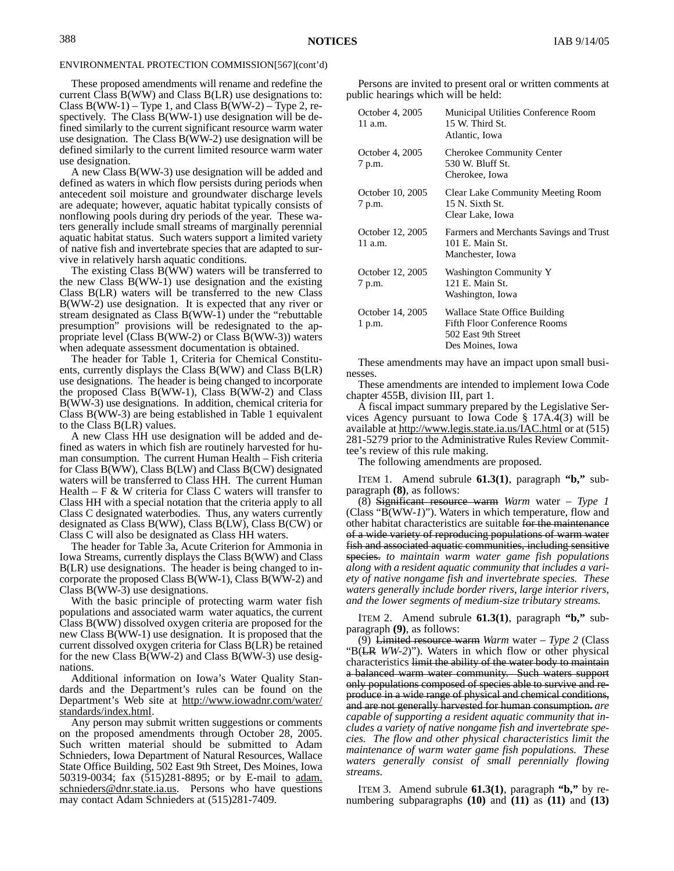These proposed amendments will rename and redefine the current Class B(WW) and Class B(LR) use designations to: Class  $B(WW-1)$  – Type 1, and Class  $B(WW-2)$  – Type 2, respectively. The Class B(WW-1) use designation will be defined similarly to the current significant resource warm water use designation. The Class  $B(\bar{W}W-2)$  use designation will be defined similarly to the current limited resource warm water use designation.

A new Class B(WW-3) use designation will be added and defined as waters in which flow persists during periods when antecedent soil moisture and groundwater discharge levels are adequate; however, aquatic habitat typically consists of nonflowing pools during dry periods of the year. These waters generally include small streams of marginally perennial aquatic habitat status. Such waters support a limited variety of native fish and invertebrate species that are adapted to survive in relatively harsh aquatic conditions.

The existing Class  $B(\bar{W}W)$  waters will be transferred to the new Class B(WW-1) use designation and the existing Class B(LR) waters will be transferred to the new Class B(WW-2) use designation. It is expected that any river or stream designated as Class B(WW-1) under the "rebuttable presumption" provisions will be redesignated to the appropriate level (Class B(WW-2) or Class B(WW-3)) waters when adequate assessment documentation is obtained.

The header for Table 1, Criteria for Chemical Constituents, currently displays the Class B(WW) and Class B(LR) use designations. The header is being changed to incorporate the proposed Class B(WW-1), Class B(WW-2) and Class B(WW-3) use designations. In addition, chemical criteria for Class B(WW-3) are being established in Table 1 equivalent to the Class B(LR) values.

A new Class HH use designation will be added and defined as waters in which fish are routinely harvested for human consumption. The current Human Health – Fish criteria for Class B(WW), Class B(LW) and Class B(CW) designated waters will be transferred to Class HH. The current Human Health –  $F \& W$  criteria for Class C waters will transfer to Class HH with a special notation that the criteria apply to all Class C designated waterbodies. Thus, any waters currently designated as Class B(WW), Class B(LW), Class B(CW) or Class C will also be designated as Class HH waters.

The header for Table 3a, Acute Criterion for Ammonia in Iowa Streams, currently displays the Class B(WW) and Class B(LR) use designations. The header is being changed to incorporate the proposed Class B(WW-1), Class B(WW-2) and Class B(WW-3) use designations.

With the basic principle of protecting warm water fish populations and associated warm water aquatics, the current Class B(WW) dissolved oxygen criteria are proposed for the new Class B(WW-1) use designation. It is proposed that the current dissolved oxygen criteria for Class B(LR) be retained for the new Class B(WW-2) and Class B(WW-3) use designations.

Additional information on Iowa's Water Quality Standards and the Department's rules can be found on the Department's Web site at http://www.iowadnr.com/water/ standards/index.html.

Any person may submit written suggestions or comments on the proposed amendments through October 28, 2005. Such written material should be submitted to Adam Schnieders, Iowa Department of Natural Resources, Wallace State Office Building, 502 East 9th Street, Des Moines, Iowa 50319-0034; fax (515)281-8895; or by E-mail to adam. schnieders@dnr.state.ia.us. Persons who have questions may contact Adam Schnieders at (515)281-7409.

Persons are invited to present oral or written comments at public hearings which will be held:

| October 4, 2005<br>$11$ a.m.  | Municipal Utilities Conference Room<br>15 W. Third St.<br>Atlantic, Iowa                                        |
|-------------------------------|-----------------------------------------------------------------------------------------------------------------|
| October 4, 2005<br>7 p.m.     | <b>Cherokee Community Center</b><br>530 W. Bluff St.<br>Cherokee, Iowa                                          |
| October 10, 2005<br>7 p.m.    | <b>Clear Lake Community Meeting Room</b><br>15 N. Sixth St.<br>Clear Lake, Iowa                                 |
| October 12, 2005<br>$11$ a.m. | Farmers and Merchants Savings and Trust<br>101 E. Main St.<br>Manchester, Iowa                                  |
| October 12, 2005<br>7 p.m.    | <b>Washington Community Y</b><br>121 E. Main St.<br>Washington, Iowa                                            |
| October 14, 2005<br>1 p.m.    | Wallace State Office Building<br><b>Fifth Floor Conference Rooms</b><br>502 East 9th Street<br>Des Moines, Iowa |

These amendments may have an impact upon small businesses.

These amendments are intended to implement Iowa Code chapter 455B, division III, part 1.

A fiscal impact summary prepared by the Legislative Services Agency pursuant to Iowa Code § 17A.4(3) will be available at http://www.legis.state.ia.us/IAC.html or at (515) 281-5279 prior to the Administrative Rules Review Committee's review of this rule making.

The following amendments are proposed.

ITEM 1. Amend subrule **61.3(1)**, paragraph **"b,"** subparagraph **(8)**, as follows:

(8) Significant resource warm *Warm* water *– Type 1* (Class "B(WW*-1*)"). Waters in which temperature, flow and other habitat characteristics are suitable for the maintenance of a wide variety of reproducing populations of warm water fish and associated aquatic communities, including sensitive species. *to maintain warm water game fish populations along with a resident aquatic community that includes a variety of native nongame fish and invertebrate species. These waters generally include border rivers, large interior rivers, and the lower segments of medium-size tributary streams.*

ITEM 2. Amend subrule **61.3(1)**, paragraph **"b,"** subparagraph **(9)**, as follows:

(9) Limited resource warm *Warm* water *– Type 2* (Class "B(LR *WW-2*)"). Waters in which flow or other physical characteristics limit the ability of the water body to maintain a balanced warm water community. Such waters support only populations composed of species able to survive and reproduce in a wide range of physical and chemical conditions, and are not generally harvested for human consumption. *are capable of supporting a resident aquatic community that includes a variety of native nongame fish and invertebrate species. The flow and other physical characteristics limit the maintenance of warm water game fish populations. These waters generally consist of small perennially flowing streams.*

ITEM 3. Amend subrule **61.3(1)**, paragraph **"b,"** by renumbering subparagraphs **(10)** and **(11)** as **(11)** and **(13)**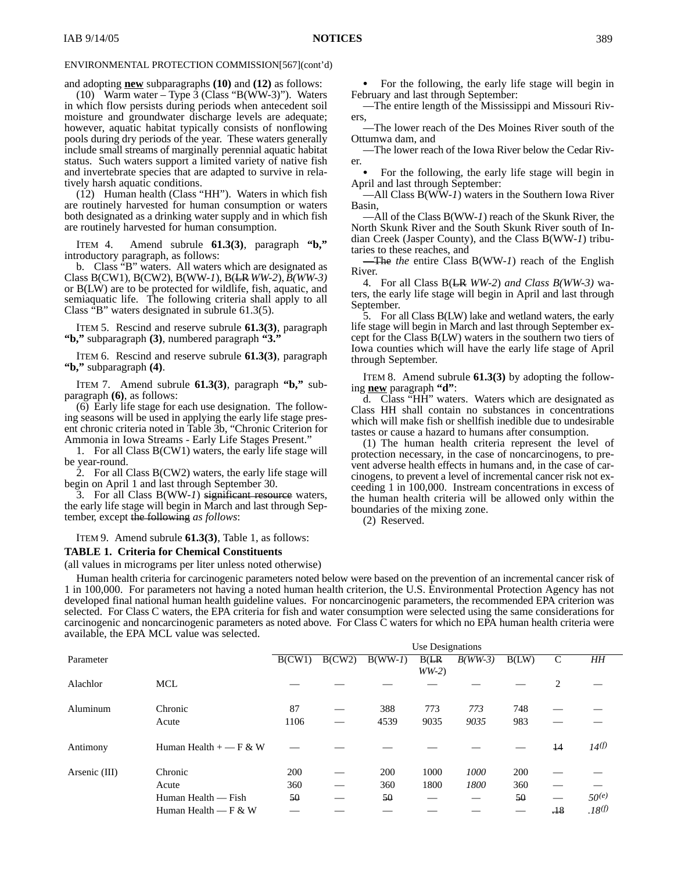and adopting **new** subparagraphs **(10)** and **(12)** as follows:

(10) Warm water – Type 3 (Class "B(WW-3)"). Waters in which flow persists during periods when antecedent soil moisture and groundwater discharge levels are adequate; however, aquatic habitat typically consists of nonflowing pools during dry periods of the year. These waters generally include small streams of marginally perennial aquatic habitat status. Such waters support a limited variety of native fish and invertebrate species that are adapted to survive in relatively harsh aquatic conditions.

(12) Human health (Class "HH"). Waters in which fish are routinely harvested for human consumption or waters both designated as a drinking water supply and in which fish are routinely harvested for human consumption.

ITEM 4. Amend subrule **61.3(3)**, paragraph **"b,"** introductory paragraph, as follows:

b. Class "B" waters. All waters which are designated as Class B(CW1), B(CW2), B(WW*-1*), B(LR *WW-2*), *B(WW-3)* or B(LW) are to be protected for wildlife, fish, aquatic, and semiaquatic life. The following criteria shall apply to all Class "B" waters designated in subrule 61.3(5).

ITEM 5. Rescind and reserve subrule **61.3(3)**, paragraph **"b,"** subparagraph **(3)**, numbered paragraph **"3."**

ITEM 6. Rescind and reserve subrule **61.3(3)**, paragraph **"b,"** subparagraph **(4)**.

ITEM 7. Amend subrule **61.3(3)**, paragraph **"b,"** subparagraph **(6)**, as follows:

(6) Early life stage for each use designation. The following seasons will be used in applying the early life stage present chronic criteria noted in Table 3b, "Chronic Criterion for Ammonia in Iowa Streams - Early Life Stages Present."

1. For all Class B(CW1) waters, the early life stage will be year-round.

2. For all Class B(CW2) waters, the early life stage will begin on April 1 and last through September 30.

3. For all Class B(WW*-1*) significant resource waters, the early life stage will begin in March and last through September*,* except the following *as follows*:

ITEM 9. Amend subrule **61.3(3)**, Table 1, as follows:

#### **TABLE 1. Criteria for Chemical Constituents**

(all values in micrograms per liter unless noted otherwise)

 For the following, the early life stage will begin in February and last through September:

—The entire length of the Mississippi and Missouri Rivers,

—The lower reach of the Des Moines River south of the Ottumwa dam, and

—The lower reach of the Iowa River below the Cedar River.

 For the following, the early life stage will begin in April and last through September:

—All Class B(WW*-1*) waters in the Southern Iowa River Basin,

—All of the Class B(WW*-1*) reach of the Skunk River, the North Skunk River and the South Skunk River south of Indian Creek (Jasper County), and the Class B(WW*-1*) tributaries to these reaches, and

—The *the* entire Class B(WW*-1*) reach of the English River.

4. For all Class B(LR *WW-2*) *and Class B(WW-3)* waters, the early life stage will begin in April and last through September.

5. For all Class B(LW) lake and wetland waters, the early life stage will begin in March and last through September except for the Class B(LW) waters in the southern two tiers of Iowa counties which will have the early life stage of April through September.

ITEM 8. Amend subrule **61.3(3)** by adopting the following **new** paragraph **"d"**:

d. Class "HH" waters. Waters which are designated as Class HH shall contain no substances in concentrations which will make fish or shellfish inedible due to undesirable tastes or cause a hazard to humans after consumption.

(1) The human health criteria represent the level of protection necessary, in the case of noncarcinogens, to prevent adverse health effects in humans and, in the case of carcinogens, to prevent a level of incremental cancer risk not exceeding 1 in 100,000. Instream concentrations in excess of the human health criteria will be allowed only within the boundaries of the mixing zone.

(2) Reserved.

Human health criteria for carcinogenic parameters noted below were based on the prevention of an incremental cancer risk of 1 in 100,000. For parameters not having a noted human health criterion, the U.S. Environmental Protection Agency has not developed final national human health guideline values. For noncarcinogenic parameters, the recommended EPA criterion was selected. For Class C waters, the EPA criteria for fish and water consumption were selected using the same considerations for carcinogenic and noncarcinogenic parameters as noted above. For Class C waters for which no EPA human health criteria were available, the EPA MCL value was selected.

|               |                          | Use Designations |        |           |         |           |       |                 |                    |
|---------------|--------------------------|------------------|--------|-----------|---------|-----------|-------|-----------------|--------------------|
| Parameter     |                          | B(CW1)           | B(CW2) | $B(WW-I)$ | B(LR)   | $B(WW-3)$ | B(LW) | $\mathsf{C}$    | HН                 |
|               |                          |                  |        |           | $WW-2)$ |           |       |                 |                    |
| Alachlor      | <b>MCL</b>               |                  |        |           |         |           |       | 2               |                    |
|               |                          |                  |        |           |         |           |       |                 |                    |
| Aluminum      | Chronic                  | 87               |        | 388       | 773     | 773       | 748   |                 |                    |
|               | Acute                    | 1106             |        | 4539      | 9035    | 9035      | 983   |                 |                    |
|               |                          |                  |        |           |         |           |       |                 |                    |
| Antimony      | Human Health $+$ - F & W |                  |        |           |         |           |       | $\overline{14}$ | 14 <sup>(f)</sup>  |
|               |                          |                  |        |           |         |           |       |                 |                    |
| Arsenic (III) | Chronic                  | 200              |        | 200       | 1000    | 1000      | 200   |                 |                    |
|               | Acute                    | 360              |        | 360       | 1800    | 1800      | 360   |                 |                    |
|               | Human Health — Fish      | 50               |        | 50        |         |           | 50    |                 | 50(e)              |
|               | Human Health — $F & W$   |                  |        |           |         |           |       | $-18$           | .18 <sup>(f)</sup> |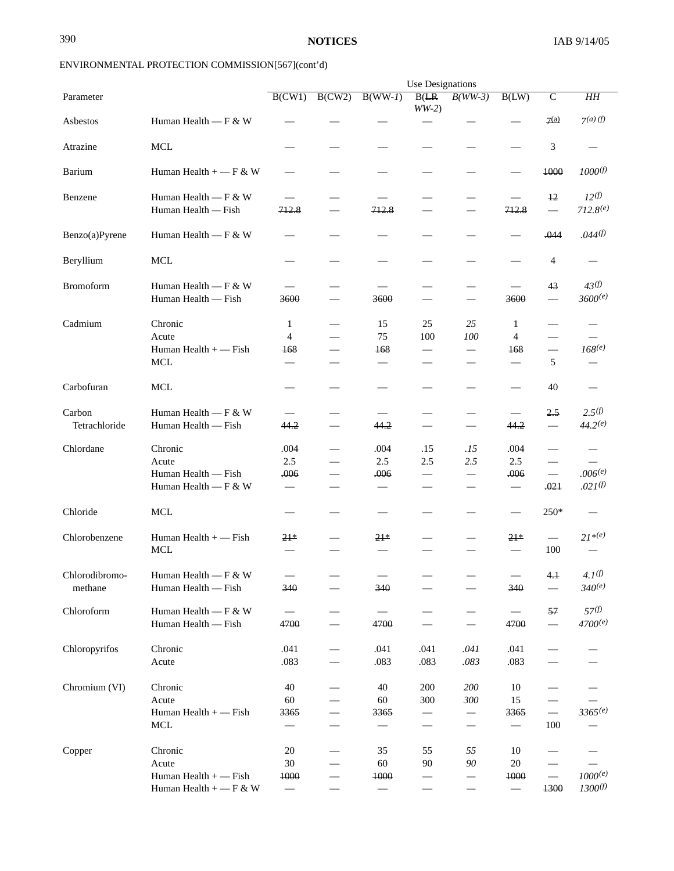|                           | Use Designations                                                        |                                              |                          |                                              |                                        |                                                                         |                                              |                                                              |                                                     |
|---------------------------|-------------------------------------------------------------------------|----------------------------------------------|--------------------------|----------------------------------------------|----------------------------------------|-------------------------------------------------------------------------|----------------------------------------------|--------------------------------------------------------------|-----------------------------------------------------|
| Parameter                 |                                                                         | B(CW1)                                       | B(CW2)                   | $B(WW-I)$                                    | B(ER)<br>$WW-2)$                       | $B(WW-3)$                                                               | B(LW)                                        | $\overline{C}$                                               | H H                                                 |
| Asbestos                  | Human Health $-$ F & W                                                  |                                              |                          |                                              |                                        |                                                                         |                                              | 7(a)                                                         | $7(a)$ (f)                                          |
| Atrazine                  | <b>MCL</b>                                                              |                                              |                          |                                              |                                        |                                                                         |                                              | 3                                                            |                                                     |
| Barium                    | Human Health $+$ - F & W                                                |                                              |                          |                                              |                                        |                                                                         |                                              | 1000                                                         | 1000(f)                                             |
| Benzene                   | Human Health $-$ F & W<br>Human Health - Fish                           | 712.8                                        |                          | 712.8                                        |                                        | $\qquad \qquad$                                                         | 712.8                                        | 12<br>$\overbrace{\qquad \qquad }^{ }$                       | 12 <sup>(f)</sup><br>$712.8^{(e)}$                  |
| Benzo(a)Pyrene            | Human Health — F & W                                                    |                                              |                          |                                              |                                        |                                                                         |                                              | .044                                                         | .044 <sup>(f)</sup>                                 |
| Beryllium                 | $\operatorname{MCL}$                                                    |                                              |                          |                                              |                                        |                                                                         |                                              | 4                                                            |                                                     |
| <b>Bromoform</b>          | Human Health — F & W<br>Human Health - Fish                             | 3600                                         |                          | 3600                                         | $\overline{\phantom{0}}$               | $\qquad \qquad$<br>$\overbrace{\qquad \qquad }^{}$                      | $\overline{\phantom{m}}$<br>3600             | 43                                                           | 43(f)<br>3600(e)                                    |
| Cadmium                   | Chronic<br>Acute<br>Human Health $+$ - Fish<br>$\operatorname{MCL}$     | 1<br>$\overline{4}$<br>168                   |                          | 15<br>75<br>168                              | 25<br>100<br>$\overline{\phantom{0}}$  | 25<br>100                                                               | 1<br>$\overline{4}$<br>168                   | $\qquad \qquad$<br>5                                         | $168^{(e)}$                                         |
| Carbofuran                | <b>MCL</b>                                                              |                                              |                          |                                              |                                        |                                                                         |                                              | 40                                                           |                                                     |
| Carbon<br>Tetrachloride   | Human Health $-$ F & W<br>Human Health — Fish                           | 44.2                                         |                          | 44.2                                         | $\overline{\phantom{m}}$               | $\overline{\phantom{m}}$                                                | 44.2                                         | 2.5                                                          | $2.5^{(f)}$<br>$44.2^{(e)}$                         |
| Chlordane                 | Chronic<br>Acute<br>Human Health - Fish<br>Human Health — F & W         | .004<br>2.5<br>.006                          | $\overline{\phantom{0}}$ | .004<br>2.5<br>.006                          | .15<br>2.5<br>$\overline{\phantom{0}}$ | .15<br>2.5<br>$\overbrace{\phantom{123221111}}$                         | .004<br>2.5<br>.006                          | $\overline{\phantom{0}}$<br>$\overline{\phantom{0}}$<br>.021 | $\overline{\phantom{0}}$<br>.006(e)<br>$.021^{(f)}$ |
| Chloride                  | <b>MCL</b>                                                              |                                              |                          |                                              |                                        |                                                                         |                                              | 250*                                                         |                                                     |
| Chlorobenzene             | Human Health $+$ - Fish<br><b>MCL</b>                                   | $21*$                                        |                          | $21*$                                        |                                        |                                                                         | $21*$                                        | $\overline{\phantom{0}}$<br>100                              | $21^{*(e)}$                                         |
| Chlorodibromo-<br>methane | Human Health $-F & W$<br>Human Health - Fish                            | 340                                          |                          | $\qquad \qquad \longleftarrow$<br>340        |                                        |                                                                         | 340                                          | 4.1                                                          | $4.1^{(f)}$<br>$340^{(e)}$                          |
| Chloroform                | Human Health $-F & W$<br>Human Health — Fish                            | 4700                                         | $\overline{\phantom{0}}$ | 4700                                         | $\qquad \qquad -$                      | $\overline{\phantom{m}}$                                                | 4700                                         | 57                                                           | 57 <sup>(f)</sup><br>$4700^{(e)}$                   |
| Chloropyrifos             | Chronic<br>Acute                                                        | .041<br>.083                                 |                          | .041<br>.083                                 | .041<br>.083                           | .041<br>.083                                                            | .041<br>.083                                 |                                                              |                                                     |
| Chromium (VI)             | Chronic<br>Acute<br>Human Health $+$ - Fish<br><b>MCL</b>               | 40<br>60<br>3365                             |                          | 40<br>60<br>3365<br>$\qquad \qquad$          | 200<br>300<br>$\overline{\phantom{0}}$ | 200<br>300<br>$\overline{\phantom{0}}$<br>$\overbrace{\phantom{12333}}$ | 10<br>15<br>3365<br>$\overline{\phantom{0}}$ | $\overline{\phantom{0}}$<br>100                              | 3365(e)                                             |
| Copper                    | Chronic<br>Acute<br>Human Health $+$ - Fish<br>Human Health $+$ - F & W | 20<br>30<br>1000<br>$\overline{\phantom{m}}$ |                          | 35<br>60<br>1000<br>$\overline{\phantom{m}}$ | 55<br>90                               | 55<br>90<br>$\qquad \qquad -$                                           | 10<br>20<br>1000<br>$\overline{\phantom{m}}$ | $\overline{\phantom{m}}$<br>1300                             | $1000^{(e)}$<br>1300 <sup>(f)</sup>                 |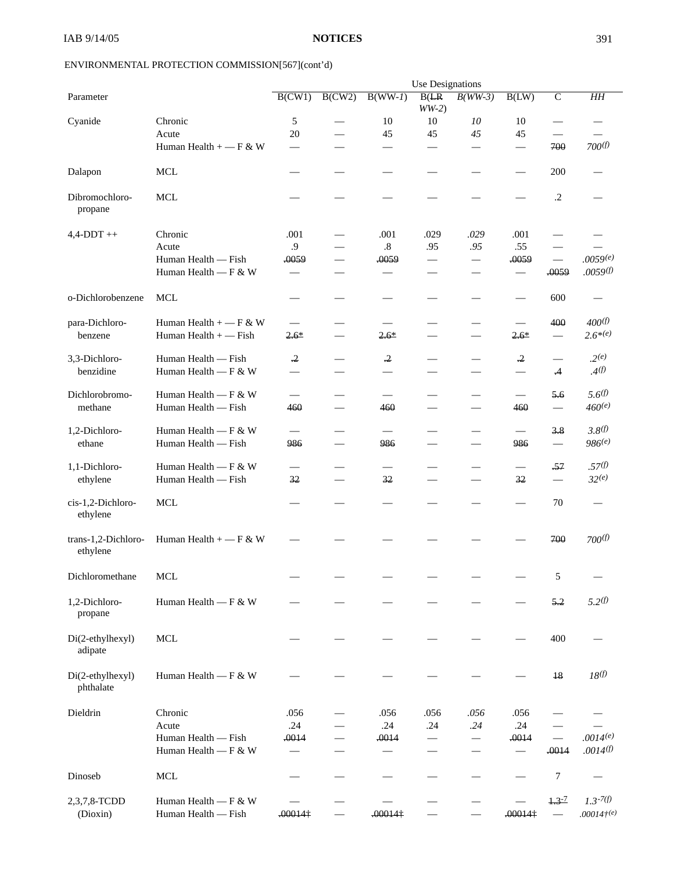|                                 |                          | Use Designations         |                          |                          |                          |                               |                      |                                               |                     |
|---------------------------------|--------------------------|--------------------------|--------------------------|--------------------------|--------------------------|-------------------------------|----------------------|-----------------------------------------------|---------------------|
| Parameter                       |                          | B(CW1)                   | B(CW2)                   | $B(WW-I)$                | B(LR)<br>$WW-2)$         | $B(WW-3)$                     | B(LW)                | $\overline{C}$                                | H H                 |
| Cyanide                         | Chronic                  | 5                        |                          | 10                       | 10                       | 10                            | 10                   | $\overline{\phantom{0}}$                      |                     |
|                                 | Acute                    | 20                       |                          | 45                       | 45                       | 45                            | 45                   | $\qquad \qquad$                               |                     |
|                                 | Human Health $+$ - F & W |                          |                          |                          |                          |                               |                      | 700                                           | 700 <sup>(f)</sup>  |
|                                 |                          |                          |                          |                          |                          |                               |                      |                                               |                     |
| Dalapon                         | <b>MCL</b>               |                          |                          |                          |                          |                               |                      | 200                                           |                     |
| Dibromochloro-<br>propane       | <b>MCL</b>               |                          |                          |                          |                          |                               |                      | $\cdot$ .2                                    |                     |
| $4,4$ -DDT $++$                 | Chronic                  | .001                     |                          | .001                     | .029                     | .029                          | .001                 |                                               |                     |
|                                 | Acute                    | .9                       |                          | $.8\,$                   | .95                      | .95                           | .55                  |                                               |                     |
|                                 | Human Health — Fish      | .0059                    |                          | .0059                    | $\overline{\phantom{0}}$ |                               | .0059                | $\frac{1}{2}$                                 | .0059(e)            |
|                                 | Human Health — F & W     | $\overline{\phantom{0}}$ |                          |                          | $\overline{\phantom{0}}$ |                               |                      | .0059                                         | .0059(f)            |
|                                 |                          |                          |                          |                          |                          |                               |                      |                                               |                     |
| o-Dichlorobenzene               | <b>MCL</b>               |                          |                          |                          |                          |                               |                      | 600                                           |                     |
| para-Dichloro-                  | Human Health $+$ - F & W |                          |                          |                          |                          |                               |                      | 400                                           | 400(f)              |
| benzene                         | Human Health + - Fish    | $2.6*$                   |                          | $2.6*$                   | $\sim$                   | $\overline{\phantom{0}}$      | $2.6*$               | $\overline{\phantom{m}}$                      | $2.6^{*(e)}$        |
|                                 |                          |                          |                          |                          |                          |                               |                      |                                               |                     |
| 3,3-Dichloro-                   | Human Health — Fish      | $\cdot$ <sup>2</sup>     |                          | $\cdot$ <sup>2</sup>     | $\overline{\phantom{0}}$ |                               | $\cdot$ <sup>2</sup> | $\overline{\phantom{0}}$                      | $.2^{(e)}$          |
| benzidine                       | Human Health — F & W     |                          |                          |                          |                          |                               |                      | $\cdot$ 4                                     | $\mathcal{A}^{(f)}$ |
| Dichlorobromo-                  | Human Health $-$ F & W   |                          |                          |                          |                          |                               |                      | 5.6                                           | 5.6 <sup>(f)</sup>  |
| methane                         | Human Health - Fish      | 460                      | $\overline{\phantom{0}}$ | 460                      | $\overline{\phantom{0}}$ |                               | 460                  | $\overline{\phantom{m}}$                      | $460^{(e)}$         |
|                                 |                          |                          |                          |                          |                          |                               |                      |                                               |                     |
| 1,2-Dichloro-                   | Human Health $-$ F & W   | $\overline{\phantom{0}}$ |                          |                          |                          |                               |                      | 3.8                                           | 3.8 <sup>(f)</sup>  |
| ethane                          | Human Health — Fish      | 986                      |                          | 986                      | $\overline{\phantom{0}}$ | $\overline{\phantom{0}}$      | 986                  | $\qquad \qquad \overbrace{\qquad \qquad }^{}$ | 986(e)              |
|                                 |                          |                          |                          |                          |                          |                               |                      |                                               |                     |
| 1,1-Dichloro-                   | Human Health $-$ F & W   | $\qquad \qquad$          |                          | $\overline{\phantom{0}}$ | $\overline{\phantom{a}}$ |                               |                      | $-57$                                         | .57 <sup>(f)</sup>  |
| ethylene                        | Human Health - Fish      | 32                       | $\overline{\phantom{0}}$ | 32                       | $\overline{\phantom{0}}$ |                               | 32                   | $\overline{\phantom{m}}$                      | 32(e)               |
|                                 |                          |                          |                          |                          |                          |                               |                      |                                               |                     |
| cis-1,2-Dichloro-<br>ethylene   | <b>MCL</b>               |                          |                          |                          |                          |                               |                      | 70                                            |                     |
| trans-1,2-Dichloro-<br>ethylene | Human Health $+$ - F & W |                          |                          |                          |                          |                               |                      | 700                                           | 700 <sup>(f)</sup>  |
| Dichloromethane                 | <b>MCL</b>               |                          |                          |                          |                          |                               |                      | 5                                             | $\qquad \qquad$     |
|                                 |                          |                          |                          |                          |                          |                               |                      |                                               |                     |
| 1,2-Dichloro-<br>propane        | Human Health — F & W     |                          |                          |                          |                          |                               |                      | 5.2                                           | $5.2^{(f)}$         |
| Di(2-ethylhexyl)<br>adipate     | <b>MCL</b>               |                          |                          |                          |                          |                               |                      | 400                                           |                     |
| Di(2-ethylhexyl)<br>phthalate   | Human Health — F & W     |                          |                          |                          |                          |                               |                      | 18                                            | 18 <sup>(f)</sup>   |
| Dieldrin                        | Chronic                  | .056                     |                          | .056                     | .056                     | .056                          | .056                 |                                               |                     |
|                                 | Acute                    | .24                      |                          | .24                      | .24                      | .24                           | .24                  |                                               |                     |
|                                 | Human Health — Fish      | .0014                    |                          | .0014                    | $\overline{\phantom{0}}$ | $\overline{\phantom{0}}$      | .0014                | $\overline{\phantom{m}}$                      | .0014(e)            |
|                                 | Human Health — $F & W$   |                          |                          | $\overline{\phantom{0}}$ |                          |                               |                      | .0014                                         | .0014(f)            |
|                                 |                          |                          |                          |                          |                          |                               |                      |                                               |                     |
| Dinoseb                         | <b>MCL</b>               |                          |                          |                          |                          | $\overbrace{\phantom{12332}}$ |                      | 7                                             |                     |
| 2,3,7,8-TCDD                    | Human Health — F & W     |                          |                          |                          |                          |                               |                      | $1.3 - 7$                                     | $1.3 - 7(f)$        |
| (Dioxin)                        | Human Health - Fish      | $.00014\dagger$          |                          | $.00014\dagger$          |                          |                               | .00014               |                                               | $.00014(^{e})$      |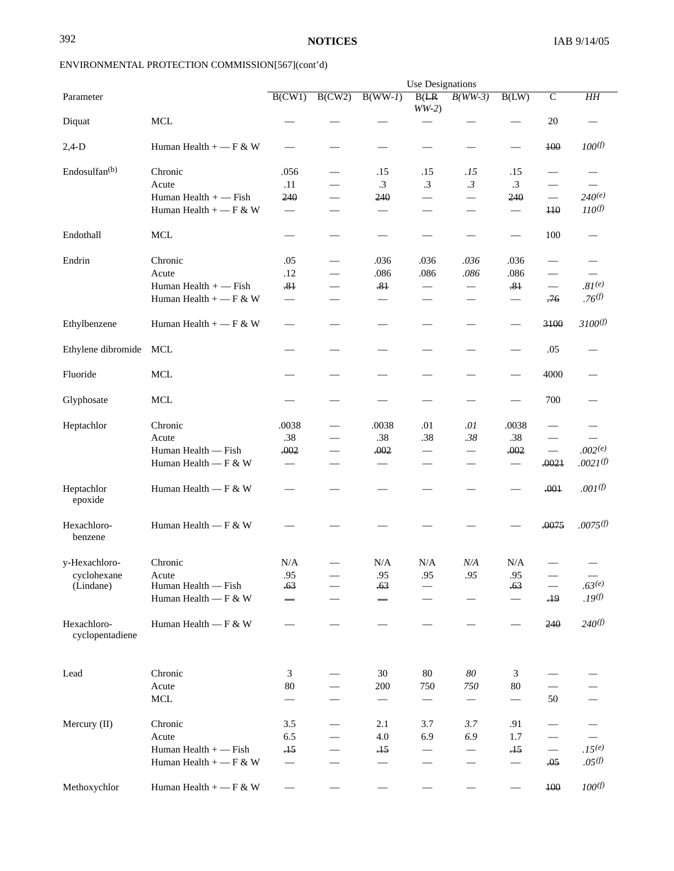|                                |                          |                                 | <b>Use Designations</b>  |                          |                          |                          |                          |                                 |                          |
|--------------------------------|--------------------------|---------------------------------|--------------------------|--------------------------|--------------------------|--------------------------|--------------------------|---------------------------------|--------------------------|
| Parameter                      |                          | B(CW1)                          | B(CW2)                   | $B(WW-I)$                | B(LR)<br>$WW-2)$         | $B(WW-3)$                | B(LW)                    | $\overline{C}$                  | H H                      |
| Diquat                         | <b>MCL</b>               |                                 |                          |                          |                          |                          |                          | 20                              |                          |
| $2,4-D$                        | Human Health $+$ - F & W |                                 |                          |                          |                          |                          |                          | 400                             | $100^{(f)}$              |
| Endosulfan <sup>(b)</sup>      | Chronic                  | .056                            | $\overline{\phantom{0}}$ | .15                      | .15                      | .15                      | .15                      | $\hspace{0.1mm}-\hspace{0.1mm}$ |                          |
|                                | Acute                    | .11                             |                          | $\cdot$ 3                | $\cdot$ 3                | .3                       | $\cdot$ 3                |                                 |                          |
|                                | Human Health $+$ - Fish  | 240                             |                          | 240                      | $\qquad \qquad$          |                          | 240                      |                                 | $240^{(e)}$              |
|                                | Human Health $+$ - F & W | $\overbrace{\qquad \qquad }^{}$ |                          |                          | $\overline{\phantom{0}}$ |                          |                          | $\overline{110}$                | 110 <sup>(f)</sup>       |
| Endothall                      | <b>MCL</b>               | $\overline{\phantom{0}}$        |                          |                          |                          |                          | $\overline{\phantom{a}}$ | 100                             |                          |
| Endrin                         | Chronic                  | .05                             |                          | .036                     | .036                     | .036                     | .036                     | $\frac{1}{2}$                   |                          |
|                                | Acute                    | .12                             |                          | .086                     | .086                     | .086                     | .086                     | $\overline{\phantom{0}}$        | $\qquad \qquad -$        |
|                                | Human Health $+$ - Fish  | $-81$                           |                          | $-81$                    |                          |                          | $-81$                    |                                 | $.81^{(e)}$              |
|                                | Human Health $+$ - F & W |                                 |                          |                          |                          |                          |                          | $-76$                           | .76(f)                   |
| Ethylbenzene                   | Human Health $+$ - F & W |                                 |                          |                          |                          |                          |                          | 3100                            | 3100 <sup>(f)</sup>      |
| Ethylene dibromide             | MCL                      |                                 |                          |                          |                          |                          |                          | .05                             |                          |
| Fluoride                       | <b>MCL</b>               |                                 |                          |                          |                          |                          |                          | 4000                            |                          |
| Glyphosate                     | <b>MCL</b>               |                                 |                          |                          |                          |                          |                          | 700                             |                          |
| Heptachlor                     | Chronic                  | .0038                           |                          | .0038                    | .01                      | .01                      | .0038                    |                                 |                          |
|                                | Acute                    | .38                             |                          | .38                      | .38                      | .38                      | .38                      | $\overline{\phantom{0}}$        |                          |
|                                | Human Health — Fish      | .002                            |                          | .002                     | $\overline{\phantom{0}}$ |                          | .002                     |                                 | .002(e)                  |
|                                | Human Health — F & W     | $\overline{\phantom{m}}$        |                          |                          |                          |                          | $\qquad \qquad$          | .0021                           | $.0021^{(f)}$            |
| Heptachlor<br>epoxide          | Human Health — F & W     |                                 |                          |                          |                          |                          |                          | .001                            | $.001^{(f)}$             |
| Hexachloro-<br>benzene         | Human Health — F & W     |                                 |                          |                          |                          |                          |                          | .0075                           | .0075 <sup>(f)</sup>     |
| y-Hexachloro-                  | Chronic                  | N/A                             |                          | N/A                      | N/A                      | N/A                      | N/A                      |                                 |                          |
| cyclohexane                    | Acute                    | .95                             |                          | .95                      | .95                      | .95                      | .95                      |                                 | $\overline{\phantom{m}}$ |
| (Lindane)                      | Human Health - Fish      | .63                             |                          | .63                      |                          |                          | .63                      |                                 | $.63^{(e)}$              |
|                                | Human Health — F & W     |                                 |                          |                          | $\overline{\phantom{0}}$ |                          |                          | $-19$                           | .19 <sup>(f)</sup>       |
| Hexachloro-<br>cyclopentadiene | Human Health — F & W     |                                 |                          |                          |                          |                          |                          | 240                             | 240(f)                   |
| Lead                           | Chronic                  | 3                               |                          | 30                       | 80                       | 80                       | 3                        |                                 |                          |
|                                | Acute                    | 80                              |                          | 200                      | 750                      | 750                      | $80\,$                   |                                 |                          |
|                                | $\operatorname{MCL}$     |                                 |                          | $\overline{\phantom{m}}$ | $\qquad \qquad -$        | $\overline{\phantom{m}}$ | $\overline{\phantom{0}}$ | 50                              |                          |
| Mercury (II)                   | Chronic                  | 3.5                             |                          | 2.1                      | 3.7                      | 3.7                      | .91                      |                                 |                          |
|                                | Acute                    | 6.5                             |                          | 4.0                      | 6.9                      | 6.9                      | 1.7                      |                                 |                          |
|                                | Human Health + - Fish    | $\pm$                           |                          | .15                      |                          | $\qquad \qquad -$        | .15                      | $\overline{\phantom{0}}$        | $.15^{(e)}$              |
|                                | Human Health + $-$ F & W |                                 |                          |                          |                          | $\qquad \qquad$          |                          | .05                             | .05 <sup>(f)</sup>       |
|                                |                          |                                 |                          |                          |                          |                          |                          |                                 | $100^{(f)}$              |
| Methoxychlor                   | Human Health $+$ - F & W | $\overline{\phantom{m}}$        |                          |                          |                          |                          |                          | 100                             |                          |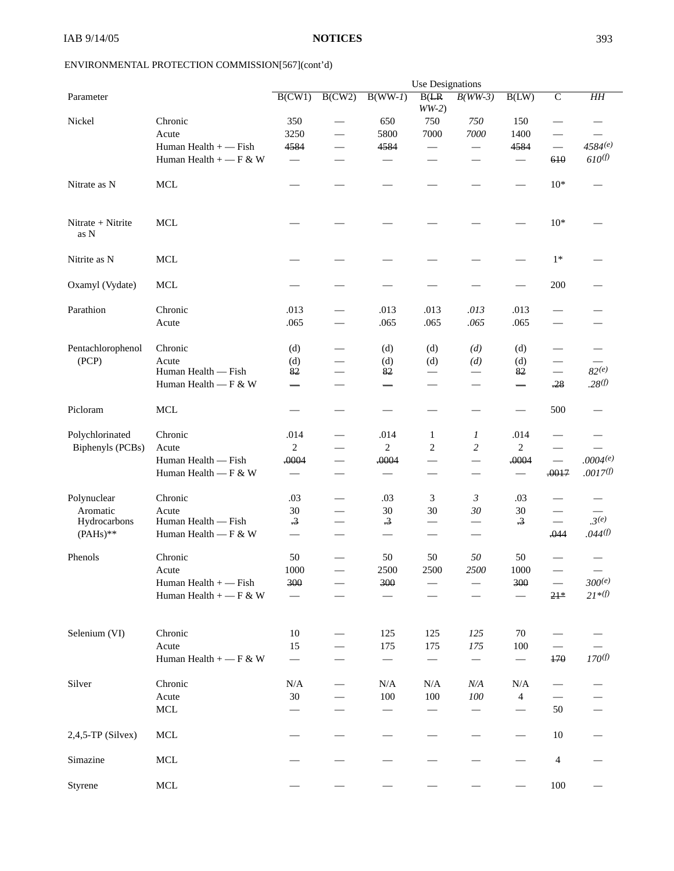|                           |                          | Use Designations         |                          |                          |                          |                                   |                          |                          |                      |  |
|---------------------------|--------------------------|--------------------------|--------------------------|--------------------------|--------------------------|-----------------------------------|--------------------------|--------------------------|----------------------|--|
| Parameter                 |                          | B(CW1)                   | B(CW2)                   | $B(WW-I)$                | B(LR)<br>$WW-2)$         | $B(WW-3)$                         | B(LW)                    | $\overline{C}$           | H H                  |  |
| Nickel                    | Chronic                  | 350                      |                          | 650                      | 750                      | 750                               | 150                      | $\overline{\phantom{0}}$ |                      |  |
|                           | Acute                    | 3250                     | $\overline{\phantom{0}}$ | 5800                     | 7000                     | 7000                              | 1400                     | $\overline{\phantom{0}}$ |                      |  |
|                           | Human Health $+$ - Fish  | 4584                     | $\overline{\phantom{0}}$ | 4584                     |                          | $\overline{\phantom{0}}$          | 4584                     | $\qquad \qquad$          | $4584^{(e)}$         |  |
|                           | Human Health + $-$ F & W |                          |                          |                          |                          |                                   |                          | 610                      | 610 <sup>(f)</sup>   |  |
| Nitrate as N              | <b>MCL</b>               |                          |                          |                          |                          |                                   |                          | $10*$                    |                      |  |
| Nitrate + Nitrite<br>as N | <b>MCL</b>               |                          |                          |                          |                          |                                   |                          | $10*$                    |                      |  |
| Nitrite as N              | <b>MCL</b>               |                          |                          |                          |                          |                                   |                          | $1*$                     |                      |  |
| Oxamyl (Vydate)           | <b>MCL</b>               |                          |                          |                          |                          |                                   |                          | 200                      |                      |  |
| Parathion                 | Chronic                  | .013                     |                          | .013                     | .013                     | .013                              | .013                     |                          |                      |  |
|                           | Acute                    | .065                     |                          | .065                     | .065                     | .065                              | .065                     |                          |                      |  |
| Pentachlorophenol         | Chronic                  | (d)                      |                          | (d)                      | (d)                      | (d)                               | (d)                      | -                        |                      |  |
| (PCP)                     | Acute                    | (d)                      |                          | (d)                      | (d)                      | (d)                               | (d)                      | $\overline{\phantom{0}}$ |                      |  |
|                           | Human Health - Fish      | 82                       |                          | 82                       |                          |                                   | 82                       | $\qquad \qquad$          | $82^{(e)}$           |  |
|                           | Human Health — F & W     |                          |                          |                          |                          |                                   |                          | $-28$                    | .28 <sup>(f)</sup>   |  |
| Picloram                  | <b>MCL</b>               |                          |                          |                          |                          |                                   |                          | 500                      |                      |  |
| Polychlorinated           | Chronic                  | .014                     |                          | .014                     | 1                        | 1                                 | .014                     |                          |                      |  |
| Biphenyls (PCBs)          | Acute                    | $\overline{2}$           | $\overline{\phantom{0}}$ | $\overline{c}$           | $\mathbf{2}$             | $\sqrt{2}$                        | $\overline{c}$           | $\overline{\phantom{0}}$ |                      |  |
|                           | Human Health — Fish      | .0004                    | $\overline{\phantom{0}}$ | .0004                    | $\overline{\phantom{0}}$ |                                   | .0004                    | $\overline{\phantom{0}}$ | .0004(e)             |  |
|                           | Human Health — F & W     | $\qquad \qquad$          |                          |                          |                          | $\qquad \qquad$                   |                          | .0017                    | .0017 <sup>(f)</sup> |  |
| Polynuclear               | Chronic                  | .03                      |                          | .03                      | 3                        | $\mathfrak{Z}$                    | .03                      |                          |                      |  |
| Aromatic                  | Acute                    | 30                       | $\overline{\phantom{0}}$ | 30                       | 30                       | 30                                | 30                       |                          |                      |  |
| Hydrocarbons              | Human Health — Fish      | $\cdot$ 3                |                          | $\cdot$ 3                |                          | $\overline{\phantom{0}}$          | $\overline{.3}$          |                          | .3 <sup>(e)</sup>    |  |
| $(PAHs)**$                | Human Health — F & W     | $\overline{\phantom{0}}$ |                          |                          |                          | $\overline{\phantom{0}}$          |                          | .044                     | .044(f)              |  |
| Phenols                   | Chronic                  | 50                       |                          | 50                       | 50                       | 50                                | 50                       |                          |                      |  |
|                           | Acute                    | 1000                     |                          | 2500                     | 2500                     | 2500                              | 1000                     |                          |                      |  |
|                           | Human Health + - Fish    | 300                      |                          | 300                      |                          |                                   | 300                      | $\overline{\phantom{m}}$ | $300^{(e)}$          |  |
|                           | Human Health $+$ - F & W |                          |                          |                          |                          |                                   |                          | $21*$                    | $21 * (f)$           |  |
| Selenium (VI)             | Chronic                  | 10                       |                          | 125                      | 125                      | 125                               | 70                       |                          |                      |  |
|                           | Acute                    | 15                       |                          | 175                      | 175                      | 175                               | 100                      |                          |                      |  |
|                           | Human Health + $-$ F & W |                          |                          | $\overline{\phantom{0}}$ | $\overline{\phantom{m}}$ | $\overbrace{\phantom{123221111}}$ | $\overline{\phantom{m}}$ | 470                      | 170 <sup>(f)</sup>   |  |
| Silver                    | Chronic                  | N/A                      |                          | N/A                      | N/A                      | N/A                               | N/A                      | $\overline{\phantom{0}}$ |                      |  |
|                           | Acute                    | $30\,$                   |                          | 100                      | 100                      | 100                               | 4                        |                          |                      |  |
|                           | <b>MCL</b>               |                          |                          |                          |                          |                                   |                          | 50                       |                      |  |
| $2,4,5$ -TP (Silvex)      | <b>MCL</b>               |                          |                          |                          |                          |                                   |                          | $10\,$                   |                      |  |
| Simazine                  | MCL                      |                          |                          |                          |                          |                                   |                          | $\overline{4}$           |                      |  |
| Styrene                   | $\rm MCL$                |                          |                          |                          |                          |                                   |                          | 100                      |                      |  |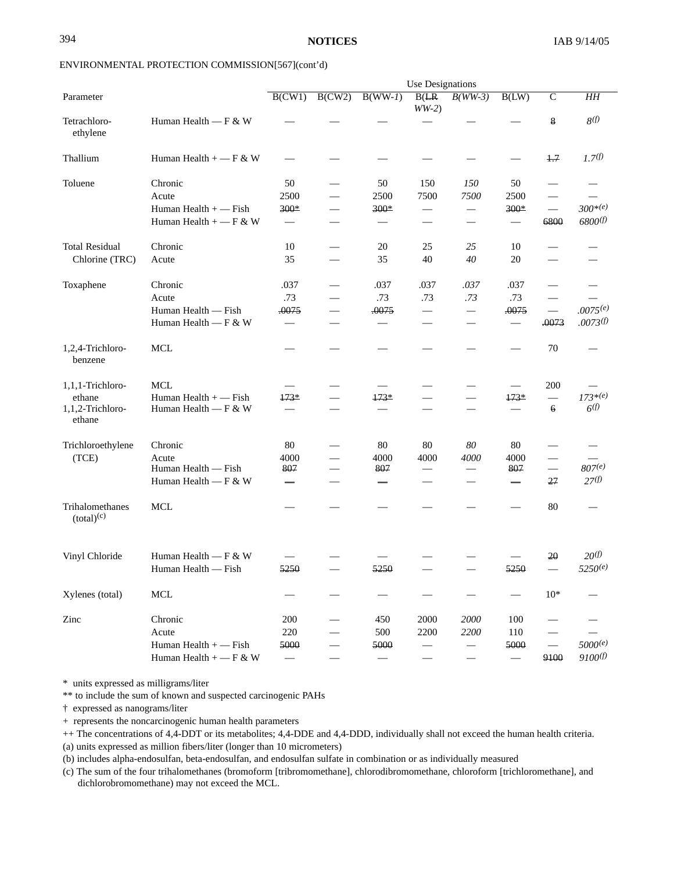|                                                          | <b>Use Designations</b>                                                 |                                                    |                          |                      |                                         |                                                                    |                                         |                                                              |                                   |  |  |  |  |
|----------------------------------------------------------|-------------------------------------------------------------------------|----------------------------------------------------|--------------------------|----------------------|-----------------------------------------|--------------------------------------------------------------------|-----------------------------------------|--------------------------------------------------------------|-----------------------------------|--|--|--|--|
| Parameter                                                |                                                                         | B(CW1)                                             | B(CW2)                   | $B(WW-I)$            | B(LR)<br>$WW-2)$                        | $B(WW-3)$                                                          | B(LW)                                   | $\mathsf{C}$                                                 | H H                               |  |  |  |  |
| Tetrachloro-<br>ethylene                                 | Human Health — F & W                                                    |                                                    |                          |                      |                                         |                                                                    |                                         | 8                                                            | 8(f)                              |  |  |  |  |
| Thallium                                                 | Human Health $+$ - F & W                                                |                                                    |                          |                      |                                         |                                                                    | $\overline{\phantom{0}}$                | $+7$                                                         | 1.7 <sup>(f)</sup>                |  |  |  |  |
| Toluene                                                  | Chronic<br>Acute<br>Human Health $+$ - Fish<br>Human Health $+$ - F & W | 50<br>2500<br>300*                                 | $\overline{\phantom{0}}$ | 50<br>2500<br>300*   | 150<br>7500<br>$\overline{\phantom{0}}$ | 150<br>7500<br>$\qquad \qquad -$<br>$\overbrace{\phantom{12332}}$  | 50<br>2500<br>$300*$                    | $\hspace{0.05cm}$<br>$\overbrace{\qquad \qquad }^{}$<br>6800 | $300^{*(e)}$<br>6800(f)           |  |  |  |  |
| <b>Total Residual</b><br>Chlorine (TRC)                  | Chronic<br>Acute                                                        | 10<br>35                                           | $\overline{\phantom{0}}$ | 20<br>35             | 25<br>40                                | 25<br>40                                                           | 10<br>20                                |                                                              |                                   |  |  |  |  |
| Toxaphene                                                | Chronic<br>Acute<br>Human Health — Fish<br>Human Health — F & W         | .037<br>.73<br>.0075                               | $\overline{\phantom{0}}$ | .037<br>.73<br>.0075 | .037<br>.73<br>$\qquad \qquad -$        | .037<br>.73<br>$\overbrace{\phantom{12322111}}$<br>$\qquad \qquad$ | .037<br>.73<br>.0075<br>$\qquad \qquad$ | $\overbrace{\qquad \qquad }^{}$<br>.0073                     | .0075(e)<br>.0073(f)              |  |  |  |  |
| 1,2,4-Trichloro-<br>benzene                              | <b>MCL</b>                                                              |                                                    |                          |                      |                                         |                                                                    |                                         | 70                                                           |                                   |  |  |  |  |
| 1,1,1-Trichloro-<br>ethane<br>1,1,2-Trichloro-<br>ethane | <b>MCL</b><br>Human Health $+$ - Fish<br>Human Health $-F & W$          | $173*$                                             | $\overline{\phantom{0}}$ | $173*$               |                                         |                                                                    | $173*$                                  | 200<br>6                                                     | $173^{*(e)}$<br>6 <sup>(f)</sup>  |  |  |  |  |
| Trichloroethylene<br>(TCE)                               | Chronic<br>Acute<br>Human Health — Fish<br>Human Health — F & W         | 80<br>4000<br>807                                  | $\overline{\phantom{0}}$ | 80<br>4000<br>807    | 80<br>4000                              | 80<br>4000                                                         | 80<br>4000<br>807                       | 27                                                           | $807^{(e)}$<br>27 <sup>(f)</sup>  |  |  |  |  |
| Trihalomethanes<br>(total) <sup>(c)</sup>                | <b>MCL</b>                                                              |                                                    |                          |                      |                                         |                                                                    |                                         | 80                                                           |                                   |  |  |  |  |
| Vinyl Chloride                                           | Human Health — F & W<br>Human Health — Fish                             | 5250                                               |                          | 5250                 |                                         |                                                                    | 5250                                    | 20<br>$\overline{\phantom{m}}$                               | 20 <sup>(f)</sup><br>$5250^{(e)}$ |  |  |  |  |
| Xylenes (total)                                          | $\rm MCL$                                                               |                                                    |                          |                      |                                         |                                                                    |                                         | $10*$                                                        |                                   |  |  |  |  |
| Zinc                                                     | Chronic<br>Acute<br>Human Health + - Fish<br>Human Health $+$ - F & W   | 200<br>$220\,$<br>5000<br>$\overline{\phantom{0}}$ |                          | 450<br>500<br>5000   | 2000<br>2200                            | 2000<br>2200                                                       | 100<br>110<br>5000                      | 9100                                                         | 5000(e)<br>9100(f)                |  |  |  |  |

\* units expressed as milligrams/liter

\*\* to include the sum of known and suspected carcinogenic PAHs

† expressed as nanograms/liter

+ represents the noncarcinogenic human health parameters

++ The concentrations of 4,4-DDT or its metabolites; 4,4-DDE and 4,4-DDD, individually shall not exceed the human health criteria.

(a) units expressed as million fibers/liter (longer than 10 micrometers)

(b) includes alpha-endosulfan, beta-endosulfan, and endosulfan sulfate in combination or as individually measured

(c) The sum of the four trihalomethanes (bromoform [tribromomethane], chlorodibromomethane, chloroform [trichloromethane], and dichlorobromomethane) may not exceed the MCL.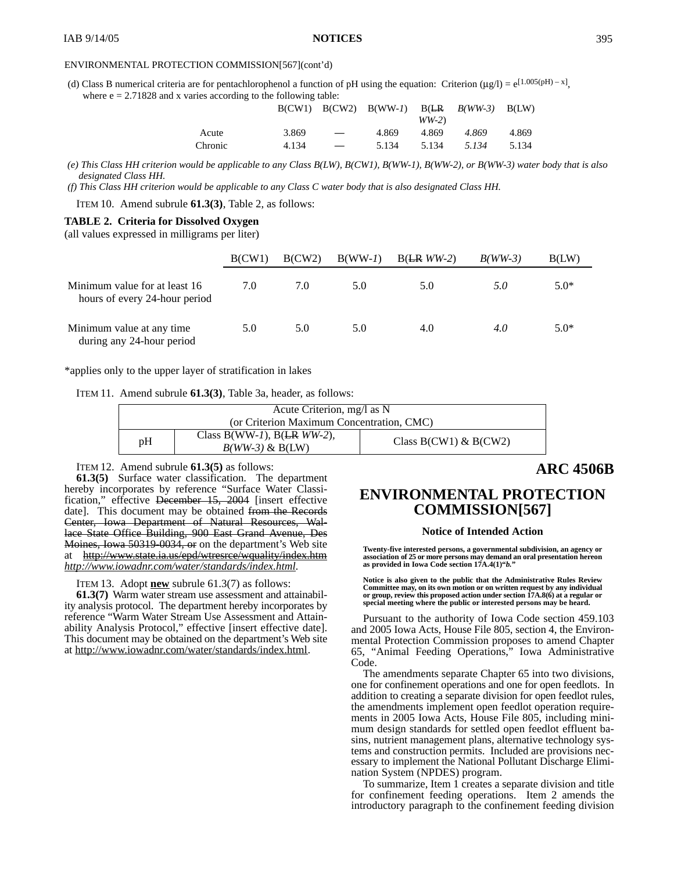(d) Class B numerical criteria are for pentachlorophenol a function of pH using the equation: Criterion (µg/l) =  $e^{[1.005(pH) - x]}$ , where  $e = 2.71828$  and x varies according to the following table:

|         |       |                          | $B(CW1)$ $B(CW2)$ $B(WW-1)$ $B(LR$ $B(WW-3)$ $B(LW)$ | $WW-2$ |       |       |
|---------|-------|--------------------------|------------------------------------------------------|--------|-------|-------|
| Acute   | 3.869 | $\overline{\phantom{m}}$ | 4.869                                                | 4.869  | 4.869 | 4.869 |
| Chronic | 4.134 |                          | 5.134                                                | 5.134  | 5.134 | 5.134 |

*(e) This Class HH criterion would be applicable to any Class B(LW), B(CW1), B(WW-1), B(WW-2), or B(WW-3) water body that is also designated Class HH.*

*(f) This Class HH criterion would be applicable to any Class C water body that is also designated Class HH.*

ITEM 10. Amend subrule **61.3(3)**, Table 2, as follows:

#### **TABLE 2. Criteria for Dissolved Oxygen**

(all values expressed in milligrams per liter)

|                                                                | B(CW1) | B(CW2) | $B(WW-I)$ | $B(LRWW-2)$ | $B(WW-3)$ | B(LW)  |
|----------------------------------------------------------------|--------|--------|-----------|-------------|-----------|--------|
| Minimum value for at least 16<br>hours of every 24-hour period | 7.0    | 7.0    | 5.0       | 5.0         | 5.0       | $5.0*$ |
| Minimum value at any time.<br>during any 24-hour period        | 5.0    | 5.0    | 5.0       | 4.0         | 4.0       | $5.0*$ |

\*applies only to the upper layer of stratification in lakes

|  |  |  |  |  |  | ITEM 11. Amend subrule 61.3(3), Table 3a, header, as follows: |
|--|--|--|--|--|--|---------------------------------------------------------------|
|--|--|--|--|--|--|---------------------------------------------------------------|

| Acute Criterion, mg/l as N                |                                                       |                           |
|-------------------------------------------|-------------------------------------------------------|---------------------------|
| (or Criterion Maximum Concentration, CMC) |                                                       |                           |
| pH                                        | Class B(WW-1), B( $LR WW-2$ ),<br>$B(WW-3)$ & $B(LW)$ | Class $B(CW1)$ & $B(CW2)$ |

ITEM 12. Amend subrule **61.3(5)** as follows:

**61.3(5)** Surface water classification. The department hereby incorporates by reference "Surface Water Classification," effective December 15, 2004 [insert effective date]. This document may be obtained from the Records Center, Iowa Department of Natural Resources, Wallace State Office Building, 900 East Grand Avenue, Des Moines, Iowa 50319-0034, or on the department's Web site at http://www.state.ia.us/epd/wtresrce/wquality/index.htm *http://www.iowadnr.com/water/standards/index.html.*

ITEM 13. Adopt **new** subrule 61.3(7) as follows:

**61.3(7)** Warm water stream use assessment and attainability analysis protocol. The department hereby incorporates by reference "Warm Water Stream Use Assessment and Attainability Analysis Protocol," effective [insert effective date]. This document may be obtained on the department's Web site at http://www.iowadnr.com/water/standards/index.html.

# **ARC 4506B**

## **ENVIRONMENTAL PROTECTION COMMISSION[567]**

### **Notice of Intended Action**

**Twenty-five interested persons, a governmental subdivision, an agency or association of 25 or more persons may demand an oral presentation hereon as provided in Iowa Code section 17A.4(1)"***b.***"**

**Notice is also given to the public that the Administrative Rules Review Committee may, on its own motion or on written request by any individual or group, review this proposed action under section 17A.8(6) at a regular or special meeting where the public or interested persons may be heard.**

Pursuant to the authority of Iowa Code section 459.103 and 2005 Iowa Acts, House File 805, section 4, the Environmental Protection Commission proposes to amend Chapter 65, "Animal Feeding Operations," Iowa Administrative Code.

The amendments separate Chapter 65 into two divisions, one for confinement operations and one for open feedlots. In addition to creating a separate division for open feedlot rules, the amendments implement open feedlot operation requirements in 2005 Iowa Acts, House File 805, including minimum design standards for settled open feedlot effluent basins, nutrient management plans, alternative technology systems and construction permits. Included are provisions necessary to implement the National Pollutant Discharge Elimination System (NPDES) program.

To summarize, Item 1 creates a separate division and title for confinement feeding operations. Item 2 amends the introductory paragraph to the confinement feeding division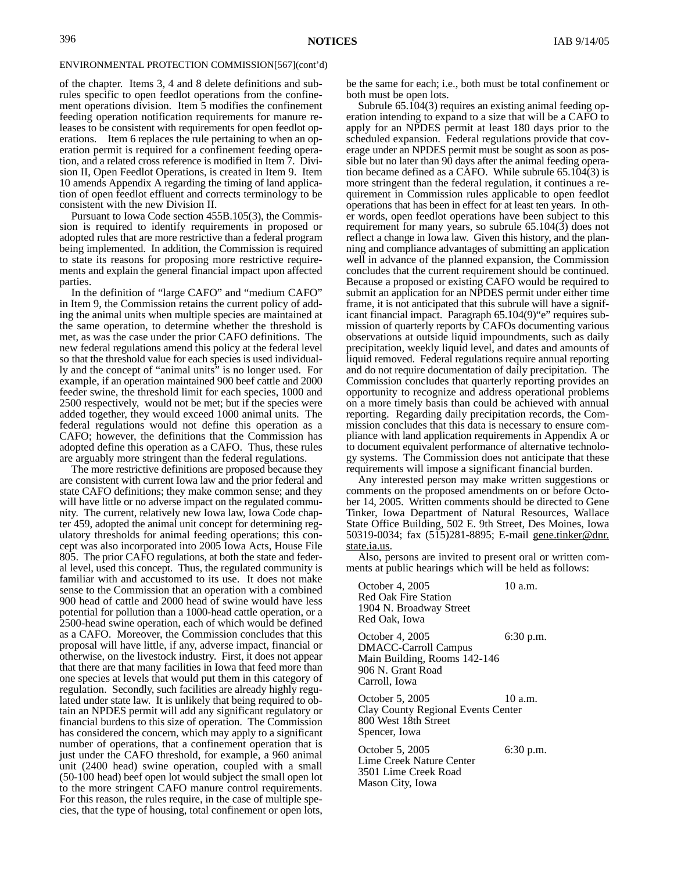of the chapter. Items 3, 4 and 8 delete definitions and subrules specific to open feedlot operations from the confinement operations division. Item 5 modifies the confinement feeding operation notification requirements for manure releases to be consistent with requirements for open feedlot operations. Item 6 replaces the rule pertaining to when an operation permit is required for a confinement feeding operation, and a related cross reference is modified in Item 7. Division II, Open Feedlot Operations, is created in Item 9. Item 10 amends Appendix A regarding the timing of land application of open feedlot effluent and corrects terminology to be consistent with the new Division II.

Pursuant to Iowa Code section 455B.105(3), the Commission is required to identify requirements in proposed or adopted rules that are more restrictive than a federal program being implemented. In addition, the Commission is required to state its reasons for proposing more restrictive requirements and explain the general financial impact upon affected parties.

In the definition of "large CAFO" and "medium CAFO" in Item 9, the Commission retains the current policy of adding the animal units when multiple species are maintained at the same operation, to determine whether the threshold is met, as was the case under the prior CAFO definitions. The new federal regulations amend this policy at the federal level so that the threshold value for each species is used individually and the concept of "animal units" is no longer used. For example, if an operation maintained 900 beef cattle and 2000 feeder swine, the threshold limit for each species, 1000 and 2500 respectively, would not be met; but if the species were added together, they would exceed 1000 animal units. The federal regulations would not define this operation as a CAFO; however, the definitions that the Commission has adopted define this operation as a CAFO. Thus, these rules are arguably more stringent than the federal regulations.

The more restrictive definitions are proposed because they are consistent with current Iowa law and the prior federal and state CAFO definitions; they make common sense; and they will have little or no adverse impact on the regulated community. The current, relatively new Iowa law, Iowa Code chapter 459, adopted the animal unit concept for determining regulatory thresholds for animal feeding operations; this concept was also incorporated into 2005 Iowa Acts, House File 805. The prior CAFO regulations, at both the state and federal level, used this concept. Thus, the regulated community is familiar with and accustomed to its use. It does not make sense to the Commission that an operation with a combined 900 head of cattle and 2000 head of swine would have less potential for pollution than a 1000-head cattle operation, or a 2500-head swine operation, each of which would be defined as a CAFO. Moreover, the Commission concludes that this proposal will have little, if any, adverse impact, financial or otherwise, on the livestock industry. First, it does not appear that there are that many facilities in Iowa that feed more than one species at levels that would put them in this category of regulation. Secondly, such facilities are already highly regulated under state law. It is unlikely that being required to obtain an NPDES permit will add any significant regulatory or financial burdens to this size of operation. The Commission has considered the concern, which may apply to a significant number of operations, that a confinement operation that is just under the CAFO threshold, for example, a 960 animal unit (2400 head) swine operation, coupled with a small (50-100 head) beef open lot would subject the small open lot to the more stringent CAFO manure control requirements. For this reason, the rules require, in the case of multiple species, that the type of housing, total confinement or open lots, be the same for each; i.e., both must be total confinement or both must be open lots.

Subrule 65.104(3) requires an existing animal feeding operation intending to expand to a size that will be a CAFO to apply for an NPDES permit at least 180 days prior to the scheduled expansion. Federal regulations provide that coverage under an NPDES permit must be sought as soon as possible but no later than 90 days after the animal feeding operation became defined as a CAFO. While subrule  $65.104(3)$  is more stringent than the federal regulation, it continues a requirement in Commission rules applicable to open feedlot operations that has been in effect for at least ten years. In other words, open feedlot operations have been subject to this requirement for many years, so subrule 65.104(3) does not reflect a change in Iowa law. Given this history, and the planning and compliance advantages of submitting an application well in advance of the planned expansion, the Commission concludes that the current requirement should be continued. Because a proposed or existing CAFO would be required to submit an application for an NPDES permit under either time frame, it is not anticipated that this subrule will have a significant financial impact. Paragraph 65.104(9)"e" requires submission of quarterly reports by CAFOs documenting various observations at outside liquid impoundments, such as daily precipitation, weekly liquid level, and dates and amounts of liquid removed. Federal regulations require annual reporting and do not require documentation of daily precipitation. The Commission concludes that quarterly reporting provides an opportunity to recognize and address operational problems on a more timely basis than could be achieved with annual reporting. Regarding daily precipitation records, the Commission concludes that this data is necessary to ensure compliance with land application requirements in Appendix A or to document equivalent performance of alternative technology systems. The Commission does not anticipate that these requirements will impose a significant financial burden.

Any interested person may make written suggestions or comments on the proposed amendments on or before October 14, 2005. Written comments should be directed to Gene Tinker, Iowa Department of Natural Resources, Wallace State Office Building, 502 E. 9th Street, Des Moines, Iowa 50319-0034; fax (515)281-8895; E-mail gene.tinker@dnr. state.ia.us.

Also, persons are invited to present oral or written comments at public hearings which will be held as follows:

October 4, 2005 10 a.m. Red Oak Fire Station 1904 N. Broadway Street Red Oak, Iowa October 4, 2005 6:30 p.m. DMACC-Carroll Campus Main Building, Rooms 142-146 906 N. Grant Road Carroll, Iowa October 5, 2005 10 a.m. Clay County Regional Events Center 800 West 18th Street Spencer, Iowa October 5, 2005 6:30 p.m. Lime Creek Nature Center 3501 Lime Creek Road Mason City, Iowa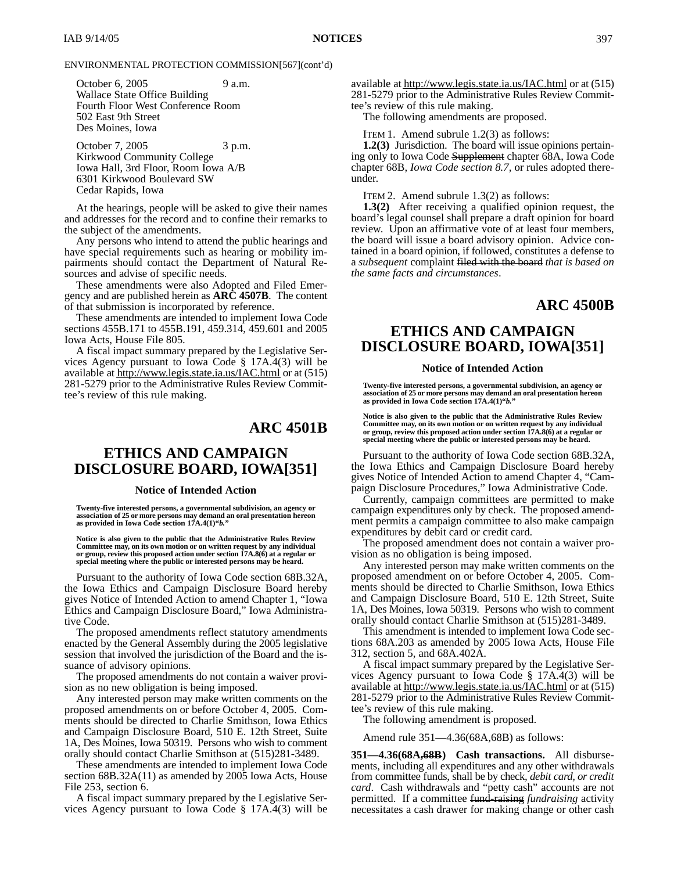October 6, 2005 9 a.m. Wallace State Office Building Fourth Floor West Conference Room 502 East 9th Street Des Moines, Iowa

October 7, 2005 3 p.m. Kirkwood Community College Iowa Hall, 3rd Floor, Room Iowa A/B 6301 Kirkwood Boulevard SW Cedar Rapids, Iowa

At the hearings, people will be asked to give their names and addresses for the record and to confine their remarks to the subject of the amendments.

Any persons who intend to attend the public hearings and have special requirements such as hearing or mobility impairments should contact the Department of Natural Resources and advise of specific needs.

These amendments were also Adopted and Filed Emergency and are published herein as **ARC 4507B**. The content of that submission is incorporated by reference.

These amendments are intended to implement Iowa Code sections 455B.171 to 455B.191, 459.314, 459.601 and 2005 Iowa Acts, House File 805.

A fiscal impact summary prepared by the Legislative Services Agency pursuant to Iowa Code § 17A.4(3) will be available at http://www.legis.state.ia.us/IAC.html or at (515) 281-5279 prior to the Administrative Rules Review Committee's review of this rule making.

## **ARC 4501B**

# **ETHICS AND CAMPAIGN DISCLOSURE BOARD, IOWA[351]**

#### **Notice of Intended Action**

**Twenty-five interested persons, a governmental subdivision, an agency or association of 25 or more persons may demand an oral presentation hereon as provided in Iowa Code section 17A.4(1)"***b.***"**

**Notice is also given to the public that the Administrative Rules Review Committee may, on its own motion or on written request by any individual or group, review this proposed action under section 17A.8(6) at a regular or special meeting where the public or interested persons may be heard.**

Pursuant to the authority of Iowa Code section 68B.32A, the Iowa Ethics and Campaign Disclosure Board hereby gives Notice of Intended Action to amend Chapter 1, "Iowa Ethics and Campaign Disclosure Board," Iowa Administrative Code.

The proposed amendments reflect statutory amendments enacted by the General Assembly during the 2005 legislative session that involved the jurisdiction of the Board and the issuance of advisory opinions.

The proposed amendments do not contain a waiver provision as no new obligation is being imposed.

Any interested person may make written comments on the proposed amendments on or before October 4, 2005. Comments should be directed to Charlie Smithson, Iowa Ethics and Campaign Disclosure Board, 510 E. 12th Street, Suite 1A, Des Moines, Iowa 50319. Persons who wish to comment orally should contact Charlie Smithson at (515)281-3489.

These amendments are intended to implement Iowa Code section 68B.32A(11) as amended by 2005 Iowa Acts, House File 253, section 6.

A fiscal impact summary prepared by the Legislative Services Agency pursuant to Iowa Code § 17A.4(3) will be available at http://www.legis.state.ia.us/IAC.html or at (515) 281-5279 prior to the Administrative Rules Review Committee's review of this rule making.

The following amendments are proposed.

ITEM 1. Amend subrule 1.2(3) as follows:

**1.2(3)** Jurisdiction. The board will issue opinions pertaining only to Iowa Code Supplement chapter 68A, Iowa Code chapter 68B, *Iowa Code section 8.7,* or rules adopted thereunder.

ITEM 2. Amend subrule 1.3(2) as follows:

**1.3(2)** After receiving a qualified opinion request, the board's legal counsel shall prepare a draft opinion for board review. Upon an affirmative vote of at least four members, the board will issue a board advisory opinion. Advice contained in a board opinion, if followed, constitutes a defense to a *subsequent* complaint filed with the board *that is based on the same facts and circumstances*.

## **ARC 4500B**

# **ETHICS AND CAMPAIGN DISCLOSURE BOARD, IOWA[351]**

### **Notice of Intended Action**

**Twenty-five interested persons, a governmental subdivision, an agency or association of 25 or more persons may demand an oral presentation hereon as provided in Iowa Code section 17A.4(1)"***b.***"**

**Notice is also given to the public that the Administrative Rules Review Committee may, on its own motion or on written request by any individual or group, review this proposed action under section 17A.8(6) at a regular or special meeting where the public or interested persons may be heard.**

Pursuant to the authority of Iowa Code section 68B.32A, the Iowa Ethics and Campaign Disclosure Board hereby gives Notice of Intended Action to amend Chapter 4, "Campaign Disclosure Procedures," Iowa Administrative Code.

Currently, campaign committees are permitted to make campaign expenditures only by check. The proposed amendment permits a campaign committee to also make campaign expenditures by debit card or credit card.

The proposed amendment does not contain a waiver provision as no obligation is being imposed.

Any interested person may make written comments on the proposed amendment on or before October 4, 2005. Comments should be directed to Charlie Smithson, Iowa Ethics and Campaign Disclosure Board, 510 E. 12th Street, Suite 1A, Des Moines, Iowa 50319. Persons who wish to comment orally should contact Charlie Smithson at (515)281-3489.

This amendment is intended to implement Iowa Code sections 68A.203 as amended by 2005 Iowa Acts, House File 312, section 5, and 68A.402A.

A fiscal impact summary prepared by the Legislative Services Agency pursuant to Iowa Code § 17A.4(3) will be available at http://www.legis.state.ia.us/IAC.html or at (515) 281-5279 prior to the Administrative Rules Review Committee's review of this rule making.

The following amendment is proposed.

Amend rule 351—4.36(68A,68B) as follows:

**351—4.36(68A,68B) Cash transactions.** All disbursements, including all expenditures and any other withdrawals from committee funds, shall be by check*, debit card, or credit card*. Cash withdrawals and "petty cash" accounts are not permitted. If a committee fund-raising *fundraising* activity necessitates a cash drawer for making change or other cash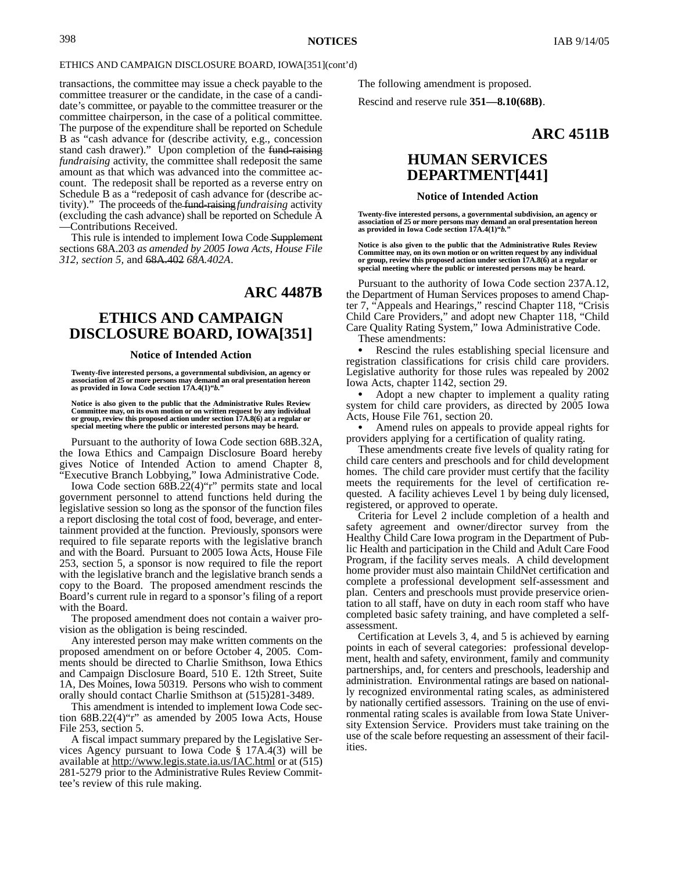### ETHICS AND CAMPAIGN DISCLOSURE BOARD, IOWA[351](cont'd)

transactions, the committee may issue a check payable to the committee treasurer or the candidate, in the case of a candidate's committee, or payable to the committee treasurer or the committee chairperson, in the case of a political committee. The purpose of the expenditure shall be reported on Schedule B as "cash advance for (describe activity, e.g., concession stand cash drawer)." Upon completion of the fund-raising *fundraising* activity, the committee shall redeposit the same amount as that which was advanced into the committee account. The redeposit shall be reported as a reverse entry on Schedule B as a "redeposit of cash advance for (describe activity)." The proceeds of the fund-raising*fundraising* activity (excluding the cash advance) shall be reported on Schedule A —Contributions Received.

This rule is intended to implement Iowa Code Supplement sections 68A.203 *as amended by 2005 Iowa Acts, House File 312, section 5,* and 68A.402 *68A.402A*.

## **ARC 4487B**

# **ETHICS AND CAMPAIGN DISCLOSURE BOARD, IOWA[351]**

#### **Notice of Intended Action**

**Twenty-five interested persons, a governmental subdivision, an agency or association of 25 or more persons may demand an oral presentation hereon as provided in Iowa Code section 17A.4(1)"***b.***"**

**Notice is also given to the public that the Administrative Rules Review** Committee may, on its own motion or on written request by any individual<br>or group, review this proposed action under section 17A.8(6) at a regular or<br>special meeting where the public or interested persons may be heard.

Pursuant to the authority of Iowa Code section 68B.32A, the Iowa Ethics and Campaign Disclosure Board hereby gives Notice of Intended Action to amend Chapter 8, "Executive Branch Lobbying," Iowa Administrative Code.

Iowa Code section 68B.22(4)"r" permits state and local government personnel to attend functions held during the legislative session so long as the sponsor of the function files a report disclosing the total cost of food, beverage, and entertainment provided at the function. Previously, sponsors were required to file separate reports with the legislative branch and with the Board. Pursuant to 2005 Iowa Acts, House File 253, section 5, a sponsor is now required to file the report with the legislative branch and the legislative branch sends a copy to the Board. The proposed amendment rescinds the Board's current rule in regard to a sponsor's filing of a report with the Board.

The proposed amendment does not contain a waiver provision as the obligation is being rescinded.

Any interested person may make written comments on the proposed amendment on or before October 4, 2005. Comments should be directed to Charlie Smithson, Iowa Ethics and Campaign Disclosure Board, 510 E. 12th Street, Suite 1A, Des Moines, Iowa 50319. Persons who wish to comment orally should contact Charlie Smithson at (515)281-3489.

This amendment is intended to implement Iowa Code section 68B.22(4)"r" as amended by 2005 Iowa Acts, House File 253, section 5.

A fiscal impact summary prepared by the Legislative Services Agency pursuant to Iowa Code § 17A.4(3) will be available at http://www.legis.state.ia.us/IAC.html or at (515) 281-5279 prior to the Administrative Rules Review Committee's review of this rule making.

The following amendment is proposed.

Rescind and reserve rule **351—8.10(68B)**.

## **ARC 4511B**

# **HUMAN SERVICES DEPARTMENT[441]**

#### **Notice of Intended Action**

**Twenty-five interested persons, a governmental subdivision, an agency or association of 25 or more persons may demand an oral presentation hereon as provided in Iowa Code section 17A.4(1)"***b.***"**

**Notice is also given to the public that the Administrative Rules Review Committee may, on its own motion or on written request by any individual or group, review this proposed action under section 17A.8(6) at a regular or special meeting where the public or interested persons may be heard.**

Pursuant to the authority of Iowa Code section 237A.12, the Department of Human Services proposes to amend Chapter 7, "Appeals and Hearings," rescind Chapter 118, "Crisis Child Care Providers," and adopt new Chapter 118, "Child Care Quality Rating System," Iowa Administrative Code.

These amendments:

 Rescind the rules establishing special licensure and registration classifications for crisis child care providers. Legislative authority for those rules was repealed by 2002 Iowa Acts, chapter 1142, section 29.

 Adopt a new chapter to implement a quality rating system for child care providers, as directed by 2005 Iowa Acts, House File 761, section 20.

 Amend rules on appeals to provide appeal rights for providers applying for a certification of quality rating.

These amendments create five levels of quality rating for child care centers and preschools and for child development homes. The child care provider must certify that the facility meets the requirements for the level of certification requested. A facility achieves Level 1 by being duly licensed, registered, or approved to operate.

Criteria for Level 2 include completion of a health and safety agreement and owner/director survey from the Healthy Child Care Iowa program in the Department of Public Health and participation in the Child and Adult Care Food Program, if the facility serves meals. A child development home provider must also maintain ChildNet certification and complete a professional development self-assessment and plan. Centers and preschools must provide preservice orientation to all staff, have on duty in each room staff who have completed basic safety training, and have completed a selfassessment.

Certification at Levels 3, 4, and 5 is achieved by earning points in each of several categories: professional development, health and safety, environment, family and community partnerships, and, for centers and preschools, leadership and administration. Environmental ratings are based on nationally recognized environmental rating scales, as administered by nationally certified assessors. Training on the use of environmental rating scales is available from Iowa State University Extension Service. Providers must take training on the use of the scale before requesting an assessment of their facilities.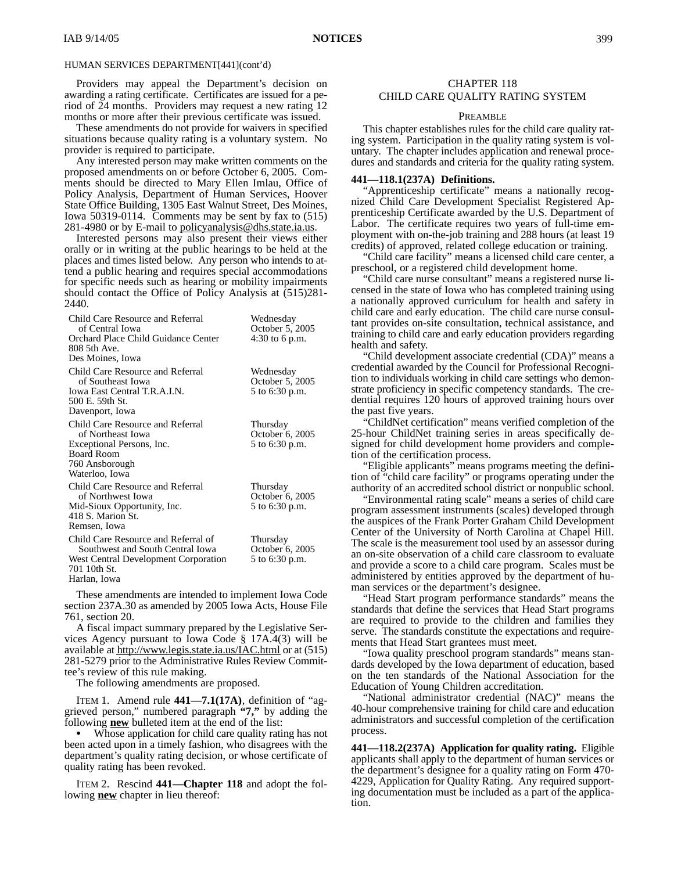Providers may appeal the Department's decision on awarding a rating certificate. Certificates are issued for a period of 24 months. Providers may request a new rating 12 months or more after their previous certificate was issued.

These amendments do not provide for waivers in specified situations because quality rating is a voluntary system. No provider is required to participate.

Any interested person may make written comments on the proposed amendments on or before October 6, 2005. Comments should be directed to Mary Ellen Imlau, Office of Policy Analysis, Department of Human Services, Hoover State Office Building, 1305 East Walnut Street, Des Moines, Iowa 50319-0114. Comments may be sent by fax to (515) 281-4980 or by E-mail to policyanalysis@dhs.state.ia.us.

Interested persons may also present their views either orally or in writing at the public hearings to be held at the places and times listed below. Any person who intends to attend a public hearing and requires special accommodations for specific needs such as hearing or mobility impairments should contact the Office of Policy Analysis at (515)281- 2440.

| Child Care Resource and Referral<br>of Central Iowa<br>Orchard Place Child Guidance Center<br>808 5th Ave.<br>Des Moines, Iowa                  | Wednesday<br>October 5, 2005<br>4:30 to 6 p.m. |
|-------------------------------------------------------------------------------------------------------------------------------------------------|------------------------------------------------|
| Child Care Resource and Referral<br>of Southeast Iowa<br>Iowa East Central T.R.A.I.N.<br>500 E. 59th St.<br>Davenport, Iowa                     | Wednesday<br>October 5, 2005<br>5 to 6:30 p.m. |
| Child Care Resource and Referral<br>of Northeast Iowa<br>Exceptional Persons, Inc.<br><b>Board Room</b><br>760 Ansborough<br>Waterloo, Iowa     | Thursday<br>October 6, 2005<br>5 to 6:30 p.m.  |
| Child Care Resource and Referral<br>of Northwest Iowa<br>Mid-Sioux Opportunity, Inc.<br>418 S. Marion St.<br>Remsen, Iowa                       | Thursday<br>October 6, 2005<br>5 to 6:30 p.m.  |
| Child Care Resource and Referral of<br>Southwest and South Central Iowa<br>West Central Development Corporation<br>701 10th St.<br>Harlan, Iowa | Thursday<br>October 6, 2005<br>5 to 6:30 p.m.  |

These amendments are intended to implement Iowa Code section 237A.30 as amended by 2005 Iowa Acts, House File 761, section 20.

A fiscal impact summary prepared by the Legislative Services Agency pursuant to Iowa Code § 17A.4(3) will be available at http://www.legis.state.ia.us/IAC.html or at (515) 281-5279 prior to the Administrative Rules Review Committee's review of this rule making.

The following amendments are proposed.

ITEM 1. Amend rule **441—7.1(17A)**, definition of "aggrieved person," numbered paragraph **"7,"** by adding the following **new** bulleted item at the end of the list:

 Whose application for child care quality rating has not been acted upon in a timely fashion, who disagrees with the department's quality rating decision, or whose certificate of quality rating has been revoked.

ITEM 2. Rescind **441—Chapter 118** and adopt the following **new** chapter in lieu thereof:

## CHAPTER 118 CHILD CARE QUALITY RATING SYSTEM

### PREAMBLE

This chapter establishes rules for the child care quality rating system. Participation in the quality rating system is voluntary. The chapter includes application and renewal procedures and standards and criteria for the quality rating system.

### **441—118.1(237A) Definitions.**

"Apprenticeship certificate" means a nationally recognized Child Care Development Specialist Registered Apprenticeship Certificate awarded by the U.S. Department of Labor. The certificate requires two years of full-time employment with on-the-job training and 288 hours (at least 19 credits) of approved, related college education or training.

"Child care facility" means a licensed child care center, a preschool, or a registered child development home.

"Child care nurse consultant" means a registered nurse licensed in the state of Iowa who has completed training using a nationally approved curriculum for health and safety in child care and early education. The child care nurse consultant provides on-site consultation, technical assistance, and training to child care and early education providers regarding health and safety.

"Child development associate credential (CDA)" means a credential awarded by the Council for Professional Recognition to individuals working in child care settings who demonstrate proficiency in specific competency standards. The credential requires 120 hours of approved training hours over the past five years.

"ChildNet certification" means verified completion of the 25-hour ChildNet training series in areas specifically designed for child development home providers and completion of the certification process.

"Eligible applicants" means programs meeting the definition of "child care facility" or programs operating under the authority of an accredited school district or nonpublic school.

"Environmental rating scale" means a series of child care program assessment instruments (scales) developed through the auspices of the Frank Porter Graham Child Development Center of the University of North Carolina at Chapel Hill. The scale is the measurement tool used by an assessor during an on-site observation of a child care classroom to evaluate and provide a score to a child care program. Scales must be administered by entities approved by the department of human services or the department's designee.

"Head Start program performance standards" means the standards that define the services that Head Start programs are required to provide to the children and families they serve. The standards constitute the expectations and requirements that Head Start grantees must meet.

"Iowa quality preschool program standards" means standards developed by the Iowa department of education, based on the ten standards of the National Association for the Education of Young Children accreditation.

"National administrator credential (NAC)" means the 40-hour comprehensive training for child care and education administrators and successful completion of the certification process.

**441—118.2(237A) Application for quality rating.** Eligible applicants shall apply to the department of human services or the department's designee for a quality rating on Form 470- 4229, Application for Quality Rating. Any required supporting documentation must be included as a part of the application.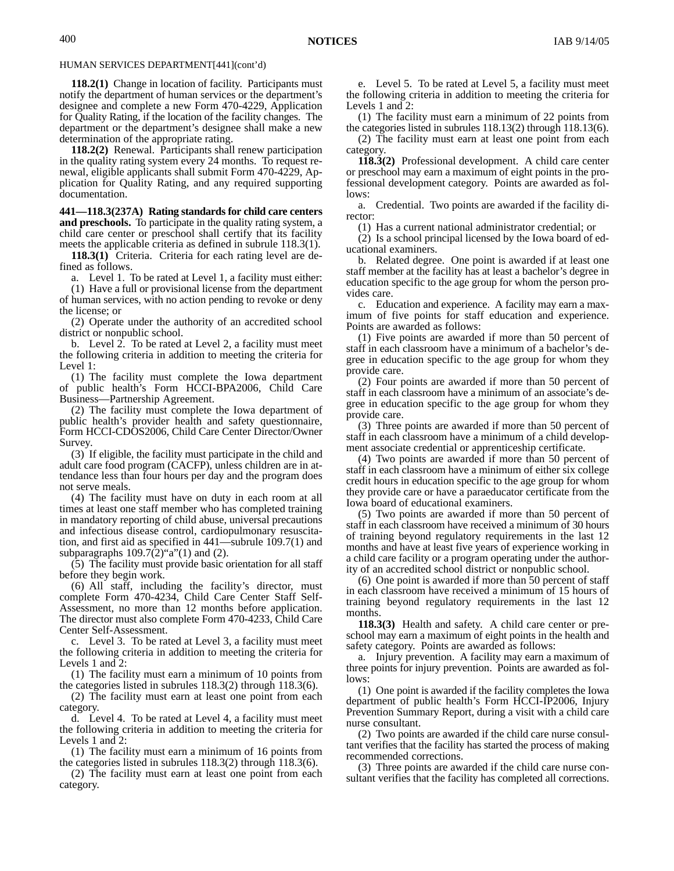**118.2(1)** Change in location of facility. Participants must notify the department of human services or the department's designee and complete a new Form 470-4229, Application for Quality Rating, if the location of the facility changes. The department or the department's designee shall make a new determination of the appropriate rating.

**118.2(2)** Renewal. Participants shall renew participation in the quality rating system every 24 months. To request renewal, eligible applicants shall submit Form 470-4229, Application for Quality Rating, and any required supporting documentation.

**441—118.3(237A) Rating standards for child care centers and preschools.** To participate in the quality rating system, a child care center or preschool shall certify that its facility meets the applicable criteria as defined in subrule 118.3(1).

**118.3(1)** Criteria. Criteria for each rating level are defined as follows.

a. Level 1. To be rated at Level 1, a facility must either:

(1) Have a full or provisional license from the department of human services, with no action pending to revoke or deny the license; or

(2) Operate under the authority of an accredited school district or nonpublic school.

b. Level 2. To be rated at Level 2, a facility must meet the following criteria in addition to meeting the criteria for Level 1:

(1) The facility must complete the Iowa department of public health's Form HCCI-BPA2006, Child Care Business—Partnership Agreement.

(2) The facility must complete the Iowa department of public health's provider health and safety questionnaire, Form HCCI-CDOS2006, Child Care Center Director/Owner Survey.

(3) If eligible, the facility must participate in the child and adult care food program (CACFP), unless children are in attendance less than four hours per day and the program does not serve meals.

(4) The facility must have on duty in each room at all times at least one staff member who has completed training in mandatory reporting of child abuse, universal precautions and infectious disease control, cardiopulmonary resuscitation, and first aid as specified in 441—subrule 109.7(1) and subparagraphs  $109.7(2)$ "a" $(1)$  and  $(2)$ .

(5) The facility must provide basic orientation for all staff before they begin work.

(6) All staff, including the facility's director, must complete Form 470-4234, Child Care Center Staff Self-Assessment, no more than 12 months before application. The director must also complete Form 470-4233, Child Care Center Self-Assessment.

c. Level 3. To be rated at Level 3, a facility must meet the following criteria in addition to meeting the criteria for Levels 1 and 2:

(1) The facility must earn a minimum of 10 points from the categories listed in subrules 118.3(2) through 118.3(6).

(2) The facility must earn at least one point from each category.

d. Level 4. To be rated at Level 4, a facility must meet the following criteria in addition to meeting the criteria for Levels 1 and 2:

(1) The facility must earn a minimum of 16 points from the categories listed in subrules 118.3(2) through 118.3(6).

(2) The facility must earn at least one point from each category.

e. Level 5. To be rated at Level 5, a facility must meet the following criteria in addition to meeting the criteria for Levels 1 and 2:

(1) The facility must earn a minimum of 22 points from the categories listed in subrules 118.13(2) through 118.13(6).

(2) The facility must earn at least one point from each category.

**118.3(2)** Professional development. A child care center or preschool may earn a maximum of eight points in the professional development category. Points are awarded as follows:

a. Credential. Two points are awarded if the facility director:

(1) Has a current national administrator credential; or

(2) Is a school principal licensed by the Iowa board of educational examiners.

b. Related degree. One point is awarded if at least one staff member at the facility has at least a bachelor's degree in education specific to the age group for whom the person provides care.

c. Education and experience. A facility may earn a maximum of five points for staff education and experience. Points are awarded as follows:

(1) Five points are awarded if more than 50 percent of staff in each classroom have a minimum of a bachelor's degree in education specific to the age group for whom they provide care.

(2) Four points are awarded if more than 50 percent of staff in each classroom have a minimum of an associate's degree in education specific to the age group for whom they provide care.

(3) Three points are awarded if more than 50 percent of staff in each classroom have a minimum of a child development associate credential or apprenticeship certificate.

(4) Two points are awarded if more than 50 percent of staff in each classroom have a minimum of either six college credit hours in education specific to the age group for whom they provide care or have a paraeducator certificate from the Iowa board of educational examiners.

(5) Two points are awarded if more than 50 percent of staff in each classroom have received a minimum of 30 hours of training beyond regulatory requirements in the last 12 months and have at least five years of experience working in a child care facility or a program operating under the authority of an accredited school district or nonpublic school.

(6) One point is awarded if more than 50 percent of staff in each classroom have received a minimum of 15 hours of training beyond regulatory requirements in the last 12 months.

**118.3(3)** Health and safety. A child care center or preschool may earn a maximum of eight points in the health and safety category. Points are awarded as follows:

a. Injury prevention. A facility may earn a maximum of three points for injury prevention. Points are awarded as follows:

(1) One point is awarded if the facility completes the Iowa department of public health's Form HCCI-IP2006, Injury Prevention Summary Report, during a visit with a child care nurse consultant.

(2) Two points are awarded if the child care nurse consultant verifies that the facility has started the process of making recommended corrections.

(3) Three points are awarded if the child care nurse consultant verifies that the facility has completed all corrections.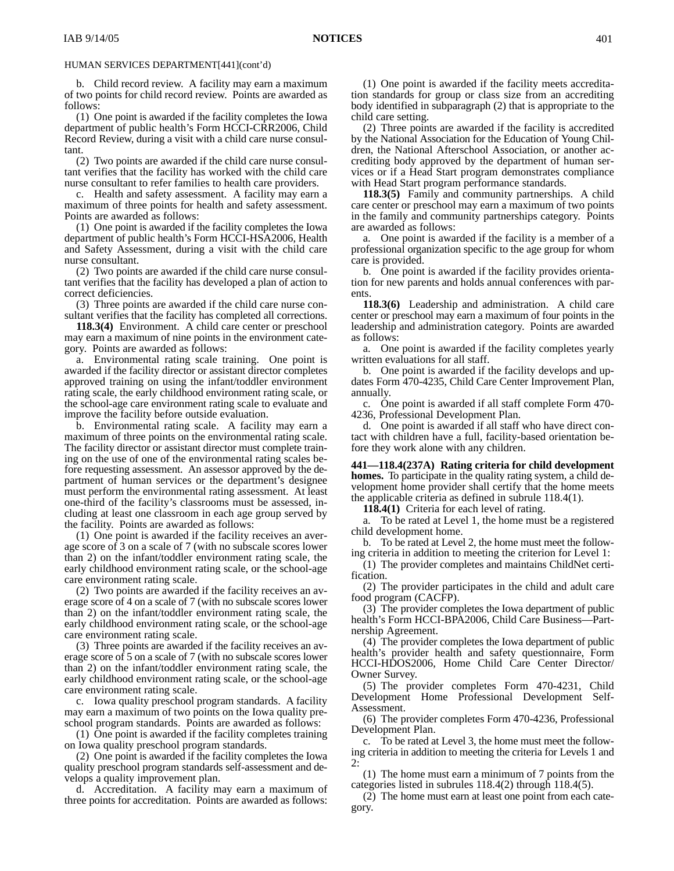b. Child record review. A facility may earn a maximum of two points for child record review. Points are awarded as follows:

(1) One point is awarded if the facility completes the Iowa department of public health's Form HCCI-CRR2006, Child Record Review, during a visit with a child care nurse consultant.

(2) Two points are awarded if the child care nurse consultant verifies that the facility has worked with the child care nurse consultant to refer families to health care providers.

c. Health and safety assessment. A facility may earn a maximum of three points for health and safety assessment. Points are awarded as follows:

(1) One point is awarded if the facility completes the Iowa department of public health's Form HCCI-HSA2006, Health and Safety Assessment, during a visit with the child care nurse consultant.

(2) Two points are awarded if the child care nurse consultant verifies that the facility has developed a plan of action to correct deficiencies.

(3) Three points are awarded if the child care nurse consultant verifies that the facility has completed all corrections.

**118.3(4)** Environment. A child care center or preschool may earn a maximum of nine points in the environment category. Points are awarded as follows:

a. Environmental rating scale training. One point is awarded if the facility director or assistant director completes approved training on using the infant/toddler environment rating scale, the early childhood environment rating scale, or the school-age care environment rating scale to evaluate and improve the facility before outside evaluation.

b. Environmental rating scale. A facility may earn a maximum of three points on the environmental rating scale. The facility director or assistant director must complete training on the use of one of the environmental rating scales before requesting assessment. An assessor approved by the department of human services or the department's designee must perform the environmental rating assessment. At least one-third of the facility's classrooms must be assessed, including at least one classroom in each age group served by the facility. Points are awarded as follows:

(1) One point is awarded if the facility receives an average score of 3 on a scale of 7 (with no subscale scores lower than 2) on the infant/toddler environment rating scale, the early childhood environment rating scale, or the school-age care environment rating scale.

(2) Two points are awarded if the facility receives an average score of 4 on a scale of 7 (with no subscale scores lower than 2) on the infant/toddler environment rating scale, the early childhood environment rating scale, or the school-age care environment rating scale.

(3) Three points are awarded if the facility receives an average score of 5 on a scale of 7 (with no subscale scores lower than 2) on the infant/toddler environment rating scale, the early childhood environment rating scale, or the school-age care environment rating scale.

c. Iowa quality preschool program standards. A facility may earn a maximum of two points on the Iowa quality preschool program standards. Points are awarded as follows:

(1) One point is awarded if the facility completes training on Iowa quality preschool program standards.

(2) One point is awarded if the facility completes the Iowa quality preschool program standards self-assessment and develops a quality improvement plan.

d. Accreditation. A facility may earn a maximum of three points for accreditation. Points are awarded as follows:

(1) One point is awarded if the facility meets accreditation standards for group or class size from an accrediting body identified in subparagraph (2) that is appropriate to the child care setting.

(2) Three points are awarded if the facility is accredited by the National Association for the Education of Young Children, the National Afterschool Association, or another accrediting body approved by the department of human services or if a Head Start program demonstrates compliance with Head Start program performance standards.

**118.3(5)** Family and community partnerships. A child care center or preschool may earn a maximum of two points in the family and community partnerships category. Points are awarded as follows:

a. One point is awarded if the facility is a member of a professional organization specific to the age group for whom care is provided.

b. One point is awarded if the facility provides orientation for new parents and holds annual conferences with parents.

**118.3(6)** Leadership and administration. A child care center or preschool may earn a maximum of four points in the leadership and administration category. Points are awarded as follows:

a. One point is awarded if the facility completes yearly written evaluations for all staff.

b. One point is awarded if the facility develops and updates Form 470-4235, Child Care Center Improvement Plan, annually.

c. One point is awarded if all staff complete Form 470- 4236, Professional Development Plan.

d. One point is awarded if all staff who have direct contact with children have a full, facility-based orientation before they work alone with any children.

**441—118.4(237A) Rating criteria for child development homes.** To participate in the quality rating system, a child development home provider shall certify that the home meets the applicable criteria as defined in subrule 118.4(1).

**118.4(1)** Criteria for each level of rating.

a. To be rated at Level 1, the home must be a registered child development home.

b. To be rated at Level 2, the home must meet the following criteria in addition to meeting the criterion for Level 1:

(1) The provider completes and maintains ChildNet certification.

(2) The provider participates in the child and adult care food program (CACFP).

(3) The provider completes the Iowa department of public health's Form HCCI-BPA2006, Child Care Business—Partnership Agreement.

(4) The provider completes the Iowa department of public health's provider health and safety questionnaire, Form HCCI-HDOS2006, Home Child Care Center Director/ Owner Survey.

(5) The provider completes Form 470-4231, Child Development Home Professional Development Self-Assessment.

(6) The provider completes Form 470-4236, Professional Development Plan.

c. To be rated at Level 3, the home must meet the following criteria in addition to meeting the criteria for Levels 1 and 2:

(1) The home must earn a minimum of 7 points from the categories listed in subrules 118.4(2) through 118.4(5).

(2) The home must earn at least one point from each category.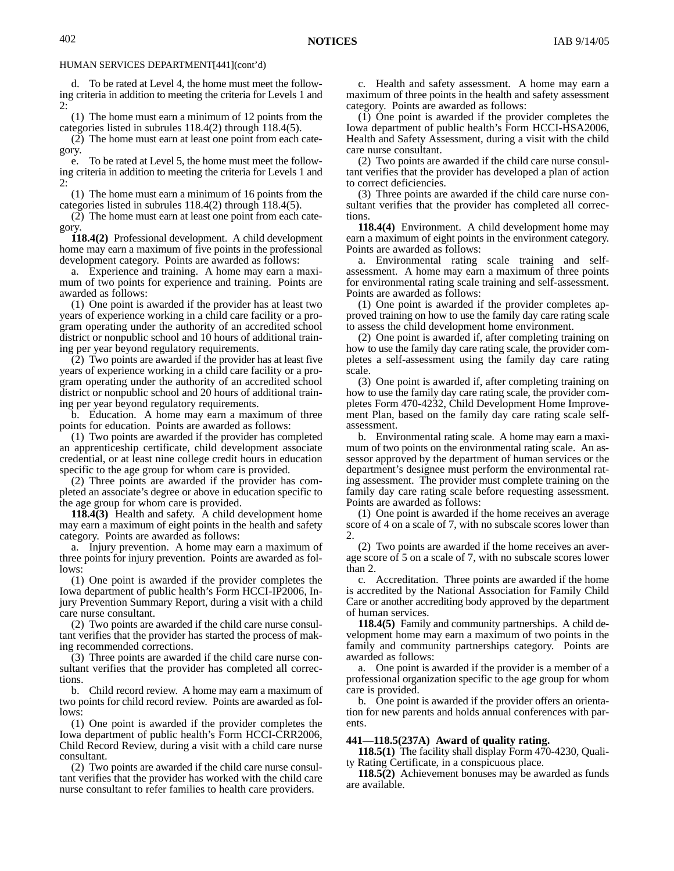d. To be rated at Level 4, the home must meet the following criteria in addition to meeting the criteria for Levels 1 and 2:

(1) The home must earn a minimum of 12 points from the categories listed in subrules 118.4(2) through 118.4(5).

(2) The home must earn at least one point from each category.

e. To be rated at Level 5, the home must meet the following criteria in addition to meeting the criteria for Levels 1 and  $\mathcal{D}$ :

(1) The home must earn a minimum of 16 points from the categories listed in subrules 118.4(2) through 118.4(5).

(2) The home must earn at least one point from each category.

**118.4(2)** Professional development. A child development home may earn a maximum of five points in the professional development category. Points are awarded as follows:

a. Experience and training. A home may earn a maximum of two points for experience and training. Points are awarded as follows:

(1) One point is awarded if the provider has at least two years of experience working in a child care facility or a program operating under the authority of an accredited school district or nonpublic school and 10 hours of additional training per year beyond regulatory requirements.

(2) Two points are awarded if the provider has at least five years of experience working in a child care facility or a program operating under the authority of an accredited school district or nonpublic school and 20 hours of additional training per year beyond regulatory requirements.

b. Education. A home may earn a maximum of three points for education. Points are awarded as follows:

(1) Two points are awarded if the provider has completed an apprenticeship certificate, child development associate credential, or at least nine college credit hours in education specific to the age group for whom care is provided.

(2) Three points are awarded if the provider has completed an associate's degree or above in education specific to the age group for whom care is provided.

**118.4(3)** Health and safety. A child development home may earn a maximum of eight points in the health and safety category. Points are awarded as follows:

a. Injury prevention. A home may earn a maximum of three points for injury prevention. Points are awarded as follows:

(1) One point is awarded if the provider completes the Iowa department of public health's Form HCCI-IP2006, Injury Prevention Summary Report, during a visit with a child care nurse consultant.

(2) Two points are awarded if the child care nurse consultant verifies that the provider has started the process of making recommended corrections.

(3) Three points are awarded if the child care nurse consultant verifies that the provider has completed all corrections.

b. Child record review. A home may earn a maximum of two points for child record review. Points are awarded as follows:

(1) One point is awarded if the provider completes the Iowa department of public health's Form HCCI-CRR2006, Child Record Review, during a visit with a child care nurse consultant.

(2) Two points are awarded if the child care nurse consultant verifies that the provider has worked with the child care nurse consultant to refer families to health care providers.

c. Health and safety assessment. A home may earn a maximum of three points in the health and safety assessment category. Points are awarded as follows:

(1) One point is awarded if the provider completes the Iowa department of public health's Form HCCI-HSA2006, Health and Safety Assessment, during a visit with the child care nurse consultant.

(2) Two points are awarded if the child care nurse consultant verifies that the provider has developed a plan of action to correct deficiencies.

(3) Three points are awarded if the child care nurse consultant verifies that the provider has completed all corrections.

**118.4(4)** Environment. A child development home may earn a maximum of eight points in the environment category. Points are awarded as follows:

a. Environmental rating scale training and selfassessment. A home may earn a maximum of three points for environmental rating scale training and self-assessment. Points are awarded as follows:

(1) One point is awarded if the provider completes approved training on how to use the family day care rating scale to assess the child development home environment.

(2) One point is awarded if, after completing training on how to use the family day care rating scale, the provider completes a self-assessment using the family day care rating scale.

(3) One point is awarded if, after completing training on how to use the family day care rating scale, the provider completes Form 470-4232, Child Development Home Improvement Plan, based on the family day care rating scale selfassessment.

b. Environmental rating scale. A home may earn a maximum of two points on the environmental rating scale. An assessor approved by the department of human services or the department's designee must perform the environmental rating assessment. The provider must complete training on the family day care rating scale before requesting assessment. Points are awarded as follows:

(1) One point is awarded if the home receives an average score of 4 on a scale of 7, with no subscale scores lower than 2.

(2) Two points are awarded if the home receives an average score of 5 on a scale of 7, with no subscale scores lower than 2.

c. Accreditation. Three points are awarded if the home is accredited by the National Association for Family Child Care or another accrediting body approved by the department of human services.

**118.4(5)** Family and community partnerships. A child development home may earn a maximum of two points in the family and community partnerships category. Points are awarded as follows:

a. One point is awarded if the provider is a member of a professional organization specific to the age group for whom care is provided.

b. One point is awarded if the provider offers an orientation for new parents and holds annual conferences with parents.

#### **441—118.5(237A) Award of quality rating.**

**118.5(1)** The facility shall display Form 470-4230, Quality Rating Certificate, in a conspicuous place.

**118.5(2)** Achievement bonuses may be awarded as funds are available.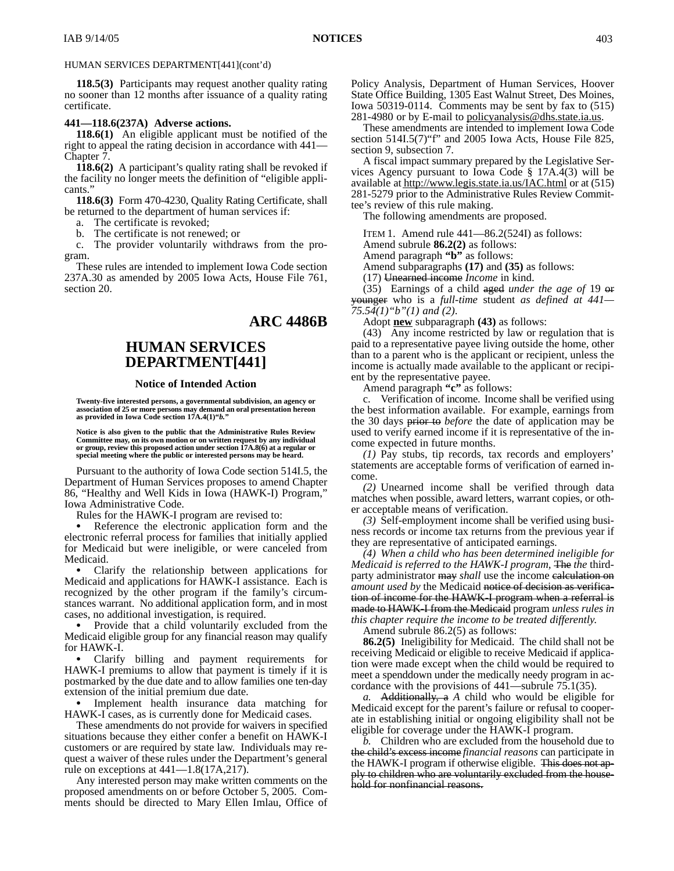**118.5(3)** Participants may request another quality rating no sooner than 12 months after issuance of a quality rating certificate.

#### **441—118.6(237A) Adverse actions.**

**118.6(1)** An eligible applicant must be notified of the right to appeal the rating decision in accordance with 441— Chapter 7.

**118.6(2)** A participant's quality rating shall be revoked if the facility no longer meets the definition of "eligible applicants."

**118.6(3)** Form 470-4230, Quality Rating Certificate, shall be returned to the department of human services if:

a. The certificate is revoked;

b. The certificate is not renewed; or

c. The provider voluntarily withdraws from the program.

These rules are intended to implement Iowa Code section 237A.30 as amended by 2005 Iowa Acts, House File 761, section 20.

## **ARC 4486B**

# **HUMAN SERVICES DEPARTMENT[441]**

#### **Notice of Intended Action**

**Twenty-five interested persons, a governmental subdivision, an agency or association of 25 or more persons may demand an oral presentation hereon as provided in Iowa Code section 17A.4(1)"***b.***"**

**Notice is also given to the public that the Administrative Rules Review** Committee may, on its own motion or on written request by any individual<br>or group, review this proposed action under section 17A.8(6) at a regular or<br>special meeting where the public or interested persons may be heard.

Pursuant to the authority of Iowa Code section 514I.5, the Department of Human Services proposes to amend Chapter 86, "Healthy and Well Kids in Iowa (HAWK-I) Program," Iowa Administrative Code.

Rules for the HAWK-I program are revised to:

 Reference the electronic application form and the electronic referral process for families that initially applied for Medicaid but were ineligible, or were canceled from Medicaid.

 Clarify the relationship between applications for Medicaid and applications for HAWK-I assistance. Each is recognized by the other program if the family's circumstances warrant. No additional application form, and in most cases, no additional investigation, is required.

 Provide that a child voluntarily excluded from the Medicaid eligible group for any financial reason may qualify for HAWK-I.

 Clarify billing and payment requirements for HAWK-I premiums to allow that payment is timely if it is postmarked by the due date and to allow families one ten-day extension of the initial premium due date.

 Implement health insurance data matching for HAWK-I cases, as is currently done for Medicaid cases.

These amendments do not provide for waivers in specified situations because they either confer a benefit on HAWK-I customers or are required by state law. Individuals may request a waiver of these rules under the Department's general rule on exceptions at 441—1.8(17A,217).

Any interested person may make written comments on the proposed amendments on or before October 5, 2005. Comments should be directed to Mary Ellen Imlau, Office of Policy Analysis, Department of Human Services, Hoover State Office Building, 1305 East Walnut Street, Des Moines, Iowa 50319-0114. Comments may be sent by fax to (515) 281-4980 or by E-mail to <u>policyanalysis@dhs.state.ia.us</u>.

These amendments are intended to implement Iowa Code section 514I.5(7)"f" and 2005 Iowa Acts, House File 825, section 9, subsection 7.

A fiscal impact summary prepared by the Legislative Services Agency pursuant to Iowa Code § 17A.4(3) will be available at http://www.legis.state.ia.us/IAC.html or at (515) 281-5279 prior to the Administrative Rules Review Committee's review of this rule making.

The following amendments are proposed.

ITEM 1. Amend rule 441—86.2(524I) as follows:

Amend subrule **86.2(2)** as follows:

Amend paragraph **"b"** as follows:

Amend subparagraphs **(17)** and **(35)** as follows:

(17) Unearned income *Income* in kind.

(35) Earnings of a child aged *under the age of* 19 or younger who is a *full-time* student *as defined at 441— 75.54(1)"b"(1) and (2)*.

Adopt **new** subparagraph **(43)** as follows:

(43) Any income restricted by law or regulation that is paid to a representative payee living outside the home, other than to a parent who is the applicant or recipient, unless the income is actually made available to the applicant or recipient by the representative payee.

Amend paragraph **"c"** as follows:

Verification of income. Income shall be verified using the best information available. For example, earnings from the 30 days prior to *before* the date of application may be used to verify earned income if it is representative of the income expected in future months.

*(1)* Pay stubs, tip records, tax records and employers' statements are acceptable forms of verification of earned income.

*(2)* Unearned income shall be verified through data matches when possible, award letters, warrant copies, or other acceptable means of verification.

*(3)* Self-employment income shall be verified using business records or income tax returns from the previous year if they are representative of anticipated earnings.

*(4) When a child who has been determined ineligible for Medicaid is referred to the HAWK-I program,* The *the* thirdparty administrator may *shall* use the income calculation on *amount used by* the Medicaid notice of decision as verification of income for the HAWK-I program when a referral is made to HAWK-I from the Medicaid program *unless rules in this chapter require the income to be treated differently*.

Amend subrule 86.2(5) as follows:

**86.2(5)** Ineligibility for Medicaid. The child shall not be receiving Medicaid or eligible to receive Medicaid if application were made except when the child would be required to meet a spenddown under the medically needy program in accordance with the provisions of 441—subrule 75.1(35).

*a.* Additionally, a *A* child who would be eligible for Medicaid except for the parent's failure or refusal to cooperate in establishing initial or ongoing eligibility shall not be eligible for coverage under the HAWK-I program.

*b.* Children who are excluded from the household due to the child's excess income *financial reasons* can participate in the HAWK-I program if otherwise eligible. This does not apply to children who are voluntarily excluded from the household for nonfinancial reasons.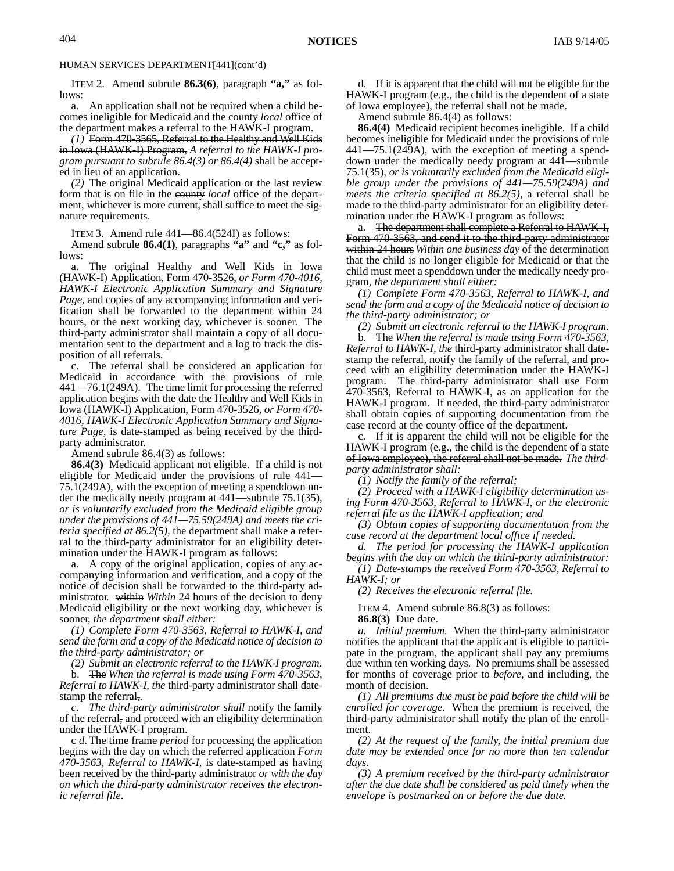ITEM 2. Amend subrule **86.3(6)**, paragraph **"a,"** as follows:

a. An application shall not be required when a child becomes ineligible for Medicaid and the county *local* office of the department makes a referral to the HAWK-I program.

*(1)* Form 470-3565, Referral to the Healthy and Well Kids in Iowa (HAWK-I) Program, *A referral to the HAWK-I program pursuant to subrule 86.4(3) or 86.4(4)* shall be accepted in lieu of an application.

*(2)* The original Medicaid application or the last review form that is on file in the county *local* office of the department, whichever is more current, shall suffice to meet the signature requirements.

ITEM 3. Amend rule 441—86.4(524I) as follows:

Amend subrule **86.4(1)**, paragraphs **"a"** and **"c,"** as follows:

a. The original Healthy and Well Kids in Iowa (HAWK-I) Application, Form 470-3526, *or Form 470-4016, HAWK-I Electronic Application Summary and Signature Page,* and copies of any accompanying information and verification shall be forwarded to the department within 24 hours, or the next working day, whichever is sooner. The third-party administrator shall maintain a copy of all documentation sent to the department and a log to track the disposition of all referrals.

c. The referral shall be considered an application for Medicaid in accordance with the provisions of rule 441—76.1(249A). The time limit for processing the referred application begins with the date the Healthy and Well Kids in Iowa (HAWK-I) Application, Form 470-3526*, or Form 470- 4016, HAWK-I Electronic Application Summary and Signature Page,* is date-stamped as being received by the thirdparty administrator.

Amend subrule 86.4(3) as follows:

**86.4(3)** Medicaid applicant not eligible. If a child is not eligible for Medicaid under the provisions of rule 441— 75.1(249A), with the exception of meeting a spenddown under the medically needy program at 441—subrule 75.1(35), *or is voluntarily excluded from the Medicaid eligible group under the provisions of 441—75.59(249A) and meets the criteria specified at 86.2(5),* the department shall make a referral to the third-party administrator for an eligibility determination under the HAWK-I program as follows:

a. A copy of the original application, copies of any accompanying information and verification, and a copy of the notice of decision shall be forwarded to the third-party administrator*.* within *Within* 24 hours of the decision to deny Medicaid eligibility or the next working day, whichever is sooner*, the department shall either:*

*(1) Complete Form 470-3563, Referral to HAWK-I, and send the form and a copy of the Medicaid notice of decision to the third-party administrator; or*

*(2) Submit an electronic referral to the HAWK-I program.*

b. The *When the referral is made using Form 470-3563, Referral to HAWK-I, the* third-party administrator shall datestamp the referral,*.*

*c. The third-party administrator shall* notify the family of the referral, and proceed with an eligibility determination under the HAWK-I program.

c *d*. The time frame *period* for processing the application begins with the day on which the referred application *Form 470-3563, Referral to HAWK-I,* is date-stamped as having been received by the third-party administrator *or with the day on which the third-party administrator receives the electronic referral file*.

d. If it is apparent that the child will not be eligible for the HAWK-I program (e.g., the child is the dependent of a state of Iowa employee), the referral shall not be made.

Amend subrule 86.4(4) as follows:

**86.4(4)** Medicaid recipient becomes ineligible. If a child becomes ineligible for Medicaid under the provisions of rule 441—75.1(249A), with the exception of meeting a spenddown under the medically needy program at 441—subrule 75.1(35), *or is voluntarily excluded from the Medicaid eligible group under the provisions of 441—75.59(249A) and meets the criteria specified at 86.2(5),* a referral shall be made to the third-party administrator for an eligibility determination under the HAWK-I program as follows:

a. The department shall complete a Referral to HAWK-I, Form 470-3563, and send it to the third-party administrator within 24 hours *Within one business day* of the determination that the child is no longer eligible for Medicaid or that the child must meet a spenddown under the medically needy program*, the department shall either:*

*(1) Complete Form 470-3563, Referral to HAWK-I, and send the form and a copy of the Medicaid notice of decision to the third-party administrator; or*

*(2) Submit an electronic referral to the HAWK-I program.*

b. The *When the referral is made using Form 470-3563, Referral to HAWK-I, the* third-party administrator shall datestamp the referral, notify the family of the referral, and proceed with an eligibility determination under the HAWK-I program. The third-party administrator shall use Form 470-3563, Referral to HAWK-I, as an application for the HAWK-I program. If needed, the third-party administrator shall obtain copies of supporting documentation from the case record at the county office of the department.

c. If it is apparent the child will not be eligible for the HAWK-I program (e.g., the child is the dependent of a state of Iowa employee), the referral shall not be made. *The thirdparty administrator shall:*

*(1) Notify the family of the referral;*

*(2) Proceed with a HAWK-I eligibility determination using Form 470-3563, Referral to HAWK-I, or the electronic referral file as the HAWK-I application; and*

*(3) Obtain copies of supporting documentation from the case record at the department local office if needed.*

*d. The period for processing the HAWK-I application begins with the day on which the third-party administrator:*

*(1) Date-stamps the received Form 470-3563, Referral to HAWK-I; or*

*(2) Receives the electronic referral file.*

ITEM 4. Amend subrule 86.8(3) as follows:

**86.8(3)** Due date.

*a. Initial premium.* When the third-party administrator notifies the applicant that the applicant is eligible to participate in the program, the applicant shall pay any premiums due within ten working days. No premiums shall be assessed for months of coverage prior to *before*, and including, the month of decision.

*(1) All premiums due must be paid before the child will be enrolled for coverage.* When the premium is received, the third-party administrator shall notify the plan of the enrollment.

*(2) At the request of the family, the initial premium due date may be extended once for no more than ten calendar days.*

*(3) A premium received by the third-party administrator after the due date shall be considered as paid timely when the envelope is postmarked on or before the due date.*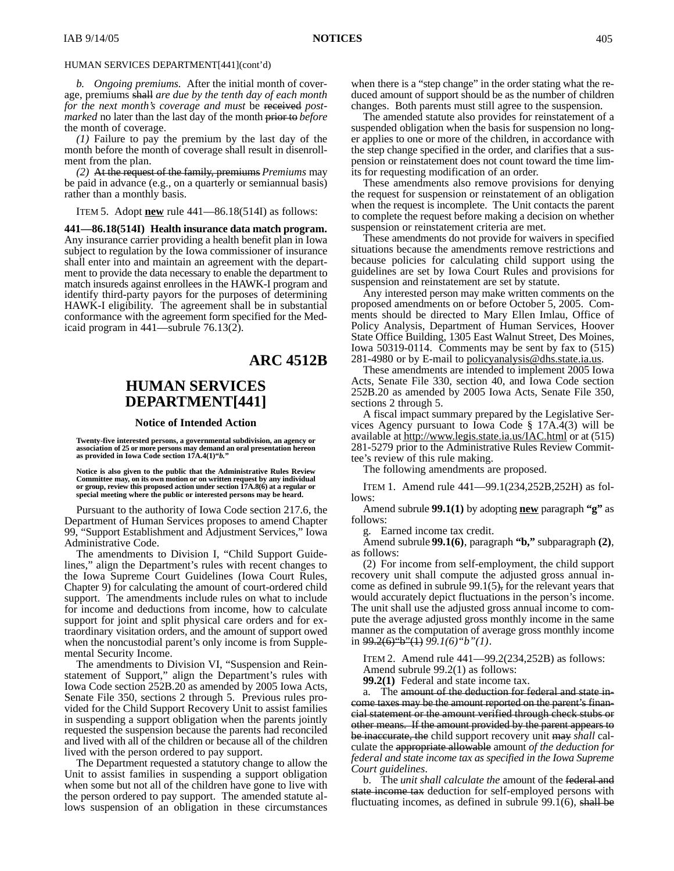*b. Ongoing premiums.* After the initial month of coverage, premiums shall *are due by the tenth day of each month for the next month's coverage and must* be received *postmarked* no later than the last day of the month prior to *before* the month of coverage.

*(1)* Failure to pay the premium by the last day of the month before the month of coverage shall result in disenrollment from the plan.

*(2)* At the request of the family, premiums *Premiums* may be paid in advance (e.g., on a quarterly or semiannual basis) rather than a monthly basis.

ITEM 5. Adopt **new** rule 441—86.18(514I) as follows:

**441—86.18(514I) Health insurance data match program.** Any insurance carrier providing a health benefit plan in Iowa subject to regulation by the Iowa commissioner of insurance shall enter into and maintain an agreement with the department to provide the data necessary to enable the department to match insureds against enrollees in the HAWK-I program and identify third-party payors for the purposes of determining HAWK-I eligibility. The agreement shall be in substantial conformance with the agreement form specified for the Medicaid program in 441—subrule 76.13(2).

## **ARC 4512B**

# **HUMAN SERVICES DEPARTMENT[441]**

#### **Notice of Intended Action**

**Twenty-five interested persons, a governmental subdivision, an agency or association of 25 or more persons may demand an oral presentation hereon as provided in Iowa Code section 17A.4(1)"***b.***"**

**Notice is also given to the public that the Administrative Rules Review Committee may, on its own motion or on written request by any individual or group, review this proposed action under section 17A.8(6) at a regular or special meeting where the public or interested persons may be heard.**

Pursuant to the authority of Iowa Code section 217.6, the Department of Human Services proposes to amend Chapter 99, "Support Establishment and Adjustment Services," Iowa Administrative Code.

The amendments to Division I, "Child Support Guidelines," align the Department's rules with recent changes to the Iowa Supreme Court Guidelines (Iowa Court Rules, Chapter 9) for calculating the amount of court-ordered child support. The amendments include rules on what to include for income and deductions from income, how to calculate support for joint and split physical care orders and for extraordinary visitation orders, and the amount of support owed when the noncustodial parent's only income is from Supplemental Security Income.

The amendments to Division VI, "Suspension and Reinstatement of Support," align the Department's rules with Iowa Code section 252B.20 as amended by 2005 Iowa Acts, Senate File 350, sections 2 through 5. Previous rules provided for the Child Support Recovery Unit to assist families in suspending a support obligation when the parents jointly requested the suspension because the parents had reconciled and lived with all of the children or because all of the children lived with the person ordered to pay support.

The Department requested a statutory change to allow the Unit to assist families in suspending a support obligation when some but not all of the children have gone to live with the person ordered to pay support. The amended statute allows suspension of an obligation in these circumstances

when there is a "step change" in the order stating what the reduced amount of support should be as the number of children changes. Both parents must still agree to the suspension.

The amended statute also provides for reinstatement of a suspended obligation when the basis for suspension no longer applies to one or more of the children, in accordance with the step change specified in the order, and clarifies that a suspension or reinstatement does not count toward the time limits for requesting modification of an order.

These amendments also remove provisions for denying the request for suspension or reinstatement of an obligation when the request is incomplete. The Unit contacts the parent to complete the request before making a decision on whether suspension or reinstatement criteria are met.

These amendments do not provide for waivers in specified situations because the amendments remove restrictions and because policies for calculating child support using the guidelines are set by Iowa Court Rules and provisions for suspension and reinstatement are set by statute.

Any interested person may make written comments on the proposed amendments on or before October 5, 2005. Comments should be directed to Mary Ellen Imlau, Office of Policy Analysis, Department of Human Services, Hoover State Office Building, 1305 East Walnut Street, Des Moines, Iowa 50319-0114. Comments may be sent by fax to (515) 281-4980 or by E-mail to policyanalysis@dhs.state.ia.us.

These amendments are intended to implement 2005 Iowa Acts, Senate File 330, section 40, and Iowa Code section 252B.20 as amended by 2005 Iowa Acts, Senate File 350, sections 2 through 5.

A fiscal impact summary prepared by the Legislative Services Agency pursuant to Iowa Code § 17A.4(3) will be available at http://www.legis.state.ia.us/IAC.html or at (515) 281-5279 prior to the Administrative Rules Review Committee's review of this rule making.

The following amendments are proposed.

ITEM 1. Amend rule 441—99.1(234,252B,252H) as follows:

Amend subrule **99.1(1)** by adopting **new** paragraph **"g"** as follows:

g. Earned income tax credit.

Amend subrule **99.1(6)**, paragraph **"b,"** subparagraph **(2)**, as follows:

(2) For income from self-employment, the child support recovery unit shall compute the adjusted gross annual income as defined in subrule  $99.1(5)$ , for the relevant years that would accurately depict fluctuations in the person's income. The unit shall use the adjusted gross annual income to compute the average adjusted gross monthly income in the same manner as the computation of average gross monthly income in 99.2(6)"b"(1) *99.1(6)"b"(1)*.

ITEM 2. Amend rule 441—99.2(234,252B) as follows:

Amend subrule 99.2(1) as follows:

**99.2(1)** Federal and state income tax.

a. The amount of the deduction for federal and state income taxes may be the amount reported on the parent's financial statement or the amount verified through check stubs or other means. If the amount provided by the parent appears to be inaccurate, the child support recovery unit may *shall* calculate the appropriate allowable amount *of the deduction for federal and state income tax as specified in the Iowa Supreme Court guidelines*.

b. The *unit shall calculate the* amount of the federal and state income tax deduction for self-employed persons with fluctuating incomes, as defined in subrule 99.1(6), shall be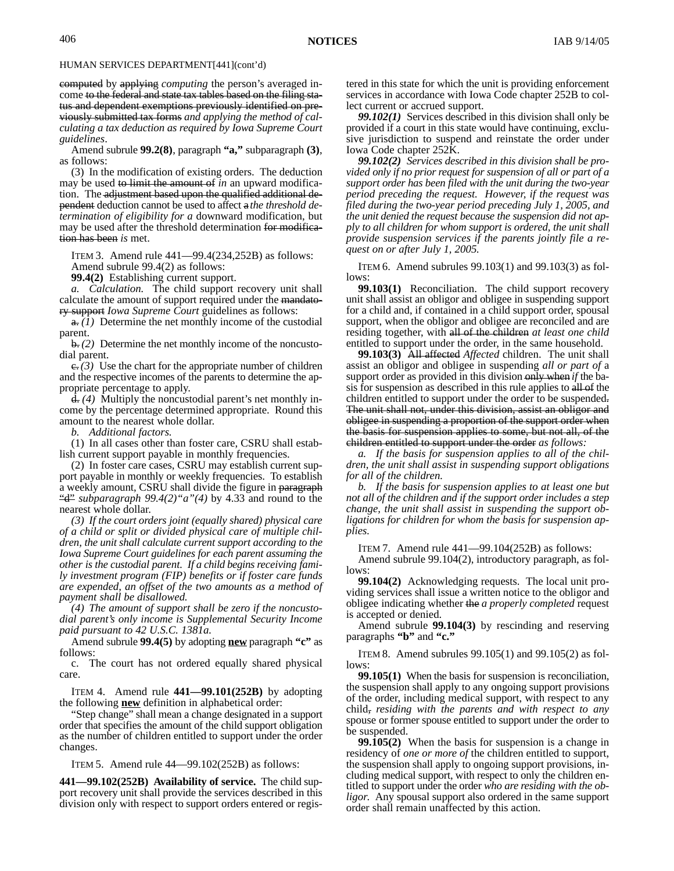computed by applying *computing* the person's averaged income to the federal and state tax tables based on the filing status and dependent exemptions previously identified on previously submitted tax forms *and applying the method of calculating a tax deduction as required by Iowa Supreme Court guidelines*.

Amend subrule **99.2(8)**, paragraph **"a,"** subparagraph **(3)**, as follows:

(3) In the modification of existing orders. The deduction may be used to limit the amount of *in* an upward modification. The adjustment based upon the qualified additional dependent deduction cannot be used to affect a *the threshold determination of eligibility for a* downward modification, but may be used after the threshold determination for modification has been *is* met.

ITEM 3. Amend rule 441—99.4(234,252B) as follows: Amend subrule 99.4(2) as follows:

**99.4(2)** Establishing current support.

*a. Calculation.* The child support recovery unit shall calculate the amount of support required under the mandatory support *Iowa Supreme Court* guidelines as follows:

a. *(1)* Determine the net monthly income of the custodial parent.

b. *(2)* Determine the net monthly income of the noncustodial parent.

 $\epsilon$ .*(3)* Use the chart for the appropriate number of children and the respective incomes of the parents to determine the appropriate percentage to apply.

d. *(4)* Multiply the noncustodial parent's net monthly income by the percentage determined appropriate. Round this amount to the nearest whole dollar.

*b. Additional factors.*

(1) In all cases other than foster care, CSRU shall establish current support payable in monthly frequencies.

(2) In foster care cases, CSRU may establish current support payable in monthly or weekly frequencies. To establish a weekly amount, CSRU shall divide the figure in paragraph "d" *subparagraph 99.4(2)"a"(4)* by 4.33 and round to the nearest whole dollar.

*(3) If the court orders joint (equally shared) physical care of a child or split or divided physical care of multiple children, the unit shall calculate current support according to the Iowa Supreme Court guidelines for each parent assuming the other is the custodial parent. If a child begins receiving family investment program (FIP) benefits or if foster care funds are expended, an offset of the two amounts as a method of payment shall be disallowed.*

*(4) The amount of support shall be zero if the noncustodial parent's only income is Supplemental Security Income paid pursuant to 42 U.S.C. 1381a.*

Amend subrule **99.4(5)** by adopting **new** paragraph **"c"** as follows:

c. The court has not ordered equally shared physical care.

ITEM 4. Amend rule **441—99.101(252B)** by adopting the following **new** definition in alphabetical order:

"Step change" shall mean a change designated in a support order that specifies the amount of the child support obligation as the number of children entitled to support under the order changes.

ITEM 5. Amend rule 44—99.102(252B) as follows:

**441—99.102(252B) Availability of service.** The child support recovery unit shall provide the services described in this division only with respect to support orders entered or registered in this state for which the unit is providing enforcement services in accordance with Iowa Code chapter 252B to collect current or accrued support.

*99.102(1)* Services described in this division shall only be provided if a court in this state would have continuing, exclusive jurisdiction to suspend and reinstate the order under Iowa Code chapter 252K.

*99.102(2) Services described in this division shall be provided only if no prior request for suspension of all or part of a support order has been filed with the unit during the two-year period preceding the request. However, if the request was filed during the two-year period preceding July 1, 2005, and the unit denied the request because the suspension did not apply to all children for whom support is ordered, the unit shall provide suspension services if the parents jointly file a request on or after July 1, 2005.*

ITEM 6. Amend subrules 99.103(1) and 99.103(3) as follows:

**99.103(1)** Reconciliation. The child support recovery unit shall assist an obligor and obligee in suspending support for a child and, if contained in a child support order, spousal support, when the obligor and obligee are reconciled and are residing together, with all of the children *at least one child* entitled to support under the order, in the same household.

**99.103(3)** All affected *Affected* children. The unit shall assist an obligor and obligee in suspending *all or part of* a support order as provided in this division only when *if* the basis for suspension as described in this rule applies to all of the children entitled to support under the order to be suspended. The unit shall not, under this division, assist an obligor and obligee in suspending a proportion of the support order when the basis for suspension applies to some, but not all, of the children entitled to support under the order *as follows:*

*a. If the basis for suspension applies to all of the children, the unit shall assist in suspending support obligations for all of the children.*

*b. If the basis for suspension applies to at least one but not all of the children and if the support order includes a step change, the unit shall assist in suspending the support obligations for children for whom the basis for suspension applies.*

ITEM 7. Amend rule 441—99.104(252B) as follows:

Amend subrule 99.104(2), introductory paragraph, as follows:

**99.104(2)** Acknowledging requests. The local unit providing services shall issue a written notice to the obligor and obligee indicating whether the *a properly completed* request is accepted or denied.

Amend subrule **99.104(3)** by rescinding and reserving paragraphs **"b"** and **"c."**

ITEM 8. Amend subrules 99.105(1) and 99.105(2) as follows:

**99.105(1)** When the basis for suspension is reconciliation, the suspension shall apply to any ongoing support provisions of the order, including medical support, with respect to any child, *residing with the parents and with respect to any* spouse or former spouse entitled to support under the order to be suspended.

**99.105(2)** When the basis for suspension is a change in residency of *one or more of* the children entitled to support, the suspension shall apply to ongoing support provisions, including medical support, with respect to only the children entitled to support under the order *who are residing with the obligor*. Any spousal support also ordered in the same support order shall remain unaffected by this action.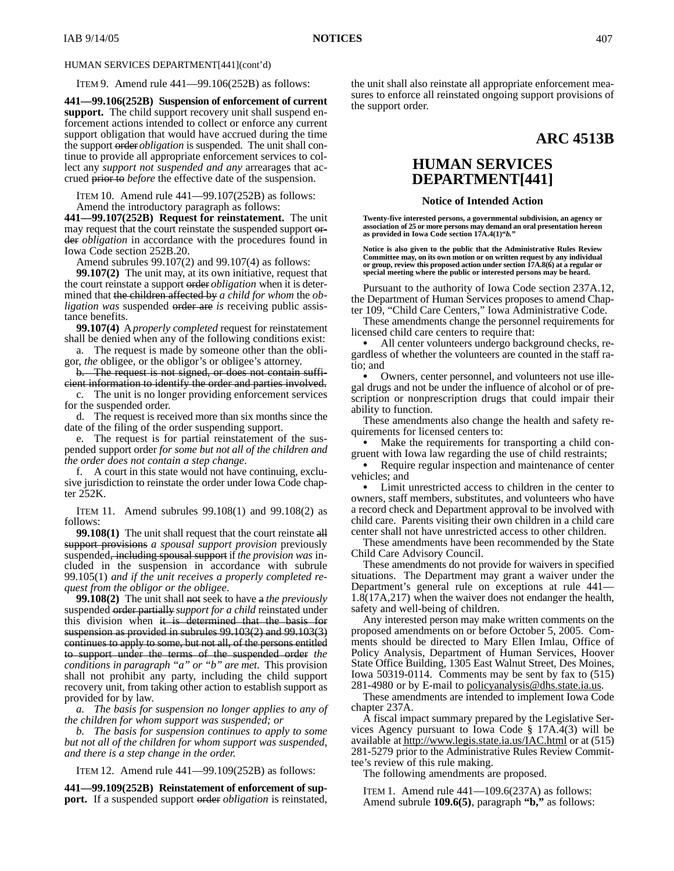ITEM 9. Amend rule 441—99.106(252B) as follows:

**441—99.106(252B) Suspension of enforcement of current support.** The child support recovery unit shall suspend enforcement actions intended to collect or enforce any current support obligation that would have accrued during the time the support order *obligation* is suspended. The unit shall continue to provide all appropriate enforcement services to collect any *support not suspended and any* arrearages that accrued prior to *before* the effective date of the suspension.

ITEM 10. Amend rule 441—99.107(252B) as follows: Amend the introductory paragraph as follows:

**441—99.107(252B) Request for reinstatement.** The unit may request that the court reinstate the suspended support order *obligation* in accordance with the procedures found in Iowa Code section 252B.20.

Amend subrules 99.107(2) and 99.107(4) as follows:

**99.107(2)** The unit may, at its own initiative, request that the court reinstate a support order *obligation* when it is determined that the children affected by *a child for whom* the *obligation was* suspended order are *is* receiving public assistance benefits.

**99.107(4)** A *properly completed* request for reinstatement shall be denied when any of the following conditions exist:

a. The request is made by someone other than the obligor, *the* obligee, or the obligor's or obligee's attorney.

b. The request is not signed, or does not contain sufficient information to identify the order and parties involved.

c. The unit is no longer providing enforcement services for the suspended order.

d. The request is received more than six months since the date of the filing of the order suspending support.

e. The request is for partial reinstatement of the suspended support order *for some but not all of the children and the order does not contain a step change*.

f. A court in this state would not have continuing, exclusive jurisdiction to reinstate the order under Iowa Code chapter 252K.

ITEM 11. Amend subrules 99.108(1) and 99.108(2) as follows:

**99.108(1)** The unit shall request that the court reinstate all support provisions *a spousal support provision* previously suspended, including spousal support if *the provision was* included in the suspension in accordance with subrule 99.105(1) *and if the unit receives a properly completed request from the obligor or the obligee*.

**99.108(2)** The unit shall not seek to have a *the previously* suspended order partially *support for a child* reinstated under this division when it is determined that the basis for suspension as provided in subrules 99.103(2) and 99.103(3) continues to apply to some, but not all, of the persons entitled to support under the terms of the suspended order *the conditions in paragraph "a" or "b" are met*. This provision shall not prohibit any party, including the child support recovery unit, from taking other action to establish support as provided for by law.

*a. The basis for suspension no longer applies to any of the children for whom support was suspended; or*

*b. The basis for suspension continues to apply to some but not all of the children for whom support was suspended, and there is a step change in the order.*

ITEM 12. Amend rule 441—99.109(252B) as follows:

**441—99.109(252B) Reinstatement of enforcement of support.** If a suspended support order *obligation* is reinstated, the unit shall also reinstate all appropriate enforcement measures to enforce all reinstated ongoing support provisions of the support order.

# **ARC 4513B**

# **HUMAN SERVICES DEPARTMENT[441]**

### **Notice of Intended Action**

**Twenty-five interested persons, a governmental subdivision, an agency or association of 25 or more persons may demand an oral presentation hereon as provided in Iowa Code section 17A.4(1)"***b.***"**

**Notice is also given to the public that the Administrative Rules Review Committee may, on its own motion or on written request by any individual or group, review this proposed action under section 17A.8(6) at a regular or special meeting where the public or interested persons may be heard.**

Pursuant to the authority of Iowa Code section 237A.12, the Department of Human Services proposes to amend Chapter 109, "Child Care Centers," Iowa Administrative Code.

These amendments change the personnel requirements for licensed child care centers to require that:

 All center volunteers undergo background checks, regardless of whether the volunteers are counted in the staff ratio; and

 Owners, center personnel, and volunteers not use illegal drugs and not be under the influence of alcohol or of prescription or nonprescription drugs that could impair their ability to function.

These amendments also change the health and safety requirements for licensed centers to:

• Make the requirements for transporting a child congruent with Iowa law regarding the use of child restraints;

 Require regular inspection and maintenance of center vehicles; and

 Limit unrestricted access to children in the center to owners, staff members, substitutes, and volunteers who have a record check and Department approval to be involved with child care. Parents visiting their own children in a child care center shall not have unrestricted access to other children.

These amendments have been recommended by the State Child Care Advisory Council.

These amendments do not provide for waivers in specified situations. The Department may grant a waiver under the Department's general rule on exceptions at rule 441— 1.8(17A,217) when the waiver does not endanger the health, safety and well-being of children.

Any interested person may make written comments on the proposed amendments on or before October 5, 2005. Comments should be directed to Mary Ellen Imlau, Office of Policy Analysis, Department of Human Services, Hoover State Office Building, 1305 East Walnut Street, Des Moines, Iowa 50319-0114. Comments may be sent by fax to (515) 281-4980 or by E-mail to <u>policyanalysis@dhs.state.ia.us</u>.

These amendments are intended to implement Iowa Code chapter 237A.

A fiscal impact summary prepared by the Legislative Services Agency pursuant to Iowa Code § 17A.4(3) will be available at http://www.legis.state.ia.us/IAC.html or at (515) 281-5279 prior to the Administrative Rules Review Committee's review of this rule making.

The following amendments are proposed.

ITEM 1. Amend rule 441—109.6(237A) as follows: Amend subrule **109.6(5)**, paragraph **"b,"** as follows: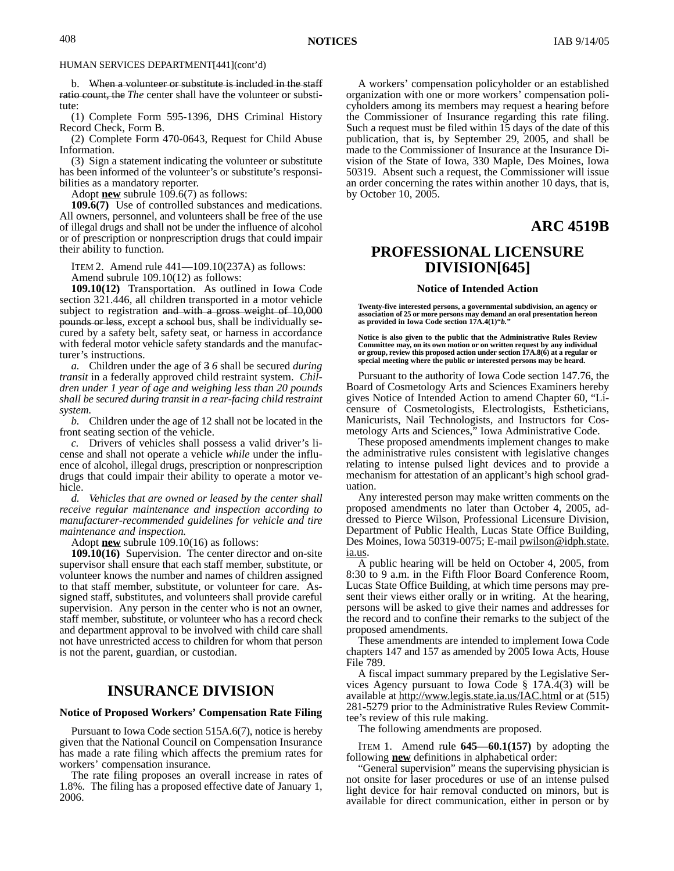b. When a volunteer or substitute is included in the staff ratio count, the *The* center shall have the volunteer or substitute:

(1) Complete Form 595-1396, DHS Criminal History Record Check, Form B.

(2) Complete Form 470-0643, Request for Child Abuse Information.

(3) Sign a statement indicating the volunteer or substitute has been informed of the volunteer's or substitute's responsibilities as a mandatory reporter.

Adopt **new** subrule 109.6(7) as follows:

**109.6(7)** Use of controlled substances and medications. All owners, personnel, and volunteers shall be free of the use of illegal drugs and shall not be under the influence of alcohol or of prescription or nonprescription drugs that could impair their ability to function.

ITEM 2. Amend rule 441—109.10(237A) as follows: Amend subrule 109.10(12) as follows:

**109.10(12)** Transportation. As outlined in Iowa Code section 321.446, all children transported in a motor vehicle subject to registration and with a gross weight of 10,000 pounds or less, except a school bus, shall be individually secured by a safety belt, safety seat, or harness in accordance with federal motor vehicle safety standards and the manufacturer's instructions.

*a.* Children under the age of 3 *6* shall be secured *during transit* in a federally approved child restraint system. *Children under 1 year of age and weighing less than 20 pounds shall be secured during transit in a rear-facing child restraint system.*

*b.* Children under the age of 12 shall not be located in the front seating section of the vehicle.

*c.* Drivers of vehicles shall possess a valid driver's license and shall not operate a vehicle *while* under the influence of alcohol, illegal drugs, prescription or nonprescription drugs that could impair their ability to operate a motor vehicle.

*d. Vehicles that are owned or leased by the center shall receive regular maintenance and inspection according to manufacturer-recommended guidelines for vehicle and tire maintenance and inspection.*

Adopt **new** subrule 109.10(16) as follows:

**109.10(16)** Supervision. The center director and on-site supervisor shall ensure that each staff member, substitute, or volunteer knows the number and names of children assigned to that staff member, substitute, or volunteer for care. Assigned staff, substitutes, and volunteers shall provide careful supervision. Any person in the center who is not an owner, staff member, substitute, or volunteer who has a record check and department approval to be involved with child care shall not have unrestricted access to children for whom that person is not the parent, guardian, or custodian.

# **INSURANCE DIVISION**

### **Notice of Proposed Workers' Compensation Rate Filing**

Pursuant to Iowa Code section 515A.6(7), notice is hereby given that the National Council on Compensation Insurance has made a rate filing which affects the premium rates for workers' compensation insurance.

The rate filing proposes an overall increase in rates of 1.8%. The filing has a proposed effective date of January 1, 2006.

A workers' compensation policyholder or an established organization with one or more workers' compensation policyholders among its members may request a hearing before the Commissioner of Insurance regarding this rate filing. Such a request must be filed within 15 days of the date of this publication, that is, by September 29, 2005, and shall be made to the Commissioner of Insurance at the Insurance Division of the State of Iowa, 330 Maple, Des Moines, Iowa 50319. Absent such a request, the Commissioner will issue an order concerning the rates within another 10 days, that is, by October 10, 2005.

**ARC 4519B**

## **PROFESSIONAL LICENSURE DIVISION[645]**

#### **Notice of Intended Action**

**Twenty-five interested persons, a governmental subdivision, an agency or association of 25 or more persons may demand an oral presentation hereon as provided in Iowa Code section 17A.4(1)"***b.***"**

**Notice is also given to the public that the Administrative Rules Review Committee may, on its own motion or on written request by any individual or group, review this proposed action under section 17A.8(6) at a regular or special meeting where the public or interested persons may be heard.**

Pursuant to the authority of Iowa Code section 147.76, the Board of Cosmetology Arts and Sciences Examiners hereby gives Notice of Intended Action to amend Chapter 60, "Licensure of Cosmetologists, Electrologists, Estheticians, Manicurists, Nail Technologists, and Instructors for Cosmetology Arts and Sciences," Iowa Administrative Code.

These proposed amendments implement changes to make the administrative rules consistent with legislative changes relating to intense pulsed light devices and to provide a mechanism for attestation of an applicant's high school graduation.

Any interested person may make written comments on the proposed amendments no later than October 4, 2005, addressed to Pierce Wilson, Professional Licensure Division, Department of Public Health, Lucas State Office Building, Des Moines, Iowa 50319-0075; E-mail *pwilson@idph.state.* ia.us.

A public hearing will be held on October 4, 2005, from 8:30 to 9 a.m. in the Fifth Floor Board Conference Room, Lucas State Office Building, at which time persons may present their views either orally or in writing. At the hearing, persons will be asked to give their names and addresses for the record and to confine their remarks to the subject of the proposed amendments.

These amendments are intended to implement Iowa Code chapters 147 and 157 as amended by 2005 Iowa Acts, House File 789.

A fiscal impact summary prepared by the Legislative Services Agency pursuant to Iowa Code § 17A.4(3) will be available at http://www.legis.state.ia.us/IAC.html or at (515) 281-5279 prior to the Administrative Rules Review Committee's review of this rule making.

The following amendments are proposed.

ITEM 1. Amend rule **645—60.1(157)** by adopting the following **new** definitions in alphabetical order:

"General supervision" means the supervising physician is not onsite for laser procedures or use of an intense pulsed light device for hair removal conducted on minors, but is available for direct communication, either in person or by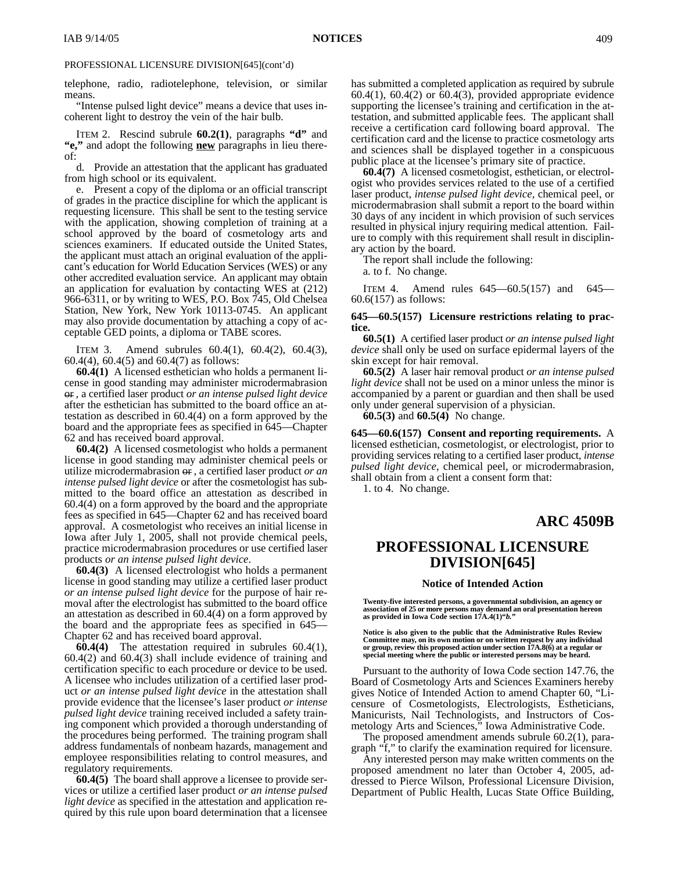telephone, radio, radiotelephone, television, or similar means.

"Intense pulsed light device" means a device that uses incoherent light to destroy the vein of the hair bulb.

ITEM 2. Rescind subrule **60.2(1)**, paragraphs **"d"** and **"e,"** and adopt the following **new** paragraphs in lieu thereof:

d. Provide an attestation that the applicant has graduated from high school or its equivalent.

e. Present a copy of the diploma or an official transcript of grades in the practice discipline for which the applicant is requesting licensure. This shall be sent to the testing service with the application, showing completion of training at a school approved by the board of cosmetology arts and sciences examiners. If educated outside the United States, the applicant must attach an original evaluation of the applicant's education for World Education Services (WES) or any other accredited evaluation service. An applicant may obtain an application for evaluation by contacting WES at (212) 966-6311, or by writing to WES, P.O. Box 745, Old Chelsea Station, New York, New York 10113-0745. An applicant may also provide documentation by attaching a copy of acceptable GED points, a diploma or TABE scores.

ITEM 3. Amend subrules 60.4(1), 60.4(2), 60.4(3), 60.4(4), 60.4(5) and 60.4(7) as follows:

**60.4(1)** A licensed esthetician who holds a permanent license in good standing may administer microdermabrasion or *,* a certified laser product *or an intense pulsed light device* after the esthetician has submitted to the board office an attestation as described in 60.4(4) on a form approved by the board and the appropriate fees as specified in 645—Chapter 62 and has received board approval.

**60.4(2)** A licensed cosmetologist who holds a permanent license in good standing may administer chemical peels or utilize microdermabrasion or *,* a certified laser product *or an intense pulsed light device* or after the cosmetologist has submitted to the board office an attestation as described in 60.4(4) on a form approved by the board and the appropriate fees as specified in 645—Chapter 62 and has received board approval. A cosmetologist who receives an initial license in Iowa after July 1, 2005, shall not provide chemical peels, practice microdermabrasion procedures or use certified laser products *or an intense pulsed light device*.

**60.4(3)** A licensed electrologist who holds a permanent license in good standing may utilize a certified laser product *or an intense pulsed light device* for the purpose of hair removal after the electrologist has submitted to the board office an attestation as described in 60.4(4) on a form approved by the board and the appropriate fees as specified in 645— Chapter 62 and has received board approval.

**60.4(4)** The attestation required in subrules 60.4(1), 60.4(2) and 60.4(3) shall include evidence of training and certification specific to each procedure or device to be used. A licensee who includes utilization of a certified laser product *or an intense pulsed light device* in the attestation shall provide evidence that the licensee's laser product *or intense pulsed light device* training received included a safety training component which provided a thorough understanding of the procedures being performed. The training program shall address fundamentals of nonbeam hazards, management and employee responsibilities relating to control measures, and regulatory requirements.

**60.4(5)** The board shall approve a licensee to provide services or utilize a certified laser product *or an intense pulsed light device* as specified in the attestation and application required by this rule upon board determination that a licensee

has submitted a completed application as required by subrule  $60.4(1)$ ,  $60.4(2)$  or  $60.4(3)$ , provided appropriate evidence supporting the licensee's training and certification in the attestation, and submitted applicable fees. The applicant shall receive a certification card following board approval. The certification card and the license to practice cosmetology arts and sciences shall be displayed together in a conspicuous public place at the licensee's primary site of practice.

**60.4(7)** A licensed cosmetologist, esthetician, or electrologist who provides services related to the use of a certified laser product*, intense pulsed light device*, chemical peel, or microdermabrasion shall submit a report to the board within 30 days of any incident in which provision of such services resulted in physical injury requiring medical attention. Failure to comply with this requirement shall result in disciplinary action by the board.

The report shall include the following:

a. to f. No change.

ITEM 4. Amend rules 645—60.5(157) and 645— 60.6(157) as follows:

#### **645—60.5(157) Licensure restrictions relating to practice.**

**60.5(1)** A certified laser product *or an intense pulsed light device* shall only be used on surface epidermal layers of the skin except for hair removal.

**60.5(2)** A laser hair removal product *or an intense pulsed light device* shall not be used on a minor unless the minor is accompanied by a parent or guardian and then shall be used only under general supervision of a physician.

**60.5(3)** and **60.5(4)** No change.

**645—60.6(157) Consent and reporting requirements.** A licensed esthetician, cosmetologist, or electrologist*,* prior to providing services relating to a certified laser product*, intense pulsed light device*, chemical peel, or microdermabrasion*,* shall obtain from a client a consent form that:

1. to 4. No change.

# **ARC 4509B**

# **PROFESSIONAL LICENSURE DIVISION[645]**

#### **Notice of Intended Action**

**Twenty-five interested persons, a governmental subdivision, an agency or association of 25 or more persons may demand an oral presentation hereon as provided in Iowa Code section 17A.4(1)"***b.***"**

**Notice is also given to the public that the Administrative Rules Review Committee may, on its own motion or on written request by any individual or group, review this proposed action under section 17A.8(6) at a regular or special meeting where the public or interested persons may be heard.**

Pursuant to the authority of Iowa Code section 147.76, the Board of Cosmetology Arts and Sciences Examiners hereby gives Notice of Intended Action to amend Chapter 60, "Licensure of Cosmetologists, Electrologists, Estheticians, Manicurists, Nail Technologists, and Instructors of Cosmetology Arts and Sciences," Iowa Administrative Code.

The proposed amendment amends subrule 60.2(1), paragraph "f," to clarify the examination required for licensure.

Any interested person may make written comments on the proposed amendment no later than October 4, 2005, addressed to Pierce Wilson, Professional Licensure Division, Department of Public Health, Lucas State Office Building,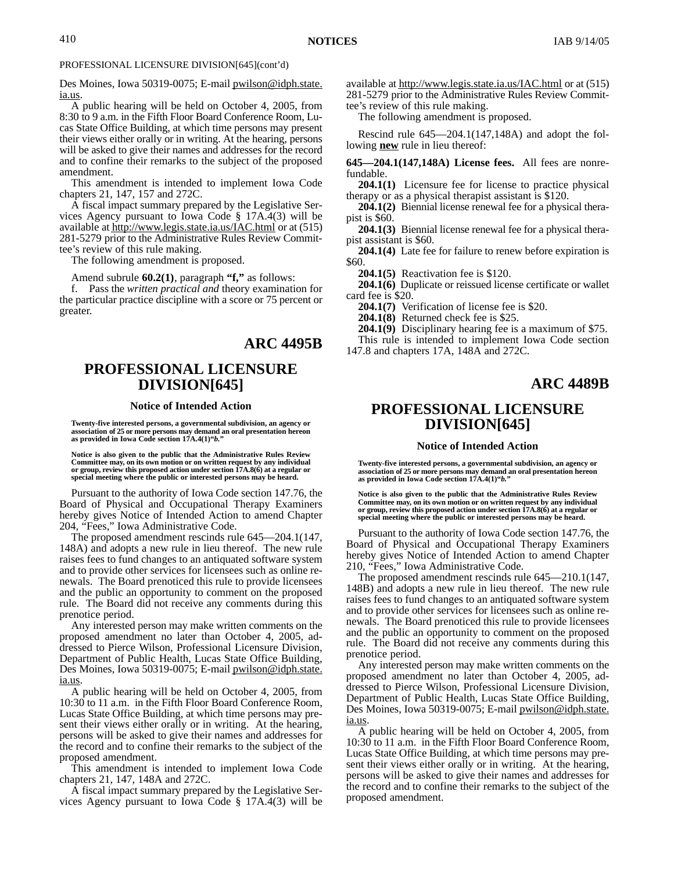Des Moines, Iowa 50319-0075; E-mail pwilson@idph.state. ia.us.

A public hearing will be held on October 4, 2005, from 8:30 to 9 a.m. in the Fifth Floor Board Conference Room, Lucas State Office Building, at which time persons may present their views either orally or in writing. At the hearing, persons will be asked to give their names and addresses for the record and to confine their remarks to the subject of the proposed amendment.

This amendment is intended to implement Iowa Code chapters 21, 147, 157 and 272C.

A fiscal impact summary prepared by the Legislative Services Agency pursuant to Iowa Code § 17A.4(3) will be available at http://www.legis.state.ia.us/IAC.html or at (515) 281-5279 prior to the Administrative Rules Review Committee's review of this rule making.

The following amendment is proposed.

Amend subrule **60.2(1)**, paragraph **"f,"** as follows:

f. Pass the *written practical and* theory examination for the particular practice discipline with a score or 75 percent or greater.

# **ARC 4495B**

# **PROFESSIONAL LICENSURE DIVISION[645]**

### **Notice of Intended Action**

**Twenty-five interested persons, a governmental subdivision, an agency or association of 25 or more persons may demand an oral presentation hereon as provided in Iowa Code section 17A.4(1)"***b.***"**

**Notice is also given to the public that the Administrative Rules Review Committee may, on its own motion or on written request by any individual or group, review this proposed action under section 17A.8(6) at a regular or special meeting where the public or interested persons may be heard.**

Pursuant to the authority of Iowa Code section 147.76, the Board of Physical and Occupational Therapy Examiners hereby gives Notice of Intended Action to amend Chapter 204, "Fees," Iowa Administrative Code.

The proposed amendment rescinds rule 645—204.1(147, 148A) and adopts a new rule in lieu thereof. The new rule raises fees to fund changes to an antiquated software system and to provide other services for licensees such as online renewals. The Board prenoticed this rule to provide licensees and the public an opportunity to comment on the proposed rule. The Board did not receive any comments during this prenotice period.

Any interested person may make written comments on the proposed amendment no later than October 4, 2005, addressed to Pierce Wilson, Professional Licensure Division, Department of Public Health, Lucas State Office Building, Des Moines, Iowa 50319-0075; E-mail pwilson@idph.state. ia.us.

A public hearing will be held on October 4, 2005, from 10:30 to 11 a.m. in the Fifth Floor Board Conference Room, Lucas State Office Building, at which time persons may present their views either orally or in writing. At the hearing, persons will be asked to give their names and addresses for the record and to confine their remarks to the subject of the proposed amendment.

This amendment is intended to implement Iowa Code chapters 21, 147, 148A and 272C.

A fiscal impact summary prepared by the Legislative Services Agency pursuant to Iowa Code § 17A.4(3) will be available at http://www.legis.state.ia.us/IAC.html or at (515) 281-5279 prior to the Administrative Rules Review Committee's review of this rule making.

The following amendment is proposed.

Rescind rule 645—204.1(147,148A) and adopt the following **new** rule in lieu thereof:

**645—204.1(147,148A) License fees.** All fees are nonrefundable.

**204.1(1)** Licensure fee for license to practice physical therapy or as a physical therapist assistant is \$120.

**204.1(2)** Biennial license renewal fee for a physical therapist is \$60.

**204.1(3)** Biennial license renewal fee for a physical therapist assistant is \$60.

**204.1(4)** Late fee for failure to renew before expiration is \$60.

**204.1(5)** Reactivation fee is \$120.

**204.1(6)** Duplicate or reissued license certificate or wallet card fee is \$20.

**204.1(7)** Verification of license fee is \$20.

**204.1(8)** Returned check fee is \$25.

**204.1(9)** Disciplinary hearing fee is a maximum of \$75. This rule is intended to implement Iowa Code section

147.8 and chapters 17A, 148A and 272C.

## **ARC 4489B**

# **PROFESSIONAL LICENSURE DIVISION[645]**

#### **Notice of Intended Action**

Twenty-five interested persons, a governmental subdivision, an agency or<br>association of 25 or more persons may demand an oral presentation hereon<br>as provided in Iowa Code section 17A.4(1)"b."

**Notice is also given to the public that the Administrative Rules Review** Committee may, on its own motion or on written request by any individual<br>or group, review this proposed action under section 17A.8(6) at a regular or<br>special meeting where the public or interested persons may be heard.

Pursuant to the authority of Iowa Code section 147.76, the Board of Physical and Occupational Therapy Examiners hereby gives Notice of Intended Action to amend Chapter 210, "Fees," Iowa Administrative Code.

The proposed amendment rescinds rule 645—210.1(147, 148B) and adopts a new rule in lieu thereof. The new rule raises fees to fund changes to an antiquated software system and to provide other services for licensees such as online renewals. The Board prenoticed this rule to provide licensees and the public an opportunity to comment on the proposed rule. The Board did not receive any comments during this prenotice period.

Any interested person may make written comments on the proposed amendment no later than October 4, 2005, addressed to Pierce Wilson, Professional Licensure Division, Department of Public Health, Lucas State Office Building, Des Moines, Iowa 50319-0075; E-mail pwilson@idph.state. ia.us.

A public hearing will be held on October 4, 2005, from 10:30 to 11 a.m. in the Fifth Floor Board Conference Room, Lucas State Office Building, at which time persons may present their views either orally or in writing. At the hearing, persons will be asked to give their names and addresses for the record and to confine their remarks to the subject of the proposed amendment.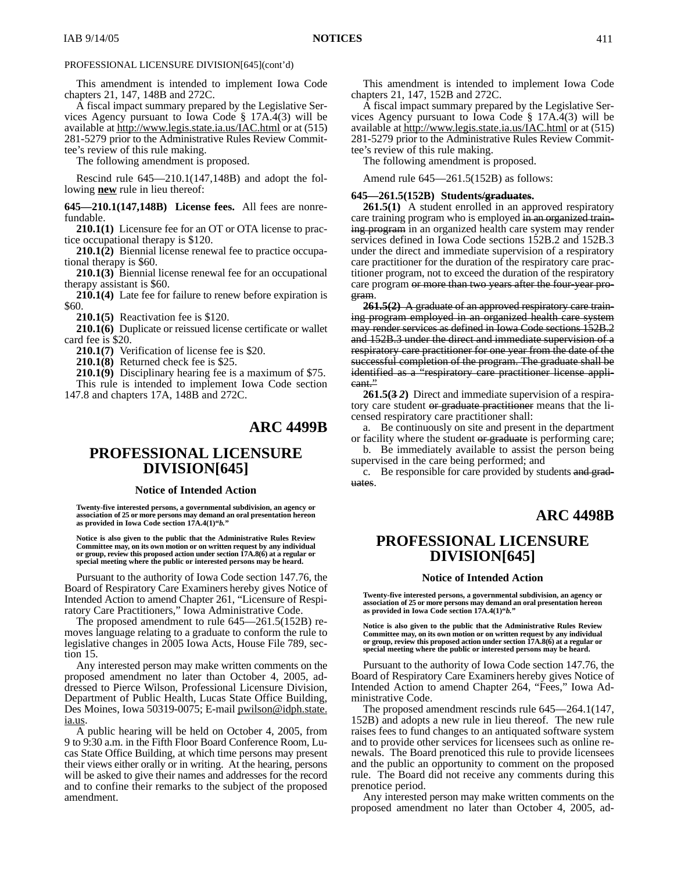This amendment is intended to implement Iowa Code chapters 21, 147, 148B and 272C.

A fiscal impact summary prepared by the Legislative Services Agency pursuant to Iowa Code § 17A.4(3) will be available at http://www.legis.state.ia.us/IAC.html or at (515) 281-5279 prior to the Administrative Rules Review Committee's review of this rule making.

The following amendment is proposed.

Rescind rule 645—210.1(147,148B) and adopt the following **new** rule in lieu thereof:

**645—210.1(147,148B) License fees.** All fees are nonrefundable.

**210.1(1)** Licensure fee for an OT or OTA license to practice occupational therapy is \$120.

**210.1(2)** Biennial license renewal fee to practice occupational therapy is \$60.

**210.1(3)** Biennial license renewal fee for an occupational therapy assistant is \$60.

**210.1(4)** Late fee for failure to renew before expiration is \$60.

**210.1(5)** Reactivation fee is \$120.

**210.1(6)** Duplicate or reissued license certificate or wallet card fee is \$20.

**210.1(7)** Verification of license fee is \$20.

**210.1(8)** Returned check fee is \$25.

**210.1(9)** Disciplinary hearing fee is a maximum of \$75. This rule is intended to implement Iowa Code section

147.8 and chapters 17A, 148B and 272C.

# **ARC 4499B**

# **PROFESSIONAL LICENSURE DIVISION[645]**

### **Notice of Intended Action**

**Twenty-five interested persons, a governmental subdivision, an agency or association of 25 or more persons may demand an oral presentation hereon as provided in Iowa Code section 17A.4(1)"***b.***"**

**Notice is also given to the public that the Administrative Rules Review Committee may, on its own motion or on written request by any individual or group, review this proposed action under section 17A.8(6) at a regular or special meeting where the public or interested persons may be heard.**

Pursuant to the authority of Iowa Code section 147.76, the Board of Respiratory Care Examiners hereby gives Notice of Intended Action to amend Chapter 261, "Licensure of Respiratory Care Practitioners," Iowa Administrative Code.

The proposed amendment to rule 645—261.5(152B) removes language relating to a graduate to conform the rule to legislative changes in 2005 Iowa Acts, House File 789, section 15.

Any interested person may make written comments on the proposed amendment no later than October 4, 2005, addressed to Pierce Wilson, Professional Licensure Division, Department of Public Health, Lucas State Office Building, Des Moines, Iowa 50319-0075; E-mail pwilson@idph.state. ia.us.

A public hearing will be held on October 4, 2005, from 9 to 9:30 a.m. in the Fifth Floor Board Conference Room, Lucas State Office Building, at which time persons may present their views either orally or in writing. At the hearing, persons will be asked to give their names and addresses for the record and to confine their remarks to the subject of the proposed amendment.

This amendment is intended to implement Iowa Code chapters 21, 147, 152B and 272C.

A fiscal impact summary prepared by the Legislative Services Agency pursuant to Iowa Code § 17A.4(3) will be available at http://www.legis.state.ia.us/IAC.html or at (515) 281-5279 prior to the Administrative Rules Review Committee's review of this rule making.

The following amendment is proposed.

Amend rule 645—261.5(152B) as follows:

### **645—261.5(152B) Students/graduates.**

**261.5(1)** A student enrolled in an approved respiratory care training program who is employed in an organized training program in an organized health care system may render services defined in Iowa Code sections 152B.2 and 152B.3 under the direct and immediate supervision of a respiratory care practitioner for the duration of the respiratory care practitioner program, not to exceed the duration of the respiratory care program or more than two years after the four-year program.

**261.5(2)** A graduate of an approved respiratory care training program employed in an organized health care system may render services as defined in Iowa Code sections 152B.2 and 152B.3 under the direct and immediate supervision of a respiratory care practitioner for one year from the date of the successful completion of the program. The graduate shall be identified as a "respiratory care practitioner license applicant."

**261.5(3** *2***)** Direct and immediate supervision of a respiratory care student or graduate practitioner means that the licensed respiratory care practitioner shall:

a. Be continuously on site and present in the department or facility where the student or graduate is performing care;

b. Be immediately available to assist the person being supervised in the care being performed; and

c. Be responsible for care provided by students and graduates.

### **ARC 4498B**

# **PROFESSIONAL LICENSURE DIVISION[645]**

#### **Notice of Intended Action**

**Twenty-five interested persons, a governmental subdivision, an agency or association of 25 or more persons may demand an oral presentation hereon as provided in Iowa Code section 17A.4(1)"***b.***"**

**Notice is also given to the public that the Administrative Rules Review Committee may, on its own motion or on written request by any individual or group, review this proposed action under section 17A.8(6) at a regular or special meeting where the public or interested persons may be heard.**

Pursuant to the authority of Iowa Code section 147.76, the Board of Respiratory Care Examiners hereby gives Notice of Intended Action to amend Chapter 264, "Fees," Iowa Administrative Code.

The proposed amendment rescinds rule 645—264.1(147, 152B) and adopts a new rule in lieu thereof. The new rule raises fees to fund changes to an antiquated software system and to provide other services for licensees such as online renewals. The Board prenoticed this rule to provide licensees and the public an opportunity to comment on the proposed rule. The Board did not receive any comments during this prenotice period.

Any interested person may make written comments on the proposed amendment no later than October 4, 2005, ad-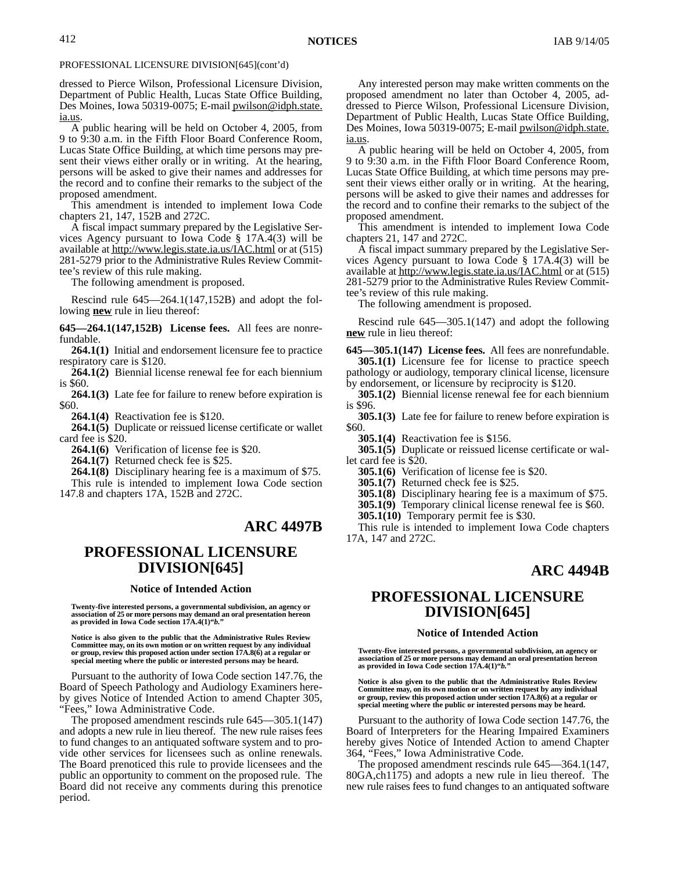dressed to Pierce Wilson, Professional Licensure Division, Department of Public Health, Lucas State Office Building, Des Moines, Iowa 50319-0075; E-mail *pwilson@idph.state.* ia.us.

A public hearing will be held on October 4, 2005, from 9 to 9:30 a.m. in the Fifth Floor Board Conference Room, Lucas State Office Building, at which time persons may present their views either orally or in writing. At the hearing, persons will be asked to give their names and addresses for the record and to confine their remarks to the subject of the proposed amendment.

This amendment is intended to implement Iowa Code chapters 21, 147, 152B and 272C.

A fiscal impact summary prepared by the Legislative Services Agency pursuant to Iowa Code § 17A.4(3) will be available at http://www.legis.state.ia.us/IAC.html or at (515) 281-5279 prior to the Administrative Rules Review Committee's review of this rule making.

The following amendment is proposed.

Rescind rule 645—264.1(147,152B) and adopt the following **new** rule in lieu thereof:

**645—264.1(147,152B) License fees.** All fees are nonrefundable.

**264.1(1)** Initial and endorsement licensure fee to practice respiratory care is \$120.

**264.1(2)** Biennial license renewal fee for each biennium is \$60.

**264.1(3)** Late fee for failure to renew before expiration is \$60.

**264.1(4)** Reactivation fee is \$120.

**264.1(5)** Duplicate or reissued license certificate or wallet card fee is \$20.

**264.1(6)** Verification of license fee is \$20.

**264.1(7)** Returned check fee is \$25.

**264.1(8)** Disciplinary hearing fee is a maximum of \$75. This rule is intended to implement Iowa Code section 147.8 and chapters 17A, 152B and 272C.

# **ARC 4497B**

# **PROFESSIONAL LICENSURE DIVISION[645]**

#### **Notice of Intended Action**

**Twenty-five interested persons, a governmental subdivision, an agency or association of 25 or more persons may demand an oral presentation hereon as provided in Iowa Code section 17A.4(1)"***b.***"**

**Notice is also given to the public that the Administrative Rules Review Committee may, on its own motion or on written request by any individual or group, review this proposed action under section 17A.8(6) at a regular or special meeting where the public or interested persons may be heard.**

Pursuant to the authority of Iowa Code section 147.76, the Board of Speech Pathology and Audiology Examiners hereby gives Notice of Intended Action to amend Chapter 305, "Fees," Iowa Administrative Code.

The proposed amendment rescinds rule 645—305.1(147) and adopts a new rule in lieu thereof. The new rule raises fees to fund changes to an antiquated software system and to provide other services for licensees such as online renewals. The Board prenoticed this rule to provide licensees and the public an opportunity to comment on the proposed rule. The Board did not receive any comments during this prenotice period.

Any interested person may make written comments on the proposed amendment no later than October 4, 2005, addressed to Pierce Wilson, Professional Licensure Division, Department of Public Health, Lucas State Office Building, Des Moines, Iowa 50319-0075; E-mail pwilson@idph.state. ia.us.

A public hearing will be held on October 4, 2005, from 9 to 9:30 a.m. in the Fifth Floor Board Conference Room, Lucas State Office Building, at which time persons may present their views either orally or in writing. At the hearing, persons will be asked to give their names and addresses for the record and to confine their remarks to the subject of the proposed amendment.

This amendment is intended to implement Iowa Code chapters 21, 147 and 272C.

A fiscal impact summary prepared by the Legislative Services Agency pursuant to Iowa Code § 17A.4(3) will be available at http://www.legis.state.ia.us/IAC.html or at (515) 281-5279 prior to the Administrative Rules Review Committee's review of this rule making.

The following amendment is proposed.

Rescind rule 645—305.1(147) and adopt the following **new** rule in lieu thereof:

**645—305.1(147) License fees.** All fees are nonrefundable. **305.1(1)** Licensure fee for license to practice speech pathology or audiology, temporary clinical license, licensure by endorsement, or licensure by reciprocity is \$120.

**305.1(2)** Biennial license renewal fee for each biennium is \$96.

**305.1(3)** Late fee for failure to renew before expiration is \$60.

**305.1(4)** Reactivation fee is \$156.

**305.1(5)** Duplicate or reissued license certificate or wallet card fee is \$20.

**305.1(6)** Verification of license fee is \$20.

**305.1(7)** Returned check fee is \$25.

**305.1(8)** Disciplinary hearing fee is a maximum of \$75.

**305.1(9)** Temporary clinical license renewal fee is \$60.

**305.1(10)** Temporary permit fee is \$30.

This rule is intended to implement Iowa Code chapters 17A, 147 and 272C.

# **ARC 4494B**

# **PROFESSIONAL LICENSURE DIVISION[645]**

### **Notice of Intended Action**

**Twenty-five interested persons, a governmental subdivision, an agency or association of 25 or more persons may demand an oral presentation hereon as provided in Iowa Code section 17A.4(1)"***b.***"**

**Notice is also given to the public that the Administrative Rules Review Committee may, on its own motion or on written request by any individual or group, review this proposed action under section 17A.8(6) at a regular or special meeting where the public or interested persons may be heard.**

Pursuant to the authority of Iowa Code section 147.76, the Board of Interpreters for the Hearing Impaired Examiners hereby gives Notice of Intended Action to amend Chapter 364, "Fees," Iowa Administrative Code.

The proposed amendment rescinds rule 645—364.1(147, 80GA,ch1175) and adopts a new rule in lieu thereof. The new rule raises fees to fund changes to an antiquated software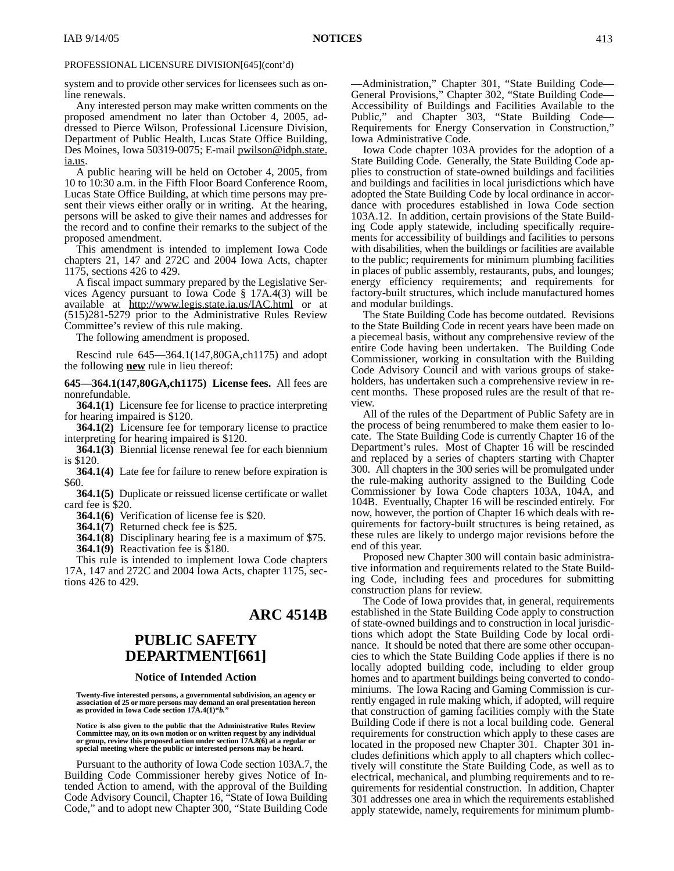system and to provide other services for licensees such as online renewals.

Any interested person may make written comments on the proposed amendment no later than October 4, 2005, addressed to Pierce Wilson, Professional Licensure Division, Department of Public Health, Lucas State Office Building, Des Moines, Iowa 50319-0075; E-mail pwilson@idph.state. ia.us.

A public hearing will be held on October 4, 2005, from 10 to 10:30 a.m. in the Fifth Floor Board Conference Room, Lucas State Office Building, at which time persons may present their views either orally or in writing. At the hearing, persons will be asked to give their names and addresses for the record and to confine their remarks to the subject of the proposed amendment.

This amendment is intended to implement Iowa Code chapters 21, 147 and 272C and 2004 Iowa Acts, chapter 1175, sections 426 to 429.

A fiscal impact summary prepared by the Legislative Services Agency pursuant to Iowa Code § 17A.4(3) will be available at http://www.legis.state.ia.us/IAC.html or at (515)281-5279 prior to the Administrative Rules Review Committee's review of this rule making.

The following amendment is proposed.

Rescind rule 645—364.1(147,80GA,ch1175) and adopt the following **new** rule in lieu thereof:

**645—364.1(147,80GA,ch1175) License fees.** All fees are nonrefundable.

**364.1(1)** Licensure fee for license to practice interpreting for hearing impaired is \$120.

**364.1(2)** Licensure fee for temporary license to practice interpreting for hearing impaired is \$120.

**364.1(3)** Biennial license renewal fee for each biennium is \$120.

**364.1(4)** Late fee for failure to renew before expiration is \$60.

**364.1(5)** Duplicate or reissued license certificate or wallet card fee is \$20.

**364.1(6)** Verification of license fee is \$20.

**364.1(7)** Returned check fee is \$25.

**364.1(8)** Disciplinary hearing fee is a maximum of \$75. **364.1(9)** Reactivation fee is \$180.

This rule is intended to implement Iowa Code chapters 17A, 147 and 272C and 2004 Iowa Acts, chapter 1175, sections 426 to 429.

### **ARC 4514B**

# **PUBLIC SAFETY DEPARTMENT[661]**

### **Notice of Intended Action**

**Twenty-five interested persons, a governmental subdivision, an agency or association of 25 or more persons may demand an oral presentation hereon as provided in Iowa Code section 17A.4(1)"***b.***"**

**Notice is also given to the public that the Administrative Rules Review Committee may, on its own motion or on written request by any individual or group, review this proposed action under section 17A.8(6) at a regular or special meeting where the public or interested persons may be heard.**

Pursuant to the authority of Iowa Code section 103A.7, the Building Code Commissioner hereby gives Notice of Intended Action to amend, with the approval of the Building Code Advisory Council, Chapter 16, "State of Iowa Building Code," and to adopt new Chapter 300, "State Building Code

—Administration," Chapter 301, "State Building Code— General Provisions," Chapter 302, "State Building Code— Accessibility of Buildings and Facilities Available to the Public," and Chapter 303, "State Building Code— Requirements for Energy Conservation in Construction," Iowa Administrative Code.

Iowa Code chapter 103A provides for the adoption of a State Building Code. Generally, the State Building Code applies to construction of state-owned buildings and facilities and buildings and facilities in local jurisdictions which have adopted the State Building Code by local ordinance in accordance with procedures established in Iowa Code section 103A.12. In addition, certain provisions of the State Building Code apply statewide, including specifically requirements for accessibility of buildings and facilities to persons with disabilities, when the buildings or facilities are available to the public; requirements for minimum plumbing facilities in places of public assembly, restaurants, pubs, and lounges; energy efficiency requirements; and requirements for factory-built structures, which include manufactured homes and modular buildings.

The State Building Code has become outdated. Revisions to the State Building Code in recent years have been made on a piecemeal basis, without any comprehensive review of the entire Code having been undertaken. The Building Code Commissioner, working in consultation with the Building Code Advisory Council and with various groups of stakeholders, has undertaken such a comprehensive review in recent months. These proposed rules are the result of that review.

All of the rules of the Department of Public Safety are in the process of being renumbered to make them easier to locate. The State Building Code is currently Chapter 16 of the Department's rules. Most of Chapter 16 will be rescinded and replaced by a series of chapters starting with Chapter 300. All chapters in the 300 series will be promulgated under the rule-making authority assigned to the Building Code Commissioner by Iowa Code chapters 103A, 104A, and 104B. Eventually, Chapter 16 will be rescinded entirely. For now, however, the portion of Chapter 16 which deals with requirements for factory-built structures is being retained, as these rules are likely to undergo major revisions before the end of this year.

Proposed new Chapter 300 will contain basic administrative information and requirements related to the State Building Code, including fees and procedures for submitting construction plans for review.

The Code of Iowa provides that, in general, requirements established in the State Building Code apply to construction of state-owned buildings and to construction in local jurisdictions which adopt the State Building Code by local ordinance. It should be noted that there are some other occupancies to which the State Building Code applies if there is no locally adopted building code, including to elder group homes and to apartment buildings being converted to condominiums. The Iowa Racing and Gaming Commission is currently engaged in rule making which, if adopted, will require that construction of gaming facilities comply with the State Building Code if there is not a local building code. General requirements for construction which apply to these cases are located in the proposed new Chapter 301. Chapter 301 includes definitions which apply to all chapters which collectively will constitute the State Building Code, as well as to electrical, mechanical, and plumbing requirements and to requirements for residential construction. In addition, Chapter 301 addresses one area in which the requirements established apply statewide, namely, requirements for minimum plumb-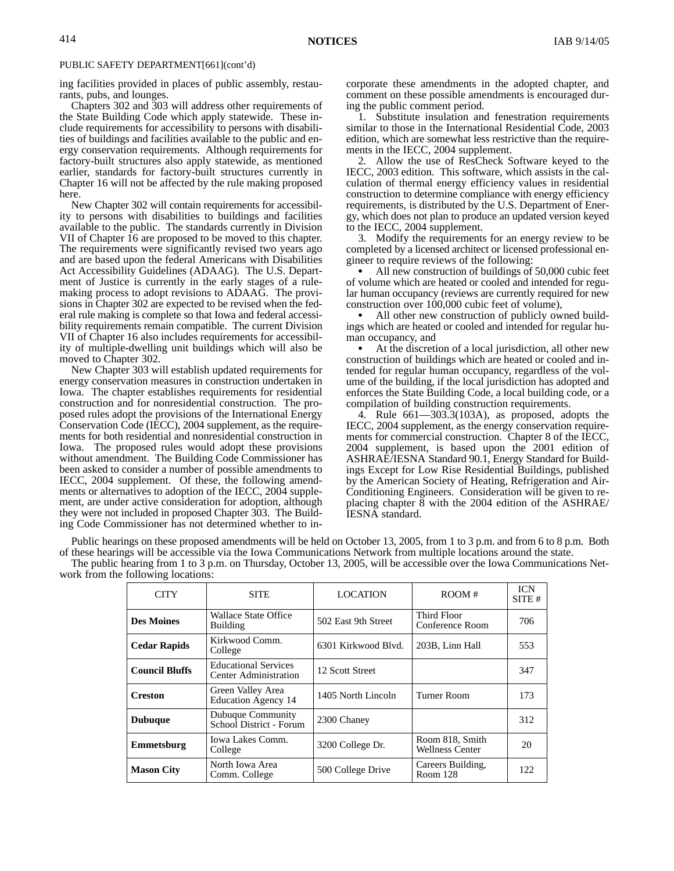ing facilities provided in places of public assembly, restaurants, pubs, and lounges.

Chapters 302 and 303 will address other requirements of the State Building Code which apply statewide. These include requirements for accessibility to persons with disabilities of buildings and facilities available to the public and energy conservation requirements. Although requirements for factory-built structures also apply statewide, as mentioned earlier, standards for factory-built structures currently in Chapter 16 will not be affected by the rule making proposed here.

New Chapter 302 will contain requirements for accessibility to persons with disabilities to buildings and facilities available to the public. The standards currently in Division VII of Chapter 16 are proposed to be moved to this chapter. The requirements were significantly revised two years ago and are based upon the federal Americans with Disabilities Act Accessibility Guidelines (ADAAG). The U.S. Department of Justice is currently in the early stages of a rulemaking process to adopt revisions to ADAAG. The provisions in Chapter 302 are expected to be revised when the federal rule making is complete so that Iowa and federal accessibility requirements remain compatible. The current Division VII of Chapter 16 also includes requirements for accessibility of multiple-dwelling unit buildings which will also be moved to Chapter 302.

New Chapter 303 will establish updated requirements for energy conservation measures in construction undertaken in Iowa. The chapter establishes requirements for residential construction and for nonresidential construction. The proposed rules adopt the provisions of the International Energy Conservation Code (IECC), 2004 supplement, as the requirements for both residential and nonresidential construction in Iowa. The proposed rules would adopt these provisions without amendment. The Building Code Commissioner has been asked to consider a number of possible amendments to IECC, 2004 supplement. Of these, the following amendments or alternatives to adoption of the IECC, 2004 supplement, are under active consideration for adoption, although they were not included in proposed Chapter 303. The Building Code Commissioner has not determined whether to incorporate these amendments in the adopted chapter, and comment on these possible amendments is encouraged during the public comment period.

1. Substitute insulation and fenestration requirements similar to those in the International Residential Code, 2003 edition, which are somewhat less restrictive than the requirements in the IECC, 2004 supplement.

2. Allow the use of ResCheck Software keyed to the IECC, 2003 edition. This software, which assists in the calculation of thermal energy efficiency values in residential construction to determine compliance with energy efficiency requirements, is distributed by the U.S. Department of Energy, which does not plan to produce an updated version keyed to the IECC, 2004 supplement.

3. Modify the requirements for an energy review to be completed by a licensed architect or licensed professional engineer to require reviews of the following:

• All new construction of buildings of 50,000 cubic feet of volume which are heated or cooled and intended for regular human occupancy (reviews are currently required for new construction over 100,000 cubic feet of volume),

• All other new construction of publicly owned buildings which are heated or cooled and intended for regular human occupancy, and

 At the discretion of a local jurisdiction, all other new construction of buildings which are heated or cooled and intended for regular human occupancy, regardless of the volume of the building, if the local jurisdiction has adopted and enforces the State Building Code, a local building code, or a compilation of building construction requirements.

4. Rule 661—303.3(103A), as proposed, adopts the IECC, 2004 supplement, as the energy conservation requirements for commercial construction. Chapter 8 of the IECC, 2004 supplement, is based upon the 2001 edition of ASHRAE/IESNA Standard 90.1, Energy Standard for Buildings Except for Low Rise Residential Buildings, published by the American Society of Heating, Refrigeration and Air-Conditioning Engineers. Consideration will be given to replacing chapter 8 with the 2004 edition of the ASHRAE/ IESNA standard.

Public hearings on these proposed amendments will be held on October 13, 2005, from 1 to 3 p.m. and from 6 to 8 p.m. Both of these hearings will be accessible via the Iowa Communications Network from multiple locations around the state.

The public hearing from 1 to 3 p.m. on Thursday, October 13, 2005, will be accessible over the Iowa Communications Network from the following locations:

| <b>CITY</b>           | <b>SITE</b>                                                 | <b>LOCATION</b>     | ROOM#                                     | <b>ICN</b><br>SITE# |
|-----------------------|-------------------------------------------------------------|---------------------|-------------------------------------------|---------------------|
| <b>Des Moines</b>     | Wallace State Office<br>Building                            | 502 East 9th Street | Third Floor<br>Conference Room            | 706                 |
| <b>Cedar Rapids</b>   | Kirkwood Comm.<br>College                                   | 6301 Kirkwood Blyd. | 203B, Linn Hall                           | 553                 |
| <b>Council Bluffs</b> | <b>Educational Services</b><br><b>Center Administration</b> | 12 Scott Street     |                                           | 347                 |
| <b>Creston</b>        | Green Valley Area<br><b>Education Agency 14</b>             | 1405 North Lincoln  | Turner Room                               | 173                 |
| <b>Dubuque</b>        | Dubuque Community<br>School District - Forum                | 2300 Chaney         |                                           | 312                 |
| Emmetsburg            | Iowa Lakes Comm.<br>College                                 | 3200 College Dr.    | Room 818, Smith<br><b>Wellness Center</b> | 20                  |
| <b>Mason City</b>     | North Iowa Area<br>Comm. College                            | 500 College Drive   | Careers Building,<br>Room 128             | 122.                |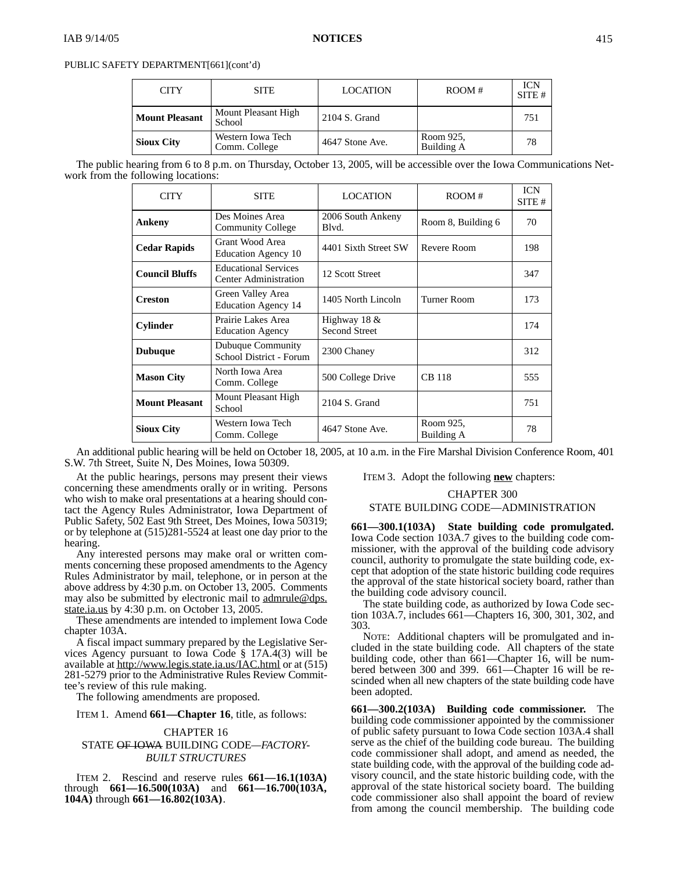| <b>CITY</b>           | <b>SITE</b>                        | <b>LOCATION</b> | ROOM#                   | <b>ICN</b><br>SITE# |
|-----------------------|------------------------------------|-----------------|-------------------------|---------------------|
| <b>Mount Pleasant</b> | Mount Pleasant High<br>School      | 2104 S. Grand   |                         | 751                 |
| <b>Sioux City</b>     | Western Iowa Tech<br>Comm. College | 4647 Stone Ave. | Room 925,<br>Building A | 78                  |

The public hearing from 6 to 8 p.m. on Thursday, October 13, 2005, will be accessible over the Iowa Communications Network from the following locations:

| <b>CITY</b>           | <b>SITE</b>                                                 | <b>LOCATION</b>                      | ROOM#                   | <b>ICN</b><br>SITE # |
|-----------------------|-------------------------------------------------------------|--------------------------------------|-------------------------|----------------------|
| <b>Ankeny</b>         | Des Moines Area<br><b>Community College</b>                 | 2006 South Ankeny<br>Blvd.           | Room 8, Building 6      | 70                   |
| <b>Cedar Rapids</b>   | Grant Wood Area<br>Education Agency 10                      | 4401 Sixth Street SW                 | Revere Room             | 198                  |
| <b>Council Bluffs</b> | <b>Educational Services</b><br>Center Administration        | 12 Scott Street                      |                         | 347                  |
| <b>Creston</b>        | Green Valley Area<br><b>Education Agency 14</b>             | 1405 North Lincoln                   | Turner Room             | 173                  |
| <b>Cylinder</b>       | Prairie Lakes Area<br><b>Education Agency</b>               | Highway 18 &<br><b>Second Street</b> |                         | 174                  |
| <b>Dubuque</b>        | Dubuque Community<br>2300 Chaney<br>School District - Forum |                                      |                         | 312                  |
| <b>Mason City</b>     | North Iowa Area<br>Comm. College                            | 500 College Drive                    | <b>CB</b> 118           | 555                  |
| <b>Mount Pleasant</b> | Mount Pleasant High<br>School                               | 2104 S. Grand                        |                         | 751                  |
| <b>Sioux City</b>     | Western Iowa Tech<br>Comm. College                          | 4647 Stone Ave.                      | Room 925,<br>Building A | 78                   |

An additional public hearing will be held on October 18, 2005, at 10 a.m. in the Fire Marshal Division Conference Room, 401 S.W. 7th Street, Suite N, Des Moines, Iowa 50309.

At the public hearings, persons may present their views concerning these amendments orally or in writing. Persons who wish to make oral presentations at a hearing should contact the Agency Rules Administrator, Iowa Department of Public Safety, 502 East 9th Street, Des Moines, Iowa 50319; or by telephone at (515)281-5524 at least one day prior to the hearing.

Any interested persons may make oral or written comments concerning these proposed amendments to the Agency Rules Administrator by mail, telephone, or in person at the above address by 4:30 p.m. on October 13, 2005. Comments may also be submitted by electronic mail to admrule@dps. state.ia.us by 4:30 p.m. on October 13, 2005.

These amendments are intended to implement Iowa Code chapter 103A.

A fiscal impact summary prepared by the Legislative Services Agency pursuant to Iowa Code § 17A.4(3) will be available at http://www.legis.state.ia.us/IAC.html or at (515) 281-5279 prior to the Administrative Rules Review Committee's review of this rule making.

The following amendments are proposed.

ITEM 1. Amend **661—Chapter 16**, title, as follows:

### CHAPTER 16 STATE OF IOWA BUILDING CODE*—FACTORY-BUILT STRUCTURES*

ITEM 2. Rescind and reserve rules **661—16.1(103A)** through **661—16.500(103A)** and **661—16.700(103A, 104A)** through **661—16.802(103A)**.

ITEM 3. Adopt the following **new** chapters:

### CHAPTER 300 STATE BUILDING CODE—ADMINISTRATION

**661—300.1(103A) State building code promulgated.** Iowa Code section 103A.7 gives to the building code commissioner, with the approval of the building code advisory council, authority to promulgate the state building code, except that adoption of the state historic building code requires the approval of the state historical society board, rather than

the building code advisory council. The state building code, as authorized by Iowa Code section 103A.7, includes 661—Chapters 16, 300, 301, 302, and 303.

NOTE: Additional chapters will be promulgated and included in the state building code. All chapters of the state building code, other than 661—Chapter 16, will be numbered between 300 and 399. 661—Chapter 16 will be rescinded when all new chapters of the state building code have been adopted.

**661—300.2(103A) Building code commissioner.** The building code commissioner appointed by the commissioner of public safety pursuant to Iowa Code section 103A.4 shall serve as the chief of the building code bureau. The building code commissioner shall adopt, and amend as needed, the state building code, with the approval of the building code advisory council, and the state historic building code, with the approval of the state historical society board. The building code commissioner also shall appoint the board of review from among the council membership. The building code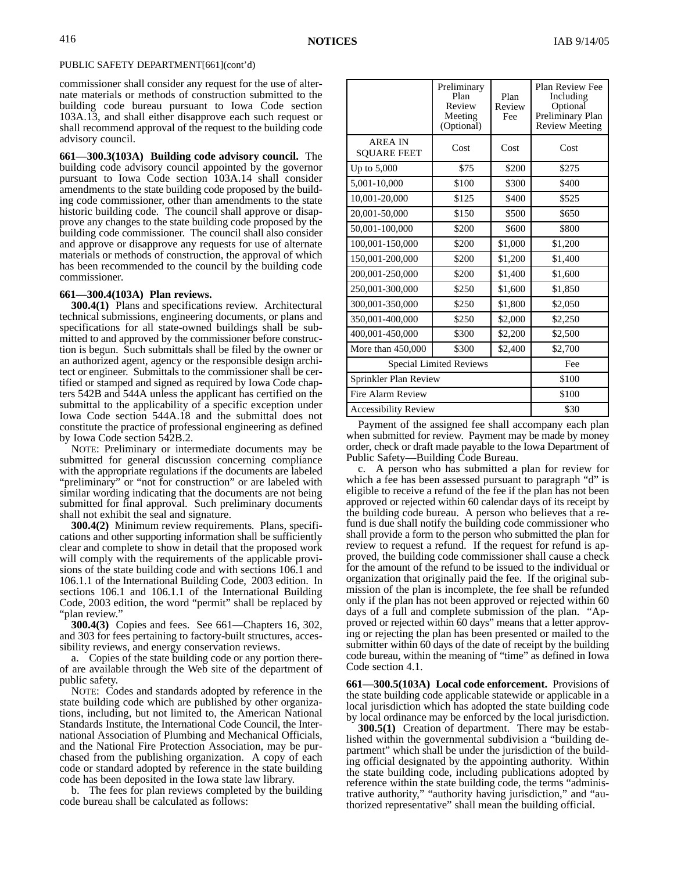commissioner shall consider any request for the use of alternate materials or methods of construction submitted to the building code bureau pursuant to Iowa Code section 103A.13, and shall either disapprove each such request or shall recommend approval of the request to the building code advisory council.

**661—300.3(103A) Building code advisory council.** The building code advisory council appointed by the governor pursuant to Iowa Code section 103A.14 shall consider amendments to the state building code proposed by the building code commissioner, other than amendments to the state historic building code. The council shall approve or disapprove any changes to the state building code proposed by the building code commissioner. The council shall also consider and approve or disapprove any requests for use of alternate materials or methods of construction, the approval of which has been recommended to the council by the building code commissioner.

#### **661—300.4(103A) Plan reviews.**

**300.4(1)** Plans and specifications review. Architectural technical submissions, engineering documents, or plans and specifications for all state-owned buildings shall be submitted to and approved by the commissioner before construction is begun. Such submittals shall be filed by the owner or an authorized agent, agency or the responsible design architect or engineer. Submittals to the commissioner shall be certified or stamped and signed as required by Iowa Code chapters 542B and 544A unless the applicant has certified on the submittal to the applicability of a specific exception under Iowa Code section 544A.18 and the submittal does not constitute the practice of professional engineering as defined by Iowa Code section 542B.2.

NOTE: Preliminary or intermediate documents may be submitted for general discussion concerning compliance with the appropriate regulations if the documents are labeled "preliminary" or "not for construction" or are labeled with similar wording indicating that the documents are not being submitted for final approval. Such preliminary documents shall not exhibit the seal and signature.

**300.4(2)** Minimum review requirements*.* Plans, specifications and other supporting information shall be sufficiently clear and complete to show in detail that the proposed work will comply with the requirements of the applicable provisions of the state building code and with sections 106.1 and 106.1.1 of the International Building Code, 2003 edition. In sections 106.1 and 106.1.1 of the International Building Code, 2003 edition, the word "permit" shall be replaced by "plan review."

**300.4(3)** Copies and fees. See 661—Chapters 16, 302, and 303 for fees pertaining to factory-built structures, accessibility reviews, and energy conservation reviews.

a. Copies of the state building code or any portion thereof are available through the Web site of the department of public safety.

NOTE: Codes and standards adopted by reference in the state building code which are published by other organizations, including, but not limited to, the American National Standards Institute, the International Code Council, the International Association of Plumbing and Mechanical Officials, and the National Fire Protection Association, may be purchased from the publishing organization. A copy of each code or standard adopted by reference in the state building code has been deposited in the Iowa state law library.

b. The fees for plan reviews completed by the building code bureau shall be calculated as follows:

|                                      | Preliminary<br>Plan<br>Review<br>Meeting<br>(Optional) | Plan<br>Review<br>Fee | Plan Review Fee<br>Including<br>Optional<br>Preliminary Plan<br><b>Review Meeting</b> |
|--------------------------------------|--------------------------------------------------------|-----------------------|---------------------------------------------------------------------------------------|
| <b>AREA IN</b><br><b>SOUARE FEET</b> | Cost                                                   | Cost                  | Cost                                                                                  |
| Up to $5,000$                        | \$75                                                   | \$200                 | \$275                                                                                 |
| 5,001-10,000                         | \$100                                                  | \$300                 | \$400                                                                                 |
| 10,001-20,000                        | \$125                                                  | \$400                 | \$525                                                                                 |
| 20,001-50,000                        | \$150                                                  | \$500                 | \$650                                                                                 |
| 50,001-100,000                       | \$200                                                  | \$600                 | \$800                                                                                 |
| 100,001-150,000                      | \$200                                                  | \$1,000               | \$1,200                                                                               |
| 150,001-200,000                      | \$200                                                  | \$1,200               | \$1,400                                                                               |
| 200,001-250,000                      | \$200                                                  |                       | \$1,600                                                                               |
| 250,001-300,000                      | \$250                                                  | \$1,600               | \$1,850                                                                               |
| 300,001-350,000                      | \$250                                                  | \$1,800               | \$2,050                                                                               |
| 350,001-400,000                      | \$250                                                  | \$2,000               | \$2,250                                                                               |
| 400,001-450,000                      | \$300                                                  | \$2,200               | \$2,500                                                                               |
| More than 450,000                    | \$300                                                  | \$2,400               | \$2,700                                                                               |
| <b>Special Limited Reviews</b>       | Fee                                                    |                       |                                                                                       |
| Sprinkler Plan Review                | \$100                                                  |                       |                                                                                       |
| Fire Alarm Review                    | \$100                                                  |                       |                                                                                       |
| <b>Accessibility Review</b>          | \$30                                                   |                       |                                                                                       |

Payment of the assigned fee shall accompany each plan when submitted for review. Payment may be made by money order, check or draft made payable to the Iowa Department of Public Safety—Building Code Bureau.

c. A person who has submitted a plan for review for which a fee has been assessed pursuant to paragraph "d" is eligible to receive a refund of the fee if the plan has not been approved or rejected within 60 calendar days of its receipt by the building code bureau. A person who believes that a refund is due shall notify the building code commissioner who shall provide a form to the person who submitted the plan for review to request a refund. If the request for refund is approved, the building code commissioner shall cause a check for the amount of the refund to be issued to the individual or organization that originally paid the fee. If the original submission of the plan is incomplete, the fee shall be refunded only if the plan has not been approved or rejected within 60 days of a full and complete submission of the plan. "Approved or rejected within 60 days" means that a letter approving or rejecting the plan has been presented or mailed to the submitter within 60 days of the date of receipt by the building code bureau, within the meaning of "time" as defined in Iowa Code section 4.1.

**661—300.5(103A) Local code enforcement.** Provisions of the state building code applicable statewide or applicable in a local jurisdiction which has adopted the state building code by local ordinance may be enforced by the local jurisdiction.

**300.5(1)** Creation of department. There may be established within the governmental subdivision a "building department" which shall be under the jurisdiction of the building official designated by the appointing authority. Within the state building code, including publications adopted by reference within the state building code, the terms "administrative authority," "authority having jurisdiction," and "authorized representative" shall mean the building official.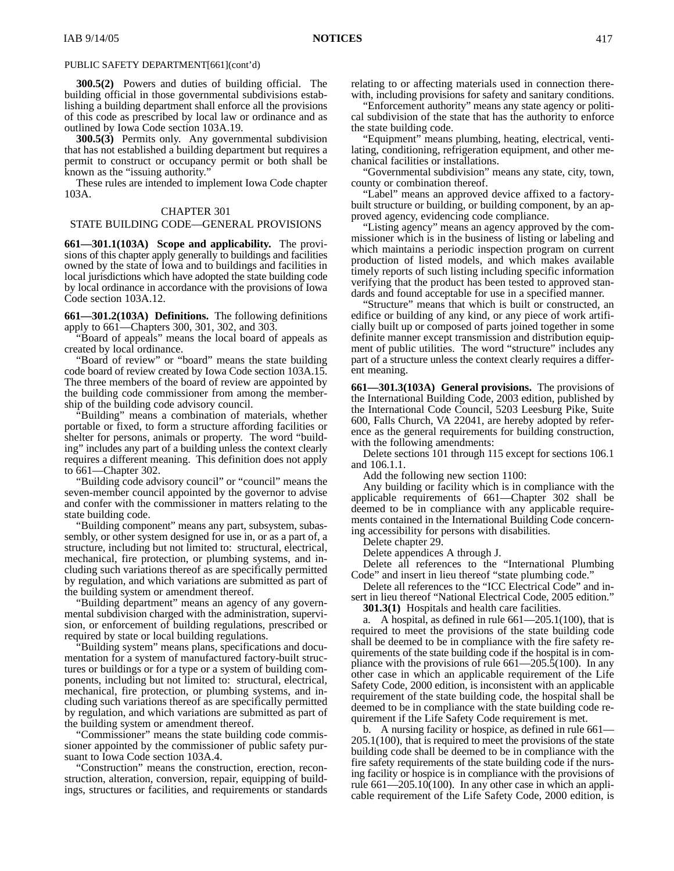**300.5(2)** Powers and duties of building official. The building official in those governmental subdivisions establishing a building department shall enforce all the provisions of this code as prescribed by local law or ordinance and as outlined by Iowa Code section 103A.19.

**300.5(3)** Permits only. Any governmental subdivision that has not established a building department but requires a permit to construct or occupancy permit or both shall be known as the "issuing authority."

These rules are intended to implement Iowa Code chapter 103A.

### CHAPTER 301

### STATE BUILDING CODE—GENERAL PROVISIONS

**661—301.1(103A) Scope and applicability.** The provisions of this chapter apply generally to buildings and facilities owned by the state of Iowa and to buildings and facilities in local jurisdictions which have adopted the state building code by local ordinance in accordance with the provisions of Iowa Code section 103A.12.

**661—301.2(103A) Definitions.** The following definitions apply to 661—Chapters 300, 301, 302, and 303.

"Board of appeals" means the local board of appeals as created by local ordinance.

"Board of review" or "board" means the state building code board of review created by Iowa Code section 103A.15. The three members of the board of review are appointed by the building code commissioner from among the membership of the building code advisory council.

"Building" means a combination of materials, whether portable or fixed, to form a structure affording facilities or shelter for persons, animals or property. The word "building" includes any part of a building unless the context clearly requires a different meaning. This definition does not apply to 661—Chapter 302.

"Building code advisory council" or "council" means the seven-member council appointed by the governor to advise and confer with the commissioner in matters relating to the state building code.

"Building component" means any part, subsystem, subassembly, or other system designed for use in, or as a part of, a structure, including but not limited to: structural, electrical, mechanical, fire protection, or plumbing systems, and including such variations thereof as are specifically permitted by regulation, and which variations are submitted as part of the building system or amendment thereof.

"Building department" means an agency of any governmental subdivision charged with the administration, supervision, or enforcement of building regulations, prescribed or required by state or local building regulations.

"Building system" means plans, specifications and documentation for a system of manufactured factory-built structures or buildings or for a type or a system of building components, including but not limited to: structural, electrical, mechanical, fire protection, or plumbing systems, and including such variations thereof as are specifically permitted by regulation, and which variations are submitted as part of the building system or amendment thereof.

"Commissioner" means the state building code commissioner appointed by the commissioner of public safety pursuant to Iowa Code section 103A.4.

"Construction" means the construction, erection, reconstruction, alteration, conversion, repair, equipping of buildings, structures or facilities, and requirements or standards relating to or affecting materials used in connection therewith, including provisions for safety and sanitary conditions.

"Enforcement authority" means any state agency or political subdivision of the state that has the authority to enforce the state building code.

"Equipment" means plumbing, heating, electrical, ventilating, conditioning, refrigeration equipment, and other mechanical facilities or installations.

"Governmental subdivision" means any state, city, town, county or combination thereof.

"Label" means an approved device affixed to a factorybuilt structure or building, or building component, by an approved agency, evidencing code compliance.

"Listing agency" means an agency approved by the commissioner which is in the business of listing or labeling and which maintains a periodic inspection program on current production of listed models, and which makes available timely reports of such listing including specific information verifying that the product has been tested to approved standards and found acceptable for use in a specified manner.

"Structure" means that which is built or constructed, an edifice or building of any kind, or any piece of work artificially built up or composed of parts joined together in some definite manner except transmission and distribution equipment of public utilities. The word "structure" includes any part of a structure unless the context clearly requires a different meaning.

**661—301.3(103A) General provisions.** The provisions of the International Building Code, 2003 edition, published by the International Code Council, 5203 Leesburg Pike, Suite 600, Falls Church, VA 22041, are hereby adopted by reference as the general requirements for building construction, with the following amendments:

Delete sections 101 through 115 except for sections 106.1 and 106.1.1.

Add the following new section 1100:

Any building or facility which is in compliance with the applicable requirements of 661—Chapter 302 shall be deemed to be in compliance with any applicable requirements contained in the International Building Code concerning accessibility for persons with disabilities.

Delete chapter 29.

Delete appendices A through J.

Delete all references to the "International Plumbing Code" and insert in lieu thereof "state plumbing code."

Delete all references to the "ICC Electrical Code" and insert in lieu thereof "National Electrical Code, 2005 edition."

**301.3(1)** Hospitals and health care facilities.

a. A hospital, as defined in rule  $661-205.1(100)$ , that is required to meet the provisions of the state building code shall be deemed to be in compliance with the fire safety requirements of the state building code if the hospital is in compliance with the provisions of rule 661—205.5(100). In any other case in which an applicable requirement of the Life Safety Code, 2000 edition, is inconsistent with an applicable requirement of the state building code, the hospital shall be deemed to be in compliance with the state building code requirement if the Life Safety Code requirement is met.

b. A nursing facility or hospice, as defined in rule 661— 205.1(100), that is required to meet the provisions of the state building code shall be deemed to be in compliance with the fire safety requirements of the state building code if the nursing facility or hospice is in compliance with the provisions of rule 661—205.10(100). In any other case in which an applicable requirement of the Life Safety Code, 2000 edition, is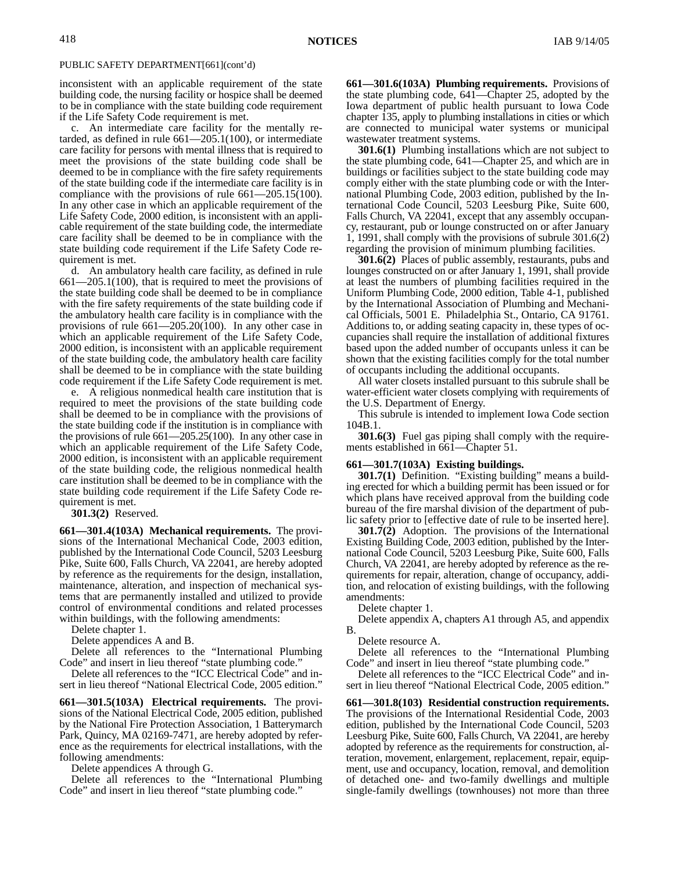inconsistent with an applicable requirement of the state building code, the nursing facility or hospice shall be deemed to be in compliance with the state building code requirement if the Life Safety Code requirement is met.

c. An intermediate care facility for the mentally retarded, as defined in rule 661—205.1(100), or intermediate care facility for persons with mental illness that is required to meet the provisions of the state building code shall be deemed to be in compliance with the fire safety requirements of the state building code if the intermediate care facility is in compliance with the provisions of rule 661—205.15(100). In any other case in which an applicable requirement of the Life Safety Code, 2000 edition, is inconsistent with an applicable requirement of the state building code, the intermediate care facility shall be deemed to be in compliance with the state building code requirement if the Life Safety Code requirement is met.

d. An ambulatory health care facility, as defined in rule 661—205.1(100), that is required to meet the provisions of the state building code shall be deemed to be in compliance with the fire safety requirements of the state building code if the ambulatory health care facility is in compliance with the provisions of rule 661—205.20(100). In any other case in which an applicable requirement of the Life Safety Code, 2000 edition, is inconsistent with an applicable requirement of the state building code, the ambulatory health care facility shall be deemed to be in compliance with the state building code requirement if the Life Safety Code requirement is met.

e. A religious nonmedical health care institution that is required to meet the provisions of the state building code shall be deemed to be in compliance with the provisions of the state building code if the institution is in compliance with the provisions of rule 661—205.25(100). In any other case in which an applicable requirement of the Life Safety Code, 2000 edition, is inconsistent with an applicable requirement of the state building code, the religious nonmedical health care institution shall be deemed to be in compliance with the state building code requirement if the Life Safety Code requirement is met.

**301.3(2)** Reserved.

**661—301.4(103A) Mechanical requirements.** The provisions of the International Mechanical Code, 2003 edition, published by the International Code Council, 5203 Leesburg Pike, Suite 600, Falls Church, VA 22041, are hereby adopted by reference as the requirements for the design, installation, maintenance, alteration, and inspection of mechanical systems that are permanently installed and utilized to provide control of environmental conditions and related processes within buildings, with the following amendments:

Delete chapter 1.

Delete appendices A and B.

Delete all references to the "International Plumbing Code" and insert in lieu thereof "state plumbing code."

Delete all references to the "ICC Electrical Code" and insert in lieu thereof "National Electrical Code, 2005 edition."

**661—301.5(103A) Electrical requirements.** The provisions of the National Electrical Code, 2005 edition, published by the National Fire Protection Association, 1 Batterymarch Park, Quincy, MA 02169-7471, are hereby adopted by reference as the requirements for electrical installations, with the following amendments:

Delete appendices A through G.

Delete all references to the "International Plumbing Code" and insert in lieu thereof "state plumbing code."

**661—301.6(103A) Plumbing requirements.** Provisions of the state plumbing code, 641—Chapter 25, adopted by the Iowa department of public health pursuant to Iowa Code chapter 135, apply to plumbing installations in cities or which are connected to municipal water systems or municipal wastewater treatment systems.

**301.6(1)** Plumbing installations which are not subject to the state plumbing code, 641—Chapter 25, and which are in buildings or facilities subject to the state building code may comply either with the state plumbing code or with the International Plumbing Code, 2003 edition, published by the International Code Council, 5203 Leesburg Pike, Suite 600, Falls Church, VA 22041, except that any assembly occupancy, restaurant, pub or lounge constructed on or after January 1, 1991, shall comply with the provisions of subrule 301.6(2) regarding the provision of minimum plumbing facilities.

**301.6(2)** Places of public assembly, restaurants, pubs and lounges constructed on or after January 1, 1991, shall provide at least the numbers of plumbing facilities required in the Uniform Plumbing Code, 2000 edition, Table 4-1, published by the International Association of Plumbing and Mechanical Officials, 5001 E. Philadelphia St., Ontario, CA 91761. Additions to, or adding seating capacity in, these types of occupancies shall require the installation of additional fixtures based upon the added number of occupants unless it can be shown that the existing facilities comply for the total number of occupants including the additional occupants.

All water closets installed pursuant to this subrule shall be water-efficient water closets complying with requirements of the U.S. Department of Energy.

This subrule is intended to implement Iowa Code section 104B.1.

**301.6(3)** Fuel gas piping shall comply with the requirements established in 661—Chapter 51.

### **661—301.7(103A) Existing buildings.**

**301.7(1)** Definition. "Existing building" means a building erected for which a building permit has been issued or for which plans have received approval from the building code bureau of the fire marshal division of the department of public safety prior to [effective date of rule to be inserted here].

**301.7(2)** Adoption. The provisions of the International Existing Building Code, 2003 edition, published by the International Code Council, 5203 Leesburg Pike, Suite 600, Falls Church, VA 22041, are hereby adopted by reference as the requirements for repair, alteration, change of occupancy, addition, and relocation of existing buildings, with the following amendments:

Delete chapter 1.

Delete appendix A, chapters A1 through A5, and appendix B.

Delete resource A.

Delete all references to the "International Plumbing Code" and insert in lieu thereof "state plumbing code."

Delete all references to the "ICC Electrical Code" and insert in lieu thereof "National Electrical Code, 2005 edition."

**661—301.8(103) Residential construction requirements.** The provisions of the International Residential Code, 2003 edition, published by the International Code Council, 5203 Leesburg Pike, Suite 600, Falls Church, VA 22041, are hereby adopted by reference as the requirements for construction, alteration, movement, enlargement, replacement, repair, equipment, use and occupancy, location, removal, and demolition of detached one- and two-family dwellings and multiple single-family dwellings (townhouses) not more than three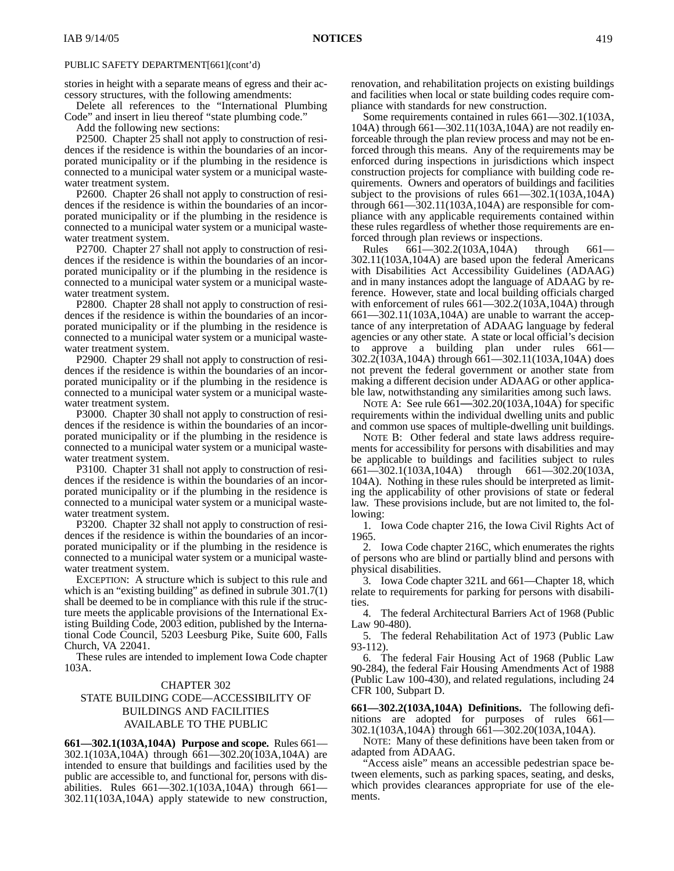stories in height with a separate means of egress and their accessory structures, with the following amendments:

Delete all references to the "International Plumbing Code" and insert in lieu thereof "state plumbing code."

Add the following new sections:

P2500. Chapter 25 shall not apply to construction of residences if the residence is within the boundaries of an incorporated municipality or if the plumbing in the residence is connected to a municipal water system or a municipal wastewater treatment system.

P2600. Chapter 26 shall not apply to construction of residences if the residence is within the boundaries of an incorporated municipality or if the plumbing in the residence is connected to a municipal water system or a municipal wastewater treatment system.

P2700. Chapter 27 shall not apply to construction of residences if the residence is within the boundaries of an incorporated municipality or if the plumbing in the residence is connected to a municipal water system or a municipal wastewater treatment system.

P2800. Chapter 28 shall not apply to construction of residences if the residence is within the boundaries of an incorporated municipality or if the plumbing in the residence is connected to a municipal water system or a municipal wastewater treatment system.

P2900. Chapter 29 shall not apply to construction of residences if the residence is within the boundaries of an incorporated municipality or if the plumbing in the residence is connected to a municipal water system or a municipal wastewater treatment system.

P3000. Chapter 30 shall not apply to construction of residences if the residence is within the boundaries of an incorporated municipality or if the plumbing in the residence is connected to a municipal water system or a municipal wastewater treatment system.

P3100. Chapter 31 shall not apply to construction of residences if the residence is within the boundaries of an incorporated municipality or if the plumbing in the residence is connected to a municipal water system or a municipal wastewater treatment system.

P3200. Chapter 32 shall not apply to construction of residences if the residence is within the boundaries of an incorporated municipality or if the plumbing in the residence is connected to a municipal water system or a municipal wastewater treatment system.

EXCEPTION: A structure which is subject to this rule and which is an "existing building" as defined in subrule 301.7(1) shall be deemed to be in compliance with this rule if the structure meets the applicable provisions of the International Existing Building Code, 2003 edition, published by the International Code Council, 5203 Leesburg Pike, Suite 600, Falls Church, VA 22041.

These rules are intended to implement Iowa Code chapter 103A.

### CHAPTER 302

### STATE BUILDING CODE—ACCESSIBILITY OF BUILDINGS AND FACILITIES AVAILABLE TO THE PUBLIC

**661—302.1(103A,104A) Purpose and scope.** Rules 661— 302.1(103A,104A) through 661—302.20(103A,104A) are intended to ensure that buildings and facilities used by the public are accessible to, and functional for, persons with disabilities. Rules 661—302.1(103A,104A) through 661— 302.11(103A,104A) apply statewide to new construction,

renovation, and rehabilitation projects on existing buildings and facilities when local or state building codes require compliance with standards for new construction.

Some requirements contained in rules 661—302.1(103A, 104A) through 661—302.11(103A,104A) are not readily enforceable through the plan review process and may not be enforced through this means. Any of the requirements may be enforced during inspections in jurisdictions which inspect construction projects for compliance with building code requirements. Owners and operators of buildings and facilities subject to the provisions of rules 661—302.1(103A,104A) through 661—302.11(103A,104A) are responsible for compliance with any applicable requirements contained within these rules regardless of whether those requirements are enforced through plan reviews or inspections.

Rules 661—302.2(103A,104A) through 661— 302.11(103A,104A) are based upon the federal Americans with Disabilities Act Accessibility Guidelines (ADAAG) and in many instances adopt the language of ADAAG by reference. However, state and local building officials charged with enforcement of rules  $661 - 302.2(103A, 104A)$  through 661—302.11(103A,104A) are unable to warrant the acceptance of any interpretation of ADAAG language by federal agencies or any other state. A state or local official's decision to approve a building plan under rules 661-302.2(103A,104A) through 661—302.11(103A,104A) does not prevent the federal government or another state from making a different decision under ADAAG or other applicable law, notwithstanding any similarities among such laws.

NOTE A: See rule 661—302.20(103A,104A) for specific requirements within the individual dwelling units and public and common use spaces of multiple-dwelling unit buildings.

NOTE B: Other federal and state laws address requirements for accessibility for persons with disabilities and may be applicable to buildings and facilities subject to rules  $661 - 302.1(103A, 104A)$  through  $661 - 302.20(103A, 104A)$ 661—302.1(103A,104A) 104A). Nothing in these rules should be interpreted as limiting the applicability of other provisions of state or federal law. These provisions include, but are not limited to, the following:

1. Iowa Code chapter 216, the Iowa Civil Rights Act of 1965.

2. Iowa Code chapter 216C, which enumerates the rights of persons who are blind or partially blind and persons with physical disabilities.

3. Iowa Code chapter 321L and 661—Chapter 18, which relate to requirements for parking for persons with disabilities.

4. The federal Architectural Barriers Act of 1968 (Public Law 90-480).

5. The federal Rehabilitation Act of 1973 (Public Law 93-112).

6. The federal Fair Housing Act of 1968 (Public Law 90-284), the federal Fair Housing Amendments Act of 1988 (Public Law 100-430), and related regulations, including 24 CFR 100, Subpart D.

**661—302.2(103A,104A) Definitions.** The following definitions are adopted for purposes of rules 661— 302.1(103A,104A) through 661—302.20(103A,104A).

NOTE: Many of these definitions have been taken from or adapted from ADAAG.

"Access aisle" means an accessible pedestrian space between elements, such as parking spaces, seating, and desks, which provides clearances appropriate for use of the elements.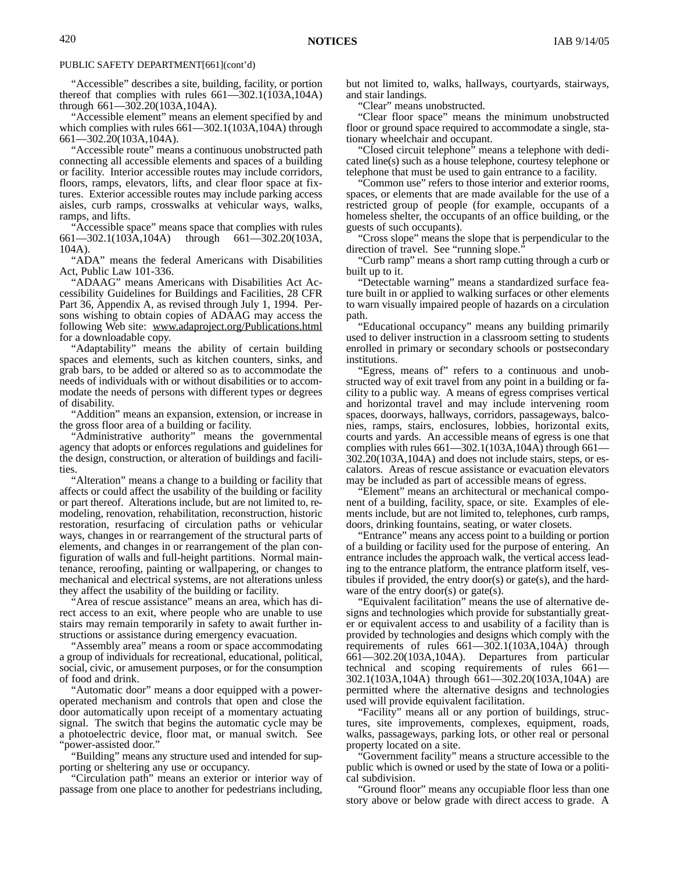"Accessible" describes a site, building, facility, or portion thereof that complies with rules 661—302.1(103A,104A) through 661—302.20(103A,104A).

"Accessible element" means an element specified by and which complies with rules  $661 - 302.1(103A,104A)$  through 661—302.20(103A,104A).

"Accessible route" means a continuous unobstructed path connecting all accessible elements and spaces of a building or facility. Interior accessible routes may include corridors, floors, ramps, elevators, lifts, and clear floor space at fixtures. Exterior accessible routes may include parking access aisles, curb ramps, crosswalks at vehicular ways, walks, ramps, and lifts.

"Accessible space" means space that complies with rules 661—302.1(103A,104A) through 661—302.20(103A, 104A).

"ADA" means the federal Americans with Disabilities Act, Public Law 101-336.

"ADAAG" means Americans with Disabilities Act Accessibility Guidelines for Buildings and Facilities, 28 CFR Part 36, Appendix A, as revised through July 1, 1994. Persons wishing to obtain copies of ADAAG may access the following Web site: www.adaproject.org/Publications.html for a downloadable copy.

"Adaptability" means the ability of certain building spaces and elements, such as kitchen counters, sinks, and grab bars, to be added or altered so as to accommodate the needs of individuals with or without disabilities or to accommodate the needs of persons with different types or degrees of disability.

"Addition" means an expansion, extension, or increase in the gross floor area of a building or facility.

"Administrative authority" means the governmental agency that adopts or enforces regulations and guidelines for the design, construction, or alteration of buildings and facilities.

"Alteration" means a change to a building or facility that affects or could affect the usability of the building or facility or part thereof. Alterations include, but are not limited to, remodeling, renovation, rehabilitation, reconstruction, historic restoration, resurfacing of circulation paths or vehicular ways, changes in or rearrangement of the structural parts of elements, and changes in or rearrangement of the plan configuration of walls and full-height partitions. Normal maintenance, reroofing, painting or wallpapering, or changes to mechanical and electrical systems, are not alterations unless they affect the usability of the building or facility.

"Area of rescue assistance" means an area, which has direct access to an exit, where people who are unable to use stairs may remain temporarily in safety to await further instructions or assistance during emergency evacuation.

"Assembly area" means a room or space accommodating a group of individuals for recreational, educational, political, social, civic, or amusement purposes, or for the consumption of food and drink.

"Automatic door" means a door equipped with a poweroperated mechanism and controls that open and close the door automatically upon receipt of a momentary actuating signal. The switch that begins the automatic cycle may be a photoelectric device, floor mat, or manual switch. See "power-assisted door."

"Building" means any structure used and intended for supporting or sheltering any use or occupancy.

"Circulation path" means an exterior or interior way of passage from one place to another for pedestrians including, but not limited to, walks, hallways, courtyards, stairways, and stair landings.

"Clear" means unobstructed.

"Clear floor space" means the minimum unobstructed floor or ground space required to accommodate a single, stationary wheelchair and occupant.

"Closed circuit telephone" means a telephone with dedicated line(s) such as a house telephone, courtesy telephone or telephone that must be used to gain entrance to a facility.

"Common use" refers to those interior and exterior rooms, spaces, or elements that are made available for the use of a restricted group of people (for example, occupants of a homeless shelter, the occupants of an office building, or the guests of such occupants).

"Cross slope" means the slope that is perpendicular to the direction of travel. See "running slope."

"Curb ramp" means a short ramp cutting through a curb or built up to it.

"Detectable warning" means a standardized surface feature built in or applied to walking surfaces or other elements to warn visually impaired people of hazards on a circulation path.

"Educational occupancy" means any building primarily used to deliver instruction in a classroom setting to students enrolled in primary or secondary schools or postsecondary institutions.

"Egress, means of" refers to a continuous and unobstructed way of exit travel from any point in a building or facility to a public way. A means of egress comprises vertical and horizontal travel and may include intervening room spaces, doorways, hallways, corridors, passageways, balconies, ramps, stairs, enclosures, lobbies, horizontal exits, courts and yards. An accessible means of egress is one that complies with rules 661—302.1(103A,104A) through 661— 302.20(103A,104A) and does not include stairs, steps, or escalators. Areas of rescue assistance or evacuation elevators may be included as part of accessible means of egress.

"Element" means an architectural or mechanical component of a building, facility, space, or site. Examples of elements include, but are not limited to, telephones, curb ramps, doors, drinking fountains, seating, or water closets.

"Entrance" means any access point to a building or portion of a building or facility used for the purpose of entering. An entrance includes the approach walk, the vertical access leading to the entrance platform, the entrance platform itself, vestibules if provided, the entry door(s) or gate(s), and the hardware of the entry door(s) or gate(s).

"Equivalent facilitation" means the use of alternative designs and technologies which provide for substantially greater or equivalent access to and usability of a facility than is provided by technologies and designs which comply with the requirements of rules 661—302.1(103A,104A) through 661—302.20(103A,104A). Departures from particular technical and scoping requirements of rules 661— 302.1(103A,104A) through 661—302.20(103A,104A) are permitted where the alternative designs and technologies used will provide equivalent facilitation.

"Facility" means all or any portion of buildings, structures, site improvements, complexes, equipment, roads, walks, passageways, parking lots, or other real or personal property located on a site.

"Government facility" means a structure accessible to the public which is owned or used by the state of Iowa or a political subdivision.

"Ground floor" means any occupiable floor less than one story above or below grade with direct access to grade. A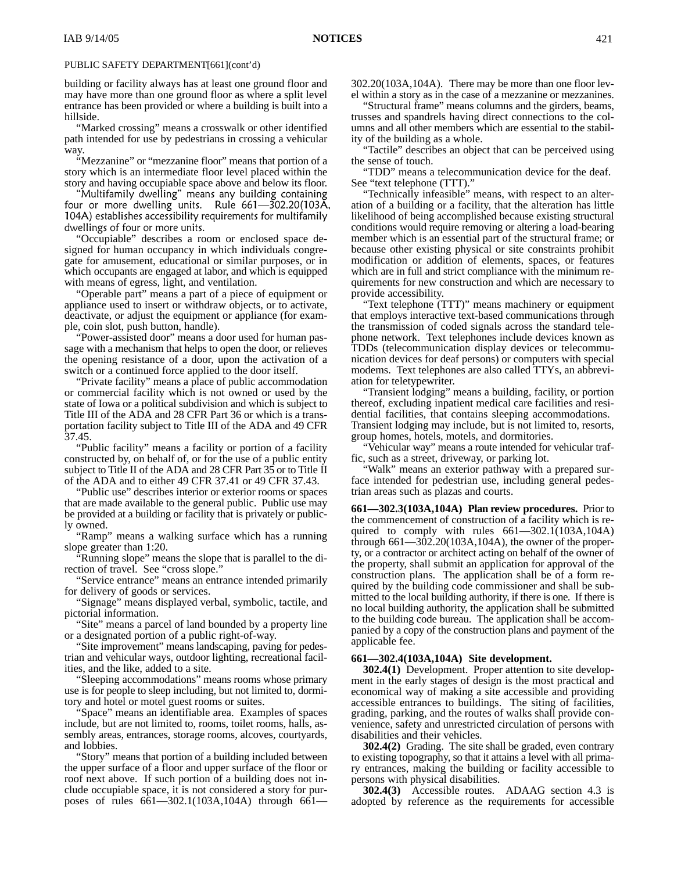building or facility always has at least one ground floor and may have more than one ground floor as where a split level entrance has been provided or where a building is built into a hillside.

"Marked crossing" means a crosswalk or other identified path intended for use by pedestrians in crossing a vehicular way.

"Mezzanine" or "mezzanine floor" means that portion of a story which is an intermediate floor level placed within the story and having occupiable space above and below its floor.

Multifamily dwelling" means any building containing four or more dwelling units. Rule 661-302.20(103A, 104A) establishes accessibility requirements for multifamily dwellings of four or more units.

"Occupiable" describes a room or enclosed space designed for human occupancy in which individuals congregate for amusement, educational or similar purposes, or in which occupants are engaged at labor, and which is equipped with means of egress, light, and ventilation.

"Operable part" means a part of a piece of equipment or appliance used to insert or withdraw objects, or to activate, deactivate, or adjust the equipment or appliance (for example, coin slot, push button, handle).

"Power-assisted door" means a door used for human passage with a mechanism that helps to open the door, or relieves the opening resistance of a door, upon the activation of a switch or a continued force applied to the door itself.

"Private facility" means a place of public accommodation or commercial facility which is not owned or used by the state of Iowa or a political subdivision and which is subject to Title III of the ADA and 28 CFR Part 36 or which is a transportation facility subject to Title III of the ADA and 49 CFR 37.45.

"Public facility" means a facility or portion of a facility constructed by, on behalf of, or for the use of a public entity subject to Title II of the ADA and 28 CFR Part 35 or to Title II of the ADA and to either 49 CFR 37.41 or 49 CFR 37.43.

"Public use" describes interior or exterior rooms or spaces that are made available to the general public. Public use may be provided at a building or facility that is privately or publicly owned.

"Ramp" means a walking surface which has a running slope greater than 1:20.

"Running slope" means the slope that is parallel to the direction of travel. See "cross slope."

"Service entrance" means an entrance intended primarily for delivery of goods or services.

"Signage" means displayed verbal, symbolic, tactile, and pictorial information.

"Site" means a parcel of land bounded by a property line or a designated portion of a public right-of-way.

"Site improvement" means landscaping, paving for pedestrian and vehicular ways, outdoor lighting, recreational facilities, and the like, added to a site.

"Sleeping accommodations" means rooms whose primary use is for people to sleep including, but not limited to, dormitory and hotel or motel guest rooms or suites.

"Space" means an identifiable area. Examples of spaces include, but are not limited to, rooms, toilet rooms, halls, assembly areas, entrances, storage rooms, alcoves, courtyards, and lobbies.

"Story" means that portion of a building included between the upper surface of a floor and upper surface of the floor or roof next above. If such portion of a building does not include occupiable space, it is not considered a story for purposes of rules 661—302.1(103A,104A) through 661302.20(103A,104A). There may be more than one floor level within a story as in the case of a mezzanine or mezzanines.

"Structural frame" means columns and the girders, beams, trusses and spandrels having direct connections to the columns and all other members which are essential to the stability of the building as a whole.

"Tactile" describes an object that can be perceived using the sense of touch.

"TDD" means a telecommunication device for the deaf. See "text telephone (TTT)."

"Technically infeasible" means, with respect to an alteration of a building or a facility, that the alteration has little likelihood of being accomplished because existing structural conditions would require removing or altering a load-bearing member which is an essential part of the structural frame; or because other existing physical or site constraints prohibit modification or addition of elements, spaces, or features which are in full and strict compliance with the minimum requirements for new construction and which are necessary to provide accessibility.

"Text telephone (TTT)" means machinery or equipment that employs interactive text-based communications through the transmission of coded signals across the standard telephone network. Text telephones include devices known as TDDs (telecommunication display devices or telecommunication devices for deaf persons) or computers with special modems. Text telephones are also called TTYs, an abbreviation for teletypewriter.

"Transient lodging" means a building, facility, or portion thereof, excluding inpatient medical care facilities and residential facilities, that contains sleeping accommodations. Transient lodging may include, but is not limited to, resorts, group homes, hotels, motels, and dormitories.

"Vehicular way" means a route intended for vehicular traffic, such as a street, driveway, or parking lot.

"Walk" means an exterior pathway with a prepared surface intended for pedestrian use, including general pedestrian areas such as plazas and courts.

**661—302.3(103A,104A) Plan review procedures.** Prior to the commencement of construction of a facility which is required to comply with rules  $661 - 302.1(103A, 104A)$ through 661—302.20(103A,104A), the owner of the property, or a contractor or architect acting on behalf of the owner of the property, shall submit an application for approval of the construction plans. The application shall be of a form required by the building code commissioner and shall be submitted to the local building authority, if there is one. If there is no local building authority, the application shall be submitted to the building code bureau. The application shall be accompanied by a copy of the construction plans and payment of the applicable fee.

### **661—302.4(103A,104A) Site development.**

**302.4(1)** Development. Proper attention to site development in the early stages of design is the most practical and economical way of making a site accessible and providing accessible entrances to buildings. The siting of facilities, grading, parking, and the routes of walks shall provide convenience, safety and unrestricted circulation of persons with disabilities and their vehicles.

**302.4(2)** Grading. The site shall be graded, even contrary to existing topography, so that it attains a level with all primary entrances, making the building or facility accessible to persons with physical disabilities.

**302.4(3)** Accessible routes. ADAAG section 4.3 is adopted by reference as the requirements for accessible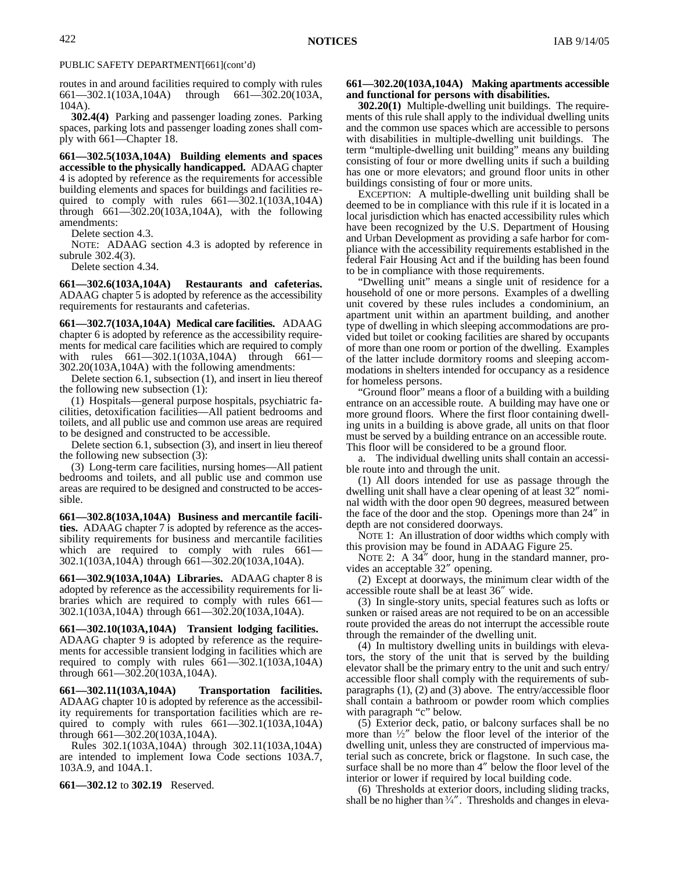routes in and around facilities required to comply with rules  $661 - 302.1(103A, 104A)$  through  $661 - 302.20(103A, 104A)$ through  $661 - 302.20(103)$ 104A).

**302.4(4)** Parking and passenger loading zones. Parking spaces, parking lots and passenger loading zones shall comply with 661—Chapter 18.

**661—302.5(103A,104A) Building elements and spaces accessible to the physically handicapped.** ADAAG chapter 4 is adopted by reference as the requirements for accessible building elements and spaces for buildings and facilities required to comply with rules  $661-\overline{3}02.1(103A,104A)$ through 661—302.20(103A,104A), with the following amendments:

Delete section 4.3.

NOTE: ADAAG section 4.3 is adopted by reference in subrule 302.4(3).

Delete section 4.34.

**661—302.6(103A,104A) Restaurants and cafeterias.** ADAAG chapter 5 is adopted by reference as the accessibility requirements for restaurants and cafeterias.

**661—302.7(103A,104A) Medical care facilities.** ADAAG chapter 6 is adopted by reference as the accessibility requirements for medical care facilities which are required to comply with rules  $661 - 302.1(103A, 104A)$  through  $661$ 302.20(103A,104A) with the following amendments:

Delete section 6.1, subsection (1), and insert in lieu thereof the following new subsection (1):

(1) Hospitals—general purpose hospitals, psychiatric facilities, detoxification facilities—All patient bedrooms and toilets, and all public use and common use areas are required to be designed and constructed to be accessible.

Delete section 6.1, subsection (3), and insert in lieu thereof the following new subsection (3):

(3) Long-term care facilities, nursing homes—All patient bedrooms and toilets, and all public use and common use areas are required to be designed and constructed to be accessible.

**661—302.8(103A,104A) Business and mercantile facilities.** ADAAG chapter 7 is adopted by reference as the accessibility requirements for business and mercantile facilities which are required to comply with rules 661-302.1(103A,104A) through 661—302.20(103A,104A).

**661—302.9(103A,104A) Libraries.** ADAAG chapter 8 is adopted by reference as the accessibility requirements for libraries which are required to comply with rules 661— 302.1(103A,104A) through 661—302.20(103A,104A).

**661—302.10(103A,104A) Transient lodging facilities.**  ADAAG chapter 9 is adopted by reference as the requirements for accessible transient lodging in facilities which are required to comply with rules 661—302.1(103A,104A) through 661—302.20(103A,104A).

**661—302.11(103A,104A) Transportation facilities.** ADAAG chapter 10 is adopted by reference as the accessibility requirements for transportation facilities which are required to comply with rules 661—302.1(103A,104A) through 661—302.20(103A,104A).

Rules 302.1(103A,104A) through 302.11(103A,104A) are intended to implement Iowa Code sections 103A.7, 103A.9, and 104A.1.

**661—302.12** to **302.19** Reserved.

### **661—302.20(103A,104A) Making apartments accessible and functional for persons with disabilities.**

**302.20(1)** Multiple-dwelling unit buildings. The requirements of this rule shall apply to the individual dwelling units and the common use spaces which are accessible to persons with disabilities in multiple-dwelling unit buildings. The term "multiple-dwelling unit building" means any building consisting of four or more dwelling units if such a building has one or more elevators; and ground floor units in other buildings consisting of four or more units.

EXCEPTION: A multiple-dwelling unit building shall be deemed to be in compliance with this rule if it is located in a local jurisdiction which has enacted accessibility rules which have been recognized by the U.S. Department of Housing and Urban Development as providing a safe harbor for compliance with the accessibility requirements established in the federal Fair Housing Act and if the building has been found to be in compliance with those requirements.

"Dwelling unit" means a single unit of residence for a household of one or more persons. Examples of a dwelling unit covered by these rules includes a condominium, an apartment unit within an apartment building, and another type of dwelling in which sleeping accommodations are provided but toilet or cooking facilities are shared by occupants of more than one room or portion of the dwelling. Examples of the latter include dormitory rooms and sleeping accommodations in shelters intended for occupancy as a residence for homeless persons.

"Ground floor" means a floor of a building with a building entrance on an accessible route. A building may have one or more ground floors. Where the first floor containing dwelling units in a building is above grade, all units on that floor must be served by a building entrance on an accessible route. This floor will be considered to be a ground floor.

a. The individual dwelling units shall contain an accessible route into and through the unit.

(1) All doors intended for use as passage through the dwelling unit shall have a clear opening of at least 32" nominal width with the door open 90 degrees, measured between the face of the door and the stop. Openings more than 24" in depth are not considered doorways.

NOTE 1: An illustration of door widths which comply with this provision may be found in ADAAG Figure 25.

NOTE 2: A  $34''$  door, hung in the standard manner, provides an acceptable 32" opening.

(2) Except at doorways, the minimum clear width of the accessible route shall be at least 36" wide.

(3) In single-story units, special features such as lofts or sunken or raised areas are not required to be on an accessible route provided the areas do not interrupt the accessible route through the remainder of the dwelling unit.

(4) In multistory dwelling units in buildings with elevators, the story of the unit that is served by the building elevator shall be the primary entry to the unit and such entry/ accessible floor shall comply with the requirements of subparagraphs (1), (2) and (3) above. The entry/accessible floor shall contain a bathroom or powder room which complies with paragraph "c" below.

(5) Exterior deck, patio, or balcony surfaces shall be no more than  $\frac{1}{2}$  below the floor level of the interior of the dwelling unit, unless they are constructed of impervious material such as concrete, brick or flagstone. In such case, the surface shall be no more than 4" below the floor level of the interior or lower if required by local building code.

(6) Thresholds at exterior doors, including sliding tracks, shall be no higher than  $\frac{3}{4}$ ". Thresholds and changes in eleva-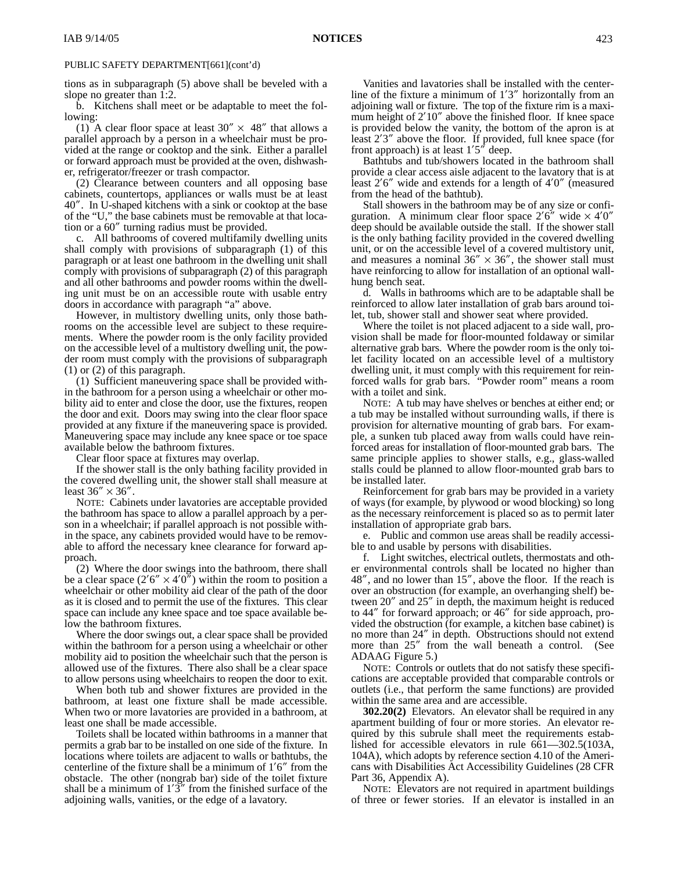tions as in subparagraph (5) above shall be beveled with a slope no greater than 1:2.

b. Kitchens shall meet or be adaptable to meet the following:

(1) A clear floor space at least  $30'' \times 48''$  that allows a parallel approach by a person in a wheelchair must be provided at the range or cooktop and the sink. Either a parallel or forward approach must be provided at the oven, dishwasher, refrigerator/freezer or trash compactor.

(2) Clearance between counters and all opposing base cabinets, countertops, appliances or walls must be at least 40". In U-shaped kitchens with a sink or cooktop at the base of the "U," the base cabinets must be removable at that location or a 60" turning radius must be provided.

c. All bathrooms of covered multifamily dwelling units shall comply with provisions of subparagraph (1) of this paragraph or at least one bathroom in the dwelling unit shall comply with provisions of subparagraph (2) of this paragraph and all other bathrooms and powder rooms within the dwelling unit must be on an accessible route with usable entry doors in accordance with paragraph "a" above.

However, in multistory dwelling units, only those bathrooms on the accessible level are subject to these requirements. Where the powder room is the only facility provided on the accessible level of a multistory dwelling unit, the powder room must comply with the provisions of subparagraph (1) or (2) of this paragraph.

(1) Sufficient maneuvering space shall be provided within the bathroom for a person using a wheelchair or other mobility aid to enter and close the door, use the fixtures, reopen the door and exit. Doors may swing into the clear floor space provided at any fixture if the maneuvering space is provided. Maneuvering space may include any knee space or toe space available below the bathroom fixtures.

Clear floor space at fixtures may overlap.

If the shower stall is the only bathing facility provided in the covered dwelling unit, the shower stall shall measure at least  $36'' \times 36''$ .

NOTE: Cabinets under lavatories are acceptable provided the bathroom has space to allow a parallel approach by a person in a wheelchair; if parallel approach is not possible within the space, any cabinets provided would have to be removable to afford the necessary knee clearance for forward approach.

(2) Where the door swings into the bathroom, there shall be a clear space  $(2'6'' \times 4'0'')$  within the room to position a wheelchair or other mobility aid clear of the path of the door as it is closed and to permit the use of the fixtures. This clear space can include any knee space and toe space available below the bathroom fixtures.

Where the door swings out, a clear space shall be provided within the bathroom for a person using a wheelchair or other mobility aid to position the wheelchair such that the person is allowed use of the fixtures. There also shall be a clear space to allow persons using wheelchairs to reopen the door to exit.

When both tub and shower fixtures are provided in the bathroom, at least one fixture shall be made accessible. When two or more lavatories are provided in a bathroom, at least one shall be made accessible.

Toilets shall be located within bathrooms in a manner that permits a grab bar to be installed on one side of the fixture. In locations where toilets are adjacent to walls or bathtubs, the centerline of the fixture shall be a minimum of 1'6" from the obstacle. The other (nongrab bar) side of the toilet fixture shall be a minimum of  $1'3''$  from the finished surface of the adjoining walls, vanities, or the edge of a lavatory.

Vanities and lavatories shall be installed with the centerline of the fixture a minimum of 1'3" horizontally from an adjoining wall or fixture. The top of the fixture rim is a maximum height of 2'10" above the finished floor. If knee space is provided below the vanity, the bottom of the apron is at least 2'3" above the floor. If provided, full knee space (for front approach) is at least  $1'5''$  deep.

Bathtubs and tub/showers located in the bathroom shall provide a clear access aisle adjacent to the lavatory that is at least 2'6" wide and extends for a length of 4'0" (measured from the head of the bathtub).

Stall showers in the bathroom may be of any size or configuration. A minimum clear floor space  $2'6''$  wide  $\times$  4'0" deep should be available outside the stall. If the shower stall is the only bathing facility provided in the covered dwelling unit, or on the accessible level of a covered multistory unit, and measures a nominal  $36'' \times 36''$ , the shower stall must have reinforcing to allow for installation of an optional wallhung bench seat.

d. Walls in bathrooms which are to be adaptable shall be reinforced to allow later installation of grab bars around toilet, tub, shower stall and shower seat where provided.

Where the toilet is not placed adjacent to a side wall, provision shall be made for floor-mounted foldaway or similar alternative grab bars. Where the powder room is the only toilet facility located on an accessible level of a multistory dwelling unit, it must comply with this requirement for reinforced walls for grab bars. "Powder room" means a room with a toilet and sink.

NOTE: A tub may have shelves or benches at either end; or a tub may be installed without surrounding walls, if there is provision for alternative mounting of grab bars. For example, a sunken tub placed away from walls could have reinforced areas for installation of floor-mounted grab bars. The same principle applies to shower stalls, e.g., glass-walled stalls could be planned to allow floor-mounted grab bars to be installed later.

Reinforcement for grab bars may be provided in a variety of ways (for example, by plywood or wood blocking) so long as the necessary reinforcement is placed so as to permit later installation of appropriate grab bars.

e. Public and common use areas shall be readily accessible to and usable by persons with disabilities.

f. Light switches, electrical outlets, thermostats and other environmental controls shall be located no higher than 48", and no lower than 15", above the floor. If the reach is over an obstruction (for example, an overhanging shelf) between 20" and 25" in depth, the maximum height is reduced to 44" for forward approach; or 46" for side approach, provided the obstruction (for example, a kitchen base cabinet) is no more than 24" in depth. Obstructions should not extend more than 25" from the wall beneath a control. (See ADAAG Figure 5.)

NOTE: Controls or outlets that do not satisfy these specifications are acceptable provided that comparable controls or outlets (i.e., that perform the same functions) are provided within the same area and are accessible.

**302.20(2)** Elevators. An elevator shall be required in any apartment building of four or more stories. An elevator required by this subrule shall meet the requirements established for accessible elevators in rule 661—302.5(103A, 104A), which adopts by reference section 4.10 of the Americans with Disabilities Act Accessibility Guidelines (28 CFR Part 36, Appendix A).

NOTE: Elevators are not required in apartment buildings of three or fewer stories. If an elevator is installed in an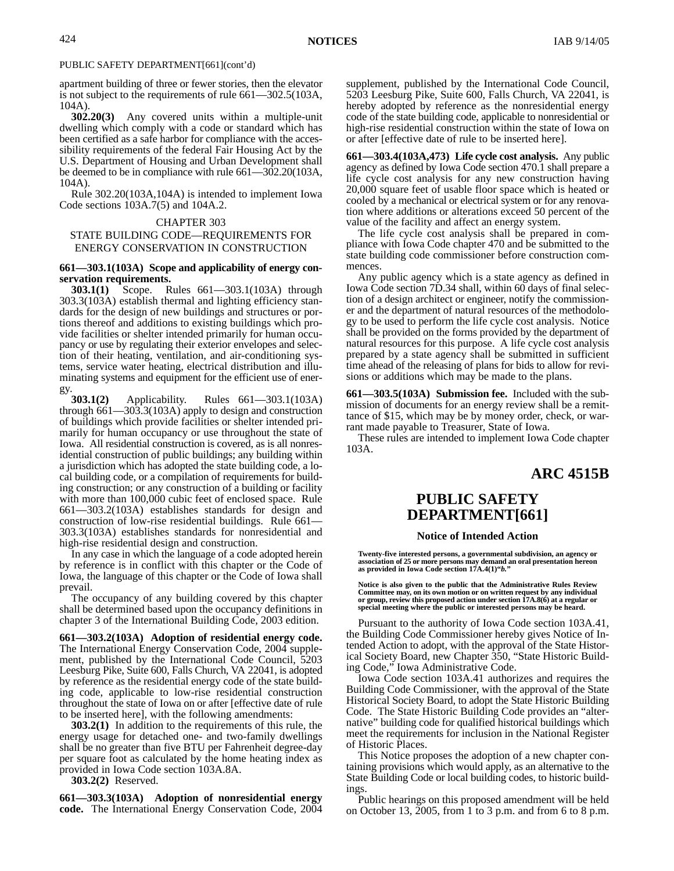apartment building of three or fewer stories, then the elevator is not subject to the requirements of rule 661—302.5(103A, 104A).

**302.20(3)** Any covered units within a multiple-unit dwelling which comply with a code or standard which has been certified as a safe harbor for compliance with the accessibility requirements of the federal Fair Housing Act by the U.S. Department of Housing and Urban Development shall be deemed to be in compliance with rule 661—302.20(103A, 104A).

Rule 302.20(103A,104A) is intended to implement Iowa Code sections 103A.7(5) and 104A.2.

#### CHAPTER 303

### STATE BUILDING CODE—REQUIREMENTS FOR ENERGY CONSERVATION IN CONSTRUCTION

### **661—303.1(103A) Scope and applicability of energy conservation requirements.**

**303.1(1)** Scope. Rules 661—303.1(103A) through 303.3(103A) establish thermal and lighting efficiency standards for the design of new buildings and structures or portions thereof and additions to existing buildings which provide facilities or shelter intended primarily for human occupancy or use by regulating their exterior envelopes and selection of their heating, ventilation, and air-conditioning systems, service water heating, electrical distribution and illuminating systems and equipment for the efficient use of ener-

gy.  $303.1(2)$ **303.1(2)** Applicability. Rules 661—303.1(103A) through 661—303.3(103A) apply to design and construction of buildings which provide facilities or shelter intended primarily for human occupancy or use throughout the state of Iowa. All residential construction is covered, as is all nonresidential construction of public buildings; any building within a jurisdiction which has adopted the state building code, a local building code, or a compilation of requirements for building construction; or any construction of a building or facility with more than 100,000 cubic feet of enclosed space. Rule 661—303.2(103A) establishes standards for design and construction of low-rise residential buildings. Rule 661— 303.3(103A) establishes standards for nonresidential and high-rise residential design and construction.

In any case in which the language of a code adopted herein by reference is in conflict with this chapter or the Code of Iowa, the language of this chapter or the Code of Iowa shall prevail.

The occupancy of any building covered by this chapter shall be determined based upon the occupancy definitions in chapter 3 of the International Building Code, 2003 edition.

**661—303.2(103A) Adoption of residential energy code.** The International Energy Conservation Code, 2004 supplement, published by the International Code Council, 5203 Leesburg Pike, Suite 600, Falls Church, VA 22041, is adopted by reference as the residential energy code of the state building code, applicable to low-rise residential construction throughout the state of Iowa on or after [effective date of rule to be inserted here], with the following amendments:

**303.2(1)** In addition to the requirements of this rule, the energy usage for detached one- and two-family dwellings shall be no greater than five BTU per Fahrenheit degree-day per square foot as calculated by the home heating index as provided in Iowa Code section 103A.8A.

**303.2(2)** Reserved.

**661—303.3(103A) Adoption of nonresidential energy code.** The International Energy Conservation Code, 2004 supplement, published by the International Code Council, 5203 Leesburg Pike, Suite 600, Falls Church, VA 22041, is hereby adopted by reference as the nonresidential energy code of the state building code, applicable to nonresidential or high-rise residential construction within the state of Iowa on or after [effective date of rule to be inserted here].

**661—303.4(103A,473) Life cycle cost analysis.** Any public agency as defined by Iowa Code section 470.1 shall prepare a life cycle cost analysis for any new construction having 20,000 square feet of usable floor space which is heated or cooled by a mechanical or electrical system or for any renovation where additions or alterations exceed 50 percent of the value of the facility and affect an energy system.

The life cycle cost analysis shall be prepared in compliance with Iowa Code chapter 470 and be submitted to the state building code commissioner before construction commences.

Any public agency which is a state agency as defined in Iowa Code section 7D.34 shall, within 60 days of final selection of a design architect or engineer, notify the commissioner and the department of natural resources of the methodology to be used to perform the life cycle cost analysis. Notice shall be provided on the forms provided by the department of natural resources for this purpose. A life cycle cost analysis prepared by a state agency shall be submitted in sufficient time ahead of the releasing of plans for bids to allow for revisions or additions which may be made to the plans.

**661—303.5(103A) Submission fee.** Included with the submission of documents for an energy review shall be a remittance of \$15, which may be by money order, check, or warrant made payable to Treasurer, State of Iowa.

These rules are intended to implement Iowa Code chapter 103A.

# **ARC 4515B**

# **PUBLIC SAFETY DEPARTMENT[661]**

#### **Notice of Intended Action**

**Twenty-five interested persons, a governmental subdivision, an agency or association of 25 or more persons may demand an oral presentation hereon as provided in Iowa Code section 17A.4(1)"***b.***"**

**Notice is also given to the public that the Administrative Rules Review Committee may, on its own motion or on written request by any individual or group, review this proposed action under section 17A.8(6) at a regular or special meeting where the public or interested persons may be heard.**

Pursuant to the authority of Iowa Code section 103A.41, the Building Code Commissioner hereby gives Notice of Intended Action to adopt, with the approval of the State Historical Society Board, new Chapter 350, "State Historic Building Code," Iowa Administrative Code.

Iowa Code section 103A.41 authorizes and requires the Building Code Commissioner, with the approval of the State Historical Society Board, to adopt the State Historic Building Code. The State Historic Building Code provides an "alternative" building code for qualified historical buildings which meet the requirements for inclusion in the National Register of Historic Places.

This Notice proposes the adoption of a new chapter containing provisions which would apply, as an alternative to the State Building Code or local building codes, to historic buildings.

Public hearings on this proposed amendment will be held on October 13, 2005, from 1 to 3 p.m. and from 6 to 8 p.m.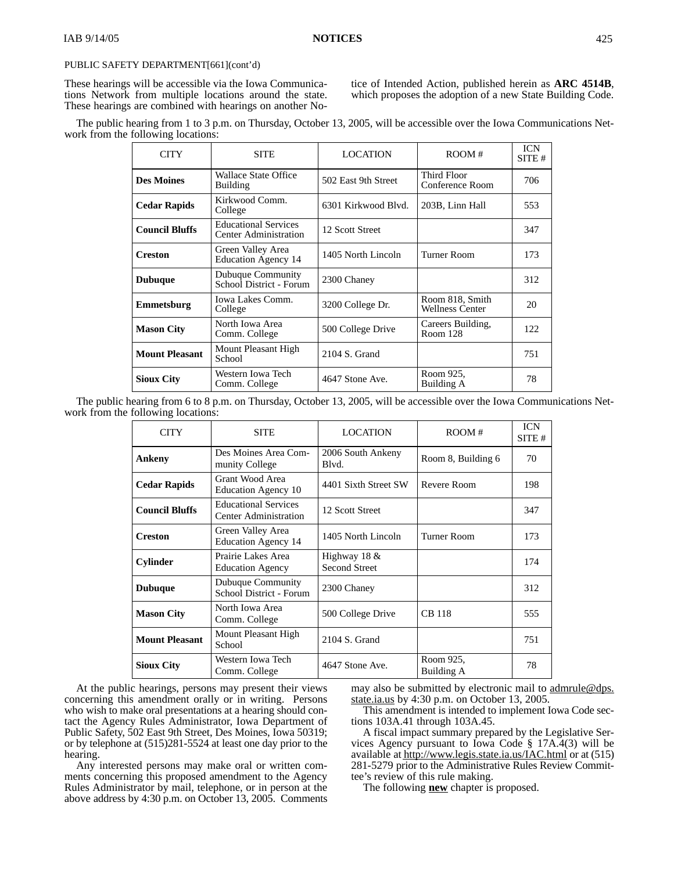These hearings will be accessible via the Iowa Communications Network from multiple locations around the state. These hearings are combined with hearings on another Notice of Intended Action, published herein as **ARC 4514B**, which proposes the adoption of a new State Building Code.

| The public hearing from 1 to 3 p.m. on Thursday, October 13, 2005, will be accessible over the Iowa Communications Net- |  |  |  |
|-------------------------------------------------------------------------------------------------------------------------|--|--|--|
| work from the following locations:                                                                                      |  |  |  |

| <b>CITY</b>           | <b>SITE</b>                                                 | <b>LOCATION</b>     | ROOM#                                     | <b>ICN</b><br>SITE# |
|-----------------------|-------------------------------------------------------------|---------------------|-------------------------------------------|---------------------|
| <b>Des Moines</b>     | <b>Wallace State Office</b><br><b>Building</b>              | 502 East 9th Street | Third Floor<br>Conference Room            | 706                 |
| <b>Cedar Rapids</b>   | Kirkwood Comm.<br>College                                   | 6301 Kirkwood Blyd. | 203B, Linn Hall                           | 553                 |
| <b>Council Bluffs</b> | <b>Educational Services</b><br><b>Center Administration</b> | 12 Scott Street     |                                           | 347                 |
| <b>Creston</b>        | Green Valley Area<br><b>Education Agency 14</b>             | 1405 North Lincoln  | Turner Room                               | 173                 |
| <b>Dubuque</b>        | Dubuque Community<br>School District - Forum                | 2300 Chaney         |                                           | 312                 |
| Emmetsburg            | Iowa Lakes Comm.<br>College                                 | 3200 College Dr.    | Room 818, Smith<br><b>Wellness Center</b> | 20                  |
| <b>Mason City</b>     | North Iowa Area<br>Comm. College                            | 500 College Drive   | Careers Building,<br>Room 128             | 122                 |
| <b>Mount Pleasant</b> | Mount Pleasant High<br>School                               | 2104 S. Grand       |                                           | 751                 |
| <b>Sioux City</b>     | Western Iowa Tech<br>Comm. College                          | 4647 Stone Ave.     | Room 925,<br>Building A                   | 78                  |

The public hearing from 6 to 8 p.m. on Thursday, October 13, 2005, will be accessible over the Iowa Communications Network from the following locations:

| <b>CITY</b>           | <b>SITE</b>                                                 | <b>LOCATION</b>                        | ROOM#                   | <b>ICN</b><br>SITE# |
|-----------------------|-------------------------------------------------------------|----------------------------------------|-------------------------|---------------------|
| Ankeny                | Des Moines Area Com-<br>munity College                      | 2006 South Ankeny<br>Blvd.             | Room 8, Building 6      | 70                  |
| <b>Cedar Rapids</b>   | Grant Wood Area<br><b>Education Agency 10</b>               | 4401 Sixth Street SW                   | Revere Room             | 198                 |
| <b>Council Bluffs</b> | <b>Educational Services</b><br><b>Center Administration</b> | 12 Scott Street                        |                         | 347                 |
| <b>Creston</b>        | Green Valley Area<br><b>Education Agency 14</b>             | 1405 North Lincoln                     | Turner Room             | 173                 |
| <b>Cylinder</b>       | Prairie Lakes Area<br><b>Education Agency</b>               | Highway 18 $&$<br><b>Second Street</b> |                         | 174                 |
| <b>Dubuque</b>        | Dubuque Community<br>School District - Forum                | 2300 Chaney                            |                         | 312                 |
| <b>Mason City</b>     | North Iowa Area<br>Comm. College                            | 500 College Drive                      | <b>CB</b> 118           | 555                 |
| <b>Mount Pleasant</b> | Mount Pleasant High<br>School                               | 2104 S. Grand                          |                         | 751                 |
| <b>Sioux City</b>     | Western Iowa Tech<br>Comm. College                          | 4647 Stone Ave.                        | Room 925,<br>Building A | 78                  |

At the public hearings, persons may present their views concerning this amendment orally or in writing. Persons who wish to make oral presentations at a hearing should contact the Agency Rules Administrator, Iowa Department of Public Safety, 502 East 9th Street, Des Moines, Iowa 50319; or by telephone at (515)281-5524 at least one day prior to the hearing.

Any interested persons may make oral or written comments concerning this proposed amendment to the Agency Rules Administrator by mail, telephone, or in person at the above address by 4:30 p.m. on October 13, 2005. Comments

may also be submitted by electronic mail to admrule@dps. state.ia.us by 4:30 p.m. on October 13, 2005.

This amendment is intended to implement Iowa Code sections 103A.41 through 103A.45.

A fiscal impact summary prepared by the Legislative Services Agency pursuant to Iowa Code § 17A.4(3) will be available at http://www.legis.state.ia.us/IAC.html or at (515) 281-5279 prior to the Administrative Rules Review Committee's review of this rule making.

The following **new** chapter is proposed.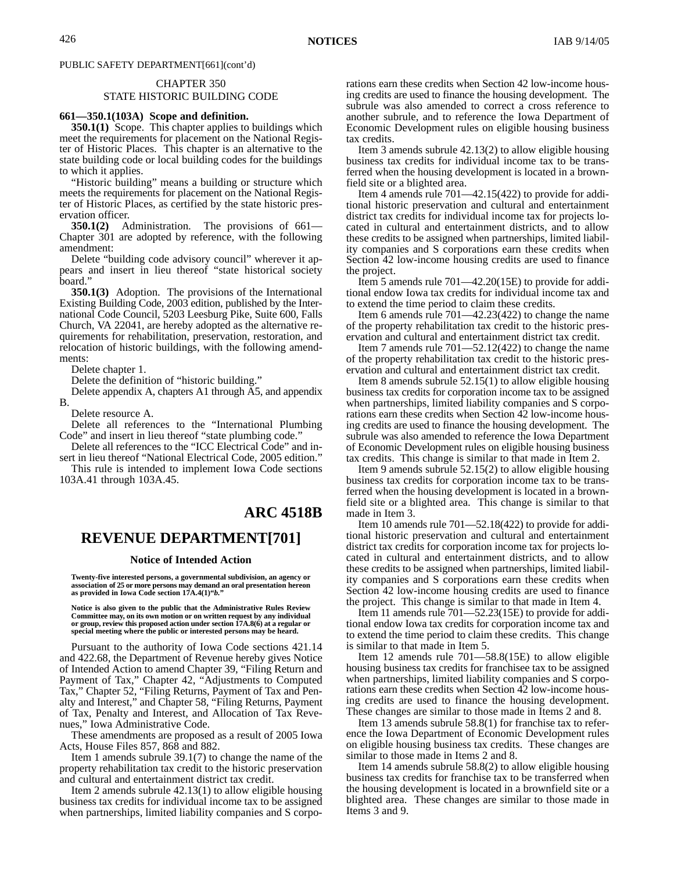# CHAPTER 350

### STATE HISTORIC BUILDING CODE

### **661—350.1(103A) Scope and definition.**

**350.1(1)** Scope. This chapter applies to buildings which meet the requirements for placement on the National Register of Historic Places. This chapter is an alternative to the state building code or local building codes for the buildings to which it applies.

"Historic building" means a building or structure which meets the requirements for placement on the National Register of Historic Places, as certified by the state historic preservation officer.

**350.1(2)** Administration. The provisions of 661— Chapter 301 are adopted by reference, with the following amendment:

Delete "building code advisory council" wherever it appears and insert in lieu thereof "state historical society board."

**350.1(3)** Adoption. The provisions of the International Existing Building Code, 2003 edition, published by the International Code Council, 5203 Leesburg Pike, Suite 600, Falls Church, VA 22041, are hereby adopted as the alternative requirements for rehabilitation, preservation, restoration, and relocation of historic buildings, with the following amendments:

Delete chapter 1.

Delete the definition of "historic building."

Delete appendix A, chapters A1 through A5, and appendix B.

Delete resource A.

Delete all references to the "International Plumbing Code" and insert in lieu thereof "state plumbing code."

Delete all references to the "ICC Electrical Code" and insert in lieu thereof "National Electrical Code, 2005 edition."

This rule is intended to implement Iowa Code sections 103A.41 through 103A.45.

# **ARC 4518B**

# **REVENUE DEPARTMENT[701]**

#### **Notice of Intended Action**

**Twenty-five interested persons, a governmental subdivision, an agency or association of 25 or more persons may demand an oral presentation hereon as provided in Iowa Code section 17A.4(1)"***b.***"**

**Notice is also given to the public that the Administrative Rules Review Committee may, on its own motion or on written request by any individual or group, review this proposed action under section 17A.8(6) at a regular or special meeting where the public or interested persons may be heard.**

Pursuant to the authority of Iowa Code sections 421.14 and 422.68, the Department of Revenue hereby gives Notice of Intended Action to amend Chapter 39, "Filing Return and Payment of Tax," Chapter 42, "Adjustments to Computed Tax," Chapter 52, "Filing Returns, Payment of Tax and Penalty and Interest," and Chapter 58, "Filing Returns, Payment of Tax, Penalty and Interest, and Allocation of Tax Revenues," Iowa Administrative Code.

These amendments are proposed as a result of 2005 Iowa Acts, House Files 857, 868 and 882.

Item 1 amends subrule 39.1(7) to change the name of the property rehabilitation tax credit to the historic preservation and cultural and entertainment district tax credit.

Item 2 amends subrule 42.13(1) to allow eligible housing business tax credits for individual income tax to be assigned when partnerships, limited liability companies and S corporations earn these credits when Section 42 low-income housing credits are used to finance the housing development. The subrule was also amended to correct a cross reference to another subrule, and to reference the Iowa Department of Economic Development rules on eligible housing business tax credits.

Item 3 amends subrule 42.13(2) to allow eligible housing business tax credits for individual income tax to be transferred when the housing development is located in a brownfield site or a blighted area.

Item 4 amends rule 701—42.15(422) to provide for additional historic preservation and cultural and entertainment district tax credits for individual income tax for projects located in cultural and entertainment districts, and to allow these credits to be assigned when partnerships, limited liability companies and S corporations earn these credits when Section 42 low-income housing credits are used to finance the project.

Item 5 amends rule 701—42.20(15E) to provide for additional endow Iowa tax credits for individual income tax and to extend the time period to claim these credits.

Item 6 amends rule 701—42.23(422) to change the name of the property rehabilitation tax credit to the historic preservation and cultural and entertainment district tax credit.

Item 7 amends rule 701—52.12(422) to change the name of the property rehabilitation tax credit to the historic preservation and cultural and entertainment district tax credit.

Item 8 amends subrule 52.15(1) to allow eligible housing business tax credits for corporation income tax to be assigned when partnerships, limited liability companies and S corporations earn these credits when Section 42 low-income housing credits are used to finance the housing development. The subrule was also amended to reference the Iowa Department of Economic Development rules on eligible housing business tax credits. This change is similar to that made in Item 2.

Item 9 amends subrule 52.15(2) to allow eligible housing business tax credits for corporation income tax to be transferred when the housing development is located in a brownfield site or a blighted area. This change is similar to that made in Item 3.

Item 10 amends rule 701—52.18(422) to provide for additional historic preservation and cultural and entertainment district tax credits for corporation income tax for projects located in cultural and entertainment districts, and to allow these credits to be assigned when partnerships, limited liability companies and S corporations earn these credits when Section 42 low-income housing credits are used to finance the project. This change is similar to that made in Item 4.

Item 11 amends rule 701—52.23(15E) to provide for additional endow Iowa tax credits for corporation income tax and to extend the time period to claim these credits. This change is similar to that made in Item 5.

Item 12 amends rule 701—58.8(15E) to allow eligible housing business tax credits for franchisee tax to be assigned when partnerships, limited liability companies and S corporations earn these credits when Section 42 low-income housing credits are used to finance the housing development. These changes are similar to those made in Items 2 and 8.

Item 13 amends subrule 58.8(1) for franchise tax to reference the Iowa Department of Economic Development rules on eligible housing business tax credits. These changes are similar to those made in Items 2 and 8.

Item 14 amends subrule 58.8(2) to allow eligible housing business tax credits for franchise tax to be transferred when the housing development is located in a brownfield site or a blighted area. These changes are similar to those made in Items 3 and 9.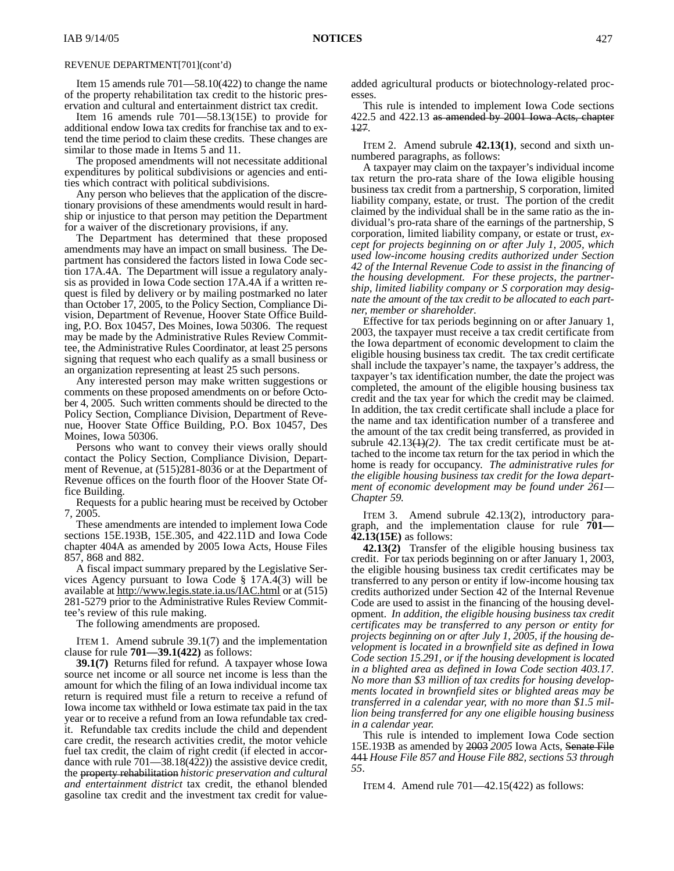Item 15 amends rule 701—58.10(422) to change the name of the property rehabilitation tax credit to the historic preservation and cultural and entertainment district tax credit.

Item 16 amends rule 701—58.13(15E) to provide for additional endow Iowa tax credits for franchise tax and to extend the time period to claim these credits. These changes are similar to those made in Items 5 and 11.

The proposed amendments will not necessitate additional expenditures by political subdivisions or agencies and entities which contract with political subdivisions.

Any person who believes that the application of the discretionary provisions of these amendments would result in hardship or injustice to that person may petition the Department for a waiver of the discretionary provisions, if any.

The Department has determined that these proposed amendments may have an impact on small business. The Department has considered the factors listed in Iowa Code section 17A.4A. The Department will issue a regulatory analysis as provided in Iowa Code section 17A.4A if a written request is filed by delivery or by mailing postmarked no later than October 17, 2005, to the Policy Section, Compliance Division, Department of Revenue, Hoover State Office Building, P.O. Box 10457, Des Moines, Iowa 50306. The request may be made by the Administrative Rules Review Committee, the Administrative Rules Coordinator, at least 25 persons signing that request who each qualify as a small business or an organization representing at least 25 such persons.

Any interested person may make written suggestions or comments on these proposed amendments on or before October 4, 2005. Such written comments should be directed to the Policy Section, Compliance Division, Department of Revenue, Hoover State Office Building, P.O. Box 10457, Des Moines, Iowa 50306.

Persons who want to convey their views orally should contact the Policy Section, Compliance Division, Department of Revenue, at (515)281-8036 or at the Department of Revenue offices on the fourth floor of the Hoover State Office Building.

Requests for a public hearing must be received by October 7, 2005.

These amendments are intended to implement Iowa Code sections 15E.193B, 15E.305, and 422.11D and Iowa Code chapter 404A as amended by 2005 Iowa Acts, House Files 857, 868 and 882.

A fiscal impact summary prepared by the Legislative Services Agency pursuant to Iowa Code § 17A.4(3) will be available at http://www.legis.state.ia.us/IAC.html or at (515) 281-5279 prior to the Administrative Rules Review Committee's review of this rule making.

The following amendments are proposed.

ITEM 1. Amend subrule 39.1(7) and the implementation clause for rule **701—39.1(422)** as follows:

**39.1(7)** Returns filed for refund. A taxpayer whose Iowa source net income or all source net income is less than the amount for which the filing of an Iowa individual income tax return is required must file a return to receive a refund of Iowa income tax withheld or Iowa estimate tax paid in the tax year or to receive a refund from an Iowa refundable tax credit. Refundable tax credits include the child and dependent care credit, the research activities credit, the motor vehicle fuel tax credit, the claim of right credit (if elected in accordance with rule 701—38.18(422)) the assistive device credit, the property rehabilitation *historic preservation and cultural and entertainment district* tax credit, the ethanol blended gasoline tax credit and the investment tax credit for valueadded agricultural products or biotechnology-related processes.

This rule is intended to implement Iowa Code sections 422.5 and 422.13 as amended by 2001 Iowa Acts, chapter 127.

ITEM 2. Amend subrule **42.13(1)**, second and sixth unnumbered paragraphs, as follows:

A taxpayer may claim on the taxpayer's individual income tax return the pro-rata share of the Iowa eligible housing business tax credit from a partnership, S corporation, limited liability company, estate, or trust. The portion of the credit claimed by the individual shall be in the same ratio as the individual's pro-rata share of the earnings of the partnership, S corporation, limited liability company, or estate or trust*, except for projects beginning on or after July 1, 2005, which used low-income housing credits authorized under Section 42 of the Internal Revenue Code to assist in the financing of the housing development. For these projects, the partnership, limited liability company or S corporation may designate the amount of the tax credit to be allocated to each partner, member or shareholder*.

Effective for tax periods beginning on or after January 1, 2003, the taxpayer must receive a tax credit certificate from the Iowa department of economic development to claim the eligible housing business tax credit. The tax credit certificate shall include the taxpayer's name, the taxpayer's address, the taxpayer's tax identification number, the date the project was completed, the amount of the eligible housing business tax credit and the tax year for which the credit may be claimed. In addition, the tax credit certificate shall include a place for the name and tax identification number of a transferee and the amount of the tax credit being transferred, as provided in subrule  $42.13(1)(2)$ . The tax credit certificate must be attached to the income tax return for the tax period in which the home is ready for occupancy. *The administrative rules for the eligible housing business tax credit for the Iowa department of economic development may be found under 261— Chapter 59.*

ITEM 3. Amend subrule 42.13(2), introductory paragraph, and the implementation clause for rule **701— 42.13(15E)** as follows:

**42.13(2)** Transfer of the eligible housing business tax credit. For tax periods beginning on or after January 1, 2003, the eligible housing business tax credit certificates may be transferred to any person or entity if low-income housing tax credits authorized under Section 42 of the Internal Revenue Code are used to assist in the financing of the housing development. *In addition, the eligible housing business tax credit certificates may be transferred to any person or entity for projects beginning on or after July 1, 2005, if the housing development is located in a brownfield site as defined in Iowa Code section 15.291, or if the housing development is located in a blighted area as defined in Iowa Code section 403.17. No more than \$3 million of tax credits for housing developments located in brownfield sites or blighted areas may be transferred in a calendar year, with no more than \$1.5 million being transferred for any one eligible housing business in a calendar year.*

This rule is intended to implement Iowa Code section 15E.193B as amended by 2003 *2005* Iowa Acts, Senate File 441 *House File 857 and House File 882, sections 53 through 55*.

ITEM 4. Amend rule 701—42.15(422) as follows: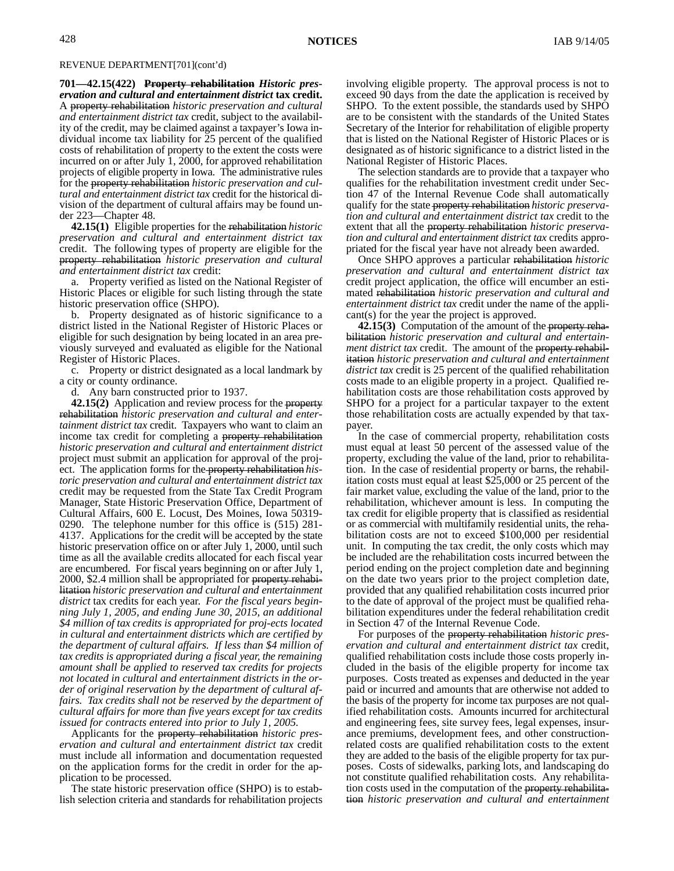**701—42.15(422) Property rehabilitation** *Historic preservation and cultural and entertainment district* **tax credit.** A property rehabilitation *historic preservation and cultural and entertainment district tax* credit, subject to the availability of the credit, may be claimed against a taxpayer's Iowa individual income tax liability for 25 percent of the qualified costs of rehabilitation of property to the extent the costs were incurred on or after July  $\hat{1}$ ,  $\hat{2000}$ , for approved rehabilitation projects of eligible property in Iowa. The administrative rules for the property rehabilitation *historic preservation and cultural and entertainment district tax* credit for the historical division of the department of cultural affairs may be found under 223—Chapter 48.

**42.15(1)** Eligible properties for the rehabilitation *historic preservation and cultural and entertainment district tax* credit. The following types of property are eligible for the property rehabilitation *historic preservation and cultural and entertainment district tax* credit:

a. Property verified as listed on the National Register of Historic Places or eligible for such listing through the state historic preservation office (SHPO).

b. Property designated as of historic significance to a district listed in the National Register of Historic Places or eligible for such designation by being located in an area previously surveyed and evaluated as eligible for the National Register of Historic Places.

c. Property or district designated as a local landmark by a city or county ordinance.

d. Any barn constructed prior to 1937.

**42.15(2)** Application and review process for the property rehabilitation *historic preservation and cultural and entertainment district tax* credit. Taxpayers who want to claim an income tax credit for completing a property rehabilitation *historic preservation and cultural and entertainment district* project must submit an application for approval of the project. The application forms for the property rehabilitation *historic preservation and cultural and entertainment district tax* credit may be requested from the State Tax Credit Program Manager, State Historic Preservation Office, Department of Cultural Affairs, 600 E. Locust, Des Moines, Iowa 50319- 0290. The telephone number for this office is (515) 281- 4137. Applications for the credit will be accepted by the state historic preservation office on or after July 1, 2000, until such time as all the available credits allocated for each fiscal year are encumbered. For fiscal years beginning on or after July 1, 2000, \$2.4 million shall be appropriated for property rehabilitation *historic preservation and cultural and entertainment district* tax credits for each year. *For the fiscal years beginning July 1, 2005, and ending June 30, 2015, an additional \$4 million of tax credits is appropriated for proj-ects located in cultural and entertainment districts which are certified by the department of cultural affairs. If less than \$4 million of tax credits is appropriated during a fiscal year, the remaining amount shall be applied to reserved tax credits for projects not located in cultural and entertainment districts in the order of original reservation by the department of cultural affairs. Tax credits shall not be reserved by the department of cultural affairs for more than five years except for tax credits issued for contracts entered into prior to July 1, 2005.*

Applicants for the property rehabilitation *historic preservation and cultural and entertainment district tax* credit must include all information and documentation requested on the application forms for the credit in order for the application to be processed.

The state historic preservation office (SHPO) is to establish selection criteria and standards for rehabilitation projects involving eligible property. The approval process is not to exceed 90 days from the date the application is received by SHPO. To the extent possible, the standards used by SHPO are to be consistent with the standards of the United States Secretary of the Interior for rehabilitation of eligible property that is listed on the National Register of Historic Places or is designated as of historic significance to a district listed in the National Register of Historic Places.

The selection standards are to provide that a taxpayer who qualifies for the rehabilitation investment credit under Section 47 of the Internal Revenue Code shall automatically qualify for the state property rehabilitation *historic preservation and cultural and entertainment district tax* credit to the extent that all the property rehabilitation *historic preservation and cultural and entertainment district tax* credits appropriated for the fiscal year have not already been awarded.

Once SHPO approves a particular rehabilitation *historic preservation and cultural and entertainment district tax* credit project application, the office will encumber an estimated rehabilitation *historic preservation and cultural and entertainment district tax* credit under the name of the applicant(s) for the year the project is approved.

**42.15(3)** Computation of the amount of the property rehabilitation *historic preservation and cultural and entertainment district tax* credit. The amount of the property rehabilitation *historic preservation and cultural and entertainment district tax* credit is 25 percent of the qualified rehabilitation costs made to an eligible property in a project. Qualified rehabilitation costs are those rehabilitation costs approved by SHPO for a project for a particular taxpayer to the extent those rehabilitation costs are actually expended by that taxpayer.

In the case of commercial property, rehabilitation costs must equal at least 50 percent of the assessed value of the property, excluding the value of the land, prior to rehabilitation. In the case of residential property or barns, the rehabilitation costs must equal at least \$25,000 or 25 percent of the fair market value, excluding the value of the land, prior to the rehabilitation, whichever amount is less. In computing the tax credit for eligible property that is classified as residential or as commercial with multifamily residential units, the rehabilitation costs are not to exceed \$100,000 per residential unit. In computing the tax credit, the only costs which may be included are the rehabilitation costs incurred between the period ending on the project completion date and beginning on the date two years prior to the project completion date, provided that any qualified rehabilitation costs incurred prior to the date of approval of the project must be qualified rehabilitation expenditures under the federal rehabilitation credit in Section 47 of the Internal Revenue Code.

For purposes of the property rehabilitation *historic preservation and cultural and entertainment district tax* credit, qualified rehabilitation costs include those costs properly included in the basis of the eligible property for income tax purposes. Costs treated as expenses and deducted in the year paid or incurred and amounts that are otherwise not added to the basis of the property for income tax purposes are not qualified rehabilitation costs. Amounts incurred for architectural and engineering fees, site survey fees, legal expenses, insurance premiums, development fees, and other constructionrelated costs are qualified rehabilitation costs to the extent they are added to the basis of the eligible property for tax purposes. Costs of sidewalks, parking lots, and landscaping do not constitute qualified rehabilitation costs. Any rehabilitation costs used in the computation of the property rehabilitation *historic preservation and cultural and entertainment*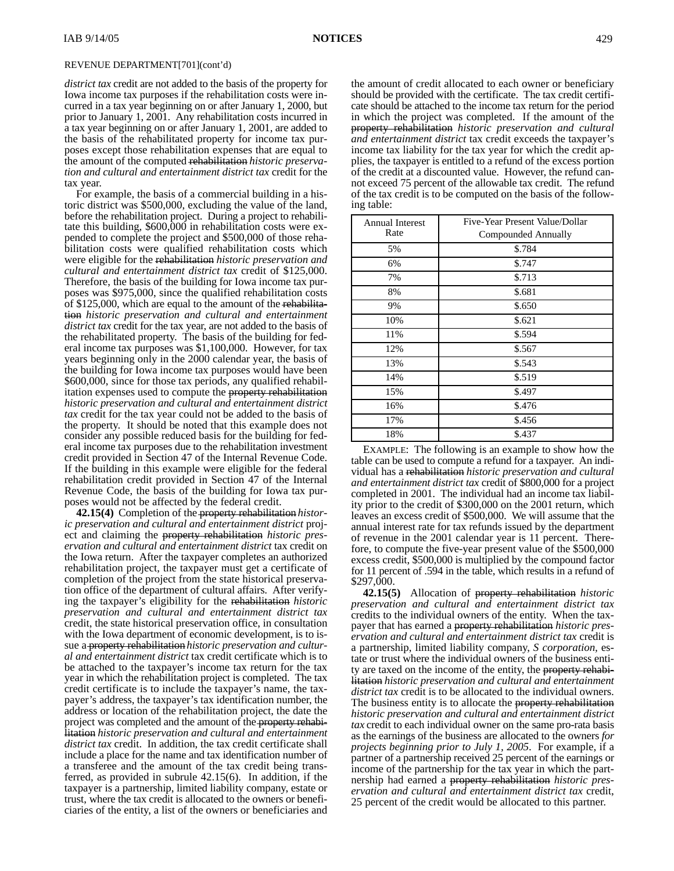*district tax* credit are not added to the basis of the property for Iowa income tax purposes if the rehabilitation costs were incurred in a tax year beginning on or after January 1, 2000, but prior to January 1, 2001. Any rehabilitation costs incurred in a tax year beginning on or after January 1, 2001, are added to the basis of the rehabilitated property for income tax purposes except those rehabilitation expenses that are equal to the amount of the computed rehabilitation *historic preservation and cultural and entertainment district tax* credit for the tax year.

For example, the basis of a commercial building in a historic district was \$500,000, excluding the value of the land, before the rehabilitation project. During a project to rehabilitate this building, \$600,000 in rehabilitation costs were expended to complete the project and \$500,000 of those rehabilitation costs were qualified rehabilitation costs which were eligible for the rehabilitation *historic preservation and cultural and entertainment district tax* credit of \$125,000. Therefore, the basis of the building for Iowa income tax purposes was \$975,000, since the qualified rehabilitation costs of \$125,000, which are equal to the amount of the rehabilitation *historic preservation and cultural and entertainment district tax* credit for the tax year, are not added to the basis of the rehabilitated property. The basis of the building for federal income tax purposes was \$1,100,000. However, for tax years beginning only in the 2000 calendar year, the basis of the building for Iowa income tax purposes would have been \$600,000, since for those tax periods, any qualified rehabilitation expenses used to compute the property rehabilitation *historic preservation and cultural and entertainment district tax* credit for the tax year could not be added to the basis of the property. It should be noted that this example does not consider any possible reduced basis for the building for federal income tax purposes due to the rehabilitation investment credit provided in Section 47 of the Internal Revenue Code. If the building in this example were eligible for the federal rehabilitation credit provided in Section 47 of the Internal Revenue Code, the basis of the building for Iowa tax purposes would not be affected by the federal credit.

**42.15(4)** Completion of the property rehabilitation *historic preservation and cultural and entertainment district* project and claiming the property rehabilitation *historic preservation and cultural and entertainment district* tax credit on the Iowa return. After the taxpayer completes an authorized rehabilitation project, the taxpayer must get a certificate of completion of the project from the state historical preservation office of the department of cultural affairs. After verifying the taxpayer's eligibility for the rehabilitation *historic preservation and cultural and entertainment district tax* credit, the state historical preservation office, in consultation with the Iowa department of economic development, is to issue a property rehabilitation *historic preservation and cultural and entertainment district* tax credit certificate which is to be attached to the taxpayer's income tax return for the tax year in which the rehabilitation project is completed. The tax credit certificate is to include the taxpayer's name, the taxpayer's address, the taxpayer's tax identification number, the address or location of the rehabilitation project, the date the project was completed and the amount of the property rehabilitation *historic preservation and cultural and entertainment district tax* credit. In addition, the tax credit certificate shall include a place for the name and tax identification number of a transferee and the amount of the tax credit being transferred, as provided in subrule 42.15(6). In addition, if the taxpayer is a partnership, limited liability company, estate or trust, where the tax credit is allocated to the owners or beneficiaries of the entity, a list of the owners or beneficiaries and

the amount of credit allocated to each owner or beneficiary should be provided with the certificate. The tax credit certificate should be attached to the income tax return for the period in which the project was completed. If the amount of the property rehabilitation *historic preservation and cultural and entertainment district* tax credit exceeds the taxpayer's income tax liability for the tax year for which the credit applies, the taxpayer is entitled to a refund of the excess portion of the credit at a discounted value. However, the refund cannot exceed 75 percent of the allowable tax credit. The refund of the tax credit is to be computed on the basis of the following table:

| <b>Annual Interest</b> | Five-Year Present Value/Dollar |
|------------------------|--------------------------------|
| Rate                   | Compounded Annually            |
| 5%                     | \$.784                         |
| 6%                     | \$.747                         |
| 7%                     | \$.713                         |
| 8%                     | \$.681                         |
| 9%                     | \$.650                         |
| 10%                    | \$.621                         |
| 11%                    | \$.594                         |
| 12%                    | \$.567                         |
| 13%                    | \$.543                         |
| 14%                    | \$.519                         |
| 15%                    | \$.497                         |
| 16%                    | \$.476                         |
| 17%                    | \$.456                         |
| 18%                    | \$.437                         |

EXAMPLE: The following is an example to show how the table can be used to compute a refund for a taxpayer. An individual has a rehabilitation *historic preservation and cultural and entertainment district tax* credit of \$800,000 for a project completed in 2001. The individual had an income tax liability prior to the credit of \$300,000 on the 2001 return, which leaves an excess credit of \$500,000. We will assume that the annual interest rate for tax refunds issued by the department of revenue in the 2001 calendar year is 11 percent. Therefore, to compute the five-year present value of the \$500,000 excess credit, \$500,000 is multiplied by the compound factor for 11 percent of .594 in the table, which results in a refund of \$297,000.

**42.15(5)** Allocation of property rehabilitation *historic preservation and cultural and entertainment district tax* credits to the individual owners of the entity. When the taxpayer that has earned a property rehabilitation *historic preservation and cultural and entertainment district tax* credit is a partnership, limited liability company, *S corporation,* estate or trust where the individual owners of the business entity are taxed on the income of the entity, the property rehabilitation *historic preservation and cultural and entertainment district tax* credit is to be allocated to the individual owners. The business entity is to allocate the property rehabilitation *historic preservation and cultural and entertainment district tax* credit to each individual owner on the same pro-rata basis as the earnings of the business are allocated to the owners *for projects beginning prior to July 1, 2005*. For example, if a partner of a partnership received 25 percent of the earnings or income of the partnership for the tax year in which the partnership had earned a property rehabilitation *historic preservation and cultural and entertainment district tax* credit, 25 percent of the credit would be allocated to this partner.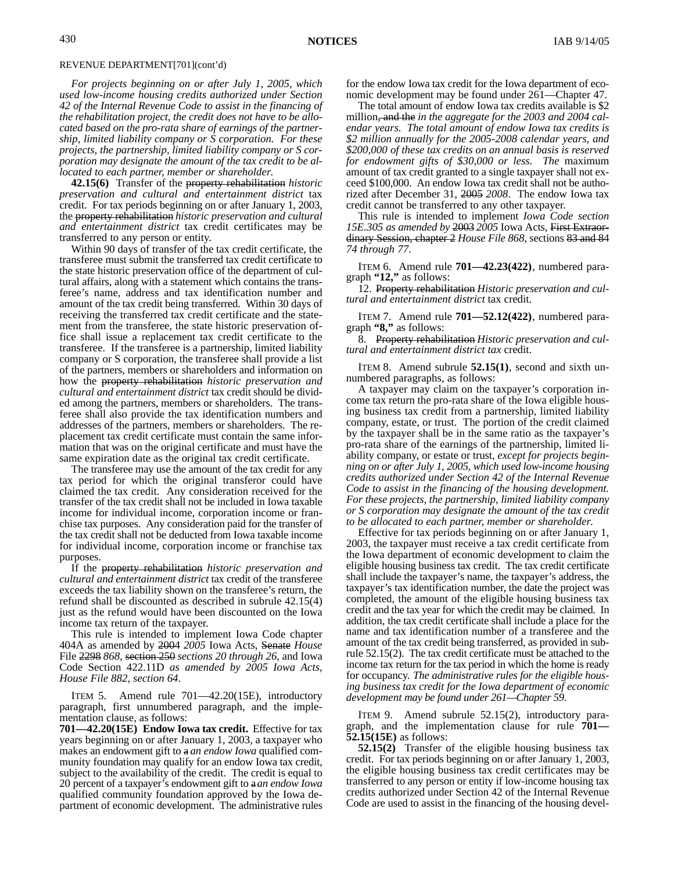*For projects beginning on or after July 1, 2005, which used low-income housing credits authorized under Section 42 of the Internal Revenue Code to assist in the financing of the rehabilitation project, the credit does not have to be allocated based on the pro-rata share of earnings of the partnership, limited liability company or S corporation. For these projects, the partnership, limited liability company or S corporation may designate the amount of the tax credit to be allocated to each partner, member or shareholder*.

**42.15(6)** Transfer of the property rehabilitation *historic preservation and cultural and entertainment district* tax credit. For tax periods beginning on or after January 1, 2003, the property rehabilitation *historic preservation and cultural and entertainment district* tax credit certificates may be transferred to any person or entity.

Within 90 days of transfer of the tax credit certificate, the transferee must submit the transferred tax credit certificate to the state historic preservation office of the department of cultural affairs, along with a statement which contains the transferee's name, address and tax identification number and amount of the tax credit being transferred. Within 30 days of receiving the transferred tax credit certificate and the statement from the transferee, the state historic preservation office shall issue a replacement tax credit certificate to the transferee. If the transferee is a partnership, limited liability company or S corporation, the transferee shall provide a list of the partners, members or shareholders and information on how the property rehabilitation *historic preservation and cultural and entertainment district* tax credit should be divided among the partners, members or shareholders. The transferee shall also provide the tax identification numbers and addresses of the partners, members or shareholders. The replacement tax credit certificate must contain the same information that was on the original certificate and must have the same expiration date as the original tax credit certificate.

The transferee may use the amount of the tax credit for any tax period for which the original transferor could have claimed the tax credit. Any consideration received for the transfer of the tax credit shall not be included in Iowa taxable income for individual income, corporation income or franchise tax purposes. Any consideration paid for the transfer of the tax credit shall not be deducted from Iowa taxable income for individual income, corporation income or franchise tax purposes.

If the property rehabilitation *historic preservation and cultural and entertainment district* tax credit of the transferee exceeds the tax liability shown on the transferee's return, the refund shall be discounted as described in subrule 42.15(4) just as the refund would have been discounted on the Iowa income tax return of the taxpayer.

This rule is intended to implement Iowa Code chapter 404A as amended by 2004 *2005* Iowa Acts, Senate *House* File 2298 *868*, section 250 *sections 20 through 26*, and Iowa Code Section 422.11D *as amended by 2005 Iowa Acts, House File 882, section 64*.

ITEM 5. Amend rule 701—42.20(15E), introductory paragraph, first unnumbered paragraph, and the implementation clause, as follows:

**701—42.20(15E) Endow Iowa tax credit.** Effective for tax years beginning on or after January 1, 2003, a taxpayer who makes an endowment gift to a *an endow Iowa* qualified community foundation may qualify for an endow Iowa tax credit, subject to the availability of the credit. The credit is equal to 20 percent of a taxpayer's endowment gift to a*an endow Iowa* qualified community foundation approved by the Iowa department of economic development. The administrative rules

for the endow Iowa tax credit for the Iowa department of economic development may be found under 261—Chapter 47.

The total amount of endow Iowa tax credits available is \$2 million, and the *in the aggregate for the 2003 and 2004 calendar years. The total amount of endow Iowa tax credits is \$2 million annually for the 2005-2008 calendar years, and \$200,000 of these tax credits on an annual basis is reserved for endowment gifts of \$30,000 or less. The* maximum amount of tax credit granted to a single taxpayer shall not exceed \$100,000. An endow Iowa tax credit shall not be authorized after December 31, 2005 *2008*. The endow Iowa tax credit cannot be transferred to any other taxpayer.

This rule is intended to implement *Iowa Code section 15E.305 as amended by* 2003 *2005* Iowa Acts, First Extraordinary Session, chapter 2 *House File 868*, sections 83 and 84 *74 through 77*.

ITEM 6. Amend rule **701—42.23(422)**, numbered paragraph **"12,"** as follows:

12. Property rehabilitation *Historic preservation and cultural and entertainment district* tax credit.

ITEM 7. Amend rule **701—52.12(422)**, numbered paragraph **"8,"** as follows:

8. Property rehabilitation *Historic preservation and cultural and entertainment district tax* credit.

ITEM 8. Amend subrule **52.15(1)**, second and sixth unnumbered paragraphs, as follows:

A taxpayer may claim on the taxpayer's corporation income tax return the pro-rata share of the Iowa eligible housing business tax credit from a partnership, limited liability company, estate, or trust. The portion of the credit claimed by the taxpayer shall be in the same ratio as the taxpayer's pro-rata share of the earnings of the partnership, limited liability company, or estate or trust*, except for projects beginning on or after July 1, 2005, which used low-income housing credits authorized under Section 42 of the Internal Revenue Code to assist in the financing of the housing development. For these projects, the partnership, limited liability company or S corporation may designate the amount of the tax credit to be allocated to each partner, member or shareholder*.

Effective for tax periods beginning on or after January 1, 2003, the taxpayer must receive a tax credit certificate from the Iowa department of economic development to claim the eligible housing business tax credit. The tax credit certificate shall include the taxpayer's name, the taxpayer's address, the taxpayer's tax identification number, the date the project was completed, the amount of the eligible housing business tax credit and the tax year for which the credit may be claimed. In addition, the tax credit certificate shall include a place for the name and tax identification number of a transferee and the amount of the tax credit being transferred, as provided in subrule 52.15(2). The tax credit certificate must be attached to the income tax return for the tax period in which the home is ready for occupancy. *The administrative rules for the eligible housing business tax credit for the Iowa department of economic development may be found under 261—Chapter 59.*

ITEM 9. Amend subrule 52.15(2), introductory paragraph, and the implementation clause for rule **701— 52.15(15E)** as follows:

**52.15(2)** Transfer of the eligible housing business tax credit. For tax periods beginning on or after January 1, 2003, the eligible housing business tax credit certificates may be transferred to any person or entity if low-income housing tax credits authorized under Section 42 of the Internal Revenue Code are used to assist in the financing of the housing devel-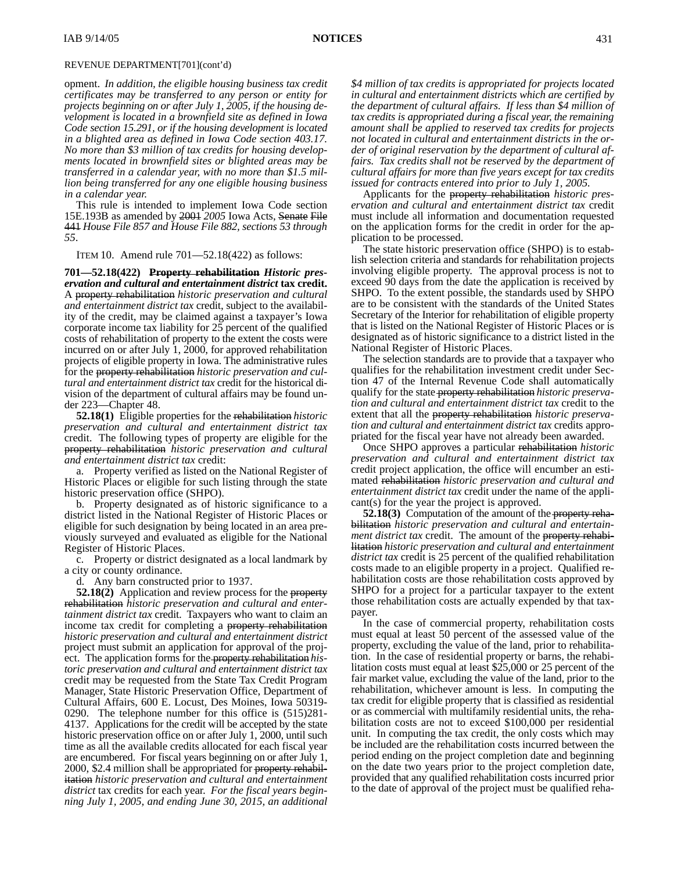opment. *In addition, the eligible housing business tax credit certificates may be transferred to any person or entity for projects beginning on or after July 1, 2005, if the housing development is located in a brownfield site as defined in Iowa Code section 15.291, or if the housing development is located in a blighted area as defined in Iowa Code section 403.17. No more than \$3 million of tax credits for housing developments located in brownfield sites or blighted areas may be transferred in a calendar year, with no more than \$1.5 million being transferred for any one eligible housing business in a calendar year.*

This rule is intended to implement Iowa Code section 15E.193B as amended by 2001 *2005* Iowa Acts, Senate File 441 *House File 857 and House File 882, sections 53 through 55*.

ITEM 10. Amend rule 701—52.18(422) as follows:

**701—52.18(422) Property rehabilitation** *Historic preservation and cultural and entertainment district* **tax credit.** A property rehabilitation *historic preservation and cultural and entertainment district tax* credit, subject to the availability of the credit, may be claimed against a taxpayer's Iowa corporate income tax liability for 25 percent of the qualified costs of rehabilitation of property to the extent the costs were incurred on or after July 1, 2000, for approved rehabilitation projects of eligible property in Iowa. The administrative rules for the property rehabilitation *historic preservation and cultural and entertainment district tax* credit for the historical division of the department of cultural affairs may be found under 223—Chapter 48.

**52.18(1)** Eligible properties for the rehabilitation *historic preservation and cultural and entertainment district tax* credit. The following types of property are eligible for the property rehabilitation *historic preservation and cultural and entertainment district tax* credit:

a. Property verified as listed on the National Register of Historic Places or eligible for such listing through the state historic preservation office (SHPO).

b. Property designated as of historic significance to a district listed in the National Register of Historic Places or eligible for such designation by being located in an area previously surveyed and evaluated as eligible for the National Register of Historic Places.

c. Property or district designated as a local landmark by a city or county ordinance.

d. Any barn constructed prior to 1937.

**52.18(2)** Application and review process for the property rehabilitation *historic preservation and cultural and entertainment district tax* credit. Taxpayers who want to claim an income tax credit for completing a property rehabilitation *historic preservation and cultural and entertainment district* project must submit an application for approval of the project. The application forms for the property rehabilitation *historic preservation and cultural and entertainment district tax* credit may be requested from the State Tax Credit Program Manager, State Historic Preservation Office, Department of Cultural Affairs, 600 E. Locust, Des Moines, Iowa 50319- 0290. The telephone number for this office is (515)281- 4137. Applications for the credit will be accepted by the state historic preservation office on or after July 1, 2000, until such time as all the available credits allocated for each fiscal year are encumbered. For fiscal years beginning on or after July 1, 2000, \$2.4 million shall be appropriated for property rehabilitation *historic preservation and cultural and entertainment district* tax credits for each year. *For the fiscal years beginning July 1, 2005, and ending June 30, 2015, an additional*

*\$4 million of tax credits is appropriated for projects located in cultural and entertainment districts which are certified by the department of cultural affairs. If less than \$4 million of tax credits is appropriated during a fiscal year, the remaining amount shall be applied to reserved tax credits for projects not located in cultural and entertainment districts in the order of original reservation by the department of cultural affairs. Tax credits shall not be reserved by the department of cultural affairs for more than five years except for tax credits issued for contracts entered into prior to July 1, 2005.*

Applicants for the property rehabilitation *historic preservation and cultural and entertainment district tax* credit must include all information and documentation requested on the application forms for the credit in order for the application to be processed.

The state historic preservation office (SHPO) is to establish selection criteria and standards for rehabilitation projects involving eligible property. The approval process is not to exceed 90 days from the date the application is received by SHPO. To the extent possible, the standards used by SHPO are to be consistent with the standards of the United States Secretary of the Interior for rehabilitation of eligible property that is listed on the National Register of Historic Places or is designated as of historic significance to a district listed in the National Register of Historic Places.

The selection standards are to provide that a taxpayer who qualifies for the rehabilitation investment credit under Section 47 of the Internal Revenue Code shall automatically qualify for the state property rehabilitation *historic preservation and cultural and entertainment district tax* credit to the extent that all the property rehabilitation *historic preservation and cultural and entertainment district tax* credits appropriated for the fiscal year have not already been awarded.

Once SHPO approves a particular rehabilitation *historic preservation and cultural and entertainment district tax* credit project application, the office will encumber an estimated rehabilitation *historic preservation and cultural and entertainment district tax* credit under the name of the applicant(s) for the year the project is approved.

**52.18(3)** Computation of the amount of the property rehabilitation *historic preservation and cultural and entertainment district tax* credit. The amount of the property rehabilitation *historic preservation and cultural and entertainment district tax* credit is 25 percent of the qualified rehabilitation costs made to an eligible property in a project. Qualified rehabilitation costs are those rehabilitation costs approved by SHPO for a project for a particular taxpayer to the extent those rehabilitation costs are actually expended by that taxpayer.

In the case of commercial property, rehabilitation costs must equal at least 50 percent of the assessed value of the property, excluding the value of the land, prior to rehabilitation. In the case of residential property or barns, the rehabilitation costs must equal at least \$25,000 or 25 percent of the fair market value, excluding the value of the land, prior to the rehabilitation, whichever amount is less. In computing the tax credit for eligible property that is classified as residential or as commercial with multifamily residential units, the rehabilitation costs are not to exceed \$100,000 per residential unit. In computing the tax credit, the only costs which may be included are the rehabilitation costs incurred between the period ending on the project completion date and beginning on the date two years prior to the project completion date, provided that any qualified rehabilitation costs incurred prior to the date of approval of the project must be qualified reha-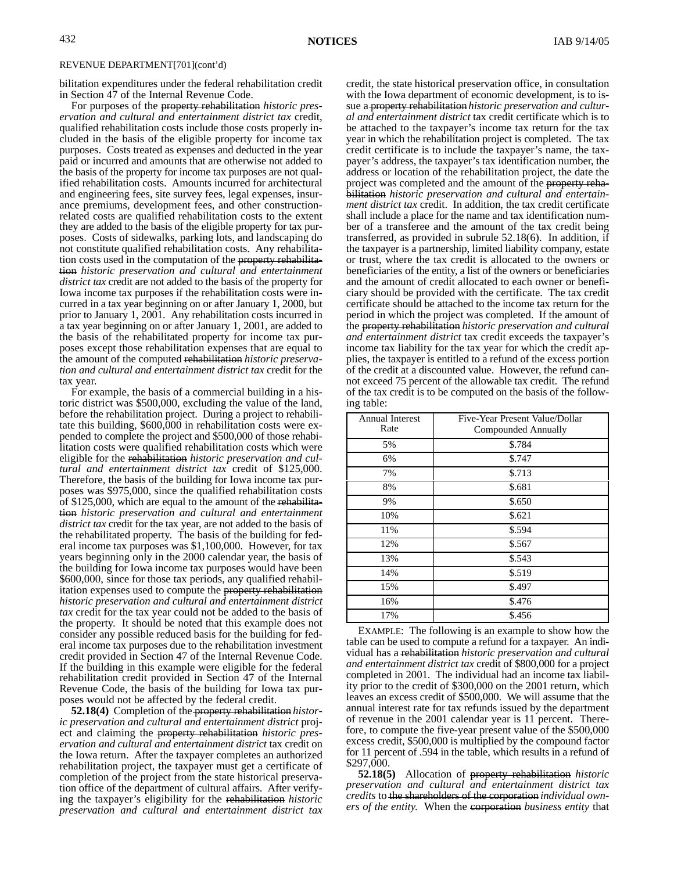bilitation expenditures under the federal rehabilitation credit in Section 47 of the Internal Revenue Code.

For purposes of the property rehabilitation *historic preservation and cultural and entertainment district tax* credit, qualified rehabilitation costs include those costs properly included in the basis of the eligible property for income tax purposes. Costs treated as expenses and deducted in the year paid or incurred and amounts that are otherwise not added to the basis of the property for income tax purposes are not qualified rehabilitation costs. Amounts incurred for architectural and engineering fees, site survey fees, legal expenses, insurance premiums, development fees, and other constructionrelated costs are qualified rehabilitation costs to the extent they are added to the basis of the eligible property for tax purposes. Costs of sidewalks, parking lots, and landscaping do not constitute qualified rehabilitation costs. Any rehabilitation costs used in the computation of the property rehabilitation *historic preservation and cultural and entertainment district tax* credit are not added to the basis of the property for Iowa income tax purposes if the rehabilitation costs were incurred in a tax year beginning on or after January 1, 2000, but prior to January 1, 2001. Any rehabilitation costs incurred in a tax year beginning on or after January 1, 2001, are added to the basis of the rehabilitated property for income tax purposes except those rehabilitation expenses that are equal to the amount of the computed rehabilitation *historic preservation and cultural and entertainment district tax* credit for the tax year.

For example, the basis of a commercial building in a historic district was \$500,000, excluding the value of the land, before the rehabilitation project. During a project to rehabilitate this building, \$600,000 in rehabilitation costs were expended to complete the project and \$500,000 of those rehabilitation costs were qualified rehabilitation costs which were eligible for the rehabilitation *historic preservation and cultural and entertainment district tax* credit of \$125,000. Therefore, the basis of the building for Iowa income tax purposes was \$975,000, since the qualified rehabilitation costs of \$125,000, which are equal to the amount of the rehabilitation *historic preservation and cultural and entertainment district tax* credit for the tax year, are not added to the basis of the rehabilitated property. The basis of the building for federal income tax purposes was \$1,100,000. However, for tax years beginning only in the 2000 calendar year, the basis of the building for Iowa income tax purposes would have been \$600,000, since for those tax periods, any qualified rehabilitation expenses used to compute the property rehabilitation *historic preservation and cultural and entertainment district tax* credit for the tax year could not be added to the basis of the property. It should be noted that this example does not consider any possible reduced basis for the building for federal income tax purposes due to the rehabilitation investment credit provided in Section 47 of the Internal Revenue Code. If the building in this example were eligible for the federal rehabilitation credit provided in Section 47 of the Internal Revenue Code, the basis of the building for Iowa tax purposes would not be affected by the federal credit.

**52.18(4)** Completion of the property rehabilitation *historic preservation and cultural and entertainment district* project and claiming the property rehabilitation *historic preservation and cultural and entertainment district* tax credit on the Iowa return. After the taxpayer completes an authorized rehabilitation project, the taxpayer must get a certificate of completion of the project from the state historical preservation office of the department of cultural affairs. After verifying the taxpayer's eligibility for the rehabilitation *historic preservation and cultural and entertainment district tax* credit, the state historical preservation office, in consultation with the Iowa department of economic development, is to issue a property rehabilitation *historic preservation and cultural and entertainment district* tax credit certificate which is to be attached to the taxpayer's income tax return for the tax year in which the rehabilitation project is completed. The tax credit certificate is to include the taxpayer's name, the taxpayer's address, the taxpayer's tax identification number, the address or location of the rehabilitation project, the date the project was completed and the amount of the property rehabilitation *historic preservation and cultural and entertainment district tax* credit. In addition, the tax credit certificate shall include a place for the name and tax identification number of a transferee and the amount of the tax credit being transferred, as provided in subrule 52.18(6). In addition, if the taxpayer is a partnership, limited liability company, estate or trust, where the tax credit is allocated to the owners or beneficiaries of the entity, a list of the owners or beneficiaries and the amount of credit allocated to each owner or beneficiary should be provided with the certificate. The tax credit certificate should be attached to the income tax return for the period in which the project was completed. If the amount of the property rehabilitation *historic preservation and cultural and entertainment district* tax credit exceeds the taxpayer's income tax liability for the tax year for which the credit applies, the taxpayer is entitled to a refund of the excess portion of the credit at a discounted value. However, the refund cannot exceed 75 percent of the allowable tax credit. The refund of the tax credit is to be computed on the basis of the following table:

| <b>Annual Interest</b><br>Rate | Five-Year Present Value/Dollar<br>Compounded Annually |
|--------------------------------|-------------------------------------------------------|
| 5%                             | \$.784                                                |
| 6%                             | \$.747                                                |
| 7%                             | \$.713                                                |
| 8%                             | \$.681                                                |
| 9%                             | \$.650                                                |
| 10%                            | \$.621                                                |
| 11%                            | \$.594                                                |
| 12%                            | \$.567                                                |
| 13%                            | \$.543                                                |
| 14%                            | \$.519                                                |
| 15%                            | \$.497                                                |
| 16%                            | \$.476                                                |
| 17%                            | \$.456                                                |

EXAMPLE: The following is an example to show how the table can be used to compute a refund for a taxpayer. An individual has a rehabilitation *historic preservation and cultural and entertainment district tax* credit of \$800,000 for a project completed in 2001. The individual had an income tax liability prior to the credit of \$300,000 on the 2001 return, which leaves an excess credit of \$500,000. We will assume that the annual interest rate for tax refunds issued by the department of revenue in the 2001 calendar year is 11 percent. Therefore, to compute the five-year present value of the \$500,000 excess credit, \$500,000 is multiplied by the compound factor for 11 percent of .594 in the table, which results in a refund of \$297,000.

**52.18(5)** Allocation of property rehabilitation *historic preservation and cultural and entertainment district tax credits* to the shareholders of the corporation *individual owners of the entity*. When the corporation *business entity* that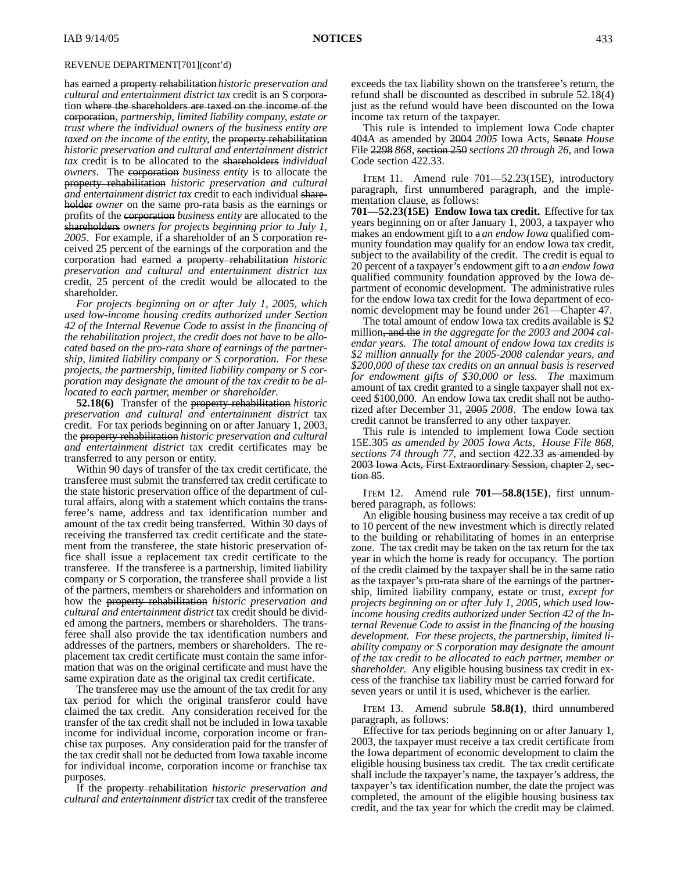has earned a property rehabilitation *historic preservation and cultural and entertainment district tax* credit is an S corporation where the shareholders are taxed on the income of the corporation, *partnership, limited liability company, estate or trust where the individual owners of the business entity are taxed on the income of the entity,* the property rehabilitation *historic preservation and cultural and entertainment district tax* credit is to be allocated to the shareholders *individual owners*. The corporation *business entity* is to allocate the property rehabilitation *historic preservation and cultural and entertainment district tax* credit to each individual shareholder *owner* on the same pro-rata basis as the earnings or profits of the corporation *business entity* are allocated to the shareholders *owners for projects beginning prior to July 1, 2005*. For example, if a shareholder of an S corporation received 25 percent of the earnings of the corporation and the corporation had earned a property rehabilitation *historic preservation and cultural and entertainment district tax* credit, 25 percent of the credit would be allocated to the shareholder.

*For projects beginning on or after July 1, 2005, which used low-income housing credits authorized under Section 42 of the Internal Revenue Code to assist in the financing of the rehabilitation project, the credit does not have to be allocated based on the pro-rata share of earnings of the partnership, limited liability company or S corporation. For these projects, the partnership, limited liability company or S corporation may designate the amount of the tax credit to be allocated to each partner, member or shareholder*.

**52.18(6)** Transfer of the property rehabilitation *historic preservation and cultural and entertainment district* tax credit. For tax periods beginning on or after January 1, 2003, the property rehabilitation *historic preservation and cultural and entertainment district* tax credit certificates may be transferred to any person or entity.

Within 90 days of transfer of the tax credit certificate, the transferee must submit the transferred tax credit certificate to the state historic preservation office of the department of cultural affairs, along with a statement which contains the transferee's name, address and tax identification number and amount of the tax credit being transferred. Within 30 days of receiving the transferred tax credit certificate and the statement from the transferee, the state historic preservation office shall issue a replacement tax credit certificate to the transferee. If the transferee is a partnership, limited liability company or S corporation, the transferee shall provide a list of the partners, members or shareholders and information on how the property rehabilitation *historic preservation and cultural and entertainment district* tax credit should be divided among the partners, members or shareholders. The transferee shall also provide the tax identification numbers and addresses of the partners, members or shareholders. The replacement tax credit certificate must contain the same information that was on the original certificate and must have the same expiration date as the original tax credit certificate.

The transferee may use the amount of the tax credit for any tax period for which the original transferor could have claimed the tax credit. Any consideration received for the transfer of the tax credit shall not be included in Iowa taxable income for individual income, corporation income or franchise tax purposes. Any consideration paid for the transfer of the tax credit shall not be deducted from Iowa taxable income for individual income, corporation income or franchise tax purposes.

If the property rehabilitation *historic preservation and cultural and entertainment district* tax credit of the transferee exceeds the tax liability shown on the transferee's return, the refund shall be discounted as described in subrule 52.18(4) just as the refund would have been discounted on the Iowa income tax return of the taxpayer.

This rule is intended to implement Iowa Code chapter 404A as amended by 2004 *2005* Iowa Acts, Senate *House* File 2298 *868*, section 250 *sections 20 through 26*, and Iowa Code section 422.33.

ITEM 11. Amend rule 701—52.23(15E), introductory paragraph, first unnumbered paragraph, and the implementation clause, as follows:

**701—52.23(15E) Endow Iowa tax credit.** Effective for tax years beginning on or after January 1, 2003, a taxpayer who makes an endowment gift to a *an endow Iowa* qualified community foundation may qualify for an endow Iowa tax credit, subject to the availability of the credit. The credit is equal to 20 percent of a taxpayer's endowment gift to a*an endow Iowa* qualified community foundation approved by the Iowa department of economic development. The administrative rules for the endow Iowa tax credit for the Iowa department of economic development may be found under 261—Chapter 47.

The total amount of endow Iowa tax credits available is \$2 million, and the *in the aggregate for the 2003 and 2004 calendar years. The total amount of endow Iowa tax credits is \$2 million annually for the 2005-2008 calendar years, and \$200,000 of these tax credits on an annual basis is reserved for endowment gifts of \$30,000 or less. The* maximum amount of tax credit granted to a single taxpayer shall not exceed \$100,000. An endow Iowa tax credit shall not be authorized after December 31, 2005 *2008*. The endow Iowa tax credit cannot be transferred to any other taxpayer.

This rule is intended to implement Iowa Code section 15E.305 *as amended by 2005 Iowa Acts, House File 868, sections 74 through 77,* and section 422.33 as amended by 2003 Iowa Acts, First Extraordinary Session, chapter 2, section 85.

ITEM 12. Amend rule **701—58.8(15E)**, first unnumbered paragraph, as follows:

An eligible housing business may receive a tax credit of up to 10 percent of the new investment which is directly related to the building or rehabilitating of homes in an enterprise zone. The tax credit may be taken on the tax return for the tax year in which the home is ready for occupancy. The portion of the credit claimed by the taxpayer shall be in the same ratio as the taxpayer's pro-rata share of the earnings of the partnership, limited liability company, estate or trust*, except for projects beginning on or after July 1, 2005, which used lowincome housing credits authorized under Section 42 of the Internal Revenue Code to assist in the financing of the housing development. For these projects, the partnership, limited liability company or S corporation may designate the amount of the tax credit to be allocated to each partner, member or shareholder*. Any eligible housing business tax credit in excess of the franchise tax liability must be carried forward for seven years or until it is used, whichever is the earlier.

ITEM 13. Amend subrule **58.8(1)**, third unnumbered paragraph, as follows:

Effective for tax periods beginning on or after January 1, 2003, the taxpayer must receive a tax credit certificate from the Iowa department of economic development to claim the eligible housing business tax credit. The tax credit certificate shall include the taxpayer's name, the taxpayer's address, the taxpayer's tax identification number, the date the project was completed, the amount of the eligible housing business tax credit, and the tax year for which the credit may be claimed.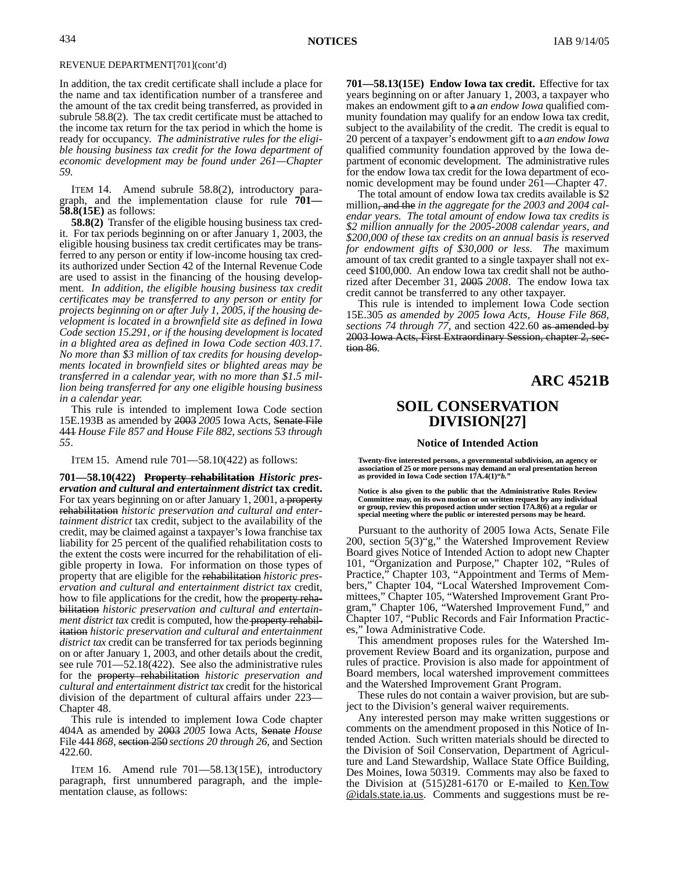In addition, the tax credit certificate shall include a place for the name and tax identification number of a transferee and the amount of the tax credit being transferred, as provided in subrule 58.8(2). The tax credit certificate must be attached to the income tax return for the tax period in which the home is ready for occupancy. *The administrative rules for the eligible housing business tax credit for the Iowa department of economic development may be found under 261—Chapter 59.*

ITEM 14. Amend subrule 58.8(2), introductory paragraph, and the implementation clause for rule **701— 58.8(15E)** as follows:

**58.8(2)** Transfer of the eligible housing business tax credit. For tax periods beginning on or after January 1, 2003, the eligible housing business tax credit certificates may be transferred to any person or entity if low-income housing tax credits authorized under Section 42 of the Internal Revenue Code are used to assist in the financing of the housing development. *In addition, the eligible housing business tax credit certificates may be transferred to any person or entity for projects beginning on or after July 1, 2005, if the housing development is located in a brownfield site as defined in Iowa Code section 15.291, or if the housing development is located in a blighted area as defined in Iowa Code section 403.17. No more than \$3 million of tax credits for housing developments located in brownfield sites or blighted areas may be transferred in a calendar year, with no more than \$1.5 million being transferred for any one eligible housing business in a calendar year.*

This rule is intended to implement Iowa Code section 15E.193B as amended by 2003 *2005* Iowa Acts, Senate File 441 *House File 857 and House File 882, sections 53 through 55*.

ITEM 15. Amend rule 701—58.10(422) as follows:

**701—58.10(422) Property rehabilitation** *Historic preservation and cultural and entertainment district* **tax credit.** For tax years beginning on or after January 1, 2001, a property rehabilitation *historic preservation and cultural and entertainment district* tax credit, subject to the availability of the credit, may be claimed against a taxpayer's Iowa franchise tax liability for 25 percent of the qualified rehabilitation costs to the extent the costs were incurred for the rehabilitation of eligible property in Iowa. For information on those types of property that are eligible for the rehabilitation *historic preservation and cultural and entertainment district tax* credit, how to file applications for the credit, how the property rehabilitation *historic preservation and cultural and entertainment district tax* credit is computed, how the **property rehabil**itation *historic preservation and cultural and entertainment district tax* credit can be transferred for tax periods beginning on or after January 1, 2003, and other details about the credit, see rule 701—52.18(422). See also the administrative rules for the property rehabilitation *historic preservation and cultural and entertainment district tax* credit for the historical division of the department of cultural affairs under 223— Chapter 48.

This rule is intended to implement Iowa Code chapter 404A as amended by 2003 *2005* Iowa Acts, Senate *House* File 441 *868*, section 250 *sections 20 through 26*, and Section 422.60.

ITEM 16. Amend rule 701—58.13(15E), introductory paragraph, first unnumbered paragraph, and the implementation clause, as follows:

**701—58.13(15E) Endow Iowa tax credit.** Effective for tax years beginning on or after January 1, 2003, a taxpayer who makes an endowment gift to a *an endow Iowa* qualified community foundation may qualify for an endow Iowa tax credit, subject to the availability of the credit. The credit is equal to 20 percent of a taxpayer's endowment gift to a*an endow Iowa* qualified community foundation approved by the Iowa department of economic development. The administrative rules for the endow Iowa tax credit for the Iowa department of economic development may be found under 261—Chapter 47.

The total amount of endow Iowa tax credits available is \$2 million, and the *in the aggregate for the 2003 and 2004 calendar years. The total amount of endow Iowa tax credits is \$2 million annually for the 2005-2008 calendar years, and \$200,000 of these tax credits on an annual basis is reserved for endowment gifts of \$30,000 or less. The* maximum amount of tax credit granted to a single taxpayer shall not exceed \$100,000. An endow Iowa tax credit shall not be authorized after December 31, 2005 *2008*. The endow Iowa tax credit cannot be transferred to any other taxpayer.

This rule is intended to implement Iowa Code section 15E.305 *as amended by 2005 Iowa Acts, House File 868, sections 74 through 77,* and section 422.60 as amended by 2003 Iowa Acts, First Extraordinary Session, chapter 2, section 86.

## **ARC 4521B**

# **SOIL CONSERVATION DIVISION[27]**

#### **Notice of Intended Action**

**Twenty-five interested persons, a governmental subdivision, an agency or association of 25 or more persons may demand an oral presentation hereon as provided in Iowa Code section 17A.4(1)"***b.***"**

**Notice is also given to the public that the Administrative Rules Review Committee may, on its own motion or on written request by any individual or group, review this proposed action under section 17A.8(6) at a regular or special meeting where the public or interested persons may be heard.**

Pursuant to the authority of 2005 Iowa Acts, Senate File 200, section 5(3)"g," the Watershed Improvement Review Board gives Notice of Intended Action to adopt new Chapter 101, "Organization and Purpose," Chapter 102, "Rules of Practice," Chapter 103, "Appointment and Terms of Members," Chapter 104, "Local Watershed Improvement Committees," Chapter 105, "Watershed Improvement Grant Program," Chapter 106, "Watershed Improvement Fund," and Chapter 107, "Public Records and Fair Information Practices," Iowa Administrative Code.

This amendment proposes rules for the Watershed Improvement Review Board and its organization, purpose and rules of practice. Provision is also made for appointment of Board members, local watershed improvement committees and the Watershed Improvement Grant Program.

These rules do not contain a waiver provision, but are subject to the Division's general waiver requirements.

Any interested person may make written suggestions or comments on the amendment proposed in this Notice of Intended Action. Such written materials should be directed to the Division of Soil Conservation, Department of Agriculture and Land Stewardship, Wallace State Office Building, Des Moines, Iowa 50319. Comments may also be faxed to the Division at  $(515)281-6170$  or E-mailed to Ken.Tow @idals.state.ia.us. Comments and suggestions must be re-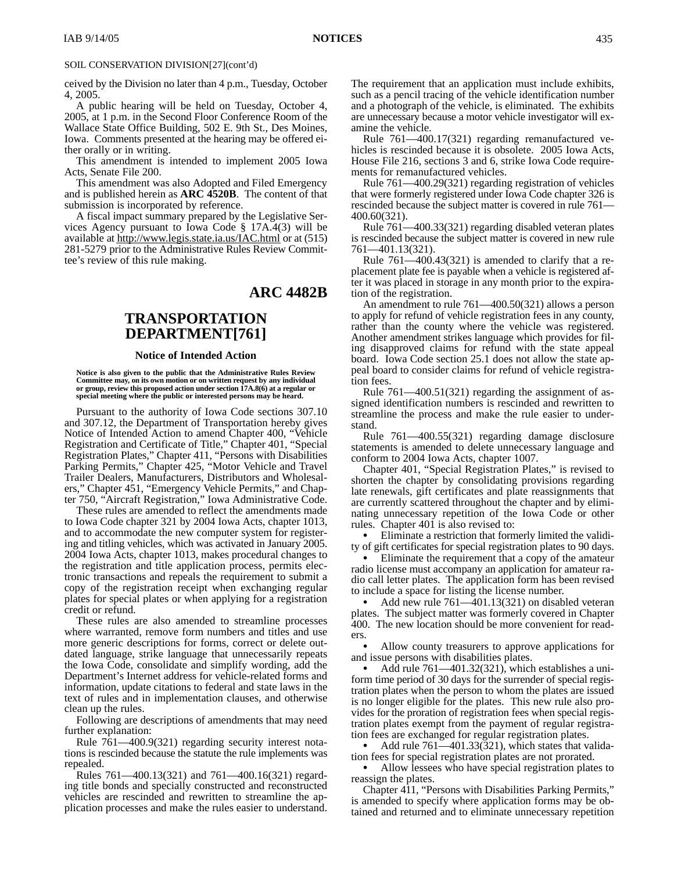### SOIL CONSERVATION DIVISION[27](cont'd)

ceived by the Division no later than 4 p.m., Tuesday, October 4, 2005.

A public hearing will be held on Tuesday, October 4, 2005, at 1 p.m. in the Second Floor Conference Room of the Wallace State Office Building, 502 E. 9th St., Des Moines, Iowa. Comments presented at the hearing may be offered either orally or in writing.

This amendment is intended to implement 2005 Iowa Acts, Senate File 200.

This amendment was also Adopted and Filed Emergency and is published herein as **ARC 4520B**. The content of that submission is incorporated by reference.

A fiscal impact summary prepared by the Legislative Services Agency pursuant to Iowa Code § 17A.4(3) will be available at http://www.legis.state.ia.us/IAC.html or at (515) 281-5279 prior to the Administrative Rules Review Committee's review of this rule making.

# **ARC 4482B**

# **TRANSPORTATION DEPARTMENT[761]**

#### **Notice of Intended Action**

**Notice is also given to the public that the Administrative Rules Review Committee may, on its own motion or on written request by any individual or group, review this proposed action under section 17A.8(6) at a regular or special meeting where the public or interested persons may be heard.**

Pursuant to the authority of Iowa Code sections 307.10 and 307.12, the Department of Transportation hereby gives Notice of Intended Action to amend Chapter 400, "Vehicle Registration and Certificate of Title," Chapter 401, "Special Registration Plates," Chapter 411, "Persons with Disabilities Parking Permits," Chapter 425, "Motor Vehicle and Travel Trailer Dealers, Manufacturers, Distributors and Wholesalers," Chapter 451, "Emergency Vehicle Permits," and Chapter 750, "Aircraft Registration," Iowa Administrative Code.

These rules are amended to reflect the amendments made to Iowa Code chapter 321 by 2004 Iowa Acts, chapter 1013, and to accommodate the new computer system for registering and titling vehicles, which was activated in January 2005. 2004 Iowa Acts, chapter 1013, makes procedural changes to the registration and title application process, permits electronic transactions and repeals the requirement to submit a copy of the registration receipt when exchanging regular plates for special plates or when applying for a registration credit or refund.

These rules are also amended to streamline processes where warranted, remove form numbers and titles and use more generic descriptions for forms, correct or delete outdated language, strike language that unnecessarily repeats the Iowa Code, consolidate and simplify wording, add the Department's Internet address for vehicle-related forms and information, update citations to federal and state laws in the text of rules and in implementation clauses, and otherwise clean up the rules.

Following are descriptions of amendments that may need further explanation:

Rule 761—400.9(321) regarding security interest notations is rescinded because the statute the rule implements was repealed.

Rules 761—400.13(321) and 761—400.16(321) regarding title bonds and specially constructed and reconstructed vehicles are rescinded and rewritten to streamline the application processes and make the rules easier to understand. The requirement that an application must include exhibits, such as a pencil tracing of the vehicle identification number and a photograph of the vehicle, is eliminated. The exhibits are unnecessary because a motor vehicle investigator will examine the vehicle.

Rule 761—400.17(321) regarding remanufactured vehicles is rescinded because it is obsolete. 2005 Iowa Acts, House File 216, sections 3 and 6, strike Iowa Code requirements for remanufactured vehicles.

Rule 761—400.29(321) regarding registration of vehicles that were formerly registered under Iowa Code chapter 326 is rescinded because the subject matter is covered in rule 761— 400.60(321).

Rule 761—400.33(321) regarding disabled veteran plates is rescinded because the subject matter is covered in new rule 761—401.13(321).

Rule 761—400.43(321) is amended to clarify that a replacement plate fee is payable when a vehicle is registered after it was placed in storage in any month prior to the expiration of the registration.

An amendment to rule 761—400.50(321) allows a person to apply for refund of vehicle registration fees in any county, rather than the county where the vehicle was registered. Another amendment strikes language which provides for filing disapproved claims for refund with the state appeal board. Iowa Code section 25.1 does not allow the state appeal board to consider claims for refund of vehicle registration fees

Rule 761—400.51(321) regarding the assignment of assigned identification numbers is rescinded and rewritten to streamline the process and make the rule easier to understand.

Rule 761—400.55(321) regarding damage disclosure statements is amended to delete unnecessary language and conform to 2004 Iowa Acts, chapter 1007.

Chapter 401, "Special Registration Plates," is revised to shorten the chapter by consolidating provisions regarding late renewals, gift certificates and plate reassignments that are currently scattered throughout the chapter and by eliminating unnecessary repetition of the Iowa Code or other rules. Chapter 401 is also revised to:

 Eliminate a restriction that formerly limited the validity of gift certificates for special registration plates to 90 days.

 Eliminate the requirement that a copy of the amateur radio license must accompany an application for amateur radio call letter plates. The application form has been revised to include a space for listing the license number.

 Add new rule 761—401.13(321) on disabled veteran plates. The subject matter was formerly covered in Chapter 400. The new location should be more convenient for readers.

 Allow county treasurers to approve applications for and issue persons with disabilities plates.

 Add rule 761—401.32(321), which establishes a uniform time period of 30 days for the surrender of special registration plates when the person to whom the plates are issued is no longer eligible for the plates. This new rule also provides for the proration of registration fees when special registration plates exempt from the payment of regular registration fees are exchanged for regular registration plates.

 Add rule 761—401.33(321), which states that validation fees for special registration plates are not prorated.

 Allow lessees who have special registration plates to reassign the plates.

Chapter 411, "Persons with Disabilities Parking Permits," is amended to specify where application forms may be obtained and returned and to eliminate unnecessary repetition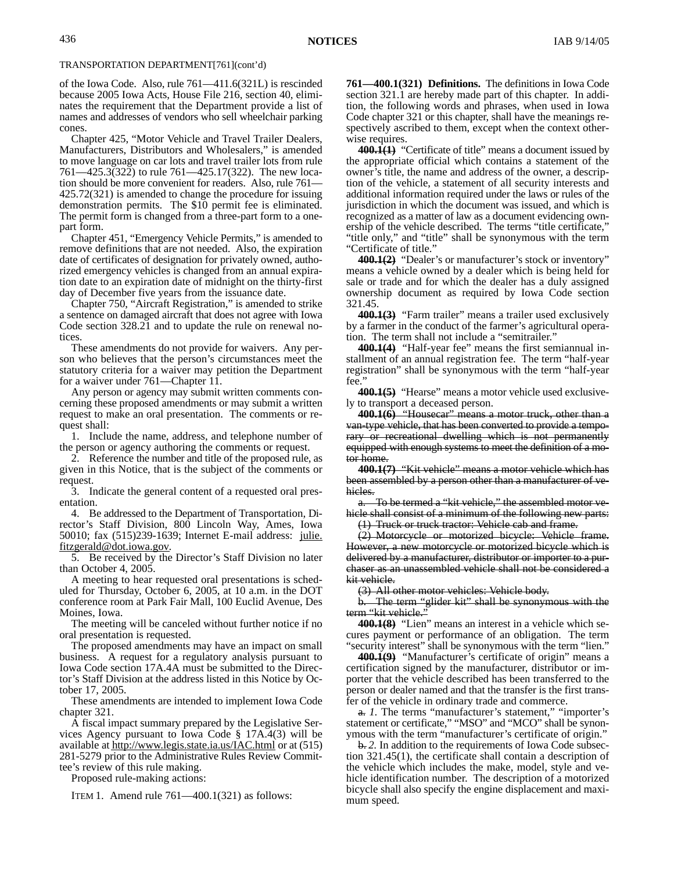of the Iowa Code. Also, rule 761—411.6(321L) is rescinded because 2005 Iowa Acts, House File 216, section 40, eliminates the requirement that the Department provide a list of names and addresses of vendors who sell wheelchair parking cones.

Chapter 425, "Motor Vehicle and Travel Trailer Dealers, Manufacturers, Distributors and Wholesalers," is amended to move language on car lots and travel trailer lots from rule 761—425.3(322) to rule 761—425.17(322). The new location should be more convenient for readers. Also, rule 761— 425.72(321) is amended to change the procedure for issuing demonstration permits. The \$10 permit fee is eliminated. The permit form is changed from a three-part form to a onepart form.

Chapter 451, "Emergency Vehicle Permits," is amended to remove definitions that are not needed. Also, the expiration date of certificates of designation for privately owned, authorized emergency vehicles is changed from an annual expiration date to an expiration date of midnight on the thirty-first day of December five years from the issuance date.

Chapter 750, "Aircraft Registration," is amended to strike a sentence on damaged aircraft that does not agree with Iowa Code section 328.21 and to update the rule on renewal notices.

These amendments do not provide for waivers. Any person who believes that the person's circumstances meet the statutory criteria for a waiver may petition the Department for a waiver under 761—Chapter 11.

Any person or agency may submit written comments concerning these proposed amendments or may submit a written request to make an oral presentation. The comments or request shall:

1. Include the name, address, and telephone number of the person or agency authoring the comments or request.

2. Reference the number and title of the proposed rule, as given in this Notice, that is the subject of the comments or request.

3. Indicate the general content of a requested oral presentation.

4. Be addressed to the Department of Transportation, Director's Staff Division, 800 Lincoln Way, Ames, Iowa 50010; fax (515)239-1639; Internet E-mail address: julie. fitzgerald@dot.iowa.gov.

5. Be received by the Director's Staff Division no later than October 4, 2005.

A meeting to hear requested oral presentations is scheduled for Thursday, October 6, 2005, at 10 a.m. in the DOT conference room at Park Fair Mall, 100 Euclid Avenue, Des Moines, Iowa.

The meeting will be canceled without further notice if no oral presentation is requested.

The proposed amendments may have an impact on small business. A request for a regulatory analysis pursuant to Iowa Code section 17A.4A must be submitted to the Director's Staff Division at the address listed in this Notice by October 17, 2005.

These amendments are intended to implement Iowa Code chapter 321.

A fiscal impact summary prepared by the Legislative Services Agency pursuant to Iowa Code § 17A.4(3) will be available at http://www.legis.state.ia.us/IAC.html or at (515) 281-5279 prior to the Administrative Rules Review Committee's review of this rule making.

Proposed rule-making actions:

ITEM 1. Amend rule 761—400.1(321) as follows:

**761—400.1(321) Definitions.** The definitions in Iowa Code section 321.1 are hereby made part of this chapter. In addition, the following words and phrases, when used in Iowa Code chapter 321 or this chapter, shall have the meanings respectively ascribed to them, except when the context otherwise requires.

**400.1(1)** "Certificate of title" means a document issued by the appropriate official which contains a statement of the owner's title, the name and address of the owner, a description of the vehicle, a statement of all security interests and additional information required under the laws or rules of the jurisdiction in which the document was issued, and which is recognized as a matter of law as a document evidencing ownership of the vehicle described. The terms "title certificate," "title only," and "title" shall be synonymous with the term "Certificate of title."

**400.1(2)** "Dealer's or manufacturer's stock or inventory" means a vehicle owned by a dealer which is being held for sale or trade and for which the dealer has a duly assigned ownership document as required by Iowa Code section 321.45.

**400.1(3)** "Farm trailer" means a trailer used exclusively by a farmer in the conduct of the farmer's agricultural operation. The term shall not include a "semitrailer."

**400.1(4)** "Half-year fee" means the first semiannual installment of an annual registration fee. The term "half-year registration" shall be synonymous with the term "half-year fee."

**400.1(5)** "Hearse" means a motor vehicle used exclusively to transport a deceased person.

**400.1(6)** "Housecar" means a motor truck, other than a van-type vehicle, that has been converted to provide a temporary or recreational dwelling which is not permanently equipped with enough systems to meet the definition of a motor home.

**400.1(7)** "Kit vehicle" means a motor vehicle which has been assembled by a person other than a manufacturer of vehicles.

a. To be termed a "kit vehicle," the assembled motor vehicle shall consist of a minimum of the following new parts:

(1) Truck or truck tractor: Vehicle cab and frame.

(2) Motorcycle or motorized bicycle: Vehicle frame. However, a new motorcycle or motorized bicycle which is delivered by a manufacturer, distributor or importer to a purchaser as an unassembled vehicle shall not be considered a kit vehicle.

(3) All other motor vehicles: Vehicle body.

b. The term "glider kit" shall be synonymous with the term "kit vehicle."

**400.1(8)** "Lien" means an interest in a vehicle which secures payment or performance of an obligation. The term "security interest" shall be synonymous with the term "lien."

**400.1(9)** "Manufacturer's certificate of origin" means a certification signed by the manufacturer, distributor or importer that the vehicle described has been transferred to the person or dealer named and that the transfer is the first transfer of the vehicle in ordinary trade and commerce.

a. *1.* The terms "manufacturer's statement," "importer's statement or certificate," "MSO" and "MCO" shall be synonymous with the term "manufacturer's certificate of origin."

b. *2.* In addition to the requirements of Iowa Code subsection 321.45(1), the certificate shall contain a description of the vehicle which includes the make, model, style and vehicle identification number. The description of a motorized bicycle shall also specify the engine displacement and maximum speed.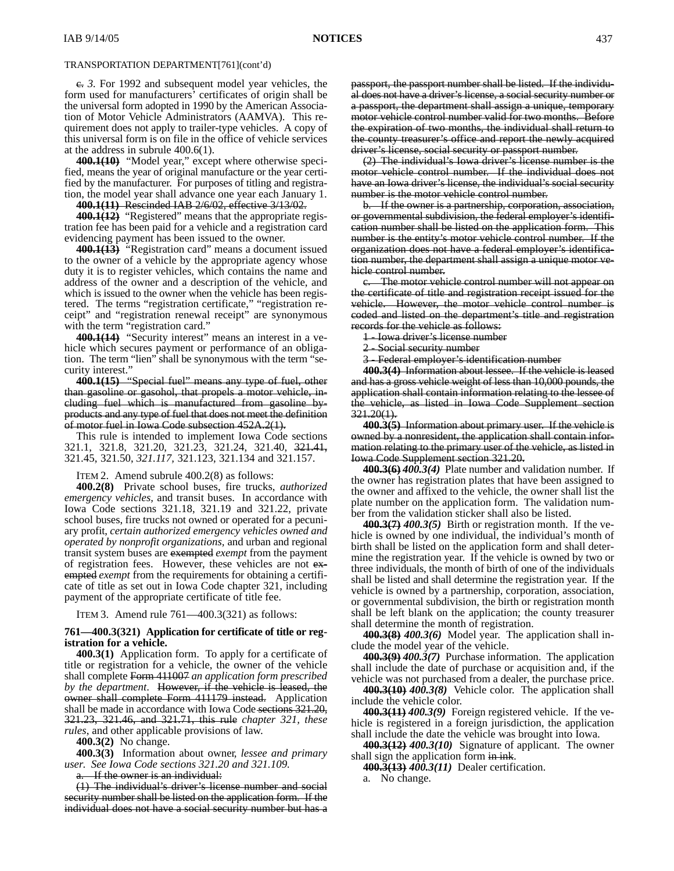c. *3.* For 1992 and subsequent model year vehicles, the form used for manufacturers' certificates of origin shall be the universal form adopted in 1990 by the American Association of Motor Vehicle Administrators (AAMVA). This requirement does not apply to trailer-type vehicles. A copy of this universal form is on file in the office of vehicle services at the address in subrule 400.6(1).

**400.1(10)** "Model year," except where otherwise specified, means the year of original manufacture or the year certified by the manufacturer. For purposes of titling and registration, the model year shall advance one year each January 1.

**400.1(11)** Rescinded IAB 2/6/02, effective 3/13/02.

**400.1(12)** "Registered" means that the appropriate registration fee has been paid for a vehicle and a registration card evidencing payment has been issued to the owner.

**400.1(13)** "Registration card" means a document issued to the owner of a vehicle by the appropriate agency whose duty it is to register vehicles, which contains the name and address of the owner and a description of the vehicle, and which is issued to the owner when the vehicle has been registered. The terms "registration certificate," "registration receipt" and "registration renewal receipt" are synonymous with the term "registration card."

**400.1(14)** "Security interest" means an interest in a vehicle which secures payment or performance of an obligation. The term "lien" shall be synonymous with the term "security interest."

**400.1(15)** "Special fuel" means any type of fuel, other than gasoline or gasohol, that propels a motor vehicle, including fuel which is manufactured from gasoline byproducts and any type of fuel that does not meet the definition of motor fuel in Iowa Code subsection 452A.2(1).

This rule is intended to implement Iowa Code sections 321.1, 321.8, 321.20, 321.23, 321.24, 321.40, 321.41, 321.45, 321.50, *321.117,* 321.123, 321.134 and 321.157.

ITEM 2. Amend subrule 400.2(8) as follows:

**400.2(8)** Private school buses, fire trucks, *authorized emergency vehicles,* and transit buses. In accordance with Iowa Code sections 321.18, 321.19 and 321.22, private school buses, fire trucks not owned or operated for a pecuniary profit, *certain authorized emergency vehicles owned and operated by nonprofit organizations,* and urban and regional transit system buses are exempted *exempt* from the payment of registration fees. However, these vehicles are not exempted *exempt* from the requirements for obtaining a certificate of title as set out in Iowa Code chapter 321, including payment of the appropriate certificate of title fee.

ITEM 3. Amend rule 761—400.3(321) as follows:

### **761—400.3(321) Application for certificate of title or registration for a vehicle.**

**400.3(1)** Application form. To apply for a certificate of title or registration for a vehicle, the owner of the vehicle shall complete Form 411007 *an application form prescribed by the department*. However, if the vehicle is leased, the owner shall complete Form 411179 instead. Application shall be made in accordance with Iowa Code sections 321.20, 321.23, 321.46, and 321.71, this rule *chapter 321, these rules*, and other applicable provisions of law.

**400.3(2)** No change.

**400.3(3)** Information about owner*, lessee and primary user*. *See Iowa Code sections 321.20 and 321.109.*

If the owner is an individual:

(1) The individual's driver's license number and social security number shall be listed on the application form. If the individual does not have a social security number but has a passport, the passport number shall be listed. If the individual does not have a driver's license, a social security number or a passport, the department shall assign a unique, temporary motor vehicle control number valid for two months. Before the expiration of two months, the individual shall return to the county treasurer's office and report the newly acquired driver's license, social security or passport number.

(2) The individual's Iowa driver's license number is the motor vehicle control number. If the individual does not have an Iowa driver's license, the individual's social security number is the motor vehicle control number.

b. If the owner is a partnership, corporation, association, or governmental subdivision, the federal employer's identification number shall be listed on the application form. This number is the entity's motor vehicle control number. If the organization does not have a federal employer's identification number, the department shall assign a unique motor vehicle control number.

The motor vehicle control number will not appear on the certificate of title and registration receipt issued for the vehicle. However, the motor vehicle control number is coded and listed on the department's title and registration records for the vehicle as follows:

1 - Iowa driver's license number

2 - Social security number

3 - Federal employer's identification number

**400.3(4)** Information about lessee. If the vehicle is leased and has a gross vehicle weight of less than 10,000 pounds, the application shall contain information relating to the lessee of the vehicle, as listed in Iowa Code Supplement section 321.20(1).

**400.3(5)** Information about primary user. If the vehicle is owned by a nonresident, the application shall contain information relating to the primary user of the vehicle, as listed in Iowa Code Supplement section 321.20.

**400.3(6)** *400.3(4)* Plate number and validation number. If the owner has registration plates that have been assigned to the owner and affixed to the vehicle, the owner shall list the plate number on the application form. The validation number from the validation sticker shall also be listed.

**400.3(7)** *400.3(5)* Birth or registration month. If the vehicle is owned by one individual, the individual's month of birth shall be listed on the application form and shall determine the registration year. If the vehicle is owned by two or three individuals, the month of birth of one of the individuals shall be listed and shall determine the registration year. If the vehicle is owned by a partnership, corporation, association, or governmental subdivision, the birth or registration month shall be left blank on the application; the county treasurer shall determine the month of registration.

**400.3(8)** *400.3(6)* Model year. The application shall include the model year of the vehicle.

**400.3(9)** *400.3(7)* Purchase information. The application shall include the date of purchase or acquisition and, if the vehicle was not purchased from a dealer, the purchase price.

**400.3(10)** *400.3(8)* Vehicle color. The application shall include the vehicle color.

**400.3(11)** *400.3(9)* Foreign registered vehicle. If the vehicle is registered in a foreign jurisdiction, the application shall include the date the vehicle was brought into Iowa.

**400.3(12)** *400.3(10)* Signature of applicant. The owner shall sign the application form in ink.

**400.3(13)** *400.3(11)* Dealer certification.

a. No change.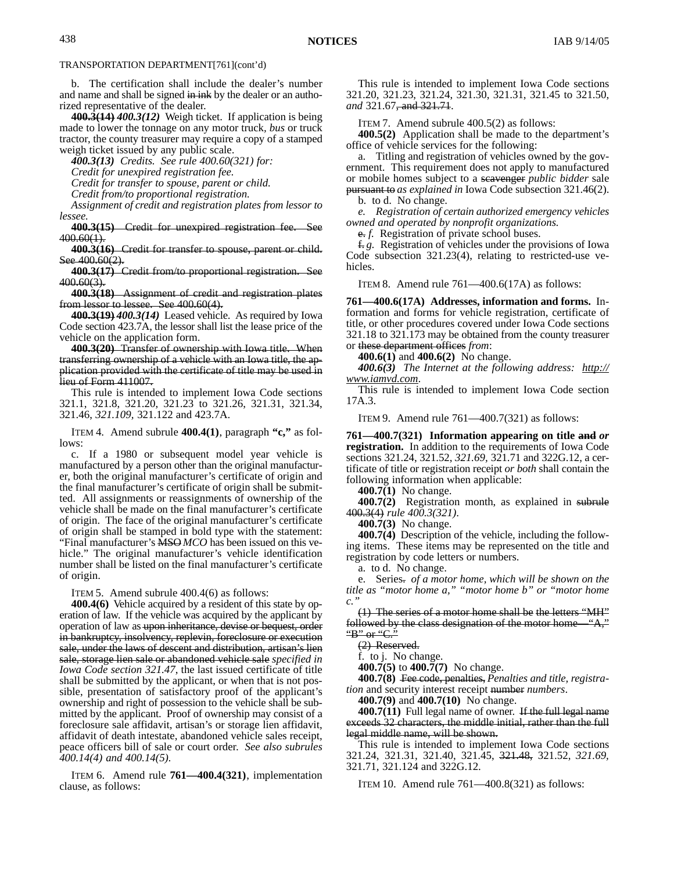b. The certification shall include the dealer's number and name and shall be signed in ink by the dealer or an authorized representative of the dealer.

**400.3(14)** *400.3(12)* Weigh ticket. If application is being made to lower the tonnage on any motor truck*, bus* or truck tractor, the county treasurer may require a copy of a stamped weigh ticket issued by any public scale.

*400.3(13) Credits. See rule 400.60(321) for:*

*Credit for unexpired registration fee.*

*Credit for transfer to spouse, parent or child.*

*Credit from/to proportional registration.*

*Assignment of credit and registration plates from lessor to lessee.*

**400.3(15)** Credit for unexpired registration fee. See 400.60(1).

**400.3(16)** Credit for transfer to spouse, parent or child. See  $400.60(2)$ .

**400.3(17)** Credit from/to proportional registration. See 400.60(3).

**400.3(18)** Assignment of credit and registration plates from lessor to lessee. See 400.60(4).

**400.3(19)** *400.3(14)* Leased vehicle. As required by Iowa Code section 423.7A, the lessor shall list the lease price of the vehicle on the application form.

**400.3(20)** Transfer of ownership with Iowa title. When transferring ownership of a vehicle with an Iowa title, the application provided with the certificate of title may be used in lieu of Form 411007.

This rule is intended to implement Iowa Code sections 321.1, 321.8, 321.20, 321.23 to 321.26, 321.31, 321.34, 321.46, *321.109,* 321.122 and 423.7A.

ITEM 4. Amend subrule **400.4(1)**, paragraph **"c,"** as follows:

c. If a 1980 or subsequent model year vehicle is manufactured by a person other than the original manufacturer, both the original manufacturer's certificate of origin and the final manufacturer's certificate of origin shall be submitted. All assignments or reassignments of ownership of the vehicle shall be made on the final manufacturer's certificate of origin. The face of the original manufacturer's certificate of origin shall be stamped in bold type with the statement: "Final manufacturer's MSO *MCO* has been issued on this vehicle." The original manufacturer's vehicle identification number shall be listed on the final manufacturer's certificate of origin.

ITEM 5. Amend subrule 400.4(6) as follows:

**400.4(6)** Vehicle acquired by a resident of this state by operation of law. If the vehicle was acquired by the applicant by operation of law as upon inheritance, devise or bequest, order in bankruptcy, insolvency, replevin, foreclosure or execution sale, under the laws of descent and distribution, artisan's lien sale, storage lien sale or abandoned vehicle sale *specified in Iowa Code section 321.47*, the last issued certificate of title shall be submitted by the applicant, or when that is not possible, presentation of satisfactory proof of the applicant's ownership and right of possession to the vehicle shall be submitted by the applicant. Proof of ownership may consist of a foreclosure sale affidavit, artisan's or storage lien affidavit, affidavit of death intestate, abandoned vehicle sales receipt, peace officers bill of sale or court order. *See also subrules 400.14(4) and 400.14(5).*

ITEM 6. Amend rule **761—400.4(321)**, implementation clause, as follows:

This rule is intended to implement Iowa Code sections 321.20, 321.23, 321.24, 321.30, 321.31, 321.45 to 321.50, *and* 321.67, and 321.71.

ITEM 7. Amend subrule 400.5(2) as follows:

**400.5(2)** Application shall be made to the department's office of vehicle services for the following:

a. Titling and registration of vehicles owned by the government. This requirement does not apply to manufactured or mobile homes subject to a scavenger *public bidder* sale pursuant to *as explained in* Iowa Code subsection 321.46(2).

b. to d. No change.

*e. Registration of certain authorized emergency vehicles owned and operated by nonprofit organizations.*

e. *f.* Registration of private school buses.

f. *g.* Registration of vehicles under the provisions of Iowa Code subsection 321.23(4), relating to restricted-use vehicles.

ITEM 8. Amend rule 761—400.6(17A) as follows:

**761—400.6(17A) Addresses, information and forms.** Information and forms for vehicle registration, certificate of title, or other procedures covered under Iowa Code sections 321.18 to 321.173 may be obtained from the county treasurer or these department offices *from*:

**400.6(1)** and **400.6(2)** No change.

*400.6(3) The Internet at the following address: http:// www.iamvd.com.*

This rule is intended to implement Iowa Code section 17A.3.

ITEM 9. Amend rule 761—400.7(321) as follows:

**761—400.7(321) Information appearing on title and** *or* **registration.** In addition to the requirements of Iowa Code sections 321.24, 321.52, *321.69,* 321.71 and 322G.12, a certificate of title or registration receipt *or both* shall contain the following information when applicable:

**400.7(1)** No change.

**400.7(2)** Registration month, as explained in subrule 400.3(4) *rule 400.3(321)*.

**400.7(3)** No change.

**400.7(4)** Description of the vehicle, including the following items. These items may be represented on the title and registration by code letters or numbers.

a. to d. No change.

e. Series. *of a motor home, which will be shown on the title as "motor home a," "motor home b" or "motor home c."*

(1) The series of a motor home shall be the letters "MH" followed by the class designation of the motor home—"A," "B" or " $C$ ."

(2) Reserved.

f. to j. No change.

**400.7(5)** to **400.7(7)** No change.

**400.7(8)** Fee code, penalties, *Penalties and title, registration* and security interest receipt number *numbers*.

**400.7(9)** and **400.7(10)** No change.

**400.7(11)** Full legal name of owner. If the full legal name exceeds 32 characters, the middle initial, rather than the full legal middle name, will be shown.

This rule is intended to implement Iowa Code sections 321.24, 321.31, 321.40, 321.45, 321.48, 321.52, *321.69,* 321.71, 321.124 and 322G.12.

ITEM 10. Amend rule 761—400.8(321) as follows: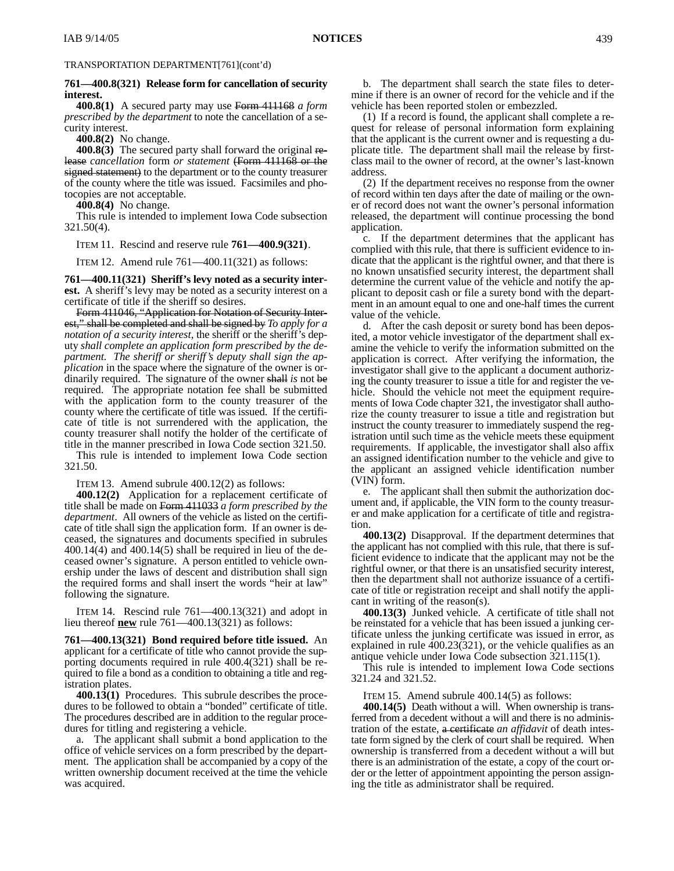### **761—400.8(321) Release form for cancellation of security interest.**

**400.8(1)** A secured party may use Form 411168 *a form prescribed by the department* to note the cancellation of a security interest.

**400.8(2)** No change.

**400.8(3)** The secured party shall forward the original release *cancellation* form *or statement* (Form 411168 or the signed statement) to the department or to the county treasurer of the county where the title was issued. Facsimiles and photocopies are not acceptable.

**400.8(4)** No change.

This rule is intended to implement Iowa Code subsection 321.50(4).

ITEM 11. Rescind and reserve rule **761—400.9(321)**.

ITEM 12. Amend rule 761—400.11(321) as follows:

**761—400.11(321) Sheriff's levy noted as a security interest.** A sheriff's levy may be noted as a security interest on a certificate of title if the sheriff so desires.

Form 411046, "Application for Notation of Security Interest," shall be completed and shall be signed by *To apply for a notation of a security interest,* the sheriff or the sheriff's deputy *shall complete an application form prescribed by the department. The sheriff or sheriff's deputy shall sign the application* in the space where the signature of the owner is ordinarily required. The signature of the owner shall *is* not be required. The appropriate notation fee shall be submitted with the application form to the county treasurer of the county where the certificate of title was issued. If the certificate of title is not surrendered with the application, the county treasurer shall notify the holder of the certificate of title in the manner prescribed in Iowa Code section 321.50. This rule is intended to implement Iowa Code section 321.50.

ITEM 13. Amend subrule 400.12(2) as follows:

**400.12(2)** Application for a replacement certificate of title shall be made on Form 411033 *a form prescribed by the department*. All owners of the vehicle as listed on the certificate of title shall sign the application form. If an owner is deceased, the signatures and documents specified in subrules 400.14(4) and 400.14(5) shall be required in lieu of the deceased owner's signature. A person entitled to vehicle ownership under the laws of descent and distribution shall sign the required forms and shall insert the words "heir at law" following the signature.

ITEM 14. Rescind rule 761—400.13(321) and adopt in lieu thereof **new** rule 761—400.13(321) as follows:

**761—400.13(321) Bond required before title issued.** An applicant for a certificate of title who cannot provide the supporting documents required in rule 400.4(321) shall be required to file a bond as a condition to obtaining a title and registration plates.

**400.13(1)** Procedures. This subrule describes the procedures to be followed to obtain a "bonded" certificate of title. The procedures described are in addition to the regular procedures for titling and registering a vehicle.

a. The applicant shall submit a bond application to the office of vehicle services on a form prescribed by the department. The application shall be accompanied by a copy of the written ownership document received at the time the vehicle was acquired.

b. The department shall search the state files to determine if there is an owner of record for the vehicle and if the vehicle has been reported stolen or embezzled.

(1) If a record is found, the applicant shall complete a request for release of personal information form explaining that the applicant is the current owner and is requesting a duplicate title. The department shall mail the release by firstclass mail to the owner of record, at the owner's last-known address.

(2) If the department receives no response from the owner of record within ten days after the date of mailing or the owner of record does not want the owner's personal information released, the department will continue processing the bond application.

c. If the department determines that the applicant has complied with this rule, that there is sufficient evidence to indicate that the applicant is the rightful owner, and that there is no known unsatisfied security interest, the department shall determine the current value of the vehicle and notify the applicant to deposit cash or file a surety bond with the department in an amount equal to one and one-half times the current value of the vehicle.

d. After the cash deposit or surety bond has been deposited, a motor vehicle investigator of the department shall examine the vehicle to verify the information submitted on the application is correct. After verifying the information, the investigator shall give to the applicant a document authorizing the county treasurer to issue a title for and register the vehicle. Should the vehicle not meet the equipment requirements of Iowa Code chapter 321, the investigator shall authorize the county treasurer to issue a title and registration but instruct the county treasurer to immediately suspend the registration until such time as the vehicle meets these equipment requirements. If applicable, the investigator shall also affix an assigned identification number to the vehicle and give to the applicant an assigned vehicle identification number (VIN) form.

e. The applicant shall then submit the authorization document and, if applicable, the VIN form to the county treasurer and make application for a certificate of title and registration.

**400.13(2)** Disapproval. If the department determines that the applicant has not complied with this rule, that there is sufficient evidence to indicate that the applicant may not be the rightful owner, or that there is an unsatisfied security interest, then the department shall not authorize issuance of a certificate of title or registration receipt and shall notify the applicant in writing of the reason(s).

**400.13(3)** Junked vehicle. A certificate of title shall not be reinstated for a vehicle that has been issued a junking certificate unless the junking certificate was issued in error, as explained in rule 400.23(321), or the vehicle qualifies as an antique vehicle under Iowa Code subsection 321.115(1).

This rule is intended to implement Iowa Code sections 321.24 and 321.52.

ITEM 15. Amend subrule 400.14(5) as follows:

**400.14(5)** Death without a will. When ownership is transferred from a decedent without a will and there is no administration of the estate, a certificate *an affidavit* of death intestate form signed by the clerk of court shall be required. When ownership is transferred from a decedent without a will but there is an administration of the estate, a copy of the court order or the letter of appointment appointing the person assigning the title as administrator shall be required.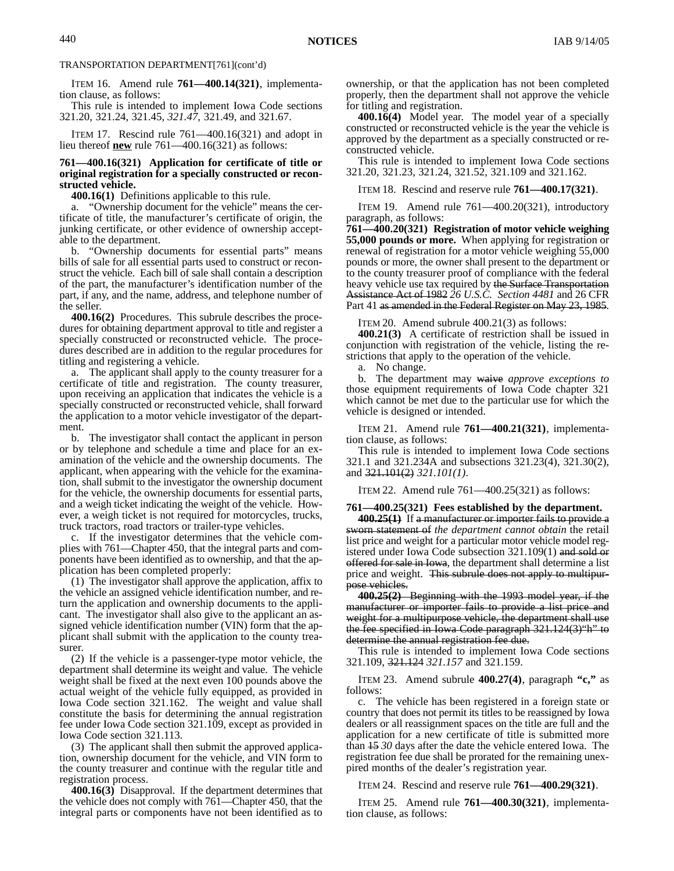ITEM 16. Amend rule **761—400.14(321)**, implementation clause, as follows:

This rule is intended to implement Iowa Code sections 321.20, 321.24, 321.45, *321.47,* 321.49, and 321.67.

ITEM 17. Rescind rule 761—400.16(321) and adopt in lieu thereof **new** rule 761—400.16(321) as follows:

#### **761—400.16(321) Application for certificate of title or original registration for a specially constructed or reconstructed vehicle.**

**400.16(1)** Definitions applicable to this rule.

a. "Ownership document for the vehicle" means the certificate of title, the manufacturer's certificate of origin, the junking certificate, or other evidence of ownership acceptable to the department.

b. "Ownership documents for essential parts" means bills of sale for all essential parts used to construct or reconstruct the vehicle. Each bill of sale shall contain a description of the part, the manufacturer's identification number of the part, if any, and the name, address, and telephone number of the seller.

**400.16(2)** Procedures. This subrule describes the procedures for obtaining department approval to title and register a specially constructed or reconstructed vehicle. The procedures described are in addition to the regular procedures for titling and registering a vehicle.

a. The applicant shall apply to the county treasurer for a certificate of title and registration. The county treasurer, upon receiving an application that indicates the vehicle is a specially constructed or reconstructed vehicle, shall forward the application to a motor vehicle investigator of the department.

b. The investigator shall contact the applicant in person or by telephone and schedule a time and place for an examination of the vehicle and the ownership documents. The applicant, when appearing with the vehicle for the examination, shall submit to the investigator the ownership document for the vehicle, the ownership documents for essential parts, and a weigh ticket indicating the weight of the vehicle. However, a weigh ticket is not required for motorcycles, trucks, truck tractors, road tractors or trailer-type vehicles.

c. If the investigator determines that the vehicle complies with 761—Chapter 450, that the integral parts and components have been identified as to ownership, and that the application has been completed properly:

(1) The investigator shall approve the application, affix to the vehicle an assigned vehicle identification number, and return the application and ownership documents to the applicant. The investigator shall also give to the applicant an assigned vehicle identification number (VIN) form that the applicant shall submit with the application to the county treasurer.

(2) If the vehicle is a passenger-type motor vehicle, the department shall determine its weight and value. The vehicle weight shall be fixed at the next even 100 pounds above the actual weight of the vehicle fully equipped, as provided in Iowa Code section 321.162. The weight and value shall constitute the basis for determining the annual registration fee under Iowa Code section 321.109, except as provided in Iowa Code section 321.113.

(3) The applicant shall then submit the approved application, ownership document for the vehicle, and VIN form to the county treasurer and continue with the regular title and registration process.

**400.16(3)** Disapproval. If the department determines that the vehicle does not comply with 761—Chapter 450, that the integral parts or components have not been identified as to

ownership, or that the application has not been completed properly, then the department shall not approve the vehicle for titling and registration.

**400.16(4)** Model year. The model year of a specially constructed or reconstructed vehicle is the year the vehicle is approved by the department as a specially constructed or reconstructed vehicle.

This rule is intended to implement Iowa Code sections 321.20, 321.23, 321.24, 321.52, 321.109 and 321.162.

ITEM 18. Rescind and reserve rule **761—400.17(321)**.

ITEM 19. Amend rule 761—400.20(321), introductory paragraph, as follows:

**761—400.20(321) Registration of motor vehicle weighing 55,000 pounds or more.** When applying for registration or renewal of registration for a motor vehicle weighing 55,000 pounds or more, the owner shall present to the department or to the county treasurer proof of compliance with the federal heavy vehicle use tax required by the Surface Transportation Assistance Act of 1982 *26 U.S.C. Section 4481* and 26 CFR Part 41 as amended in the Federal Register on May 23, 1985.

ITEM 20. Amend subrule 400.21(3) as follows:

**400.21(3)** A certificate of restriction shall be issued in conjunction with registration of the vehicle, listing the restrictions that apply to the operation of the vehicle.

a. No change.

b. The department may waive *approve exceptions to* those equipment requirements of Iowa Code chapter 321 which cannot be met due to the particular use for which the vehicle is designed or intended.

ITEM 21. Amend rule **761—400.21(321)**, implementation clause, as follows:

This rule is intended to implement Iowa Code sections 321.1 and 321.234A and subsections 321.23(4), 321.30(2), and 321.101(2) *321.101(1)*.

ITEM 22. Amend rule 761—400.25(321) as follows:

**761—400.25(321) Fees established by the department.**

**400.25(1)** If a manufacturer or importer fails to provide a sworn statement of *the department cannot obtain* the retail list price and weight for a particular motor vehicle model registered under Iowa Code subsection 321.109(1) and sold or offered for sale in Iowa, the department shall determine a list price and weight. This subrule does not apply to multipurpose vehicles.

**400.25(2)** Beginning with the 1993 model year, if the manufacturer or importer fails to provide a list price and weight for a multipurpose vehicle, the department shall use the fee specified in Iowa Code paragraph 321.124(3)"h" to determine the annual registration fee due.

This rule is intended to implement Iowa Code sections 321.109, 321.124 *321.157* and 321.159.

ITEM 23. Amend subrule **400.27(4)**, paragraph **"c,"** as follows:

c. The vehicle has been registered in a foreign state or country that does not permit its titles to be reassigned by Iowa dealers or all reassignment spaces on the title are full and the application for a new certificate of title is submitted more than 15 *30* days after the date the vehicle entered Iowa. The registration fee due shall be prorated for the remaining unexpired months of the dealer's registration year.

ITEM 24. Rescind and reserve rule **761—400.29(321)**.

ITEM 25. Amend rule **761—400.30(321)**, implementation clause, as follows: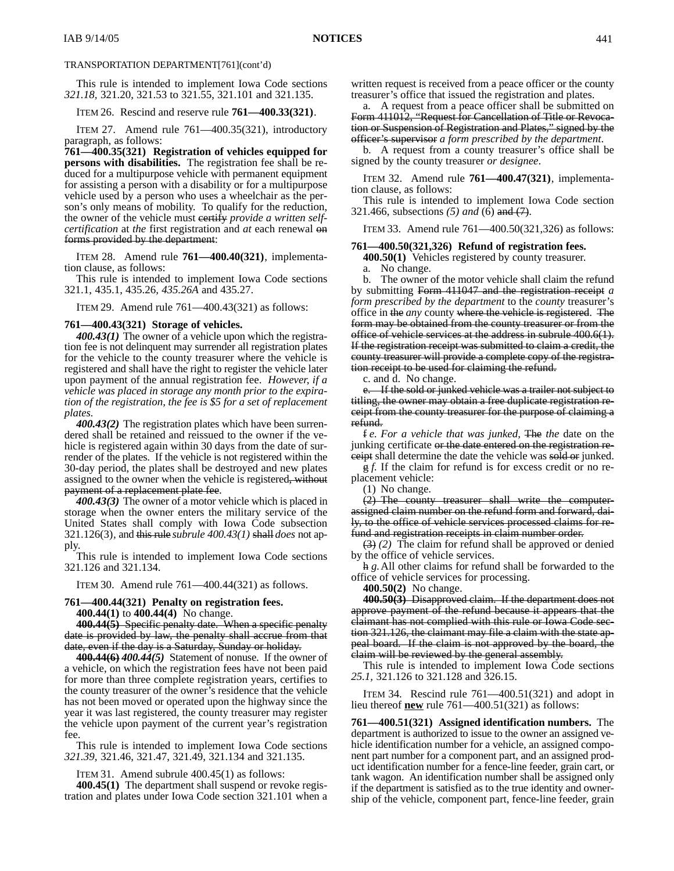This rule is intended to implement Iowa Code sections *321.18,* 321.20, 321.53 to 321.55, 321.101 and 321.135.

ITEM 26. Rescind and reserve rule **761—400.33(321)**.

ITEM 27. Amend rule 761—400.35(321), introductory paragraph, as follows:

**761—400.35(321) Registration of vehicles equipped for persons with disabilities.** The registration fee shall be reduced for a multipurpose vehicle with permanent equipment for assisting a person with a disability or for a multipurpose vehicle used by a person who uses a wheelchair as the person's only means of mobility. To qualify for the reduction, the owner of the vehicle must certify *provide a written selfcertification* at *the* first registration and *at* each renewal on forms provided by the department:

ITEM 28. Amend rule **761—400.40(321)**, implementation clause, as follows:

This rule is intended to implement Iowa Code sections 321.1, 435.1, 435.26*, 435.26A* and 435.27.

ITEM 29. Amend rule 761—400.43(321) as follows:

#### **761—400.43(321) Storage of vehicles.**

*400.43(1)* The owner of a vehicle upon which the registration fee is not delinquent may surrender all registration plates for the vehicle to the county treasurer where the vehicle is registered and shall have the right to register the vehicle later upon payment of the annual registration fee. *However, if a vehicle was placed in storage any month prior to the expiration of the registration, the fee is \$5 for a set of replacement plates.*

*400.43(2)* The registration plates which have been surrendered shall be retained and reissued to the owner if the vehicle is registered again within 30 days from the date of surrender of the plates. If the vehicle is not registered within the 30-day period, the plates shall be destroyed and new plates assigned to the owner when the vehicle is registered, without payment of a replacement plate fee.

*400.43(3)* The owner of a motor vehicle which is placed in storage when the owner enters the military service of the United States shall comply with Iowa Code subsection 321.126(3)*,* and this rule *subrule 400.43(1)* shall *does* not apply.

This rule is intended to implement Iowa Code sections 321.126 and 321.134.

ITEM 30. Amend rule 761—400.44(321) as follows.

### **761—400.44(321) Penalty on registration fees. 400.44(1)** to **400.44(4)** No change.

**400.44(5)** Specific penalty date. When a specific penalty date is provided by law, the penalty shall accrue from that date, even if the day is a Saturday, Sunday or holiday.

**400.44(6)** *400.44(5)* Statement of nonuse. If the owner of a vehicle, on which the registration fees have not been paid for more than three complete registration years, certifies to the county treasurer of the owner's residence that the vehicle has not been moved or operated upon the highway since the year it was last registered, the county treasurer may register the vehicle upon payment of the current year's registration fee.

This rule is intended to implement Iowa Code sections *321.39,* 321.46, 321.47, 321.49, 321.134 and 321.135.

ITEM 31. Amend subrule 400.45(1) as follows:

**400.45(1)** The department shall suspend or revoke registration and plates under Iowa Code section 321.101 when a written request is received from a peace officer or the county treasurer's office that issued the registration and plates.

a. A request from a peace officer shall be submitted on Form 411012, "Request for Cancellation of Title or Revocation or Suspension of Registration and Plates," signed by the officer's supervisor *a form prescribed by the department*.

b. A request from a county treasurer's office shall be signed by the county treasurer *or designee*.

ITEM 32. Amend rule **761—400.47(321)**, implementation clause, as follows:

This rule is intended to implement Iowa Code section 321.466, subsections *(5) and* (6) and (7).

ITEM 33. Amend rule 761—400.50(321,326) as follows:

#### **761—400.50(321,326) Refund of registration fees.**

**400.50(1)** Vehicles registered by county treasurer.

a. No change.

b. The owner of the motor vehicle shall claim the refund by submitting Form 411047 and the registration receipt *a form prescribed by the department* to the *county* treasurer's office in the *any* county where the vehicle is registered. The form may be obtained from the county treasurer or from the office of vehicle services at the address in subrule 400.6(1). If the registration receipt was submitted to claim a credit, the county treasurer will provide a complete copy of the registration receipt to be used for claiming the refund.

c. and d. No change.

e. If the sold or junked vehicle was a trailer not subject to titling, the owner may obtain a free duplicate registration receipt from the county treasurer for the purpose of claiming a refund.

f *e. For a vehicle that was junked,* The *the* date on the junking certificate or the date entered on the registration receipt shall determine the date the vehicle was sold or junked.

g *f.* If the claim for refund is for excess credit or no replacement vehicle:

(1) No change.

(2) The county treasurer shall write the computerassigned claim number on the refund form and forward, daily, to the office of vehicle services processed claims for refund and registration receipts in claim number order.

(3) *(2)* The claim for refund shall be approved or denied by the office of vehicle services.

h *g.*All other claims for refund shall be forwarded to the office of vehicle services for processing.

**400.50(2)** No change.

**400.50(3)** Disapproved claim. If the department does not approve payment of the refund because it appears that the claimant has not complied with this rule or Iowa Code section 321.126, the claimant may file a claim with the state appeal board. If the claim is not approved by the board, the claim will be reviewed by the general assembly.

This rule is intended to implement Iowa Code sections *25.1,* 321.126 to 321.128 and 326.15.

ITEM 34. Rescind rule 761—400.51(321) and adopt in lieu thereof **new** rule 761—400.51(321) as follows:

**761—400.51(321) Assigned identification numbers.** The department is authorized to issue to the owner an assigned vehicle identification number for a vehicle, an assigned component part number for a component part, and an assigned product identification number for a fence-line feeder, grain cart, or tank wagon. An identification number shall be assigned only if the department is satisfied as to the true identity and ownership of the vehicle, component part, fence-line feeder, grain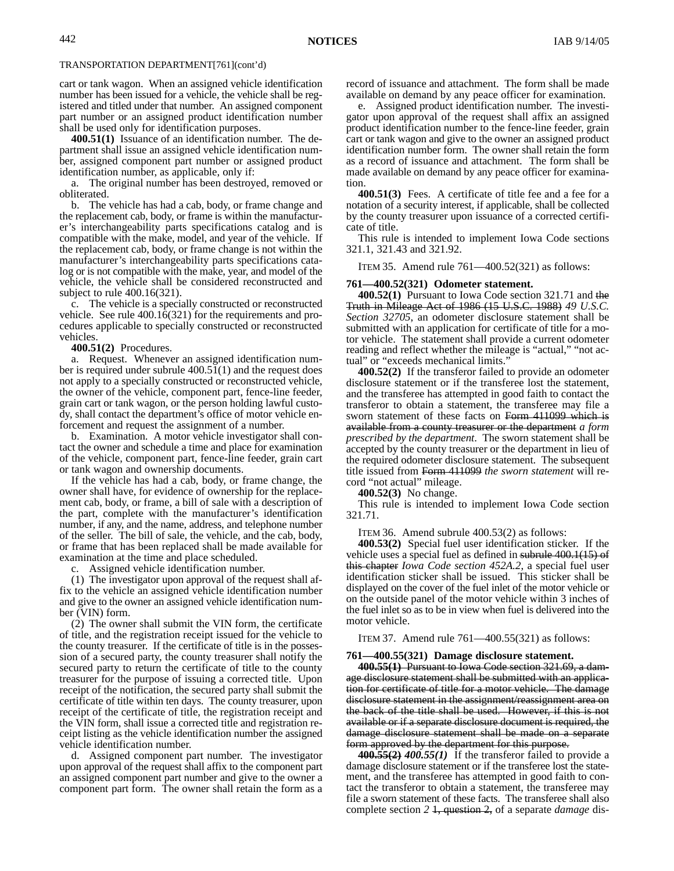cart or tank wagon. When an assigned vehicle identification number has been issued for a vehicle, the vehicle shall be registered and titled under that number. An assigned component part number or an assigned product identification number shall be used only for identification purposes.

**400.51(1)** Issuance of an identification number. The department shall issue an assigned vehicle identification number, assigned component part number or assigned product identification number, as applicable, only if:

a. The original number has been destroyed, removed or obliterated.

b. The vehicle has had a cab, body, or frame change and the replacement cab, body, or frame is within the manufacturer's interchangeability parts specifications catalog and is compatible with the make, model, and year of the vehicle. If the replacement cab, body, or frame change is not within the manufacturer's interchangeability parts specifications catalog or is not compatible with the make, year, and model of the vehicle, the vehicle shall be considered reconstructed and subject to rule 400.16(321).

c. The vehicle is a specially constructed or reconstructed vehicle. See rule 400.16(321) for the requirements and procedures applicable to specially constructed or reconstructed vehicles.

**400.51(2)** Procedures.

a. Request. Whenever an assigned identification number is required under subrule 400.51(1) and the request does not apply to a specially constructed or reconstructed vehicle, the owner of the vehicle, component part, fence-line feeder, grain cart or tank wagon, or the person holding lawful custody, shall contact the department's office of motor vehicle enforcement and request the assignment of a number.

b. Examination. A motor vehicle investigator shall contact the owner and schedule a time and place for examination of the vehicle, component part, fence-line feeder, grain cart or tank wagon and ownership documents.

If the vehicle has had a cab, body, or frame change, the owner shall have, for evidence of ownership for the replacement cab, body, or frame, a bill of sale with a description of the part, complete with the manufacturer's identification number, if any, and the name, address, and telephone number of the seller. The bill of sale, the vehicle, and the cab, body, or frame that has been replaced shall be made available for examination at the time and place scheduled.

c. Assigned vehicle identification number.

(1) The investigator upon approval of the request shall affix to the vehicle an assigned vehicle identification number and give to the owner an assigned vehicle identification number (VIN) form.

(2) The owner shall submit the VIN form, the certificate of title, and the registration receipt issued for the vehicle to the county treasurer. If the certificate of title is in the possession of a secured party, the county treasurer shall notify the secured party to return the certificate of title to the county treasurer for the purpose of issuing a corrected title. Upon receipt of the notification, the secured party shall submit the certificate of title within ten days. The county treasurer, upon receipt of the certificate of title, the registration receipt and the VIN form, shall issue a corrected title and registration receipt listing as the vehicle identification number the assigned vehicle identification number.

d. Assigned component part number. The investigator upon approval of the request shall affix to the component part an assigned component part number and give to the owner a component part form. The owner shall retain the form as a record of issuance and attachment. The form shall be made available on demand by any peace officer for examination.

e. Assigned product identification number. The investigator upon approval of the request shall affix an assigned product identification number to the fence-line feeder, grain cart or tank wagon and give to the owner an assigned product identification number form. The owner shall retain the form as a record of issuance and attachment. The form shall be made available on demand by any peace officer for examination.

**400.51(3)** Fees. A certificate of title fee and a fee for a notation of a security interest, if applicable, shall be collected by the county treasurer upon issuance of a corrected certificate of title.

This rule is intended to implement Iowa Code sections 321.1, 321.43 and 321.92.

ITEM 35. Amend rule 761—400.52(321) as follows:

#### **761—400.52(321) Odometer statement.**

**400.52(1)** Pursuant to Iowa Code section 321.71 and the Truth in Mileage Act of 1986 (15 U.S.C. 1988) *49 U.S.C. Section 32705*, an odometer disclosure statement shall be submitted with an application for certificate of title for a motor vehicle. The statement shall provide a current odometer reading and reflect whether the mileage is "actual," "not actual" or "exceeds mechanical limits."

**400.52(2)** If the transferor failed to provide an odometer disclosure statement or if the transferee lost the statement, and the transferee has attempted in good faith to contact the transferor to obtain a statement, the transferee may file a sworn statement of these facts on Form 411099 which is available from a county treasurer or the department *a form prescribed by the department*. The sworn statement shall be accepted by the county treasurer or the department in lieu of the required odometer disclosure statement. The subsequent title issued from Form 411099 *the sworn statement* will record "not actual" mileage.

**400.52(3)** No change.

This rule is intended to implement Iowa Code section 321.71.

ITEM 36. Amend subrule 400.53(2) as follows:

**400.53(2)** Special fuel user identification sticker. If the vehicle uses a special fuel as defined in subrule 400.1(15) of this chapter *Iowa Code section 452A.2*, a special fuel user identification sticker shall be issued. This sticker shall be displayed on the cover of the fuel inlet of the motor vehicle or on the outside panel of the motor vehicle within 3 inches of the fuel inlet so as to be in view when fuel is delivered into the motor vehicle.

ITEM 37. Amend rule 761—400.55(321) as follows:

**761—400.55(321) Damage disclosure statement.**

**400.55(1)** Pursuant to Iowa Code section 321.69, a damage disclosure statement shall be submitted with an application for certificate of title for a motor vehicle. The damage disclosure statement in the assignment/reassignment area on the back of the title shall be used. However, if this is not available or if a separate disclosure document is required, the damage disclosure statement shall be made on a separate form approved by the department for this purpose.

**400.55(2)** *400.55(1)* If the transferor failed to provide a damage disclosure statement or if the transferee lost the statement, and the transferee has attempted in good faith to contact the transferor to obtain a statement, the transferee may file a sworn statement of these facts. The transferee shall also complete section *2* 1, question 2, of a separate *damage* dis-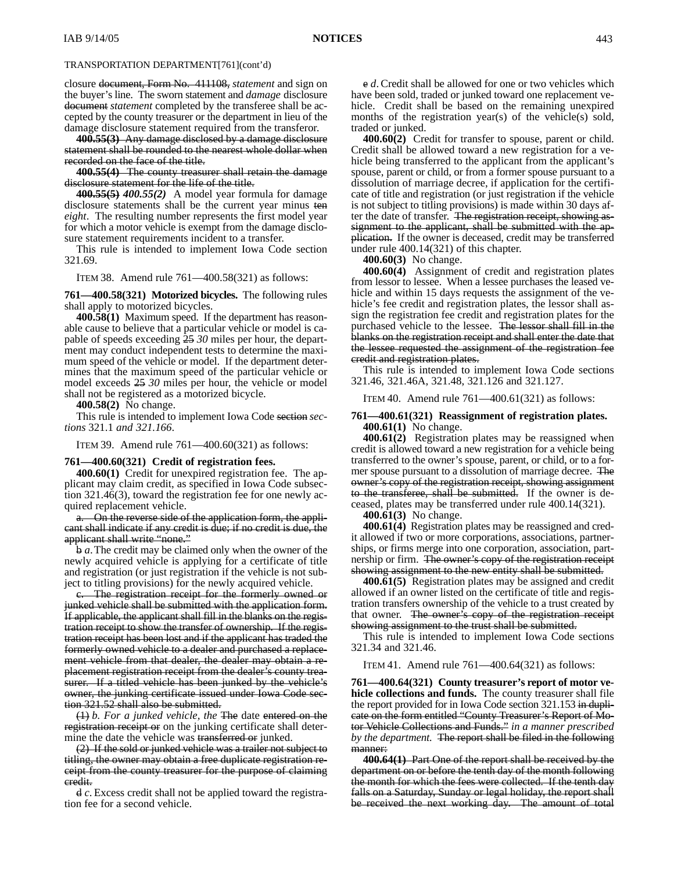closure document, Form No. 411108, *statement* and sign on the buyer's line. The sworn statement and *damage* disclosure document *statement* completed by the transferee shall be accepted by the county treasurer or the department in lieu of the damage disclosure statement required from the transferor.

**400.55(3)** Any damage disclosed by a damage disclosure statement shall be rounded to the nearest whole dollar when recorded on the face of the title.

**400.55(4)** The county treasurer shall retain the damage disclosure statement for the life of the title.

**400.55(5)** *400.55(2)* A model year formula for damage disclosure statements shall be the current year minus ten *eight*. The resulting number represents the first model year for which a motor vehicle is exempt from the damage disclosure statement requirements incident to a transfer.

This rule is intended to implement Iowa Code section 321.69.

ITEM 38. Amend rule 761—400.58(321) as follows:

**761—400.58(321) Motorized bicycles.** The following rules shall apply to motorized bicycles.

**400.58(1)** Maximum speed. If the department has reasonable cause to believe that a particular vehicle or model is capable of speeds exceeding 25 *30* miles per hour, the department may conduct independent tests to determine the maximum speed of the vehicle or model. If the department determines that the maximum speed of the particular vehicle or model exceeds 25 *30* miles per hour, the vehicle or model shall not be registered as a motorized bicycle.

**400.58(2)** No change.

This rule is intended to implement Iowa Code section *sections* 321.1 *and 321.166*.

ITEM 39. Amend rule 761—400.60(321) as follows:

#### **761—400.60(321) Credit of registration fees.**

**400.60(1)** Credit for unexpired registration fee. The applicant may claim credit, as specified in Iowa Code subsection 321.46(3), toward the registration fee for one newly acquired replacement vehicle.

a. On the reverse side of the application form, the applicant shall indicate if any credit is due; if no credit is due, the applicant shall write "none."

b *a*.The credit may be claimed only when the owner of the newly acquired vehicle is applying for a certificate of title and registration (or just registration if the vehicle is not subject to titling provisions) for the newly acquired vehicle.

c. The registration receipt for the formerly owned or junked vehicle shall be submitted with the application form. If applicable, the applicant shall fill in the blanks on the registration receipt to show the transfer of ownership. If the registration receipt has been lost and if the applicant has traded the formerly owned vehicle to a dealer and purchased a replacement vehicle from that dealer, the dealer may obtain a replacement registration receipt from the dealer's county treasurer. If a titled vehicle has been junked by the vehicle's owner, the junking certificate issued under Iowa Code section 321.52 shall also be submitted.

(1) *b. For a junked vehicle, the* The date entered on the registration receipt or on the junking certificate shall determine the date the vehicle was transferred or junked.

(2) If the sold or junked vehicle was a trailer not subject to titling, the owner may obtain a free duplicate registration receipt from the county treasurer for the purpose of claiming credit.

d *c*. Excess credit shall not be applied toward the registration fee for a second vehicle.

e *d*. Credit shall be allowed for one or two vehicles which have been sold, traded or junked toward one replacement vehicle. Credit shall be based on the remaining unexpired months of the registration year(s) of the vehicle(s) sold, traded or junked.

**400.60(2)** Credit for transfer to spouse, parent or child. Credit shall be allowed toward a new registration for a vehicle being transferred to the applicant from the applicant's spouse, parent or child, or from a former spouse pursuant to a dissolution of marriage decree, if application for the certificate of title and registration (or just registration if the vehicle is not subject to titling provisions) is made within 30 days after the date of transfer. The registration receipt, showing assignment to the applicant, shall be submitted with the application. If the owner is deceased, credit may be transferred under rule 400.14(321) of this chapter.

**400.60(3)** No change.

**400.60(4)** Assignment of credit and registration plates from lessor to lessee. When a lessee purchases the leased vehicle and within 15 days requests the assignment of the vehicle's fee credit and registration plates, the lessor shall assign the registration fee credit and registration plates for the purchased vehicle to the lessee. The lessor shall fill in the blanks on the registration receipt and shall enter the date that the lessee requested the assignment of the registration fee credit and registration plates.

This rule is intended to implement Iowa Code sections 321.46, 321.46A, 321.48, 321.126 and 321.127.

ITEM 40. Amend rule 761—400.61(321) as follows:

### **761—400.61(321) Reassignment of registration plates. 400.61(1)** No change.

**400.61(2)** Registration plates may be reassigned when credit is allowed toward a new registration for a vehicle being transferred to the owner's spouse, parent, or child, or to a former spouse pursuant to a dissolution of marriage decree. The owner's copy of the registration receipt, showing assignment to the transferee, shall be submitted. If the owner is deceased, plates may be transferred under rule 400.14(321).

**400.61(3)** No change.

**400.61(4)** Registration plates may be reassigned and credit allowed if two or more corporations, associations, partnerships, or firms merge into one corporation, association, partnership or firm. The owner's copy of the registration receipt showing assignment to the new entity shall be submitted.

**400.61(5)** Registration plates may be assigned and credit allowed if an owner listed on the certificate of title and registration transfers ownership of the vehicle to a trust created by that owner. The owner's copy of the registration receipt showing assignment to the trust shall be submitted.

This rule is intended to implement Iowa Code sections 321.34 and 321.46.

ITEM 41. Amend rule 761—400.64(321) as follows:

**761—400.64(321) County treasurer's report of motor vehicle collections and funds.** The county treasurer shall file the report provided for in Iowa Code section 321.153 in duplicate on the form entitled "County Treasurer's Report of Motor Vehicle Collections and Funds." *in a manner prescribed by the department.* The report shall be filed in the following manner:

**400.64(1)** Part One of the report shall be received by the department on or before the tenth day of the month following the month for which the fees were collected. If the tenth day falls on a Saturday, Sunday or legal holiday, the report shall be received the next working day. The amount of total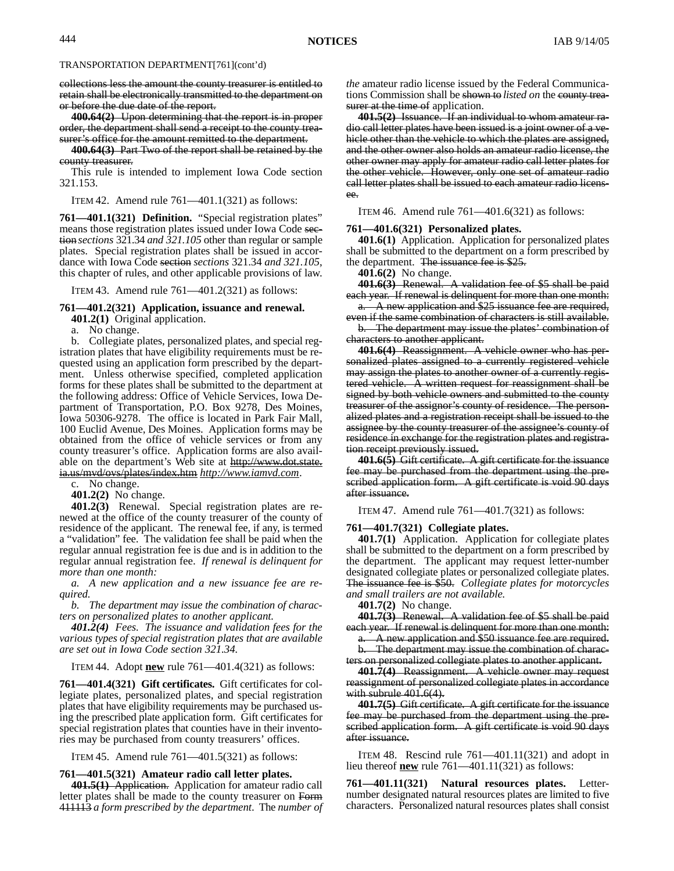collections less the amount the county treasurer is entitled to retain shall be electronically transmitted to the department on or before the due date of the report.

**400.64(2)** Upon determining that the report is in proper order, the department shall send a receipt to the county treasurer's office for the amount remitted to the department.

**400.64(3)** Part Two of the report shall be retained by the county treasurer.

This rule is intended to implement Iowa Code section 321.153.

ITEM 42. Amend rule 761—401.1(321) as follows:

**761—401.1(321) Definition.** "Special registration plates" means those registration plates issued under Iowa Code section *sections* 321.34 *and 321.105* other than regular or sample plates. Special registration plates shall be issued in accordance with Iowa Code section *sections* 321.34 *and 321.105*, this chapter of rules, and other applicable provisions of law.

ITEM 43. Amend rule 761—401.2(321) as follows:

### **761—401.2(321) Application, issuance and renewal.**

**401.2(1)** Original application.

a. No change.

b. Collegiate plates, personalized plates, and special registration plates that have eligibility requirements must be requested using an application form prescribed by the department. Unless otherwise specified, completed application forms for these plates shall be submitted to the department at the following address: Office of Vehicle Services, Iowa Department of Transportation, P.O. Box 9278, Des Moines, Iowa 50306-9278. The office is located in Park Fair Mall, 100 Euclid Avenue, Des Moines. Application forms may be obtained from the office of vehicle services or from any county treasurer's office. Application forms are also available on the department's Web site at http://www.dot.state. ia.us/mvd/ovs/plates/index.htm *http://www.iamvd.com*.

c. No change.

**401.2(2)** No change.

**401.2(3)** Renewal. Special registration plates are renewed at the office of the county treasurer of the county of residence of the applicant. The renewal fee, if any, is termed a "validation" fee. The validation fee shall be paid when the regular annual registration fee is due and is in addition to the regular annual registration fee. *If renewal is delinquent for more than one month:*

*a. A new application and a new issuance fee are required.*

*b. The department may issue the combination of characters on personalized plates to another applicant.*

*401.2(4) Fees. The issuance and validation fees for the various types of special registration plates that are available are set out in Iowa Code section 321.34.*

ITEM 44. Adopt **new** rule 761—401.4(321) as follows:

**761—401.4(321) Gift certificates.** Gift certificates for collegiate plates, personalized plates, and special registration plates that have eligibility requirements may be purchased using the prescribed plate application form. Gift certificates for special registration plates that counties have in their inventories may be purchased from county treasurers' offices.

ITEM 45. Amend rule 761—401.5(321) as follows:

#### **761—401.5(321) Amateur radio call letter plates.**

**401.5(1)** Application. Application for amateur radio call letter plates shall be made to the county treasurer on Form 411113 *a form prescribed by the department*. The *number of* *the* amateur radio license issued by the Federal Communications Commission shall be shown to *listed on* the county treasurer at the time of application.

**401.5(2)** Issuance. If an individual to whom amateur radio call letter plates have been issued is a joint owner of a vehicle other than the vehicle to which the plates are assigned, and the other owner also holds an amateur radio license, the other owner may apply for amateur radio call letter plates for the other vehicle. However, only one set of amateur radio call letter plates shall be issued to each amateur radio licensee.

ITEM 46. Amend rule 761—401.6(321) as follows:

#### **761—401.6(321) Personalized plates.**

**401.6(1)** Application. Application for personalized plates shall be submitted to the department on a form prescribed by the department. The issuance fee is \$25.

**401.6(2)** No change.

**401.6(3)** Renewal. A validation fee of \$5 shall be paid each year. If renewal is delinquent for more than one month:

a. A new application and \$25 issuance fee are required, even if the same combination of characters is still available.

b. The department may issue the plates' combination of characters to another applicant.

**401.6(4)** Reassignment. A vehicle owner who has personalized plates assigned to a currently registered vehicle may assign the plates to another owner of a currently registered vehicle. A written request for reassignment shall be signed by both vehicle owners and submitted to the county treasurer of the assignor's county of residence. The personalized plates and a registration receipt shall be issued to the assignee by the county treasurer of the assignee's county of residence in exchange for the registration plates and registration receipt previously issued.

**401.6(5)** Gift certificate. A gift certificate for the issuance fee may be purchased from the department using the prescribed application form. A gift certificate is void 90 days after issuance.

ITEM 47. Amend rule 761—401.7(321) as follows:

#### **761—401.7(321) Collegiate plates.**

**401.7(1)** Application. Application for collegiate plates shall be submitted to the department on a form prescribed by the department. The applicant may request letter-number designated collegiate plates or personalized collegiate plates. The issuance fee is \$50. *Collegiate plates for motorcycles and small trailers are not available.*

**401.7(2)** No change.

**401.7(3)** Renewal. A validation fee of \$5 shall be paid each year. If renewal is delinquent for more than one month:

a. A new application and \$50 issuance fee are required. b. The department may issue the combination of charac-

ters on personalized collegiate plates to another applicant.

**401.7(4)** Reassignment. A vehicle owner may request reassignment of personalized collegiate plates in accordance with subrule 401.6(4).

**401.7(5)** Gift certificate. A gift certificate for the issuance fee may be purchased from the department using the prescribed application form. A gift certificate is void 90 days after issuance.

ITEM 48. Rescind rule 761—401.11(321) and adopt in lieu thereof **new** rule 761—401.11(321) as follows:

**761—401.11(321) Natural resources plates.** Letternumber designated natural resources plates are limited to five characters. Personalized natural resources plates shall consist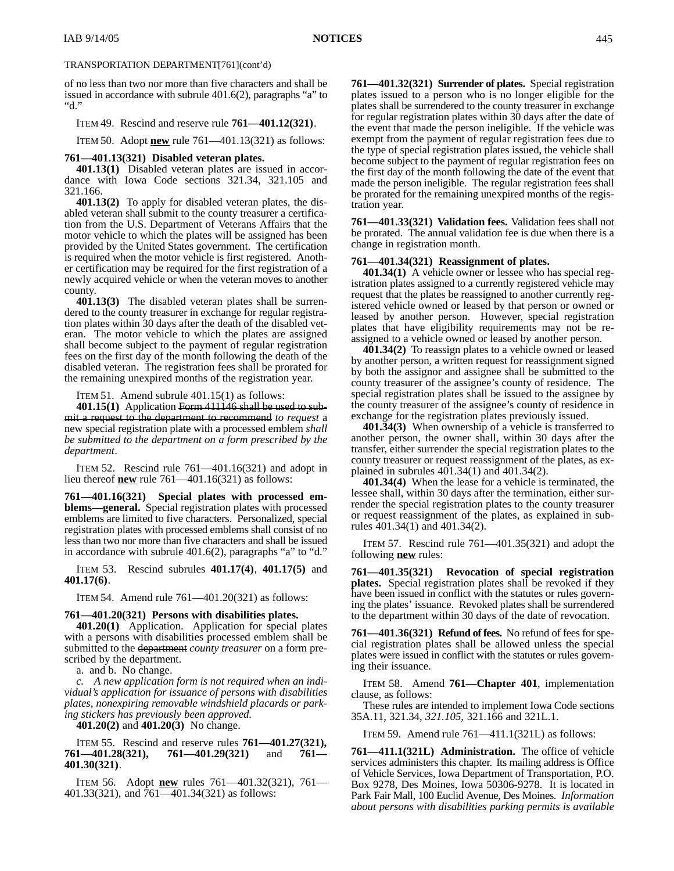## TRANSPORTATION DEPARTMENT[761](cont'd)

of no less than two nor more than five characters and shall be issued in accordance with subrule 401.6(2), paragraphs "a" to "d."

#### ITEM 49. Rescind and reserve rule **761—401.12(321)**.

ITEM 50. Adopt **new** rule 761—401.13(321) as follows:

#### **761—401.13(321) Disabled veteran plates.**

**401.13(1)** Disabled veteran plates are issued in accordance with Iowa Code sections 321.34, 321.105 and 321.166.

**401.13(2)** To apply for disabled veteran plates, the disabled veteran shall submit to the county treasurer a certification from the U.S. Department of Veterans Affairs that the motor vehicle to which the plates will be assigned has been provided by the United States government. The certification is required when the motor vehicle is first registered. Another certification may be required for the first registration of a newly acquired vehicle or when the veteran moves to another county.

**401.13(3)** The disabled veteran plates shall be surrendered to the county treasurer in exchange for regular registration plates within 30 days after the death of the disabled veteran. The motor vehicle to which the plates are assigned shall become subject to the payment of regular registration fees on the first day of the month following the death of the disabled veteran. The registration fees shall be prorated for the remaining unexpired months of the registration year.

ITEM 51. Amend subrule 401.15(1) as follows:

**401.15(1)** Application Form 411146 shall be used to submit a request to the department to recommend *to request* a new special registration plate with a processed emblem *shall be submitted to the department on a form prescribed by the department*.

ITEM 52. Rescind rule 761—401.16(321) and adopt in lieu thereof **new** rule 761—401.16(321) as follows:

**761—401.16(321) Special plates with processed emblems—general.** Special registration plates with processed emblems are limited to five characters. Personalized, special registration plates with processed emblems shall consist of no less than two nor more than five characters and shall be issued in accordance with subrule 401.6(2), paragraphs "a" to "d."

ITEM 53. Rescind subrules **401.17(4)**, **401.17(5)** and **401.17(6)**.

ITEM 54. Amend rule 761—401.20(321) as follows:

## **761—401.20(321) Persons with disabilities plates.**

**401.20(1)** Application. Application for special plates with a persons with disabilities processed emblem shall be submitted to the department *county treasurer* on a form prescribed by the department.

a. and b. No change.

*c. A new application form is not required when an individual's application for issuance of persons with disabilities plates, nonexpiring removable windshield placards or parking stickers has previously been approved.*

**401.20(2)** and **401.20(3)** No change.

### ITEM 55. Rescind and reserve rules **761—401.27(321), 761—401.28(321), 761—401.29(321)** and **761— 401.30(321)**.

ITEM 56. Adopt **new** rules 761—401.32(321), 761— 401.33(321), and 761—401.34(321) as follows:

**761—401.32(321) Surrender of plates.** Special registration plates issued to a person who is no longer eligible for the plates shall be surrendered to the county treasurer in exchange for regular registration plates within 30 days after the date of the event that made the person ineligible. If the vehicle was exempt from the payment of regular registration fees due to the type of special registration plates issued, the vehicle shall become subject to the payment of regular registration fees on the first day of the month following the date of the event that made the person ineligible. The regular registration fees shall be prorated for the remaining unexpired months of the registration year.

**761—401.33(321) Validation fees.** Validation fees shall not be prorated. The annual validation fee is due when there is a change in registration month.

#### **761—401.34(321) Reassignment of plates.**

**401.34(1)** A vehicle owner or lessee who has special registration plates assigned to a currently registered vehicle may request that the plates be reassigned to another currently registered vehicle owned or leased by that person or owned or leased by another person. However, special registration plates that have eligibility requirements may not be reassigned to a vehicle owned or leased by another person.

**401.34(2)** To reassign plates to a vehicle owned or leased by another person, a written request for reassignment signed by both the assignor and assignee shall be submitted to the county treasurer of the assignee's county of residence. The special registration plates shall be issued to the assignee by the county treasurer of the assignee's county of residence in exchange for the registration plates previously issued.

**401.34(3)** When ownership of a vehicle is transferred to another person, the owner shall, within 30 days after the transfer, either surrender the special registration plates to the county treasurer or request reassignment of the plates, as explained in subrules 401.34(1) and 401.34(2).

**401.34(4)** When the lease for a vehicle is terminated, the lessee shall, within 30 days after the termination, either surrender the special registration plates to the county treasurer or request reassignment of the plates, as explained in subrules 401.34(1) and 401.34(2).

ITEM 57. Rescind rule 761—401.35(321) and adopt the following **new** rules:

**761—401.35(321) Revocation of special registration plates.** Special registration plates shall be revoked if they have been issued in conflict with the statutes or rules governing the plates' issuance. Revoked plates shall be surrendered to the department within 30 days of the date of revocation.

**761—401.36(321) Refund of fees.** No refund of fees for special registration plates shall be allowed unless the special plates were issued in conflict with the statutes or rules governing their issuance.

#### ITEM 58. Amend **761—Chapter 401**, implementation clause, as follows:

These rules are intended to implement Iowa Code sections 35A.11, 321.34, *321.105,* 321.166 and 321L.1.

ITEM 59. Amend rule 761—411.1(321L) as follows:

**761—411.1(321L) Administration.** The office of vehicle services administers this chapter. Its mailing address is Office of Vehicle Services, Iowa Department of Transportation, P.O. Box 9278, Des Moines, Iowa 50306-9278. It is located in Park Fair Mall, 100 Euclid Avenue, Des Moines. *Information about persons with disabilities parking permits is available*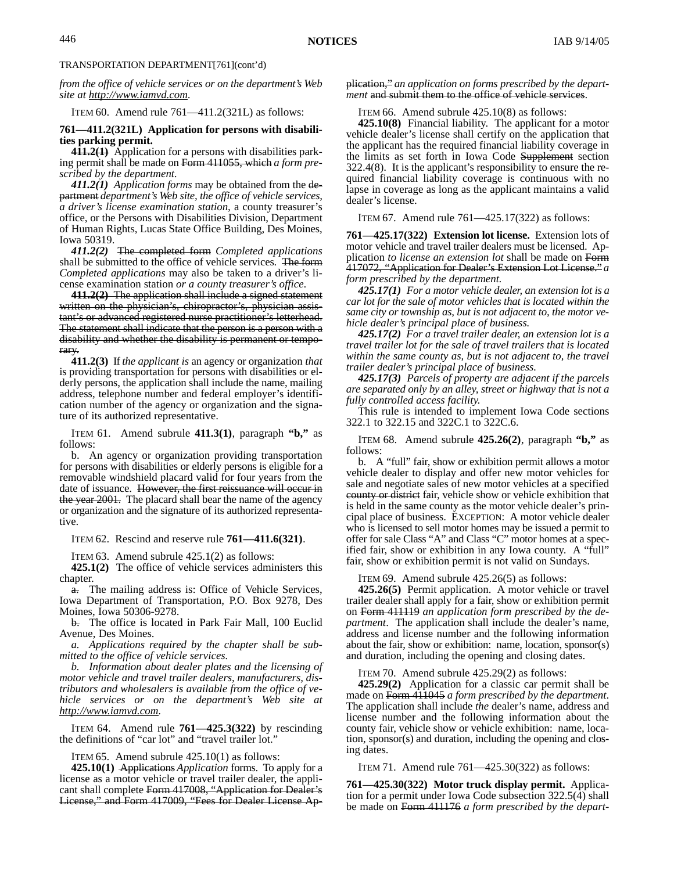*from the office of vehicle services or on the department's Web site at http://www.iamvd.com.*

ITEM 60. Amend rule 761—411.2(321L) as follows:

#### **761—411.2(321L) Application for persons with disabilities parking permit.**

**411.2(1)** Application for a persons with disabilities parking permit shall be made on Form 411055, which *a form prescribed by the department.*

*411.2(1) Application forms* may be obtained from the department *department's Web site, the office of vehicle services, a driver's license examination station,* a county treasurer's office, or the Persons with Disabilities Division, Department of Human Rights, Lucas State Office Building, Des Moines, Iowa 50319.

*411.2(2)* The completed form *Completed applications* shall be submitted to the office of vehicle services. The form *Completed applications* may also be taken to a driver's license examination station *or a county treasurer's office*.

**411.2(2)** The application shall include a signed statement written on the physician's, chiropractor's, physician assistant's or advanced registered nurse practitioner's letterhead. The statement shall indicate that the person is a person with a disability and whether the disability is permanent or temporary.

**411.2(3)** If *the applicant is* an agency or organization *that* is providing transportation for persons with disabilities or elderly persons, the application shall include the name, mailing address, telephone number and federal employer's identification number of the agency or organization and the signature of its authorized representative.

ITEM 61. Amend subrule **411.3(1)**, paragraph **"b,"** as follows:

b. An agency or organization providing transportation for persons with disabilities or elderly persons is eligible for a removable windshield placard valid for four years from the date of issuance. However, the first reissuance will occur in the year 2001. The placard shall bear the name of the agency or organization and the signature of its authorized representative.

ITEM 62. Rescind and reserve rule **761—411.6(321)**.

ITEM 63. Amend subrule 425.1(2) as follows:

**425.1(2)** The office of vehicle services administers this chapter.

a. The mailing address is: Office of Vehicle Services, Iowa Department of Transportation, P.O. Box 9278, Des Moines, Iowa 50306-9278.

b. The office is located in Park Fair Mall, 100 Euclid Avenue, Des Moines.

*a. Applications required by the chapter shall be submitted to the office of vehicle services.*

*b. Information about dealer plates and the licensing of motor vehicle and travel trailer dealers, manufacturers, distributors and wholesalers is available from the office of vehicle services or on the department's Web site at http://www.iamvd.com.*

ITEM 64. Amend rule **761—425.3(322)** by rescinding the definitions of "car lot" and "travel trailer lot."

ITEM 65. Amend subrule 425.10(1) as follows:

**425.10(1)** Applications *Application* forms. To apply for a license as a motor vehicle or travel trailer dealer, the applicant shall complete Form 417008, "Application for Dealer's License," and Form 417009, "Fees for Dealer License Ap-

#### plication," *an application on forms prescribed by the department* and submit them to the office of vehicle services.

ITEM 66. Amend subrule 425.10(8) as follows:

**425.10(8)** Financial liability. The applicant for a motor vehicle dealer's license shall certify on the application that the applicant has the required financial liability coverage in the limits as set forth in Iowa Code Supplement section 322.4(8). It is the applicant's responsibility to ensure the required financial liability coverage is continuous with no lapse in coverage as long as the applicant maintains a valid dealer's license.

ITEM 67. Amend rule 761—425.17(322) as follows:

**761—425.17(322) Extension lot license.** Extension lots of motor vehicle and travel trailer dealers must be licensed. Application *to license an extension lot* shall be made on Form 417072, "Application for Dealer's Extension Lot License." *a form prescribed by the department.*

*425.17(1) For a motor vehicle dealer, an extension lot is a car lot for the sale of motor vehicles that is located within the same city or township as, but is not adjacent to, the motor vehicle dealer's principal place of business.*

*425.17(2) For a travel trailer dealer, an extension lot is a travel trailer lot for the sale of travel trailers that is located within the same county as, but is not adjacent to, the travel trailer dealer's principal place of business.*

*425.17(3) Parcels of property are adjacent if the parcels are separated only by an alley, street or highway that is not a fully controlled access facility.*

This rule is intended to implement Iowa Code sections 322.1 to 322.15 and 322C.1 to 322C.6.

ITEM 68. Amend subrule **425.26(2)**, paragraph **"b,"** as follows:

b. A "full" fair, show or exhibition permit allows a motor vehicle dealer to display and offer new motor vehicles for sale and negotiate sales of new motor vehicles at a specified county or district fair, vehicle show or vehicle exhibition that is held in the same county as the motor vehicle dealer's principal place of business. EXCEPTION: A motor vehicle dealer who is licensed to sell motor homes may be issued a permit to offer for sale Class "A" and Class "C" motor homes at a specified fair, show or exhibition in any Iowa county. A "full" fair, show or exhibition permit is not valid on Sundays.

ITEM 69. Amend subrule 425.26(5) as follows:

**425.26(5)** Permit application. A motor vehicle or travel trailer dealer shall apply for a fair, show or exhibition permit on Form 411119 *an application form prescribed by the department*. The application shall include the dealer's name, address and license number and the following information about the fair, show or exhibition: name, location, sponsor(s) and duration, including the opening and closing dates.

ITEM 70. Amend subrule 425.29(2) as follows:

**425.29(2)** Application for a classic car permit shall be made on Form 411045 *a form prescribed by the department*. The application shall include *the* dealer's name, address and license number and the following information about the county fair, vehicle show or vehicle exhibition: name, location, sponsor(s) and duration, including the opening and closing dates.

ITEM 71. Amend rule 761—425.30(322) as follows:

**761—425.30(322) Motor truck display permit.** Application for a permit under Iowa Code subsection 322.5(4) shall be made on Form 411176 *a form prescribed by the depart-*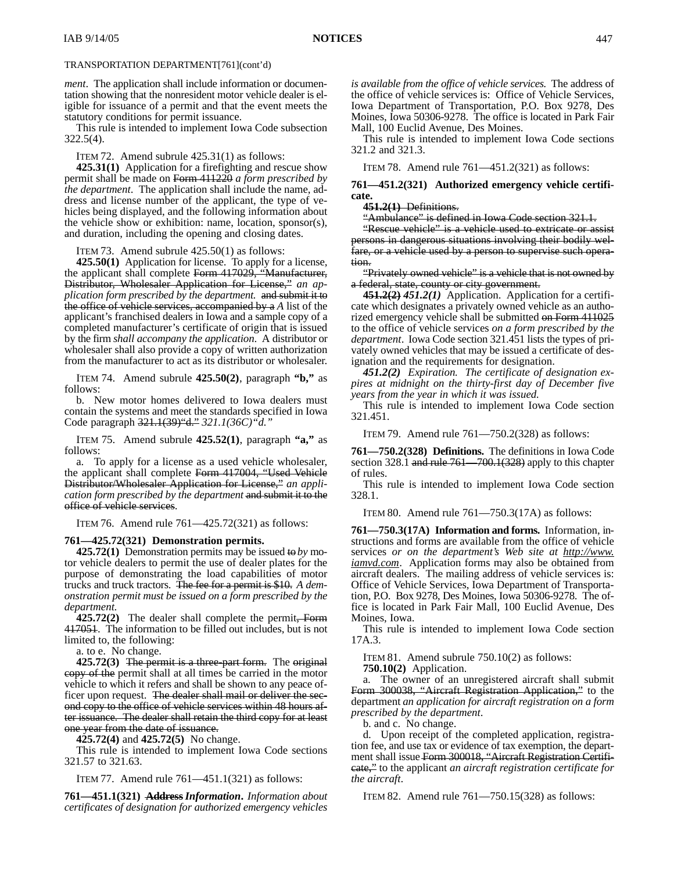*ment*. The application shall include information or documentation showing that the nonresident motor vehicle dealer is eligible for issuance of a permit and that the event meets the statutory conditions for permit issuance.

This rule is intended to implement Iowa Code subsection 322.5(4).

ITEM 72. Amend subrule 425.31(1) as follows:

**425.31(1)** Application for a firefighting and rescue show permit shall be made on Form 411220 *a form prescribed by the department*. The application shall include the name, address and license number of the applicant, the type of vehicles being displayed, and the following information about the vehicle show or exhibition: name, location, sponsor(s), and duration, including the opening and closing dates.

ITEM 73. Amend subrule 425.50(1) as follows:

**425.50(1)** Application for license. To apply for a license, the applicant shall complete Form 417029, "Manufacturer, Distributor, Wholesaler Application for License," *an application form prescribed by the department.* and submit it to the office of vehicle services, accompanied by a *A* list of the applicant's franchised dealers in Iowa and a sample copy of a completed manufacturer's certificate of origin that is issued by the firm *shall accompany the application*. A distributor or wholesaler shall also provide a copy of written authorization from the manufacturer to act as its distributor or wholesaler.

ITEM 74. Amend subrule **425.50(2)**, paragraph **"b,"** as follows:

b. New motor homes delivered to Iowa dealers must contain the systems and meet the standards specified in Iowa Code paragraph 321.1(39)"d." *321.1(36C)"d."*

ITEM 75. Amend subrule **425.52(1)**, paragraph **"a,"** as follows:

a. To apply for a license as a used vehicle wholesaler, the applicant shall complete Form 417004, "Used Vehicle Distributor/Wholesaler Application for License," *an application form prescribed by the department* and submit it to the office of vehicle services.

ITEM 76. Amend rule 761—425.72(321) as follows:

#### **761—425.72(321) Demonstration permits.**

**425.72(1)** Demonstration permits may be issued to *by* motor vehicle dealers to permit the use of dealer plates for the purpose of demonstrating the load capabilities of motor trucks and truck tractors. The fee for a permit is \$10. *A demonstration permit must be issued on a form prescribed by the department.*

**425.72(2)** The dealer shall complete the permit, Form 417051. The information to be filled out includes, but is not limited to, the following:

a. to e. No change.

**425.72(3)** The permit is a three-part form. The original copy of the permit shall at all times be carried in the motor vehicle to which it refers and shall be shown to any peace officer upon request. The dealer shall mail or deliver the second copy to the office of vehicle services within 48 hours after issuance. The dealer shall retain the third copy for at least one year from the date of issuance.

**425.72(4)** and **425.72(5)** No change.

This rule is intended to implement Iowa Code sections 321.57 to 321.63.

ITEM 77. Amend rule 761—451.1(321) as follows:

**761—451.1(321) Address***Information***.** *Information about certificates of designation for authorized emergency vehicles* *is available from the office of vehicle services.* The address of the office of vehicle services is: Office of Vehicle Services, Iowa Department of Transportation, P.O. Box 9278, Des Moines, Iowa 50306-9278. The office is located in Park Fair Mall, 100 Euclid Avenue, Des Moines.

This rule is intended to implement Iowa Code sections 321.2 and 321.3.

ITEM 78. Amend rule 761—451.2(321) as follows:

**761—451.2(321) Authorized emergency vehicle certificate.**

#### **451.2(1)** Definitions.

"Ambulance" is defined in Iowa Code section 321.1.

"Rescue vehicle" is a vehicle used to extricate or assist persons in dangerous situations involving their bodily welfare, or a vehicle used by a person to supervise such operation.

"Privately owned vehicle" is a vehicle that is not owned by a federal, state, county or city government.

**451.2(2)** *451.2(1)* Application. Application for a certificate which designates a privately owned vehicle as an authorized emergency vehicle shall be submitted on Form 411025 to the office of vehicle services *on a form prescribed by the department*. Iowa Code section 321.451 lists the types of privately owned vehicles that may be issued a certificate of designation and the requirements for designation.

*451.2(2) Expiration. The certificate of designation expires at midnight on the thirty-first day of December five years from the year in which it was issued.*

This rule is intended to implement Iowa Code section 321.451.

ITEM 79. Amend rule 761—750.2(328) as follows:

**761—750.2(328) Definitions.** The definitions in Iowa Code section 328.1 and rule 761—700.1(328) apply to this chapter of rules.

This rule is intended to implement Iowa Code section 328.1.

ITEM 80. Amend rule 761—750.3(17A) as follows:

**761—750.3(17A) Information and forms.** Information, instructions and forms are available from the office of vehicle services *or on the department's Web site at http://www. iamvd.com*. Application forms may also be obtained from aircraft dealers. The mailing address of vehicle services is: Office of Vehicle Services, Iowa Department of Transportation, P.O. Box 9278, Des Moines, Iowa 50306-9278. The office is located in Park Fair Mall, 100 Euclid Avenue, Des Moines, Iowa.

This rule is intended to implement Iowa Code section 17A.3.

ITEM 81. Amend subrule 750.10(2) as follows:

**750.10(2)** Application.

a. The owner of an unregistered aircraft shall submit Form 300038, "Aircraft Registration Application," to the department *an application for aircraft registration on a form prescribed by the department*.

b. and c. No change.

d. Upon receipt of the completed application, registration fee, and use tax or evidence of tax exemption, the department shall issue Form 300018, "Aircraft Registration Certificate," to the applicant *an aircraft registration certificate for the aircraft*.

ITEM 82. Amend rule 761—750.15(328) as follows: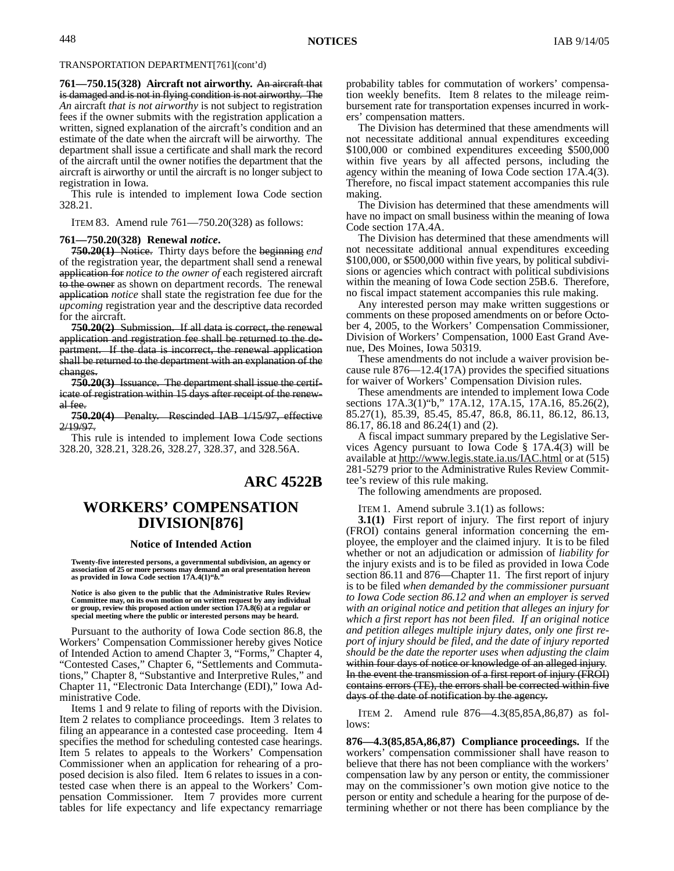### TRANSPORTATION DEPARTMENT[761](cont'd)

**761—750.15(328) Aircraft not airworthy.** An aircraft that is damaged and is not in flying condition is not airworthy. The *An* aircraft *that is not airworthy* is not subject to registration fees if the owner submits with the registration application a written, signed explanation of the aircraft's condition and an estimate of the date when the aircraft will be airworthy. The department shall issue a certificate and shall mark the record of the aircraft until the owner notifies the department that the aircraft is airworthy or until the aircraft is no longer subject to registration in Iowa.

This rule is intended to implement Iowa Code section 328.21.

ITEM 83. Amend rule 761—750.20(328) as follows:

#### **761—750.20(328) Renewal** *notice***.**

**750.20(1)** Notice. Thirty days before the beginning *end* of the registration year, the department shall send a renewal application for *notice to the owner of* each registered aircraft to the owner as shown on department records. The renewal application *notice* shall state the registration fee due for the *upcoming* registration year and the descriptive data recorded for the aircraft.

**750.20(2)** Submission. If all data is correct, the renewal application and registration fee shall be returned to the department. If the data is incorrect, the renewal application shall be returned to the department with an explanation of the changes.

**750.20(3)** Issuance. The department shall issue the certificate of registration within 15 days after receipt of the renewal fee.

**750.20(4)** Penalty. Rescinded IAB 1/15/97, effective 2/19/97.

This rule is intended to implement Iowa Code sections 328.20, 328.21, 328.26, 328.27, 328.37, and 328.56A.

## **ARC 4522B**

# **WORKERS' COMPENSATION DIVISION[876]**

#### **Notice of Intended Action**

**Twenty-five interested persons, a governmental subdivision, an agency or association of 25 or more persons may demand an oral presentation hereon as provided in Iowa Code section 17A.4(1)"***b.***"**

**Notice is also given to the public that the Administrative Rules Review Committee may, on its own motion or on written request by any individual or group, review this proposed action under section 17A.8(6) at a regular or special meeting where the public or interested persons may be heard.**

Pursuant to the authority of Iowa Code section 86.8, the Workers' Compensation Commissioner hereby gives Notice of Intended Action to amend Chapter 3, "Forms," Chapter 4, "Contested Cases," Chapter 6, "Settlements and Commutations," Chapter 8, "Substantive and Interpretive Rules," and Chapter 11, "Electronic Data Interchange (EDI)," Iowa Administrative Code.

Items 1 and 9 relate to filing of reports with the Division. Item 2 relates to compliance proceedings. Item 3 relates to filing an appearance in a contested case proceeding. Item 4 specifies the method for scheduling contested case hearings. Item 5 relates to appeals to the Workers' Compensation Commissioner when an application for rehearing of a proposed decision is also filed. Item 6 relates to issues in a contested case when there is an appeal to the Workers' Compensation Commissioner. Item 7 provides more current tables for life expectancy and life expectancy remarriage probability tables for commutation of workers' compensation weekly benefits. Item 8 relates to the mileage reimbursement rate for transportation expenses incurred in workers' compensation matters.

The Division has determined that these amendments will not necessitate additional annual expenditures exceeding \$100,000 or combined expenditures exceeding \$500,000 within five years by all affected persons, including the agency within the meaning of Iowa Code section 17A.4(3). Therefore, no fiscal impact statement accompanies this rule making.

The Division has determined that these amendments will have no impact on small business within the meaning of Iowa Code section 17A.4A.

The Division has determined that these amendments will not necessitate additional annual expenditures exceeding \$100,000, or \$500,000 within five years, by political subdivisions or agencies which contract with political subdivisions within the meaning of Iowa Code section 25B.6. Therefore, no fiscal impact statement accompanies this rule making.

Any interested person may make written suggestions or comments on these proposed amendments on or before October 4, 2005, to the Workers' Compensation Commissioner, Division of Workers' Compensation, 1000 East Grand Avenue, Des Moines, Iowa 50319.

These amendments do not include a waiver provision because rule 876—12.4(17A) provides the specified situations for waiver of Workers' Compensation Division rules.

These amendments are intended to implement Iowa Code sections 17A.3(1)"b," 17A.12, 17A.15, 17A.16, 85.26(2), 85.27(1), 85.39, 85.45, 85.47, 86.8, 86.11, 86.12, 86.13, 86.17, 86.18 and 86.24(1) and (2).

A fiscal impact summary prepared by the Legislative Services Agency pursuant to Iowa Code § 17A.4(3) will be available at http://www.legis.state.ia.us/IAC.html or at (515) 281-5279 prior to the Administrative Rules Review Committee's review of this rule making.

The following amendments are proposed.

ITEM 1. Amend subrule 3.1(1) as follows:

**3.1(1)** First report of injury*.* The first report of injury (FROI) contains general information concerning the employee, the employer and the claimed injury. It is to be filed whether or not an adjudication or admission of *liability for* the injury exists and is to be filed as provided in Iowa Code section 86.11 and 876—Chapter 11. The first report of injury is to be filed *when demanded by the commissioner pursuant to Iowa Code section 86.12 and when an employer is served with an original notice and petition that alleges an injury for which a first report has not been filed. If an original notice and petition alleges multiple injury dates, only one first report of injury should be filed, and the date of injury reported should be the date the reporter uses when adjusting the claim* within four days of notice or knowledge of an alleged injury. In the event the transmission of a first report of injury (FROI) contains errors (TE), the errors shall be corrected within five days of the date of notification by the agency.

ITEM 2. Amend rule 876—4.3(85,85A,86,87) as follows:

**876—4.3(85,85A,86,87) Compliance proceedings.** If the workers' compensation commissioner shall have reason to believe that there has not been compliance with the workers' compensation law by any person or entity, the commissioner may on the commissioner's own motion give notice to the person or entity and schedule a hearing for the purpose of determining whether or not there has been compliance by the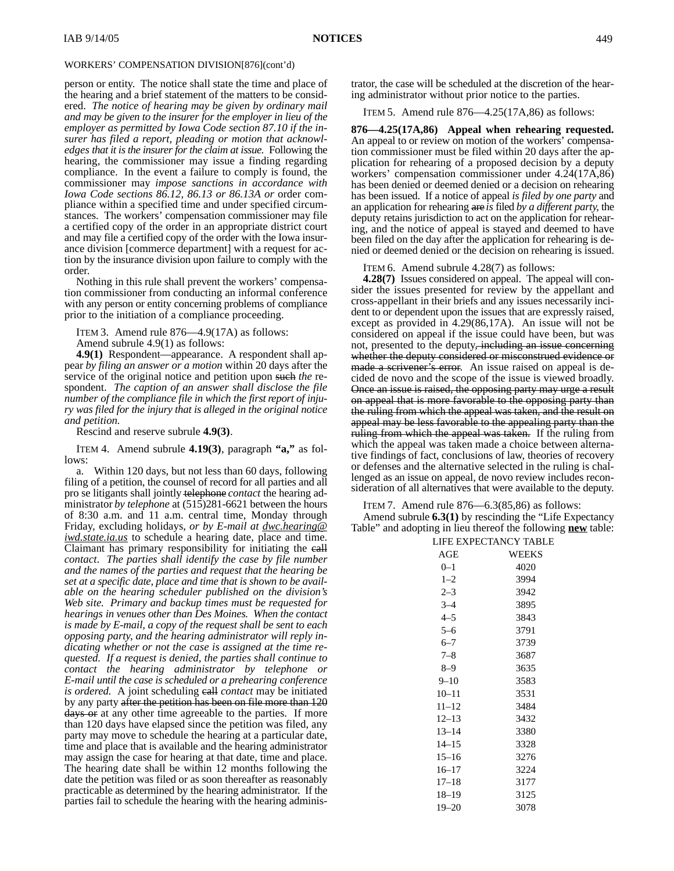## WORKERS' COMPENSATION DIVISION[876](cont'd)

person or entity. The notice shall state the time and place of the hearing and a brief statement of the matters to be considered. *The notice of hearing may be given by ordinary mail and may be given to the insurer for the employer in lieu of the employer as permitted by Iowa Code section 87.10 if the insurer has filed a report, pleading or motion that acknowledges that it is the insurer for the claim at issue.* Following the hearing*,* the commissioner may issue a finding regarding compliance. In the event a failure to comply is found, the commissioner may *impose sanctions in accordance with Iowa Code sections 86.12, 86.13 or 86.13A or* order compliance within a specified time and under specified circumstances. The workers' compensation commissioner may file a certified copy of the order in an appropriate district court and may file a certified copy of the order with the Iowa insurance division [commerce department] with a request for action by the insurance division upon failure to comply with the order.

Nothing in this rule shall prevent the workers' compensation commissioner from conducting an informal conference with any person or entity concerning problems of compliance prior to the initiation of a compliance proceeding.

ITEM 3. Amend rule 876—4.9(17A) as follows:

Amend subrule 4.9(1) as follows:

**4.9(1)** Respondent—appearance. A respondent shall appear *by filing an answer or a motion* within 20 days after the service of the original notice and petition upon such *the* respondent. *The caption of an answer shall disclose the file number of the compliance file in which the first report of injury was filed for the injury that is alleged in the original notice and petition.*

Rescind and reserve subrule **4.9(3)**.

ITEM 4. Amend subrule **4.19(3)**, paragraph **"a,"** as follows:

Within 120 days, but not less than 60 days, following filing of a petition, the counsel of record for all parties and all pro se litigants shall jointly telephone *contact* the hearing administrator *by telephone* at (515)281-6621 between the hours of 8:30 a.m. and 11 a.m. central time, Monday through Friday, excluding holidays, *or by E-mail at dwc.hearing@ iwd.state.ia.us* to schedule a hearing date, place and time. Claimant has primary responsibility for initiating the call *contact*. *The parties shall identify the case by file number and the names of the parties and request that the hearing be set at a specific date, place and time that is shown to be available on the hearing scheduler published on the division's Web site. Primary and backup times must be requested for hearings in venues other than Des Moines. When the contact is made by E-mail, a copy of the request shall be sent to each opposing party, and the hearing administrator will reply indicating whether or not the case is assigned at the time requested. If a request is denied, the parties shall continue to contact the hearing administrator by telephone or E-mail until the case is scheduled or a prehearing conference is ordered.* A joint scheduling call *contact* may be initiated by any party after the petition has been on file more than 120 days or at any other time agreeable to the parties. If more than 120 days have elapsed since the petition was filed, any party may move to schedule the hearing at a particular date, time and place that is available and the hearing administrator may assign the case for hearing at that date, time and place. The hearing date shall be within 12 months following the date the petition was filed or as soon thereafter as reasonably practicable as determined by the hearing administrator. If the parties fail to schedule the hearing with the hearing administrator, the case will be scheduled at the discretion of the hearing administrator without prior notice to the parties.

ITEM 5. Amend rule 876—4.25(17A,86) as follows:

**876—4.25(17A,86) Appeal when rehearing requested.** An appeal to or review on motion of the workers' compensation commissioner must be filed within 20 days after the application for rehearing of a proposed decision by a deputy workers' compensation commissioner under 4.24(17A,86) has been denied or deemed denied or a decision on rehearing has been issued. If a notice of appeal *is filed by one party* and an application for rehearing are *is* filed *by a different party*, the deputy retains jurisdiction to act on the application for rehearing*,* and the notice of appeal is stayed and deemed to have been filed on the day after the application for rehearing is denied or deemed denied or the decision on rehearing is issued.

ITEM 6. Amend subrule 4.28(7) as follows:

**4.28(7)** Issues considered on appeal. The appeal will consider the issues presented for review by the appellant and cross-appellant in their briefs and any issues necessarily incident to or dependent upon the issues that are expressly raised, except as provided in 4.29(86,17A). An issue will not be considered on appeal if the issue could have been, but was not, presented to the deputy, including an issue concerning whether the deputy considered or misconstrued evidence or made a scrivener's error. An issue raised on appeal is decided de novo and the scope of the issue is viewed broadly. Once an issue is raised, the opposing party may urge a result on appeal that is more favorable to the opposing party than the ruling from which the appeal was taken, and the result on appeal may be less favorable to the appealing party than the ruling from which the appeal was taken. If the ruling from which the appeal was taken made a choice between alternative findings of fact, conclusions of law, theories of recovery or defenses and the alternative selected in the ruling is challenged as an issue on appeal, de novo review includes reconsideration of all alternatives that were available to the deputy.

ITEM 7. Amend rule 876—6.3(85,86) as follows:

Amend subrule **6.3(1)** by rescinding the "Life Expectancy Table" and adopting in lieu thereof the following **new** table:

|           | LIFE EXPECTANCY TABLE |
|-----------|-----------------------|
| AGE       | WEEKS                 |
| $0 - 1$   | 4020                  |
| $1 - 2$   | 3994                  |
| $2 - 3$   | 3942                  |
| $3 - 4$   | 3895                  |
| $4 - 5$   | 3843                  |
| $5 - 6$   | 3791                  |
| $6 - 7$   | 3739                  |
| $7 - 8$   | 3687                  |
| $8 - 9$   | 3635                  |
| $9 - 10$  | 3583                  |
| $10 - 11$ | 3531                  |
| $11 - 12$ | 3484                  |
| $12 - 13$ | 3432                  |
| $13 - 14$ | 3380                  |
| $14 - 15$ | 3328                  |
| $15 - 16$ | 3276                  |
| $16 - 17$ | 3224                  |
| $17 - 18$ | 3177                  |
| $18 - 19$ | 3125                  |
| $19 - 20$ | 3078                  |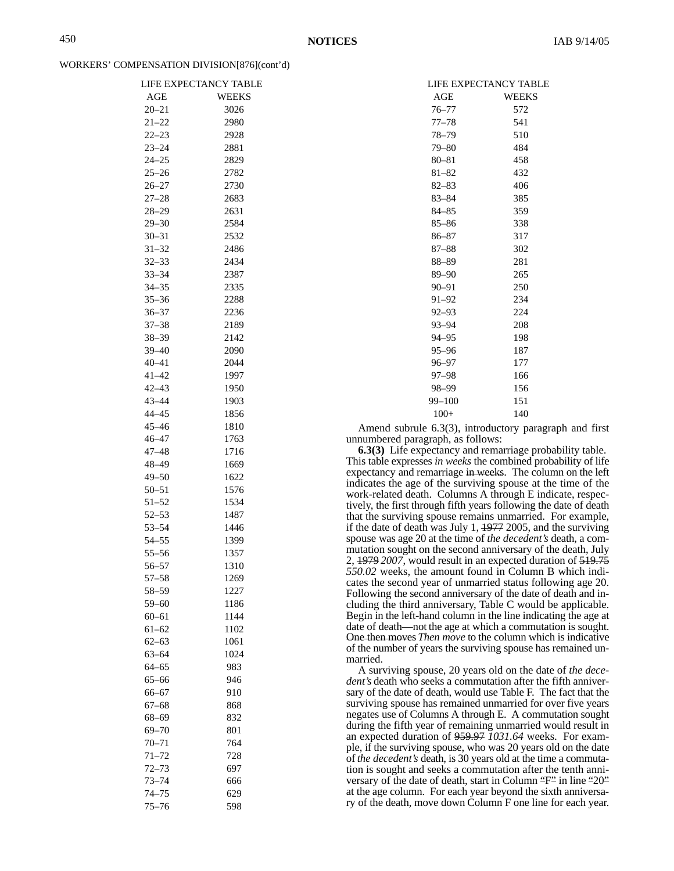#### WORKERS' COMPENSATION DIVISION[876](cont'd)

|                        | LIFE EXPECTANCY TABLE |
|------------------------|-----------------------|
| AGE                    | WEEKS                 |
| $20 - 21$              | 3026                  |
| $21 - 22$              | 2980                  |
| $22 - 23$              | 2928                  |
| $23 - 24$              | 2881                  |
| $24 - 25$              | 2829                  |
| $25 - 26$              | 2782                  |
| $26 - 27$              | 2730                  |
| $27 - 28$              | 2683                  |
| $28 - 29$              | 2631                  |
| $29 - 30$              | 2584                  |
| $30 - 31$              | 2532                  |
| $31 - 32$              | 2486                  |
| $32 - 33$              | 2434                  |
| $33 - 34$              | 2387                  |
| $34 - 35$              | 2335                  |
| $35 - 36$<br>$36 - 37$ | 2288                  |
| $37 - 38$              | 2236                  |
| $38 - 39$              | 2189                  |
| $39 - 40$              | 2142                  |
| $40 - 41$              | 2090<br>2044          |
| $41 - 42$              | 1997                  |
| $42 - 43$              |                       |
| $43 - 44$              | 1950<br>1903          |
| $44 - 45$              | 1856                  |
| $45 - 46$              | 1810                  |
| $46 - 47$              | 1763                  |
| $47 - 48$              | 1716                  |
| $48 - 49$              | 1669                  |
| $49 - 50$              | 1622                  |
| $50 - 51$              | 1576                  |
| $51 - 52$              | 1534                  |
| $52 - 53$              | 1487                  |
| $53 - 54$              | 1446                  |
| $54 - 55$              | 1399                  |
| $55 - 56$              | 1357                  |
| $56 - 57$              | 1310                  |
| 57–58                  | 1269                  |
| $58 - 59$              | 1227                  |
| $59 - 60$              | 1186                  |
| $60 - 61$              | 1144                  |
| $61 - 62$              | 1102                  |
| $62 - 63$              | 1061                  |
| $63 - 64$              | 1024                  |
| $64 - 65$              | 983                   |
| $65 - 66$              | 946                   |
| $66 - 67$              | 910                   |
| $67 - 68$              | 868                   |
| 68–69                  | 832                   |
| $69 - 70$              | 801                   |
| $70 - 71$              | 764                   |
| $71 - 72$              | 728                   |
| $72 - 73$              | 697                   |
| $73 - 74$              | 666                   |
| $74 - 75$              | 629                   |
| $75 - 76$              | 598                   |

|            | LIFE EXPECTANCY TABLE |
|------------|-----------------------|
| AGE        | WEEKS                 |
| $76 - 77$  | 572                   |
| $77 - 78$  | 541                   |
| $78 - 79$  | 510                   |
| $79 - 80$  | 484                   |
| $80 - 81$  | 458                   |
| $81 - 82$  | 432                   |
| $82 - 83$  | 406                   |
| $83 - 84$  | 385                   |
| 84-85      | 359                   |
| $85 - 86$  | 338                   |
| 86-87      | 317                   |
| 87-88      | 302                   |
| 88-89      | 281                   |
| 89–90      | 265                   |
| $90 - 91$  | 250                   |
| $91 - 92$  | 234                   |
| $92 - 93$  | 224                   |
| $93 - 94$  | 208                   |
| $94 - 95$  | 198                   |
| $95 - 96$  | 187                   |
| $96 - 97$  | 177                   |
| 97–98      | 166                   |
| 98-99      | 156                   |
| $99 - 100$ | 151                   |
| $100+$     | 140                   |

Amend subrule 6.3(3), introductory paragraph and first unnumbered paragraph, as follows:

**6.3(3)** Life expectancy and remarriage probability table. This table expresses *in weeks* the combined probability of life expectancy and remarriage in weeks. The column on the left indicates the age of the surviving spouse at the time of the work-related death. Columns A through E indicate, respectively, the first through fifth years following the date of death that the surviving spouse remains unmarried. For example, if the date of death was July 1, 1977 2005, and the surviving spouse was age 20 at the time of *the decedent's* death, a commutation sought on the second anniversary of the death, July 2, 1979 *2007*, would result in an expected duration of 519.75 *550.02* weeks, the amount found in Column B which indicates the second year of unmarried status following age 20. Following the second anniversary of the date of death and including the third anniversary, Table C would be applicable. Begin in the left-hand column in the line indicating the age at date of death—not the age at which a commutation is sought. One then moves *Then move* to the column which is indicative of the number of years the surviving spouse has remained unmarried.

A surviving spouse, 20 years old on the date of *the decedent's* death who seeks a commutation after the fifth anniversary of the date of death, would use Table F. The fact that the surviving spouse has remained unmarried for over five years negates use of Columns A through E. A commutation sought during the fifth year of remaining unmarried would result in an expected duration of 959.97 *1031.64* weeks. For example, if the surviving spouse, who was 20 years old on the date of *the decedent's* death, is 30 years old at the time a commutation is sought and seeks a commutation after the tenth anniversary of the date of death, start in Column "F" in line "20" at the age column. For each year beyond the sixth anniversary of the death, move down Column F one line for each year.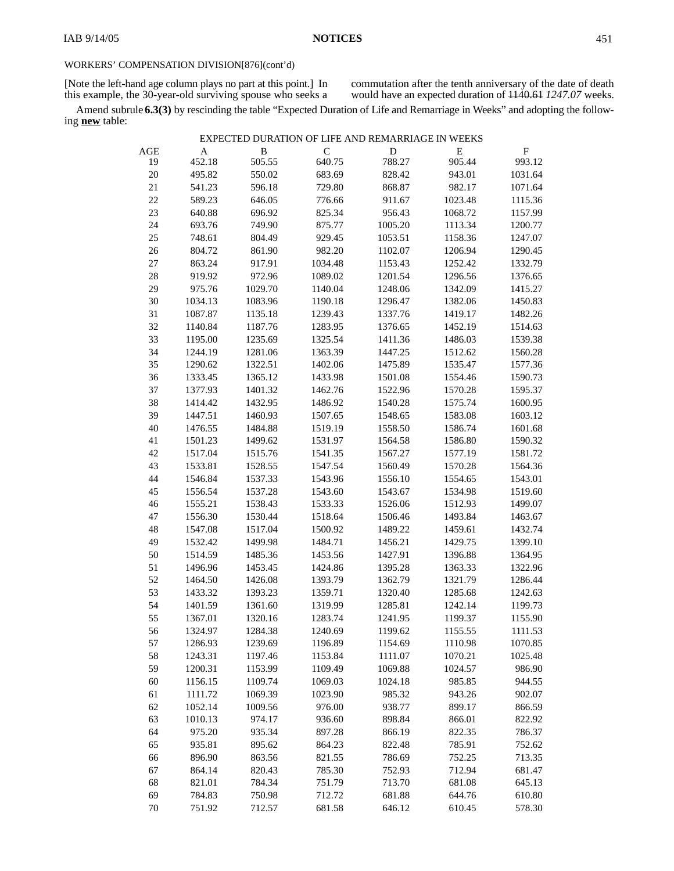[Note the left-hand age column plays no part at this point.] In this example*,* the 30-year-old surviving spouse who seeks a

commutation after the tenth anniversary of the date of death would have an expected duration of 1140.61 *1247.07* weeks.

Amend subrule **6.3(3)** by rescinding the table "Expected Duration of Life and Remarriage in Weeks" and adopting the following **new** table:

|  |  |  | EXPECTED DURATION OF LIFE AND REMARRIAGE IN WEEKS |  |
|--|--|--|---------------------------------------------------|--|
|--|--|--|---------------------------------------------------|--|

| AGE    | $\mathbf A$ | B       | $\mathsf{C}$ | D       | E       | $_{\rm F}$ |
|--------|-------------|---------|--------------|---------|---------|------------|
| 19     | 452.18      | 505.55  | 640.75       | 788.27  | 905.44  | 993.12     |
| 20     | 495.82      | 550.02  | 683.69       | 828.42  | 943.01  | 1031.64    |
| $21\,$ | 541.23      | 596.18  | 729.80       | 868.87  | 982.17  | 1071.64    |
| 22     | 589.23      | 646.05  | 776.66       | 911.67  | 1023.48 | 1115.36    |
| 23     | 640.88      | 696.92  | 825.34       | 956.43  | 1068.72 | 1157.99    |
| 24     | 693.76      | 749.90  | 875.77       | 1005.20 | 1113.34 | 1200.77    |
| 25     | 748.61      | 804.49  | 929.45       | 1053.51 | 1158.36 | 1247.07    |
| $26\,$ | 804.72      | 861.90  | 982.20       | 1102.07 | 1206.94 | 1290.45    |
| $27\,$ | 863.24      | 917.91  | 1034.48      | 1153.43 | 1252.42 | 1332.79    |
| 28     | 919.92      | 972.96  | 1089.02      | 1201.54 | 1296.56 | 1376.65    |
| 29     | 975.76      | 1029.70 | 1140.04      | 1248.06 | 1342.09 | 1415.27    |
| $30\,$ | 1034.13     | 1083.96 | 1190.18      | 1296.47 | 1382.06 | 1450.83    |
| 31     | 1087.87     | 1135.18 | 1239.43      | 1337.76 | 1419.17 | 1482.26    |
| 32     | 1140.84     | 1187.76 | 1283.95      | 1376.65 | 1452.19 | 1514.63    |
| 33     | 1195.00     | 1235.69 | 1325.54      | 1411.36 | 1486.03 | 1539.38    |
| 34     | 1244.19     | 1281.06 | 1363.39      | 1447.25 | 1512.62 | 1560.28    |
| 35     | 1290.62     | 1322.51 | 1402.06      | 1475.89 | 1535.47 | 1577.36    |
| 36     | 1333.45     | 1365.12 | 1433.98      | 1501.08 | 1554.46 | 1590.73    |
| 37     | 1377.93     | 1401.32 | 1462.76      | 1522.96 | 1570.28 | 1595.37    |
| 38     | 1414.42     | 1432.95 | 1486.92      | 1540.28 | 1575.74 | 1600.95    |
| 39     | 1447.51     | 1460.93 | 1507.65      | 1548.65 | 1583.08 | 1603.12    |
| 40     | 1476.55     | 1484.88 | 1519.19      | 1558.50 | 1586.74 | 1601.68    |
| 41     | 1501.23     | 1499.62 | 1531.97      | 1564.58 | 1586.80 | 1590.32    |
| 42     | 1517.04     | 1515.76 | 1541.35      | 1567.27 | 1577.19 | 1581.72    |
| 43     | 1533.81     | 1528.55 | 1547.54      | 1560.49 | 1570.28 | 1564.36    |
| 44     | 1546.84     | 1537.33 | 1543.96      | 1556.10 | 1554.65 | 1543.01    |
| 45     | 1556.54     | 1537.28 | 1543.60      | 1543.67 | 1534.98 | 1519.60    |
| 46     | 1555.21     | 1538.43 | 1533.33      | 1526.06 | 1512.93 | 1499.07    |
| 47     | 1556.30     | 1530.44 | 1518.64      | 1506.46 | 1493.84 | 1463.67    |
| 48     | 1547.08     | 1517.04 | 1500.92      | 1489.22 | 1459.61 | 1432.74    |
| 49     | 1532.42     | 1499.98 | 1484.71      | 1456.21 | 1429.75 | 1399.10    |
| 50     | 1514.59     | 1485.36 | 1453.56      | 1427.91 | 1396.88 | 1364.95    |
| 51     | 1496.96     | 1453.45 | 1424.86      | 1395.28 | 1363.33 | 1322.96    |
| 52     | 1464.50     | 1426.08 | 1393.79      | 1362.79 | 1321.79 | 1286.44    |
| 53     | 1433.32     | 1393.23 | 1359.71      | 1320.40 | 1285.68 | 1242.63    |
| 54     | 1401.59     | 1361.60 | 1319.99      | 1285.81 | 1242.14 | 1199.73    |
| 55     | 1367.01     | 1320.16 | 1283.74      | 1241.95 | 1199.37 | 1155.90    |
| 56     | 1324.97     | 1284.38 | 1240.69      | 1199.62 | 1155.55 | 1111.53    |
| 57     | 1286.93     | 1239.69 | 1196.89      | 1154.69 | 1110.98 | 1070.85    |
| 58     | 1243.31     | 1197.46 | 1153.84      | 1111.07 | 1070.21 | 1025.48    |
| 59     | 1200.31     | 1153.99 | 1109.49      | 1069.88 | 1024.57 | 986.90     |
| 60     | 1156.15     | 1109.74 | 1069.03      | 1024.18 | 985.85  | 944.55     |
| 61     | 1111.72     | 1069.39 | 1023.90      | 985.32  | 943.26  | 902.07     |
| 62     | 1052.14     | 1009.56 | 976.00       | 938.77  | 899.17  | 866.59     |
| 63     | 1010.13     | 974.17  | 936.60       | 898.84  | 866.01  | 822.92     |
| 64     | 975.20      | 935.34  | 897.28       | 866.19  | 822.35  | 786.37     |
| 65     | 935.81      | 895.62  | 864.23       | 822.48  | 785.91  | 752.62     |
| 66     | 896.90      | 863.56  | 821.55       | 786.69  | 752.25  | 713.35     |
| 67     | 864.14      | 820.43  | 785.30       | 752.93  | 712.94  | 681.47     |
| 68     | 821.01      | 784.34  | 751.79       | 713.70  | 681.08  | 645.13     |
| 69     | 784.83      | 750.98  | 712.72       | 681.88  | 644.76  | 610.80     |
| 70     | 751.92      | 712.57  | 681.58       | 646.12  | 610.45  | 578.30     |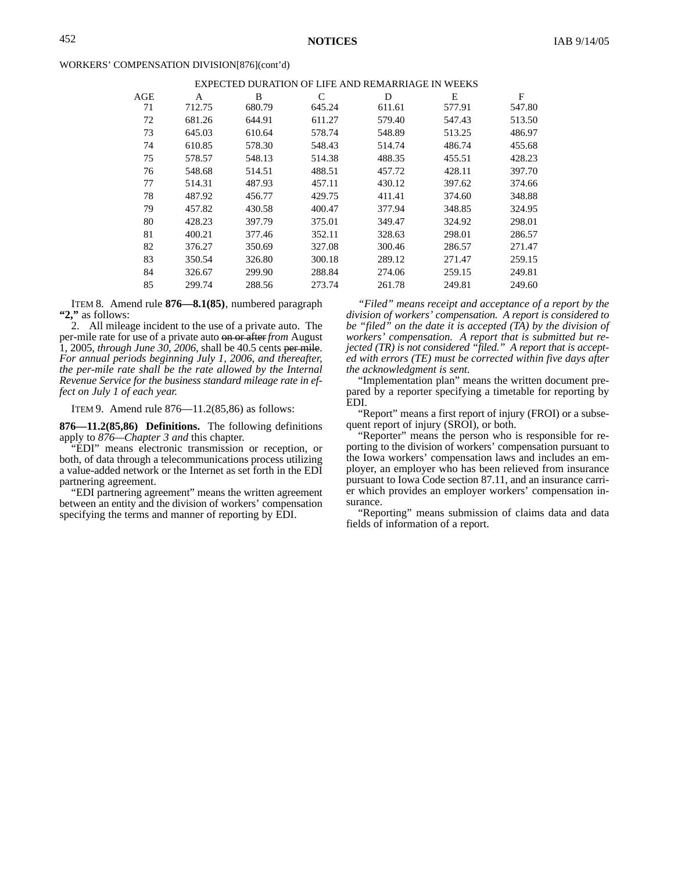#### WORKERS' COMPENSATION DIVISION[876](cont'd)

| AGE | A      | B      | C      | D      | E      | F      |
|-----|--------|--------|--------|--------|--------|--------|
| 71  | 712.75 | 680.79 | 645.24 | 611.61 | 577.91 | 547.80 |
| 72  | 681.26 | 644.91 | 611.27 | 579.40 | 547.43 | 513.50 |
| 73  | 645.03 | 610.64 | 578.74 | 548.89 | 513.25 | 486.97 |
| 74  | 610.85 | 578.30 | 548.43 | 514.74 | 486.74 | 455.68 |
| 75  | 578.57 | 548.13 | 514.38 | 488.35 | 455.51 | 428.23 |
| 76  | 548.68 | 514.51 | 488.51 | 457.72 | 428.11 | 397.70 |
| 77  | 514.31 | 487.93 | 457.11 | 430.12 | 397.62 | 374.66 |
| 78  | 487.92 | 456.77 | 429.75 | 411.41 | 374.60 | 348.88 |
| 79  | 457.82 | 430.58 | 400.47 | 377.94 | 348.85 | 324.95 |
| 80  | 428.23 | 397.79 | 375.01 | 349.47 | 324.92 | 298.01 |
| 81  | 400.21 | 377.46 | 352.11 | 328.63 | 298.01 | 286.57 |
| 82  | 376.27 | 350.69 | 327.08 | 300.46 | 286.57 | 271.47 |
| 83  | 350.54 | 326.80 | 300.18 | 289.12 | 271.47 | 259.15 |
| 84  | 326.67 | 299.90 | 288.84 | 274.06 | 259.15 | 249.81 |
| 85  | 299.74 | 288.56 | 273.74 | 261.78 | 249.81 | 249.60 |

ITEM 8. Amend rule **876—8.1(85)**, numbered paragraph **"2,"** as follows:

2. All mileage incident to the use of a private auto. The per-mile rate for use of a private auto on or after *from* August 1, 2005, *through June 30, 2006,* shall be 40.5 cents per mile. *For annual periods beginning July 1, 2006, and thereafter, the per-mile rate shall be the rate allowed by the Internal Revenue Service for the business standard mileage rate in effect on July 1 of each year.*

ITEM 9. Amend rule 876—11.2(85,86) as follows:

**876—11.2(85,86) Definitions.** The following definitions apply to *876—Chapter 3 and* this chapter.

"EDI" means electronic transmission or reception, or both, of data through a telecommunications process utilizing a value-added network or the Internet as set forth in the EDI partnering agreement.

"EDI partnering agreement" means the written agreement between an entity and the division of workers' compensation specifying the terms and manner of reporting by EDI.

*"Filed" means receipt and acceptance of a report by the division of workers' compensation. A report is considered to be "filed" on the date it is accepted (TA) by the division of workers' compensation. A report that is submitted but rejected (TR) is not considered "filed." A report that is accepted with errors (TE) must be corrected within five days after the acknowledgment is sent.*

"Implementation plan" means the written document prepared by a reporter specifying a timetable for reporting by EDI.

"Report" means a first report of injury (FROI) or a subsequent report of injury (SROI), or both.

"Reporter" means the person who is responsible for reporting to the division of workers' compensation pursuant to the Iowa workers' compensation laws and includes an employer, an employer who has been relieved from insurance pursuant to Iowa Code section 87.11, and an insurance carrier which provides an employer workers' compensation insurance.

"Reporting" means submission of claims data and data fields of information of a report.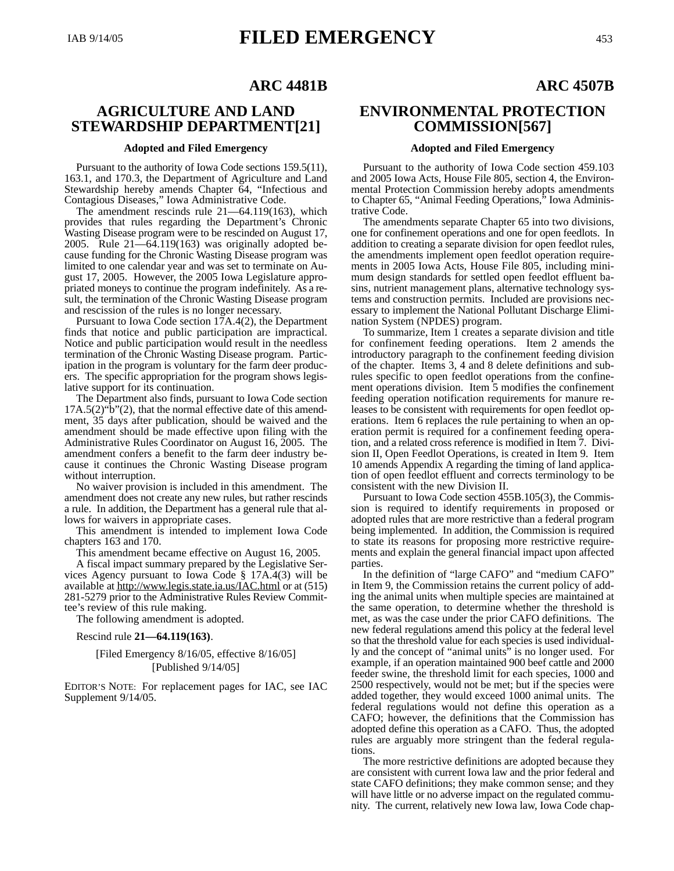# **AGRICULTURE AND LAND STEWARDSHIP DEPARTMENT[21]**

#### **Adopted and Filed Emergency**

Pursuant to the authority of Iowa Code sections 159.5(11), 163.1, and 170.3, the Department of Agriculture and Land Stewardship hereby amends Chapter 64, "Infectious and Contagious Diseases," Iowa Administrative Code.

The amendment rescinds rule 21—64.119(163), which provides that rules regarding the Department's Chronic Wasting Disease program were to be rescinded on August 17, 2005. Rule 21—64.119(163) was originally adopted because funding for the Chronic Wasting Disease program was limited to one calendar year and was set to terminate on August 17, 2005. However, the 2005 Iowa Legislature appropriated moneys to continue the program indefinitely. As a result, the termination of the Chronic Wasting Disease program and rescission of the rules is no longer necessary.

Pursuant to Iowa Code section 17A.4(2), the Department finds that notice and public participation are impractical. Notice and public participation would result in the needless termination of the Chronic Wasting Disease program. Participation in the program is voluntary for the farm deer producers. The specific appropriation for the program shows legislative support for its continuation.

The Department also finds, pursuant to Iowa Code section  $17A.5(2)$ " $\bar{b}$ " $(2)$ , that the normal effective date of this amendment, 35 days after publication, should be waived and the amendment should be made effective upon filing with the Administrative Rules Coordinator on August 16, 2005. The amendment confers a benefit to the farm deer industry because it continues the Chronic Wasting Disease program without interruption.

No waiver provision is included in this amendment. The amendment does not create any new rules, but rather rescinds a rule. In addition, the Department has a general rule that allows for waivers in appropriate cases.

This amendment is intended to implement Iowa Code chapters 163 and 170.

This amendment became effective on August 16, 2005.

A fiscal impact summary prepared by the Legislative Services Agency pursuant to Iowa Code § 17A.4(3) will be available at http://www.legis.state.ia.us/IAC.html or at (515) 281-5279 prior to the Administrative Rules Review Committee's review of this rule making.

The following amendment is adopted.

Rescind rule **21—64.119(163)**.

## [Filed Emergency 8/16/05, effective 8/16/05] [Published 9/14/05]

EDITOR'S NOTE: For replacement pages for IAC, see IAC Supplement 9/14/05.

# **ENVIRONMENTAL PROTECTION COMMISSION[567]**

#### **Adopted and Filed Emergency**

Pursuant to the authority of Iowa Code section 459.103 and 2005 Iowa Acts, House File 805, section 4, the Environmental Protection Commission hereby adopts amendments to Chapter 65, "Animal Feeding Operations," Iowa Administrative Code.

The amendments separate Chapter 65 into two divisions, one for confinement operations and one for open feedlots. In addition to creating a separate division for open feedlot rules, the amendments implement open feedlot operation requirements in 2005 Iowa Acts, House File 805, including minimum design standards for settled open feedlot effluent basins, nutrient management plans, alternative technology systems and construction permits. Included are provisions necessary to implement the National Pollutant Discharge Elimination System (NPDES) program.

To summarize, Item 1 creates a separate division and title for confinement feeding operations. Item 2 amends the introductory paragraph to the confinement feeding division of the chapter. Items 3, 4 and 8 delete definitions and subrules specific to open feedlot operations from the confinement operations division. Item 5 modifies the confinement feeding operation notification requirements for manure releases to be consistent with requirements for open feedlot operations. Item 6 replaces the rule pertaining to when an operation permit is required for a confinement feeding operation, and a related cross reference is modified in Item 7. Division II, Open Feedlot Operations, is created in Item 9. Item 10 amends Appendix A regarding the timing of land application of open feedlot effluent and corrects terminology to be consistent with the new Division II.

Pursuant to Iowa Code section 455B.105(3), the Commission is required to identify requirements in proposed or adopted rules that are more restrictive than a federal program being implemented. In addition, the Commission is required to state its reasons for proposing more restrictive requirements and explain the general financial impact upon affected parties.

In the definition of "large CAFO" and "medium CAFO" in Item 9, the Commission retains the current policy of adding the animal units when multiple species are maintained at the same operation, to determine whether the threshold is met, as was the case under the prior CAFO definitions. The new federal regulations amend this policy at the federal level so that the threshold value for each species is used individually and the concept of "animal units" is no longer used. For example, if an operation maintained 900 beef cattle and 2000 feeder swine, the threshold limit for each species, 1000 and 2500 respectively, would not be met; but if the species were added together, they would exceed 1000 animal units. The federal regulations would not define this operation as a CAFO; however, the definitions that the Commission has adopted define this operation as a CAFO. Thus, the adopted rules are arguably more stringent than the federal regulations.

The more restrictive definitions are adopted because they are consistent with current Iowa law and the prior federal and state CAFO definitions; they make common sense; and they will have little or no adverse impact on the regulated community. The current, relatively new Iowa law, Iowa Code chap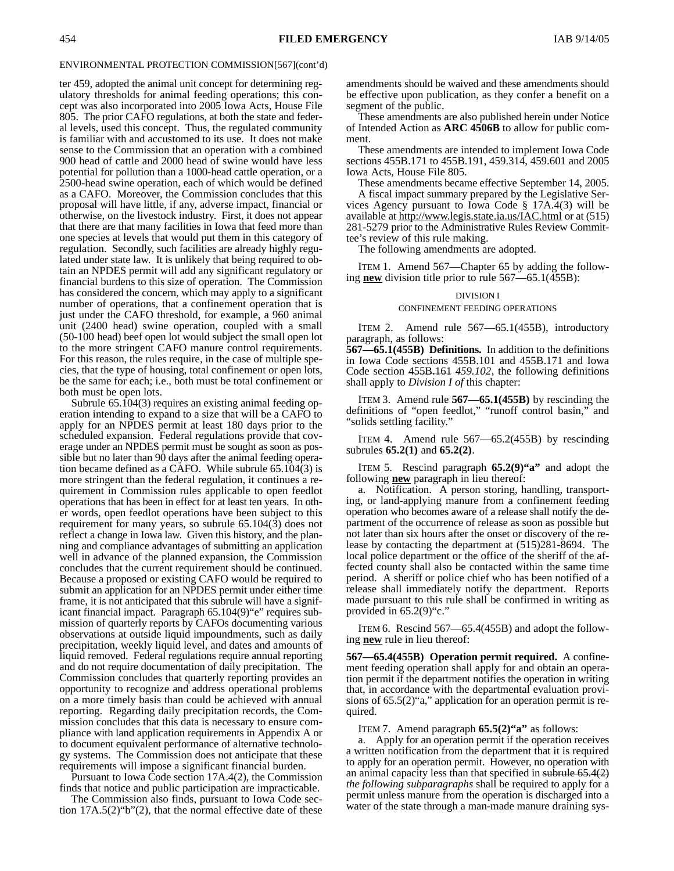ter 459, adopted the animal unit concept for determining regulatory thresholds for animal feeding operations; this concept was also incorporated into 2005 Iowa Acts, House File 805. The prior CAFO regulations, at both the state and federal levels, used this concept. Thus, the regulated community is familiar with and accustomed to its use. It does not make sense to the Commission that an operation with a combined 900 head of cattle and 2000 head of swine would have less potential for pollution than a 1000-head cattle operation, or a 2500-head swine operation, each of which would be defined as a CAFO. Moreover, the Commission concludes that this proposal will have little, if any, adverse impact, financial or otherwise, on the livestock industry. First, it does not appear that there are that many facilities in Iowa that feed more than one species at levels that would put them in this category of regulation. Secondly, such facilities are already highly regulated under state law. It is unlikely that being required to obtain an NPDES permit will add any significant regulatory or financial burdens to this size of operation. The Commission has considered the concern, which may apply to a significant number of operations, that a confinement operation that is just under the CAFO threshold, for example, a 960 animal unit (2400 head) swine operation, coupled with a small (50-100 head) beef open lot would subject the small open lot to the more stringent CAFO manure control requirements. For this reason, the rules require, in the case of multiple species, that the type of housing, total confinement or open lots, be the same for each; i.e., both must be total confinement or both must be open lots.

Subrule 65.104(3) requires an existing animal feeding operation intending to expand to a size that will be a CAFO to apply for an NPDES permit at least 180 days prior to the scheduled expansion. Federal regulations provide that coverage under an NPDES permit must be sought as soon as possible but no later than 90 days after the animal feeding operation became defined as a CAFO. While subrule 65.104(3) is more stringent than the federal regulation, it continues a requirement in Commission rules applicable to open feedlot operations that has been in effect for at least ten years. In other words, open feedlot operations have been subject to this requirement for many years, so subrule 65.104(3) does not reflect a change in Iowa law. Given this history, and the planning and compliance advantages of submitting an application well in advance of the planned expansion, the Commission concludes that the current requirement should be continued. Because a proposed or existing CAFO would be required to submit an application for an NPDES permit under either time frame, it is not anticipated that this subrule will have a significant financial impact. Paragraph 65.104(9)"e" requires submission of quarterly reports by CAFOs documenting various observations at outside liquid impoundments, such as daily precipitation, weekly liquid level, and dates and amounts of liquid removed. Federal regulations require annual reporting and do not require documentation of daily precipitation. The Commission concludes that quarterly reporting provides an opportunity to recognize and address operational problems on a more timely basis than could be achieved with annual reporting. Regarding daily precipitation records, the Commission concludes that this data is necessary to ensure compliance with land application requirements in Appendix A or to document equivalent performance of alternative technology systems. The Commission does not anticipate that these requirements will impose a significant financial burden.

Pursuant to Iowa Code section 17A.4(2), the Commission finds that notice and public participation are impracticable.

The Commission also finds, pursuant to Iowa Code section 17A.5(2)"b"(2), that the normal effective date of these amendments should be waived and these amendments should be effective upon publication, as they confer a benefit on a segment of the public.

These amendments are also published herein under Notice of Intended Action as **ARC 4506B** to allow for public comment.

These amendments are intended to implement Iowa Code sections 455B.171 to 455B.191, 459.314, 459.601 and 2005 Iowa Acts, House File 805.

These amendments became effective September 14, 2005.

A fiscal impact summary prepared by the Legislative Services Agency pursuant to Iowa Code § 17A.4(3) will be available at http://www.legis.state.ia.us/IAC.html or at (515) 281-5279 prior to the Administrative Rules Review Committee's review of this rule making.

The following amendments are adopted.

ITEM 1. Amend 567—Chapter 65 by adding the following **new** division title prior to rule 567—65.1(455B):

#### DIVISION I

#### CONFINEMENT FEEDING OPERATIONS

ITEM 2. Amend rule 567—65.1(455B), introductory paragraph, as follows:

**567—65.1(455B) Definitions.** In addition to the definitions in Iowa Code sections 455B.101 and 455B.171 and Iowa Code section 455B.161 *459.102*, the following definitions shall apply to *Division I of* this chapter:

ITEM 3. Amend rule **567—65.1(455B)** by rescinding the definitions of "open feedlot," "runoff control basin," and "solids settling facility."

ITEM 4. Amend rule 567—65.2(455B) by rescinding subrules **65.2(1)** and **65.2(2)**.

ITEM 5. Rescind paragraph **65.2(9)"a"** and adopt the following **new** paragraph in lieu thereof:

a. Notification. A person storing, handling, transporting, or land-applying manure from a confinement feeding operation who becomes aware of a release shall notify the department of the occurrence of release as soon as possible but not later than six hours after the onset or discovery of the release by contacting the department at (515)281-8694. The local police department or the office of the sheriff of the affected county shall also be contacted within the same time period. A sheriff or police chief who has been notified of a release shall immediately notify the department. Reports made pursuant to this rule shall be confirmed in writing as provided in  $65.2(9)$ "c."

ITEM 6. Rescind 567—65.4(455B) and adopt the following **new** rule in lieu thereof:

**567—65.4(455B) Operation permit required.** A confinement feeding operation shall apply for and obtain an operation permit if the department notifies the operation in writing that, in accordance with the departmental evaluation provisions of 65.5(2)"a," application for an operation permit is required.

ITEM 7. Amend paragraph **65.5(2)"a"** as follows:

a. Apply for an operation permit if the operation receives a written notification from the department that it is required to apply for an operation permit. However, no operation with an animal capacity less than that specified in subrule 65.4(2) *the following subparagraphs* shall be required to apply for a permit unless manure from the operation is discharged into a water of the state through a man-made manure draining sys-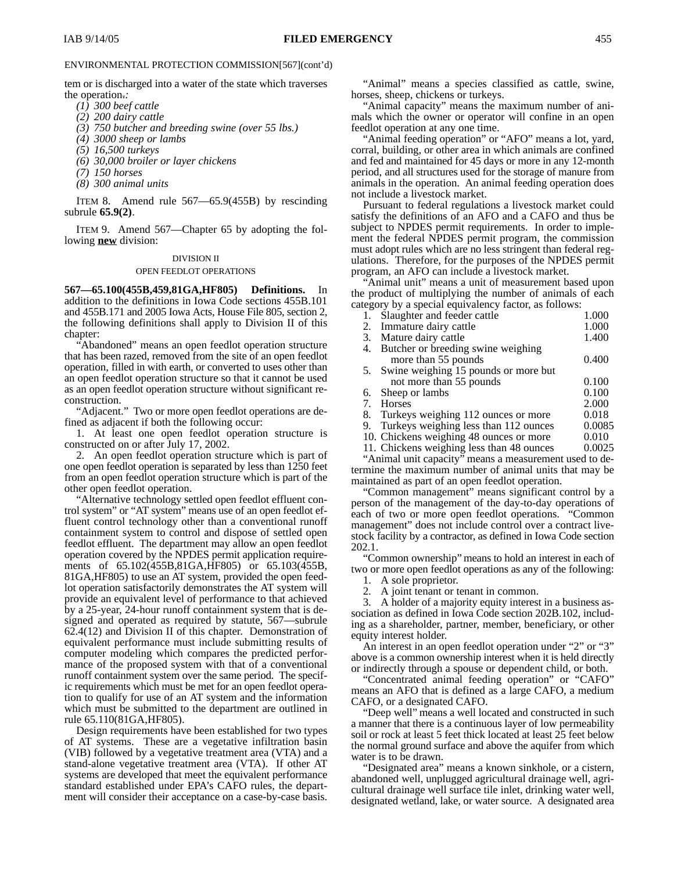tem or is discharged into a water of the state which traverses the operation.*:*

- *(1) 300 beef cattle*
- *(2) 200 dairy cattle*
- *(3) 750 butcher and breeding swine (over 55 lbs.)*
- *(4) 3000 sheep or lambs*
- *(5) 16,500 turkeys*
- *(6) 30,000 broiler or layer chickens*
- *(7) 150 horses*
- *(8) 300 animal units*

ITEM 8. Amend rule 567—65.9(455B) by rescinding subrule **65.9(2)**.

ITEM 9. Amend 567—Chapter 65 by adopting the following **new** division:

### DIVISION II

#### OPEN FEEDLOT OPERATIONS

**567—65.100(455B,459,81GA,HF805) Definitions.** In addition to the definitions in Iowa Code sections 455B.101 and 455B.171 and 2005 Iowa Acts, House File 805, section 2, the following definitions shall apply to Division II of this chapter:

"Abandoned" means an open feedlot operation structure that has been razed, removed from the site of an open feedlot operation, filled in with earth, or converted to uses other than an open feedlot operation structure so that it cannot be used as an open feedlot operation structure without significant reconstruction.

"Adjacent."Two or more open feedlot operations are defined as adjacent if both the following occur:

1. At least one open feedlot operation structure is constructed on or after July 17, 2002.

2. An open feedlot operation structure which is part of one open feedlot operation is separated by less than 1250 feet from an open feedlot operation structure which is part of the other open feedlot operation.

"Alternative technology settled open feedlot effluent control system" or "AT system" means use of an open feedlot effluent control technology other than a conventional runoff containment system to control and dispose of settled open feedlot effluent. The department may allow an open feedlot operation covered by the NPDES permit application requirements of 65.102(455B,81GA,HF805) or 65.103(455B, 81GA,HF805) to use an AT system, provided the open feedlot operation satisfactorily demonstrates the AT system will provide an equivalent level of performance to that achieved by a 25-year, 24-hour runoff containment system that is designed and operated as required by statute, 567—subrule 62.4(12) and Division II of this chapter. Demonstration of equivalent performance must include submitting results of computer modeling which compares the predicted performance of the proposed system with that of a conventional runoff containment system over the same period. The specific requirements which must be met for an open feedlot operation to qualify for use of an AT system and the information which must be submitted to the department are outlined in rule 65.110(81GA,HF805).

Design requirements have been established for two types of AT systems. These are a vegetative infiltration basin (VIB) followed by a vegetative treatment area (VTA) and a stand-alone vegetative treatment area (VTA). If other AT systems are developed that meet the equivalent performance standard established under EPA's CAFO rules, the department will consider their acceptance on a case-by-case basis.

"Animal" means a species classified as cattle, swine, horses, sheep, chickens or turkeys.

"Animal capacity" means the maximum number of animals which the owner or operator will confine in an open feedlot operation at any one time.

"Animal feeding operation" or "AFO" means a lot, yard, corral, building, or other area in which animals are confined and fed and maintained for 45 days or more in any 12-month period, and all structures used for the storage of manure from animals in the operation. An animal feeding operation does not include a livestock market.

Pursuant to federal regulations a livestock market could satisfy the definitions of an AFO and a CAFO and thus be subject to NPDES permit requirements. In order to implement the federal NPDES permit program, the commission must adopt rules which are no less stringent than federal regulations. Therefore, for the purposes of the NPDES permit program, an AFO can include a livestock market.

"Animal unit" means a unit of measurement based upon the product of multiplying the number of animals of each category by a special equivalency factor, as follows:

| 1. Slaughter and feeder cattle            | 1.000  |
|-------------------------------------------|--------|
| 2. Immature dairy cattle                  | 1.000  |
| 3. Mature dairy cattle                    | 1.400  |
| 4. Butcher or breeding swine weighing     |        |
| more than 55 pounds                       | 0.400  |
| 5. Swine weighing 15 pounds or more but   |        |
| not more than 55 pounds                   | 0.100  |
| 6. Sheep or lambs                         | 0.100  |
| 7. Horses                                 | 2.000  |
| 8. Turkeys weighing 112 ounces or more    | 0.018  |
| 9. Turkeys weighing less than 112 ounces  | 0.0085 |
| 10. Chickens weighing 48 ounces or more   | 0.010  |
| 11. Chickens weighing less than 48 ounces | 0.0025 |
|                                           |        |

"Animal unit capacity" means a measurement used to determine the maximum number of animal units that may be maintained as part of an open feedlot operation.

"Common management" means significant control by a person of the management of the day-to-day operations of each of two or more open feedlot operations. "Common management" does not include control over a contract livestock facility by a contractor, as defined in Iowa Code section 202.1.

"Common ownership" means to hold an interest in each of two or more open feedlot operations as any of the following:

1. A sole proprietor.

2. A joint tenant or tenant in common.

3. A holder of a majority equity interest in a business association as defined in Iowa Code section 202B.102, including as a shareholder, partner, member, beneficiary, or other equity interest holder.

An interest in an open feedlot operation under "2" or "3" above is a common ownership interest when it is held directly or indirectly through a spouse or dependent child, or both.

"Concentrated animal feeding operation" or "CAFO" means an AFO that is defined as a large CAFO, a medium CAFO, or a designated CAFO.

"Deep well" means a well located and constructed in such a manner that there is a continuous layer of low permeability soil or rock at least 5 feet thick located at least 25 feet below the normal ground surface and above the aquifer from which water is to be drawn.

"Designated area" means a known sinkhole, or a cistern, abandoned well, unplugged agricultural drainage well, agricultural drainage well surface tile inlet, drinking water well, designated wetland, lake, or water source. A designated area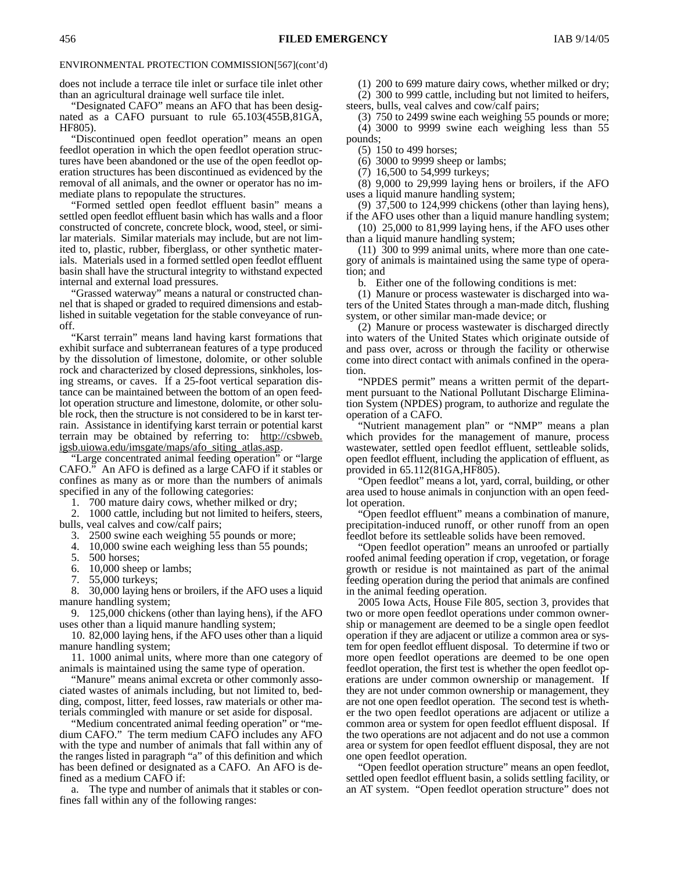does not include a terrace tile inlet or surface tile inlet other than an agricultural drainage well surface tile inlet.

"Designated CAFO" means an AFO that has been designated as a CAFO pursuant to rule 65.103(455B,81GA, HF805).

"Discontinued open feedlot operation" means an open feedlot operation in which the open feedlot operation structures have been abandoned or the use of the open feedlot operation structures has been discontinued as evidenced by the removal of all animals, and the owner or operator has no immediate plans to repopulate the structures.

"Formed settled open feedlot effluent basin" means a settled open feedlot effluent basin which has walls and a floor constructed of concrete, concrete block, wood, steel, or similar materials. Similar materials may include, but are not limited to, plastic, rubber, fiberglass, or other synthetic materials. Materials used in a formed settled open feedlot effluent basin shall have the structural integrity to withstand expected internal and external load pressures.

"Grassed waterway" means a natural or constructed channel that is shaped or graded to required dimensions and established in suitable vegetation for the stable conveyance of runoff.

"Karst terrain" means land having karst formations that exhibit surface and subterranean features of a type produced by the dissolution of limestone, dolomite, or other soluble rock and characterized by closed depressions, sinkholes, losing streams, or caves. If a 25-foot vertical separation distance can be maintained between the bottom of an open feedlot operation structure and limestone, dolomite, or other soluble rock, then the structure is not considered to be in karst terrain. Assistance in identifying karst terrain or potential karst terrain may be obtained by referring to: http://csbweb. igsb.uiowa.edu/imsgate/maps/afo\_siting\_atlas.asp.

"Large concentrated animal feeding operation" or "large CAFO." An AFO is defined as a large CAFO if it stables or confines as many as or more than the numbers of animals specified in any of the following categories:

1. 700 mature dairy cows, whether milked or dry;

2. 1000 cattle, including but not limited to heifers, steers, bulls, veal calves and cow/calf pairs;

3. 2500 swine each weighing 55 pounds or more;

4. 10,000 swine each weighing less than 55 pounds;

5. 500 horses;

6. 10,000 sheep or lambs;

7. 55,000 turkeys;

8. 30,000 laying hens or broilers, if the AFO uses a liquid manure handling system;

9. 125,000 chickens (other than laying hens), if the AFO uses other than a liquid manure handling system;

10. 82,000 laying hens, if the AFO uses other than a liquid manure handling system;

11. 1000 animal units, where more than one category of animals is maintained using the same type of operation.

"Manure" means animal excreta or other commonly associated wastes of animals including, but not limited to, bedding, compost, litter, feed losses, raw materials or other materials commingled with manure or set aside for disposal.

"Medium concentrated animal feeding operation" or "medium CAFO." The term medium CAFO includes any AFO with the type and number of animals that fall within any of the ranges listed in paragraph "a" of this definition and which has been defined or designated as a CAFO. An AFO is defined as a medium CAFO if:

a. The type and number of animals that it stables or confines fall within any of the following ranges:

(1) 200 to 699 mature dairy cows, whether milked or dry;

(2) 300 to 999 cattle, including but not limited to heifers,

steers, bulls, veal calves and cow/calf pairs;

(3) 750 to 2499 swine each weighing 55 pounds or more; (4) 3000 to 9999 swine each weighing less than 55 pounds;

(5) 150 to 499 horses;

(6) 3000 to 9999 sheep or lambs;

(7) 16,500 to 54,999 turkeys;

(8) 9,000 to 29,999 laying hens or broilers, if the AFO uses a liquid manure handling system;

(9) 37,500 to 124,999 chickens (other than laying hens), if the AFO uses other than a liquid manure handling system;

(10) 25,000 to 81,999 laying hens, if the AFO uses other than a liquid manure handling system;

(11) 300 to 999 animal units, where more than one category of animals is maintained using the same type of operation; and

b. Either one of the following conditions is met:

(1) Manure or process wastewater is discharged into waters of the United States through a man-made ditch, flushing system, or other similar man-made device; or

(2) Manure or process wastewater is discharged directly into waters of the United States which originate outside of and pass over, across or through the facility or otherwise come into direct contact with animals confined in the operation.

"NPDES permit" means a written permit of the department pursuant to the National Pollutant Discharge Elimination System (NPDES) program, to authorize and regulate the operation of a CAFO.

"Nutrient management plan" or "NMP" means a plan which provides for the management of manure, process wastewater, settled open feedlot effluent, settleable solids, open feedlot effluent, including the application of effluent, as provided in 65.112(81GA,HF805).

"Open feedlot" means a lot, yard, corral, building, or other area used to house animals in conjunction with an open feedlot operation.

"Open feedlot effluent" means a combination of manure, precipitation-induced runoff, or other runoff from an open feedlot before its settleable solids have been removed.

"Open feedlot operation" means an unroofed or partially roofed animal feeding operation if crop, vegetation, or forage growth or residue is not maintained as part of the animal feeding operation during the period that animals are confined in the animal feeding operation.

2005 Iowa Acts, House File 805, section 3, provides that two or more open feedlot operations under common ownership or management are deemed to be a single open feedlot operation if they are adjacent or utilize a common area or system for open feedlot effluent disposal. To determine if two or more open feedlot operations are deemed to be one open feedlot operation, the first test is whether the open feedlot operations are under common ownership or management. If they are not under common ownership or management, they are not one open feedlot operation. The second test is whether the two open feedlot operations are adjacent or utilize a common area or system for open feedlot effluent disposal. If the two operations are not adjacent and do not use a common area or system for open feedlot effluent disposal, they are not one open feedlot operation.

"Open feedlot operation structure" means an open feedlot, settled open feedlot effluent basin, a solids settling facility, or an AT system. "Open feedlot operation structure" does not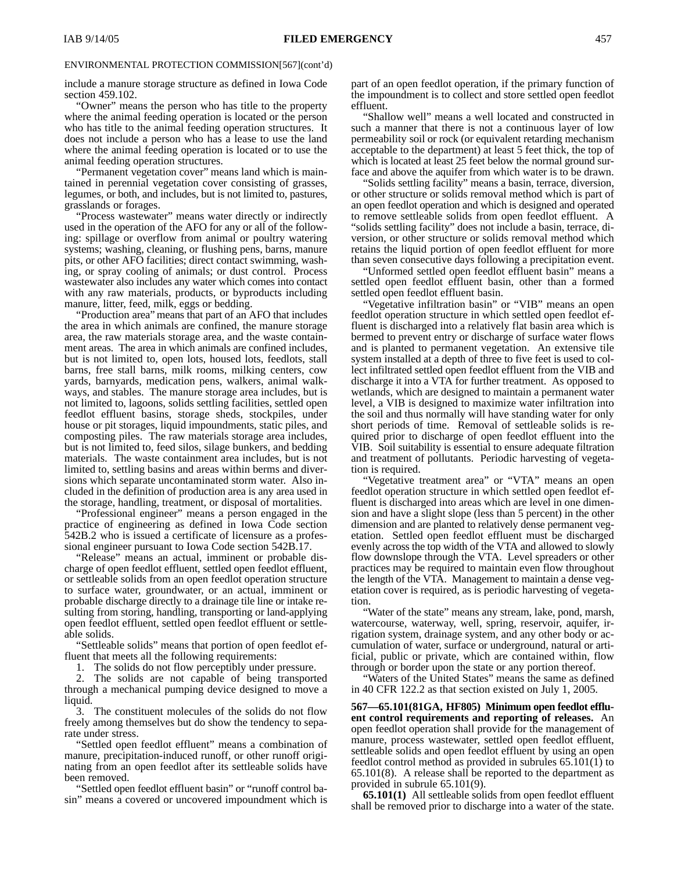include a manure storage structure as defined in Iowa Code section 459.102.

"Owner" means the person who has title to the property where the animal feeding operation is located or the person who has title to the animal feeding operation structures. It does not include a person who has a lease to use the land where the animal feeding operation is located or to use the animal feeding operation structures.

"Permanent vegetation cover" means land which is maintained in perennial vegetation cover consisting of grasses, legumes, or both, and includes, but is not limited to, pastures, grasslands or forages.

"Process wastewater" means water directly or indirectly used in the operation of the AFO for any or all of the following: spillage or overflow from animal or poultry watering systems; washing, cleaning, or flushing pens, barns, manure pits, or other AFO facilities; direct contact swimming, washing, or spray cooling of animals; or dust control. Process wastewater also includes any water which comes into contact with any raw materials, products, or byproducts including manure, litter, feed, milk, eggs or bedding.

"Production area" means that part of an AFO that includes the area in which animals are confined, the manure storage area, the raw materials storage area, and the waste containment areas. The area in which animals are confined includes, but is not limited to, open lots, housed lots, feedlots, stall barns, free stall barns, milk rooms, milking centers, cow yards, barnyards, medication pens, walkers, animal walkways, and stables. The manure storage area includes, but is not limited to, lagoons, solids settling facilities, settled open feedlot effluent basins, storage sheds, stockpiles, under house or pit storages, liquid impoundments, static piles, and composting piles. The raw materials storage area includes, but is not limited to, feed silos, silage bunkers, and bedding materials. The waste containment area includes, but is not limited to, settling basins and areas within berms and diversions which separate uncontaminated storm water. Also included in the definition of production area is any area used in the storage, handling, treatment, or disposal of mortalities.

"Professional engineer" means a person engaged in the practice of engineering as defined in Iowa Code section 542B.2 who is issued a certificate of licensure as a professional engineer pursuant to Iowa Code section 542B.17.

"Release" means an actual, imminent or probable discharge of open feedlot effluent, settled open feedlot effluent, or settleable solids from an open feedlot operation structure to surface water, groundwater, or an actual, imminent or probable discharge directly to a drainage tile line or intake resulting from storing, handling, transporting or land-applying open feedlot effluent, settled open feedlot effluent or settleable solids.

"Settleable solids" means that portion of open feedlot ef-

fluent that meets all the following requirements:<br>1. The solids do not flow perceptibly under The solids do not flow perceptibly under pressure.

The solids are not capable of being transported through a mechanical pumping device designed to move a liquid.

3. The constituent molecules of the solids do not flow freely among themselves but do show the tendency to separate under stress.

"Settled open feedlot effluent" means a combination of manure, precipitation-induced runoff, or other runoff originating from an open feedlot after its settleable solids have been removed.

"Settled open feedlot effluent basin" or "runoff control basin" means a covered or uncovered impoundment which is part of an open feedlot operation, if the primary function of the impoundment is to collect and store settled open feedlot effluent.

"Shallow well" means a well located and constructed in such a manner that there is not a continuous layer of low permeability soil or rock (or equivalent retarding mechanism acceptable to the department) at least 5 feet thick, the top of which is located at least 25 feet below the normal ground surface and above the aquifer from which water is to be drawn.

"Solids settling facility" means a basin, terrace, diversion, or other structure or solids removal method which is part of an open feedlot operation and which is designed and operated to remove settleable solids from open feedlot effluent. A "solids settling facility" does not include a basin, terrace, diversion, or other structure or solids removal method which retains the liquid portion of open feedlot effluent for more than seven consecutive days following a precipitation event.

"Unformed settled open feedlot effluent basin" means a settled open feedlot effluent basin, other than a formed settled open feedlot effluent basin.

"Vegetative infiltration basin" or "VIB" means an open feedlot operation structure in which settled open feedlot effluent is discharged into a relatively flat basin area which is bermed to prevent entry or discharge of surface water flows and is planted to permanent vegetation. An extensive tile system installed at a depth of three to five feet is used to collect infiltrated settled open feedlot effluent from the VIB and discharge it into a VTA for further treatment. As opposed to wetlands, which are designed to maintain a permanent water level, a VIB is designed to maximize water infiltration into the soil and thus normally will have standing water for only short periods of time. Removal of settleable solids is required prior to discharge of open feedlot effluent into the VIB. Soil suitability is essential to ensure adequate filtration and treatment of pollutants. Periodic harvesting of vegetation is required.

"Vegetative treatment area" or "VTA" means an open feedlot operation structure in which settled open feedlot effluent is discharged into areas which are level in one dimension and have a slight slope (less than 5 percent) in the other dimension and are planted to relatively dense permanent vegetation. Settled open feedlot effluent must be discharged evenly across the top width of the VTA and allowed to slowly flow downslope through the VTA. Level spreaders or other practices may be required to maintain even flow throughout the length of the VTA. Management to maintain a dense vegetation cover is required, as is periodic harvesting of vegetation.

"Water of the state" means any stream, lake, pond, marsh, watercourse, waterway, well, spring, reservoir, aquifer, irrigation system, drainage system, and any other body or accumulation of water, surface or underground, natural or artificial, public or private, which are contained within, flow through or border upon the state or any portion thereof.

"Waters of the United States" means the same as defined in 40 CFR 122.2 as that section existed on July 1, 2005.

**567—65.101(81GA, HF805) Minimum open feedlot effluent control requirements and reporting of releases.** An open feedlot operation shall provide for the management of manure, process wastewater, settled open feedlot effluent, settleable solids and open feedlot effluent by using an open feedlot control method as provided in subrules 65.101(1) to 65.101(8). A release shall be reported to the department as provided in subrule 65.101(9).

**65.101(1)** All settleable solids from open feedlot effluent shall be removed prior to discharge into a water of the state.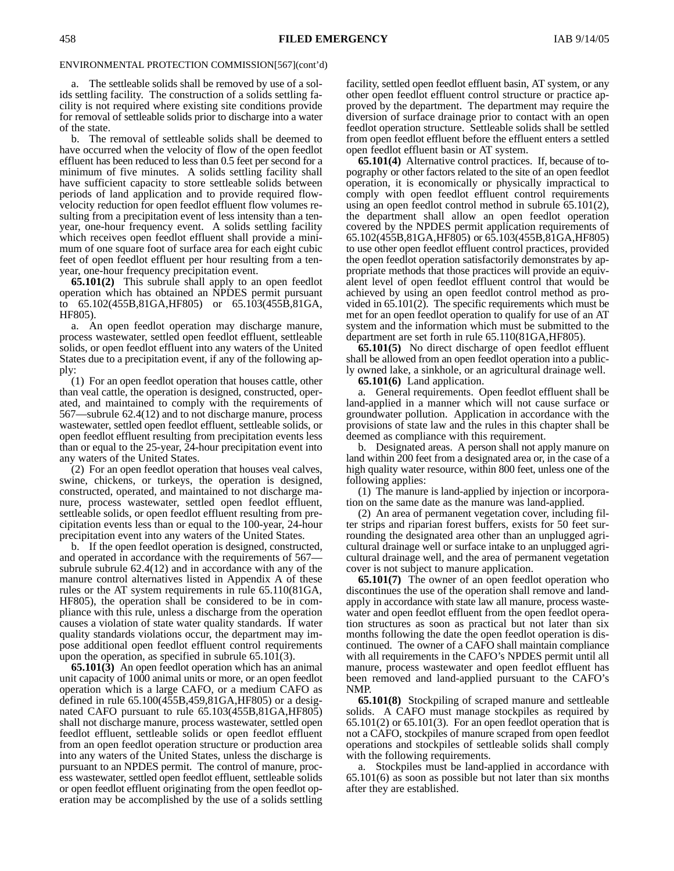a. The settleable solids shall be removed by use of a solids settling facility. The construction of a solids settling facility is not required where existing site conditions provide for removal of settleable solids prior to discharge into a water of the state.

b. The removal of settleable solids shall be deemed to have occurred when the velocity of flow of the open feedlot effluent has been reduced to less than 0.5 feet per second for a minimum of five minutes. A solids settling facility shall have sufficient capacity to store settleable solids between periods of land application and to provide required flowvelocity reduction for open feedlot effluent flow volumes resulting from a precipitation event of less intensity than a tenyear, one-hour frequency event. A solids settling facility which receives open feedlot effluent shall provide a minimum of one square foot of surface area for each eight cubic feet of open feedlot effluent per hour resulting from a tenyear, one-hour frequency precipitation event.

**65.101(2)** This subrule shall apply to an open feedlot operation which has obtained an NPDES permit pursuant to 65.102(455B,81GA,HF805) or 65.103(455B,81GA, HF805).

a. An open feedlot operation may discharge manure, process wastewater, settled open feedlot effluent, settleable solids, or open feedlot effluent into any waters of the United States due to a precipitation event, if any of the following apply:

(1) For an open feedlot operation that houses cattle, other than veal cattle, the operation is designed, constructed, operated, and maintained to comply with the requirements of 567—subrule 62.4(12) and to not discharge manure, process wastewater, settled open feedlot effluent, settleable solids, or open feedlot effluent resulting from precipitation events less than or equal to the 25-year, 24-hour precipitation event into any waters of the United States.

(2) For an open feedlot operation that houses veal calves, swine, chickens, or turkeys, the operation is designed, constructed, operated, and maintained to not discharge manure, process wastewater, settled open feedlot effluent, settleable solids, or open feedlot effluent resulting from precipitation events less than or equal to the 100-year, 24-hour precipitation event into any waters of the United States.

b. If the open feedlot operation is designed, constructed, and operated in accordance with the requirements of 567 subrule subrule 62.4(12) and in accordance with any of the manure control alternatives listed in Appendix A of these rules or the AT system requirements in rule 65.110(81GA, HF805), the operation shall be considered to be in compliance with this rule, unless a discharge from the operation causes a violation of state water quality standards. If water quality standards violations occur, the department may impose additional open feedlot effluent control requirements upon the operation, as specified in subrule 65.101(3).

**65.101(3)** An open feedlot operation which has an animal unit capacity of 1000 animal units or more, or an open feedlot operation which is a large CAFO, or a medium CAFO as defined in rule 65.100(455B,459,81GA,HF805) or a designated CAFO pursuant to rule 65.103(455B,81GA,HF805) shall not discharge manure, process wastewater, settled open feedlot effluent, settleable solids or open feedlot effluent from an open feedlot operation structure or production area into any waters of the United States, unless the discharge is pursuant to an NPDES permit. The control of manure, process wastewater, settled open feedlot effluent, settleable solids or open feedlot effluent originating from the open feedlot operation may be accomplished by the use of a solids settling

facility, settled open feedlot effluent basin, AT system, or any other open feedlot effluent control structure or practice approved by the department. The department may require the diversion of surface drainage prior to contact with an open feedlot operation structure. Settleable solids shall be settled from open feedlot effluent before the effluent enters a settled open feedlot effluent basin or AT system.

**65.101(4)** Alternative control practices. If, because of topography or other factors related to the site of an open feedlot operation, it is economically or physically impractical to comply with open feedlot effluent control requirements using an open feedlot control method in subrule 65.101(2), the department shall allow an open feedlot operation covered by the NPDES permit application requirements of 65.102(455B,81GA,HF805) or 65.103(455B,81GA,HF805) to use other open feedlot effluent control practices, provided the open feedlot operation satisfactorily demonstrates by appropriate methods that those practices will provide an equivalent level of open feedlot effluent control that would be achieved by using an open feedlot control method as provided in 65.101(2). The specific requirements which must be met for an open feedlot operation to qualify for use of an AT system and the information which must be submitted to the department are set forth in rule 65.110(81GA,HF805).

**65.101(5)** No direct discharge of open feedlot effluent shall be allowed from an open feedlot operation into a publicly owned lake, a sinkhole, or an agricultural drainage well.

**65.101(6)** Land application.

a. General requirements. Open feedlot effluent shall be land-applied in a manner which will not cause surface or groundwater pollution. Application in accordance with the provisions of state law and the rules in this chapter shall be deemed as compliance with this requirement.

b. Designated areas. A person shall not apply manure on land within 200 feet from a designated area or, in the case of a high quality water resource, within 800 feet, unless one of the following applies:

(1) The manure is land-applied by injection or incorporation on the same date as the manure was land-applied.

(2) An area of permanent vegetation cover, including filter strips and riparian forest buffers, exists for 50 feet surrounding the designated area other than an unplugged agricultural drainage well or surface intake to an unplugged agricultural drainage well, and the area of permanent vegetation cover is not subject to manure application.

**65.101(7)** The owner of an open feedlot operation who discontinues the use of the operation shall remove and landapply in accordance with state law all manure, process wastewater and open feedlot effluent from the open feedlot operation structures as soon as practical but not later than six months following the date the open feedlot operation is discontinued. The owner of a CAFO shall maintain compliance with all requirements in the CAFO's NPDES permit until all manure, process wastewater and open feedlot effluent has been removed and land-applied pursuant to the CAFO's NMP.

**65.101(8)** Stockpiling of scraped manure and settleable solids. A CAFO must manage stockpiles as required by  $65.101(2)$  or  $65.101(3)$ . For an open feedlot operation that is not a CAFO, stockpiles of manure scraped from open feedlot operations and stockpiles of settleable solids shall comply with the following requirements.

a. Stockpiles must be land-applied in accordance with 65.101(6) as soon as possible but not later than six months after they are established.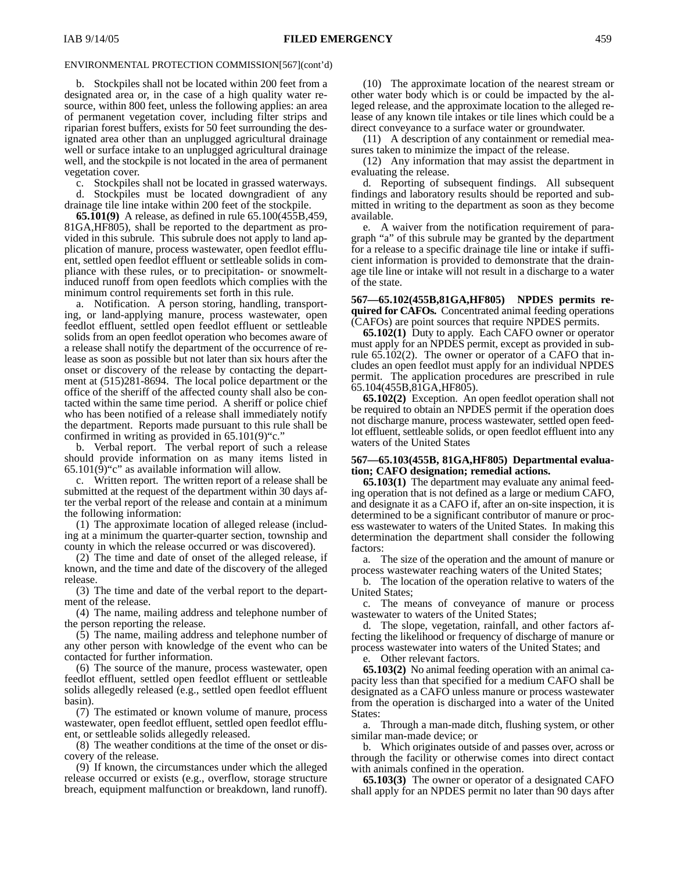b. Stockpiles shall not be located within 200 feet from a designated area or, in the case of a high quality water resource, within 800 feet, unless the following applies: an area of permanent vegetation cover, including filter strips and riparian forest buffers, exists for 50 feet surrounding the designated area other than an unplugged agricultural drainage well or surface intake to an unplugged agricultural drainage well, and the stockpile is not located in the area of permanent vegetation cover.

c. Stockpiles shall not be located in grassed waterways.

d. Stockpiles must be located downgradient of any drainage tile line intake within 200 feet of the stockpile.

**65.101(9)** A release, as defined in rule 65.100(455B,459, 81GA,HF805), shall be reported to the department as provided in this subrule. This subrule does not apply to land application of manure, process wastewater, open feedlot effluent, settled open feedlot effluent or settleable solids in compliance with these rules, or to precipitation- or snowmeltinduced runoff from open feedlots which complies with the minimum control requirements set forth in this rule.

a. Notification. A person storing, handling, transporting, or land-applying manure, process wastewater, open feedlot effluent, settled open feedlot effluent or settleable solids from an open feedlot operation who becomes aware of a release shall notify the department of the occurrence of release as soon as possible but not later than six hours after the onset or discovery of the release by contacting the department at (515)281-8694. The local police department or the office of the sheriff of the affected county shall also be contacted within the same time period. A sheriff or police chief who has been notified of a release shall immediately notify the department. Reports made pursuant to this rule shall be confirmed in writing as provided in  $65.101(9)$ "c."

b. Verbal report. The verbal report of such a release should provide information on as many items listed in 65.101(9)"c" as available information will allow.

c. Written report. The written report of a release shall be submitted at the request of the department within 30 days after the verbal report of the release and contain at a minimum the following information:

(1) The approximate location of alleged release (including at a minimum the quarter-quarter section, township and county in which the release occurred or was discovered).

(2) The time and date of onset of the alleged release, if known, and the time and date of the discovery of the alleged release.

(3) The time and date of the verbal report to the department of the release.

(4) The name, mailing address and telephone number of the person reporting the release.

(5) The name, mailing address and telephone number of any other person with knowledge of the event who can be contacted for further information.

(6) The source of the manure, process wastewater, open feedlot effluent, settled open feedlot effluent or settleable solids allegedly released (e.g., settled open feedlot effluent basin).

(7) The estimated or known volume of manure, process wastewater, open feedlot effluent, settled open feedlot effluent, or settleable solids allegedly released.

(8) The weather conditions at the time of the onset or discovery of the release.

(9) If known, the circumstances under which the alleged release occurred or exists (e.g., overflow, storage structure breach, equipment malfunction or breakdown, land runoff).

(10) The approximate location of the nearest stream or other water body which is or could be impacted by the alleged release, and the approximate location to the alleged release of any known tile intakes or tile lines which could be a direct conveyance to a surface water or groundwater.

(11) A description of any containment or remedial measures taken to minimize the impact of the release.

(12) Any information that may assist the department in evaluating the release.

d. Reporting of subsequent findings. All subsequent findings and laboratory results should be reported and submitted in writing to the department as soon as they become available.

e. A waiver from the notification requirement of paragraph "a" of this subrule may be granted by the department for a release to a specific drainage tile line or intake if sufficient information is provided to demonstrate that the drainage tile line or intake will not result in a discharge to a water of the state.

**567—65.102(455B,81GA,HF805) NPDES permits required for CAFOs.** Concentrated animal feeding operations (CAFOs) are point sources that require NPDES permits.

**65.102(1)** Duty to apply. Each CAFO owner or operator must apply for an NPDES permit, except as provided in subrule 65.102(2). The owner or operator of a CAFO that includes an open feedlot must apply for an individual NPDES permit. The application procedures are prescribed in rule 65.104(455B,81GA,HF805).

**65.102(2)** Exception. An open feedlot operation shall not be required to obtain an NPDES permit if the operation does not discharge manure, process wastewater, settled open feedlot effluent, settleable solids, or open feedlot effluent into any waters of the United States

#### **567—65.103(455B, 81GA,HF805) Departmental evaluation; CAFO designation; remedial actions.**

**65.103(1)** The department may evaluate any animal feeding operation that is not defined as a large or medium CAFO, and designate it as a CAFO if, after an on-site inspection, it is determined to be a significant contributor of manure or process wastewater to waters of the United States. In making this determination the department shall consider the following factors:

a. The size of the operation and the amount of manure or process wastewater reaching waters of the United States;

b. The location of the operation relative to waters of the United States;

c. The means of conveyance of manure or process wastewater to waters of the United States;

d. The slope, vegetation, rainfall, and other factors affecting the likelihood or frequency of discharge of manure or process wastewater into waters of the United States; and

Other relevant factors.

**65.103(2)** No animal feeding operation with an animal capacity less than that specified for a medium CAFO shall be designated as a CAFO unless manure or process wastewater from the operation is discharged into a water of the United States:

a. Through a man-made ditch, flushing system, or other similar man-made device; or

b. Which originates outside of and passes over, across or through the facility or otherwise comes into direct contact with animals confined in the operation.

**65.103(3)** The owner or operator of a designated CAFO shall apply for an NPDES permit no later than 90 days after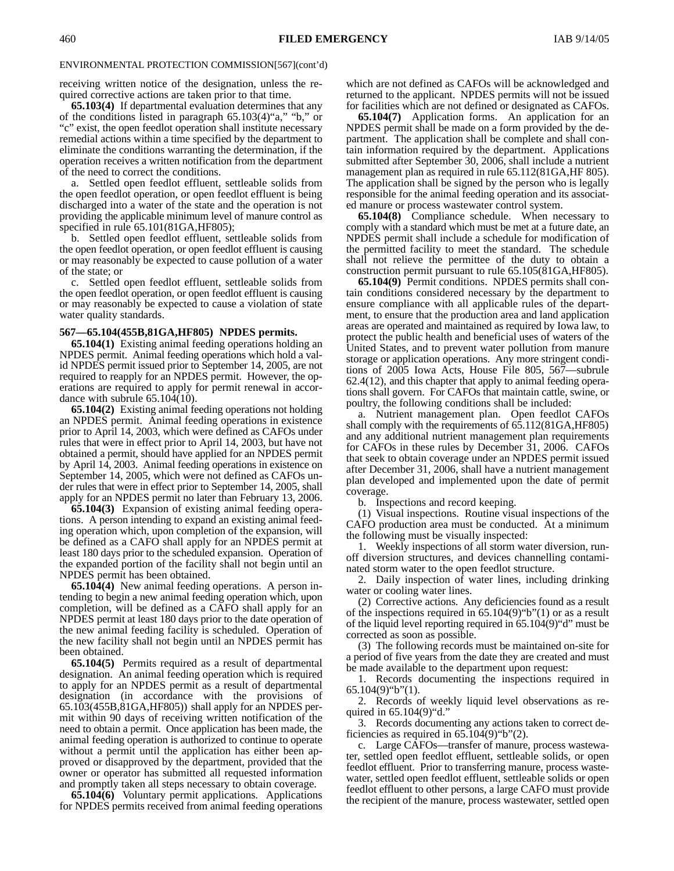receiving written notice of the designation, unless the required corrective actions are taken prior to that time.

**65.103(4)** If departmental evaluation determines that any of the conditions listed in paragraph 65.103(4)"a," "b," or "c" exist, the open feedlot operation shall institute necessary remedial actions within a time specified by the department to eliminate the conditions warranting the determination, if the operation receives a written notification from the department of the need to correct the conditions.

a. Settled open feedlot effluent, settleable solids from the open feedlot operation, or open feedlot effluent is being discharged into a water of the state and the operation is not providing the applicable minimum level of manure control as specified in rule 65.101(81GA, HF805);

b. Settled open feedlot effluent, settleable solids from the open feedlot operation, or open feedlot effluent is causing or may reasonably be expected to cause pollution of a water of the state; or

c. Settled open feedlot effluent, settleable solids from the open feedlot operation, or open feedlot effluent is causing or may reasonably be expected to cause a violation of state water quality standards.

#### **567—65.104(455B,81GA,HF805) NPDES permits.**

**65.104(1)** Existing animal feeding operations holding an NPDES permit. Animal feeding operations which hold a valid NPDES permit issued prior to September 14, 2005, are not required to reapply for an NPDES permit. However, the operations are required to apply for permit renewal in accordance with subrule 65.104(10).

**65.104(2)** Existing animal feeding operations not holding an NPDES permit. Animal feeding operations in existence prior to April 14, 2003, which were defined as CAFOs under rules that were in effect prior to April 14, 2003, but have not obtained a permit, should have applied for an NPDES permit by April 14, 2003. Animal feeding operations in existence on September 14, 2005, which were not defined as CAFOs under rules that were in effect prior to September 14, 2005, shall apply for an NPDES permit no later than February 13, 2006.

**65.104(3)** Expansion of existing animal feeding operations. A person intending to expand an existing animal feeding operation which, upon completion of the expansion, will be defined as a CAFO shall apply for an NPDES permit at least 180 days prior to the scheduled expansion. Operation of the expanded portion of the facility shall not begin until an NPDES permit has been obtained.

**65.104(4)** New animal feeding operations. A person intending to begin a new animal feeding operation which, upon completion, will be defined as a CAFO shall apply for an NPDES permit at least 180 days prior to the date operation of the new animal feeding facility is scheduled. Operation of the new facility shall not begin until an NPDES permit has been obtained.

**65.104(5)** Permits required as a result of departmental designation. An animal feeding operation which is required to apply for an NPDES permit as a result of departmental designation (in accordance with the provisions of 65.103(455B,81GA,HF805)) shall apply for an NPDES permit within 90 days of receiving written notification of the need to obtain a permit. Once application has been made, the animal feeding operation is authorized to continue to operate without a permit until the application has either been approved or disapproved by the department, provided that the owner or operator has submitted all requested information and promptly taken all steps necessary to obtain coverage.

**65.104(6)** Voluntary permit applications*.* Applications for NPDES permits received from animal feeding operations

which are not defined as CAFOs will be acknowledged and returned to the applicant. NPDES permits will not be issued for facilities which are not defined or designated as CAFOs.

**65.104(7)** Application forms. An application for an NPDES permit shall be made on a form provided by the department. The application shall be complete and shall contain information required by the department. Applications submitted after September 30, 2006, shall include a nutrient management plan as required in rule 65.112(81GA, HF 805). The application shall be signed by the person who is legally responsible for the animal feeding operation and its associated manure or process wastewater control system.

**65.104(8)** Compliance schedule. When necessary to comply with a standard which must be met at a future date, an NPDES permit shall include a schedule for modification of the permitted facility to meet the standard. The schedule shall not relieve the permittee of the duty to obtain a construction permit pursuant to rule 65.105(81GA,HF805).

**65.104(9)** Permit conditions. NPDES permits shall contain conditions considered necessary by the department to ensure compliance with all applicable rules of the department, to ensure that the production area and land application areas are operated and maintained as required by Iowa law, to protect the public health and beneficial uses of waters of the United States, and to prevent water pollution from manure storage or application operations. Any more stringent conditions of 2005 Iowa Acts, House File 805, 567—subrule 62.4(12), and this chapter that apply to animal feeding operations shall govern. For CAFOs that maintain cattle, swine, or poultry, the following conditions shall be included:

a. Nutrient management plan. Open feedlot CAFOs shall comply with the requirements of 65.112(81GA,HF805) and any additional nutrient management plan requirements for CAFOs in these rules by December 31, 2006. CAFOs that seek to obtain coverage under an NPDES permit issued after December 31, 2006, shall have a nutrient management plan developed and implemented upon the date of permit coverage.

b. Inspections and record keeping.

(1) Visual inspections. Routine visual inspections of the CAFO production area must be conducted. At a minimum the following must be visually inspected:

1. Weekly inspections of all storm water diversion, runoff diversion structures, and devices channelling contaminated storm water to the open feedlot structure.

2. Daily inspection of water lines, including drinking water or cooling water lines.

(2) Corrective actions. Any deficiencies found as a result of the inspections required in  $65.104(9)$ "b" $(1)$  or as a result of the liquid level reporting required in 65.104(9)"d" must be corrected as soon as possible.

(3) The following records must be maintained on-site for a period of five years from the date they are created and must be made available to the department upon request:

1. Records documenting the inspections required in  $65.104(9)$ "b" $(1)$ .

2. Records of weekly liquid level observations as required in 65.104(9)"d."

3. Records documenting any actions taken to correct deficiencies as required in 65.104(9)"b"(2).

c. Large CAFOs—transfer of manure, process wastewater, settled open feedlot effluent, settleable solids, or open feedlot effluent. Prior to transferring manure, process wastewater, settled open feedlot effluent, settleable solids or open feedlot effluent to other persons, a large CAFO must provide the recipient of the manure, process wastewater, settled open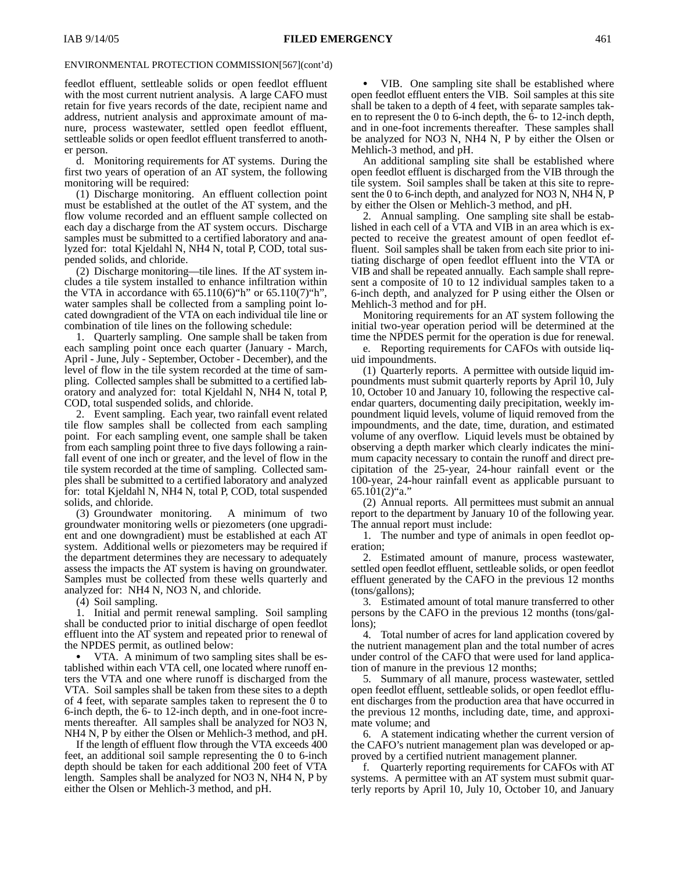feedlot effluent, settleable solids or open feedlot effluent with the most current nutrient analysis. A large CAFO must retain for five years records of the date, recipient name and address, nutrient analysis and approximate amount of manure, process wastewater, settled open feedlot effluent, settleable solids or open feedlot effluent transferred to another person.

d. Monitoring requirements for AT systems. During the first two years of operation of an AT system, the following monitoring will be required:

(1) Discharge monitoring. An effluent collection point must be established at the outlet of the AT system, and the flow volume recorded and an effluent sample collected on each day a discharge from the AT system occurs. Discharge samples must be submitted to a certified laboratory and analyzed for: total Kjeldahl N, NH4 N, total P, COD, total suspended solids, and chloride.

(2) Discharge monitoring—tile lines. If the AT system includes a tile system installed to enhance infiltration within the VTA in accordance with  $65.110(6)$ "h" or  $65.110(7)$ "h", water samples shall be collected from a sampling point located downgradient of the VTA on each individual tile line or combination of tile lines on the following schedule:

1. Quarterly sampling. One sample shall be taken from each sampling point once each quarter (January - March, April - June, July - September, October - December), and the level of flow in the tile system recorded at the time of sampling. Collected samples shall be submitted to a certified laboratory and analyzed for: total Kjeldahl N, NH4 N, total P, COD, total suspended solids, and chloride.

2. Event sampling. Each year, two rainfall event related tile flow samples shall be collected from each sampling point. For each sampling event, one sample shall be taken from each sampling point three to five days following a rainfall event of one inch or greater, and the level of flow in the tile system recorded at the time of sampling. Collected samples shall be submitted to a certified laboratory and analyzed for: total Kjeldahl N, NH4 N, total P, COD, total suspended solids, and chloride.

(3) Groundwater monitoring. A minimum of two groundwater monitoring wells or piezometers (one upgradient and one downgradient) must be established at each AT system. Additional wells or piezometers may be required if the department determines they are necessary to adequately assess the impacts the AT system is having on groundwater. Samples must be collected from these wells quarterly and analyzed for: NH4 N, NO3 N, and chloride.

(4) Soil sampling.

1. Initial and permit renewal sampling. Soil sampling shall be conducted prior to initial discharge of open feedlot effluent into the AT system and repeated prior to renewal of the NPDES permit, as outlined below:

 VTA. A minimum of two sampling sites shall be established within each VTA cell, one located where runoff enters the VTA and one where runoff is discharged from the VTA. Soil samples shall be taken from these sites to a depth of 4 feet, with separate samples taken to represent the 0 to 6-inch depth, the 6- to 12-inch depth, and in one-foot increments thereafter. All samples shall be analyzed for NO3 N, NH4 N, P by either the Olsen or Mehlich-3 method, and pH.

If the length of effluent flow through the VTA exceeds 400 feet, an additional soil sample representing the 0 to 6-inch depth should be taken for each additional 200 feet of VTA length. Samples shall be analyzed for NO3 N, NH4 N, P by either the Olsen or Mehlich-3 method, and pH.

 VIB. One sampling site shall be established where open feedlot effluent enters the VIB. Soil samples at this site shall be taken to a depth of 4 feet, with separate samples taken to represent the 0 to 6-inch depth, the 6- to 12-inch depth, and in one-foot increments thereafter. These samples shall be analyzed for NO3 N, NH4 N, P by either the Olsen or Mehlich-3 method, and pH.

An additional sampling site shall be established where open feedlot effluent is discharged from the VIB through the tile system. Soil samples shall be taken at this site to represent the 0 to 6-inch depth, and analyzed for NO3 N, NH4 N, P by either the Olsen or Mehlich-3 method, and pH.

2. Annual sampling. One sampling site shall be established in each cell of a VTA and VIB in an area which is expected to receive the greatest amount of open feedlot effluent. Soil samples shall be taken from each site prior to initiating discharge of open feedlot effluent into the VTA or VIB and shall be repeated annually. Each sample shall represent a composite of 10 to 12 individual samples taken to a 6-inch depth, and analyzed for P using either the Olsen or Mehlich-3 method and for pH.

Monitoring requirements for an AT system following the initial two-year operation period will be determined at the time the NPDES permit for the operation is due for renewal.

e. Reporting requirements for CAFOs with outside liquid impoundments.

(1) Quarterly reports. A permittee with outside liquid impoundments must submit quarterly reports by April 10, July 10, October 10 and January 10, following the respective calendar quarters, documenting daily precipitation, weekly impoundment liquid levels, volume of liquid removed from the impoundments, and the date, time, duration, and estimated volume of any overflow. Liquid levels must be obtained by observing a depth marker which clearly indicates the minimum capacity necessary to contain the runoff and direct precipitation of the 25-year, 24-hour rainfall event or the 100-year, 24-hour rainfall event as applicable pursuant to 65.101(2)"a."

(2) Annual reports. All permittees must submit an annual report to the department by January 10 of the following year. The annual report must include:

1. The number and type of animals in open feedlot operation;

2. Estimated amount of manure, process wastewater, settled open feedlot effluent, settleable solids, or open feedlot effluent generated by the CAFO in the previous 12 months (tons/gallons);

3. Estimated amount of total manure transferred to other persons by the CAFO in the previous 12 months (tons/gallons);

4. Total number of acres for land application covered by the nutrient management plan and the total number of acres under control of the CAFO that were used for land application of manure in the previous 12 months;

5. Summary of all manure, process wastewater, settled open feedlot effluent, settleable solids, or open feedlot effluent discharges from the production area that have occurred in the previous 12 months, including date, time, and approximate volume; and

6. A statement indicating whether the current version of the CAFO's nutrient management plan was developed or approved by a certified nutrient management planner.

f. Quarterly reporting requirements for CAFOs with AT systems. A permittee with an AT system must submit quarterly reports by April 10, July 10, October 10, and January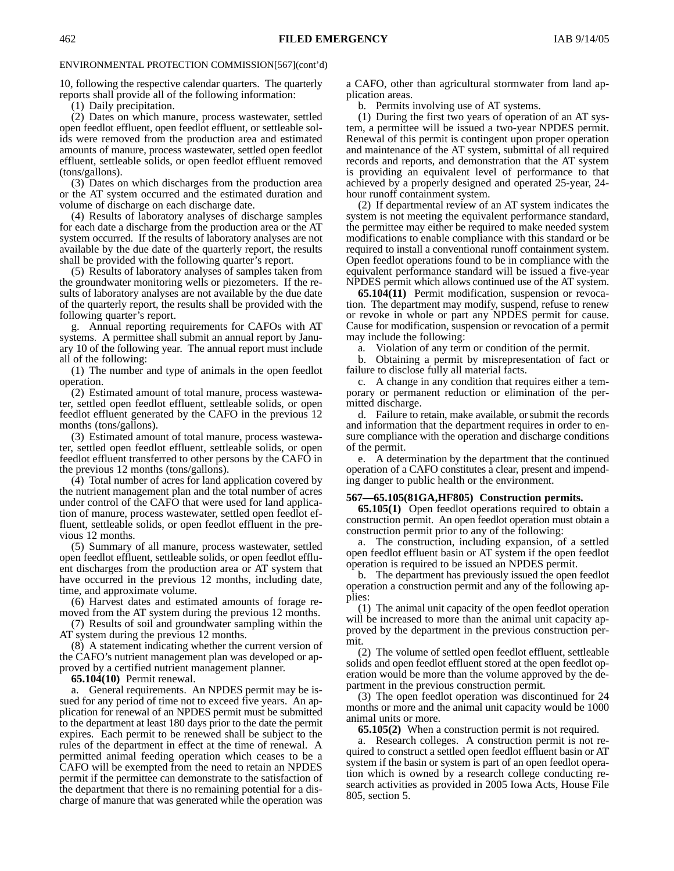10, following the respective calendar quarters. The quarterly reports shall provide all of the following information:

(1) Daily precipitation.

(2) Dates on which manure, process wastewater, settled open feedlot effluent, open feedlot effluent, or settleable solids were removed from the production area and estimated amounts of manure, process wastewater, settled open feedlot effluent, settleable solids, or open feedlot effluent removed (tons/gallons).

(3) Dates on which discharges from the production area or the AT system occurred and the estimated duration and volume of discharge on each discharge date.

(4) Results of laboratory analyses of discharge samples for each date a discharge from the production area or the AT system occurred. If the results of laboratory analyses are not available by the due date of the quarterly report, the results shall be provided with the following quarter's report.

(5) Results of laboratory analyses of samples taken from the groundwater monitoring wells or piezometers. If the results of laboratory analyses are not available by the due date of the quarterly report, the results shall be provided with the following quarter's report.

g. Annual reporting requirements for CAFOs with AT systems. A permittee shall submit an annual report by January 10 of the following year. The annual report must include all of the following:

(1) The number and type of animals in the open feedlot operation.

(2) Estimated amount of total manure, process wastewater, settled open feedlot effluent, settleable solids, or open feedlot effluent generated by the CAFO in the previous 12 months (tons/gallons).

(3) Estimated amount of total manure, process wastewater, settled open feedlot effluent, settleable solids, or open feedlot effluent transferred to other persons by the CAFO in the previous 12 months (tons/gallons).

(4) Total number of acres for land application covered by the nutrient management plan and the total number of acres under control of the CAFO that were used for land application of manure, process wastewater, settled open feedlot effluent, settleable solids, or open feedlot effluent in the previous 12 months.

(5) Summary of all manure, process wastewater, settled open feedlot effluent, settleable solids, or open feedlot effluent discharges from the production area or AT system that have occurred in the previous 12 months, including date, time, and approximate volume.

(6) Harvest dates and estimated amounts of forage removed from the AT system during the previous 12 months.

(7) Results of soil and groundwater sampling within the AT system during the previous 12 months.

(8) A statement indicating whether the current version of the CAFO's nutrient management plan was developed or approved by a certified nutrient management planner.

**65.104(10)** Permit renewal.

a. General requirements. An NPDES permit may be issued for any period of time not to exceed five years. An application for renewal of an NPDES permit must be submitted to the department at least 180 days prior to the date the permit expires. Each permit to be renewed shall be subject to the rules of the department in effect at the time of renewal. A permitted animal feeding operation which ceases to be a CAFO will be exempted from the need to retain an NPDES permit if the permittee can demonstrate to the satisfaction of the department that there is no remaining potential for a discharge of manure that was generated while the operation was

a CAFO, other than agricultural stormwater from land application areas.

b. Permits involving use of AT systems.

(1) During the first two years of operation of an AT system, a permittee will be issued a two-year NPDES permit. Renewal of this permit is contingent upon proper operation and maintenance of the AT system, submittal of all required records and reports, and demonstration that the AT system is providing an equivalent level of performance to that achieved by a properly designed and operated 25-year, 24 hour runoff containment system.

(2) If departmental review of an AT system indicates the system is not meeting the equivalent performance standard, the permittee may either be required to make needed system modifications to enable compliance with this standard or be required to install a conventional runoff containment system. Open feedlot operations found to be in compliance with the equivalent performance standard will be issued a five-year NPDES permit which allows continued use of the AT system.

**65.104(11)** Permit modification, suspension or revocation*.* The department may modify, suspend, refuse to renew or revoke in whole or part any NPDES permit for cause. Cause for modification, suspension or revocation of a permit may include the following:

a*.* Violation of any term or condition of the permit.

b. Obtaining a permit by misrepresentation of fact or failure to disclose fully all material facts.

c. A change in any condition that requires either a temporary or permanent reduction or elimination of the permitted discharge.

d. Failure to retain, make available, orsubmit the records and information that the department requires in order to ensure compliance with the operation and discharge conditions of the permit.

e. A determination by the department that the continued operation of a CAFO constitutes a clear, present and impending danger to public health or the environment.

#### **567—65.105(81GA,HF805) Construction permits.**

**65.105(1)** Open feedlot operations required to obtain a construction permit. An open feedlot operation must obtain a construction permit prior to any of the following:

a. The construction, including expansion, of a settled open feedlot effluent basin or AT system if the open feedlot operation is required to be issued an NPDES permit.

b. The department has previously issued the open feedlot operation a construction permit and any of the following applies:

(1) The animal unit capacity of the open feedlot operation will be increased to more than the animal unit capacity approved by the department in the previous construction permit.

(2) The volume of settled open feedlot effluent, settleable solids and open feedlot effluent stored at the open feedlot operation would be more than the volume approved by the department in the previous construction permit.

(3) The open feedlot operation was discontinued for 24 months or more and the animal unit capacity would be 1000 animal units or more.

**65.105(2)** When a construction permit is not required.

a. Research colleges. A construction permit is not required to construct a settled open feedlot effluent basin or AT system if the basin or system is part of an open feedlot operation which is owned by a research college conducting research activities as provided in 2005 Iowa Acts, House File 805, section 5.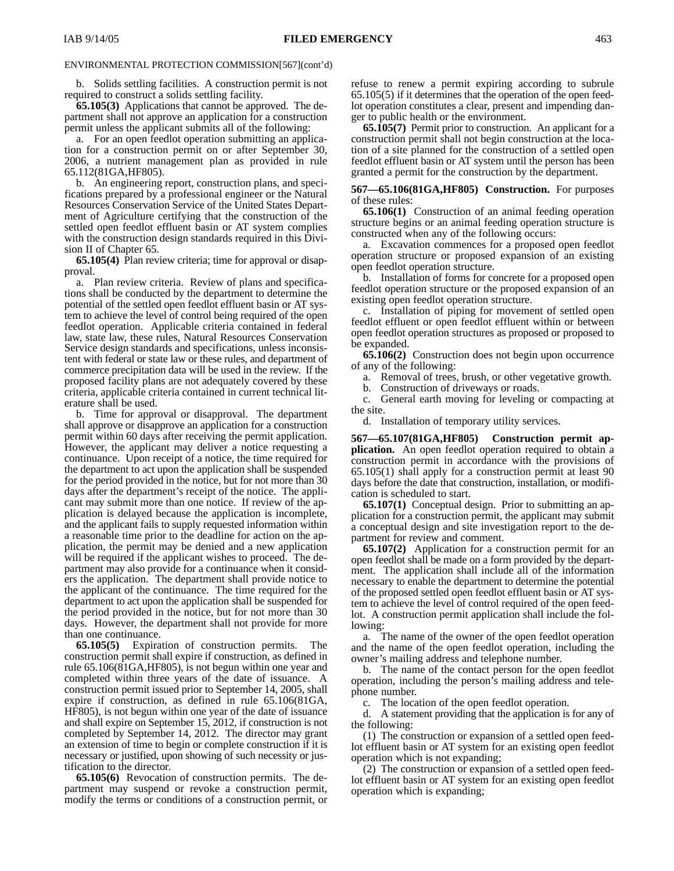b. Solids settling facilities. A construction permit is not required to construct a solids settling facility.

**65.105(3)** Applications that cannot be approved. The department shall not approve an application for a construction permit unless the applicant submits all of the following:

a. For an open feedlot operation submitting an application for a construction permit on or after September 30, 2006, a nutrient management plan as provided in rule 65.112(81GA,HF805).

b. An engineering report, construction plans, and specifications prepared by a professional engineer or the Natural Resources Conservation Service of the United States Department of Agriculture certifying that the construction of the settled open feedlot effluent basin or AT system complies with the construction design standards required in this Division II of Chapter 65.

**65.105(4)** Plan review criteria; time for approval or disapproval.

a. Plan review criteria. Review of plans and specifications shall be conducted by the department to determine the potential of the settled open feedlot effluent basin or AT system to achieve the level of control being required of the open feedlot operation. Applicable criteria contained in federal law, state law, these rules, Natural Resources Conservation Service design standards and specifications, unless inconsistent with federal or state law or these rules, and department of commerce precipitation data will be used in the review. If the proposed facility plans are not adequately covered by these criteria, applicable criteria contained in current technical literature shall be used.

b. Time for approval or disapproval. The department shall approve or disapprove an application for a construction permit within 60 days after receiving the permit application. However, the applicant may deliver a notice requesting a continuance. Upon receipt of a notice, the time required for the department to act upon the application shall be suspended for the period provided in the notice, but for not more than 30 days after the department's receipt of the notice. The applicant may submit more than one notice. If review of the application is delayed because the application is incomplete, and the applicant fails to supply requested information within a reasonable time prior to the deadline for action on the application, the permit may be denied and a new application will be required if the applicant wishes to proceed. The department may also provide for a continuance when it considers the application. The department shall provide notice to the applicant of the continuance. The time required for the department to act upon the application shall be suspended for the period provided in the notice, but for not more than 30 days. However, the department shall not provide for more than one continuance.

**65.105(5)** Expiration of construction permits. The construction permit shall expire if construction, as defined in rule 65.106(81GA,HF805), is not begun within one year and completed within three years of the date of issuance. A construction permit issued prior to September 14, 2005, shall expire if construction, as defined in rule 65.106(81GA, HF805), is not begun within one year of the date of issuance and shall expire on September 15, 2012, if construction is not completed by September 14, 2012. The director may grant an extension of time to begin or complete construction if it is necessary or justified, upon showing of such necessity or justification to the director.

**65.105(6)** Revocation of construction permits. The department may suspend or revoke a construction permit, modify the terms or conditions of a construction permit, or refuse to renew a permit expiring according to subrule 65.105(5) if it determines that the operation of the open feedlot operation constitutes a clear, present and impending danger to public health or the environment.

**65.105(7)** Permit prior to construction. An applicant for a construction permit shall not begin construction at the location of a site planned for the construction of a settled open feedlot effluent basin or AT system until the person has been granted a permit for the construction by the department.

#### **567—65.106(81GA,HF805) Construction.** For purposes of these rules:

**65.106(1)** Construction of an animal feeding operation structure begins or an animal feeding operation structure is constructed when any of the following occurs:

a. Excavation commences for a proposed open feedlot operation structure or proposed expansion of an existing open feedlot operation structure.

b. Installation of forms for concrete for a proposed open feedlot operation structure or the proposed expansion of an existing open feedlot operation structure.

c. Installation of piping for movement of settled open feedlot effluent or open feedlot effluent within or between open feedlot operation structures as proposed or proposed to be expanded.

**65.106(2)** Construction does not begin upon occurrence of any of the following:

a. Removal of trees, brush, or other vegetative growth.

b. Construction of driveways or roads.

c. General earth moving for leveling or compacting at the site.

d. Installation of temporary utility services.

**567—65.107(81GA,HF805) Construction permit application.** An open feedlot operation required to obtain a construction permit in accordance with the provisions of 65.105(1) shall apply for a construction permit at least 90 days before the date that construction, installation, or modification is scheduled to start.

**65.107(1)** Conceptual design. Prior to submitting an application for a construction permit, the applicant may submit a conceptual design and site investigation report to the department for review and comment.

**65.107(2)** Application for a construction permit for an open feedlot shall be made on a form provided by the department. The application shall include all of the information necessary to enable the department to determine the potential of the proposed settled open feedlot effluent basin or AT system to achieve the level of control required of the open feedlot. A construction permit application shall include the following:

a. The name of the owner of the open feedlot operation and the name of the open feedlot operation, including the owner's mailing address and telephone number.

b. The name of the contact person for the open feedlot operation, including the person's mailing address and telephone number.

c. The location of the open feedlot operation.

d. A statement providing that the application is for any of the following:

(1) The construction or expansion of a settled open feedlot effluent basin or AT system for an existing open feedlot operation which is not expanding;

(2) The construction or expansion of a settled open feedlot effluent basin or AT system for an existing open feedlot operation which is expanding;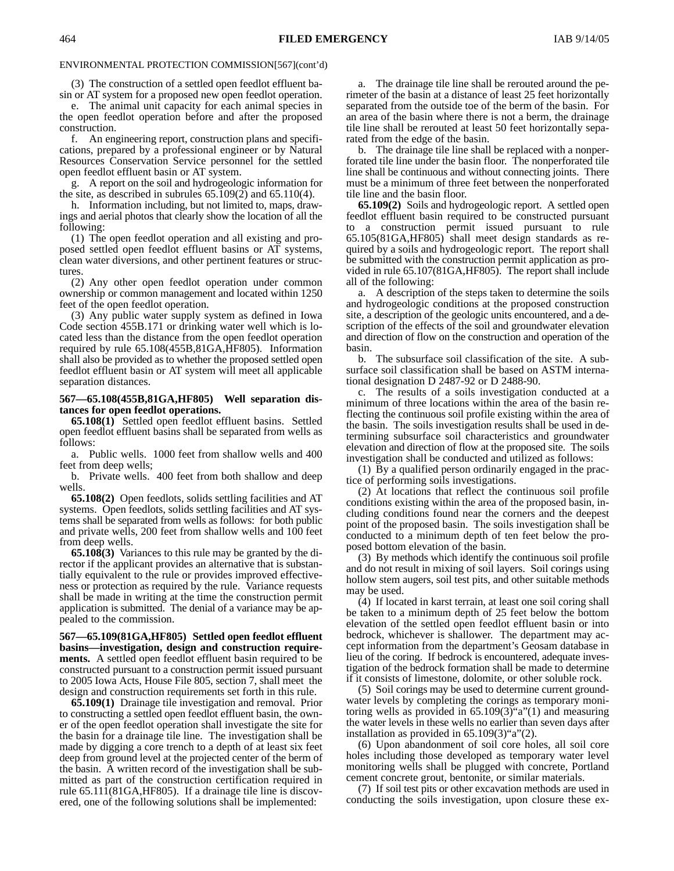(3) The construction of a settled open feedlot effluent basin or AT system for a proposed new open feedlot operation.

e. The animal unit capacity for each animal species in the open feedlot operation before and after the proposed construction.

f. An engineering report, construction plans and specifications, prepared by a professional engineer or by Natural Resources Conservation Service personnel for the settled open feedlot effluent basin or AT system.

g. A report on the soil and hydrogeologic information for the site, as described in subrules  $65.109(2)$  and  $65.110(4)$ .

h. Information including, but not limited to, maps, drawings and aerial photos that clearly show the location of all the following:

(1) The open feedlot operation and all existing and proposed settled open feedlot effluent basins or AT systems, clean water diversions, and other pertinent features or structures.

(2) Any other open feedlot operation under common ownership or common management and located within 1250 feet of the open feedlot operation.

(3) Any public water supply system as defined in Iowa Code section 455B.171 or drinking water well which is located less than the distance from the open feedlot operation required by rule 65.108(455B,81GA,HF805). Information shall also be provided as to whether the proposed settled open feedlot effluent basin or AT system will meet all applicable separation distances.

#### **567—65.108(455B,81GA,HF805) Well separation distances for open feedlot operations.**

**65.108(1)** Settled open feedlot effluent basins. Settled open feedlot effluent basins shall be separated from wells as follows:

a. Public wells. 1000 feet from shallow wells and 400 feet from deep wells;

b. Private wells. 400 feet from both shallow and deep wells.

**65.108(2)** Open feedlots, solids settling facilities and AT systems. Open feedlots, solids settling facilities and AT systems shall be separated from wells as follows: for both public and private wells, 200 feet from shallow wells and 100 feet from deep wells.

**65.108(3)** Variances to this rule may be granted by the director if the applicant provides an alternative that is substantially equivalent to the rule or provides improved effectiveness or protection as required by the rule. Variance requests shall be made in writing at the time the construction permit application is submitted. The denial of a variance may be appealed to the commission.

**567—65.109(81GA,HF805) Settled open feedlot effluent basins—investigation, design and construction requirements.** A settled open feedlot effluent basin required to be constructed pursuant to a construction permit issued pursuant to 2005 Iowa Acts, House File 805, section 7, shall meet the design and construction requirements set forth in this rule.

**65.109(1)** Drainage tile investigation and removal. Prior to constructing a settled open feedlot effluent basin, the owner of the open feedlot operation shall investigate the site for the basin for a drainage tile line. The investigation shall be made by digging a core trench to a depth of at least six feet deep from ground level at the projected center of the berm of the basin. A written record of the investigation shall be submitted as part of the construction certification required in rule 65.111(81GA,HF805). If a drainage tile line is discovered, one of the following solutions shall be implemented:

a. The drainage tile line shall be rerouted around the perimeter of the basin at a distance of least 25 feet horizontally separated from the outside toe of the berm of the basin. For an area of the basin where there is not a berm, the drainage tile line shall be rerouted at least 50 feet horizontally separated from the edge of the basin.

b. The drainage tile line shall be replaced with a nonperforated tile line under the basin floor. The nonperforated tile line shall be continuous and without connecting joints. There must be a minimum of three feet between the nonperforated tile line and the basin floor.

**65.109(2)** Soils and hydrogeologic report. A settled open feedlot effluent basin required to be constructed pursuant to a construction permit issued pursuant to rule 65.105(81GA,HF805) shall meet design standards as required by a soils and hydrogeologic report. The report shall be submitted with the construction permit application as provided in rule 65.107(81GA,HF805). The report shall include all of the following:

a. A description of the steps taken to determine the soils and hydrogeologic conditions at the proposed construction site, a description of the geologic units encountered, and a description of the effects of the soil and groundwater elevation and direction of flow on the construction and operation of the basin.

b. The subsurface soil classification of the site. A subsurface soil classification shall be based on ASTM international designation D 2487-92 or D 2488-90.

c. The results of a soils investigation conducted at a minimum of three locations within the area of the basin reflecting the continuous soil profile existing within the area of the basin. The soils investigation results shall be used in determining subsurface soil characteristics and groundwater elevation and direction of flow at the proposed site. The soils investigation shall be conducted and utilized as follows:

(1) By a qualified person ordinarily engaged in the practice of performing soils investigations.

(2) At locations that reflect the continuous soil profile conditions existing within the area of the proposed basin, including conditions found near the corners and the deepest point of the proposed basin. The soils investigation shall be conducted to a minimum depth of ten feet below the proposed bottom elevation of the basin.

(3) By methods which identify the continuous soil profile and do not result in mixing of soil layers. Soil corings using hollow stem augers, soil test pits, and other suitable methods may be used.

(4) If located in karst terrain, at least one soil coring shall be taken to a minimum depth of 25 feet below the bottom elevation of the settled open feedlot effluent basin or into bedrock, whichever is shallower. The department may accept information from the department's Geosam database in lieu of the coring. If bedrock is encountered, adequate investigation of the bedrock formation shall be made to determine if it consists of limestone, dolomite, or other soluble rock.

(5) Soil corings may be used to determine current groundwater levels by completing the corings as temporary monitoring wells as provided in 65.109(3)"a"(1) and measuring the water levels in these wells no earlier than seven days after installation as provided in 65.109(3)"a"(2).

(6) Upon abandonment of soil core holes, all soil core holes including those developed as temporary water level monitoring wells shall be plugged with concrete, Portland cement concrete grout, bentonite, or similar materials.

(7) If soil test pits or other excavation methods are used in conducting the soils investigation, upon closure these ex-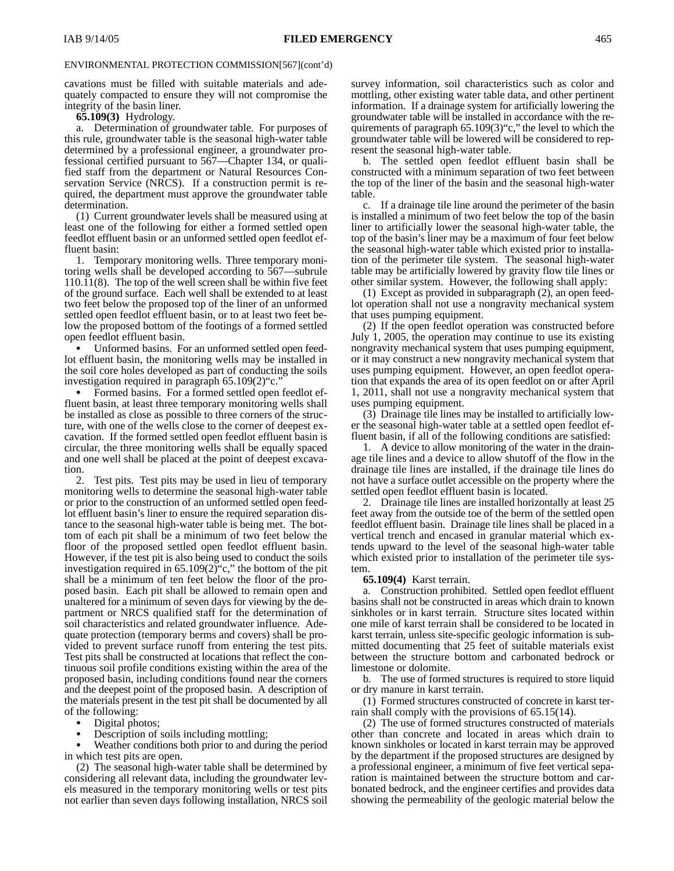cavations must be filled with suitable materials and adequately compacted to ensure they will not compromise the integrity of the basin liner.

#### **65.109(3)** Hydrology.

a. Determination of groundwater table. For purposes of this rule, groundwater table is the seasonal high-water table determined by a professional engineer, a groundwater professional certified pursuant to 567—Chapter 134, or qualified staff from the department or Natural Resources Conservation Service (NRCS). If a construction permit is required, the department must approve the groundwater table determination.

(1) Current groundwater levels shall be measured using at least one of the following for either a formed settled open feedlot effluent basin or an unformed settled open feedlot effluent basin:

1. Temporary monitoring wells.Three temporary monitoring wells shall be developed according to 567—subrule 110.11(8). The top of the well screen shall be within five feet of the ground surface. Each well shall be extended to at least two feet below the proposed top of the liner of an unformed settled open feedlot effluent basin, or to at least two feet below the proposed bottom of the footings of a formed settled open feedlot effluent basin.

 Unformed basins. For an unformed settled open feedlot effluent basin, the monitoring wells may be installed in the soil core holes developed as part of conducting the soils investigation required in paragraph 65.109(2)"c."

 Formed basins. For a formed settled open feedlot effluent basin, at least three temporary monitoring wells shall be installed as close as possible to three corners of the structure, with one of the wells close to the corner of deepest excavation. If the formed settled open feedlot effluent basin is circular, the three monitoring wells shall be equally spaced and one well shall be placed at the point of deepest excavation.

2. Test pits. Test pits may be used in lieu of temporary monitoring wells to determine the seasonal high-water table or prior to the construction of an unformed settled open feedlot effluent basin's liner to ensure the required separation distance to the seasonal high-water table is being met.The bottom of each pit shall be a minimum of two feet below the floor of the proposed settled open feedlot effluent basin. However, if the test pit is also being used to conduct the soils investigation required in 65.109(2)"c," the bottom of the pit shall be a minimum of ten feet below the floor of the proposed basin. Each pit shall be allowed to remain open and unaltered for a minimum of seven days for viewing by the department or NRCS qualified staff for the determination of soil characteristics and related groundwater influence. Adequate protection (temporary berms and covers) shall be provided to prevent surface runoff from entering the test pits. Test pits shall be constructed at locations that reflect the continuous soil profile conditions existing within the area of the proposed basin, including conditions found near the corners and the deepest point of the proposed basin. A description of the materials present in the test pit shall be documented by all of the following:

- Digital photos;  $\bullet$
- Description of soils including mottling;  $\bullet$

 Weather conditions both prior to and during the period in which test pits are open.

(2) The seasonal high-water table shall be determined by considering all relevant data, including the groundwater levels measured in the temporary monitoring wells or test pits not earlier than seven days following installation, NRCS soil

survey information, soil characteristics such as color and mottling, other existing water table data, and other pertinent information. If a drainage system for artificially lowering the groundwater table will be installed in accordance with the requirements of paragraph 65.109(3)"c," the level to which the groundwater table will be lowered will be considered to represent the seasonal high-water table.

b. The settled open feedlot effluent basin shall be constructed with a minimum separation of two feet between the top of the liner of the basin and the seasonal high-water table.

c. If a drainage tile line around the perimeter of the basin is installed a minimum of two feet below the top of the basin liner to artificially lower the seasonal high-water table, the top of the basin's liner may be a maximum of four feet below the seasonal high-water table which existed prior to installation of the perimeter tile system. The seasonal high-water table may be artificially lowered by gravity flow tile lines or other similar system. However, the following shall apply:

(1) Except as provided in subparagraph (2), an open feedlot operation shall not use a nongravity mechanical system that uses pumping equipment.

(2) If the open feedlot operation was constructed before July 1, 2005, the operation may continue to use its existing nongravity mechanical system that uses pumping equipment, or it may construct a new nongravity mechanical system that uses pumping equipment. However, an open feedlot operation that expands the area of its open feedlot on or after April 1, 2011, shall not use a nongravity mechanical system that uses pumping equipment.

(3) Drainage tile lines may be installed to artificially lower the seasonal high-water table at a settled open feedlot effluent basin, if all of the following conditions are satisfied:

1. A device to allow monitoring of the water in the drainage tile lines and a device to allow shutoff of the flow in the drainage tile lines are installed, if the drainage tile lines do not have a surface outlet accessible on the property where the settled open feedlot effluent basin is located.

2. Drainage tile lines are installed horizontally at least 25 feet away from the outside toe of the berm of the settled open feedlot effluent basin. Drainage tile lines shall be placed in a vertical trench and encased in granular material which extends upward to the level of the seasonal high-water table which existed prior to installation of the perimeter tile system.

#### **65.109(4)** Karst terrain.

a. Construction prohibited. Settled open feedlot effluent basins shall not be constructed in areas which drain to known sinkholes or in karst terrain. Structure sites located within one mile of karst terrain shall be considered to be located in karst terrain, unless site-specific geologic information is submitted documenting that 25 feet of suitable materials exist between the structure bottom and carbonated bedrock or limestone or dolomite.

b. The use of formed structures is required to store liquid or dry manure in karst terrain.

(1) Formed structures constructed of concrete in karst terrain shall comply with the provisions of 65.15(14).

(2) The use of formed structures constructed of materials other than concrete and located in areas which drain to known sinkholes or located in karst terrain may be approved by the department if the proposed structures are designed by a professional engineer, a minimum of five feet vertical separation is maintained between the structure bottom and carbonated bedrock, and the engineer certifies and provides data showing the permeability of the geologic material below the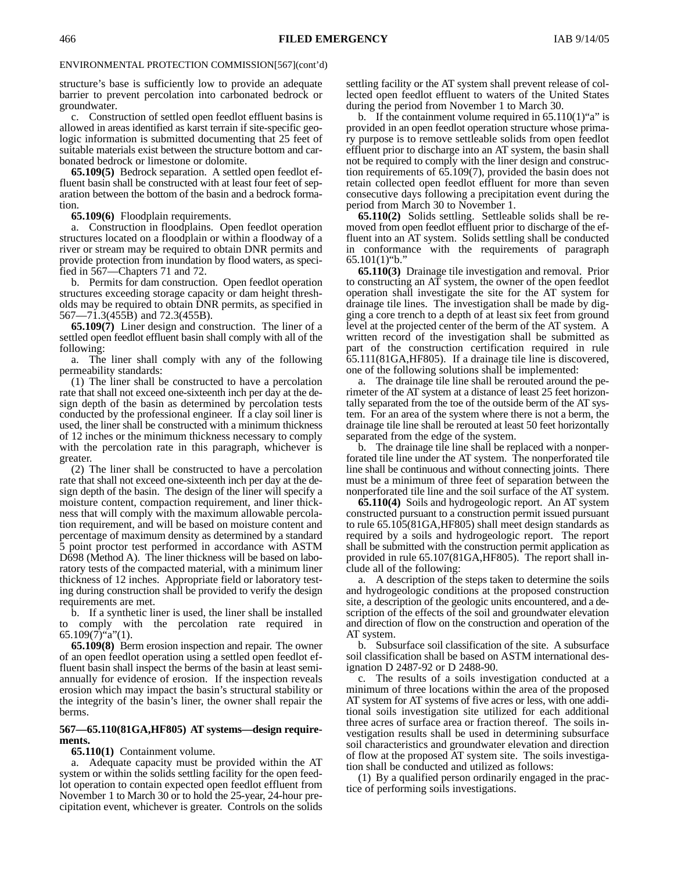structure's base is sufficiently low to provide an adequate barrier to prevent percolation into carbonated bedrock or groundwater.

c. Construction of settled open feedlot effluent basins is allowed in areas identified as karst terrain if site-specific geologic information is submitted documenting that 25 feet of suitable materials exist between the structure bottom and carbonated bedrock or limestone or dolomite.

**65.109(5)** Bedrock separation. A settled open feedlot effluent basin shall be constructed with at least four feet of separation between the bottom of the basin and a bedrock formation.

**65.109(6)** Floodplain requirements.

a. Construction in floodplains. Open feedlot operation structures located on a floodplain or within a floodway of a river or stream may be required to obtain DNR permits and provide protection from inundation by flood waters, as specified in 567—Chapters 71 and 72.

b. Permits for dam construction. Open feedlot operation structures exceeding storage capacity or dam height thresholds may be required to obtain DNR permits, as specified in 567—71.3(455B) and 72.3(455B).

**65.109(7)** Liner design and construction. The liner of a settled open feedlot effluent basin shall comply with all of the following:

a. The liner shall comply with any of the following permeability standards:

(1) The liner shall be constructed to have a percolation rate that shall not exceed one-sixteenth inch per day at the design depth of the basin as determined by percolation tests conducted by the professional engineer. If a clay soil liner is used, the liner shall be constructed with a minimum thickness of 12 inches or the minimum thickness necessary to comply with the percolation rate in this paragraph, whichever is greater.

(2) The liner shall be constructed to have a percolation rate that shall not exceed one-sixteenth inch per day at the design depth of the basin. The design of the liner will specify a moisture content, compaction requirement, and liner thickness that will comply with the maximum allowable percolation requirement, and will be based on moisture content and percentage of maximum density as determined by a standard 5 point proctor test performed in accordance with ASTM D698 (Method A). The liner thickness will be based on laboratory tests of the compacted material, with a minimum liner thickness of 12 inches. Appropriate field or laboratory testing during construction shall be provided to verify the design requirements are met.

b. If a synthetic liner is used, the liner shall be installed to comply with the percolation rate required in  $65.109(7)^{4}a''(1)$ .

**65.109(8)** Berm erosion inspection and repair.The owner of an open feedlot operation using a settled open feedlot effluent basin shall inspect the berms of the basin at least semiannually for evidence of erosion. If the inspection reveals erosion which may impact the basin's structural stability or the integrity of the basin's liner, the owner shall repair the berms.

### **567—65.110(81GA,HF805) AT systems—design requirements.**

## **65.110(1)** Containment volume.

a. Adequate capacity must be provided within the AT system or within the solids settling facility for the open feedlot operation to contain expected open feedlot effluent from November 1 to March 30 or to hold the 25-year, 24-hour precipitation event, whichever is greater. Controls on the solids

settling facility or the AT system shall prevent release of collected open feedlot effluent to waters of the United States during the period from November 1 to March 30.

b. If the containment volume required in  $65.110(1)$ "a" is provided in an open feedlot operation structure whose primary purpose is to remove settleable solids from open feedlot effluent prior to discharge into an AT system, the basin shall not be required to comply with the liner design and construction requirements of 65.109(7), provided the basin does not retain collected open feedlot effluent for more than seven consecutive days following a precipitation event during the period from March 30 to November 1.

**65.110(2)** Solids settling. Settleable solids shall be removed from open feedlot effluent prior to discharge of the effluent into an AT system. Solids settling shall be conducted in conformance with the requirements of paragraph  $65.101(1)$ "b."

**65.110(3)** Drainage tile investigation and removal. Prior to constructing an AT system, the owner of the open feedlot operation shall investigate the site for the AT system for drainage tile lines. The investigation shall be made by digging a core trench to a depth of at least six feet from ground level at the projected center of the berm of the AT system. A written record of the investigation shall be submitted as part of the construction certification required in rule 65.111(81GA,HF805). If a drainage tile line is discovered, one of the following solutions shall be implemented:

a. The drainage tile line shall be rerouted around the perimeter of the AT system at a distance of least 25 feet horizontally separated from the toe of the outside berm of the AT system. For an area of the system where there is not a berm, the drainage tile line shall be rerouted at least 50 feet horizontally separated from the edge of the system.

b. The drainage tile line shall be replaced with a nonperforated tile line under the AT system. The nonperforated tile line shall be continuous and without connecting joints. There must be a minimum of three feet of separation between the nonperforated tile line and the soil surface of the AT system.

**65.110(4)** Soils and hydrogeologic report. An AT system constructed pursuant to a construction permit issued pursuant to rule 65.105(81GA,HF805) shall meet design standards as required by a soils and hydrogeologic report. The report shall be submitted with the construction permit application as provided in rule 65.107(81GA,HF805). The report shall include all of the following:

a. A description of the steps taken to determine the soils and hydrogeologic conditions at the proposed construction site, a description of the geologic units encountered, and a description of the effects of the soil and groundwater elevation and direction of flow on the construction and operation of the AT system.

b. Subsurface soil classification of the site. A subsurface soil classification shall be based on ASTM international designation D 2487-92 or D 2488-90.

c. The results of a soils investigation conducted at a minimum of three locations within the area of the proposed AT system for AT systems of five acres or less, with one additional soils investigation site utilized for each additional three acres of surface area or fraction thereof. The soils investigation results shall be used in determining subsurface soil characteristics and groundwater elevation and direction of flow at the proposed AT system site. The soils investigation shall be conducted and utilized as follows:

(1) By a qualified person ordinarily engaged in the practice of performing soils investigations.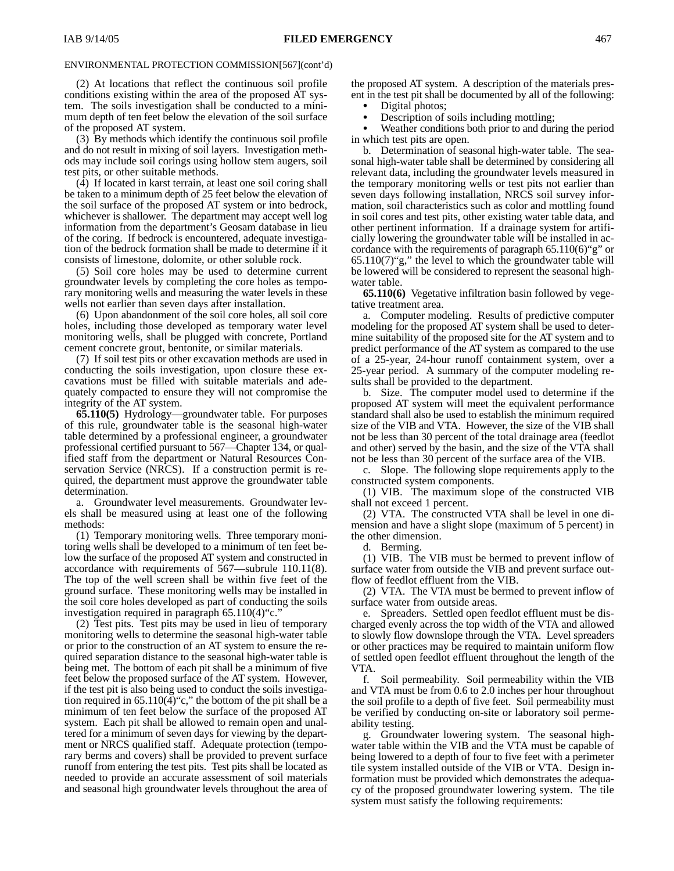(2) At locations that reflect the continuous soil profile conditions existing within the area of the proposed AT system. The soils investigation shall be conducted to a minimum depth of ten feet below the elevation of the soil surface of the proposed AT system.

(3) By methods which identify the continuous soil profile and do not result in mixing of soil layers. Investigation methods may include soil corings using hollow stem augers, soil test pits, or other suitable methods.

(4) If located in karst terrain, at least one soil coring shall be taken to a minimum depth of 25 feet below the elevation of the soil surface of the proposed AT system or into bedrock, whichever is shallower. The department may accept well log information from the department's Geosam database in lieu of the coring. If bedrock is encountered, adequate investigation of the bedrock formation shall be made to determine if it consists of limestone, dolomite, or other soluble rock.

(5) Soil core holes may be used to determine current groundwater levels by completing the core holes as temporary monitoring wells and measuring the water levels in these wells not earlier than seven days after installation.

(6) Upon abandonment of the soil core holes, all soil core holes, including those developed as temporary water level monitoring wells, shall be plugged with concrete, Portland cement concrete grout, bentonite, or similar materials.

(7) If soil test pits or other excavation methods are used in conducting the soils investigation, upon closure these excavations must be filled with suitable materials and adequately compacted to ensure they will not compromise the integrity of the AT system.

**65.110(5)** Hydrology—groundwater table. For purposes of this rule, groundwater table is the seasonal high-water table determined by a professional engineer, a groundwater professional certified pursuant to 567—Chapter 134, or qualified staff from the department or Natural Resources Conservation Service (NRCS). If a construction permit is required, the department must approve the groundwater table determination.

a. Groundwater level measurements. Groundwater levels shall be measured using at least one of the following methods:

(1) Temporary monitoring wells. Three temporary monitoring wells shall be developed to a minimum of ten feet below the surface of the proposed AT system and constructed in accordance with requirements of 567—subrule 110.11(8). The top of the well screen shall be within five feet of the ground surface. These monitoring wells may be installed in the soil core holes developed as part of conducting the soils investigation required in paragraph  $65.110(4)$ "c.

(2) Test pits. Test pits may be used in lieu of temporary monitoring wells to determine the seasonal high-water table or prior to the construction of an AT system to ensure the required separation distance to the seasonal high-water table is being met. The bottom of each pit shall be a minimum of five feet below the proposed surface of the AT system. However, if the test pit is also being used to conduct the soils investigation required in  $65.110(4)$ "c," the bottom of the pit shall be a minimum of ten feet below the surface of the proposed AT system. Each pit shall be allowed to remain open and unaltered for a minimum of seven days for viewing by the department or NRCS qualified staff. Adequate protection (temporary berms and covers) shall be provided to prevent surface runoff from entering the test pits. Test pits shall be located as needed to provide an accurate assessment of soil materials and seasonal high groundwater levels throughout the area of the proposed AT system. A description of the materials present in the test pit shall be documented by all of the following:

Digital photos;

 $\bullet$  Description of soils including mottling;  $\bullet$ 

 Weather conditions both prior to and during the period in which test pits are open.

b. Determination of seasonal high-water table. The seasonal high-water table shall be determined by considering all relevant data, including the groundwater levels measured in the temporary monitoring wells or test pits not earlier than seven days following installation, NRCS soil survey information, soil characteristics such as color and mottling found in soil cores and test pits, other existing water table data, and other pertinent information. If a drainage system for artificially lowering the groundwater table will be installed in accordance with the requirements of paragraph 65.110(6)"g" or  $65.110(7)$ "g," the level to which the groundwater table will be lowered will be considered to represent the seasonal highwater table.

**65.110(6)** Vegetative infiltration basin followed by vegetative treatment area.

a. Computer modeling. Results of predictive computer modeling for the proposed AT system shall be used to determine suitability of the proposed site for the AT system and to predict performance of the AT system as compared to the use of a 25-year, 24-hour runoff containment system, over a 25-year period. A summary of the computer modeling results shall be provided to the department.

b. Size. The computer model used to determine if the proposed AT system will meet the equivalent performance standard shall also be used to establish the minimum required size of the VIB and VTA. However, the size of the VIB shall not be less than 30 percent of the total drainage area (feedlot and other) served by the basin, and the size of the VTA shall not be less than 30 percent of the surface area of the VIB.

c. Slope. The following slope requirements apply to the constructed system components.

(1) VIB. The maximum slope of the constructed VIB shall not exceed 1 percent.

(2) VTA. The constructed VTA shall be level in one dimension and have a slight slope (maximum of 5 percent) in the other dimension.

d. Berming.

(1) VIB. The VIB must be bermed to prevent inflow of surface water from outside the VIB and prevent surface outflow of feedlot effluent from the VIB.

(2) VTA. The VTA must be bermed to prevent inflow of surface water from outside areas.

e. Spreaders. Settled open feedlot effluent must be discharged evenly across the top width of the VTA and allowed to slowly flow downslope through the VTA. Level spreaders or other practices may be required to maintain uniform flow of settled open feedlot effluent throughout the length of the VTA.

f. Soil permeability. Soil permeability within the VIB and VTA must be from 0.6 to 2.0 inches per hour throughout the soil profile to a depth of five feet. Soil permeability must be verified by conducting on-site or laboratory soil permeability testing.

g. Groundwater lowering system. The seasonal highwater table within the VIB and the VTA must be capable of being lowered to a depth of four to five feet with a perimeter tile system installed outside of the VIB or VTA. Design information must be provided which demonstrates the adequacy of the proposed groundwater lowering system. The tile system must satisfy the following requirements: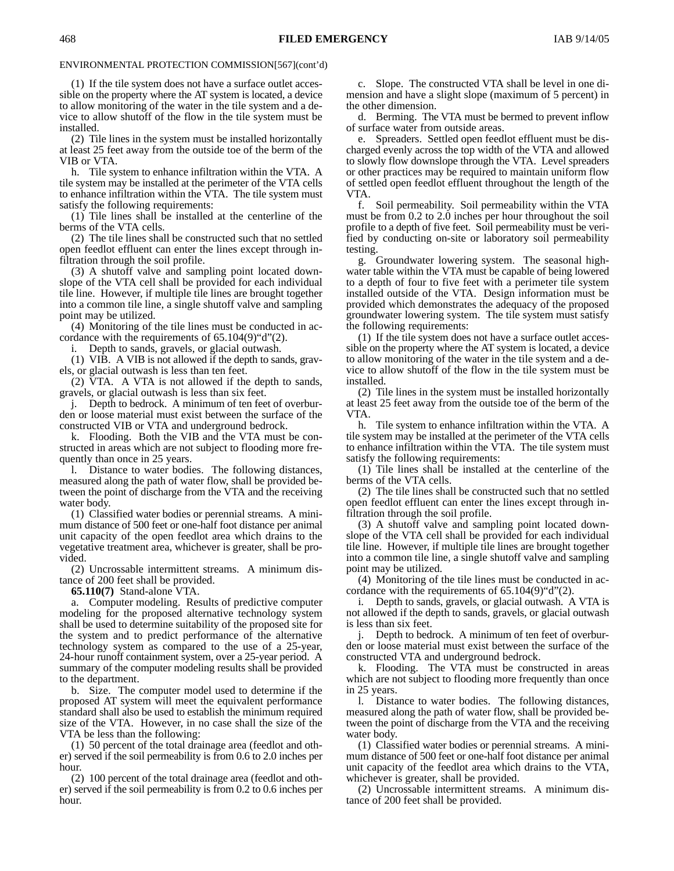(1) If the tile system does not have a surface outlet accessible on the property where the AT system is located, a device to allow monitoring of the water in the tile system and a device to allow shutoff of the flow in the tile system must be installed.

(2) Tile lines in the system must be installed horizontally at least 25 feet away from the outside toe of the berm of the VIB or VTA.

h. Tile system to enhance infiltration within the VTA. A tile system may be installed at the perimeter of the VTA cells to enhance infiltration within the VTA. The tile system must satisfy the following requirements:

(1) Tile lines shall be installed at the centerline of the berms of the VTA cells.

(2) The tile lines shall be constructed such that no settled open feedlot effluent can enter the lines except through infiltration through the soil profile.

(3) A shutoff valve and sampling point located downslope of the VTA cell shall be provided for each individual tile line. However, if multiple tile lines are brought together into a common tile line, a single shutoff valve and sampling point may be utilized.

(4) Monitoring of the tile lines must be conducted in accordance with the requirements of 65.104(9)"d"(2).

i. Depth to sands, gravels, or glacial outwash.

(1) VIB. A VIB is not allowed if the depth to sands, gravels, or glacial outwash is less than ten feet.

(2) VTA. A VTA is not allowed if the depth to sands, gravels, or glacial outwash is less than six feet.

j. Depth to bedrock. A minimum of ten feet of overburden or loose material must exist between the surface of the constructed VIB or VTA and underground bedrock.

k. Flooding. Both the VIB and the VTA must be constructed in areas which are not subject to flooding more frequently than once in 25 years.

l. Distance to water bodies. The following distances, measured along the path of water flow, shall be provided between the point of discharge from the VTA and the receiving water body.

(1) Classified water bodies or perennial streams. A minimum distance of 500 feet or one-half foot distance per animal unit capacity of the open feedlot area which drains to the vegetative treatment area, whichever is greater, shall be provided.

(2) Uncrossable intermittent streams. A minimum distance of 200 feet shall be provided.

**65.110(7)** Stand-alone VTA.

a. Computer modeling. Results of predictive computer modeling for the proposed alternative technology system shall be used to determine suitability of the proposed site for the system and to predict performance of the alternative technology system as compared to the use of a 25-year, 24-hour runoff containment system, over a 25-year period. A summary of the computer modeling results shall be provided to the department.

b. Size. The computer model used to determine if the proposed AT system will meet the equivalent performance standard shall also be used to establish the minimum required size of the VTA. However, in no case shall the size of the VTA be less than the following:

(1) 50 percent of the total drainage area (feedlot and other) served if the soil permeability is from 0.6 to 2.0 inches per hour.

(2) 100 percent of the total drainage area (feedlot and other) served if the soil permeability is from 0.2 to 0.6 inches per hour.

c. Slope. The constructed VTA shall be level in one dimension and have a slight slope (maximum of 5 percent) in the other dimension.

d. Berming. The VTA must be bermed to prevent inflow of surface water from outside areas.

e. Spreaders. Settled open feedlot effluent must be discharged evenly across the top width of the VTA and allowed to slowly flow downslope through the VTA. Level spreaders or other practices may be required to maintain uniform flow of settled open feedlot effluent throughout the length of the VTA.

f. Soil permeability. Soil permeability within the VTA must be from 0.2 to 2.0 inches per hour throughout the soil profile to a depth of five feet. Soil permeability must be verified by conducting on-site or laboratory soil permeability testing.

g. Groundwater lowering system. The seasonal highwater table within the VTA must be capable of being lowered to a depth of four to five feet with a perimeter tile system installed outside of the VTA. Design information must be provided which demonstrates the adequacy of the proposed groundwater lowering system. The tile system must satisfy the following requirements:

(1) If the tile system does not have a surface outlet accessible on the property where the AT system is located, a device to allow monitoring of the water in the tile system and a device to allow shutoff of the flow in the tile system must be installed.

(2) Tile lines in the system must be installed horizontally at least 25 feet away from the outside toe of the berm of the VTA.

h. Tile system to enhance infiltration within the VTA. A tile system may be installed at the perimeter of the VTA cells to enhance infiltration within the VTA. The tile system must satisfy the following requirements:

(1) Tile lines shall be installed at the centerline of the berms of the VTA cells.

(2) The tile lines shall be constructed such that no settled open feedlot effluent can enter the lines except through infiltration through the soil profile.

(3) A shutoff valve and sampling point located downslope of the VTA cell shall be provided for each individual tile line. However, if multiple tile lines are brought together into a common tile line, a single shutoff valve and sampling point may be utilized.

(4) Monitoring of the tile lines must be conducted in accordance with the requirements of  $65.104(9)$ "d" $(2)$ .

i. Depth to sands, gravels, or glacial outwash. A VTA is not allowed if the depth to sands, gravels, or glacial outwash is less than six feet.

j. Depth to bedrock. A minimum of ten feet of overburden or loose material must exist between the surface of the constructed VTA and underground bedrock.

k. Flooding. The VTA must be constructed in areas which are not subject to flooding more frequently than once in 25 years.

l. Distance to water bodies. The following distances, measured along the path of water flow, shall be provided between the point of discharge from the VTA and the receiving water body.

(1) Classified water bodies or perennial streams. A minimum distance of 500 feet or one-half foot distance per animal unit capacity of the feedlot area which drains to the VTA, whichever is greater, shall be provided.

(2) Uncrossable intermittent streams. A minimum distance of 200 feet shall be provided.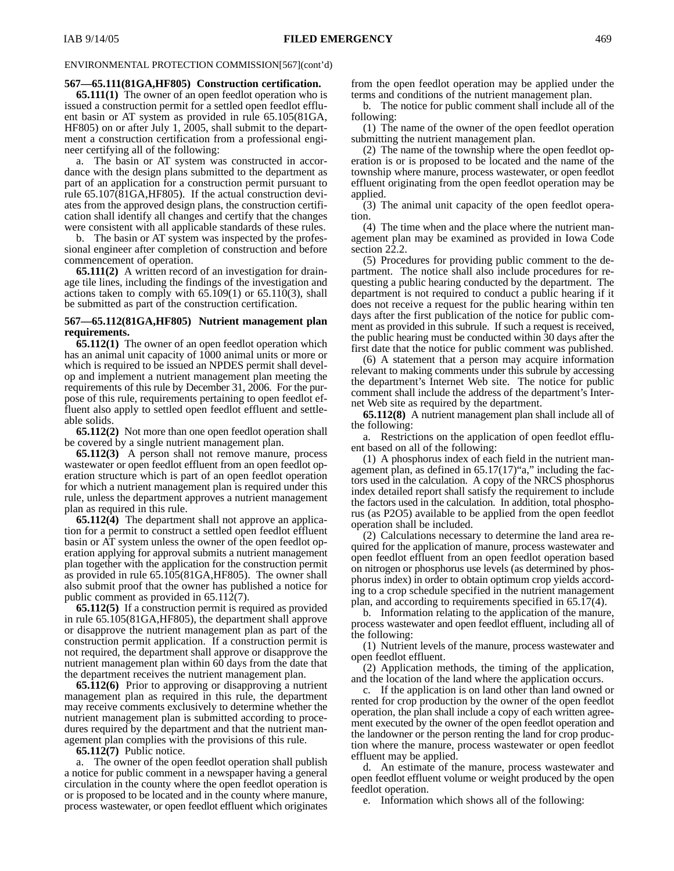#### **567—65.111(81GA,HF805) Construction certification.**

**65.111(1)** The owner of an open feedlot operation who is issued a construction permit for a settled open feedlot effluent basin or AT system as provided in rule 65.105(81GA, HF805) on or after July 1, 2005, shall submit to the department a construction certification from a professional engineer certifying all of the following:

a. The basin or AT system was constructed in accordance with the design plans submitted to the department as part of an application for a construction permit pursuant to rule 65.107(81GA,HF805). If the actual construction deviates from the approved design plans, the construction certification shall identify all changes and certify that the changes were consistent with all applicable standards of these rules.

b. The basin or AT system was inspected by the professional engineer after completion of construction and before commencement of operation.

**65.111(2)** A written record of an investigation for drainage tile lines, including the findings of the investigation and actions taken to comply with 65.109(1) or 65.110(3), shall be submitted as part of the construction certification.

#### **567—65.112(81GA,HF805) Nutrient management plan requirements.**

**65.112(1)** The owner of an open feedlot operation which has an animal unit capacity of 1000 animal units or more or which is required to be issued an NPDES permit shall develop and implement a nutrient management plan meeting the requirements of this rule by December 31, 2006. For the purpose of this rule, requirements pertaining to open feedlot effluent also apply to settled open feedlot effluent and settleable solids.

**65.112(2)** Not more than one open feedlot operation shall be covered by a single nutrient management plan.

**65.112(3)** A person shall not remove manure, process wastewater or open feedlot effluent from an open feedlot operation structure which is part of an open feedlot operation for which a nutrient management plan is required under this rule, unless the department approves a nutrient management plan as required in this rule.

**65.112(4)** The department shall not approve an application for a permit to construct a settled open feedlot effluent basin or AT system unless the owner of the open feedlot operation applying for approval submits a nutrient management plan together with the application for the construction permit as provided in rule 65.105(81GA,HF805). The owner shall also submit proof that the owner has published a notice for public comment as provided in 65.112(7).

**65.112(5)** If a construction permit is required as provided in rule 65.105(81GA,HF805), the department shall approve or disapprove the nutrient management plan as part of the construction permit application. If a construction permit is not required, the department shall approve or disapprove the nutrient management plan within 60 days from the date that the department receives the nutrient management plan.

**65.112(6)** Prior to approving or disapproving a nutrient management plan as required in this rule, the department may receive comments exclusively to determine whether the nutrient management plan is submitted according to procedures required by the department and that the nutrient management plan complies with the provisions of this rule.

**65.112(7)** Public notice.

a. The owner of the open feedlot operation shall publish a notice for public comment in a newspaper having a general circulation in the county where the open feedlot operation is or is proposed to be located and in the county where manure, process wastewater, or open feedlot effluent which originates from the open feedlot operation may be applied under the terms and conditions of the nutrient management plan.

b. The notice for public comment shall include all of the following:

(1) The name of the owner of the open feedlot operation submitting the nutrient management plan.

(2) The name of the township where the open feedlot operation is or is proposed to be located and the name of the township where manure, process wastewater, or open feedlot effluent originating from the open feedlot operation may be applied.

(3) The animal unit capacity of the open feedlot operation.

(4) The time when and the place where the nutrient management plan may be examined as provided in Iowa Code section 22.2.

(5) Procedures for providing public comment to the department. The notice shall also include procedures for requesting a public hearing conducted by the department. The department is not required to conduct a public hearing if it does not receive a request for the public hearing within ten days after the first publication of the notice for public comment as provided in this subrule. If such a request is received, the public hearing must be conducted within 30 days after the first date that the notice for public comment was published.

(6) A statement that a person may acquire information relevant to making comments under this subrule by accessing the department's Internet Web site. The notice for public comment shall include the address of the department's Internet Web site as required by the department.

**65.112(8)** A nutrient management plan shall include all of the following:

a. Restrictions on the application of open feedlot effluent based on all of the following:

(1) A phosphorus index of each field in the nutrient management plan, as defined in  $65.17(17)$ "a," including the factors used in the calculation. A copy of the NRCS phosphorus index detailed report shall satisfy the requirement to include the factors used in the calculation. In addition, total phosphorus (as P2O5) available to be applied from the open feedlot operation shall be included.

(2) Calculations necessary to determine the land area required for the application of manure, process wastewater and open feedlot effluent from an open feedlot operation based on nitrogen or phosphorus use levels (as determined by phosphorus index) in order to obtain optimum crop yields according to a crop schedule specified in the nutrient management plan, and according to requirements specified in 65.17(4).

b. Information relating to the application of the manure, process wastewater and open feedlot effluent, including all of the following:

(1) Nutrient levels of the manure, process wastewater and open feedlot effluent.

(2) Application methods, the timing of the application, and the location of the land where the application occurs.

c. If the application is on land other than land owned or rented for crop production by the owner of the open feedlot operation, the plan shall include a copy of each written agreement executed by the owner of the open feedlot operation and the landowner or the person renting the land for crop production where the manure, process wastewater or open feedlot effluent may be applied.

d. An estimate of the manure, process wastewater and open feedlot effluent volume or weight produced by the open feedlot operation.

e. Information which shows all of the following: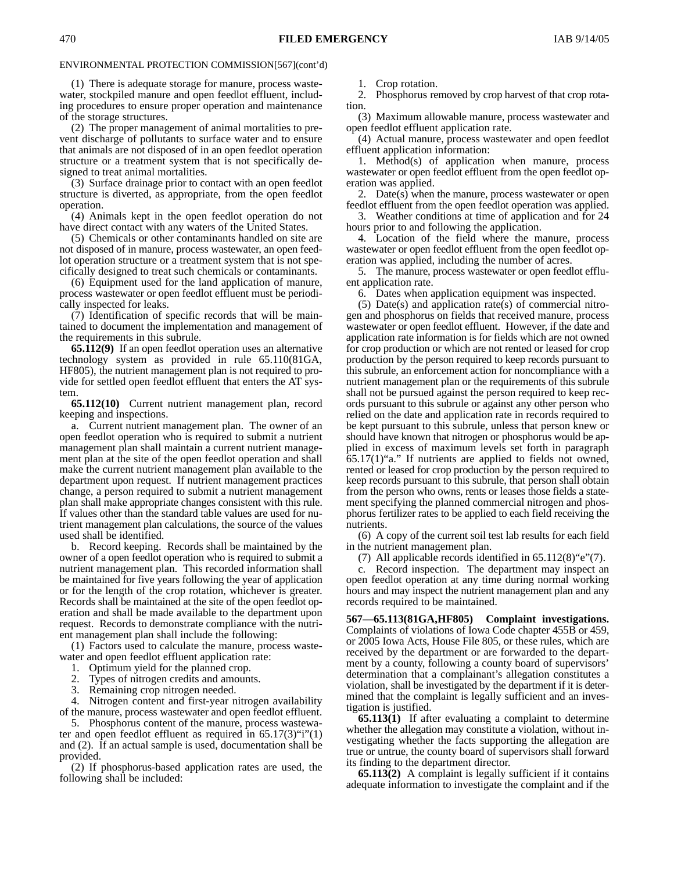(1) There is adequate storage for manure, process wastewater, stockpiled manure and open feedlot effluent, including procedures to ensure proper operation and maintenance of the storage structures.

(2) The proper management of animal mortalities to prevent discharge of pollutants to surface water and to ensure that animals are not disposed of in an open feedlot operation structure or a treatment system that is not specifically designed to treat animal mortalities.

(3) Surface drainage prior to contact with an open feedlot structure is diverted, as appropriate, from the open feedlot operation.

(4) Animals kept in the open feedlot operation do not have direct contact with any waters of the United States.

(5) Chemicals or other contaminants handled on site are not disposed of in manure, process wastewater, an open feedlot operation structure or a treatment system that is not specifically designed to treat such chemicals or contaminants.

(6) Equipment used for the land application of manure, process wastewater or open feedlot effluent must be periodically inspected for leaks.

(7) Identification of specific records that will be maintained to document the implementation and management of the requirements in this subrule.

**65.112(9)** If an open feedlot operation uses an alternative technology system as provided in rule 65.110(81GA, HF805), the nutrient management plan is not required to provide for settled open feedlot effluent that enters the AT system.

**65.112(10)** Current nutrient management plan, record keeping and inspections.

a. Current nutrient management plan. The owner of an open feedlot operation who is required to submit a nutrient management plan shall maintain a current nutrient management plan at the site of the open feedlot operation and shall make the current nutrient management plan available to the department upon request. If nutrient management practices change, a person required to submit a nutrient management plan shall make appropriate changes consistent with this rule. If values other than the standard table values are used for nutrient management plan calculations, the source of the values used shall be identified.

b. Record keeping. Records shall be maintained by the owner of a open feedlot operation who is required to submit a nutrient management plan. This recorded information shall be maintained for five years following the year of application or for the length of the crop rotation, whichever is greater. Records shall be maintained at the site of the open feedlot operation and shall be made available to the department upon request. Records to demonstrate compliance with the nutrient management plan shall include the following:

(1) Factors used to calculate the manure, process wastewater and open feedlot effluent application rate:

1. Optimum yield for the planned crop.

2. Types of nitrogen credits and amounts.

Remaining crop nitrogen needed.

4. Nitrogen content and first-year nitrogen availability of the manure, process wastewater and open feedlot effluent.

5. Phosphorus content of the manure, process wastewater and open feedlot effluent as required in  $65.17(3)$ "i"(1) and (2). If an actual sample is used, documentation shall be provided.

(2) If phosphorus-based application rates are used, the following shall be included:

1. Crop rotation.

2. Phosphorus removed by crop harvest of that crop rotation.

(3) Maximum allowable manure, process wastewater and open feedlot effluent application rate.

(4) Actual manure, process wastewater and open feedlot effluent application information:

1. Method(s) of application when manure, process wastewater or open feedlot effluent from the open feedlot operation was applied.

2. Date(s) when the manure, process wastewater or open feedlot effluent from the open feedlot operation was applied.

3. Weather conditions at time of application and for 24 hours prior to and following the application.

4. Location of the field where the manure, process wastewater or open feedlot effluent from the open feedlot operation was applied, including the number of acres.

5. The manure, process wastewater or open feedlot effluent application rate.

6. Dates when application equipment was inspected.

(5) Date(s) and application rate(s) of commercial nitrogen and phosphorus on fields that received manure, process wastewater or open feedlot effluent. However, if the date and application rate information is for fields which are not owned for crop production or which are not rented or leased for crop production by the person required to keep records pursuant to this subrule, an enforcement action for noncompliance with a nutrient management plan or the requirements of this subrule shall not be pursued against the person required to keep records pursuant to this subrule or against any other person who relied on the date and application rate in records required to be kept pursuant to this subrule, unless that person knew or should have known that nitrogen or phosphorus would be applied in excess of maximum levels set forth in paragraph 65.17(1)"a." If nutrients are applied to fields not owned, rented or leased for crop production by the person required to keep records pursuant to this subrule, that person shall obtain from the person who owns, rents or leases those fields a statement specifying the planned commercial nitrogen and phosphorus fertilizer rates to be applied to each field receiving the nutrients.

(6) A copy of the current soil test lab results for each field in the nutrient management plan.

(7) All applicable records identified in  $65.112(8)$ "e"(7).

c. Record inspection. The department may inspect an open feedlot operation at any time during normal working hours and may inspect the nutrient management plan and any records required to be maintained.

**567—65.113(81GA,HF805) Complaint investigations.** Complaints of violations of Iowa Code chapter 455B or 459, or 2005 Iowa Acts, House File 805, or these rules, which are received by the department or are forwarded to the department by a county, following a county board of supervisors' determination that a complainant's allegation constitutes a violation, shall be investigated by the department if it is determined that the complaint is legally sufficient and an investigation is justified.

**65.113(1)** If after evaluating a complaint to determine whether the allegation may constitute a violation, without investigating whether the facts supporting the allegation are true or untrue, the county board of supervisors shall forward its finding to the department director.

**65.113(2)** A complaint is legally sufficient if it contains adequate information to investigate the complaint and if the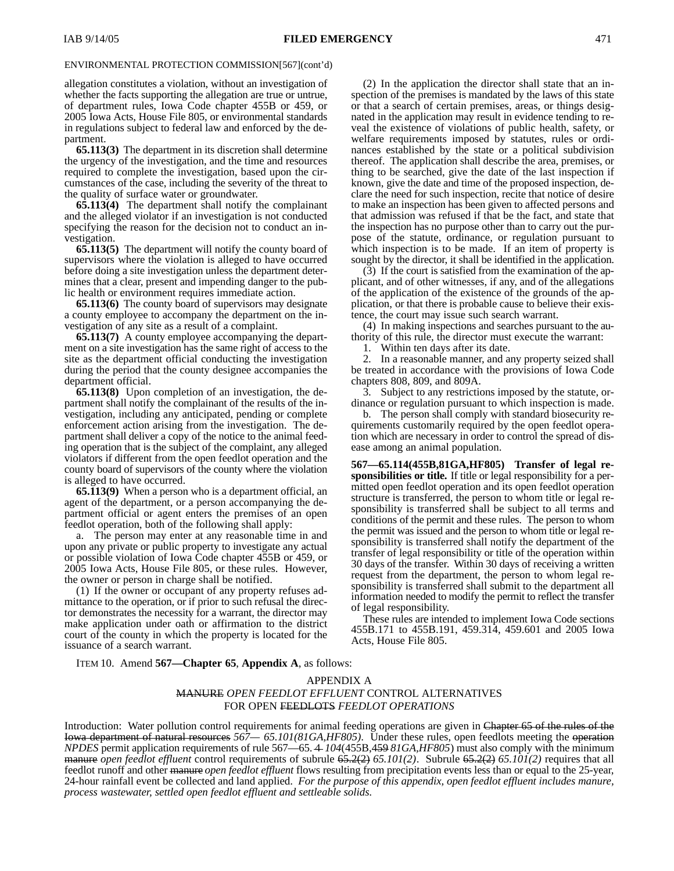allegation constitutes a violation, without an investigation of whether the facts supporting the allegation are true or untrue, of department rules, Iowa Code chapter 455B or 459, or 2005 Iowa Acts, House File 805, or environmental standards in regulations subject to federal law and enforced by the department.

**65.113(3)** The department in its discretion shall determine the urgency of the investigation, and the time and resources required to complete the investigation, based upon the circumstances of the case, including the severity of the threat to the quality of surface water or groundwater.

**65.113(4)** The department shall notify the complainant and the alleged violator if an investigation is not conducted specifying the reason for the decision not to conduct an investigation.

**65.113(5)** The department will notify the county board of supervisors where the violation is alleged to have occurred before doing a site investigation unless the department determines that a clear, present and impending danger to the public health or environment requires immediate action.

**65.113(6)** The county board of supervisors may designate a county employee to accompany the department on the investigation of any site as a result of a complaint.

**65.113(7)** A county employee accompanying the department on a site investigation has the same right of access to the site as the department official conducting the investigation during the period that the county designee accompanies the department official.

**65.113(8)** Upon completion of an investigation, the department shall notify the complainant of the results of the investigation, including any anticipated, pending or complete enforcement action arising from the investigation. The department shall deliver a copy of the notice to the animal feeding operation that is the subject of the complaint, any alleged violators if different from the open feedlot operation and the county board of supervisors of the county where the violation is alleged to have occurred.

**65.113(9)** When a person who is a department official, an agent of the department, or a person accompanying the department official or agent enters the premises of an open feedlot operation, both of the following shall apply:

a. The person may enter at any reasonable time in and upon any private or public property to investigate any actual or possible violation of Iowa Code chapter 455B or 459, or 2005 Iowa Acts, House File 805, or these rules. However, the owner or person in charge shall be notified.

(1) If the owner or occupant of any property refuses admittance to the operation, or if prior to such refusal the director demonstrates the necessity for a warrant, the director may make application under oath or affirmation to the district court of the county in which the property is located for the issuance of a search warrant.

(2) In the application the director shall state that an inspection of the premises is mandated by the laws of this state or that a search of certain premises, areas, or things designated in the application may result in evidence tending to reveal the existence of violations of public health, safety, or welfare requirements imposed by statutes, rules or ordinances established by the state or a political subdivision thereof. The application shall describe the area, premises, or thing to be searched, give the date of the last inspection if known, give the date and time of the proposed inspection, declare the need for such inspection, recite that notice of desire to make an inspection has been given to affected persons and that admission was refused if that be the fact, and state that the inspection has no purpose other than to carry out the purpose of the statute, ordinance, or regulation pursuant to which inspection is to be made. If an item of property is sought by the director, it shall be identified in the application.

(3) If the court is satisfied from the examination of the applicant, and of other witnesses, if any, and of the allegations of the application of the existence of the grounds of the application, or that there is probable cause to believe their existence, the court may issue such search warrant.

(4) In making inspections and searches pursuant to the authority of this rule, the director must execute the warrant:<br>1. Within ten days after its date.

Within ten days after its date.

2. In a reasonable manner, and any property seized shall be treated in accordance with the provisions of Iowa Code chapters 808, 809, and 809A.

3. Subject to any restrictions imposed by the statute, ordinance or regulation pursuant to which inspection is made.

b. The person shall comply with standard biosecurity requirements customarily required by the open feedlot operation which are necessary in order to control the spread of disease among an animal population.

**567—65.114(455B,81GA,HF805) Transfer of legal responsibilities or title.** If title or legal responsibility for a permitted open feedlot operation and its open feedlot operation structure is transferred, the person to whom title or legal responsibility is transferred shall be subject to all terms and conditions of the permit and these rules. The person to whom the permit was issued and the person to whom title or legal responsibility is transferred shall notify the department of the transfer of legal responsibility or title of the operation within 30 days of the transfer. Within 30 days of receiving a written request from the department, the person to whom legal responsibility is transferred shall submit to the department all information needed to modify the permit to reflect the transfer of legal responsibility.

These rules are intended to implement Iowa Code sections 455B.171 to 455B.191, 459.314, 459.601 and 2005 Iowa Acts, House File 805.

ITEM 10. Amend **567—Chapter 65**, **Appendix A**, as follows:

## APPENDIX A MANURE *OPEN FEEDLOT EFFLUENT* CONTROL ALTERNATIVES FOR OPEN FEEDLOTS *FEEDLOT OPERATIONS*

Introduction: Water pollution control requirements for animal feeding operations are given in Chapter 65 of the rules of the Iowa department of natural resources *567— 65.101(81GA,HF805)*. Under these rules, open feedlots meeting the operation *NPDES* permit application requirements of rule 567—65. 4 *104*(455B,459 *81GA,HF805*) must also comply with the minimum manure *open feedlot effluent* control requirements of subrule 65.2(2) *65.101(2)*. Subrule 65.2(2) *65.101(2)* requires that all feedlot runoff and other manure *open feedlot effluent* flows resulting from precipitation events less than or equal to the 25-year, 24-hour rainfall event be collected and land applied. *For the purpose of this appendix, open feedlot effluent includes manure, process wastewater, settled open feedlot effluent and settleable solids.*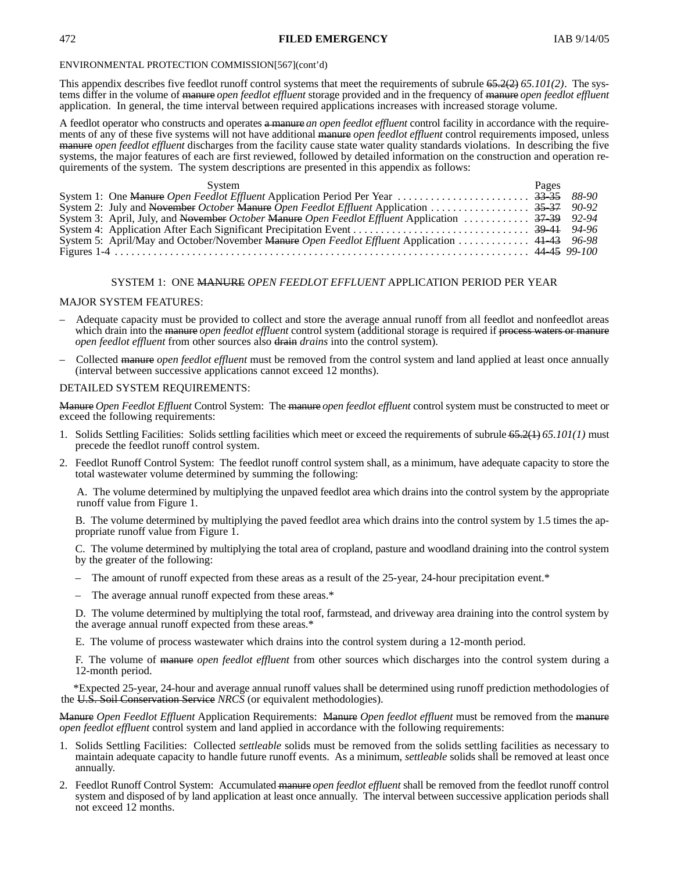## 472 **FILED EMERGENCY** IAB 9/14/05

### ENVIRONMENTAL PROTECTION COMMISSION[567](cont'd)

This appendix describes five feedlot runoff control systems that meet the requirements of subrule 65.2(2) *65.101(2)*. The systems differ in the volume of manure *open feedlot effluent* storage provided and in the frequency of manure *open feedlot effluent* application. In general, the time interval between required applications increases with increased storage volume.

A feedlot operator who constructs and operates a manure *an open feedlot effluent* control facility in accordance with the requirements of any of these five systems will not have additional manure *open feedlot effluent* control requirements imposed, unless manure *open feedlot effluent* discharges from the facility cause state water quality standards violations. In describing the five systems, the major features of each are first reviewed, followed by detailed information on the construction and operation requirements of the system. The system descriptions are presented in this appendix as follows:

| System                                                                                            | Pages |  |
|---------------------------------------------------------------------------------------------------|-------|--|
|                                                                                                   |       |  |
|                                                                                                   |       |  |
| System 3: April, July, and November October Manure Open Feedlot Effluent Application  37-39 92-94 |       |  |
|                                                                                                   |       |  |
| System 5: April/May and October/November Manure Open Feedlot Effluent Application  41-43 96-98    |       |  |
|                                                                                                   |       |  |

## SYSTEM 1: ONE MANURE *OPEN FEEDLOT EFFLUENT* APPLICATION PERIOD PER YEAR

#### MAJOR SYSTEM FEATURES:

- Adequate capacity must be provided to collect and store the average annual runoff from all feedlot and nonfeedlot areas which drain into the manure *open feedlot effluent* control system (additional storage is required if process waters or manure *open feedlot effluent* from other sources also draing *drains* into the control system).
- Collected manure *open feedlot effluent* must be removed from the control system and land applied at least once annually (interval between successive applications cannot exceed 12 months).

#### DETAILED SYSTEM REQUIREMENTS:

Manure *Open Feedlot Effluent* Control System: The manure *open feedlot effluent* control system must be constructed to meet or exceed the following requirements:

- 1. Solids Settling Facilities: Solids settling facilities which meet or exceed the requirements of subrule 65.2(1) *65.101(1)* must precede the feedlot runoff control system.
- 2. Feedlot Runoff Control System: The feedlot runoff control system shall, as a minimum, have adequate capacity to store the total wastewater volume determined by summing the following:

A. The volume determined by multiplying the unpaved feedlot area which drains into the control system by the appropriate runoff value from Figure 1.

B. The volume determined by multiplying the paved feedlot area which drains into the control system by 1.5 times the appropriate runoff value from Figure 1.

C. The volume determined by multiplying the total area of cropland, pasture and woodland draining into the control system by the greater of the following:

- The amount of runoff expected from these areas as a result of the 25-year, 24-hour precipitation event.\*
- The average annual runoff expected from these areas.\*

D. The volume determined by multiplying the total roof, farmstead, and driveway area draining into the control system by the average annual runoff expected from these areas.\*

E. The volume of process wastewater which drains into the control system during a 12-month period.

F. The volume of manure *open feedlot effluent* from other sources which discharges into the control system during a 12-month period.

\*Expected 25-year, 24-hour and average annual runoff values shall be determined using runoff prediction methodologies of the U.S. Soil Conservation Service *NRCS* (or equivalent methodologies).

Manure *Open Feedlot Effluent* Application Requirements: Manure *Open feedlot effluent* must be removed from the manure *open feedlot effluent* control system and land applied in accordance with the following requirements:

- 1. Solids Settling Facilities: Collected *settleable* solids must be removed from the solids settling facilities as necessary to maintain adequate capacity to handle future runoff events. As a minimum, *settleable* solids shall be removed at least once annually.
- 2. Feedlot Runoff Control System: Accumulated manure *open feedlot effluent* shall be removed from the feedlot runoff control system and disposed of by land application at least once annually. The interval between successive application periods shall not exceed 12 months.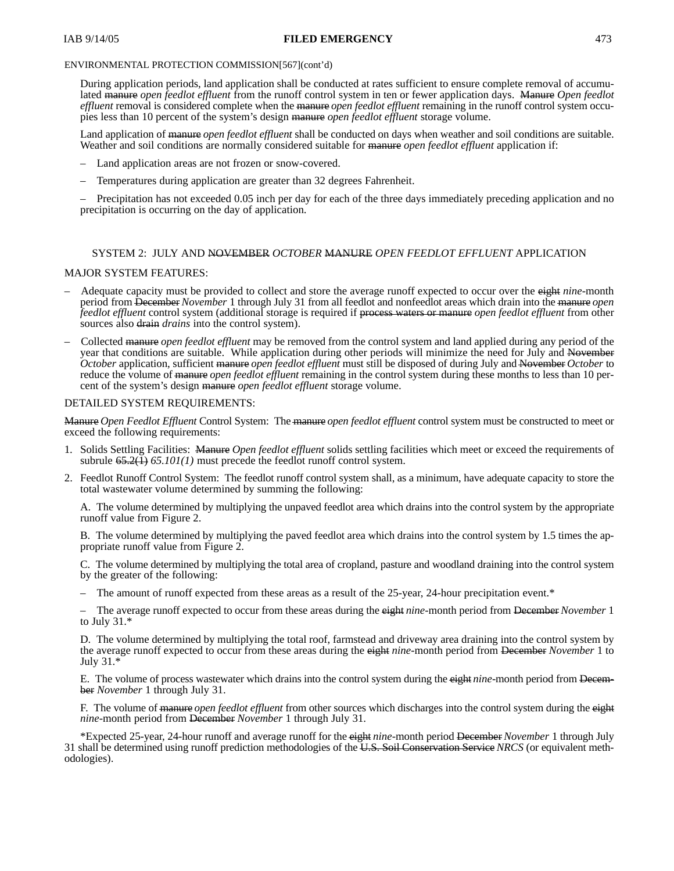## IAB 9/14/05 **FILED EMERGENCY** 473

## ENVIRONMENTAL PROTECTION COMMISSION[567](cont'd)

During application periods, land application shall be conducted at rates sufficient to ensure complete removal of accumulated manure *open feedlot effluent* from the runoff control system in ten or fewer application days. Manure *Open feedlot effluent* removal is considered complete when the manure *open feedlot effluent* remaining in the runoff control system occupies less than 10 percent of the system's design manure *open feedlot effluent* storage volume.

Land application of manure *open feedlot effluent* shall be conducted on days when weather and soil conditions are suitable. Weather and soil conditions are normally considered suitable for manure *open feedlot effluent* application if:

- Land application areas are not frozen or snow-covered.
- Temperatures during application are greater than 32 degrees Fahrenheit.

– Precipitation has not exceeded 0.05 inch per day for each of the three days immediately preceding application and no precipitation is occurring on the day of application.

## SYSTEM 2: JULY AND NOVEMBER *OCTOBER* MANURE *OPEN FEEDLOT EFFLUENT* APPLICATION

## MAJOR SYSTEM FEATURES:

- Adequate capacity must be provided to collect and store the average runoff expected to occur over the eight *nine*-month period from December *November* 1 through July 31 from all feedlot and nonfeedlot areas which drain into the manure *open feedlot effluent* control system (additional storage is required if process waters or manure *open feedlot effluent* from other sources also drain *drains* into the control system).
- Collected manure *open feedlot effluent* may be removed from the control system and land applied during any period of the year that conditions are suitable. While application during other periods will minimize the need for July and November *October* application, sufficient manure *open feedlot effluent* must still be disposed of during July and November *October* to reduce the volume of manure *open feedlot effluent* remaining in the control system during these months to less than 10 percent of the system's design manure *open feedlot effluent* storage volume.

## DETAILED SYSTEM REQUIREMENTS:

Manure *Open Feedlot Effluent* Control System: The manure *open feedlot effluent* control system must be constructed to meet or exceed the following requirements:

- 1. Solids Settling Facilities: Manure *Open feedlot effluent* solids settling facilities which meet or exceed the requirements of subrule 65.2(1) *65.101(1)* must precede the feedlot runoff control system.
- 2. Feedlot Runoff Control System: The feedlot runoff control system shall, as a minimum, have adequate capacity to store the total wastewater volume determined by summing the following:

A. The volume determined by multiplying the unpaved feedlot area which drains into the control system by the appropriate runoff value from Figure 2.

B. The volume determined by multiplying the paved feedlot area which drains into the control system by 1.5 times the appropriate runoff value from Figure 2.

C. The volume determined by multiplying the total area of cropland, pasture and woodland draining into the control system by the greater of the following:

The amount of runoff expected from these areas as a result of the 25-year, 24-hour precipitation event.\*

– The average runoff expected to occur from these areas during the eight *nine*-month period from December *November* 1 to July 31.\*

D. The volume determined by multiplying the total roof, farmstead and driveway area draining into the control system by the average runoff expected to occur from these areas during the eight *nine*-month period from December *November* 1 to July 31.\*

E. The volume of process wastewater which drains into the control system during the eight *nine*-month period from December *November* 1 through July 31.

F. The volume of manure *open feedlot effluent* from other sources which discharges into the control system during the eight *nine*-month period from December *November* 1 through July 31.

\*Expected 25-year, 24-hour runoff and average runoff for the eight *nine*-month period December *November* 1 through July 31 shall be determined using runoff prediction methodologies of the U.S. Soil Conservation Service *NRCS* (or equivalent methodologies).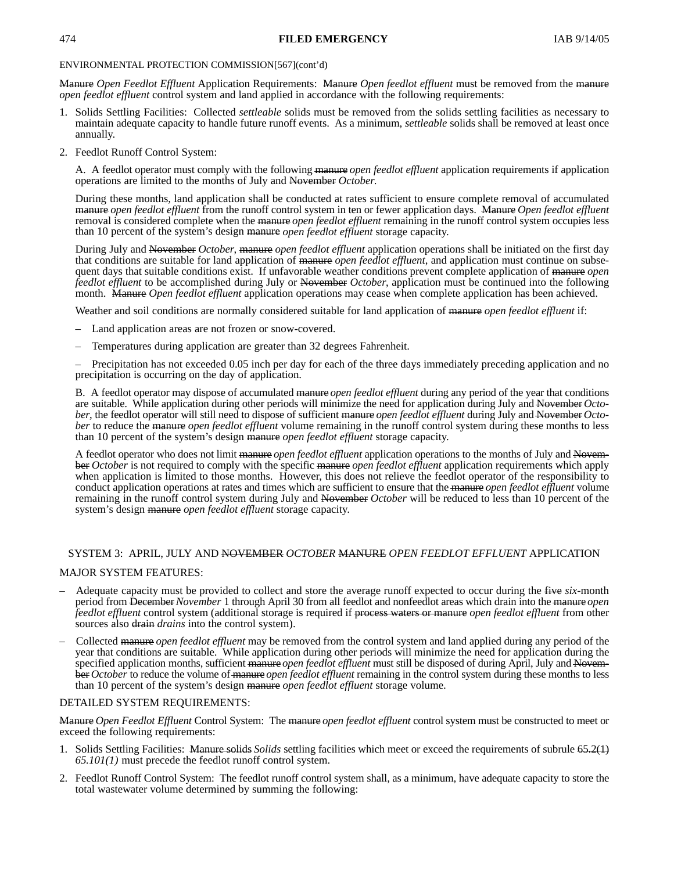## 474 **FILED EMERGENCY** IAB 9/14/05

## ENVIRONMENTAL PROTECTION COMMISSION[567](cont'd)

Manure *Open Feedlot Effluent* Application Requirements: Manure *Open feedlot effluent* must be removed from the manure *open feedlot effluent* control system and land applied in accordance with the following requirements:

- 1. Solids Settling Facilities: Collected *settleable* solids must be removed from the solids settling facilities as necessary to maintain adequate capacity to handle future runoff events. As a minimum, *settleable* solids shall be removed at least once annually.
- 2. Feedlot Runoff Control System:

A. A feedlot operator must comply with the following manure *open feedlot effluent* application requirements if application operations are limited to the months of July and November *October*.

During these months, land application shall be conducted at rates sufficient to ensure complete removal of accumulated manure *open feedlot effluent* from the runoff control system in ten or fewer application days. Manure *Open feedlot effluent* removal is considered complete when the manure *open feedlot effluent* remaining in the runoff control system occupies less than 10 percent of the system's design manure *open feedlot effluent* storage capacity.

During July and November *October*, manure *open feedlot effluent* application operations shall be initiated on the first day that conditions are suitable for land application of manure *open feedlot effluent*, and application must continue on subsequent days that suitable conditions exist. If unfavorable weather conditions prevent complete application of manure *open feedlot effluent* to be accomplished during July or November *October*, application must be continued into the following month. Manure *Open feedlot effluent* application operations may cease when complete application has been achieved.

Weather and soil conditions are normally considered suitable for land application of manure *open feedlot effluent* if:

- Land application areas are not frozen or snow-covered.
- Temperatures during application are greater than 32 degrees Fahrenheit.

– Precipitation has not exceeded 0.05 inch per day for each of the three days immediately preceding application and no precipitation is occurring on the day of application.

B. A feedlot operator may dispose of accumulated manure *open feedlot effluent* during any period of the year that conditions are suitable. While application during other periods will minimize the need for application during July and November *October*, the feedlot operator will still need to dispose of sufficient manure *open feedlot effluent* during July and November *October* to reduce the manure *open feedlot effluent* volume remaining in the runoff control system during these months to less than 10 percent of the system's design manure *open feedlot effluent* storage capacity.

A feedlot operator who does not limit manure *open feedlot effluent* application operations to the months of July and November *October* is not required to comply with the specific manure *open feedlot effluent* application requirements which apply when application is limited to those months. However, this does not relieve the feedlot operator of the responsibility to conduct application operations at rates and times which are sufficient to ensure that the manure *open feedlot effluent* volume remaining in the runoff control system during July and November *October* will be reduced to less than 10 percent of the system's design manure *open feedlot effluent* storage capacity.

## SYSTEM 3: APRIL, JULY AND NOVEMBER *OCTOBER* MANURE *OPEN FEEDLOT EFFLUENT* APPLICATION

## MAJOR SYSTEM FEATURES:

- Adequate capacity must be provided to collect and store the average runoff expected to occur during the five *six*-month period from December*November* 1 through April 30 from all feedlot and nonfeedlot areas which drain into the manure *open feedlot effluent* control system (additional storage is required if process waters or manure *open feedlot effluent* from other sources also drain *drains* into the control system).
- Collected manure *open feedlot effluent* may be removed from the control system and land applied during any period of the year that conditions are suitable. While application during other periods will minimize the need for application during the specified application months, sufficient manure *open feedlot effluent* must still be disposed of during April, July and November *October* to reduce the volume of manure *open feedlot effluent* remaining in the control system during these months to less than 10 percent of the system's design manure *open feedlot effluent* storage volume.

## DETAILED SYSTEM REQUIREMENTS:

Manure *Open Feedlot Effluent* Control System: The manure *open feedlot effluent* control system must be constructed to meet or exceed the following requirements:

- 1. Solids Settling Facilities: Manure solids *Solids* settling facilities which meet or exceed the requirements of subrule 65.2(1) *65.101(1)* must precede the feedlot runoff control system.
- 2. Feedlot Runoff Control System: The feedlot runoff control system shall, as a minimum, have adequate capacity to store the total wastewater volume determined by summing the following: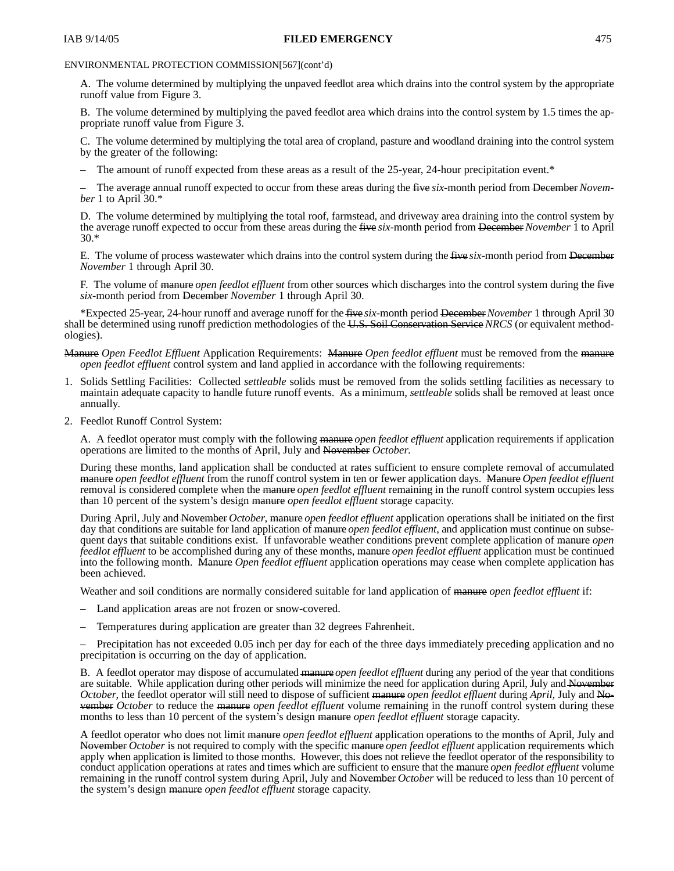## IAB 9/14/05 **FILED EMERGENCY** 475

## ENVIRONMENTAL PROTECTION COMMISSION[567](cont'd)

A. The volume determined by multiplying the unpaved feedlot area which drains into the control system by the appropriate runoff value from Figure 3.

B. The volume determined by multiplying the paved feedlot area which drains into the control system by 1.5 times the appropriate runoff value from Figure 3.

C. The volume determined by multiplying the total area of cropland, pasture and woodland draining into the control system by the greater of the following:

The amount of runoff expected from these areas as a result of the 25-year, 24-hour precipitation event.\*

– The average annual runoff expected to occur from these areas during the five *six*-month period from December *November* 1 to April 30.\*

D. The volume determined by multiplying the total roof, farmstead, and driveway area draining into the control system by the average runoff expected to occur from these areas during the five *six*-month period from December *November* 1 to April 30.\*

E. The volume of process wastewater which drains into the control system during the five *six*-month period from December *November* 1 through April 30.

F. The volume of manure *open feedlot effluent* from other sources which discharges into the control system during the five *six*-month period from December *November* 1 through April 30.

\*Expected 25-year, 24-hour runoff and average runoff for the five *six*-month period December*November* 1 through April 30 shall be determined using runoff prediction methodologies of the U.S. Soil Conservation Service *NRCS* (or equivalent methodologies).

- Manure *Open Feedlot Effluent* Application Requirements: Manure *Open feedlot effluent* must be removed from the manure *open feedlot effluent* control system and land applied in accordance with the following requirements:
- 1. Solids Settling Facilities: Collected *settleable* solids must be removed from the solids settling facilities as necessary to maintain adequate capacity to handle future runoff events. As a minimum, *settleable* solids shall be removed at least once annually.
- 2. Feedlot Runoff Control System:

A. A feedlot operator must comply with the following manure *open feedlot effluent* application requirements if application operations are limited to the months of April, July and November *October*.

During these months, land application shall be conducted at rates sufficient to ensure complete removal of accumulated manure *open feedlot effluent* from the runoff control system in ten or fewer application days. Manure *Open feedlot effluent* removal is considered complete when the manure *open feedlot effluent* remaining in the runoff control system occupies less than 10 percent of the system's design manure *open feedlot effluent* storage capacity.

During April, July and November *October*, manure *open feedlot effluent* application operations shall be initiated on the first day that conditions are suitable for land application of manure *open feedlot effluent*, and application must continue on subsequent days that suitable conditions exist. If unfavorable weather conditions prevent complete application of manure *open feedlot effluent* to be accomplished during any of these months, manure *open feedlot effluent* application must be continued into the following month. Manure *Open feedlot effluent* application operations may cease when complete application has been achieved.

Weather and soil conditions are normally considered suitable for land application of manure *open feedlot effluent* if:

- Land application areas are not frozen or snow-covered.
- Temperatures during application are greater than 32 degrees Fahrenheit.

– Precipitation has not exceeded 0.05 inch per day for each of the three days immediately preceding application and no precipitation is occurring on the day of application.

B. A feedlot operator may dispose of accumulated manure *open feedlot effluent* during any period of the year that conditions are suitable. While application during other periods will minimize the need for application during April, July and November *October*, the feedlot operator will still need to dispose of sufficient manure *open feedlot effluent* during *April,* July and November *October* to reduce the manure *open feedlot effluent* volume remaining in the runoff control system during these months to less than 10 percent of the system's design manure *open feedlot effluent* storage capacity.

A feedlot operator who does not limit manure *open feedlot effluent* application operations to the months of April, July and November *October* is not required to comply with the specific manure *open feedlot effluent* application requirements which apply when application is limited to those months. However, this does not relieve the feedlot operator of the responsibility to conduct application operations at rates and times which are sufficient to ensure that the manure *open feedlot effluent* volume remaining in the runoff control system during April, July and November *October* will be reduced to less than 10 percent of the system's design manure *open feedlot effluent* storage capacity.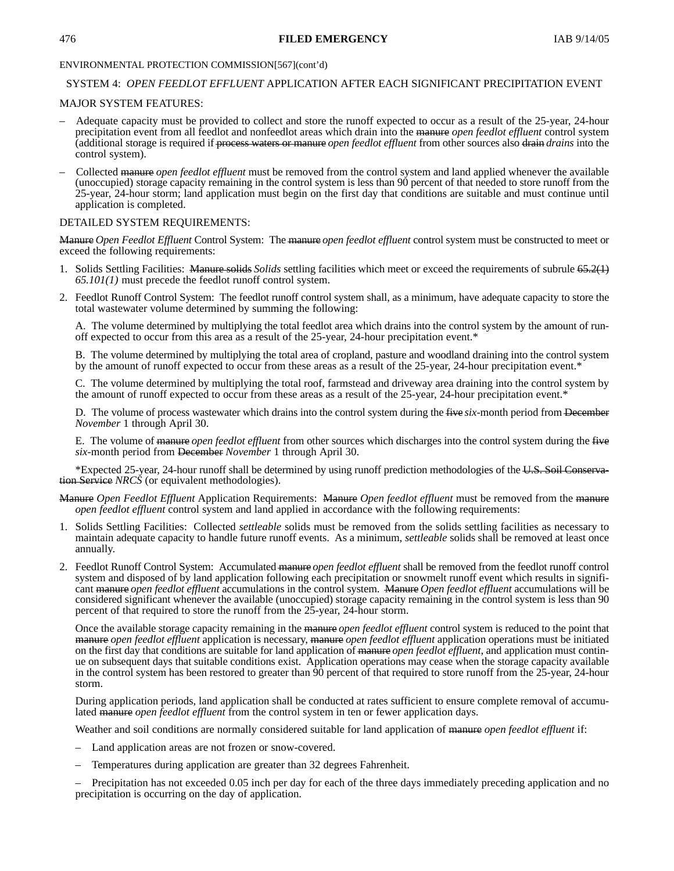## 476 **FILED EMERGENCY** IAB 9/14/05

## ENVIRONMENTAL PROTECTION COMMISSION[567](cont'd)

## SYSTEM 4: *OPEN FEEDLOT EFFLUENT* APPLICATION AFTER EACH SIGNIFICANT PRECIPITATION EVENT

## MAJOR SYSTEM FEATURES:

- Adequate capacity must be provided to collect and store the runoff expected to occur as a result of the 25-year, 24-hour precipitation event from all feedlot and nonfeedlot areas which drain into the manure *open feedlot effluent* control system (additional storage is required if process waters or manure *open feedlot effluent* from other sources also drain *drains* into the control system).
- Collected manure *open feedlot effluent* must be removed from the control system and land applied whenever the available (unoccupied) storage capacity remaining in the control system is less than 90 percent of that needed to store runoff from the 25-year, 24-hour storm; land application must begin on the first day that conditions are suitable and must continue until application is completed.

## DETAILED SYSTEM REQUIREMENTS:

Manure *Open Feedlot Effluent* Control System: The manure *open feedlot effluent* control system must be constructed to meet or exceed the following requirements:

- 1. Solids Settling Facilities: Manure solids *Solids* settling facilities which meet or exceed the requirements of subrule 65.2(1) *65.101(1)* must precede the feedlot runoff control system.
- 2. Feedlot Runoff Control System: The feedlot runoff control system shall, as a minimum, have adequate capacity to store the total wastewater volume determined by summing the following:

A. The volume determined by multiplying the total feedlot area which drains into the control system by the amount of runoff expected to occur from this area as a result of the 25-year, 24-hour precipitation event.\*

B. The volume determined by multiplying the total area of cropland, pasture and woodland draining into the control system by the amount of runoff expected to occur from these areas as a result of the 25-year, 24-hour precipitation event.\*

C. The volume determined by multiplying the total roof, farmstead and driveway area draining into the control system by the amount of runoff expected to occur from these areas as a result of the 25-year, 24-hour precipitation event.\*

D. The volume of process wastewater which drains into the control system during the five *six*-month period from December *November* 1 through April 30.

E. The volume of manure *open feedlot effluent* from other sources which discharges into the control system during the five *six*-month period from December *November* 1 through April 30.

\*Expected 25-year, 24-hour runoff shall be determined by using runoff prediction methodologies of the U.S. Soil Conservation Service *NRCS* (or equivalent methodologies).

- Manure *Open Feedlot Effluent* Application Requirements: Manure *Open feedlot effluent* must be removed from the manure *open feedlot effluent* control system and land applied in accordance with the following requirements:
- 1. Solids Settling Facilities: Collected *settleable* solids must be removed from the solids settling facilities as necessary to maintain adequate capacity to handle future runoff events. As a minimum, *settleable* solids shall be removed at least once annually.
- 2. Feedlot Runoff Control System: Accumulated manure *open feedlot effluent* shall be removed from the feedlot runoff control system and disposed of by land application following each precipitation or snowmelt runoff event which results in significant manure *open feedlot effluent* accumulations in the control system. Manure *Open feedlot effluent* accumulations will be considered significant whenever the available (unoccupied) storage capacity remaining in the control system is less than 90 percent of that required to store the runoff from the 25-year, 24-hour storm.

Once the available storage capacity remaining in the manure *open feedlot effluent* control system is reduced to the point that manure *open feedlot effluent* application is necessary, manure *open feedlot effluent* application operations must be initiated on the first day that conditions are suitable for land application of manure *open feedlot effluent*, and application must continue on subsequent days that suitable conditions exist. Application operations may cease when the storage capacity available in the control system has been restored to greater than 90 percent of that required to store runoff from the 25-year, 24-hour storm.

During application periods, land application shall be conducted at rates sufficient to ensure complete removal of accumulated manure *open feedlot effluent* from the control system in ten or fewer application days.

Weather and soil conditions are normally considered suitable for land application of manure *open feedlot effluent* if:

- Land application areas are not frozen or snow-covered.
- Temperatures during application are greater than 32 degrees Fahrenheit.

– Precipitation has not exceeded 0.05 inch per day for each of the three days immediately preceding application and no precipitation is occurring on the day of application.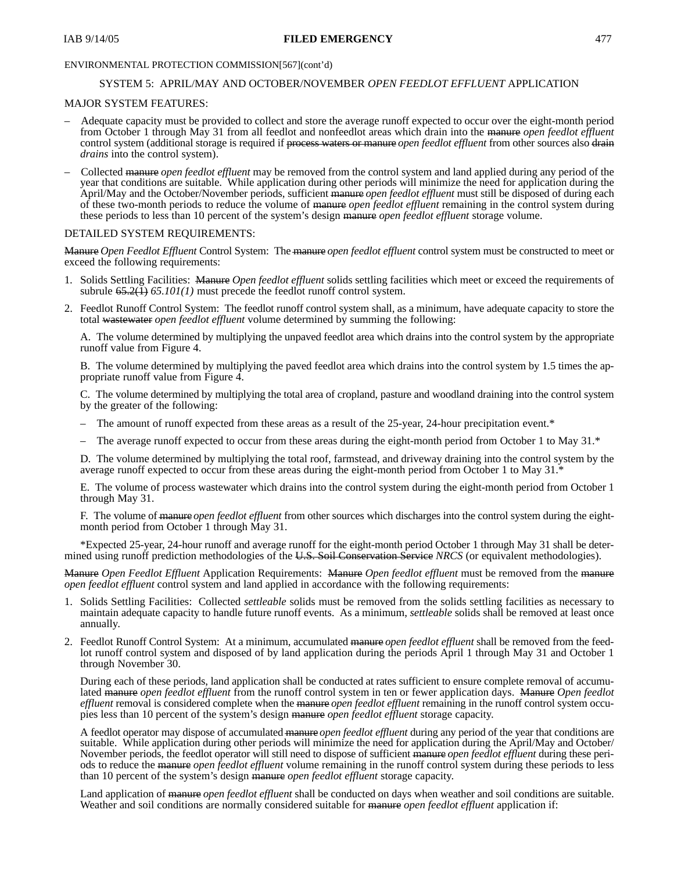## IAB 9/14/05 **FILED EMERGENCY** 477

## ENVIRONMENTAL PROTECTION COMMISSION[567](cont'd)

## SYSTEM 5: APRIL/MAY AND OCTOBER/NOVEMBER *OPEN FEEDLOT EFFLUENT* APPLICATION

## MAJOR SYSTEM FEATURES:

- Adequate capacity must be provided to collect and store the average runoff expected to occur over the eight-month period from October 1 through May 31 from all feedlot and nonfeedlot areas which drain into the manure *open feedlot effluent* control system (additional storage is required if process waters or manure *open feedlot effluent* from other sources also drain *drains* into the control system).
- Collected manure *open feedlot effluent* may be removed from the control system and land applied during any period of the year that conditions are suitable. While application during other periods will minimize the need for application during the April/May and the October/November periods, sufficient manure *open feedlot effluent* must still be disposed of during each of these two-month periods to reduce the volume of manure *open feedlot effluent* remaining in the control system during these periods to less than 10 percent of the system's design manure *open feedlot effluent* storage volume.

## DETAILED SYSTEM REQUIREMENTS:

Manure *Open Feedlot Effluent* Control System: The manure *open feedlot effluent* control system must be constructed to meet or exceed the following requirements:

- 1. Solids Settling Facilities: Manure *Open feedlot effluent* solids settling facilities which meet or exceed the requirements of subrule  $65.2(\bar{1})$   $65.101(1)$  must precede the feedlot runoff control system.
- 2. Feedlot Runoff Control System: The feedlot runoff control system shall, as a minimum, have adequate capacity to store the total wastewater *open feedlot effluent* volume determined by summing the following:

A. The volume determined by multiplying the unpaved feedlot area which drains into the control system by the appropriate runoff value from Figure 4.

B. The volume determined by multiplying the paved feedlot area which drains into the control system by 1.5 times the appropriate runoff value from Figure 4.

C. The volume determined by multiplying the total area of cropland, pasture and woodland draining into the control system by the greater of the following:

- The amount of runoff expected from these areas as a result of the 25-year, 24-hour precipitation event.\*
- The average runoff expected to occur from these areas during the eight-month period from October 1 to May 31.\*

D. The volume determined by multiplying the total roof, farmstead, and driveway draining into the control system by the average runoff expected to occur from these areas during the eight-month period from October 1 to May 31.\*

E. The volume of process wastewater which drains into the control system during the eight-month period from October 1 through May 31.

F. The volume of manure *open feedlot effluent* from other sources which discharges into the control system during the eightmonth period from October 1 through May 31.

\*Expected 25-year, 24-hour runoff and average runoff for the eight-month period October 1 through May 31 shall be determined using runoff prediction methodologies of the U.S. Soil Conservation Service *NRCS* (or equivalent methodologies).

Manure *Open Feedlot Effluent* Application Requirements: Manure *Open feedlot effluent* must be removed from the manure *open feedlot effluent* control system and land applied in accordance with the following requirements:

- 1. Solids Settling Facilities: Collected *settleable* solids must be removed from the solids settling facilities as necessary to maintain adequate capacity to handle future runoff events. As a minimum, *settleable* solids shall be removed at least once annually.
- 2. Feedlot Runoff Control System: At a minimum, accumulated manure *open feedlot effluent* shall be removed from the feedlot runoff control system and disposed of by land application during the periods April 1 through May 31 and October 1 through November 30.

During each of these periods, land application shall be conducted at rates sufficient to ensure complete removal of accumulated manure *open feedlot effluent* from the runoff control system in ten or fewer application days. Manure *Open feedlot effluent* removal is considered complete when the manure *open feedlot effluent* remaining in the runoff control system occupies less than 10 percent of the system's design manure *open feedlot effluent* storage capacity.

A feedlot operator may dispose of accumulated manure *open feedlot effluent* during any period of the year that conditions are suitable. While application during other periods will minimize the need for application during the April/May and October/ November periods, the feedlot operator will still need to dispose of sufficient manure *open feedlot effluent* during these periods to reduce the manure *open feedlot effluent* volume remaining in the runoff control system during these periods to less than 10 percent of the system's design manure *open feedlot effluent* storage capacity.

Land application of manure *open feedlot effluent* shall be conducted on days when weather and soil conditions are suitable. Weather and soil conditions are normally considered suitable for manure *open feedlot effluent* application if: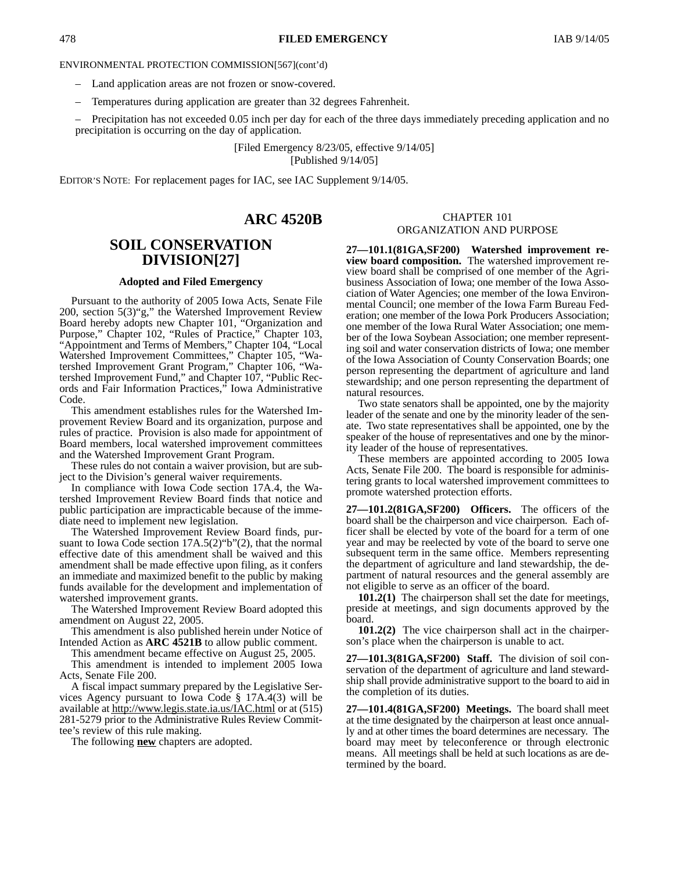- Land application areas are not frozen or snow-covered.
- Temperatures during application are greater than 32 degrees Fahrenheit.

– Precipitation has not exceeded 0.05 inch per day for each of the three days immediately preceding application and no precipitation is occurring on the day of application.

> [Filed Emergency 8/23/05, effective 9/14/05] [Published 9/14/05]

EDITOR'S NOTE: For replacement pages for IAC, see IAC Supplement 9/14/05.

## **ARC 4520B**

# **SOIL CONSERVATION DIVISION[27]**

#### **Adopted and Filed Emergency**

Pursuant to the authority of 2005 Iowa Acts, Senate File 200, section 5(3)"g," the Watershed Improvement Review Board hereby adopts new Chapter 101, "Organization and Purpose," Chapter 102, "Rules of Practice," Chapter 103, "Appointment and Terms of Members," Chapter 104, "Local Watershed Improvement Committees," Chapter 105, "Watershed Improvement Grant Program," Chapter 106, "Watershed Improvement Fund," and Chapter 107, "Public Records and Fair Information Practices," Iowa Administrative Code.

This amendment establishes rules for the Watershed Improvement Review Board and its organization, purpose and rules of practice. Provision is also made for appointment of Board members, local watershed improvement committees and the Watershed Improvement Grant Program.

These rules do not contain a waiver provision, but are subject to the Division's general waiver requirements.

In compliance with Iowa Code section 17A.4, the Watershed Improvement Review Board finds that notice and public participation are impracticable because of the immediate need to implement new legislation.

The Watershed Improvement Review Board finds, pursuant to Iowa Code section 17A.5(2)"b"(2), that the normal effective date of this amendment shall be waived and this amendment shall be made effective upon filing, as it confers an immediate and maximized benefit to the public by making funds available for the development and implementation of watershed improvement grants.

The Watershed Improvement Review Board adopted this amendment on August 22, 2005.

This amendment is also published herein under Notice of Intended Action as **ARC 4521B** to allow public comment.

This amendment became effective on August 25, 2005.

This amendment is intended to implement 2005 Iowa Acts, Senate File 200.

A fiscal impact summary prepared by the Legislative Services Agency pursuant to Iowa Code § 17A.4(3) will be available at http://www.legis.state.ia.us/IAC.html or at (515) 281-5279 prior to the Administrative Rules Review Committee's review of this rule making.

The following **new** chapters are adopted.

## CHAPTER 101 ORGANIZATION AND PURPOSE

**27—101.1(81GA,SF200) Watershed improvement review board composition.** The watershed improvement review board shall be comprised of one member of the Agribusiness Association of Iowa; one member of the Iowa Association of Water Agencies; one member of the Iowa Environmental Council; one member of the Iowa Farm Bureau Federation; one member of the Iowa Pork Producers Association; one member of the Iowa Rural Water Association; one member of the Iowa Soybean Association; one member representing soil and water conservation districts of Iowa; one member of the Iowa Association of County Conservation Boards; one person representing the department of agriculture and land stewardship; and one person representing the department of natural resources.

Two state senators shall be appointed, one by the majority leader of the senate and one by the minority leader of the senate. Two state representatives shall be appointed, one by the speaker of the house of representatives and one by the minority leader of the house of representatives.

These members are appointed according to 2005 Iowa Acts, Senate File 200. The board is responsible for administering grants to local watershed improvement committees to promote watershed protection efforts.

**27—101.2(81GA,SF200) Officers.** The officers of the board shall be the chairperson and vice chairperson. Each officer shall be elected by vote of the board for a term of one year and may be reelected by vote of the board to serve one subsequent term in the same office. Members representing the department of agriculture and land stewardship, the department of natural resources and the general assembly are not eligible to serve as an officer of the board.

**101.2(1)** The chairperson shall set the date for meetings, preside at meetings, and sign documents approved by the board.

**101.2(2)** The vice chairperson shall act in the chairperson's place when the chairperson is unable to act.

**27—101.3(81GA,SF200) Staff.** The division of soil conservation of the department of agriculture and land stewardship shall provide administrative support to the board to aid in the completion of its duties.

**27—101.4(81GA,SF200) Meetings.** The board shall meet at the time designated by the chairperson at least once annually and at other times the board determines are necessary. The board may meet by teleconference or through electronic means. All meetings shall be held at such locations as are determined by the board.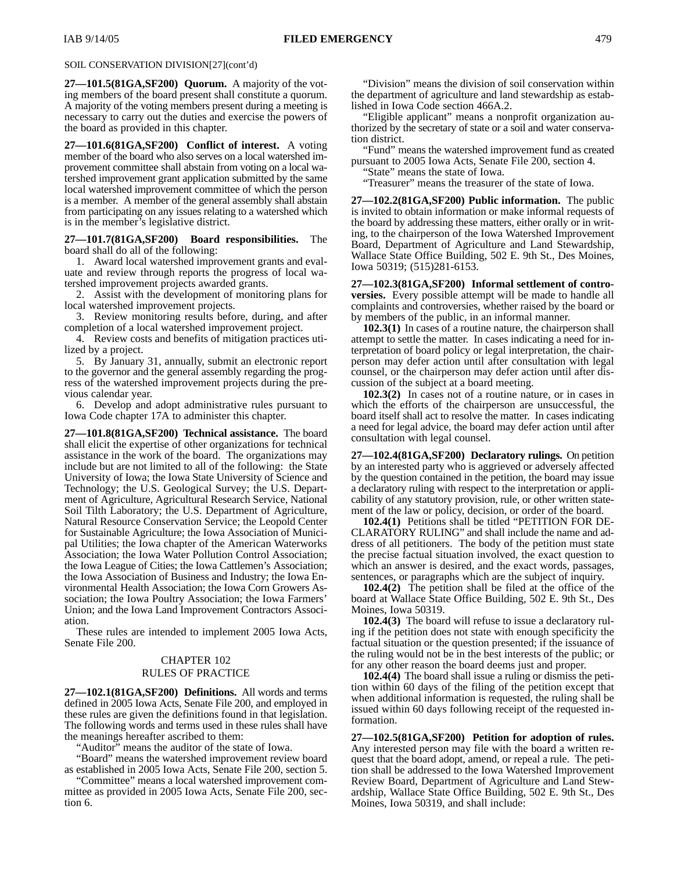### SOIL CONSERVATION DIVISION[27](cont'd)

**27—101.5(81GA,SF200) Quorum.** A majority of the voting members of the board present shall constitute a quorum. A majority of the voting members present during a meeting is necessary to carry out the duties and exercise the powers of the board as provided in this chapter.

**27—101.6(81GA,SF200) Conflict of interest.** A voting member of the board who also serves on a local watershed improvement committee shall abstain from voting on a local watershed improvement grant application submitted by the same local watershed improvement committee of which the person is a member. A member of the general assembly shall abstain from participating on any issues relating to a watershed which is in the member's legislative district.

**27—101.7(81GA,SF200) Board responsibilities.** The board shall do all of the following:

1. Award local watershed improvement grants and evaluate and review through reports the progress of local watershed improvement projects awarded grants.

2. Assist with the development of monitoring plans for local watershed improvement projects.

3. Review monitoring results before, during, and after completion of a local watershed improvement project.

4. Review costs and benefits of mitigation practices utilized by a project.

5. By January 31, annually, submit an electronic report to the governor and the general assembly regarding the progress of the watershed improvement projects during the previous calendar year.

6. Develop and adopt administrative rules pursuant to Iowa Code chapter 17A to administer this chapter.

**27—101.8(81GA,SF200) Technical assistance.** The board shall elicit the expertise of other organizations for technical assistance in the work of the board. The organizations may include but are not limited to all of the following: the State University of Iowa; the Iowa State University of Science and Technology; the U.S. Geological Survey; the U.S. Department of Agriculture, Agricultural Research Service, National Soil Tilth Laboratory; the U.S. Department of Agriculture, Natural Resource Conservation Service; the Leopold Center for Sustainable Agriculture; the Iowa Association of Municipal Utilities; the Iowa chapter of the American Waterworks Association; the Iowa Water Pollution Control Association; the Iowa League of Cities; the Iowa Cattlemen's Association; the Iowa Association of Business and Industry; the Iowa Environmental Health Association; the Iowa Corn Growers Association; the Iowa Poultry Association; the Iowa Farmers' Union; and the Iowa Land Improvement Contractors Association.

These rules are intended to implement 2005 Iowa Acts, Senate File 200.

## CHAPTER 102 RULES OF PRACTICE

**27—102.1(81GA,SF200) Definitions.** All words and terms defined in 2005 Iowa Acts, Senate File 200, and employed in these rules are given the definitions found in that legislation. The following words and terms used in these rules shall have the meanings hereafter ascribed to them:

"Auditor" means the auditor of the state of Iowa.

"Board" means the watershed improvement review board as established in 2005 Iowa Acts, Senate File 200, section 5.

"Committee" means a local watershed improvement committee as provided in 2005 Iowa Acts, Senate File 200, section 6.

"Division" means the division of soil conservation within the department of agriculture and land stewardship as established in Iowa Code section 466A.2.

"Eligible applicant" means a nonprofit organization authorized by the secretary of state or a soil and water conservation district.

"Fund" means the watershed improvement fund as created pursuant to 2005 Iowa Acts, Senate File 200, section 4.

"State" means the state of Iowa.

"Treasurer" means the treasurer of the state of Iowa.

**27—102.2(81GA,SF200) Public information.** The public is invited to obtain information or make informal requests of the board by addressing these matters, either orally or in writing, to the chairperson of the Iowa Watershed Improvement Board, Department of Agriculture and Land Stewardship, Wallace State Office Building, 502 E. 9th St., Des Moines, Iowa 50319; (515)281-6153.

**27—102.3(81GA,SF200) Informal settlement of controversies.** Every possible attempt will be made to handle all complaints and controversies, whether raised by the board or by members of the public, in an informal manner.

**102.3(1)** In cases of a routine nature, the chairperson shall attempt to settle the matter. In cases indicating a need for interpretation of board policy or legal interpretation, the chairperson may defer action until after consultation with legal counsel, or the chairperson may defer action until after discussion of the subject at a board meeting.

**102.3(2)** In cases not of a routine nature, or in cases in which the efforts of the chairperson are unsuccessful, the board itself shall act to resolve the matter. In cases indicating a need for legal advice, the board may defer action until after consultation with legal counsel.

**27—102.4(81GA,SF200) Declaratory rulings.** On petition by an interested party who is aggrieved or adversely affected by the question contained in the petition, the board may issue a declaratory ruling with respect to the interpretation or applicability of any statutory provision, rule, or other written statement of the law or policy, decision, or order of the board.

**102.4(1)** Petitions shall be titled "PETITION FOR DE-CLARATORY RULING" and shall include the name and address of all petitioners. The body of the petition must state the precise factual situation involved, the exact question to which an answer is desired, and the exact words, passages, sentences, or paragraphs which are the subject of inquiry.

**102.4(2)** The petition shall be filed at the office of the board at Wallace State Office Building, 502 E. 9th St., Des Moines, Iowa 50319.

**102.4(3)** The board will refuse to issue a declaratory ruling if the petition does not state with enough specificity the factual situation or the question presented; if the issuance of the ruling would not be in the best interests of the public; or for any other reason the board deems just and proper.

**102.4(4)** The board shall issue a ruling or dismiss the petition within 60 days of the filing of the petition except that when additional information is requested, the ruling shall be issued within 60 days following receipt of the requested information.

**27—102.5(81GA,SF200) Petition for adoption of rules.** Any interested person may file with the board a written request that the board adopt, amend, or repeal a rule. The petition shall be addressed to the Iowa Watershed Improvement Review Board, Department of Agriculture and Land Stewardship, Wallace State Office Building, 502 E. 9th St., Des Moines, Iowa 50319, and shall include: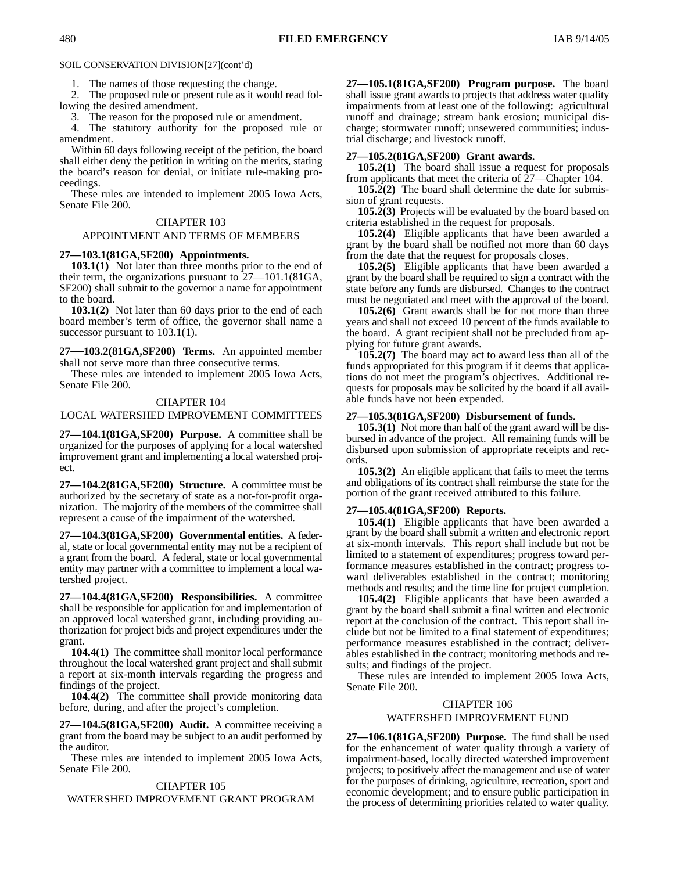SOIL CONSERVATION DIVISION[27](cont'd)

1. The names of those requesting the change.

2. The proposed rule or present rule as it would read following the desired amendment.

3. The reason for the proposed rule or amendment.

4. The statutory authority for the proposed rule or amendment.

Within 60 days following receipt of the petition, the board shall either deny the petition in writing on the merits, stating the board's reason for denial, or initiate rule-making proceedings.

These rules are intended to implement 2005 Iowa Acts, Senate File 200.

#### CHAPTER 103

#### APPOINTMENT AND TERMS OF MEMBERS

#### **27—103.1(81GA,SF200) Appointments.**

**103.1(1)** Not later than three months prior to the end of their term, the organizations pursuant to 27—101.1(81GA, SF200) shall submit to the governor a name for appointment to the board.

**103.1(2)** Not later than 60 days prior to the end of each board member's term of office, the governor shall name a successor pursuant to 103.1(1).

**27—103.2(81GA,SF200) Terms.** An appointed member shall not serve more than three consecutive terms.

These rules are intended to implement 2005 Iowa Acts, Senate File 200.

#### CHAPTER 104

LOCAL WATERSHED IMPROVEMENT COMMITTEES

**27—104.1(81GA,SF200) Purpose.** A committee shall be organized for the purposes of applying for a local watershed improvement grant and implementing a local watershed project.

**27—104.2(81GA,SF200) Structure.** A committee must be authorized by the secretary of state as a not-for-profit organization. The majority of the members of the committee shall represent a cause of the impairment of the watershed.

**27—104.3(81GA,SF200) Governmental entities.** A federal, state or local governmental entity may not be a recipient of a grant from the board. A federal, state or local governmental entity may partner with a committee to implement a local watershed project.

**27—104.4(81GA,SF200) Responsibilities.** A committee shall be responsible for application for and implementation of an approved local watershed grant, including providing authorization for project bids and project expenditures under the grant.

**104.4(1)** The committee shall monitor local performance throughout the local watershed grant project and shall submit a report at six-month intervals regarding the progress and findings of the project.

**104.4(2)** The committee shall provide monitoring data before, during, and after the project's completion.

**27—104.5(81GA,SF200) Audit.** A committee receiving a grant from the board may be subject to an audit performed by the auditor.

These rules are intended to implement 2005 Iowa Acts, Senate File 200.

## CHAPTER 105 WATERSHED IMPROVEMENT GRANT PROGRAM

**27—105.1(81GA,SF200) Program purpose.** The board shall issue grant awards to projects that address water quality impairments from at least one of the following: agricultural runoff and drainage; stream bank erosion; municipal discharge; stormwater runoff; unsewered communities; industrial discharge; and livestock runoff.

#### **27—105.2(81GA,SF200) Grant awards.**

**105.2(1)** The board shall issue a request for proposals from applicants that meet the criteria of 27—Chapter 104.

**105.2(2)** The board shall determine the date for submission of grant requests.

**105.2(3)** Projects will be evaluated by the board based on criteria established in the request for proposals.

**105.2(4)** Eligible applicants that have been awarded a grant by the board shall be notified not more than 60 days from the date that the request for proposals closes.

**105.2(5)** Eligible applicants that have been awarded a grant by the board shall be required to sign a contract with the state before any funds are disbursed. Changes to the contract must be negotiated and meet with the approval of the board.

**105.2(6)** Grant awards shall be for not more than three years and shall not exceed 10 percent of the funds available to the board. A grant recipient shall not be precluded from applying for future grant awards.

**105.2(7)** The board may act to award less than all of the funds appropriated for this program if it deems that applications do not meet the program's objectives. Additional requests for proposals may be solicited by the board if all available funds have not been expended.

#### **27—105.3(81GA,SF200) Disbursement of funds.**

**105.3(1)** Not more than half of the grant award will be disbursed in advance of the project. All remaining funds will be disbursed upon submission of appropriate receipts and records.

**105.3(2)** An eligible applicant that fails to meet the terms and obligations of its contract shall reimburse the state for the portion of the grant received attributed to this failure.

#### **27—105.4(81GA,SF200) Reports.**

**105.4(1)** Eligible applicants that have been awarded a grant by the board shall submit a written and electronic report at six-month intervals. This report shall include but not be limited to a statement of expenditures; progress toward performance measures established in the contract; progress toward deliverables established in the contract; monitoring methods and results; and the time line for project completion.

**105.4(2)** Eligible applicants that have been awarded a grant by the board shall submit a final written and electronic report at the conclusion of the contract. This report shall include but not be limited to a final statement of expenditures; performance measures established in the contract; deliverables established in the contract; monitoring methods and results; and findings of the project.

These rules are intended to implement 2005 Iowa Acts, Senate File 200.

## CHAPTER 106 WATERSHED IMPROVEMENT FUND

**27—106.1(81GA,SF200) Purpose.** The fund shall be used for the enhancement of water quality through a variety of impairment-based, locally directed watershed improvement projects; to positively affect the management and use of water for the purposes of drinking, agriculture, recreation, sport and economic development; and to ensure public participation in the process of determining priorities related to water quality.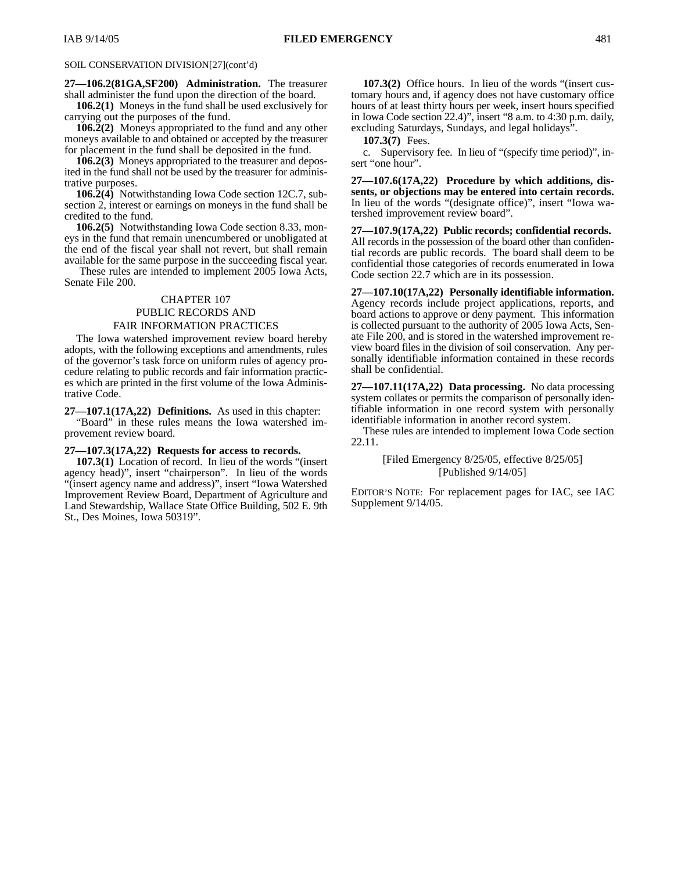### SOIL CONSERVATION DIVISION[27](cont'd)

**27—106.2(81GA,SF200) Administration.** The treasurer shall administer the fund upon the direction of the board.

**106.2(1)** Moneys in the fund shall be used exclusively for carrying out the purposes of the fund.

**106.2(2)** Moneys appropriated to the fund and any other moneys available to and obtained or accepted by the treasurer for placement in the fund shall be deposited in the fund.

**106.2(3)** Moneys appropriated to the treasurer and deposited in the fund shall not be used by the treasurer for administrative purposes.

**106.2(4)** Notwithstanding Iowa Code section 12C.7, subsection 2, interest or earnings on moneys in the fund shall be credited to the fund.

**106.2(5)** Notwithstanding Iowa Code section 8.33, moneys in the fund that remain unencumbered or unobligated at the end of the fiscal year shall not revert, but shall remain available for the same purpose in the succeeding fiscal year.

 These rules are intended to implement 2005 Iowa Acts, Senate File 200.

## CHAPTER 107

## PUBLIC RECORDS AND FAIR INFORMATION PRACTICES

The Iowa watershed improvement review board hereby adopts, with the following exceptions and amendments, rules of the governor's task force on uniform rules of agency procedure relating to public records and fair information practices which are printed in the first volume of the Iowa Administrative Code.

**27—107.1(17A,22) Definitions.** As used in this chapter:

"Board" in these rules means the Iowa watershed improvement review board.

#### **27—107.3(17A,22) Requests for access to records.**

**107.3(1)** Location of record. In lieu of the words "(insert agency head)", insert "chairperson". In lieu of the words "(insert agency name and address)", insert "Iowa Watershed Improvement Review Board, Department of Agriculture and Land Stewardship, Wallace State Office Building, 502 E. 9th St., Des Moines, Iowa 50319".

**107.3(2)** Office hours. In lieu of the words "(insert customary hours and, if agency does not have customary office hours of at least thirty hours per week, insert hours specified in Iowa Code section 22.4)", insert "8 a.m. to 4:30 p.m. daily, excluding Saturdays, Sundays, and legal holidays".

**107.3(7)** Fees.

c. Supervisory fee. In lieu of "(specify time period)", insert "one hour".

**27—107.6(17A,22) Procedure by which additions, dissents, or objections may be entered into certain records.** In lieu of the words "(designate office)", insert "Iowa watershed improvement review board".

**27—107.9(17A,22) Public records; confidential records.** All records in the possession of the board other than confidential records are public records. The board shall deem to be confidential those categories of records enumerated in Iowa Code section 22.7 which are in its possession.

**27—107.10(17A,22) Personally identifiable information.** Agency records include project applications, reports, and board actions to approve or deny payment. This information is collected pursuant to the authority of 2005 Iowa Acts, Senate File 200, and is stored in the watershed improvement review board files in the division of soil conservation. Any personally identifiable information contained in these records shall be confidential.

**27—107.11(17A,22) Data processing.** No data processing system collates or permits the comparison of personally identifiable information in one record system with personally identifiable information in another record system.

These rules are intended to implement Iowa Code section 22.11.

> [Filed Emergency 8/25/05, effective 8/25/05] [Published 9/14/05]

EDITOR'S NOTE: For replacement pages for IAC, see IAC Supplement 9/14/05.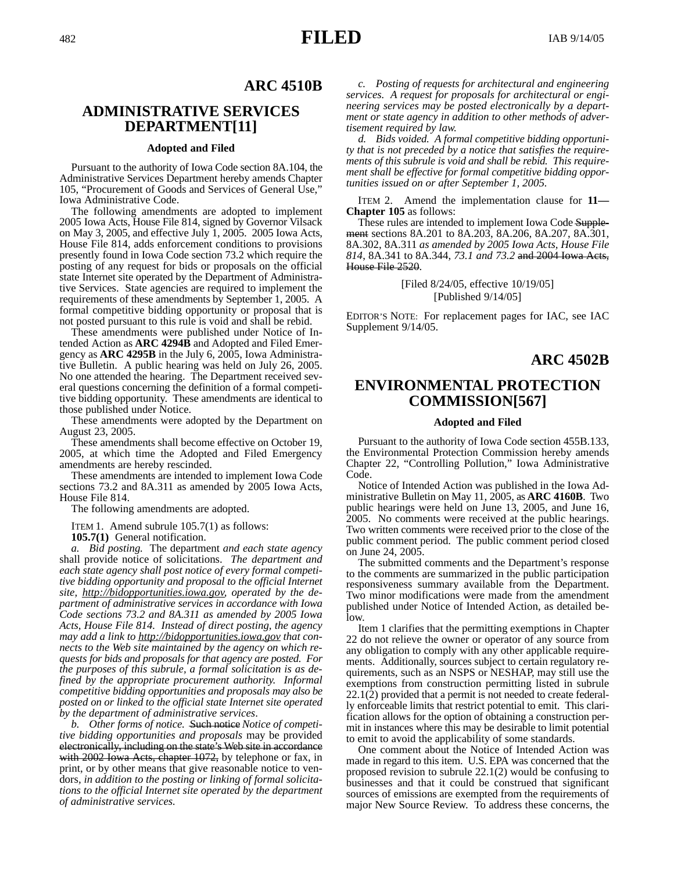## **ARC 4510B**

# **ADMINISTRATIVE SERVICES DEPARTMENT[11]**

#### **Adopted and Filed**

Pursuant to the authority of Iowa Code section 8A.104, the Administrative Services Department hereby amends Chapter 105, "Procurement of Goods and Services of General Use," Iowa Administrative Code.

The following amendments are adopted to implement 2005 Iowa Acts, House File 814, signed by Governor Vilsack on May 3, 2005, and effective July 1, 2005. 2005 Iowa Acts, House File 814, adds enforcement conditions to provisions presently found in Iowa Code section 73.2 which require the posting of any request for bids or proposals on the official state Internet site operated by the Department of Administrative Services. State agencies are required to implement the requirements of these amendments by September 1, 2005. A formal competitive bidding opportunity or proposal that is not posted pursuant to this rule is void and shall be rebid.

These amendments were published under Notice of Intended Action as **ARC 4294B** and Adopted and Filed Emergency as **ARC 4295B** in the July 6, 2005, Iowa Administrative Bulletin. A public hearing was held on July 26, 2005. No one attended the hearing. The Department received several questions concerning the definition of a formal competitive bidding opportunity. These amendments are identical to those published under Notice.

These amendments were adopted by the Department on August 23, 2005.

These amendments shall become effective on October 19, 2005, at which time the Adopted and Filed Emergency amendments are hereby rescinded.

These amendments are intended to implement Iowa Code sections 73.2 and 8A.311 as amended by 2005 Iowa Acts, House File 814.

The following amendments are adopted.

ITEM 1. Amend subrule 105.7(1) as follows:

**105.7(1)** General notification.

*a. Bid posting.* The department *and each state agency* shall provide notice of solicitations. *The department and each state agency shall post notice of every formal competitive bidding opportunity and proposal to the official Internet site, http://bidopportunities.iowa.gov, operated by the department of administrative services in accordance with Iowa Code sections 73.2 and 8A.311 as amended by 2005 Iowa Acts, House File 814. Instead of direct posting, the agency may add a link to http://bidopportunities.iowa.gov that connects to the Web site maintained by the agency on which requests for bids and proposals for that agency are posted. For the purposes of this subrule, a formal solicitation is as defined by the appropriate procurement authority. Informal competitive bidding opportunities and proposals may also be posted on or linked to the official state Internet site operated by the department of administrative services*.

*b. Other forms of notice.* Such notice *Notice of competitive bidding opportunities and proposals* may be provided electronically, including on the state's Web site in accordance with 2002 Iowa Acts, chapter 1072, by telephone or fax, in print, or by other means that give reasonable notice to vendors*, in addition to the posting or linking of formal solicitations to the official Internet site operated by the department of administrative services.*

*c. Posting of requests for architectural and engineering services. A request for proposals for architectural or engineering services may be posted electronically by a department or state agency in addition to other methods of advertisement required by law.*

*d. Bids voided. A formal competitive bidding opportunity that is not preceded by a notice that satisfies the requirements of this subrule is void and shall be rebid. This requirement shall be effective for formal competitive bidding opportunities issued on or after September 1, 2005.*

ITEM 2. Amend the implementation clause for **11— Chapter 105** as follows:

These rules are intended to implement Iowa Code Supplement sections 8A.201 to 8A.203, 8A.206, 8A.207, 8A.301, 8A.302, 8A.311 *as amended by 2005 Iowa Acts, House File 814*, 8A.341 to 8A.344, *73.1 and 73.2* and 2004 Iowa Acts, House File 2520.

> [Filed 8/24/05, effective 10/19/05] [Published 9/14/05]

EDITOR'S NOTE: For replacement pages for IAC, see IAC Supplement 9/14/05.

## **ARC 4502B**

# **ENVIRONMENTAL PROTECTION COMMISSION[567]**

### **Adopted and Filed**

Pursuant to the authority of Iowa Code section 455B.133, the Environmental Protection Commission hereby amends Chapter 22, "Controlling Pollution," Iowa Administrative Code.

Notice of Intended Action was published in the Iowa Administrative Bulletin on May 11, 2005, as **ARC 4160B**. Two public hearings were held on June 13, 2005, and June 16, 2005. No comments were received at the public hearings. Two written comments were received prior to the close of the public comment period. The public comment period closed on June 24, 2005.

The submitted comments and the Department's response to the comments are summarized in the public participation responsiveness summary available from the Department. Two minor modifications were made from the amendment published under Notice of Intended Action, as detailed below.

Item 1 clarifies that the permitting exemptions in Chapter 22 do not relieve the owner or operator of any source from any obligation to comply with any other applicable requirements. Additionally, sources subject to certain regulatory requirements, such as an NSPS or NESHAP, may still use the exemptions from construction permitting listed in subrule 22.1(2) provided that a permit is not needed to create federally enforceable limits that restrict potential to emit. This clarification allows for the option of obtaining a construction permit in instances where this may be desirable to limit potential to emit to avoid the applicability of some standards.

One comment about the Notice of Intended Action was made in regard to this item. U.S. EPA was concerned that the proposed revision to subrule 22.1(2) would be confusing to businesses and that it could be construed that significant sources of emissions are exempted from the requirements of major New Source Review. To address these concerns, the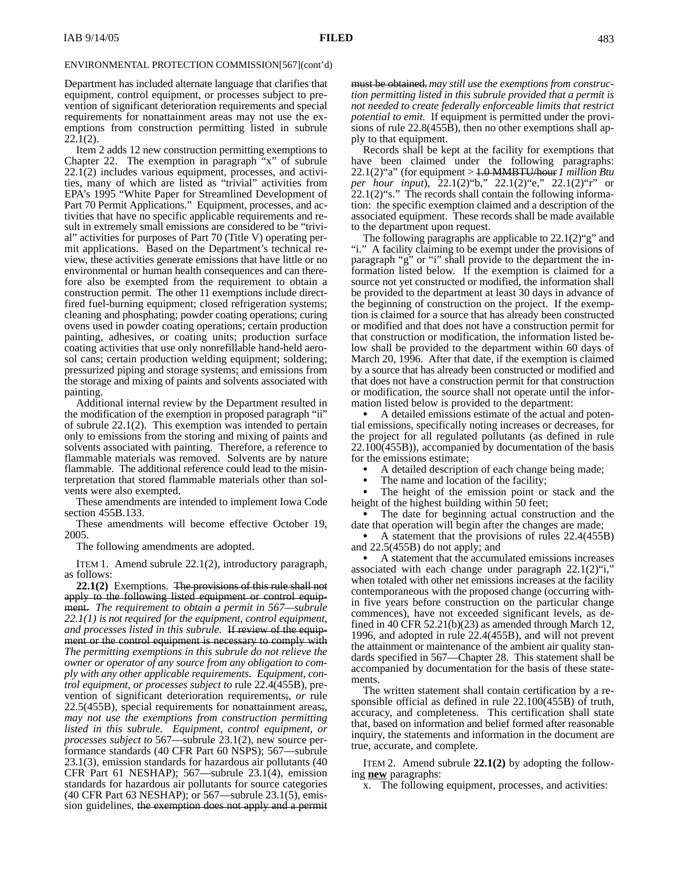#### ENVIRONMENTAL PROTECTION COMMISSION[567](cont'd)

Department has included alternate language that clarifies that equipment, control equipment, or processes subject to prevention of significant deterioration requirements and special requirements for nonattainment areas may not use the exemptions from construction permitting listed in subrule 22.1(2).

Item 2 adds 12 new construction permitting exemptions to Chapter 22. The exemption in paragraph "x" of subrule  $22.1(2)$  includes various equipment, processes, and activities, many of which are listed as "trivial" activities from EPA's 1995 "White Paper for Streamlined Development of Part 70 Permit Applications." Equipment, processes, and activities that have no specific applicable requirements and result in extremely small emissions are considered to be "trivial" activities for purposes of Part 70 (Title V) operating permit applications. Based on the Department's technical review, these activities generate emissions that have little or no environmental or human health consequences and can therefore also be exempted from the requirement to obtain a construction permit. The other 11 exemptions include directfired fuel-burning equipment; closed refrigeration systems; cleaning and phosphating; powder coating operations; curing ovens used in powder coating operations; certain production painting, adhesives, or coating units; production surface coating activities that use only nonrefillable hand-held aerosol cans; certain production welding equipment; soldering; pressurized piping and storage systems; and emissions from the storage and mixing of paints and solvents associated with painting.

Additional internal review by the Department resulted in the modification of the exemption in proposed paragraph "ii" of subrule 22.1(2). This exemption was intended to pertain only to emissions from the storing and mixing of paints and solvents associated with painting. Therefore, a reference to flammable materials was removed. Solvents are by nature flammable. The additional reference could lead to the misinterpretation that stored flammable materials other than solvents were also exempted.

These amendments are intended to implement Iowa Code section 455B.133.

These amendments will become effective October 19, 2005.

The following amendments are adopted.

ITEM 1. Amend subrule 22.1(2), introductory paragraph, as follows:

**22.1(2)** Exemptions. The provisions of this rule shall not apply to the following listed equipment or control equipment. *The requirement to obtain a permit in 567—subrule 22.1(1) is not required for the equipment, control equipment, and processes listed in this subrule.* If review of the equipment or the control equipment is necessary to comply with *The permitting exemptions in this subrule do not relieve the owner or operator of any source from any obligation to comply with any other applicable requirements. Equipment, control equipment, or processes subject to* rule 22.4(455B), prevention of significant deterioration requirements;*, or* rule 22.5(455B), special requirements for nonattainment areas;*, may not use the exemptions from construction permitting listed in this subrule. Equipment, control equipment, or processes subject to* 567—subrule 23.1(2), new source performance standards (40 CFR Part 60 NSPS); 567—subrule 23.1(3), emission standards for hazardous air pollutants (40 CFR Part 61 NESHAP); 567—subrule 23.1(4), emission standards for hazardous air pollutants for source categories (40 CFR Part 63 NESHAP); or 567—subrule 23.1(5), emission guidelines, the exemption does not apply and a permit

must be obtained.*may still use the exemptions from construction permitting listed in this subrule provided that a permit is not needed to create federally enforceable limits that restrict potential to emit.* If equipment is permitted under the provisions of rule 22.8(455B), then no other exemptions shall apply to that equipment.

Records shall be kept at the facility for exemptions that have been claimed under the following paragraphs: 22.1(2)"a" (for equipment *>* 1.0 MMBTU/hour *1 million Btu per hour input*),  $22.1(2)$  "b,"  $22.1(2)$ "e,"  $22.1(2)$ "r" or  $22.1(2)$ "s." The records shall contain the following information: the specific exemption claimed and a description of the associated equipment. These records shall be made available to the department upon request.

The following paragraphs are applicable to 22.1(2)"g" and "i." A facility claiming to be exempt under the provisions of paragraph "g" or "i" shall provide to the department the information listed below. If the exemption is claimed for a source not yet constructed or modified, the information shall be provided to the department at least 30 days in advance of the beginning of construction on the project. If the exemption is claimed for a source that has already been constructed or modified and that does not have a construction permit for that construction or modification, the information listed below shall be provided to the department within 60 days of March 20, 1996. After that date, if the exemption is claimed by a source that has already been constructed or modified and that does not have a construction permit for that construction or modification, the source shall not operate until the information listed below is provided to the department:

 A detailed emissions estimate of the actual and potential emissions, specifically noting increases or decreases, for the project for all regulated pollutants (as defined in rule 22.100(455B)), accompanied by documentation of the basis for the emissions estimate;

 A detailed description of each change being made;  $\bullet$ 

 The name and location of the facility;  $\bullet$ 

 The height of the emission point or stack and the height of the highest building within 50 feet;

 The date for beginning actual construction and the date that operation will begin after the changes are made;

 A statement that the provisions of rules 22.4(455B) and 22.5(455B) do not apply; and

 A statement that the accumulated emissions increases associated with each change under paragraph  $22.1(2)$ "i," when totaled with other net emissions increases at the facility contemporaneous with the proposed change (occurring within five years before construction on the particular change commences), have not exceeded significant levels, as defined in 40 CFR 52.21(b)(23) as amended through March 12, 1996, and adopted in rule 22.4(455B), and will not prevent the attainment or maintenance of the ambient air quality standards specified in 567—Chapter 28. This statement shall be accompanied by documentation for the basis of these statements.

The written statement shall contain certification by a responsible official as defined in rule 22.100(455B) of truth, accuracy, and completeness. This certification shall state that, based on information and belief formed after reasonable inquiry, the statements and information in the document are true, accurate, and complete.

ITEM 2. Amend subrule **22.1(2)** by adopting the following **new** paragraphs:

x. The following equipment, processes, and activities: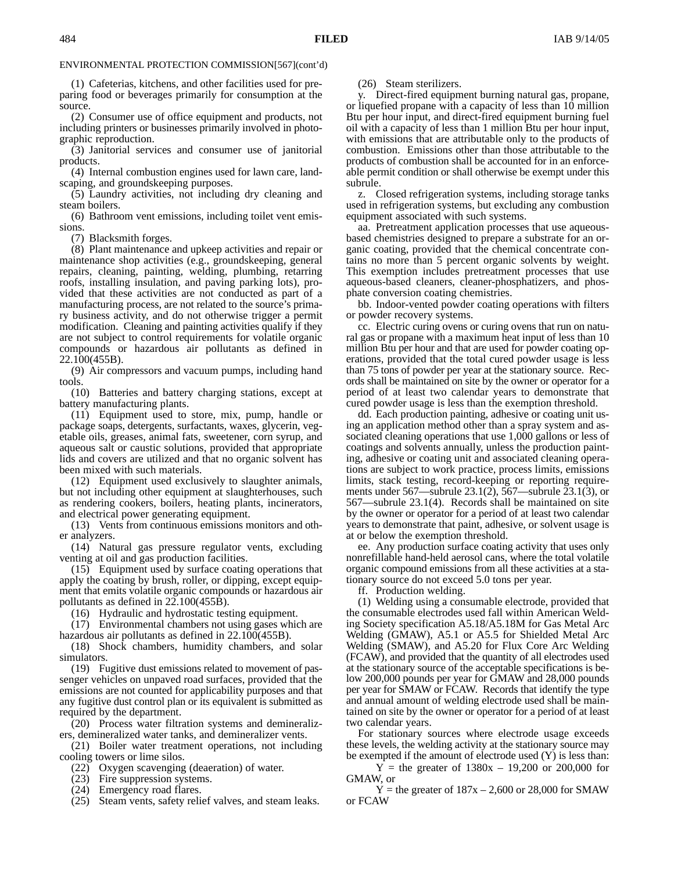ENVIRONMENTAL PROTECTION COMMISSION[567](cont'd)

(1) Cafeterias, kitchens, and other facilities used for preparing food or beverages primarily for consumption at the source.

(2) Consumer use of office equipment and products, not including printers or businesses primarily involved in photographic reproduction.

(3) Janitorial services and consumer use of janitorial products.

(4) Internal combustion engines used for lawn care, landscaping, and groundskeeping purposes.

(5) Laundry activities, not including dry cleaning and steam boilers.

(6) Bathroom vent emissions, including toilet vent emissions.

(7) Blacksmith forges.

(8) Plant maintenance and upkeep activities and repair or maintenance shop activities (e.g., groundskeeping, general repairs, cleaning, painting, welding, plumbing, retarring roofs, installing insulation, and paving parking lots), provided that these activities are not conducted as part of a manufacturing process, are not related to the source's primary business activity, and do not otherwise trigger a permit modification. Cleaning and painting activities qualify if they are not subject to control requirements for volatile organic compounds or hazardous air pollutants as defined in 22.100(455B).

(9) Air compressors and vacuum pumps, including hand tools.

(10) Batteries and battery charging stations, except at battery manufacturing plants.

(11) Equipment used to store, mix, pump, handle or package soaps, detergents, surfactants, waxes, glycerin, vegetable oils, greases, animal fats, sweetener, corn syrup, and aqueous salt or caustic solutions, provided that appropriate lids and covers are utilized and that no organic solvent has been mixed with such materials.

(12) Equipment used exclusively to slaughter animals, but not including other equipment at slaughterhouses, such as rendering cookers, boilers, heating plants, incinerators, and electrical power generating equipment.

(13) Vents from continuous emissions monitors and other analyzers.

(14) Natural gas pressure regulator vents, excluding venting at oil and gas production facilities.

(15) Equipment used by surface coating operations that apply the coating by brush, roller, or dipping, except equipment that emits volatile organic compounds or hazardous air pollutants as defined in 22.100(455B).

(16) Hydraulic and hydrostatic testing equipment.

(17) Environmental chambers not using gases which are hazardous air pollutants as defined in 22.100(455B).

(18) Shock chambers, humidity chambers, and solar simulators.

(19) Fugitive dust emissions related to movement of passenger vehicles on unpaved road surfaces, provided that the emissions are not counted for applicability purposes and that any fugitive dust control plan or its equivalent is submitted as required by the department.

(20) Process water filtration systems and demineralizers, demineralized water tanks, and demineralizer vents.

(21) Boiler water treatment operations, not including cooling towers or lime silos.

(22) Oxygen scavenging (deaeration) of water.

(23) Fire suppression systems.

- (24) Emergency road flares.
- (25) Steam vents, safety relief valves, and steam leaks.

(26) Steam sterilizers.

y. Direct-fired equipment burning natural gas, propane, or liquefied propane with a capacity of less than 10 million Btu per hour input, and direct-fired equipment burning fuel oil with a capacity of less than 1 million Btu per hour input, with emissions that are attributable only to the products of combustion. Emissions other than those attributable to the products of combustion shall be accounted for in an enforceable permit condition or shall otherwise be exempt under this subrule.

z. Closed refrigeration systems, including storage tanks used in refrigeration systems, but excluding any combustion equipment associated with such systems.

aa. Pretreatment application processes that use aqueousbased chemistries designed to prepare a substrate for an organic coating, provided that the chemical concentrate contains no more than 5 percent organic solvents by weight. This exemption includes pretreatment processes that use aqueous-based cleaners, cleaner-phosphatizers, and phosphate conversion coating chemistries.

bb. Indoor-vented powder coating operations with filters or powder recovery systems.

cc. Electric curing ovens or curing ovens that run on natural gas or propane with a maximum heat input of less than 10 million Btu per hour and that are used for powder coating operations, provided that the total cured powder usage is less than 75 tons of powder per year at the stationary source. Records shall be maintained on site by the owner or operator for a period of at least two calendar years to demonstrate that cured powder usage is less than the exemption threshold.

dd. Each production painting, adhesive or coating unit using an application method other than a spray system and associated cleaning operations that use 1,000 gallons or less of coatings and solvents annually, unless the production painting, adhesive or coating unit and associated cleaning operations are subject to work practice, process limits, emissions limits, stack testing, record-keeping or reporting requirements under 567—subrule 23.1(2), 567—subrule 23.1(3), or 567—subrule 23.1(4). Records shall be maintained on site by the owner or operator for a period of at least two calendar years to demonstrate that paint, adhesive, or solvent usage is at or below the exemption threshold.

ee. Any production surface coating activity that uses only nonrefillable hand-held aerosol cans, where the total volatile organic compound emissions from all these activities at a stationary source do not exceed 5.0 tons per year.

ff. Production welding.

(1) Welding using a consumable electrode, provided that the consumable electrodes used fall within American Welding Society specification A5.18/A5.18M for Gas Metal Arc Welding (GMAW), A5.1 or A5.5 for Shielded Metal Arc Welding (SMAW), and A5.20 for Flux Core Arc Welding (FCAW), and provided that the quantity of all electrodes used at the stationary source of the acceptable specifications is below 200,000 pounds per year for GMAW and 28,000 pounds per year for SMAW or FCAW. Records that identify the type and annual amount of welding electrode used shall be maintained on site by the owner or operator for a period of at least two calendar years.

For stationary sources where electrode usage exceeds these levels, the welding activity at the stationary source may be exempted if the amount of electrode used (Y) is less than:

 $Y =$  the greater of 1380x – 19,200 or 200,000 for GMAW, or

 $Y =$  the greater of  $187x - 2{,}600$  or 28,000 for SMAW or FCAW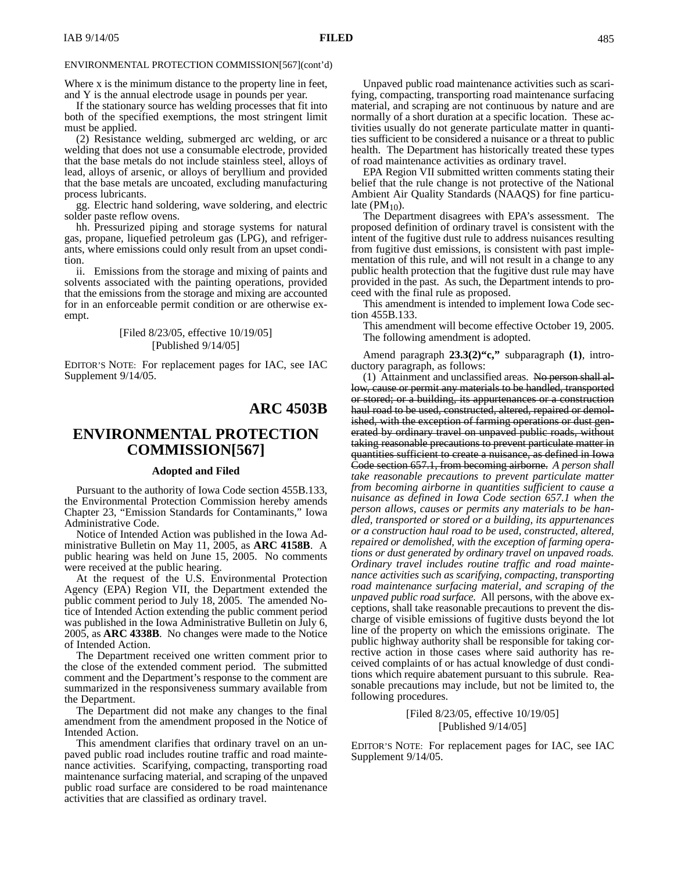### ENVIRONMENTAL PROTECTION COMMISSION[567](cont'd)

Where x is the minimum distance to the property line in feet, and Y is the annual electrode usage in pounds per year.

If the stationary source has welding processes that fit into both of the specified exemptions, the most stringent limit must be applied.

(2) Resistance welding, submerged arc welding, or arc welding that does not use a consumable electrode, provided that the base metals do not include stainless steel, alloys of lead, alloys of arsenic, or alloys of beryllium and provided that the base metals are uncoated, excluding manufacturing process lubricants.

gg. Electric hand soldering, wave soldering, and electric solder paste reflow ovens.

hh. Pressurized piping and storage systems for natural gas, propane, liquefied petroleum gas (LPG), and refrigerants, where emissions could only result from an upset condition.

ii. Emissions from the storage and mixing of paints and solvents associated with the painting operations, provided that the emissions from the storage and mixing are accounted for in an enforceable permit condition or are otherwise exempt.

### [Filed 8/23/05, effective 10/19/05] [Published 9/14/05]

EDITOR'S NOTE: For replacement pages for IAC, see IAC Supplement 9/14/05.

## **ARC 4503B**

# **ENVIRONMENTAL PROTECTION COMMISSION[567]**

#### **Adopted and Filed**

Pursuant to the authority of Iowa Code section 455B.133, the Environmental Protection Commission hereby amends Chapter 23, "Emission Standards for Contaminants," Iowa Administrative Code.

Notice of Intended Action was published in the Iowa Administrative Bulletin on May 11, 2005, as **ARC 4158B**. A public hearing was held on June 15, 2005. No comments were received at the public hearing.

At the request of the U.S. Environmental Protection Agency (EPA) Region VII, the Department extended the public comment period to July 18, 2005. The amended Notice of Intended Action extending the public comment period was published in the Iowa Administrative Bulletin on July 6, 2005, as **ARC 4338B**. No changes were made to the Notice of Intended Action.

The Department received one written comment prior to the close of the extended comment period. The submitted comment and the Department's response to the comment are summarized in the responsiveness summary available from the Department.

The Department did not make any changes to the final amendment from the amendment proposed in the Notice of Intended Action.

This amendment clarifies that ordinary travel on an unpaved public road includes routine traffic and road maintenance activities. Scarifying, compacting, transporting road maintenance surfacing material, and scraping of the unpaved public road surface are considered to be road maintenance activities that are classified as ordinary travel.

Unpaved public road maintenance activities such as scarifying, compacting, transporting road maintenance surfacing material, and scraping are not continuous by nature and are normally of a short duration at a specific location. These activities usually do not generate particulate matter in quantities sufficient to be considered a nuisance or a threat to public health. The Department has historically treated these types of road maintenance activities as ordinary travel.

EPA Region VII submitted written comments stating their belief that the rule change is not protective of the National Ambient Air Quality Standards (NAAQS) for fine particulate  $(PM_{10})$ .

The Department disagrees with EPA's assessment. The proposed definition of ordinary travel is consistent with the intent of the fugitive dust rule to address nuisances resulting from fugitive dust emissions, is consistent with past implementation of this rule, and will not result in a change to any public health protection that the fugitive dust rule may have provided in the past. As such, the Department intends to proceed with the final rule as proposed.

This amendment is intended to implement Iowa Code section 455B.133.

This amendment will become effective October 19, 2005. The following amendment is adopted.

Amend paragraph **23.3(2)"c,"** subparagraph **(1)**, introductory paragraph, as follows:

(1) Attainment and unclassified areas. No person shall allow, cause or permit any materials to be handled, transported or stored; or a building, its appurtenances or a construction haul road to be used, constructed, altered, repaired or demolished, with the exception of farming operations or dust generated by ordinary travel on unpaved public roads, without taking reasonable precautions to prevent particulate matter in quantities sufficient to create a nuisance, as defined in Iowa Code section 657.1, from becoming airborne. *A person shall take reasonable precautions to prevent particulate matter from becoming airborne in quantities sufficient to cause a nuisance as defined in Iowa Code section 657.1 when the person allows, causes or permits any materials to be handled, transported or stored or a building, its appurtenances or a construction haul road to be used, constructed, altered, repaired or demolished, with the exception of farming operations or dust generated by ordinary travel on unpaved roads. Ordinary travel includes routine traffic and road maintenance activities such as scarifying, compacting, transporting road maintenance surfacing material, and scraping of the unpaved public road surface.* All persons, with the above exceptions, shall take reasonable precautions to prevent the discharge of visible emissions of fugitive dusts beyond the lot line of the property on which the emissions originate. The public highway authority shall be responsible for taking corrective action in those cases where said authority has received complaints of or has actual knowledge of dust conditions which require abatement pursuant to this subrule. Reasonable precautions may include, but not be limited to, the following procedures.

> [Filed 8/23/05, effective 10/19/05] [Published 9/14/05]

EDITOR'S NOTE: For replacement pages for IAC, see IAC Supplement 9/14/05.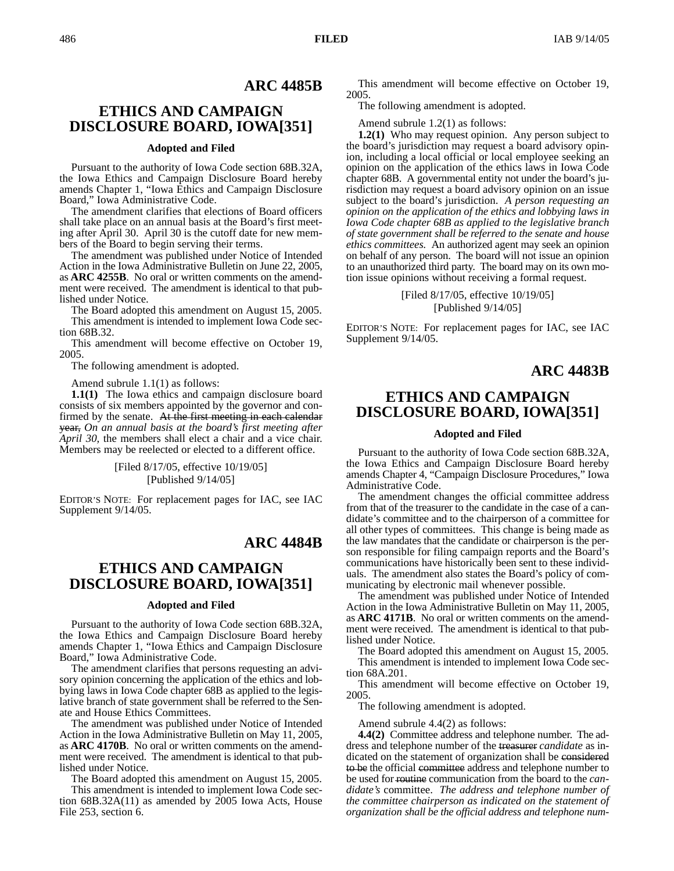## **ARC 4485B**

# **ETHICS AND CAMPAIGN DISCLOSURE BOARD, IOWA[351]**

### **Adopted and Filed**

Pursuant to the authority of Iowa Code section 68B.32A, the Iowa Ethics and Campaign Disclosure Board hereby amends Chapter 1, "Iowa Ethics and Campaign Disclosure Board," Iowa Administrative Code.

The amendment clarifies that elections of Board officers shall take place on an annual basis at the Board's first meeting after April 30. April 30 is the cutoff date for new members of the Board to begin serving their terms.

The amendment was published under Notice of Intended Action in the Iowa Administrative Bulletin on June 22, 2005, as **ARC 4255B**. No oral or written comments on the amendment were received. The amendment is identical to that published under Notice.

The Board adopted this amendment on August 15, 2005. This amendment is intended to implement Iowa Code sec-

tion 68B.32. This amendment will become effective on October 19, 2005.

The following amendment is adopted.

Amend subrule 1.1(1) as follows:

**1.1(1)** The Iowa ethics and campaign disclosure board consists of six members appointed by the governor and confirmed by the senate. At the first meeting in each calendar year, *On an annual basis at the board's first meeting after April 30,* the members shall elect a chair and a vice chair. Members may be reelected or elected to a different office.

> [Filed 8/17/05, effective 10/19/05] [Published 9/14/05]

EDITOR'S NOTE: For replacement pages for IAC, see IAC Supplement 9/14/05.

## **ARC 4484B**

# **ETHICS AND CAMPAIGN DISCLOSURE BOARD, IOWA[351]**

#### **Adopted and Filed**

Pursuant to the authority of Iowa Code section 68B.32A, the Iowa Ethics and Campaign Disclosure Board hereby amends Chapter 1, "Iowa Ethics and Campaign Disclosure Board," Iowa Administrative Code.

The amendment clarifies that persons requesting an advisory opinion concerning the application of the ethics and lobbying laws in Iowa Code chapter 68B as applied to the legislative branch of state government shall be referred to the Senate and House Ethics Committees.

The amendment was published under Notice of Intended Action in the Iowa Administrative Bulletin on May 11, 2005, as **ARC 4170B**. No oral or written comments on the amendment were received. The amendment is identical to that published under Notice.

The Board adopted this amendment on August 15, 2005. This amendment is intended to implement Iowa Code section 68B.32A(11) as amended by 2005 Iowa Acts, House File 253, section 6.

This amendment will become effective on October 19, 2005.

The following amendment is adopted.

Amend subrule 1.2(1) as follows:

**1.2(1)** Who may request opinion. Any person subject to the board's jurisdiction may request a board advisory opinion, including a local official or local employee seeking an opinion on the application of the ethics laws in Iowa Code chapter 68B. A governmental entity not under the board's jurisdiction may request a board advisory opinion on an issue subject to the board's jurisdiction. *A person requesting an opinion on the application of the ethics and lobbying laws in Iowa Code chapter 68B as applied to the legislative branch of state government shall be referred to the senate and house ethics committees.* An authorized agent may seek an opinion on behalf of any person. The board will not issue an opinion to an unauthorized third party. The board may on its own motion issue opinions without receiving a formal request.

> [Filed 8/17/05, effective 10/19/05] [Published 9/14/05]

EDITOR'S NOTE: For replacement pages for IAC, see IAC Supplement 9/14/05.

## **ARC 4483B**

# **ETHICS AND CAMPAIGN DISCLOSURE BOARD, IOWA[351]**

### **Adopted and Filed**

Pursuant to the authority of Iowa Code section 68B.32A, the Iowa Ethics and Campaign Disclosure Board hereby amends Chapter 4, "Campaign Disclosure Procedures," Iowa Administrative Code.

The amendment changes the official committee address from that of the treasurer to the candidate in the case of a candidate's committee and to the chairperson of a committee for all other types of committees. This change is being made as the law mandates that the candidate or chairperson is the person responsible for filing campaign reports and the Board's communications have historically been sent to these individuals. The amendment also states the Board's policy of communicating by electronic mail whenever possible.

The amendment was published under Notice of Intended Action in the Iowa Administrative Bulletin on May 11, 2005, as **ARC 4171B**. No oral or written comments on the amendment were received. The amendment is identical to that published under Notice.

The Board adopted this amendment on August 15, 2005. This amendment is intended to implement Iowa Code section 68A.201.

This amendment will become effective on October 19, 2005.

The following amendment is adopted.

Amend subrule 4.4(2) as follows:

**4.4(2)** Committee address and telephone number. The address and telephone number of the treasurer *candidate* as indicated on the statement of organization shall be considered to be the official committee address and telephone number to be used for routine communication from the board to the *candidate's* committee. *The address and telephone number of the committee chairperson as indicated on the statement of organization shall be the official address and telephone num-*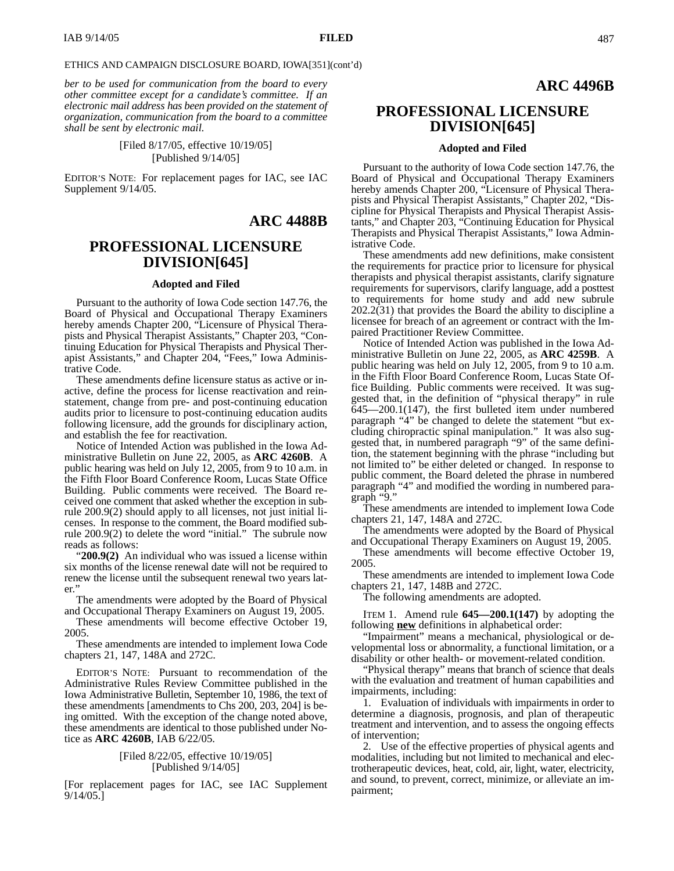#### ETHICS AND CAMPAIGN DISCLOSURE BOARD, IOWA[351](cont'd)

*ber to be used for communication from the board to every other committee except for a candidate's committee. If an electronic mail address has been provided on the statement of organization, communication from the board to a committee shall be sent by electronic mail.*

## [Filed 8/17/05, effective 10/19/05] [Published 9/14/05]

EDITOR'S NOTE: For replacement pages for IAC, see IAC Supplement 9/14/05.

## **ARC 4488B**

## **PROFESSIONAL LICENSURE DIVISION[645]**

### **Adopted and Filed**

Pursuant to the authority of Iowa Code section 147.76, the Board of Physical and Occupational Therapy Examiners hereby amends Chapter 200, "Licensure of Physical Therapists and Physical Therapist Assistants," Chapter 203, "Continuing Education for Physical Therapists and Physical Therapist Assistants," and Chapter 204, "Fees," Iowa Administrative Code.

These amendments define licensure status as active or inactive, define the process for license reactivation and reinstatement, change from pre- and post-continuing education audits prior to licensure to post-continuing education audits following licensure, add the grounds for disciplinary action, and establish the fee for reactivation.

Notice of Intended Action was published in the Iowa Administrative Bulletin on June 22, 2005, as **ARC 4260B**. A public hearing was held on July 12, 2005, from 9 to 10 a.m. in the Fifth Floor Board Conference Room, Lucas State Office Building. Public comments were received. The Board received one comment that asked whether the exception in subrule 200.9(2) should apply to all licenses, not just initial licenses. In response to the comment, the Board modified subrule 200.9(2) to delete the word "initial." The subrule now reads as follows:

"**200.9(2)** An individual who was issued a license within six months of the license renewal date will not be required to renew the license until the subsequent renewal two years later."

The amendments were adopted by the Board of Physical and Occupational Therapy Examiners on August 19, 2005.

These amendments will become effective October 19, 2005.

These amendments are intended to implement Iowa Code chapters 21, 147, 148A and 272C.

EDITOR'S NOTE: Pursuant to recommendation of the Administrative Rules Review Committee published in the Iowa Administrative Bulletin, September 10, 1986, the text of these amendments [amendments to Chs 200, 203, 204] is being omitted. With the exception of the change noted above, these amendments are identical to those published under Notice as **ARC 4260B**, IAB 6/22/05.

#### [Filed 8/22/05, effective 10/19/05] [Published 9/14/05]

[For replacement pages for IAC, see IAC Supplement 9/14/05.]

## **ARC 4496B**

# **PROFESSIONAL LICENSURE DIVISION[645]**

### **Adopted and Filed**

Pursuant to the authority of Iowa Code section 147.76, the Board of Physical and Occupational Therapy Examiners hereby amends Chapter 200, "Licensure of Physical Therapists and Physical Therapist Assistants," Chapter 202, "Discipline for Physical Therapists and Physical Therapist Assistants," and Chapter 203, "Continuing Education for Physical Therapists and Physical Therapist Assistants," Iowa Administrative Code.

These amendments add new definitions, make consistent the requirements for practice prior to licensure for physical therapists and physical therapist assistants, clarify signature requirements for supervisors, clarify language, add a posttest to requirements for home study and add new subrule 202.2(31) that provides the Board the ability to discipline a licensee for breach of an agreement or contract with the Impaired Practitioner Review Committee.

Notice of Intended Action was published in the Iowa Administrative Bulletin on June 22, 2005, as **ARC 4259B**. A public hearing was held on July 12, 2005, from 9 to 10 a.m. in the Fifth Floor Board Conference Room, Lucas State Office Building. Public comments were received. It was suggested that, in the definition of "physical therapy" in rule 645—200.1(147), the first bulleted item under numbered paragraph "4" be changed to delete the statement "but excluding chiropractic spinal manipulation." It was also suggested that, in numbered paragraph "9" of the same definition, the statement beginning with the phrase "including but not limited to" be either deleted or changed. In response to public comment, the Board deleted the phrase in numbered paragraph "4" and modified the wording in numbered paragraph "9."

These amendments are intended to implement Iowa Code chapters 21, 147, 148A and 272C.

The amendments were adopted by the Board of Physical and Occupational Therapy Examiners on August 19, 2005.

These amendments will become effective October 19, 2005.

These amendments are intended to implement Iowa Code chapters 21, 147, 148B and 272C.

The following amendments are adopted.

ITEM 1. Amend rule **645—200.1(147)** by adopting the following **new** definitions in alphabetical order:

"Impairment" means a mechanical, physiological or developmental loss or abnormality, a functional limitation, or a disability or other health- or movement-related condition.

"Physical therapy" means that branch of science that deals with the evaluation and treatment of human capabilities and impairments, including:

1. Evaluation of individuals with impairments in order to determine a diagnosis, prognosis, and plan of therapeutic treatment and intervention, and to assess the ongoing effects of intervention;

2. Use of the effective properties of physical agents and modalities, including but not limited to mechanical and electrotherapeutic devices, heat, cold, air, light, water, electricity, and sound, to prevent, correct, minimize, or alleviate an impairment;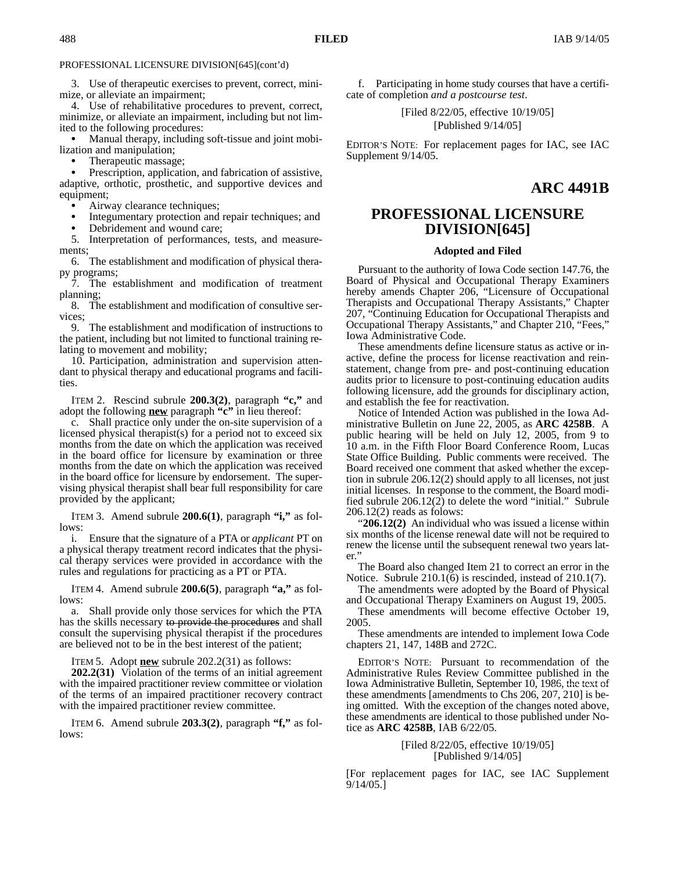PROFESSIONAL LICENSURE DIVISION[645](cont'd)

3. Use of therapeutic exercises to prevent, correct, minimize, or alleviate an impairment;

4. Use of rehabilitative procedures to prevent, correct, minimize, or alleviate an impairment, including but not limited to the following procedures:

 Manual therapy, including soft-tissue and joint mobilization and manipulation;

 Therapeutic massage;  $\bullet$ 

 Prescription, application, and fabrication of assistive, adaptive, orthotic, prosthetic, and supportive devices and equipment;

 Airway clearance techniques;  $\bullet$ 

 Integumentary protection and repair techniques; and  $\bullet$ 

Debridement and wound care;

5. Interpretation of performances, tests, and measurements;

6. The establishment and modification of physical therapy programs;

7. The establishment and modification of treatment planning;

8. The establishment and modification of consultive services;

9. The establishment and modification of instructions to the patient, including but not limited to functional training relating to movement and mobility;

10. Participation, administration and supervision attendant to physical therapy and educational programs and facilities.

ITEM 2. Rescind subrule **200.3(2)**, paragraph **"c,"** and adopt the following **new** paragraph **"c"** in lieu thereof:

c. Shall practice only under the on-site supervision of a licensed physical therapist(s) for a period not to exceed six months from the date on which the application was received in the board office for licensure by examination or three months from the date on which the application was received in the board office for licensure by endorsement. The supervising physical therapist shall bear full responsibility for care provided by the applicant;

ITEM 3. Amend subrule **200.6(1)**, paragraph **"i,"** as follows:

i. Ensure that the signature of a PTA or *applicant* PT on a physical therapy treatment record indicates that the physical therapy services were provided in accordance with the rules and regulations for practicing as a PT or PTA.

ITEM 4. Amend subrule **200.6(5)**, paragraph **"a,"** as follows:

a. Shall provide only those services for which the PTA has the skills necessary to provide the procedures and shall consult the supervising physical therapist if the procedures are believed not to be in the best interest of the patient;

ITEM 5. Adopt **new** subrule 202.2(31) as follows:

**202.2(31)** Violation of the terms of an initial agreement with the impaired practitioner review committee or violation of the terms of an impaired practitioner recovery contract with the impaired practitioner review committee.

ITEM 6. Amend subrule **203.3(2)**, paragraph **"f,"** as follows:

f. Participating in home study courses that have a certificate of completion *and a postcourse test*.

> [Filed 8/22/05, effective 10/19/05] [Published 9/14/05]

EDITOR'S NOTE: For replacement pages for IAC, see IAC Supplement 9/14/05.

# **ARC 4491B**

# **PROFESSIONAL LICENSURE DIVISION[645]**

### **Adopted and Filed**

Pursuant to the authority of Iowa Code section 147.76, the Board of Physical and Occupational Therapy Examiners hereby amends Chapter 206, "Licensure of Occupational Therapists and Occupational Therapy Assistants," Chapter 207, "Continuing Education for Occupational Therapists and Occupational Therapy Assistants," and Chapter 210, "Fees," Iowa Administrative Code.

These amendments define licensure status as active or inactive, define the process for license reactivation and reinstatement, change from pre- and post-continuing education audits prior to licensure to post-continuing education audits following licensure, add the grounds for disciplinary action, and establish the fee for reactivation.

Notice of Intended Action was published in the Iowa Administrative Bulletin on June 22, 2005, as **ARC 4258B**. A public hearing will be held on July 12, 2005, from 9 to 10 a.m. in the Fifth Floor Board Conference Room, Lucas State Office Building. Public comments were received. The Board received one comment that asked whether the exception in subrule 206.12(2) should apply to all licenses, not just initial licenses. In response to the comment, the Board modified subrule 206.12(2) to delete the word "initial." Subrule 206.12(2) reads as folows:

"**206.12(2)** An individual who was issued a license within six months of the license renewal date will not be required to renew the license until the subsequent renewal two years later."

The Board also changed Item 21 to correct an error in the Notice. Subrule 210.1(6) is rescinded, instead of 210.1(7).

The amendments were adopted by the Board of Physical and Occupational Therapy Examiners on August 19, 2005.

These amendments will become effective October 19, 2005.

These amendments are intended to implement Iowa Code chapters 21, 147, 148B and 272C.

EDITOR'S NOTE: Pursuant to recommendation of the Administrative Rules Review Committee published in the Iowa Administrative Bulletin, September 10, 1986, the text of these amendments [amendments to Chs 206, 207, 210] is being omitted. With the exception of the changes noted above, these amendments are identical to those published under Notice as **ARC 4258B**, IAB 6/22/05.

> [Filed 8/22/05, effective 10/19/05] [Published 9/14/05]

[For replacement pages for IAC, see IAC Supplement 9/14/05.]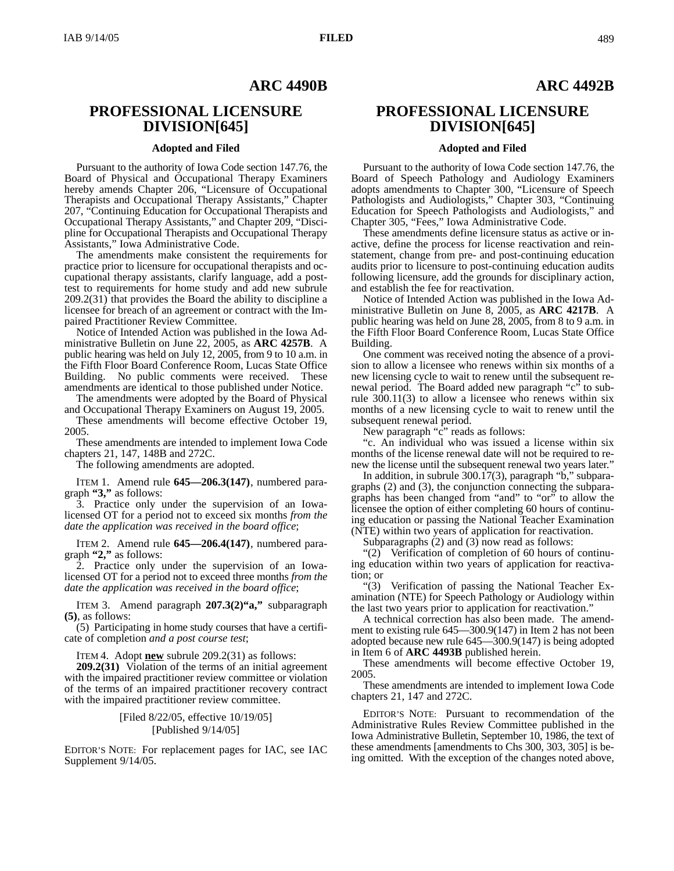## **ARC 4490B**

# **PROFESSIONAL LICENSURE DIVISION[645]**

### **Adopted and Filed**

Pursuant to the authority of Iowa Code section 147.76, the Board of Physical and Occupational Therapy Examiners hereby amends Chapter 206, "Licensure of Occupational Therapists and Occupational Therapy Assistants," Chapter 207, "Continuing Education for Occupational Therapists and Occupational Therapy Assistants," and Chapter 209, "Discipline for Occupational Therapists and Occupational Therapy Assistants," Iowa Administrative Code.

The amendments make consistent the requirements for practice prior to licensure for occupational therapists and occupational therapy assistants, clarify language, add a posttest to requirements for home study and add new subrule 209.2(31) that provides the Board the ability to discipline a licensee for breach of an agreement or contract with the Impaired Practitioner Review Committee.

Notice of Intended Action was published in the Iowa Administrative Bulletin on June 22, 2005, as **ARC 4257B**. A public hearing was held on July 12, 2005, from 9 to 10 a.m. in the Fifth Floor Board Conference Room, Lucas State Office Building. No public comments were received. These amendments are identical to those published under Notice.

The amendments were adopted by the Board of Physical and Occupational Therapy Examiners on August 19, 2005.

These amendments will become effective October 19, 2005.

These amendments are intended to implement Iowa Code chapters 21, 147, 148B and 272C.

The following amendments are adopted.

ITEM 1. Amend rule **645—206.3(147)**, numbered paragraph **"3,"** as follows:

3. Practice only under the supervision of an Iowalicensed OT for a period not to exceed six months *from the date the application was received in the board office*;

ITEM 2. Amend rule **645—206.4(147)**, numbered paragraph **"2,"** as follows:

2. Practice only under the supervision of an Iowalicensed OT for a period not to exceed three months *from the date the application was received in the board office*;

ITEM 3. Amend paragraph **207.3(2)"a,"** subparagraph **(5)**, as follows:

(5) Participating in home study courses that have a certificate of completion *and a post course test*;

ITEM 4. Adopt **new** subrule 209.2(31) as follows:

**209.2(31)** Violation of the terms of an initial agreement with the impaired practitioner review committee or violation of the terms of an impaired practitioner recovery contract with the impaired practitioner review committee.

### [Filed 8/22/05, effective 10/19/05] [Published 9/14/05]

EDITOR'S NOTE: For replacement pages for IAC, see IAC Supplement 9/14/05.

## **ARC 4492B**

# **PROFESSIONAL LICENSURE DIVISION[645]**

### **Adopted and Filed**

Pursuant to the authority of Iowa Code section 147.76, the Board of Speech Pathology and Audiology Examiners adopts amendments to Chapter 300, "Licensure of Speech Pathologists and Audiologists," Chapter 303, "Continuing Education for Speech Pathologists and Audiologists," and Chapter 305, "Fees," Iowa Administrative Code.

These amendments define licensure status as active or inactive, define the process for license reactivation and reinstatement, change from pre- and post-continuing education audits prior to licensure to post-continuing education audits following licensure, add the grounds for disciplinary action, and establish the fee for reactivation.

Notice of Intended Action was published in the Iowa Administrative Bulletin on June 8, 2005, as **ARC 4217B**. A public hearing was held on June 28, 2005, from 8 to 9 a.m. in the Fifth Floor Board Conference Room, Lucas State Office Building.

One comment was received noting the absence of a provision to allow a licensee who renews within six months of a new licensing cycle to wait to renew until the subsequent renewal period. The Board added new paragraph "c" to subrule  $300.11(3)$  to allow a licensee who renews within six months of a new licensing cycle to wait to renew until the subsequent renewal period.

New paragraph "c" reads as follows:

"c. An individual who was issued a license within six months of the license renewal date will not be required to renew the license until the subsequent renewal two years later."

In addition, in subrule 300.17(3), paragraph "b," subparagraphs (2) and (3), the conjunction connecting the subparagraphs has been changed from "and" to "or" to allow the licensee the option of either completing 60 hours of continuing education or passing the National Teacher Examination (NTE) within two years of application for reactivation.

Subparagraphs (2) and (3) now read as follows:

"(2) Verification of completion of 60 hours of continuing education within two years of application for reactivation; or

"(3) Verification of passing the National Teacher Examination (NTE) for Speech Pathology or Audiology within the last two years prior to application for reactivation."

A technical correction has also been made. The amendment to existing rule 645—300.9(147) in Item 2 has not been adopted because new rule 645—300.9(147) is being adopted in Item 6 of **ARC 4493B** published herein.

These amendments will become effective October 19, 2005.

These amendments are intended to implement Iowa Code chapters 21, 147 and 272C.

EDITOR'S NOTE: Pursuant to recommendation of the Administrative Rules Review Committee published in the Iowa Administrative Bulletin, September 10, 1986, the text of these amendments [amendments to Chs 300, 303, 305] is being omitted. With the exception of the changes noted above,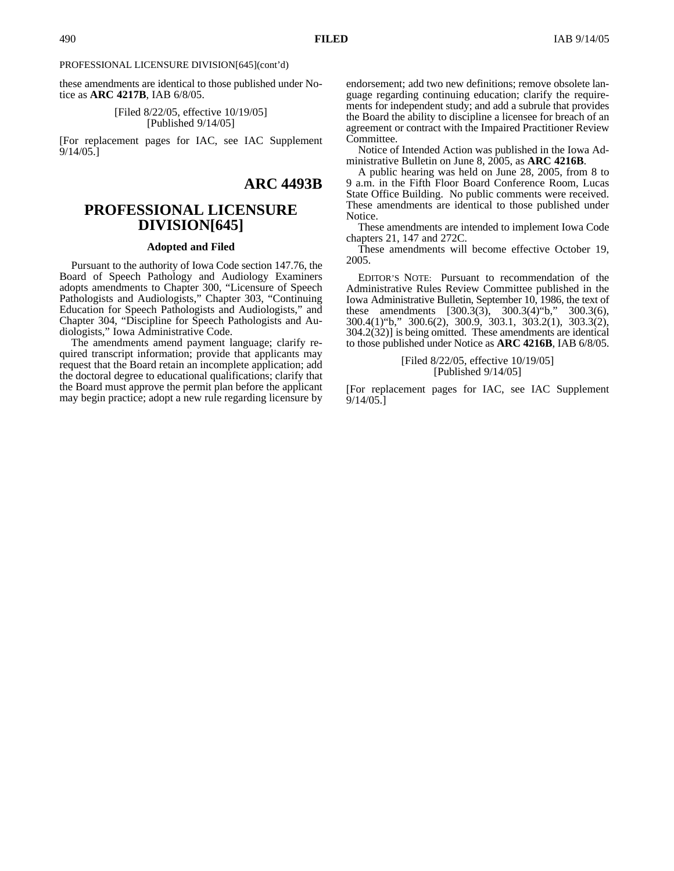PROFESSIONAL LICENSURE DIVISION[645](cont'd)

these amendments are identical to those published under Notice as **ARC 4217B**, IAB 6/8/05.

> [Filed 8/22/05, effective 10/19/05] [Published 9/14/05]

[For replacement pages for IAC, see IAC Supplement 9/14/05.]

# **ARC 4493B**

# **PROFESSIONAL LICENSURE DIVISION[645]**

### **Adopted and Filed**

Pursuant to the authority of Iowa Code section 147.76, the Board of Speech Pathology and Audiology Examiners adopts amendments to Chapter 300, "Licensure of Speech Pathologists and Audiologists," Chapter 303, "Continuing Education for Speech Pathologists and Audiologists," and Chapter 304, "Discipline for Speech Pathologists and Audiologists," Iowa Administrative Code.

The amendments amend payment language; clarify required transcript information; provide that applicants may request that the Board retain an incomplete application; add the doctoral degree to educational qualifications; clarify that the Board must approve the permit plan before the applicant may begin practice; adopt a new rule regarding licensure by endorsement; add two new definitions; remove obsolete language regarding continuing education; clarify the requirements for independent study; and add a subrule that provides the Board the ability to discipline a licensee for breach of an agreement or contract with the Impaired Practitioner Review Committee.

Notice of Intended Action was published in the Iowa Administrative Bulletin on June 8, 2005, as **ARC 4216B**.

A public hearing was held on June 28, 2005, from 8 to 9 a.m. in the Fifth Floor Board Conference Room, Lucas State Office Building. No public comments were received. These amendments are identical to those published under Notice.

These amendments are intended to implement Iowa Code chapters 21, 147 and 272C.

These amendments will become effective October 19, 2005.

EDITOR'S NOTE: Pursuant to recommendation of the Administrative Rules Review Committee published in the Iowa Administrative Bulletin, September 10, 1986, the text of these amendments [300.3(3), 300.3(4)"b," 300.3(6), 300.4(1)"b," 300.6(2), 300.9, 303.1, 303.2(1), 303.3(2), 304.2(32)] is being omitted. These amendments are identical to those published under Notice as **ARC 4216B**, IAB 6/8/05.

### [Filed 8/22/05, effective 10/19/05] [Published 9/14/05]

[For replacement pages for IAC, see IAC Supplement 9/14/05.]